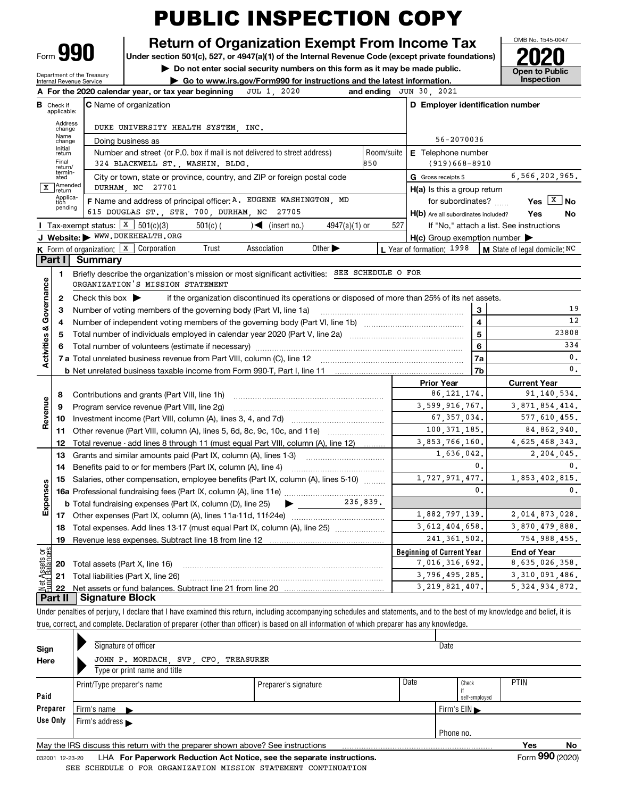Form**990**

#### **Return of Organization Exempt From Income Tax**

**Under section 501(c), 527, or 4947(a)(1) of the Internal Revenue Code (except private foundations) 2020**

**| Do not enter social security numbers on this form as it may be made public. | Go to www.irs.gov/Form990 for instructions and the latest information. Inspection**

**Open to Public** 

OMB No. 1545-0047

Department of the Treasury Internal Revenue Service

|                         |                          | 2020<br>A For the 2020 calendar year, or tax year beginning<br>JUL 1,                                                                   | and ending                          | JUN 30, 2021                                        |                                          |  |  |  |  |  |  |  |  |  |
|-------------------------|--------------------------|-----------------------------------------------------------------------------------------------------------------------------------------|-------------------------------------|-----------------------------------------------------|------------------------------------------|--|--|--|--|--|--|--|--|--|
| в                       | Check if<br>applicable:  | <b>C</b> Name of organization                                                                                                           |                                     | D Employer identification number                    |                                          |  |  |  |  |  |  |  |  |  |
|                         | Address<br>change        | DUKE UNIVERSITY HEALTH SYSTEM, INC.                                                                                                     |                                     |                                                     |                                          |  |  |  |  |  |  |  |  |  |
|                         | Name<br>change           | Doing business as                                                                                                                       |                                     | 56-2070036                                          |                                          |  |  |  |  |  |  |  |  |  |
|                         | Initial<br>return        | Number and street (or P.O. box if mail is not delivered to street address)                                                              | Room/suite                          | <b>E</b> Telephone number                           |                                          |  |  |  |  |  |  |  |  |  |
|                         | Final<br>return/         | 324 BLACKWELL ST., WASHIN. BLDG.                                                                                                        | 850                                 | $(919)668 - 8910$                                   |                                          |  |  |  |  |  |  |  |  |  |
|                         | termin-<br>ated          | City or town, state or province, country, and ZIP or foreign postal code                                                                | G Gross receipts \$                 | 6,566,202,965.                                      |                                          |  |  |  |  |  |  |  |  |  |
| X                       | <b>Amended</b><br>return | DURHAM, NC 27701                                                                                                                        |                                     | H(a) Is this a group return                         |                                          |  |  |  |  |  |  |  |  |  |
|                         | Applica-<br>tion         | F Name and address of principal officer: A. EUGENE WASHINGTON, MD                                                                       |                                     | for subordinates?                                   | Yes $X$<br>N <sub>o</sub>                |  |  |  |  |  |  |  |  |  |
|                         | pending                  | 615 DOUGLAS ST., STE. 700, DURHAM, NC 27705                                                                                             | H(b) Are all subordinates included? | Yes<br>No                                           |                                          |  |  |  |  |  |  |  |  |  |
|                         |                          | <b>I</b> Tax-exempt status: $X \ 501(c)(3)$<br>$\sqrt{\frac{1}{1}}$ (insert no.)<br>501(c) (<br>$4947(a)(1)$ or                         | 527                                 |                                                     | If "No," attach a list. See instructions |  |  |  |  |  |  |  |  |  |
|                         |                          | J Website: WWW.DUKEHEALTH.ORG                                                                                                           |                                     | $H(c)$ Group exemption number $\blacktriangleright$ |                                          |  |  |  |  |  |  |  |  |  |
|                         |                          | <b>K</b> Form of organization: $\boxed{\textbf{x}}$ Corporation<br>Trust<br>Association<br>Other $\blacktriangleright$                  |                                     | L Year of formation: 1998                           | M State of legal domicile: NC            |  |  |  |  |  |  |  |  |  |
|                         | Part I                   | Summary                                                                                                                                 |                                     |                                                     |                                          |  |  |  |  |  |  |  |  |  |
|                         | 1                        | Briefly describe the organization's mission or most significant activities: SEE SCHEDULE O FOR                                          |                                     |                                                     |                                          |  |  |  |  |  |  |  |  |  |
|                         |                          | ORGANIZATION'S MISSION STATEMENT                                                                                                        |                                     |                                                     |                                          |  |  |  |  |  |  |  |  |  |
| Governance              | 2                        | Check this box $\blacktriangleright$<br>if the organization discontinued its operations or disposed of more than 25% of its net assets. |                                     |                                                     |                                          |  |  |  |  |  |  |  |  |  |
|                         | 3                        | Number of voting members of the governing body (Part VI, line 1a)                                                                       | 3<br>$\overline{\mathbf{4}}$        | 19<br>12                                            |                                          |  |  |  |  |  |  |  |  |  |
|                         | 4                        |                                                                                                                                         |                                     |                                                     |                                          |  |  |  |  |  |  |  |  |  |
|                         | 5                        |                                                                                                                                         |                                     | 5<br>6                                              | 23808<br>334                             |  |  |  |  |  |  |  |  |  |
|                         | 6                        |                                                                                                                                         |                                     |                                                     |                                          |  |  |  |  |  |  |  |  |  |
| <b>Activities &amp;</b> |                          |                                                                                                                                         |                                     | 7a                                                  | $\mathbf{0}$ .                           |  |  |  |  |  |  |  |  |  |
|                         |                          |                                                                                                                                         |                                     | 7b                                                  | $\mathbf{0}$ .                           |  |  |  |  |  |  |  |  |  |
|                         |                          |                                                                                                                                         |                                     | <b>Prior Year</b>                                   | <b>Current Year</b>                      |  |  |  |  |  |  |  |  |  |
|                         | 8                        | Contributions and grants (Part VIII, line 1h)                                                                                           |                                     | 86.121.174.                                         | 91, 140, 534.                            |  |  |  |  |  |  |  |  |  |
| Revenue                 | 9                        | Program service revenue (Part VIII, line 2g)                                                                                            |                                     | 3,599,916,767.                                      | 3,871,854,414.                           |  |  |  |  |  |  |  |  |  |
|                         | 10                       | Investment income (Part VIII, column (A), lines 3, 4, and 7d)                                                                           |                                     | 67, 357, 034.                                       | 577,610,455.                             |  |  |  |  |  |  |  |  |  |
|                         | 11                       |                                                                                                                                         |                                     | 100.371.185.                                        | 84,862,940.                              |  |  |  |  |  |  |  |  |  |
|                         | 12                       | Total revenue - add lines 8 through 11 (must equal Part VIII, column (A), line 12)                                                      |                                     | 3,853,766,160.                                      | 4,625,468,343.                           |  |  |  |  |  |  |  |  |  |
|                         | 13                       | Grants and similar amounts paid (Part IX, column (A), lines 1-3)                                                                        |                                     | 1,636,042.                                          | 2,204,045.                               |  |  |  |  |  |  |  |  |  |
|                         | 14                       |                                                                                                                                         |                                     | 0.                                                  | 0.                                       |  |  |  |  |  |  |  |  |  |
|                         | 15                       | Salaries, other compensation, employee benefits (Part IX, column (A), lines 5-10)                                                       |                                     | 1,727,971,477.<br>$\mathbf{0}$ .                    | 1,853,402,815.<br>0.                     |  |  |  |  |  |  |  |  |  |
| Expenses                |                          |                                                                                                                                         |                                     |                                                     |                                          |  |  |  |  |  |  |  |  |  |
|                         |                          | <b>b</b> Total fundraising expenses (Part IX, column (D), line 25)                                                                      |                                     | 1,882,797,139.                                      |                                          |  |  |  |  |  |  |  |  |  |
|                         |                          |                                                                                                                                         |                                     | 3.612.404.658.                                      | 2,014,873,028.<br>3,870,479,888.         |  |  |  |  |  |  |  |  |  |
|                         | 18                       | Total expenses. Add lines 13-17 (must equal Part IX, column (A), line 25) [                                                             |                                     | 241, 361, 502.                                      | 754,988,455.                             |  |  |  |  |  |  |  |  |  |
|                         | 19                       |                                                                                                                                         |                                     |                                                     |                                          |  |  |  |  |  |  |  |  |  |
| កម្ព                    |                          |                                                                                                                                         |                                     | <b>Beginning of Current Year</b><br>7,016,316,692.  | <b>End of Year</b><br>8,635,026,358.     |  |  |  |  |  |  |  |  |  |
| Assets<br>1 Balanc      | 20<br>21                 | Total assets (Part X, line 16)                                                                                                          |                                     | 3,796,495,285.                                      | 3,310,091,486.                           |  |  |  |  |  |  |  |  |  |
| ₫.                      | 22                       | Total liabilities (Part X, line 26)                                                                                                     |                                     | 3, 219, 821, 407.                                   | 5, 324, 934, 872.                        |  |  |  |  |  |  |  |  |  |
|                         | Part II                  | Signature Block                                                                                                                         |                                     |                                                     |                                          |  |  |  |  |  |  |  |  |  |
|                         |                          |                                                                                                                                         |                                     |                                                     |                                          |  |  |  |  |  |  |  |  |  |

Under penalties of perjury, I declare that I have examined this return, including accompanying schedules and statements, and to the best of my knowledge and belief, it is true, correct, and complete. Declaration of preparer (other than officer) is based on all information of which preparer has any knowledge.

| 032001 12-23-20 | <b>LHA. For Paperwork Reduction Act Notice, see the separate instructions</b>   |                      |           |               | $F_{\text{O}}$ m 990 (2020) |    |  |  |
|-----------------|---------------------------------------------------------------------------------|----------------------|-----------|---------------|-----------------------------|----|--|--|
|                 | May the IRS discuss this return with the preparer shown above? See instructions |                      |           |               | Yes                         | No |  |  |
|                 |                                                                                 |                      | Phone no. |               |                             |    |  |  |
| Use Only        | Firm's address                                                                  |                      |           |               |                             |    |  |  |
| Preparer        | Firm's $EIN \blacktriangleright$<br>Firm's name                                 |                      |           |               |                             |    |  |  |
| Paid            |                                                                                 |                      |           | self-employed |                             |    |  |  |
|                 | Print/Type preparer's name                                                      | Preparer's signature | Date      | Check         | <b>PTIN</b>                 |    |  |  |
|                 | Type or print name and title                                                    |                      |           |               |                             |    |  |  |
| Here            | JOHN P. MORDACH, SVP, CFO, TREASURER                                            |                      |           |               |                             |    |  |  |
| Sign            | Signature of officer                                                            |                      | Date      |               |                             |    |  |  |
|                 |                                                                                 |                      |           |               |                             |    |  |  |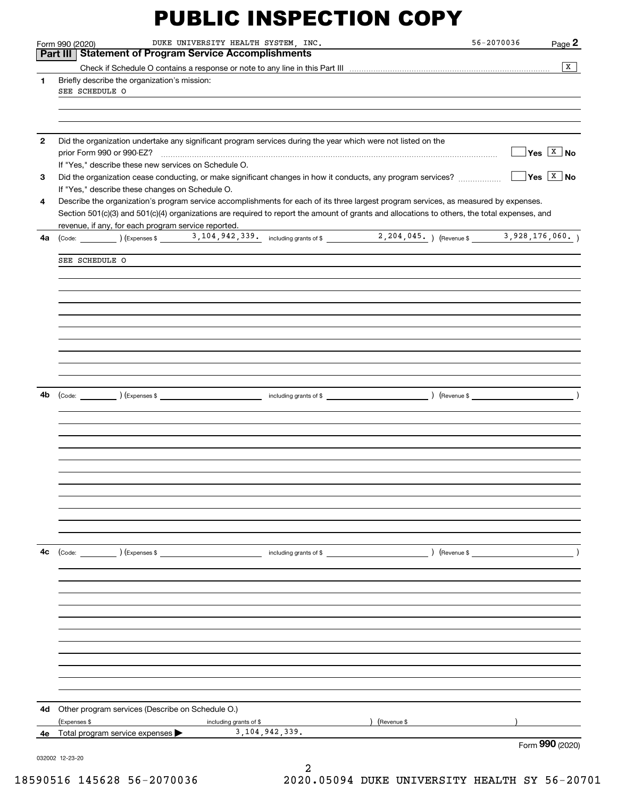|              | DUKE UNIVERSITY HEALTH SYSTEM, INC.<br>Form 990 (2020)                                                                                                                                                                                                                               | 56-2070036<br>Page 2                |
|--------------|--------------------------------------------------------------------------------------------------------------------------------------------------------------------------------------------------------------------------------------------------------------------------------------|-------------------------------------|
|              | Part III   Statement of Program Service Accomplishments                                                                                                                                                                                                                              |                                     |
|              |                                                                                                                                                                                                                                                                                      | $\overline{X}$                      |
| $\mathbf{1}$ | Briefly describe the organization's mission:<br>SEE SCHEDULE O                                                                                                                                                                                                                       |                                     |
|              |                                                                                                                                                                                                                                                                                      |                                     |
|              |                                                                                                                                                                                                                                                                                      |                                     |
| $\mathbf{2}$ | Did the organization undertake any significant program services during the year which were not listed on the                                                                                                                                                                         | $\sqrt{}$ Yes $\boxed{\text{x}}$ No |
| 3            | If "Yes," describe these new services on Schedule O.                                                                                                                                                                                                                                 | $\Box$ Yes $\boxed{\texttt{X}}$ No  |
|              | If "Yes," describe these changes on Schedule O.                                                                                                                                                                                                                                      |                                     |
| 4            | Describe the organization's program service accomplishments for each of its three largest program services, as measured by expenses.<br>Section 501(c)(3) and 501(c)(4) organizations are required to report the amount of grants and allocations to others, the total expenses, and |                                     |
| 4a           | revenue, if any, for each program service reported.                                                                                                                                                                                                                                  |                                     |
|              | SEE SCHEDULE O                                                                                                                                                                                                                                                                       |                                     |
|              |                                                                                                                                                                                                                                                                                      |                                     |
|              |                                                                                                                                                                                                                                                                                      |                                     |
|              |                                                                                                                                                                                                                                                                                      |                                     |
|              |                                                                                                                                                                                                                                                                                      |                                     |
|              |                                                                                                                                                                                                                                                                                      |                                     |
|              |                                                                                                                                                                                                                                                                                      |                                     |
| 4b           |                                                                                                                                                                                                                                                                                      | $\overline{\phantom{a}}$            |
|              |                                                                                                                                                                                                                                                                                      |                                     |
|              |                                                                                                                                                                                                                                                                                      |                                     |
|              |                                                                                                                                                                                                                                                                                      |                                     |
|              |                                                                                                                                                                                                                                                                                      |                                     |
|              |                                                                                                                                                                                                                                                                                      |                                     |
|              |                                                                                                                                                                                                                                                                                      |                                     |
|              |                                                                                                                                                                                                                                                                                      |                                     |
| 4c           |                                                                                                                                                                                                                                                                                      | $\left(\text{Revenue }$             |
|              |                                                                                                                                                                                                                                                                                      |                                     |
|              |                                                                                                                                                                                                                                                                                      |                                     |
|              |                                                                                                                                                                                                                                                                                      |                                     |
|              |                                                                                                                                                                                                                                                                                      |                                     |
|              |                                                                                                                                                                                                                                                                                      |                                     |
|              |                                                                                                                                                                                                                                                                                      |                                     |
|              |                                                                                                                                                                                                                                                                                      |                                     |
| 4d           | Other program services (Describe on Schedule O.)                                                                                                                                                                                                                                     |                                     |
|              | (Expenses \$<br>Revenue \$<br>including grants of \$                                                                                                                                                                                                                                 |                                     |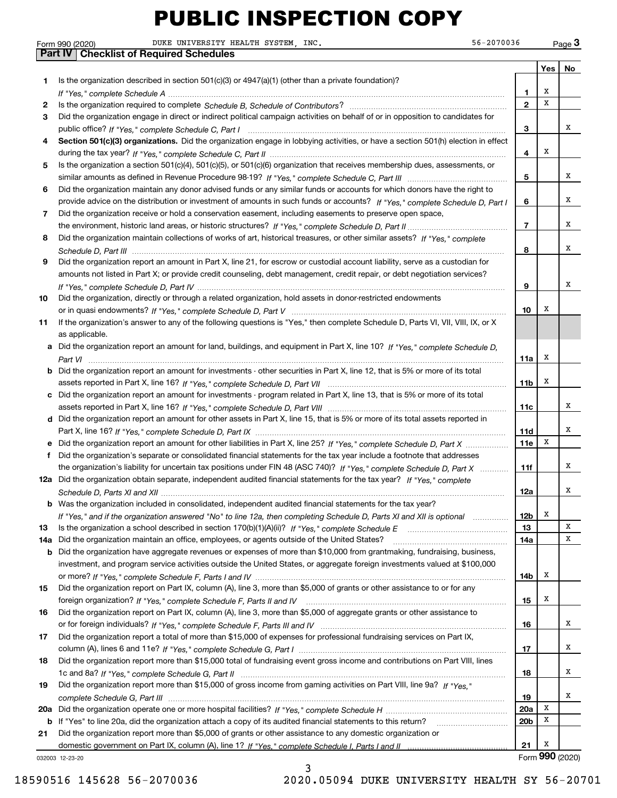|                                                                                                                                                                                                                                |                 | Yes   No        |   |
|--------------------------------------------------------------------------------------------------------------------------------------------------------------------------------------------------------------------------------|-----------------|-----------------|---|
| Is the organization described in section $501(c)(3)$ or $4947(a)(1)$ (other than a private foundation)?                                                                                                                        |                 |                 |   |
|                                                                                                                                                                                                                                | 1               | х               |   |
| Is the organization required to complete Schedule B, Schedule of Contributors? [11] [11] International contributors? [11] International contributors? [11] International contributors (11] International contributors? [11] In | $\mathbf{2}$    | х               |   |
| Did the organization engage in direct or indirect political campaign activities on behalf of or in opposition to candidates for                                                                                                |                 |                 |   |
|                                                                                                                                                                                                                                | з               |                 | x |
| Section 501(c)(3) organizations. Did the organization engage in lobbying activities, or have a section 501(h) election in effect                                                                                               |                 |                 |   |
|                                                                                                                                                                                                                                | 4               | х               |   |
| Is the organization a section 501(c)(4), 501(c)(5), or 501(c)(6) organization that receives membership dues, assessments, or                                                                                                   |                 |                 |   |
|                                                                                                                                                                                                                                | 5               |                 | x |
| Did the organization maintain any donor advised funds or any similar funds or accounts for which donors have the right to                                                                                                      |                 |                 |   |
| provide advice on the distribution or investment of amounts in such funds or accounts? If "Yes," complete Schedule D, Part I                                                                                                   | 6               |                 | х |
| Did the organization receive or hold a conservation easement, including easements to preserve open space,                                                                                                                      |                 |                 |   |
|                                                                                                                                                                                                                                | 7               |                 | х |
| Did the organization maintain collections of works of art, historical treasures, or other similar assets? If "Yes," complete                                                                                                   |                 |                 |   |
|                                                                                                                                                                                                                                | 8               |                 | x |
| Did the organization report an amount in Part X, line 21, for escrow or custodial account liability, serve as a custodian for                                                                                                  |                 |                 |   |
| amounts not listed in Part X; or provide credit counseling, debt management, credit repair, or debt negotiation services?                                                                                                      |                 |                 |   |
|                                                                                                                                                                                                                                | 9               |                 | x |
| Did the organization, directly or through a related organization, hold assets in donor-restricted endowments                                                                                                                   |                 |                 |   |
|                                                                                                                                                                                                                                | 10              | х               |   |
| If the organization's answer to any of the following questions is "Yes," then complete Schedule D, Parts VI, VII, VIII, IX, or X                                                                                               |                 |                 |   |
| as applicable.                                                                                                                                                                                                                 |                 |                 |   |
| Did the organization report an amount for land, buildings, and equipment in Part X, line 10? If "Yes," complete Schedule D,                                                                                                    |                 |                 |   |
|                                                                                                                                                                                                                                | 11a             | х               |   |
| Did the organization report an amount for investments - other securities in Part X, line 12, that is 5% or more of its total                                                                                                   |                 |                 |   |
|                                                                                                                                                                                                                                | 11b             | х               |   |
| Did the organization report an amount for investments - program related in Part X, line 13, that is 5% or more of its total                                                                                                    |                 |                 |   |
|                                                                                                                                                                                                                                | 11c             |                 | х |
| Did the organization report an amount for other assets in Part X, line 15, that is 5% or more of its total assets reported in                                                                                                  |                 |                 |   |
|                                                                                                                                                                                                                                | 11d             |                 | х |
|                                                                                                                                                                                                                                | 11e             | х               |   |
| Did the organization report an amount for other liabilities in Part X, line 25? If "Yes," complete Schedule D, Part X                                                                                                          |                 |                 |   |
| Did the organization's separate or consolidated financial statements for the tax year include a footnote that addresses                                                                                                        |                 |                 | х |
| the organization's liability for uncertain tax positions under FIN 48 (ASC 740)? If "Yes," complete Schedule D, Part X                                                                                                         | 11f             |                 |   |
| Did the organization obtain separate, independent audited financial statements for the tax year? If "Yes," complete                                                                                                            |                 |                 | x |
|                                                                                                                                                                                                                                | 12a             |                 |   |
| Was the organization included in consolidated, independent audited financial statements for the tax year?                                                                                                                      |                 |                 |   |
| If "Yes," and if the organization answered "No" to line 12a, then completing Schedule D, Parts XI and XII is optional                                                                                                          | 12 <sub>b</sub> | x               | х |
|                                                                                                                                                                                                                                | 13              |                 |   |
| Did the organization maintain an office, employees, or agents outside of the United States?                                                                                                                                    | 14a             |                 | x |
| Did the organization have aggregate revenues or expenses of more than \$10,000 from grantmaking, fundraising, business,                                                                                                        |                 |                 |   |
| investment, and program service activities outside the United States, or aggregate foreign investments valued at \$100,000                                                                                                     |                 |                 |   |
|                                                                                                                                                                                                                                | 14b             | х               |   |
| Did the organization report on Part IX, column (A), line 3, more than \$5,000 of grants or other assistance to or for any                                                                                                      |                 |                 |   |
|                                                                                                                                                                                                                                | 15              | x               |   |
| Did the organization report on Part IX, column (A), line 3, more than \$5,000 of aggregate grants or other assistance to                                                                                                       |                 |                 |   |
|                                                                                                                                                                                                                                | 16              |                 | х |
| Did the organization report a total of more than \$15,000 of expenses for professional fundraising services on Part IX,                                                                                                        |                 |                 |   |
|                                                                                                                                                                                                                                | 17              |                 | x |
| Did the organization report more than \$15,000 total of fundraising event gross income and contributions on Part VIII, lines                                                                                                   |                 |                 |   |
|                                                                                                                                                                                                                                | 18              |                 | x |
| Did the organization report more than \$15,000 of gross income from gaming activities on Part VIII, line 9a? If "Yes."                                                                                                         |                 |                 |   |
|                                                                                                                                                                                                                                | 19              |                 | х |
|                                                                                                                                                                                                                                | 20a             | х               |   |
| If "Yes" to line 20a, did the organization attach a copy of its audited financial statements to this return?                                                                                                                   | 20 <sub>b</sub> | х               |   |
| Did the organization report more than \$5,000 of grants or other assistance to any domestic organization or                                                                                                                    |                 |                 |   |
| domestic government on Part IX, column (A), line 1? If "Yes." complete Schedule I. Parts I and II manual manual manual                                                                                                         | 21              | х               |   |
| 12-23-20                                                                                                                                                                                                                       |                 | Form 990 (2020) |   |
| ٦                                                                                                                                                                                                                              |                 |                 |   |

032003 12-23-20

**1**

**2 3**

**4**

**5**

**6**

**7**

**8**

**9**

**10**

**11**

**a**

**b**

**c**

**d**

**ef**

**12a**

**b**

**b**

**1314a**

**15**

**16**

**17**

**18**

**19**

**20 a**

**21b**

3 18590516 145628 56-2070036 2020.05094 DUKE UNIVERSITY HEALTH SY 56-20701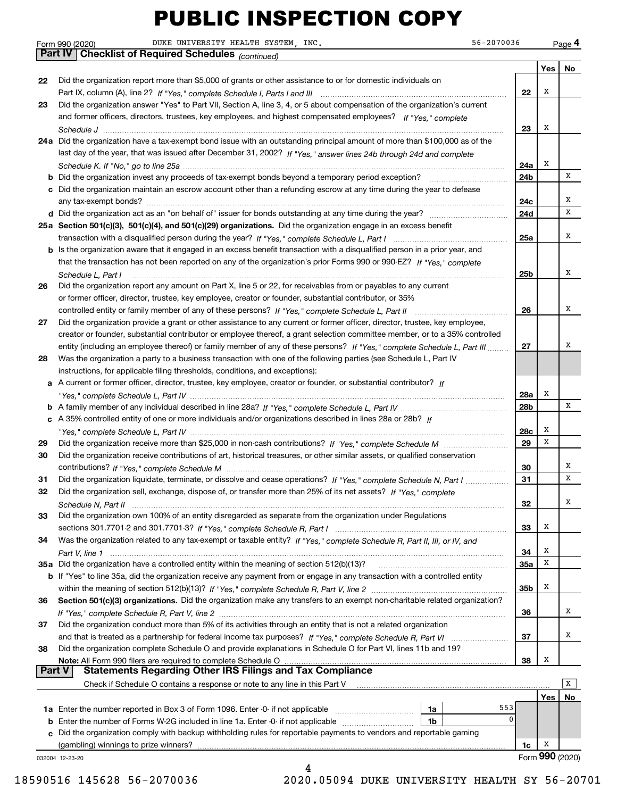|               | 56-2070036<br>DUKE UNIVERSITY HEALTH SYSTEM, INC.<br>Form 990 (2020)                                                                  |                 |     | Page 4          |
|---------------|---------------------------------------------------------------------------------------------------------------------------------------|-----------------|-----|-----------------|
|               | <b>Part IV   Checklist of Required Schedules</b> (continued)                                                                          |                 |     |                 |
|               |                                                                                                                                       |                 | Yes | No              |
| 22            | Did the organization report more than \$5,000 of grants or other assistance to or for domestic individuals on                         |                 |     |                 |
|               |                                                                                                                                       | 22              | х   |                 |
| 23            | Did the organization answer "Yes" to Part VII, Section A, line 3, 4, or 5 about compensation of the organization's current            |                 |     |                 |
|               | and former officers, directors, trustees, key employees, and highest compensated employees? If "Yes," complete                        |                 |     |                 |
|               |                                                                                                                                       | 23              | X   |                 |
|               | 24a Did the organization have a tax-exempt bond issue with an outstanding principal amount of more than \$100,000 as of the           |                 |     |                 |
|               | last day of the year, that was issued after December 31, 2002? If "Yes," answer lines 24b through 24d and complete                    |                 |     |                 |
|               |                                                                                                                                       | 24a             | х   |                 |
|               | <b>b</b> Did the organization invest any proceeds of tax-exempt bonds beyond a temporary period exception?                            | 24b             |     | x               |
|               | c Did the organization maintain an escrow account other than a refunding escrow at any time during the year to defease                |                 |     |                 |
|               |                                                                                                                                       | 24c             |     | х               |
|               |                                                                                                                                       | 24d             |     | х               |
|               | 25a Section 501(c)(3), 501(c)(4), and 501(c)(29) organizations. Did the organization engage in an excess benefit                      |                 |     |                 |
|               |                                                                                                                                       | 25a             |     | х               |
|               | b Is the organization aware that it engaged in an excess benefit transaction with a disqualified person in a prior year, and          |                 |     |                 |
|               | that the transaction has not been reported on any of the organization's prior Forms 990 or 990-EZ? If "Yes," complete                 |                 |     |                 |
|               |                                                                                                                                       | 25 <sub>b</sub> |     | x               |
| 26            | Schedule L, Part I<br>Did the organization report any amount on Part X, line 5 or 22, for receivables from or payables to any current |                 |     |                 |
|               | or former officer, director, trustee, key employee, creator or founder, substantial contributor, or 35%                               |                 |     |                 |
|               | controlled entity or family member of any of these persons? If "Yes," complete Schedule L, Part II                                    | 26              |     | x               |
| 27            | Did the organization provide a grant or other assistance to any current or former officer, director, trustee, key employee,           |                 |     |                 |
|               | creator or founder, substantial contributor or employee thereof, a grant selection committee member, or to a 35% controlled           |                 |     |                 |
|               |                                                                                                                                       |                 |     | х               |
|               | entity (including an employee thereof) or family member of any of these persons? If "Yes," complete Schedule L, Part III              | 27              |     |                 |
| 28            | Was the organization a party to a business transaction with one of the following parties (see Schedule L, Part IV                     |                 |     |                 |
|               | instructions, for applicable filing thresholds, conditions, and exceptions):                                                          |                 |     |                 |
|               | a A current or former officer, director, trustee, key employee, creator or founder, or substantial contributor? If                    |                 | Х   |                 |
|               |                                                                                                                                       | 28a             |     | x               |
|               |                                                                                                                                       | 28b             |     |                 |
|               | c A 35% controlled entity of one or more individuals and/or organizations described in lines 28a or 28b? If                           |                 |     |                 |
|               |                                                                                                                                       | 28c             | х   |                 |
| 29            |                                                                                                                                       | 29              | x   |                 |
| 30            | Did the organization receive contributions of art, historical treasures, or other similar assets, or qualified conservation           |                 |     |                 |
|               |                                                                                                                                       | 30              |     | х               |
| 31            | Did the organization liquidate, terminate, or dissolve and cease operations? If "Yes," complete Schedule N, Part I                    | 31              |     | х               |
|               | Did the organization sell, exchange, dispose of, or transfer more than 25% of its net assets? If "Yes," complete                      |                 |     |                 |
|               |                                                                                                                                       | 32              |     | Х               |
| 33            | Did the organization own 100% of an entity disregarded as separate from the organization under Regulations                            |                 |     |                 |
|               |                                                                                                                                       | 33              | х   |                 |
| 34            | Was the organization related to any tax-exempt or taxable entity? If "Yes," complete Schedule R, Part II, III, or IV, and             |                 |     |                 |
|               |                                                                                                                                       | 34              | х   |                 |
|               | 35a Did the organization have a controlled entity within the meaning of section 512(b)(13)?                                           | 35a             | x   |                 |
|               | b If "Yes" to line 35a, did the organization receive any payment from or engage in any transaction with a controlled entity           |                 |     |                 |
|               |                                                                                                                                       | 35 <sub>b</sub> | х   |                 |
| 36            | Section 501(c)(3) organizations. Did the organization make any transfers to an exempt non-charitable related organization?            |                 |     |                 |
|               |                                                                                                                                       | 36              |     | х               |
| 37            | Did the organization conduct more than 5% of its activities through an entity that is not a related organization                      |                 |     |                 |
|               |                                                                                                                                       | 37              |     | x               |
| 38            | Did the organization complete Schedule O and provide explanations in Schedule O for Part VI, lines 11b and 19?                        |                 |     |                 |
|               | Note: All Form 990 filers are required to complete Schedule O                                                                         | 38              | х   |                 |
| <b>Part V</b> | <b>Statements Regarding Other IRS Filings and Tax Compliance</b>                                                                      |                 |     |                 |
|               | Check if Schedule O contains a response or note to any line in this Part V                                                            |                 |     | x               |
|               |                                                                                                                                       |                 | Yes | No              |
|               | 553<br>1a                                                                                                                             |                 |     |                 |
| b             | 0<br>Enter the number of Forms W-2G included in line 1a. Enter -0- if not applicable<br>1b                                            |                 |     |                 |
|               | c Did the organization comply with backup withholding rules for reportable payments to vendors and reportable gaming                  |                 |     |                 |
|               |                                                                                                                                       | 1c              | х   |                 |
|               | 032004 12-23-20                                                                                                                       |                 |     | Form 990 (2020) |
|               | 4                                                                                                                                     |                 |     |                 |

 <sup>18590516 145628 56-2070036 2020.05094</sup> DUKE UNIVERSITY HEALTH SY 56-20701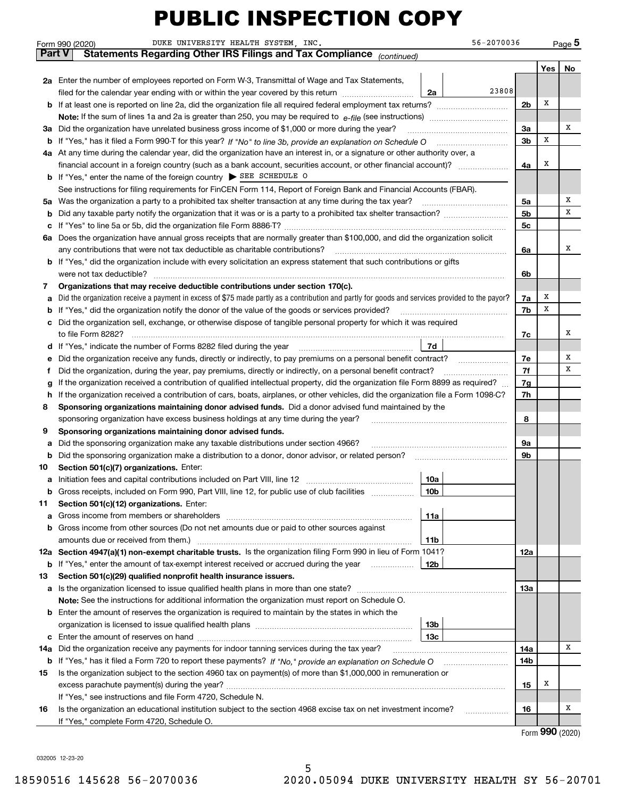|        | DUKE UNIVERSITY HEALTH SYSTEM, INC.<br>Form 990 (2020)                                                                                                                                                                    |                 | 56-2070036 |     |     | Page 5 |  |  |  |  |
|--------|---------------------------------------------------------------------------------------------------------------------------------------------------------------------------------------------------------------------------|-----------------|------------|-----|-----|--------|--|--|--|--|
| Part V | Statements Regarding Other IRS Filings and Tax Compliance (continued)                                                                                                                                                     |                 |            |     |     |        |  |  |  |  |
|        |                                                                                                                                                                                                                           |                 |            |     | Yes | No     |  |  |  |  |
|        | 2a Enter the number of employees reported on Form W-3, Transmittal of Wage and Tax Statements,                                                                                                                            |                 |            |     |     |        |  |  |  |  |
|        | filed for the calendar year ending with or within the year covered by this return                                                                                                                                         | 2a              | 23808      |     |     |        |  |  |  |  |
| b      |                                                                                                                                                                                                                           |                 |            | 2b  | х   |        |  |  |  |  |
|        |                                                                                                                                                                                                                           |                 |            |     |     |        |  |  |  |  |
| За     | Did the organization have unrelated business gross income of \$1,000 or more during the year?                                                                                                                             |                 |            | За  |     | х      |  |  |  |  |
| b      |                                                                                                                                                                                                                           |                 |            | 3b  | х   |        |  |  |  |  |
|        | 4a At any time during the calendar year, did the organization have an interest in, or a signature or other authority over, a                                                                                              |                 |            |     |     |        |  |  |  |  |
|        |                                                                                                                                                                                                                           |                 |            | 4a  | х   |        |  |  |  |  |
| b      | If "Yes," enter the name of the foreign country $\triangleright$ SEE SCHEDULE O                                                                                                                                           |                 |            |     |     |        |  |  |  |  |
|        | See instructions for filing requirements for FinCEN Form 114, Report of Foreign Bank and Financial Accounts (FBAR).                                                                                                       |                 |            |     |     |        |  |  |  |  |
| 5a     | Was the organization a party to a prohibited tax shelter transaction at any time during the tax year?                                                                                                                     |                 |            | 5а  |     | х      |  |  |  |  |
| b      |                                                                                                                                                                                                                           |                 |            | 5b  |     | х      |  |  |  |  |
| c      |                                                                                                                                                                                                                           |                 |            | 5c  |     |        |  |  |  |  |
| 6а     | Does the organization have annual gross receipts that are normally greater than \$100,000, and did the organization solicit                                                                                               |                 |            |     |     |        |  |  |  |  |
|        | any contributions that were not tax deductible as charitable contributions?                                                                                                                                               |                 |            |     |     |        |  |  |  |  |
| b      | If "Yes," did the organization include with every solicitation an express statement that such contributions or gifts                                                                                                      |                 |            |     |     |        |  |  |  |  |
|        | were not tax deductible?                                                                                                                                                                                                  |                 |            | 6b  |     |        |  |  |  |  |
| 7      | Organizations that may receive deductible contributions under section 170(c).                                                                                                                                             |                 |            | 7a  | х   |        |  |  |  |  |
| а      | Did the organization receive a payment in excess of \$75 made partly as a contribution and partly for goods and services provided to the payor?                                                                           |                 |            | 7b  | х   |        |  |  |  |  |
| c      | If "Yes," did the organization notify the donor of the value of the goods or services provided?<br>b<br>Did the organization sell, exchange, or otherwise dispose of tangible personal property for which it was required |                 |            |     |     |        |  |  |  |  |
|        | to file Form 8282?                                                                                                                                                                                                        |                 |            | 7c  |     | х      |  |  |  |  |
| d      | If "Yes," indicate the number of Forms 8282 filed during the year                                                                                                                                                         | 7d              |            |     |     |        |  |  |  |  |
| е      | Did the organization receive any funds, directly or indirectly, to pay premiums on a personal benefit contract?                                                                                                           |                 |            | 7e  |     | х      |  |  |  |  |
| f      | Did the organization, during the year, pay premiums, directly or indirectly, on a personal benefit contract?                                                                                                              |                 |            | 7f  |     | х      |  |  |  |  |
| g      | If the organization received a contribution of qualified intellectual property, did the organization file Form 8899 as required?                                                                                          |                 |            | 7g  |     |        |  |  |  |  |
| h      | If the organization received a contribution of cars, boats, airplanes, or other vehicles, did the organization file a Form 1098-C?                                                                                        |                 |            |     |     |        |  |  |  |  |
| 8      | Sponsoring organizations maintaining donor advised funds. Did a donor advised fund maintained by the                                                                                                                      |                 |            |     |     |        |  |  |  |  |
|        | sponsoring organization have excess business holdings at any time during the year?                                                                                                                                        |                 |            | 8   |     |        |  |  |  |  |
| 9      | Sponsoring organizations maintaining donor advised funds.                                                                                                                                                                 |                 |            |     |     |        |  |  |  |  |
| а      | Did the sponsoring organization make any taxable distributions under section 4966?                                                                                                                                        |                 |            | 9а  |     |        |  |  |  |  |
| b      | Did the sponsoring organization make a distribution to a donor, donor advisor, or related person?                                                                                                                         |                 |            | 9b  |     |        |  |  |  |  |
| 10     | Section 501(c)(7) organizations. Enter:                                                                                                                                                                                   |                 |            |     |     |        |  |  |  |  |
|        | Initiation fees and capital contributions included on Part VIII, line 12 [100] [100] [100] [100] [100] [100] [                                                                                                            | 10a             |            |     |     |        |  |  |  |  |
| b      | Gross receipts, included on Form 990, Part VIII, line 12, for public use of club facilities                                                                                                                               | 10b             |            |     |     |        |  |  |  |  |
| 11     | Section 501(c)(12) organizations. Enter:                                                                                                                                                                                  |                 |            |     |     |        |  |  |  |  |
| a      | Gross income from members or shareholders                                                                                                                                                                                 | 11a             |            |     |     |        |  |  |  |  |
| b      | Gross income from other sources (Do not net amounts due or paid to other sources against                                                                                                                                  |                 |            |     |     |        |  |  |  |  |
|        | 12a Section 4947(a)(1) non-exempt charitable trusts. Is the organization filing Form 990 in lieu of Form 1041?                                                                                                            | 11 <sub>b</sub> |            | 12a |     |        |  |  |  |  |
| b      | If "Yes," enter the amount of tax-exempt interest received or accrued during the year                                                                                                                                     | 12b             |            |     |     |        |  |  |  |  |
| 13     | Section 501(c)(29) qualified nonprofit health insurance issuers.                                                                                                                                                          |                 |            |     |     |        |  |  |  |  |
| а      | Is the organization licensed to issue qualified health plans in more than one state?                                                                                                                                      |                 |            | 13a |     |        |  |  |  |  |
|        | Note: See the instructions for additional information the organization must report on Schedule O.                                                                                                                         |                 |            |     |     |        |  |  |  |  |
| b      | Enter the amount of reserves the organization is required to maintain by the states in which the                                                                                                                          |                 |            |     |     |        |  |  |  |  |
|        |                                                                                                                                                                                                                           | 13 <sub>b</sub> |            |     |     |        |  |  |  |  |
| с      |                                                                                                                                                                                                                           | 13с             |            |     |     |        |  |  |  |  |
| 14a    | Did the organization receive any payments for indoor tanning services during the tax year?                                                                                                                                |                 |            |     |     |        |  |  |  |  |
| b      | If "Yes," has it filed a Form 720 to report these payments? If "No," provide an explanation on Schedule O                                                                                                                 |                 |            | 14b |     |        |  |  |  |  |
| 15     | Is the organization subject to the section 4960 tax on payment(s) of more than \$1,000,000 in remuneration or                                                                                                             |                 |            |     |     |        |  |  |  |  |
|        |                                                                                                                                                                                                                           |                 |            | 15  | x   |        |  |  |  |  |
|        | If "Yes," see instructions and file Form 4720, Schedule N.                                                                                                                                                                |                 |            |     |     |        |  |  |  |  |
| 16     | Is the organization an educational institution subject to the section 4968 excise tax on net investment income?                                                                                                           |                 |            | 16  |     | х      |  |  |  |  |
|        | If "Yes," complete Form 4720, Schedule O.                                                                                                                                                                                 |                 |            |     |     |        |  |  |  |  |

Form (2020) **990**

032005 12-23-20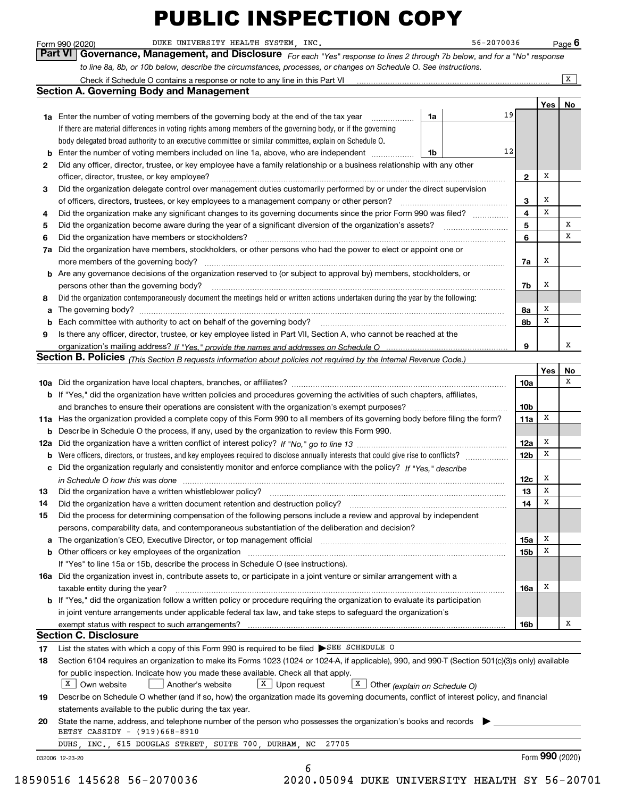*For each "Yes" response to lines 2 through 7b below, and for a "No" response to line 8a, 8b, or 10b below, describe the circumstances, processes, or changes on Schedule O. See instructions.* Form 990 (2020) DUKE UNIVERSITY HEALTH SYSTEM, INC. 56-2070036 Page 6<br>**Part VI** Governance, Management, and Disclosure *For each "Yes" response to lines 2 through 7b below, and for a "No" response* 

|                                                                                                                                        | Check if Schedule O contains a response or note to any line in this Part VI                                                                                           |    |    |                         |     | x               |  |  |  |  |
|----------------------------------------------------------------------------------------------------------------------------------------|-----------------------------------------------------------------------------------------------------------------------------------------------------------------------|----|----|-------------------------|-----|-----------------|--|--|--|--|
|                                                                                                                                        | <b>Section A. Governing Body and Management</b>                                                                                                                       |    |    |                         |     |                 |  |  |  |  |
|                                                                                                                                        |                                                                                                                                                                       |    |    |                         | Yes | No              |  |  |  |  |
|                                                                                                                                        | 1a Enter the number of voting members of the governing body at the end of the tax year                                                                                | 1a | 19 |                         |     |                 |  |  |  |  |
|                                                                                                                                        | If there are material differences in voting rights among members of the governing body, or if the governing                                                           |    |    |                         |     |                 |  |  |  |  |
|                                                                                                                                        | body delegated broad authority to an executive committee or similar committee, explain on Schedule O.                                                                 |    |    |                         |     |                 |  |  |  |  |
| b                                                                                                                                      | Enter the number of voting members included on line 1a, above, who are independent                                                                                    | 1b | 12 |                         |     |                 |  |  |  |  |
| 2                                                                                                                                      | Did any officer, director, trustee, or key employee have a family relationship or a business relationship with any other                                              |    |    |                         |     |                 |  |  |  |  |
|                                                                                                                                        | officer, director, trustee, or key employee?                                                                                                                          |    |    | $\mathbf{2}$            | х   |                 |  |  |  |  |
| 3                                                                                                                                      | Did the organization delegate control over management duties customarily performed by or under the direct supervision                                                 |    |    |                         |     |                 |  |  |  |  |
|                                                                                                                                        | of officers, directors, trustees, or key employees to a management company or other person?                                                                           |    |    | 3                       | х   |                 |  |  |  |  |
| 4                                                                                                                                      | Did the organization make any significant changes to its governing documents since the prior Form 990 was filed?                                                      |    |    | $\overline{\mathbf{4}}$ | x   |                 |  |  |  |  |
| 5                                                                                                                                      |                                                                                                                                                                       |    |    | 5                       |     | х               |  |  |  |  |
| 6                                                                                                                                      | Did the organization have members or stockholders?                                                                                                                    |    |    | 6                       |     | x               |  |  |  |  |
| 7a                                                                                                                                     | Did the organization have members, stockholders, or other persons who had the power to elect or appoint one or                                                        |    |    |                         |     |                 |  |  |  |  |
|                                                                                                                                        | more members of the governing body?                                                                                                                                   |    |    | 7a                      | х   |                 |  |  |  |  |
|                                                                                                                                        |                                                                                                                                                                       |    |    |                         |     |                 |  |  |  |  |
|                                                                                                                                        | <b>b</b> Are any governance decisions of the organization reserved to (or subject to approval by) members, stockholders, or                                           |    |    |                         |     |                 |  |  |  |  |
|                                                                                                                                        | persons other than the governing body?                                                                                                                                |    |    |                         |     |                 |  |  |  |  |
| Did the organization contemporaneously document the meetings held or written actions undertaken during the year by the following:<br>8 |                                                                                                                                                                       |    |    |                         |     |                 |  |  |  |  |
|                                                                                                                                        | a                                                                                                                                                                     |    |    |                         |     |                 |  |  |  |  |
|                                                                                                                                        | Each committee with authority to act on behalf of the governing body?<br>b                                                                                            |    |    |                         |     |                 |  |  |  |  |
|                                                                                                                                        | Is there any officer, director, trustee, or key employee listed in Part VII, Section A, who cannot be reached at the<br>9                                             |    |    |                         |     |                 |  |  |  |  |
|                                                                                                                                        |                                                                                                                                                                       |    |    | 9                       |     | x               |  |  |  |  |
|                                                                                                                                        | Section B. Policies <sub>(This Section B requests information about policies not required by the Internal Revenue Code.)</sub>                                        |    |    |                         |     |                 |  |  |  |  |
|                                                                                                                                        |                                                                                                                                                                       |    |    |                         | Yes | No              |  |  |  |  |
|                                                                                                                                        |                                                                                                                                                                       |    |    | 10a                     |     | x               |  |  |  |  |
|                                                                                                                                        | <b>b</b> If "Yes," did the organization have written policies and procedures governing the activities of such chapters, affiliates,                                   |    |    |                         |     |                 |  |  |  |  |
|                                                                                                                                        | and branches to ensure their operations are consistent with the organization's exempt purposes?                                                                       |    |    | 10 <sub>b</sub>         |     |                 |  |  |  |  |
|                                                                                                                                        | 11a Has the organization provided a complete copy of this Form 990 to all members of its governing body before filing the form?                                       |    |    | 11a                     | X   |                 |  |  |  |  |
|                                                                                                                                        | <b>b</b> Describe in Schedule O the process, if any, used by the organization to review this Form 990.                                                                |    |    |                         |     |                 |  |  |  |  |
| 12a                                                                                                                                    |                                                                                                                                                                       |    |    |                         |     |                 |  |  |  |  |
| b                                                                                                                                      | Were officers, directors, or trustees, and key employees required to disclose annually interests that could give rise to conflicts?                                   |    |    |                         |     |                 |  |  |  |  |
| c                                                                                                                                      | Did the organization regularly and consistently monitor and enforce compliance with the policy? If "Yes." describe                                                    |    |    |                         |     |                 |  |  |  |  |
|                                                                                                                                        | in Schedule O how this was done measured and continuum control to the distribution of the state of the state o                                                        |    |    | 12c                     | х   |                 |  |  |  |  |
| 13                                                                                                                                     | Did the organization have a written whistleblower policy?                                                                                                             |    |    | 13                      | х   |                 |  |  |  |  |
| 14                                                                                                                                     | Did the organization have a written document retention and destruction policy?                                                                                        |    |    | 14                      | x   |                 |  |  |  |  |
| 15                                                                                                                                     | Did the process for determining compensation of the following persons include a review and approval by independent                                                    |    |    |                         |     |                 |  |  |  |  |
|                                                                                                                                        | persons, comparability data, and contemporaneous substantiation of the deliberation and decision?                                                                     |    |    |                         |     |                 |  |  |  |  |
| a                                                                                                                                      | The organization's CEO, Executive Director, or top management official manufactured content of the organization's CEO, Executive Director, or top management official |    |    | 15a                     | х   |                 |  |  |  |  |
|                                                                                                                                        | <b>b</b> Other officers or key employees of the organization                                                                                                          |    |    | 15b                     | х   |                 |  |  |  |  |
|                                                                                                                                        | If "Yes" to line 15a or 15b, describe the process in Schedule O (see instructions).                                                                                   |    |    |                         |     |                 |  |  |  |  |
|                                                                                                                                        | 16a Did the organization invest in, contribute assets to, or participate in a joint venture or similar arrangement with a                                             |    |    |                         |     |                 |  |  |  |  |
|                                                                                                                                        | taxable entity during the year?                                                                                                                                       |    |    | 16a                     | X   |                 |  |  |  |  |
|                                                                                                                                        | b If "Yes," did the organization follow a written policy or procedure requiring the organization to evaluate its participation                                        |    |    |                         |     |                 |  |  |  |  |
|                                                                                                                                        | in joint venture arrangements under applicable federal tax law, and take steps to safeguard the organization's                                                        |    |    |                         |     |                 |  |  |  |  |
|                                                                                                                                        | exempt status with respect to such arrangements?                                                                                                                      |    |    | 16b                     |     | х               |  |  |  |  |
|                                                                                                                                        | <b>Section C. Disclosure</b>                                                                                                                                          |    |    |                         |     |                 |  |  |  |  |
| 17                                                                                                                                     | List the states with which a copy of this Form 990 is required to be filed SEE SCHEDULE O                                                                             |    |    |                         |     |                 |  |  |  |  |
| 18                                                                                                                                     | Section 6104 requires an organization to make its Forms 1023 (1024 or 1024-A, if applicable), 990, and 990-T (Section 501(c)(3)s only) available                      |    |    |                         |     |                 |  |  |  |  |
|                                                                                                                                        | for public inspection. Indicate how you made these available. Check all that apply.                                                                                   |    |    |                         |     |                 |  |  |  |  |
|                                                                                                                                        | $X$ Upon request<br>$X \mid$ Own website<br>Another's website                                                                                                         |    |    |                         |     |                 |  |  |  |  |
|                                                                                                                                        | $X$ Other (explain on Schedule O)                                                                                                                                     |    |    |                         |     |                 |  |  |  |  |
| 19                                                                                                                                     | Describe on Schedule O whether (and if so, how) the organization made its governing documents, conflict of interest policy, and financial                             |    |    |                         |     |                 |  |  |  |  |
| statements available to the public during the tax year.                                                                                |                                                                                                                                                                       |    |    |                         |     |                 |  |  |  |  |
| 20                                                                                                                                     | State the name, address, and telephone number of the person who possesses the organization's books and records                                                        |    |    |                         |     |                 |  |  |  |  |
|                                                                                                                                        | BETSY CASSIDY - (919)668-8910                                                                                                                                         |    |    |                         |     |                 |  |  |  |  |
|                                                                                                                                        | DUHS, INC., 615 DOUGLAS STREET, SUITE 700, DURHAM, NC<br>27705                                                                                                        |    |    |                         |     |                 |  |  |  |  |
|                                                                                                                                        | 032006 12-23-20                                                                                                                                                       |    |    |                         |     | Form 990 (2020) |  |  |  |  |
|                                                                                                                                        | 6                                                                                                                                                                     |    |    |                         |     |                 |  |  |  |  |

18590516 145628 56-2070036 2020.05094 DUKE UNIVERSITY HEALTH SY 56-20701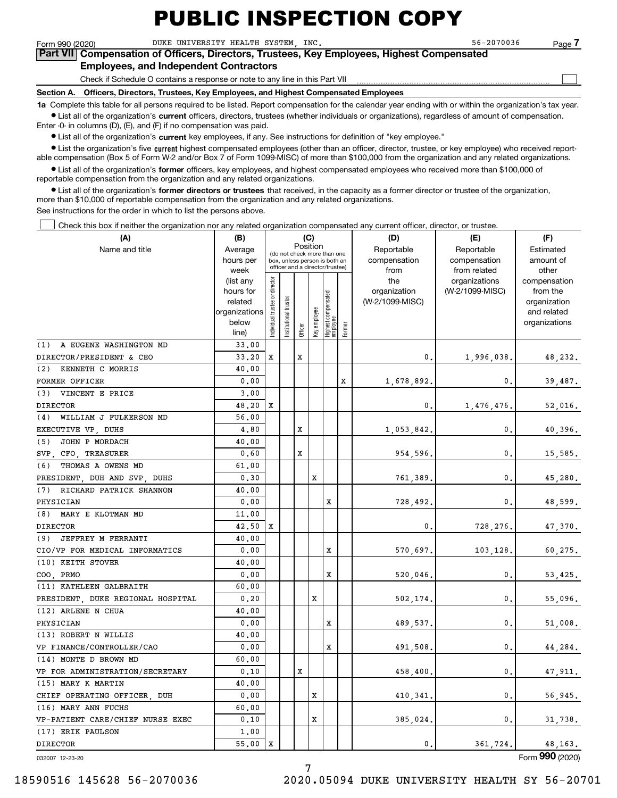$\mathcal{L}^{\text{max}}$ 

Form 990 (2020) Page DUKE UNIVERSITY HEALTH SYSTEM, INC. 56-2070036 **7Part VII Compensation of Officers, Directors, Trustees, Key Employees, Highest Compensated**

#### **Employees, and Independent Contractors**

Check if Schedule O contains a response or note to any line in this Part VII

**Section A. Officers, Directors, Trustees, Key Employees, and Highest Compensated Employees**

**1a**  Complete this table for all persons required to be listed. Report compensation for the calendar year ending with or within the organization's tax year. **•** List all of the organization's current officers, directors, trustees (whether individuals or organizations), regardless of amount of compensation.

Enter -0- in columns (D), (E), and (F) if no compensation was paid.

 $\bullet$  List all of the organization's  $\,$ current key employees, if any. See instructions for definition of "key employee."

• List the organization's five current highest compensated employees (other than an officer, director, trustee, or key employee) who received report-■ List the organization's five current highest compensated employees (other than an officer, director, trustee, or key employee) who received report-<br>able compensation (Box 5 of Form W-2 and/or Box 7 of Form 1099-MISC) of

**•** List all of the organization's former officers, key employees, and highest compensated employees who received more than \$100,000 of reportable compensation from the organization and any related organizations.

**former directors or trustees**  ¥ List all of the organization's that received, in the capacity as a former director or trustee of the organization, more than \$10,000 of reportable compensation from the organization and any related organizations.

See instructions for the order in which to list the persons above.

Check this box if neither the organization nor any related organization compensated any current officer, director, or trustee.  $\mathcal{L}^{\text{max}}$ 

| (A)                               | (C)<br>(B)<br>Position |                               |                 |         |              |                                                                  |        | (D)             | (E)                           | (F)                   |  |  |  |
|-----------------------------------|------------------------|-------------------------------|-----------------|---------|--------------|------------------------------------------------------------------|--------|-----------------|-------------------------------|-----------------------|--|--|--|
| Name and title                    | Average                |                               |                 |         |              | (do not check more than one                                      |        | Reportable      | Reportable                    | Estimated             |  |  |  |
|                                   | hours per              |                               |                 |         |              | box, unless person is both an<br>officer and a director/trustee) |        | compensation    | compensation                  | amount of             |  |  |  |
|                                   | week                   |                               |                 |         |              |                                                                  |        | from<br>the     | from related<br>organizations | other<br>compensation |  |  |  |
|                                   | (list any<br>hours for |                               |                 |         |              |                                                                  |        | organization    | (W-2/1099-MISC)               | from the              |  |  |  |
|                                   | related                |                               | trustee         |         |              |                                                                  |        | (W-2/1099-MISC) |                               | organization          |  |  |  |
|                                   | organizations          |                               |                 |         |              |                                                                  |        |                 |                               | and related           |  |  |  |
|                                   | below                  | ndividual trustee or director | Institutional t |         | key employee | Highest compensated<br>employee                                  |        |                 |                               | organizations         |  |  |  |
|                                   | line)                  |                               |                 | Officer |              |                                                                  | Former |                 |                               |                       |  |  |  |
| (1)<br>A EUGENE WASHINGTON MD     | 33,00                  |                               |                 |         |              |                                                                  |        |                 |                               |                       |  |  |  |
| DIRECTOR/PRESIDENT & CEO          | 33.20                  | X                             |                 | x       |              |                                                                  |        | 0.              | 1,996,038.                    | 48,232.               |  |  |  |
| KENNETH C MORRIS<br>(2)           | 40.00                  |                               |                 |         |              |                                                                  |        |                 |                               |                       |  |  |  |
| FORMER OFFICER                    | 0.00                   |                               |                 |         |              |                                                                  | X      | 1,678,892.      | 0.                            | 39,487.               |  |  |  |
| (3) VINCENT E PRICE               | 3,00                   |                               |                 |         |              |                                                                  |        |                 |                               |                       |  |  |  |
| <b>DIRECTOR</b>                   | 48,20                  | X                             |                 |         |              |                                                                  |        | 0.              | 1,476,476.                    | 52,016.               |  |  |  |
| (4)<br>WILLIAM J FULKERSON MD     | 56.00                  |                               |                 |         |              |                                                                  |        |                 |                               |                       |  |  |  |
| EXECUTIVE VP, DUHS                | 4,80                   |                               |                 | x       |              |                                                                  |        | 1,053,842.      | 0.                            | 40,396.               |  |  |  |
| JOHN P MORDACH<br>(5)             | 40.00                  |                               |                 |         |              |                                                                  |        |                 |                               |                       |  |  |  |
| SVP.<br>CFO, TREASURER            | 0.60                   |                               |                 | x       |              |                                                                  |        | 954,596.        | 0.                            | 15,585.               |  |  |  |
| THOMAS A OWENS MD<br>(6)          | 61.00                  |                               |                 |         |              |                                                                  |        |                 |                               |                       |  |  |  |
| PRESIDENT, DUH AND SVP, DUHS      | 0.30                   |                               |                 |         | X            |                                                                  |        | 761,389.        | 0.                            | 45,280.               |  |  |  |
| (7) RICHARD PATRICK SHANNON       | 40.00                  |                               |                 |         |              |                                                                  |        |                 |                               |                       |  |  |  |
| PHYSICIAN                         | 0.00                   |                               |                 |         |              | x                                                                |        | 728,492.        | 0.                            | 48,599.               |  |  |  |
| (8)<br>MARY E KLOTMAN MD          | 11,00                  |                               |                 |         |              |                                                                  |        |                 |                               |                       |  |  |  |
| <b>DIRECTOR</b>                   | 42.50                  | х                             |                 |         |              |                                                                  |        | 0.              | 728,276.                      | 47,370.               |  |  |  |
| (9) JEFFREY M FERRANTI            | 40.00                  |                               |                 |         |              |                                                                  |        |                 |                               |                       |  |  |  |
| CIO/VP FOR MEDICAL INFORMATICS    | 0.00                   |                               |                 |         |              | x                                                                |        | 570,697.        | 103,128.                      | 60,275.               |  |  |  |
| (10) KEITH STOVER                 | 40.00                  |                               |                 |         |              |                                                                  |        |                 |                               |                       |  |  |  |
| COO PRMO                          | 0.00                   |                               |                 |         |              | X                                                                |        | 520,046.        | 0.                            | 53,425.               |  |  |  |
| (11) KATHLEEN GALBRAITH           | 60.00                  |                               |                 |         |              |                                                                  |        |                 |                               |                       |  |  |  |
| PRESIDENT, DUKE REGIONAL HOSPITAL | 0.20                   |                               |                 |         | x            |                                                                  |        | 502,174.        | 0.                            | 55,096.               |  |  |  |
| (12) ARLENE N CHUA                | 40.00                  |                               |                 |         |              |                                                                  |        |                 |                               |                       |  |  |  |
| PHYSICIAN                         | 0.00                   |                               |                 |         |              | X                                                                |        | 489,537.        | 0.                            | 51,008.               |  |  |  |
| (13) ROBERT N WILLIS              | 40.00                  |                               |                 |         |              |                                                                  |        |                 |                               |                       |  |  |  |
| VP FINANCE/CONTROLLER/CAO         | 0.00                   |                               |                 |         |              | X                                                                |        | 491,508.        | 0.                            | 44,284.               |  |  |  |
| (14) MONTE D BROWN MD             | 60.00                  |                               |                 |         |              |                                                                  |        |                 |                               |                       |  |  |  |
| VP FOR ADMINISTRATION/SECRETARY   | 0.10                   |                               |                 | X       |              |                                                                  |        | 458,400.        | 0.                            | 47,911.               |  |  |  |
| (15) MARY K MARTIN                | 40.00                  |                               |                 |         |              |                                                                  |        |                 |                               |                       |  |  |  |
| CHIEF OPERATING OFFICER, DUH      | 0.00                   |                               |                 |         | x            |                                                                  |        | 410,341.        | 0.                            | 56,945.               |  |  |  |
| (16) MARY ANN FUCHS               | 60.00                  |                               |                 |         |              |                                                                  |        |                 |                               |                       |  |  |  |
| VP-PATIENT CARE/CHIEF NURSE EXEC  | 0.10                   |                               |                 |         | x            |                                                                  |        | 385,024.        | 0.                            | 31,738.               |  |  |  |
| (17) ERIK PAULSON                 | 1,00                   |                               |                 |         |              |                                                                  |        |                 |                               |                       |  |  |  |
| <b>DIRECTOR</b>                   | 55.00                  | X                             |                 |         |              |                                                                  |        | 0.              | 361.724.                      | 48,163.               |  |  |  |

032007 12-23-20

Form (2020) **990**

7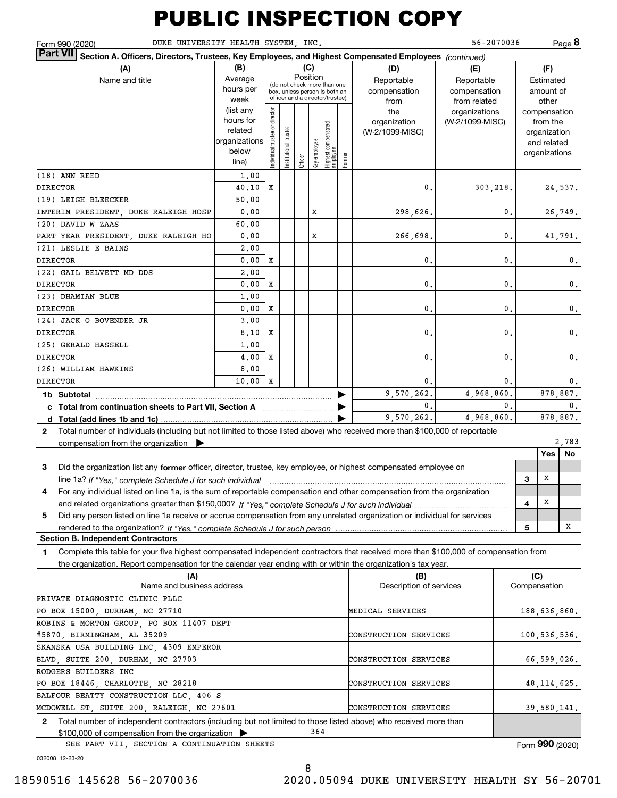| DUKE UNIVERSITY HEALTH SYSTEM, INC.<br>Form 990 (2020)                                                                                                                                                                                                      |                                                                      |                                |                       |          |              |                                                                                                 |        |                                           | 56-2070036                                        |    |                |                                                                          | Page 8        |
|-------------------------------------------------------------------------------------------------------------------------------------------------------------------------------------------------------------------------------------------------------------|----------------------------------------------------------------------|--------------------------------|-----------------------|----------|--------------|-------------------------------------------------------------------------------------------------|--------|-------------------------------------------|---------------------------------------------------|----|----------------|--------------------------------------------------------------------------|---------------|
| <b>Part VII</b><br>Section A. Officers, Directors, Trustees, Key Employees, and Highest Compensated Employees (continued)<br>(A)<br>Name and title                                                                                                          | (B)<br>Average<br>hours per<br>week                                  |                                |                       | Position | (C)          | (do not check more than one<br>box, unless person is both an<br>officer and a director/trustee) |        | (D)<br>Reportable<br>compensation<br>from | (E)<br>Reportable<br>compensation<br>from related |    |                | (F)<br>Estimated<br>amount of<br>other                                   |               |
|                                                                                                                                                                                                                                                             | list any)<br>hours for<br>related<br>organizations<br>below<br>line) | Individual trustee or director | Institutional trustee | Officer  | Key employee | Highest compensated<br>employee                                                                 | Former | the<br>organization<br>(W-2/1099-MISC)    | organizations<br>(W-2/1099-MISC)                  |    |                | compensation<br>from the<br>organization<br>and related<br>organizations |               |
| (18) ANN REED                                                                                                                                                                                                                                               | 1,00                                                                 |                                |                       |          |              |                                                                                                 |        |                                           |                                                   |    |                |                                                                          |               |
| <b>DIRECTOR</b>                                                                                                                                                                                                                                             | 40.10                                                                | X                              |                       |          |              |                                                                                                 |        | 0.                                        | 303,218.                                          |    |                |                                                                          | 24,537.       |
| (19) LEIGH BLEECKER                                                                                                                                                                                                                                         | 50.00                                                                |                                |                       |          |              |                                                                                                 |        |                                           |                                                   |    |                |                                                                          |               |
| INTERIM PRESIDENT, DUKE RALEIGH HOSP<br>(20) DAVID W ZAAS                                                                                                                                                                                                   | 0.00<br>60.00                                                        |                                |                       |          | Х            |                                                                                                 |        | 298,626.                                  |                                                   | 0. |                |                                                                          | 26,749.       |
| PART YEAR PRESIDENT, DUKE RALEIGH HO                                                                                                                                                                                                                        | 0.00                                                                 |                                |                       |          | х            |                                                                                                 |        | 266,698.                                  |                                                   | 0. |                |                                                                          | 41,791.       |
| (21) LESLIE E BAINS                                                                                                                                                                                                                                         | 2,00                                                                 |                                |                       |          |              |                                                                                                 |        |                                           |                                                   |    |                |                                                                          |               |
| <b>DIRECTOR</b>                                                                                                                                                                                                                                             | 0.00                                                                 | х                              |                       |          |              |                                                                                                 |        | 0.                                        |                                                   | 0. |                |                                                                          | 0.            |
| (22) GAIL BELVETT MD DDS                                                                                                                                                                                                                                    | 2,00                                                                 |                                |                       |          |              |                                                                                                 |        |                                           |                                                   |    |                |                                                                          |               |
| <b>DIRECTOR</b>                                                                                                                                                                                                                                             | 0.00                                                                 | х                              |                       |          |              |                                                                                                 |        | 0.                                        |                                                   | 0. |                |                                                                          | 0.            |
| (23) DHAMIAN BLUE                                                                                                                                                                                                                                           | 1,00                                                                 |                                |                       |          |              |                                                                                                 |        |                                           |                                                   |    |                |                                                                          |               |
| <b>DIRECTOR</b>                                                                                                                                                                                                                                             | 0.00                                                                 | х                              |                       |          |              |                                                                                                 |        | 0.                                        |                                                   | 0. |                |                                                                          | 0.            |
| (24) JACK O BOVENDER JR                                                                                                                                                                                                                                     | 3.00                                                                 |                                |                       |          |              |                                                                                                 |        |                                           |                                                   |    |                |                                                                          |               |
| <b>DIRECTOR</b>                                                                                                                                                                                                                                             | 8,10                                                                 | х                              |                       |          |              |                                                                                                 |        | 0.                                        |                                                   | 0. |                |                                                                          | 0.            |
| (25) GERALD HASSELL                                                                                                                                                                                                                                         | 1,00                                                                 |                                |                       |          |              |                                                                                                 |        |                                           |                                                   |    |                |                                                                          |               |
| <b>DIRECTOR</b>                                                                                                                                                                                                                                             | 4,00                                                                 | х                              |                       |          |              |                                                                                                 |        | 0.                                        |                                                   | 0. |                |                                                                          | 0.            |
| (26) WILLIAM HAWKINS                                                                                                                                                                                                                                        | 8,00                                                                 |                                |                       |          |              |                                                                                                 |        |                                           |                                                   |    |                |                                                                          |               |
| <b>DIRECTOR</b>                                                                                                                                                                                                                                             | 10.00                                                                | X                              |                       |          |              |                                                                                                 |        | 0.                                        |                                                   | 0. |                |                                                                          | 0.            |
| 1b Subtotal                                                                                                                                                                                                                                                 |                                                                      |                                |                       |          |              |                                                                                                 |        | 9,570,262.                                | 4,968,860.                                        |    |                |                                                                          | 878,887.      |
| c Total from continuation sheets to Part VII, Section A [11] [12] Total from continuation sheets to Part VII, Section A                                                                                                                                     |                                                                      |                                |                       |          |              |                                                                                                 |        | 0.                                        |                                                   | 0. | $\mathbf{0}$ . |                                                                          |               |
|                                                                                                                                                                                                                                                             |                                                                      |                                |                       |          |              |                                                                                                 |        | 9,570,262.                                | 4,968,860.                                        |    |                |                                                                          | 878,887.      |
| Total number of individuals (including but not limited to those listed above) who received more than \$100,000 of reportable<br>$\mathbf{2}$                                                                                                                |                                                                      |                                |                       |          |              |                                                                                                 |        |                                           |                                                   |    |                |                                                                          |               |
| compensation from the organization                                                                                                                                                                                                                          |                                                                      |                                |                       |          |              |                                                                                                 |        |                                           |                                                   |    |                |                                                                          | 2,783         |
| Did the organization list any former officer, director, trustee, key employee, or highest compensated employee on<br>3                                                                                                                                      |                                                                      |                                |                       |          |              |                                                                                                 |        |                                           |                                                   |    |                | Yes                                                                      | No            |
| line 1a? If "Yes," complete Schedule J for such individual material content to the content of the set of the c                                                                                                                                              |                                                                      |                                |                       |          |              |                                                                                                 |        |                                           |                                                   |    | 3              | Х                                                                        |               |
| For any individual listed on line 1a, is the sum of reportable compensation and other compensation from the organization<br>4                                                                                                                               |                                                                      |                                |                       |          |              |                                                                                                 |        |                                           |                                                   |    |                |                                                                          |               |
|                                                                                                                                                                                                                                                             |                                                                      |                                |                       |          |              |                                                                                                 |        |                                           |                                                   |    | 4              | x                                                                        |               |
| Did any person listed on line 1a receive or accrue compensation from any unrelated organization or individual for services<br>5                                                                                                                             |                                                                      |                                |                       |          |              |                                                                                                 |        |                                           |                                                   |    |                |                                                                          |               |
| rendered to the organization? If "Yes." complete Schedule J for such person<br><b>Section B. Independent Contractors</b>                                                                                                                                    |                                                                      |                                |                       |          |              |                                                                                                 |        |                                           |                                                   |    | 5              |                                                                          | Χ             |
|                                                                                                                                                                                                                                                             |                                                                      |                                |                       |          |              |                                                                                                 |        |                                           |                                                   |    |                |                                                                          |               |
| Complete this table for your five highest compensated independent contractors that received more than \$100,000 of compensation from<br>1<br>the organization. Report compensation for the calendar year ending with or within the organization's tax year. |                                                                      |                                |                       |          |              |                                                                                                 |        |                                           |                                                   |    |                |                                                                          |               |
| (A)                                                                                                                                                                                                                                                         |                                                                      |                                |                       |          |              |                                                                                                 |        | (B)                                       |                                                   |    | (C)            |                                                                          |               |
| Name and business address                                                                                                                                                                                                                                   |                                                                      |                                |                       |          |              |                                                                                                 |        | Description of services                   |                                                   |    | Compensation   |                                                                          |               |
| PRIVATE DIAGNOSTIC CLINIC PLLC                                                                                                                                                                                                                              |                                                                      |                                |                       |          |              |                                                                                                 |        |                                           |                                                   |    |                |                                                                          |               |
| PO BOX 15000, DURHAM, NC 27710                                                                                                                                                                                                                              |                                                                      |                                |                       |          |              |                                                                                                 |        | MEDICAL SERVICES                          |                                                   |    |                |                                                                          | 188,636,860.  |
| ROBINS & MORTON GROUP, PO BOX 11407 DEPT                                                                                                                                                                                                                    |                                                                      |                                |                       |          |              |                                                                                                 |        |                                           |                                                   |    |                |                                                                          |               |
| #5870, BIRMINGHAM, AL 35209                                                                                                                                                                                                                                 |                                                                      |                                |                       |          |              |                                                                                                 |        | CONSTRUCTION SERVICES                     |                                                   |    |                |                                                                          | 100,536,536.  |
| SKANSKA USA BUILDING INC, 4309 EMPEROR                                                                                                                                                                                                                      |                                                                      |                                |                       |          |              |                                                                                                 |        |                                           |                                                   |    |                |                                                                          |               |
| BLVD, SUITE 200, DURHAM, NC 27703                                                                                                                                                                                                                           |                                                                      |                                |                       |          |              |                                                                                                 |        | CONSTRUCTION SERVICES                     |                                                   |    |                |                                                                          | 66,599,026.   |
| RODGERS BUILDERS INC                                                                                                                                                                                                                                        |                                                                      |                                |                       |          |              |                                                                                                 |        |                                           |                                                   |    |                |                                                                          |               |
| PO BOX 18446, CHARLOTTE, NC 28218                                                                                                                                                                                                                           |                                                                      |                                |                       |          |              |                                                                                                 |        | CONSTRUCTION SERVICES                     |                                                   |    |                |                                                                          | 48, 114, 625. |
| BALFOUR BEATTY CONSTRUCTION LLC, 406 S                                                                                                                                                                                                                      |                                                                      |                                |                       |          |              |                                                                                                 |        |                                           |                                                   |    |                |                                                                          |               |
| MCDOWELL ST, SUITE 200, RALEIGH, NC 27601                                                                                                                                                                                                                   |                                                                      |                                |                       |          |              |                                                                                                 |        | CONSTRUCTION SERVICES                     |                                                   |    |                |                                                                          | 39,580,141.   |
| 2 Total number of independent contractors (including but not limited to those listed above) who received more than                                                                                                                                          |                                                                      |                                |                       |          |              |                                                                                                 |        |                                           |                                                   |    |                |                                                                          |               |

\$100,000 of compensation from the organization <sup>|</sup> SEE PART VII, SECTION A CONTINUATION SHEETS

Form (2020) **990**

032008 12-23-20

18590516 145628 56-2070036 2020.05094 DUKE UNIVERSITY HEALTH SY 56-20701

364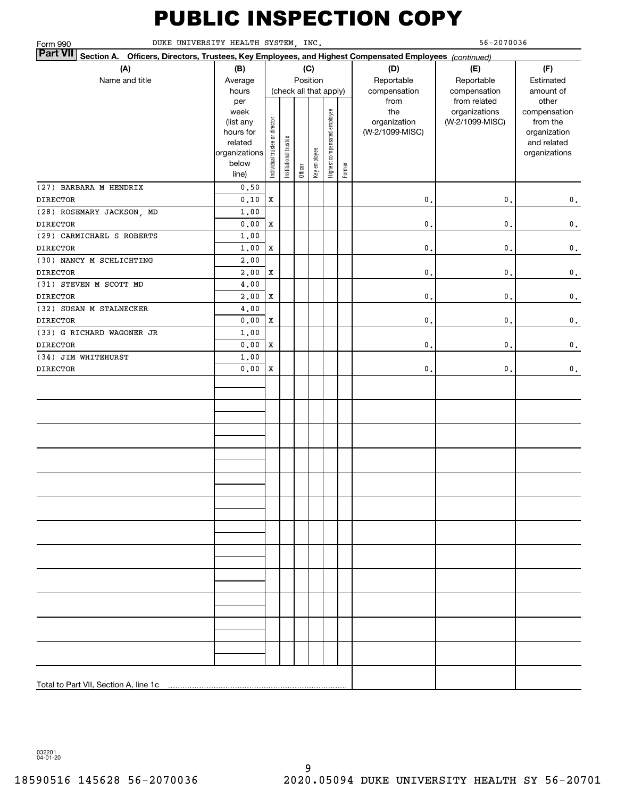| 56-2070036<br>DUKE UNIVERSITY HEALTH SYSTEM, INC.<br>Form 990                                                             |                                 |                                |                        |         |              |                              |        |                                 |                 |                          |  |
|---------------------------------------------------------------------------------------------------------------------------|---------------------------------|--------------------------------|------------------------|---------|--------------|------------------------------|--------|---------------------------------|-----------------|--------------------------|--|
| <b>Part VII</b><br>Section A. Officers, Directors, Trustees, Key Employees, and Highest Compensated Employees (continued) |                                 |                                |                        |         |              |                              |        |                                 |                 |                          |  |
| (A)                                                                                                                       | (B)                             |                                |                        |         | (C)          |                              |        | (D)                             | (E)             | (F)                      |  |
| Name and title                                                                                                            | Average                         |                                |                        |         | Position     |                              |        | Reportable                      | Reportable      | Estimated                |  |
|                                                                                                                           | hours                           |                                | (check all that apply) |         |              |                              |        | compensation                    | compensation    | amount of                |  |
|                                                                                                                           | per                             |                                |                        |         |              |                              |        | from                            | from related    | other                    |  |
|                                                                                                                           | week                            |                                |                        |         |              |                              |        | the                             | organizations   | compensation             |  |
|                                                                                                                           | (list any<br>hours for          |                                |                        |         |              |                              |        | organization<br>(W-2/1099-MISC) | (W-2/1099-MISC) | from the<br>organization |  |
|                                                                                                                           | related                         |                                |                        |         |              |                              |        |                                 |                 | and related              |  |
|                                                                                                                           | organizations                   | Individual trustee or director | Institutional trustee  |         |              | Highest compensated employee |        |                                 |                 | organizations            |  |
|                                                                                                                           | below                           |                                |                        |         | Key employee |                              |        |                                 |                 |                          |  |
|                                                                                                                           | line)                           |                                |                        | Officer |              |                              | Former |                                 |                 |                          |  |
| (27) BARBARA M HENDRIX                                                                                                    | 0.50                            |                                |                        |         |              |                              |        |                                 |                 |                          |  |
| <b>DIRECTOR</b>                                                                                                           | 0.10                            | $\mathbf X$                    |                        |         |              |                              |        | $\mathbf{0}$ .                  | 0.              | $\mathbf 0$ .            |  |
| (28) ROSEMARY JACKSON, MD                                                                                                 | 1.00                            |                                |                        |         |              |                              |        |                                 |                 |                          |  |
| <b>DIRECTOR</b>                                                                                                           | ${\bf 0}$ , ${\bf 0}$ ${\bf 0}$ | $\mathbf X$                    |                        |         |              |                              |        | $\mathsf{o}\,$ .                | $\mathbf{0}$    | $\mathbf 0$ .            |  |
| (29) CARMICHAEL S ROBERTS                                                                                                 | 1.00                            |                                |                        |         |              |                              |        |                                 |                 |                          |  |
| <b>DIRECTOR</b>                                                                                                           | 1,00                            | $\mathbf X$                    |                        |         |              |                              |        | $\mathsf{o}\,$ .                | $\mathbf{0}$ .  | $\mathbf 0$ .            |  |
| (30) NANCY M SCHLICHTING                                                                                                  | 2,00                            |                                |                        |         |              |                              |        |                                 |                 |                          |  |
| <b>DIRECTOR</b>                                                                                                           | 2,00                            | $\mathbf X$                    |                        |         |              |                              |        | $\mathsf{o}\,$ .                | 0.              | $\mathbf 0$ .            |  |
| (31) STEVEN M SCOTT MD                                                                                                    | 4,00                            |                                |                        |         |              |                              |        |                                 |                 |                          |  |
| <b>DIRECTOR</b>                                                                                                           | 2,00                            | $\mathbf X$                    |                        |         |              |                              |        | $\mathsf{o}\,$ .                | 0.              | $\mathbf 0$ .            |  |
| (32) SUSAN M STALNECKER                                                                                                   | 4,00                            |                                |                        |         |              |                              |        |                                 |                 |                          |  |
| <b>DIRECTOR</b>                                                                                                           | ${\bf 0}$ , ${\bf 0}$ ${\bf 0}$ | $\mathbf X$                    |                        |         |              |                              |        | $\mathbf{0}$ .                  | 0.              | $\mathbf 0$ .            |  |
| (33) G RICHARD WAGONER JR                                                                                                 | 1.00                            |                                |                        |         |              |                              |        |                                 |                 |                          |  |
| <b>DIRECTOR</b>                                                                                                           | 0.00                            | $\mathbf X$                    |                        |         |              |                              |        | $\mathbf{0}$ .                  | 0.              | $\mathbf 0$ .            |  |
| (34) JIM WHITEHURST                                                                                                       | 1.00                            |                                |                        |         |              |                              |        |                                 |                 |                          |  |
| <b>DIRECTOR</b>                                                                                                           | 0.00                            | $\mathbf x$                    |                        |         |              |                              |        | $\mathbf{0}$ .                  | $\mathbf{0}$ .  | $\mathbf 0$ .            |  |
|                                                                                                                           |                                 |                                |                        |         |              |                              |        |                                 |                 |                          |  |
|                                                                                                                           |                                 |                                |                        |         |              |                              |        |                                 |                 |                          |  |
|                                                                                                                           |                                 |                                |                        |         |              |                              |        |                                 |                 |                          |  |
|                                                                                                                           |                                 |                                |                        |         |              |                              |        |                                 |                 |                          |  |
|                                                                                                                           |                                 |                                |                        |         |              |                              |        |                                 |                 |                          |  |
|                                                                                                                           |                                 |                                |                        |         |              |                              |        |                                 |                 |                          |  |
|                                                                                                                           |                                 |                                |                        |         |              |                              |        |                                 |                 |                          |  |
|                                                                                                                           |                                 |                                |                        |         |              |                              |        |                                 |                 |                          |  |
|                                                                                                                           |                                 |                                |                        |         |              |                              |        |                                 |                 |                          |  |
|                                                                                                                           |                                 |                                |                        |         |              |                              |        |                                 |                 |                          |  |
|                                                                                                                           |                                 |                                |                        |         |              |                              |        |                                 |                 |                          |  |
|                                                                                                                           |                                 |                                |                        |         |              |                              |        |                                 |                 |                          |  |
|                                                                                                                           |                                 |                                |                        |         |              |                              |        |                                 |                 |                          |  |
|                                                                                                                           |                                 |                                |                        |         |              |                              |        |                                 |                 |                          |  |
|                                                                                                                           |                                 |                                |                        |         |              |                              |        |                                 |                 |                          |  |
|                                                                                                                           |                                 |                                |                        |         |              |                              |        |                                 |                 |                          |  |
|                                                                                                                           |                                 |                                |                        |         |              |                              |        |                                 |                 |                          |  |
|                                                                                                                           |                                 |                                |                        |         |              |                              |        |                                 |                 |                          |  |
|                                                                                                                           |                                 |                                |                        |         |              |                              |        |                                 |                 |                          |  |
|                                                                                                                           |                                 |                                |                        |         |              |                              |        |                                 |                 |                          |  |
|                                                                                                                           |                                 |                                |                        |         |              |                              |        |                                 |                 |                          |  |
|                                                                                                                           |                                 |                                |                        |         |              |                              |        |                                 |                 |                          |  |
|                                                                                                                           |                                 |                                |                        |         |              |                              |        |                                 |                 |                          |  |
| Total to Part VII, Section A, line 1c                                                                                     |                                 |                                |                        |         |              |                              |        |                                 |                 |                          |  |
|                                                                                                                           |                                 |                                |                        |         |              |                              |        |                                 |                 |                          |  |

032201 04-01-20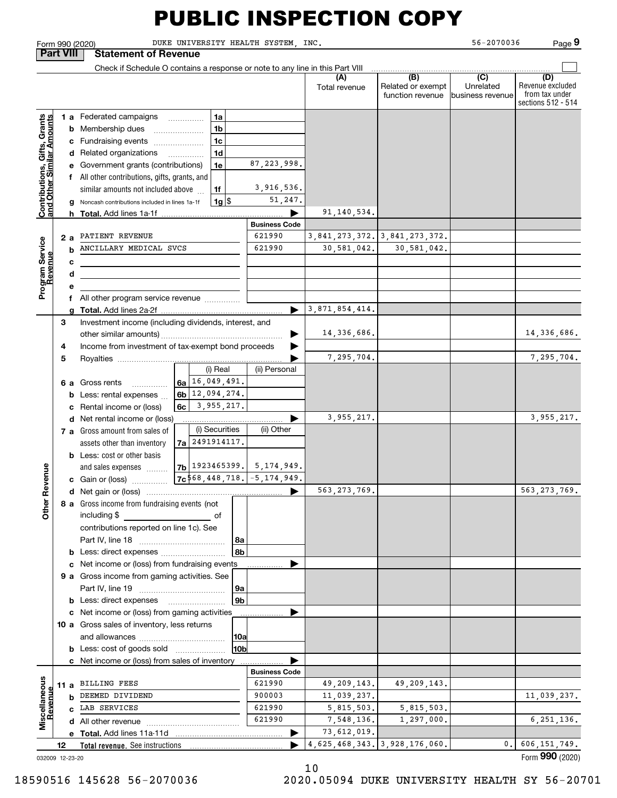Form 990 (2020) Page DUKE UNIVERSITY HEALTH SYSTEM, INC. 56-2070036

**9**

**Part VIII Statement of Revenue**  $\mathcal{L}^{\text{max}}$ Check if Schedule O contains a response or note to any line in this Part VIII **(A)** $\overline{(D)}$  **(B) (C) (D)** Revenue excluded Total revenue | Related or exempt Unrelatedfrom tax under function revenue business revenue sections 512 - 514 **Contributions, Gifts, Grants**<br>and Other Similar Amounts **1 a** Federated campaigns **Contributions, Gifts, Grants and Other Similar Amounts 1ab** Membership dues \_\_\_\_\_\_\_\_\_\_\_\_\_\_\_ **1bc**Fundraising events ~~~~~~~ **1cd** Related organizations …………… **1d**87,223,998. **e** Government grants (contributions) **1ef** All other contributions, gifts, grants, and 3,916,536. similar amounts not included above **1f**51,247. **1**\$**g** Noncash contributions included in lines 1a-1f 1g 91,140,534. **h Total.**  Add lines 1a-1f <sup>|</sup> **Business Code** 3,841,273,372. **a2**PATIENT REVENUE 621990 3,841,273,372. Program Service<br>Revenue **Program Service** ANCILLARY MEDICAL SVCS 621990 30,581,042. 30,581,042. 30,581,042. **bRevenue cdef** All other program service revenue  $\ldots\ldots\ldots\ldots$ 3,871,854,414. Add lines 2a-2f <sup>|</sup> Investment income (including dividends, interest, and **gTotal. 3**14,336,686. 14,336,686.  $\overrightarrow{ }$ other similar amounts) ~~~~~~~~~~~~~~~~~Income from investment of tax-exempt bond proceeds **4** 7,295,704. 7,295,704. **5**Royalties <sup>|</sup> (ii) Personal 16,049,491. **6 a** Gross rents **6a**~~~~~12,094,274. **6bb** Less: rental expenses  $\ldots$ 3,955,217. **6cc** Rental income or (loss) 3,955,217. 3,955,217. | **d** Net rental income or (loss) (i) Securities **7 a** Gross amount from sales of 2491914117.assets other than inventory **7ab** Less: cost or other basis 1923465399.5,174,949. **Other Revenue Other Revenue** and sales expenses **7b 7c**568,448,718. -5,174,949. **c** Gain or (loss) …………… 563,273,769. 563,273,769. **d**Net gain or (loss) <sup>|</sup> **8 a** Gross income from fundraising events (not including \$ ofcontributions reported on line 1c). See Part IV, line 18 ~~~~~~~~~~~~ **8a8bb** Less: direct expenses *\_\_\_\_\_\_\_\_\_\_\_\_\_\_\_\_\_\_\_\_*<br>e . Net income er (less) from fundraising ove **c**Net income or (loss) from fundraising events <sup>|</sup> **9 a** Gross income from gaming activities. See<br>Rart IV line 19 Part IV, line 19 ~~~~~~~~~~~~ **9a9bb** Less: direct expenses  $\blacktriangleright$ **c** Net income or (loss) from gaming activities . . . . . . . . . . . . . . . . . . **10 a** Gross sales of inventory, less returns and allowances ~~~~~~~~~~~~ **10a10bb** Less: cost of goods sold  $^{[1]}$  ..................... \_\_\_\_\_\_\_\_\_\_\_\_<del>\_</del><br>Business Code **c** Net income or (loss) from sales of inventory . . . . . . . . . . . . . . . . . . **Miscellaneous** Miscellaneous 49,209,143. 49,209,143. **11 a** BILLING FEES 621990<br> **b** DEEMED DIVIDEND 6900003 Revenue **Revenue** 11,039,237. **b** DEEMED DIVIDEND | 900003 | 11,039,237. 5,815,503. **c** LAB SERVICES | 621990 | 5,815,503.| 5,815,503. <sup>621990</sup> 7,548,136. 6,251,136. 1,297,000. **d** All other revenue All other revenue <sub>…………………………………</sub><br>**Total.** Add lines 11a-11d ……………………… 73,612,019. Add lines 11a-11d <sup>|</sup> **e**4,625,468,343. 3,928,176,060. 0. 606,151,749. …… ▶ **12Total revenue.**  See instructions Form (2020) **990**032009 12-23-20

10

18590516 145628 56-2070036 2020.05094 DUKE UNIVERSITY HEALTH SY 56-20701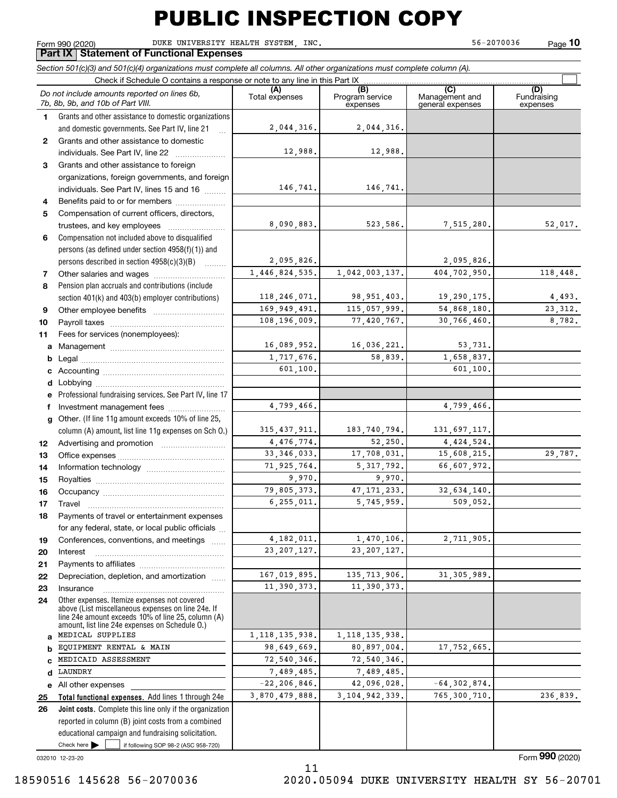Form 990 (2020) Page DUKE UNIVERSITY HEALTH SYSTEM, INC. 56-2070036 **10**

#### **Part IX Statement of Functional Expenses**

*Section 501(c)(3) and 501(c)(4) organizations must complete all columns. All other organizations must complete column (A).*

|              | Check if Schedule O contains a response or note to any line in this Part IX                          |                              |                                    |                                           |                                |
|--------------|------------------------------------------------------------------------------------------------------|------------------------------|------------------------------------|-------------------------------------------|--------------------------------|
|              | Do not include amounts reported on lines 6b,<br>7b, 8b, 9b, and 10b of Part VIII.                    | (A)<br>Total expenses        | (B)<br>Program service<br>expenses | (C)<br>Management and<br>general expenses | (D)<br>Fundraising<br>expenses |
| 1.           | Grants and other assistance to domestic organizations                                                |                              |                                    |                                           |                                |
|              | and domestic governments. See Part IV, line 21                                                       | 2,044,316.                   | 2,044,316.                         |                                           |                                |
| $\mathbf{2}$ | Grants and other assistance to domestic                                                              |                              |                                    |                                           |                                |
|              | individuals. See Part IV, line 22                                                                    | 12,988.                      | 12,988.                            |                                           |                                |
| 3            | Grants and other assistance to foreign                                                               |                              |                                    |                                           |                                |
|              | organizations, foreign governments, and foreign                                                      |                              |                                    |                                           |                                |
|              | individuals. See Part IV, lines 15 and 16                                                            | 146,741.                     | 146,741.                           |                                           |                                |
| 4            | Benefits paid to or for members                                                                      |                              |                                    |                                           |                                |
| 5            | Compensation of current officers, directors,                                                         |                              |                                    |                                           |                                |
|              | trustees, and key employees                                                                          | 8,090,883.                   | 523,586.                           | 7,515,280.                                | 52,017.                        |
| 6            | Compensation not included above to disqualified                                                      |                              |                                    |                                           |                                |
|              | persons (as defined under section 4958(f)(1)) and                                                    |                              |                                    |                                           |                                |
|              | persons described in section 4958(c)(3)(B)                                                           | 2,095,826.                   |                                    | 2,095,826.                                |                                |
| 7            |                                                                                                      | 1,446,824,535.               | 1,042,003,137.                     | 404,702,950.                              | 118,448.                       |
| 8            | Pension plan accruals and contributions (include                                                     |                              |                                    |                                           |                                |
|              | section 401(k) and 403(b) employer contributions)                                                    | 118, 246, 071.               | 98, 951, 403.                      | 19,290,175.                               | 4,493.                         |
| 9            |                                                                                                      | 169,949,491.                 | 115,057,999.                       | 54,868,180.                               | 23, 312.                       |
| 10           |                                                                                                      | 108,196,009.                 | 77,420,767.                        | 30,766,460.                               | 8,782.                         |
| 11           | Fees for services (nonemployees):                                                                    |                              |                                    |                                           |                                |
| а            |                                                                                                      | 16,089,952.                  | 16,036,221.                        | 53,731.                                   |                                |
| b            |                                                                                                      | 1,717,676.                   | 58,839.                            | 1,658,837.                                |                                |
| с            |                                                                                                      | 601,100.                     |                                    | 601,100.                                  |                                |
| d            |                                                                                                      |                              |                                    |                                           |                                |
| е            | Professional fundraising services. See Part IV, line 17                                              |                              |                                    |                                           |                                |
| f            | Investment management fees                                                                           | 4,799,466.                   |                                    | 4,799,466.                                |                                |
| g            | Other. (If line 11g amount exceeds 10% of line 25,                                                   |                              |                                    |                                           |                                |
|              | column (A) amount, list line 11g expenses on Sch 0.)                                                 | 315, 437, 911.<br>4,476,774. | 183,740,794.                       | 131,697,117.                              |                                |
| 12           |                                                                                                      | 33, 346, 033.                | 52,250.                            | 4,424,524.                                | 29,787.                        |
| 13           |                                                                                                      |                              | 17,708,031.<br>5, 317, 792.        | 15,608,215.                               |                                |
| 14           |                                                                                                      | 71,925,764.<br>9,970.        | 9,970.                             | 66,607,972.                               |                                |
| 15           |                                                                                                      | 79,805,373.                  | 47, 171, 233.                      | 32,634,140.                               |                                |
| 16           |                                                                                                      | 6, 255, 011.                 | 5,745,959.                         | 509,052.                                  |                                |
| 17           | Travel                                                                                               |                              |                                    |                                           |                                |
| 18           | Payments of travel or entertainment expenses<br>for any federal, state, or local public officials    |                              |                                    |                                           |                                |
|              |                                                                                                      | 4, 182, 011.                 | 1,470,106.                         | 2,711,905.                                |                                |
| 19           | Conferences, conventions, and meetings                                                               | 23, 207, 127.                | 23, 207, 127.                      |                                           |                                |
| 20           | Interest                                                                                             |                              |                                    |                                           |                                |
| 21<br>22     | Depreciation, depletion, and amortization                                                            | 167,019,895.                 | 135, 713, 906.                     | 31, 305, 989.                             |                                |
| 23           | Insurance                                                                                            | 11,390,373.                  | 11,390,373.                        |                                           |                                |
| 24           | Other expenses. Itemize expenses not covered                                                         |                              |                                    |                                           |                                |
|              | above (List miscellaneous expenses on line 24e. If                                                   |                              |                                    |                                           |                                |
|              | line 24e amount exceeds 10% of line 25, column (A)<br>amount, list line 24e expenses on Schedule O.) |                              |                                    |                                           |                                |
| a            | MEDICAL SUPPLIES                                                                                     | 1, 118, 135, 938.            | 1, 118, 135, 938.                  |                                           |                                |
| b            | EQUIPMENT RENTAL & MAIN                                                                              | 98,649,669.                  | 80,897,004.                        | 17,752,665.                               |                                |
| C            | MEDICAID ASSESSMENT                                                                                  | 72,540,346.                  | 72,540,346.                        |                                           |                                |
| d            | LAUNDRY                                                                                              | 7,489,485.                   | 7,489,485.                         |                                           |                                |
| е            | All other expenses                                                                                   | $-22, 206, 846$ .            | 42,096,028.                        | $-64, 302, 874.$                          |                                |
| 25           | Total functional expenses. Add lines 1 through 24e                                                   | 3,870,479,888.               | 3, 104, 942, 339.                  | 765,300,710.                              | 236,839.                       |
| 26           | <b>Joint costs.</b> Complete this line only if the organization                                      |                              |                                    |                                           |                                |
|              | reported in column (B) joint costs from a combined                                                   |                              |                                    |                                           |                                |
|              | educational campaign and fundraising solicitation.                                                   |                              |                                    |                                           |                                |
|              | Check here $\blacktriangleright$<br>if following SOP 98-2 (ASC 958-720)                              |                              |                                    |                                           |                                |
|              | 032010 12-23-20                                                                                      |                              |                                    |                                           | Form 990 (2020)                |
|              |                                                                                                      | 11                           |                                    |                                           |                                |

032010 12-23-20

11 18590516 145628 56-2070036 2020.05094 DUKE UNIVERSITY HEALTH SY 56-20701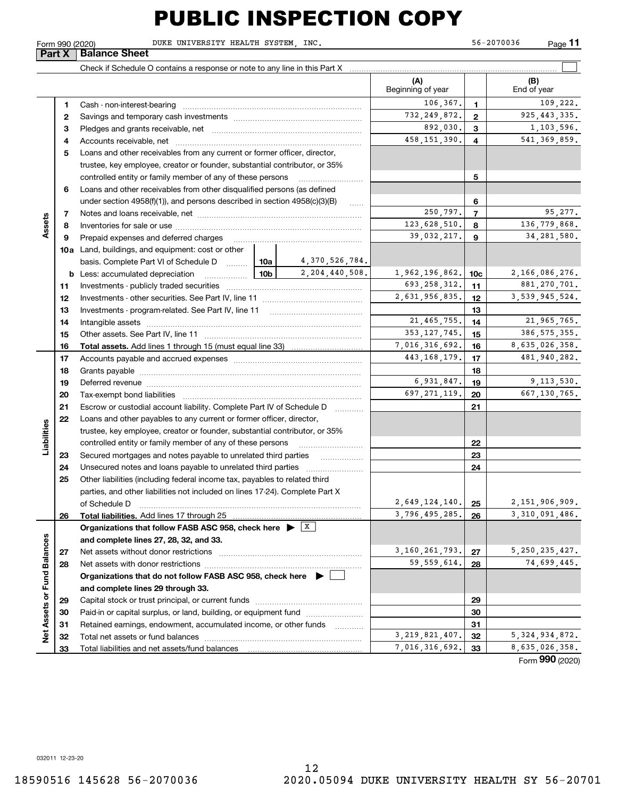**11**

**Part X** Balance Sheet

Form 990 (2020) Page DUKE UNIVERSITY HEALTH SYSTEM, INC. 56-2070036

 $\mathcal{L}^{\text{max}}$ Check if Schedule O contains a response or note to any line in this Part X **(A) (B)** Beginning of year | | End of year  $106,367$ , 1<br>109,222. **11**Cash - non-interest-bearing ~~~~~~~~~~~~~~~~~~~~~~~~~ 732,249,872. 925,443,335. **22**Savings and temporary cash investments ~~~~~~~~~~~~~~~~~~892,030. 3 1,103,596. **33** Pledges and grants receivable, net  $\ldots$  **multimes contained and grants receivable**, net **multimes contained and grants receivable**, net **multimes contained and grants receivable** 458,151,390. 541,369,859. Accounts receivable, net ~~~~~~~~~~~~~~~~~~~~~~~~~~ **445**Loans and other receivables from any current or former officer, director, trustee, key employee, creator or founder, substantial contributor, or 35% controlled entity or family member of any of these persons ~~~~~~~~~ **5**Loans and other receivables from other disqualified persons (as defined **6**under section  $4958(f)(1)$ , and persons described in section  $4958(c)(3)(B)$ **6**250,797. 95,277. **77**Notes and loans receivable, net ~~~~~~~~~~~~~~~~~~~~~~~**Assets**  $123,628,510.$  8 136,779,868. **88**Inventories for sale or use ~~~~~~~~~~~~~~~~~~~~~~~~~~ 39,032,217. **9** 34,281,580. **99**Prepaid expenses and deferred charges ~~~~~~~~~~~~~~~~~~ **10a**Land, buildings, and equipment: cost or other 4,370,526,784. basis. Complete Part VI of Schedule D will aller 2,204,440,508. 1,962,196,862. 10c 2,166,086,276. **10cb** Less: accumulated depreciation  $\ldots$  **10b**  $693,258,312.$  11 881,270,701. **1111**Investments - publicly traded securities ~~~~~~~~~~~~~~~~~~~  $2,631,956,835.$   $12$  3,539,945,524. **1212**Investments - other securities. See Part IV, line 11 ~~~~~~~~~~~~~~ **1313**Investments - program-related. See Part IV, line 11 ~~~~~~~~~~~~~21,465,755. 21,965,765. **1414**Intangible assets ~~~~~~~~~~~~~~~~~~~~~~~~~~~~~~ Other assets. See Part IV, line 11 ~~~~~~~~~~~~~~~~~~~~~~ 353,127,745. 15 386,575,355. **1515**7,016,316,692. 16 8,635,026,358.<br>443,168,179. 17 481,940,282. **Total assets. 1616**Add lines 1 through 15 (must equal line 33) Accounts payable and accrued expenses ~~~~~~~~~~~~~~~~~~ 443,168,179. **17171818**Grants payable ~~~~~~~~~~~~~~~~~~~~~~~~~~~~~~~ 6,931,847. 19 9,113,530. **1919**Deferred revenue ~~~~~~~~~~~~~~~~~~~~~~~~~~~~~~697, 271, 119.  $\boxed{20}$  667, 130, 765. **2020**Tax-exempt bond liabilities …………………………………………………………… Escrow or custodial account liability. Complete Part IV of Schedule D **212122**Loans and other payables to any current or former officer, director, **Liabilities** iabilities trustee, key employee, creator or founder, substantial contributor, or 35% controlled entity or family member of any of these persons ~~~~~~~~~**2223**Secured mortgages and notes payable to unrelated third parties **23**Unsecured notes and loans payable to unrelated third parties **242425**Other liabilities (including federal income tax, payables to related third parties, and other liabilities not included on lines 17-24). Complete Part X of Schedule D ~~~~~~~~~~~~~~~~~~~~~~~~~~~~~~~ 2,649,124,140. 25 2,151,906,909.<br>3,796.495.285. 26 3.310.091.486. **25**3,796,495,285. **26Total liabilities. 26Organizations that follow FASB ASC 958, check here** Add lines 17 through 25 | X Net Assets or Fund Balances **Net Assets or Fund Balances and complete lines 27, 28, 32, and 33.** 3,160,261,793. 27 5,250,235,427.<br>59,559,614. 28 74.699.445. **2727**Net assets without donor restrictions ~~~~~~~~~~~~~~~~~~~~ 74,699,445. **2828**Net assets with donor restrictions ~~~~~~~~~~~~~~~~~~~~~~**Organizations that do not follow FASB ASC 958, check here** | **and complete lines 29 through 33. 2929**Capital stock or trust principal, or current funds ~~~~~~~~~~~~~~~ **3030**Paid-in or capital surplus, or land, building, or equipment fund www.commun.com **31**Retained earnings, endowment, accumulated income, or other funds **31**Total net assets or fund balances ~~~~~~~~~~~~~~~~~~~~~~  $\begin{array}{|c|c|c|c|c|c|c|}\n \hline\n 3,219,821,407. & \textbf{32} & \textbf{5},324,934,872. \\
\hline\n 7,016,316,692. & \textbf{33} & \textbf{8},635,026,358. \\
\hline\n \end{array}$ **3232**8,635,026,358. Total liabilities and net assets/fund balances **3333**

Form (2020) **990**

032011 12-23-20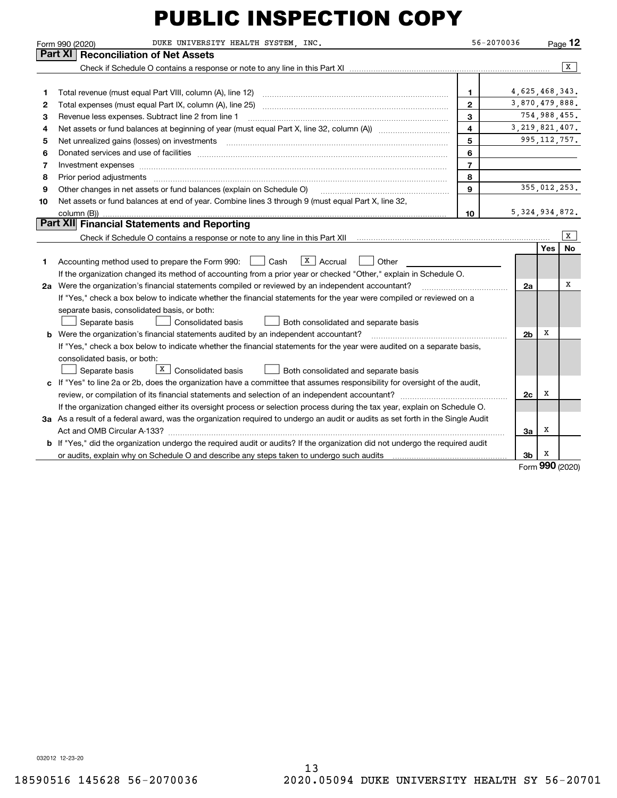|    | DUKE UNIVERSITY HEALTH SYSTEM, INC.<br>Form 990 (2020)                                                                          | 56-2070036              |                   |                | $P_{aqe}$ 12   |
|----|---------------------------------------------------------------------------------------------------------------------------------|-------------------------|-------------------|----------------|----------------|
|    | Part XI<br><b>Reconciliation of Net Assets</b>                                                                                  |                         |                   |                |                |
|    |                                                                                                                                 |                         |                   |                | $\overline{X}$ |
|    |                                                                                                                                 |                         |                   |                |                |
| 1  | Total revenue (must equal Part VIII, column (A), line 12)                                                                       | 1                       | 4,625,468,343.    |                |                |
| 2  | Total expenses (must equal Part IX, column (A), line 25)                                                                        | $\mathbf{2}$            | 3,870,479,888.    |                |                |
| З  | Revenue less expenses. Subtract line 2 from line 1                                                                              | 3                       |                   | 754,988,455.   |                |
| 4  |                                                                                                                                 | $\overline{\mathbf{4}}$ | 3, 219, 821, 407. |                |                |
| 5  | Net unrealized gains (losses) on investments [11] matter continuum matter is a set of the set of the set of the                 | 5                       |                   | 995, 112, 757. |                |
| 6  |                                                                                                                                 | 6                       |                   |                |                |
| 7  | Investment expenses www.communication.com/www.communication.com/www.communication.com/www.communication.com                     | $\overline{7}$          |                   |                |                |
| 8  |                                                                                                                                 | 8                       |                   |                |                |
| 9  | Other changes in net assets or fund balances (explain on Schedule O)                                                            | 9                       |                   | 355,012,253.   |                |
| 10 | Net assets or fund balances at end of year. Combine lines 3 through 9 (must equal Part X, line 32,                              |                         |                   |                |                |
|    |                                                                                                                                 | 10                      | 5, 324, 934, 872. |                |                |
|    | Part XII Financial Statements and Reporting                                                                                     |                         |                   |                |                |
|    |                                                                                                                                 |                         |                   |                | x              |
|    |                                                                                                                                 |                         |                   | Yes            | <b>No</b>      |
| 1  | $X \vert$ Accrual<br>Accounting method used to prepare the Form 990: <u>I</u> Cash<br>Other                                     |                         |                   |                |                |
|    | If the organization changed its method of accounting from a prior year or checked "Other," explain in Schedule O.               |                         |                   |                |                |
|    | 2a Were the organization's financial statements compiled or reviewed by an independent accountant?                              |                         | 2a                |                | X              |
|    | If "Yes," check a box below to indicate whether the financial statements for the year were compiled or reviewed on a            |                         |                   |                |                |
|    | separate basis, consolidated basis, or both:                                                                                    |                         |                   |                |                |
|    | Separate basis<br>Consolidated basis<br>Both consolidated and separate basis                                                    |                         |                   |                |                |
|    | <b>b</b> Were the organization's financial statements audited by an independent accountant?                                     |                         | 2b                | х              |                |
|    | If "Yes," check a box below to indicate whether the financial statements for the year were audited on a separate basis,         |                         |                   |                |                |
|    | consolidated basis, or both:                                                                                                    |                         |                   |                |                |
|    | $\lfloor x \rfloor$ Consolidated basis<br>Separate basis<br>Both consolidated and separate basis                                |                         |                   |                |                |
| c  | If "Yes" to line 2a or 2b, does the organization have a committee that assumes responsibility for oversight of the audit,       |                         |                   |                |                |
|    |                                                                                                                                 |                         | 2c                | х              |                |
|    | If the organization changed either its oversight process or selection process during the tax year, explain on Schedule O.       |                         |                   |                |                |
|    | 3a As a result of a federal award, was the organization required to undergo an audit or audits as set forth in the Single Audit |                         |                   |                |                |
|    |                                                                                                                                 |                         | За                | х              |                |
|    | b If "Yes," did the organization undergo the required audit or audits? If the organization did not undergo the required audit   |                         |                   |                |                |
|    |                                                                                                                                 |                         | 3b                | х              |                |

Form (2020) **990**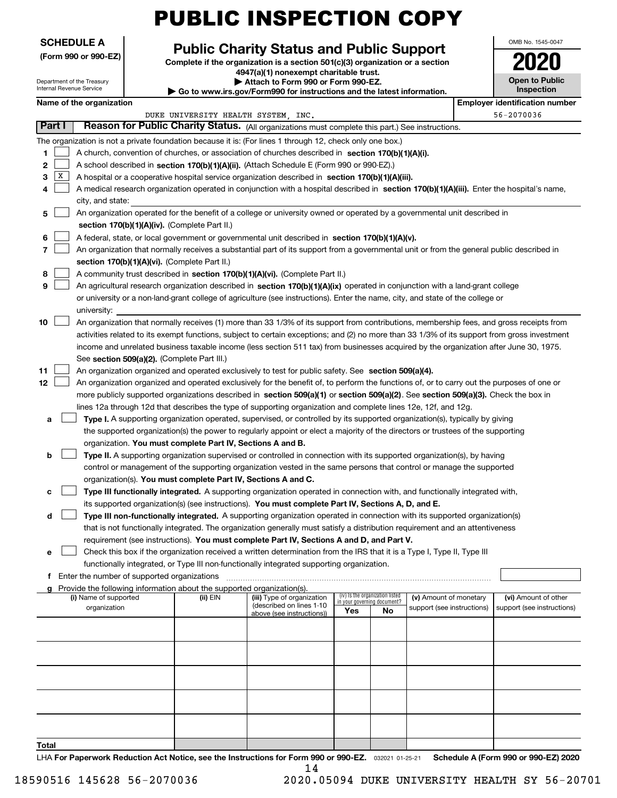| <b>PUBLIC INSPECTION COPY</b> |  |
|-------------------------------|--|
|-------------------------------|--|

| <b>SCHEDULE A</b> |  |
|-------------------|--|
|-------------------|--|

**(Form 990 or 990-EZ)**

#### Department of the Treasury

Internal Revenue Service

#### **Public Charity Status and Public Support**

**Complete if the organization is a section 501(c)(3) organization or a section 4947(a)(1) nonexempt charitable trust. | Attach to Form 990 or Form 990-EZ.**   $\blacktriangleright$  Go to www.irs.gov/

| Form990 for instructions and the latest information. |  |
|------------------------------------------------------|--|
|                                                      |  |
|                                                      |  |

| OMB No. 1545-0047                   |
|-------------------------------------|
| IJ                                  |
| <b>Open to Public</b><br>Inspection |

#### **Name of the organization Employer identification Name of the organization Employer identification** number

|                         |                                                                                                                                                                                                                                                                                                                                                                                                                                                                                                                                                                                     | DUKE UNIVERSITY HEALTH SYSTEM, INC. |                                                        |                             |                                 |                                                      |  | 56-2070036                                         |  |  |
|-------------------------|-------------------------------------------------------------------------------------------------------------------------------------------------------------------------------------------------------------------------------------------------------------------------------------------------------------------------------------------------------------------------------------------------------------------------------------------------------------------------------------------------------------------------------------------------------------------------------------|-------------------------------------|--------------------------------------------------------|-----------------------------|---------------------------------|------------------------------------------------------|--|----------------------------------------------------|--|--|
| Part I                  | Reason for Public Charity Status. (All organizations must complete this part.) See instructions.                                                                                                                                                                                                                                                                                                                                                                                                                                                                                    |                                     |                                                        |                             |                                 |                                                      |  |                                                    |  |  |
| 1<br>2<br> X <br>з<br>4 | The organization is not a private foundation because it is: (For lines 1 through 12, check only one box.)<br>A church, convention of churches, or association of churches described in section 170(b)(1)(A)(i).<br>A school described in section 170(b)(1)(A)(ii). (Attach Schedule E (Form 990 or 990-EZ).)<br>A hospital or a cooperative hospital service organization described in section 170(b)(1)(A)(iii).<br>A medical research organization operated in conjunction with a hospital described in section 170(b)(1)(A)(iii). Enter the hospital's name,<br>city, and state: |                                     |                                                        |                             |                                 |                                                      |  |                                                    |  |  |
| 5                       | An organization operated for the benefit of a college or university owned or operated by a governmental unit described in                                                                                                                                                                                                                                                                                                                                                                                                                                                           |                                     |                                                        |                             |                                 |                                                      |  |                                                    |  |  |
|                         | section 170(b)(1)(A)(iv). (Complete Part II.)                                                                                                                                                                                                                                                                                                                                                                                                                                                                                                                                       |                                     |                                                        |                             |                                 |                                                      |  |                                                    |  |  |
| 6                       | A federal, state, or local government or governmental unit described in section 170(b)(1)(A)(v).                                                                                                                                                                                                                                                                                                                                                                                                                                                                                    |                                     |                                                        |                             |                                 |                                                      |  |                                                    |  |  |
| 7                       | An organization that normally receives a substantial part of its support from a governmental unit or from the general public described in                                                                                                                                                                                                                                                                                                                                                                                                                                           |                                     |                                                        |                             |                                 |                                                      |  |                                                    |  |  |
|                         | section 170(b)(1)(A)(vi). (Complete Part II.)                                                                                                                                                                                                                                                                                                                                                                                                                                                                                                                                       |                                     |                                                        |                             |                                 |                                                      |  |                                                    |  |  |
| 8                       | A community trust described in section 170(b)(1)(A)(vi). (Complete Part II.)                                                                                                                                                                                                                                                                                                                                                                                                                                                                                                        |                                     |                                                        |                             |                                 |                                                      |  |                                                    |  |  |
| 9                       | An agricultural research organization described in section 170(b)(1)(A)(ix) operated in conjunction with a land-grant college                                                                                                                                                                                                                                                                                                                                                                                                                                                       |                                     |                                                        |                             |                                 |                                                      |  |                                                    |  |  |
|                         | or university or a non-land-grant college of agriculture (see instructions). Enter the name, city, and state of the college or                                                                                                                                                                                                                                                                                                                                                                                                                                                      |                                     |                                                        |                             |                                 |                                                      |  |                                                    |  |  |
|                         | university:                                                                                                                                                                                                                                                                                                                                                                                                                                                                                                                                                                         |                                     |                                                        |                             |                                 |                                                      |  |                                                    |  |  |
| 10                      | An organization that normally receives (1) more than 33 1/3% of its support from contributions, membership fees, and gross receipts from                                                                                                                                                                                                                                                                                                                                                                                                                                            |                                     |                                                        |                             |                                 |                                                      |  |                                                    |  |  |
|                         | activities related to its exempt functions, subject to certain exceptions; and (2) no more than 33 1/3% of its support from gross investment                                                                                                                                                                                                                                                                                                                                                                                                                                        |                                     |                                                        |                             |                                 |                                                      |  |                                                    |  |  |
|                         | income and unrelated business taxable income (less section 511 tax) from businesses acquired by the organization after June 30, 1975.                                                                                                                                                                                                                                                                                                                                                                                                                                               |                                     |                                                        |                             |                                 |                                                      |  |                                                    |  |  |
|                         | See section 509(a)(2). (Complete Part III.)                                                                                                                                                                                                                                                                                                                                                                                                                                                                                                                                         |                                     |                                                        |                             |                                 |                                                      |  |                                                    |  |  |
| 11                      | An organization organized and operated exclusively to test for public safety. See section 509(a)(4).                                                                                                                                                                                                                                                                                                                                                                                                                                                                                |                                     |                                                        |                             |                                 |                                                      |  |                                                    |  |  |
| 12                      | An organization organized and operated exclusively for the benefit of, to perform the functions of, or to carry out the purposes of one or                                                                                                                                                                                                                                                                                                                                                                                                                                          |                                     |                                                        |                             |                                 |                                                      |  |                                                    |  |  |
|                         | more publicly supported organizations described in section 509(a)(1) or section 509(a)(2). See section 509(a)(3). Check the box in                                                                                                                                                                                                                                                                                                                                                                                                                                                  |                                     |                                                        |                             |                                 |                                                      |  |                                                    |  |  |
|                         | lines 12a through 12d that describes the type of supporting organization and complete lines 12e, 12f, and 12g.                                                                                                                                                                                                                                                                                                                                                                                                                                                                      |                                     |                                                        |                             |                                 |                                                      |  |                                                    |  |  |
| а                       | Type I. A supporting organization operated, supervised, or controlled by its supported organization(s), typically by giving                                                                                                                                                                                                                                                                                                                                                                                                                                                         |                                     |                                                        |                             |                                 |                                                      |  |                                                    |  |  |
|                         | the supported organization(s) the power to regularly appoint or elect a majority of the directors or trustees of the supporting<br>organization. You must complete Part IV, Sections A and B.                                                                                                                                                                                                                                                                                                                                                                                       |                                     |                                                        |                             |                                 |                                                      |  |                                                    |  |  |
| b                       | Type II. A supporting organization supervised or controlled in connection with its supported organization(s), by having                                                                                                                                                                                                                                                                                                                                                                                                                                                             |                                     |                                                        |                             |                                 |                                                      |  |                                                    |  |  |
|                         | control or management of the supporting organization vested in the same persons that control or manage the supported                                                                                                                                                                                                                                                                                                                                                                                                                                                                |                                     |                                                        |                             |                                 |                                                      |  |                                                    |  |  |
|                         | organization(s). You must complete Part IV, Sections A and C.                                                                                                                                                                                                                                                                                                                                                                                                                                                                                                                       |                                     |                                                        |                             |                                 |                                                      |  |                                                    |  |  |
| c                       | Type III functionally integrated. A supporting organization operated in connection with, and functionally integrated with,                                                                                                                                                                                                                                                                                                                                                                                                                                                          |                                     |                                                        |                             |                                 |                                                      |  |                                                    |  |  |
|                         | its supported organization(s) (see instructions). You must complete Part IV, Sections A, D, and E.                                                                                                                                                                                                                                                                                                                                                                                                                                                                                  |                                     |                                                        |                             |                                 |                                                      |  |                                                    |  |  |
| d                       | Type III non-functionally integrated. A supporting organization operated in connection with its supported organization(s)                                                                                                                                                                                                                                                                                                                                                                                                                                                           |                                     |                                                        |                             |                                 |                                                      |  |                                                    |  |  |
|                         | that is not functionally integrated. The organization generally must satisfy a distribution requirement and an attentiveness                                                                                                                                                                                                                                                                                                                                                                                                                                                        |                                     |                                                        |                             |                                 |                                                      |  |                                                    |  |  |
|                         | requirement (see instructions). You must complete Part IV, Sections A and D, and Part V.                                                                                                                                                                                                                                                                                                                                                                                                                                                                                            |                                     |                                                        |                             |                                 |                                                      |  |                                                    |  |  |
| е                       | Check this box if the organization received a written determination from the IRS that it is a Type I, Type II, Type III                                                                                                                                                                                                                                                                                                                                                                                                                                                             |                                     |                                                        |                             |                                 |                                                      |  |                                                    |  |  |
|                         | functionally integrated, or Type III non-functionally integrated supporting organization.                                                                                                                                                                                                                                                                                                                                                                                                                                                                                           |                                     |                                                        |                             |                                 |                                                      |  |                                                    |  |  |
|                         | f Enter the number of supported organizations                                                                                                                                                                                                                                                                                                                                                                                                                                                                                                                                       |                                     |                                                        |                             |                                 |                                                      |  |                                                    |  |  |
|                         | Provide the following information about the supported organization(s).                                                                                                                                                                                                                                                                                                                                                                                                                                                                                                              |                                     |                                                        |                             |                                 |                                                      |  |                                                    |  |  |
|                         | (i) Name of supported<br>organization                                                                                                                                                                                                                                                                                                                                                                                                                                                                                                                                               | (ii) EIN                            | (iii) Type of organization<br>(described on lines 1-10 | in your governing document? | (iv) Is the organization listed | (v) Amount of monetary<br>support (see instructions) |  | (vi) Amount of other<br>support (see instructions) |  |  |
|                         |                                                                                                                                                                                                                                                                                                                                                                                                                                                                                                                                                                                     |                                     | above (see instructions))                              | Yes                         | No                              |                                                      |  |                                                    |  |  |
|                         |                                                                                                                                                                                                                                                                                                                                                                                                                                                                                                                                                                                     |                                     |                                                        |                             |                                 |                                                      |  |                                                    |  |  |
|                         |                                                                                                                                                                                                                                                                                                                                                                                                                                                                                                                                                                                     |                                     |                                                        |                             |                                 |                                                      |  |                                                    |  |  |
|                         |                                                                                                                                                                                                                                                                                                                                                                                                                                                                                                                                                                                     |                                     |                                                        |                             |                                 |                                                      |  |                                                    |  |  |
|                         |                                                                                                                                                                                                                                                                                                                                                                                                                                                                                                                                                                                     |                                     |                                                        |                             |                                 |                                                      |  |                                                    |  |  |
|                         |                                                                                                                                                                                                                                                                                                                                                                                                                                                                                                                                                                                     |                                     |                                                        |                             |                                 |                                                      |  |                                                    |  |  |
|                         |                                                                                                                                                                                                                                                                                                                                                                                                                                                                                                                                                                                     |                                     |                                                        |                             |                                 |                                                      |  |                                                    |  |  |
|                         |                                                                                                                                                                                                                                                                                                                                                                                                                                                                                                                                                                                     |                                     |                                                        |                             |                                 |                                                      |  |                                                    |  |  |
| Total                   |                                                                                                                                                                                                                                                                                                                                                                                                                                                                                                                                                                                     |                                     |                                                        |                             |                                 |                                                      |  |                                                    |  |  |

LHA For Paperwork Reduction Act Notice, see the Instructions for Form 990 or 990-EZ. <sub>032021</sub> o1-25-21 Schedule A (Form 990 or 990-EZ) 2020 14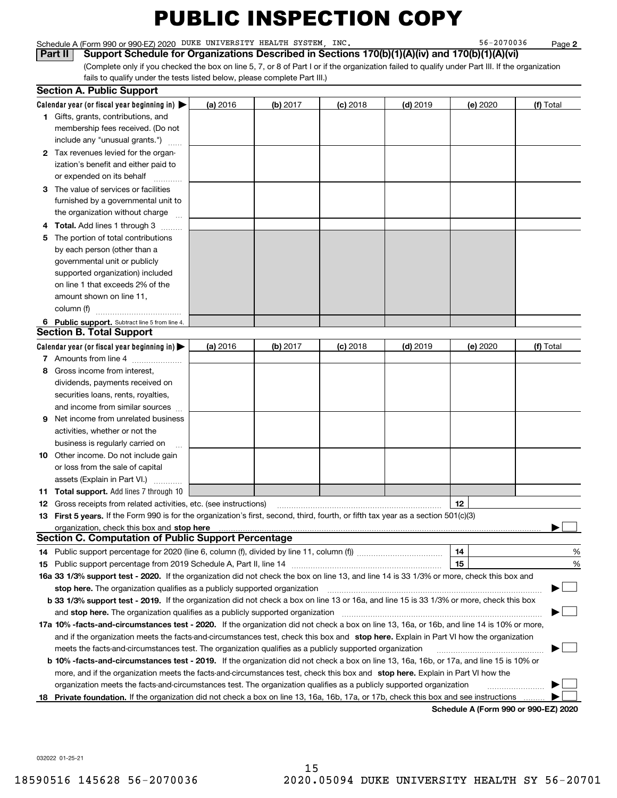Schedule A (Form 990 or 990-EZ) 2020 Page DUKE UNIVERSITY HEALTH SYSTEM, INC. 56-2070036

**2**

(Complete only if you checked the box on line 5, 7, or 8 of Part I or if the organization failed to qualify under Part III. If the organization fails to qualify under the tests listed below, please complete Part III.) **Part II Support Schedule for Organizations Described in Sections 170(b)(1)(A)(iv) and 170(b)(1)(A)(vi)** 

|    | <b>Section A. Public Support</b>                                                                                                               |          |          |            |            |                                      |           |
|----|------------------------------------------------------------------------------------------------------------------------------------------------|----------|----------|------------|------------|--------------------------------------|-----------|
|    | Calendar year (or fiscal year beginning in) $\blacktriangleright$                                                                              | (a) 2016 | (b) 2017 | $(c)$ 2018 | $(d)$ 2019 | (e) 2020                             | (f) Total |
|    | 1 Gifts, grants, contributions, and                                                                                                            |          |          |            |            |                                      |           |
|    | membership fees received. (Do not                                                                                                              |          |          |            |            |                                      |           |
|    | include any "unusual grants.")                                                                                                                 |          |          |            |            |                                      |           |
|    | 2 Tax revenues levied for the organ-                                                                                                           |          |          |            |            |                                      |           |
|    | ization's benefit and either paid to                                                                                                           |          |          |            |            |                                      |           |
|    | or expended on its behalf                                                                                                                      |          |          |            |            |                                      |           |
|    | 3 The value of services or facilities                                                                                                          |          |          |            |            |                                      |           |
|    | furnished by a governmental unit to                                                                                                            |          |          |            |            |                                      |           |
|    | the organization without charge                                                                                                                |          |          |            |            |                                      |           |
|    | 4 Total. Add lines 1 through 3                                                                                                                 |          |          |            |            |                                      |           |
| 5  | The portion of total contributions                                                                                                             |          |          |            |            |                                      |           |
|    | by each person (other than a                                                                                                                   |          |          |            |            |                                      |           |
|    | governmental unit or publicly                                                                                                                  |          |          |            |            |                                      |           |
|    | supported organization) included                                                                                                               |          |          |            |            |                                      |           |
|    | on line 1 that exceeds 2% of the                                                                                                               |          |          |            |            |                                      |           |
|    | amount shown on line 11,                                                                                                                       |          |          |            |            |                                      |           |
|    | column (f)                                                                                                                                     |          |          |            |            |                                      |           |
|    | 6 Public support. Subtract line 5 from line 4.                                                                                                 |          |          |            |            |                                      |           |
|    | <b>Section B. Total Support</b>                                                                                                                |          |          |            |            |                                      |           |
|    | Calendar year (or fiscal year beginning in) $\blacktriangleright$                                                                              | (a) 2016 | (b) 2017 | $(c)$ 2018 | $(d)$ 2019 | (e) 2020                             | (f) Total |
|    | 7 Amounts from line 4                                                                                                                          |          |          |            |            |                                      |           |
| 8  | Gross income from interest,                                                                                                                    |          |          |            |            |                                      |           |
|    | dividends, payments received on                                                                                                                |          |          |            |            |                                      |           |
|    | securities loans, rents, royalties,                                                                                                            |          |          |            |            |                                      |           |
|    | and income from similar sources                                                                                                                |          |          |            |            |                                      |           |
|    | <b>9</b> Net income from unrelated business                                                                                                    |          |          |            |            |                                      |           |
|    | activities, whether or not the                                                                                                                 |          |          |            |            |                                      |           |
|    | business is regularly carried on                                                                                                               |          |          |            |            |                                      |           |
|    | <b>10</b> Other income. Do not include gain                                                                                                    |          |          |            |            |                                      |           |
|    | or loss from the sale of capital                                                                                                               |          |          |            |            |                                      |           |
|    | assets (Explain in Part VI.)                                                                                                                   |          |          |            |            |                                      |           |
|    | <b>11 Total support.</b> Add lines 7 through 10                                                                                                |          |          |            |            |                                      |           |
|    | <b>12</b> Gross receipts from related activities, etc. (see instructions)                                                                      |          |          |            |            | 12                                   |           |
|    | 13 First 5 years. If the Form 990 is for the organization's first, second, third, fourth, or fifth tax year as a section 501(c)(3)             |          |          |            |            |                                      |           |
|    | <b>Section C. Computation of Public Support Percentage</b>                                                                                     |          |          |            |            |                                      |           |
|    | 14 Public support percentage for 2020 (line 6, column (f), divided by line 11, column (f) <i>mummumumum</i>                                    |          |          |            |            | 14                                   | %         |
|    |                                                                                                                                                |          |          |            |            | 15                                   | %         |
|    | 16a 33 1/3% support test - 2020. If the organization did not check the box on line 13, and line 14 is 33 1/3% or more, check this box and      |          |          |            |            |                                      |           |
|    | stop here. The organization qualifies as a publicly supported organization                                                                     |          |          |            |            |                                      | ▔▁」       |
|    | b 33 1/3% support test - 2019. If the organization did not check a box on line 13 or 16a, and line 15 is 33 1/3% or more, check this box       |          |          |            |            |                                      |           |
|    | and stop here. The organization qualifies as a publicly supported organization                                                                 |          |          |            |            |                                      |           |
|    | 17a 10% -facts-and-circumstances test - 2020. If the organization did not check a box on line 13, 16a, or 16b, and line 14 is 10% or more,     |          |          |            |            |                                      |           |
|    | and if the organization meets the facts-and-circumstances test, check this box and stop here. Explain in Part VI how the organization          |          |          |            |            |                                      |           |
|    | meets the facts-and-circumstances test. The organization qualifies as a publicly supported organization                                        |          |          |            |            |                                      |           |
|    | <b>b 10% -facts-and-circumstances test - 2019.</b> If the organization did not check a box on line 13, 16a, 16b, or 17a, and line 15 is 10% or |          |          |            |            |                                      |           |
|    | more, and if the organization meets the facts-and-circumstances test, check this box and stop here. Explain in Part VI how the                 |          |          |            |            |                                      |           |
|    | organization meets the facts-and-circumstances test. The organization qualifies as a publicly supported organization                           |          |          |            |            |                                      |           |
| 18 | Private foundation. If the organization did not check a box on line 13, 16a, 16b, 17a, or 17b, check this box and see instructions             |          |          |            |            |                                      |           |
|    |                                                                                                                                                |          |          |            |            | Schedule A (Form 990 or 990-EZ) 2020 |           |

**Schedule A (Form 990 or 990-EZ) 2020**

032022 01-25-21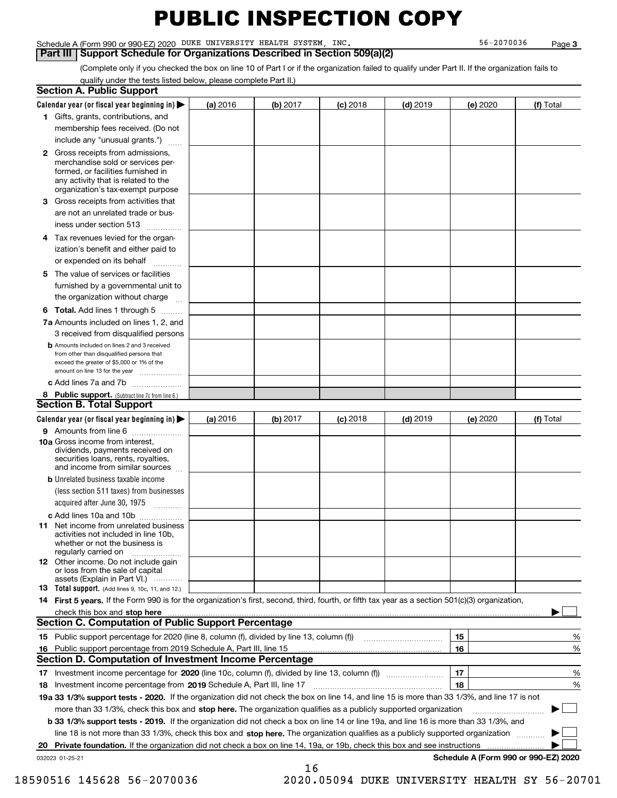#### Schedule A (Form 990 or 990-EZ) 2020 Page DUKE UNIVERSITY HEALTH SYSTEM, INC. 56-2070036

#### **Part III | Support Schedule for Organizations Described in Section 509(a)(2)**

**3**

(Complete only if you checked the box on line 10 of Part I or if the organization failed to qualify under Part II. If the organization fails to qualify under the tests listed below, please complete Part II.)

| <b>Section A. Public Support</b>                                                                                                                                                                                               |          |          |            |            |          |                                      |
|--------------------------------------------------------------------------------------------------------------------------------------------------------------------------------------------------------------------------------|----------|----------|------------|------------|----------|--------------------------------------|
| Calendar year (or fiscal year beginning in) $\blacktriangleright$                                                                                                                                                              | (a) 2016 | (b) 2017 | $(c)$ 2018 | $(d)$ 2019 | (e) 2020 | (f) Total                            |
| 1 Gifts, grants, contributions, and                                                                                                                                                                                            |          |          |            |            |          |                                      |
| membership fees received. (Do not                                                                                                                                                                                              |          |          |            |            |          |                                      |
| include any "unusual grants.")                                                                                                                                                                                                 |          |          |            |            |          |                                      |
| 2 Gross receipts from admissions,<br>merchandise sold or services per-<br>formed, or facilities furnished in<br>any activity that is related to the<br>organization's tax-exempt purpose                                       |          |          |            |            |          |                                      |
| 3 Gross receipts from activities that<br>are not an unrelated trade or bus-                                                                                                                                                    |          |          |            |            |          |                                      |
| iness under section 513                                                                                                                                                                                                        |          |          |            |            |          |                                      |
| 4 Tax revenues levied for the organ-<br>ization's benefit and either paid to<br>or expended on its behalf                                                                                                                      |          |          |            |            |          |                                      |
| .<br>5 The value of services or facilities<br>furnished by a governmental unit to                                                                                                                                              |          |          |            |            |          |                                      |
| the organization without charge                                                                                                                                                                                                |          |          |            |            |          |                                      |
| <b>6 Total.</b> Add lines 1 through 5                                                                                                                                                                                          |          |          |            |            |          |                                      |
| 7a Amounts included on lines 1, 2, and<br>3 received from disqualified persons                                                                                                                                                 |          |          |            |            |          |                                      |
| <b>b</b> Amounts included on lines 2 and 3 received<br>from other than disqualified persons that<br>exceed the greater of \$5,000 or 1% of the<br>amount on line 13 for the year                                               |          |          |            |            |          |                                      |
| c Add lines 7a and 7b                                                                                                                                                                                                          |          |          |            |            |          |                                      |
| 8 Public support. (Subtract line 7c from line 6.)<br><b>Section B. Total Support</b>                                                                                                                                           |          |          |            |            |          |                                      |
| Calendar year (or fiscal year beginning in)                                                                                                                                                                                    | (a) 2016 | (b) 2017 | $(c)$ 2018 | $(d)$ 2019 | (e) 2020 | (f) Total                            |
| 9 Amounts from line 6                                                                                                                                                                                                          |          |          |            |            |          |                                      |
| <b>10a</b> Gross income from interest,<br>dividends, payments received on<br>securities loans, rents, royalties,<br>and income from similar sources                                                                            |          |          |            |            |          |                                      |
| <b>b</b> Unrelated business taxable income<br>(less section 511 taxes) from businesses<br>acquired after June 30, 1975                                                                                                         |          |          |            |            |          |                                      |
| c Add lines 10a and 10b                                                                                                                                                                                                        |          |          |            |            |          |                                      |
| <b>11</b> Net income from unrelated business<br>activities not included in line 10b,<br>whether or not the business is<br>regularly carried on                                                                                 |          |          |            |            |          |                                      |
| <b>12</b> Other income. Do not include gain<br>or loss from the sale of capital<br>assets (Explain in Part VI.)                                                                                                                |          |          |            |            |          |                                      |
| <b>13 Total support.</b> (Add lines 9, 10c, 11, and 12.)                                                                                                                                                                       |          |          |            |            |          |                                      |
| 14 First 5 years. If the Form 990 is for the organization's first, second, third, fourth, or fifth tax year as a section 501(c)(3) organization,                                                                               |          |          |            |            |          |                                      |
| check this box and stop here measurements and contact the contract of the contract of the contract of the contract of the contract of the contract of the contract of the contract of the contract of the contract of the cont |          |          |            |            |          |                                      |
| <b>Section C. Computation of Public Support Percentage</b>                                                                                                                                                                     |          |          |            |            |          |                                      |
|                                                                                                                                                                                                                                |          |          |            |            | 15       | %                                    |
| 16 Public support percentage from 2019 Schedule A, Part III, line 15                                                                                                                                                           |          |          |            |            | 16       | %                                    |
| <b>Section D. Computation of Investment Income Percentage</b>                                                                                                                                                                  |          |          |            |            |          |                                      |
| 17 Investment income percentage for 2020 (line 10c, column (f), divided by line 13, column (f))<br>18 Investment income percentage from 2019 Schedule A, Part III, line 17                                                     |          |          |            |            | 17<br>18 | %<br>%                               |
| 19a 33 1/3% support tests - 2020. If the organization did not check the box on line 14, and line 15 is more than 33 1/3%, and line 17 is not                                                                                   |          |          |            |            |          |                                      |
| more than 33 1/3%, check this box and stop here. The organization qualifies as a publicly supported organization                                                                                                               |          |          |            |            |          | ▶                                    |
| b 33 1/3% support tests - 2019. If the organization did not check a box on line 14 or line 19a, and line 16 is more than 33 1/3%, and                                                                                          |          |          |            |            |          |                                      |
| line 18 is not more than 33 1/3%, check this box and stop here. The organization qualifies as a publicly supported organization                                                                                                |          |          |            |            |          |                                      |
| 20 Private foundation. If the organization did not check a box on line 14, 19a, or 19b, check this box and see instructions                                                                                                    |          |          |            |            |          |                                      |
| 032023 01-25-21                                                                                                                                                                                                                |          | 16       |            |            |          | Schedule A (Form 990 or 990-EZ) 2020 |

18590516 145628 56-2070036 2020.05094 DUKE UNIVERSITY HEALTH SY 56-20701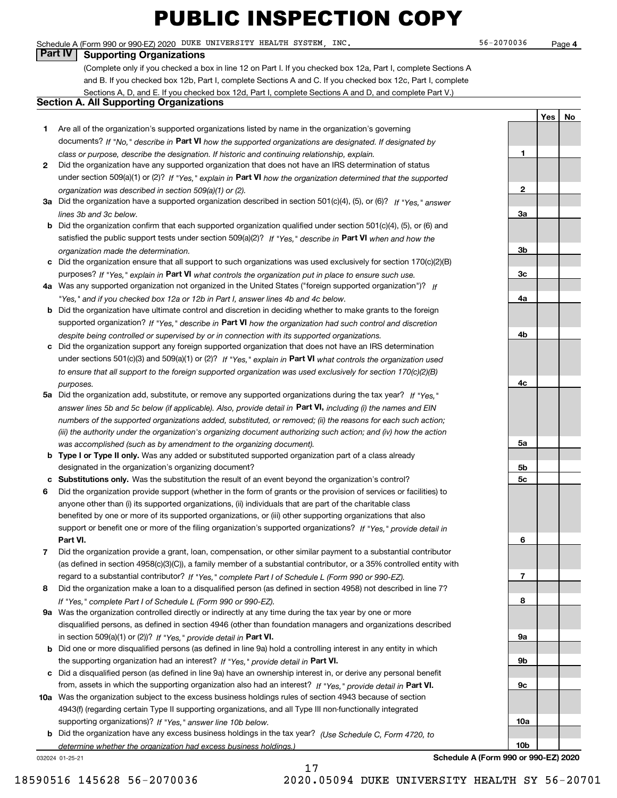#### Schedule A (Form 990 or 990-EZ) 2020 Page DUKE UNIVERSITY HEALTH SYSTEM, INC. 56-2070036

#### **Part IV Supporting Organizations**

(Complete only if you checked a box in line 12 on Part I. If you checked box 12a, Part I, complete Sections A and B. If you checked box 12b, Part I, complete Sections A and C. If you checked box 12c, Part I, complete Sections A, D, and E. If you checked box 12d, Part I, complete Sections A and D, and complete Part V.)

#### **Section A. All Supporting Organizations**

- **1** Are all of the organization's supported organizations listed by name in the organization's governing documents? If "No," describe in **Part VI** how the supported organizations are designated. If designated by *class or purpose, describe the designation. If historic and continuing relationship, explain.*
- **2** Did the organization have any supported organization that does not have an IRS determination of status under section 509(a)(1) or (2)? If "Yes," explain in Part VI how the organization determined that the supported *organization was described in section 509(a)(1) or (2).*
- **3a** Did the organization have a supported organization described in section 501(c)(4), (5), or (6)? If "Yes," answer *lines 3b and 3c below.*
- **b** Did the organization confirm that each supported organization qualified under section 501(c)(4), (5), or (6) and satisfied the public support tests under section 509(a)(2)? If "Yes," describe in **Part VI** when and how the *organization made the determination.*
- **c**Did the organization ensure that all support to such organizations was used exclusively for section 170(c)(2)(B) purposes? If "Yes," explain in **Part VI** what controls the organization put in place to ensure such use.
- **4a***If* Was any supported organization not organized in the United States ("foreign supported organization")? *"Yes," and if you checked box 12a or 12b in Part I, answer lines 4b and 4c below.*
- **b** Did the organization have ultimate control and discretion in deciding whether to make grants to the foreign supported organization? If "Yes," describe in **Part VI** how the organization had such control and discretion *despite being controlled or supervised by or in connection with its supported organizations.*
- **c** Did the organization support any foreign supported organization that does not have an IRS determination under sections 501(c)(3) and 509(a)(1) or (2)? If "Yes," explain in **Part VI** what controls the organization used *to ensure that all support to the foreign supported organization was used exclusively for section 170(c)(2)(B) purposes.*
- **5a** Did the organization add, substitute, or remove any supported organizations during the tax year? If "Yes," answer lines 5b and 5c below (if applicable). Also, provide detail in **Part VI,** including (i) the names and EIN *numbers of the supported organizations added, substituted, or removed; (ii) the reasons for each such action; (iii) the authority under the organization's organizing document authorizing such action; and (iv) how the action was accomplished (such as by amendment to the organizing document).*
- **b** Type I or Type II only. Was any added or substituted supported organization part of a class already designated in the organization's organizing document?
- **cSubstitutions only.**  Was the substitution the result of an event beyond the organization's control?
- **6** Did the organization provide support (whether in the form of grants or the provision of services or facilities) to **Part VI.** *If "Yes," provide detail in* support or benefit one or more of the filing organization's supported organizations? anyone other than (i) its supported organizations, (ii) individuals that are part of the charitable class benefited by one or more of its supported organizations, or (iii) other supporting organizations that also
- **7**Did the organization provide a grant, loan, compensation, or other similar payment to a substantial contributor *If "Yes," complete Part I of Schedule L (Form 990 or 990-EZ).* regard to a substantial contributor? (as defined in section 4958(c)(3)(C)), a family member of a substantial contributor, or a 35% controlled entity with
- **8** Did the organization make a loan to a disqualified person (as defined in section 4958) not described in line 7? *If "Yes," complete Part I of Schedule L (Form 990 or 990-EZ).*
- **9a** Was the organization controlled directly or indirectly at any time during the tax year by one or more in section 509(a)(1) or (2))? If "Yes," *provide detail in* <code>Part VI.</code> disqualified persons, as defined in section 4946 (other than foundation managers and organizations described
- **b**the supporting organization had an interest? If "Yes," provide detail in P**art VI**. Did one or more disqualified persons (as defined in line 9a) hold a controlling interest in any entity in which
- **c**Did a disqualified person (as defined in line 9a) have an ownership interest in, or derive any personal benefit from, assets in which the supporting organization also had an interest? If "Yes," provide detail in P**art VI.**
- **10a** Was the organization subject to the excess business holdings rules of section 4943 because of section supporting organizations)? If "Yes," answer line 10b below. 4943(f) (regarding certain Type II supporting organizations, and all Type III non-functionally integrated
- **b** Did the organization have any excess business holdings in the tax year? (Use Schedule C, Form 4720, to *determine whether the organization had excess business holdings.)*

17

032024 01-25-21

**Schedule A (Form 990 or 990-EZ) 2020**

**123a3b3c4a4b4c5a 5b5c6789a 9b9c10a10b**

**Yes No**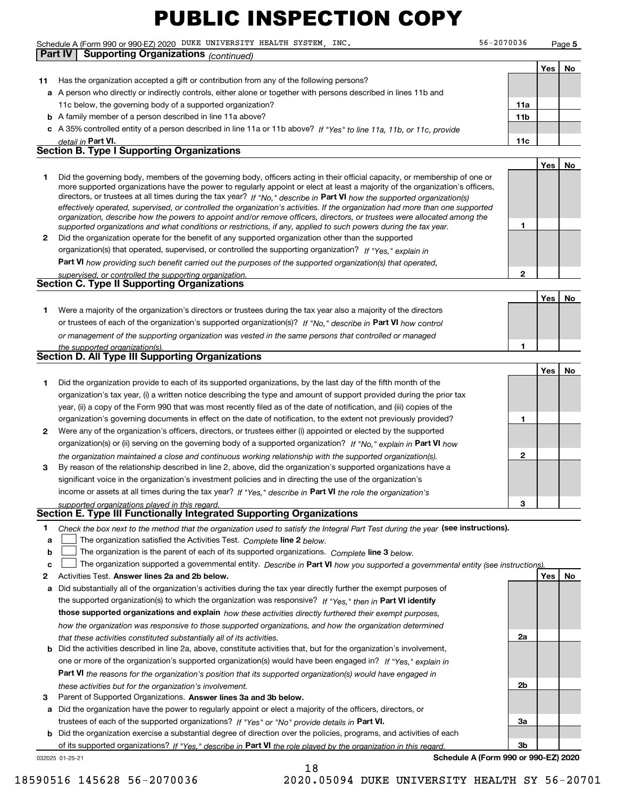Schedule A (Form 990 or 990-EZ) 2020 Page DUKE UNIVERSITY HEALTH SYSTEM, INC. 56-2070036

**Part IV Supporting Organizations** *(continued)*

**Yes No**

| 11 | Has the organization accepted a gift or contribution from any of the following persons?                                                                                                                                                                                                                                                                                                                                                                                                                   |                 |     |    |
|----|-----------------------------------------------------------------------------------------------------------------------------------------------------------------------------------------------------------------------------------------------------------------------------------------------------------------------------------------------------------------------------------------------------------------------------------------------------------------------------------------------------------|-----------------|-----|----|
|    | a A person who directly or indirectly controls, either alone or together with persons described in lines 11b and                                                                                                                                                                                                                                                                                                                                                                                          |                 |     |    |
|    | 11c below, the governing body of a supported organization?                                                                                                                                                                                                                                                                                                                                                                                                                                                | 11a             |     |    |
|    | <b>b</b> A family member of a person described in line 11a above?                                                                                                                                                                                                                                                                                                                                                                                                                                         | 11 <sub>b</sub> |     |    |
|    | c A 35% controlled entity of a person described in line 11a or 11b above? If "Yes" to line 11a, 11b, or 11c, provide                                                                                                                                                                                                                                                                                                                                                                                      |                 |     |    |
|    | detail in Part VI.                                                                                                                                                                                                                                                                                                                                                                                                                                                                                        | 11c             |     |    |
|    | <b>Section B. Type I Supporting Organizations</b>                                                                                                                                                                                                                                                                                                                                                                                                                                                         |                 |     |    |
|    |                                                                                                                                                                                                                                                                                                                                                                                                                                                                                                           |                 | Yes | No |
| 1  | Did the governing body, members of the governing body, officers acting in their official capacity, or membership of one or<br>more supported organizations have the power to regularly appoint or elect at least a majority of the organization's officers,                                                                                                                                                                                                                                               |                 |     |    |
|    | directors, or trustees at all times during the tax year? If "No," describe in Part VI how the supported organization(s)<br>effectively operated, supervised, or controlled the organization's activities. If the organization had more than one supported<br>organization, describe how the powers to appoint and/or remove officers, directors, or trustees were allocated among the<br>supported organizations and what conditions or restrictions, if any, applied to such powers during the tax year. | 1               |     |    |
| 2  | Did the organization operate for the benefit of any supported organization other than the supported                                                                                                                                                                                                                                                                                                                                                                                                       |                 |     |    |
|    | organization(s) that operated, supervised, or controlled the supporting organization? If "Yes." explain in                                                                                                                                                                                                                                                                                                                                                                                                |                 |     |    |
|    | <b>Part VI</b> how providing such benefit carried out the purposes of the supported organization(s) that operated,                                                                                                                                                                                                                                                                                                                                                                                        |                 |     |    |
|    | supervised, or controlled the supporting organization.                                                                                                                                                                                                                                                                                                                                                                                                                                                    | $\overline{2}$  |     |    |
|    | Section C. Type II Supporting Organizations                                                                                                                                                                                                                                                                                                                                                                                                                                                               |                 |     |    |
|    |                                                                                                                                                                                                                                                                                                                                                                                                                                                                                                           |                 | Yes | No |
| 1  | Were a majority of the organization's directors or trustees during the tax year also a majority of the directors                                                                                                                                                                                                                                                                                                                                                                                          |                 |     |    |
|    | or trustees of each of the organization's supported organization(s)? If "No," describe in Part VI how control                                                                                                                                                                                                                                                                                                                                                                                             |                 |     |    |
|    | or management of the supporting organization was vested in the same persons that controlled or managed                                                                                                                                                                                                                                                                                                                                                                                                    |                 |     |    |
|    | the supported organization(s).                                                                                                                                                                                                                                                                                                                                                                                                                                                                            | 1               |     |    |
|    | <b>Section D. All Type III Supporting Organizations</b>                                                                                                                                                                                                                                                                                                                                                                                                                                                   |                 |     |    |
|    |                                                                                                                                                                                                                                                                                                                                                                                                                                                                                                           |                 | Yes | No |
| 1  | Did the organization provide to each of its supported organizations, by the last day of the fifth month of the                                                                                                                                                                                                                                                                                                                                                                                            |                 |     |    |
|    | organization's tax year, (i) a written notice describing the type and amount of support provided during the prior tax                                                                                                                                                                                                                                                                                                                                                                                     |                 |     |    |
|    | year, (ii) a copy of the Form 990 that was most recently filed as of the date of notification, and (iii) copies of the                                                                                                                                                                                                                                                                                                                                                                                    |                 |     |    |
|    | organization's governing documents in effect on the date of notification, to the extent not previously provided?                                                                                                                                                                                                                                                                                                                                                                                          | 1               |     |    |
| 2  | Were any of the organization's officers, directors, or trustees either (i) appointed or elected by the supported                                                                                                                                                                                                                                                                                                                                                                                          |                 |     |    |
|    | organization(s) or (ii) serving on the governing body of a supported organization? If "No," explain in Part VI how                                                                                                                                                                                                                                                                                                                                                                                        |                 |     |    |
| 3  | the organization maintained a close and continuous working relationship with the supported organization(s).<br>By reason of the relationship described in line 2, above, did the organization's supported organizations have a                                                                                                                                                                                                                                                                            | 2               |     |    |
|    | significant voice in the organization's investment policies and in directing the use of the organization's                                                                                                                                                                                                                                                                                                                                                                                                |                 |     |    |
|    | income or assets at all times during the tax year? If "Yes," describe in Part VI the role the organization's                                                                                                                                                                                                                                                                                                                                                                                              |                 |     |    |
|    | supported organizations played in this regard.                                                                                                                                                                                                                                                                                                                                                                                                                                                            | 3               |     |    |
|    | Section E. Type III Functionally Integrated Supporting Organizations                                                                                                                                                                                                                                                                                                                                                                                                                                      |                 |     |    |
| a  | Check the box next to the method that the organization used to satisfy the Integral Part Test during the year (see instructions).<br>The organization satisfied the Activities Test. Complete line 2 below.                                                                                                                                                                                                                                                                                               |                 |     |    |
| b  | The organization is the parent of each of its supported organizations. Complete line 3 below.                                                                                                                                                                                                                                                                                                                                                                                                             |                 |     |    |
| c  | The organization supported a governmental entity. Describe in Part VI how you supported a governmental entity (see instructions).                                                                                                                                                                                                                                                                                                                                                                         |                 |     |    |
| 2  | Activities Test. Answer lines 2a and 2b below.                                                                                                                                                                                                                                                                                                                                                                                                                                                            |                 | Yes | No |
| a  | Did substantially all of the organization's activities during the tax year directly further the exempt purposes of                                                                                                                                                                                                                                                                                                                                                                                        |                 |     |    |
|    | the supported organization(s) to which the organization was responsive? If "Yes," then in Part VI identify                                                                                                                                                                                                                                                                                                                                                                                                |                 |     |    |
|    | those supported organizations and explain how these activities directly furthered their exempt purposes,                                                                                                                                                                                                                                                                                                                                                                                                  |                 |     |    |
|    | how the organization was responsive to those supported organizations, and how the organization determined                                                                                                                                                                                                                                                                                                                                                                                                 |                 |     |    |
|    | that these activities constituted substantially all of its activities.                                                                                                                                                                                                                                                                                                                                                                                                                                    | 2a              |     |    |
| b  | Did the activities described in line 2a, above, constitute activities that, but for the organization's involvement,                                                                                                                                                                                                                                                                                                                                                                                       |                 |     |    |
|    | one or more of the organization's supported organization(s) would have been engaged in? If "Yes," explain in                                                                                                                                                                                                                                                                                                                                                                                              |                 |     |    |
|    | <b>Part VI</b> the reasons for the organization's position that its supported organization(s) would have engaged in                                                                                                                                                                                                                                                                                                                                                                                       |                 |     |    |
|    | these activities but for the organization's involvement.                                                                                                                                                                                                                                                                                                                                                                                                                                                  | 2b              |     |    |
| з  | Parent of Supported Organizations. Answer lines 3a and 3b below.                                                                                                                                                                                                                                                                                                                                                                                                                                          |                 |     |    |
| a  | Did the organization have the power to regularly appoint or elect a majority of the officers, directors, or                                                                                                                                                                                                                                                                                                                                                                                               |                 |     |    |
|    | trustees of each of the supported organizations? If "Yes" or "No" provide details in Part VI.                                                                                                                                                                                                                                                                                                                                                                                                             | За              |     |    |
| b  | Did the organization exercise a substantial degree of direction over the policies, programs, and activities of each                                                                                                                                                                                                                                                                                                                                                                                       |                 |     |    |
|    | of its supported organizations? If "Yes," describe in Part VI the role played by the organization in this regard.<br>Schedule A (Form 990 or 990-EZ) 2020                                                                                                                                                                                                                                                                                                                                                 | 3b              |     |    |
|    | 032025 01-25-21                                                                                                                                                                                                                                                                                                                                                                                                                                                                                           |                 |     |    |

18

18590516 145628 56-2070036 2020.05094 DUKE UNIVERSITY HEALTH SY 56-20701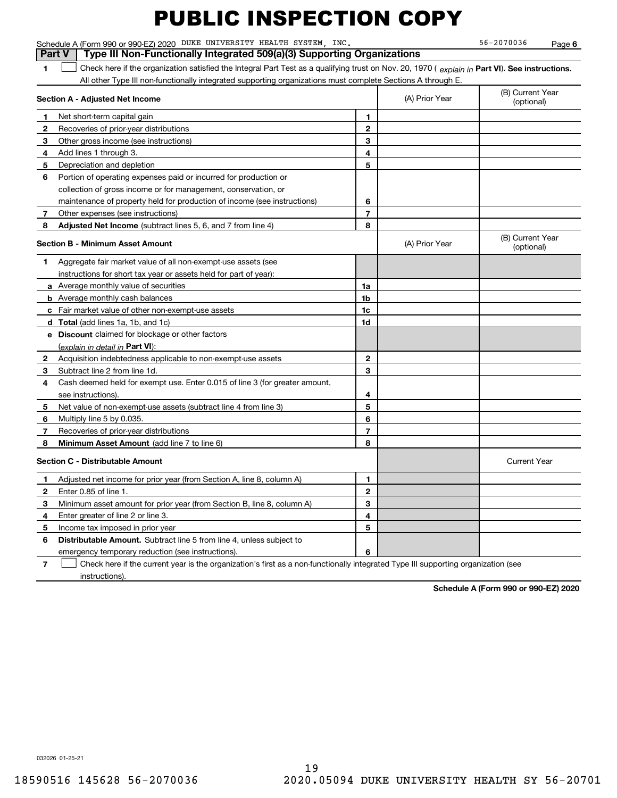**61Part VI** Check here if the organization satisfied the Integral Part Test as a qualifying trust on Nov. 20, 1970 ( *explain in* Part **VI**). See instructions. **Section A - Adjusted Net Income 123456** Portion of operating expenses paid or incurred for production or **7** Other expenses (see instructions) **8** Adjusted Net Income (subtract lines 5, 6, and 7 from line 4) **8 8 1234567Section B - Minimum Asset Amount 1**Aggregate fair market value of all non-exempt-use assets (see **2**Acquisition indebtedness applicable to non-exempt-use assets **3** Subtract line 2 from line 1d. **4**Cash deemed held for exempt use. Enter 0.015 of line 3 (for greater amount, **5** Net value of non-exempt-use assets (subtract line 4 from line 3) **678a** Average monthly value of securities **b** Average monthly cash balances **c**Fair market value of other non-exempt-use assets **dTotal**  (add lines 1a, 1b, and 1c) **eDiscount** claimed for blockage or other factors **1a1b1c1d2345678**<u>(explain in detail in **Part VI**):</u> **Minimum Asset Amount**  (add line 7 to line 6) **Section C - Distributable Amount 123456123456Distributable Amount.** Subtract line 5 from line 4, unless subject to Schedule A (Form 990 or 990-EZ) 2020 Page DUKE UNIVERSITY HEALTH SYSTEM, INC. 56-2070036 All other Type III non-functionally integrated supporting organizations must complete Sections A through E. (B) Current Year (optional)(A) Prior Year Net short-term capital gain Recoveries of prior-year distributions Other gross income (see instructions) Add lines 1 through 3. Depreciation and depletion collection of gross income or for management, conservation, or maintenance of property held for production of income (see instructions) (B) Current Year (optional)(A) Prior Year instructions for short tax year or assets held for part of year): see instructions). Multiply line 5 by 0.035. Recoveries of prior-year distributions Current Year Adjusted net income for prior year (from Section A, line 8, column A) Enter 0.85 of line 1. Minimum asset amount for prior year (from Section B, line 8, column A) Enter greater of line 2 or line 3. Income tax imposed in prior year emergency temporary reduction (see instructions). **Part V Type III Non-Functionally Integrated 509(a)(3) Supporting Organizations**   $\mathcal{L}^{\text{max}}$ 

**7**Check here if the current year is the organization's first as a non-functionally integrated Type III supporting organization (see instructions). $\mathcal{L}^{\text{max}}$ 

**Schedule A (Form 990 or 990-EZ) 2020**

032026 01-25-21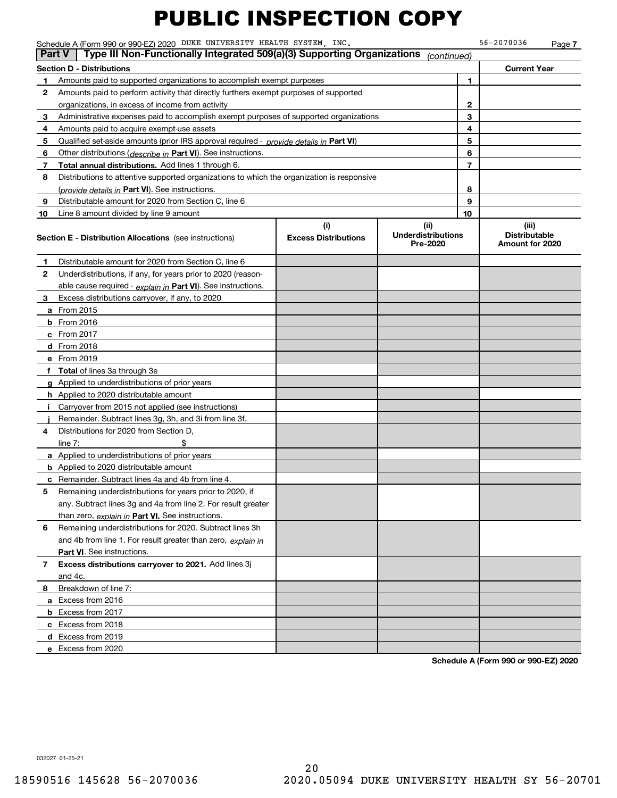|                | Schedule A (Form 990 or 990-EZ) 2020 DUKE UNIVERSITY HEALTH SYSTEM, INC.                   |                                    |                                               |    | 56-2070036                                       | Page 7 |
|----------------|--------------------------------------------------------------------------------------------|------------------------------------|-----------------------------------------------|----|--------------------------------------------------|--------|
|                | Type III Non-Functionally Integrated 509(a)(3) Supporting Organizations<br>Part V          |                                    | (continued)                                   |    |                                                  |        |
|                | <b>Section D - Distributions</b>                                                           |                                    |                                               |    | <b>Current Year</b>                              |        |
| 1              | Amounts paid to supported organizations to accomplish exempt purposes                      |                                    |                                               | 1. |                                                  |        |
| 2              | Amounts paid to perform activity that directly furthers exempt purposes of supported       |                                    |                                               |    |                                                  |        |
|                | organizations, in excess of income from activity                                           |                                    |                                               | 2  |                                                  |        |
| 3              | Administrative expenses paid to accomplish exempt purposes of supported organizations      |                                    |                                               | 3  |                                                  |        |
| 4              | Amounts paid to acquire exempt-use assets                                                  | 4                                  |                                               |    |                                                  |        |
| 5              | Qualified set-aside amounts (prior IRS approval required - provide details in Part VI)     |                                    |                                               | 5  |                                                  |        |
| 6              | Other distributions (describe in Part VI). See instructions.                               |                                    |                                               | 6  |                                                  |        |
| 7 <sup>7</sup> | Total annual distributions. Add lines 1 through 6.                                         |                                    |                                               | 7  |                                                  |        |
| 8              | Distributions to attentive supported organizations to which the organization is responsive |                                    |                                               |    |                                                  |        |
|                | (provide details in Part VI). See instructions.                                            |                                    |                                               | 8  |                                                  |        |
| 9              | Distributable amount for 2020 from Section C, line 6                                       |                                    |                                               | 9  |                                                  |        |
| 10             | Line 8 amount divided by line 9 amount                                                     |                                    |                                               | 10 |                                                  |        |
|                | <b>Section E - Distribution Allocations</b> (see instructions)                             | (i)<br><b>Excess Distributions</b> | (ii)<br><b>Underdistributions</b><br>Pre-2020 |    | (iii)<br><b>Distributable</b><br>Amount for 2020 |        |
| 1.             | Distributable amount for 2020 from Section C, line 6                                       |                                    |                                               |    |                                                  |        |
| $\mathbf{2}$   | Underdistributions, if any, for years prior to 2020 (reason-                               |                                    |                                               |    |                                                  |        |
|                | able cause required - explain in Part VI). See instructions.                               |                                    |                                               |    |                                                  |        |
| 3              | Excess distributions carryover, if any, to 2020                                            |                                    |                                               |    |                                                  |        |
|                | <b>a</b> From 2015                                                                         |                                    |                                               |    |                                                  |        |
|                | <b>b</b> From 2016                                                                         |                                    |                                               |    |                                                  |        |
|                | c From 2017                                                                                |                                    |                                               |    |                                                  |        |
|                | d From 2018                                                                                |                                    |                                               |    |                                                  |        |
|                | e From 2019                                                                                |                                    |                                               |    |                                                  |        |
|                | f Total of lines 3a through 3e                                                             |                                    |                                               |    |                                                  |        |
|                | g Applied to underdistributions of prior years                                             |                                    |                                               |    |                                                  |        |
|                | <b>h</b> Applied to 2020 distributable amount                                              |                                    |                                               |    |                                                  |        |
|                | i Carryover from 2015 not applied (see instructions)                                       |                                    |                                               |    |                                                  |        |
|                | Remainder. Subtract lines 3g, 3h, and 3i from line 3f.                                     |                                    |                                               |    |                                                  |        |
| 4              | Distributions for 2020 from Section D,                                                     |                                    |                                               |    |                                                  |        |
|                | line $7:$                                                                                  |                                    |                                               |    |                                                  |        |
|                | <b>a</b> Applied to underdistributions of prior years                                      |                                    |                                               |    |                                                  |        |
|                | <b>b</b> Applied to 2020 distributable amount                                              |                                    |                                               |    |                                                  |        |
|                | c Remainder. Subtract lines 4a and 4b from line 4.                                         |                                    |                                               |    |                                                  |        |
| 5              | Remaining underdistributions for years prior to 2020, if                                   |                                    |                                               |    |                                                  |        |
|                | any. Subtract lines 3g and 4a from line 2. For result greater                              |                                    |                                               |    |                                                  |        |
|                | than zero, explain in Part VI. See instructions.                                           |                                    |                                               |    |                                                  |        |
| 6              | Remaining underdistributions for 2020. Subtract lines 3h                                   |                                    |                                               |    |                                                  |        |
|                | and 4b from line 1. For result greater than zero, explain in                               |                                    |                                               |    |                                                  |        |
|                | Part VI. See instructions.                                                                 |                                    |                                               |    |                                                  |        |
| 7              | Excess distributions carryover to 2021. Add lines 3j                                       |                                    |                                               |    |                                                  |        |
|                | and 4c.                                                                                    |                                    |                                               |    |                                                  |        |
| 8              | Breakdown of line 7:                                                                       |                                    |                                               |    |                                                  |        |
|                | a Excess from 2016                                                                         |                                    |                                               |    |                                                  |        |
|                | <b>b</b> Excess from 2017                                                                  |                                    |                                               |    |                                                  |        |
|                | c Excess from 2018                                                                         |                                    |                                               |    |                                                  |        |
|                | d Excess from 2019                                                                         |                                    |                                               |    |                                                  |        |
|                | e Excess from 2020                                                                         |                                    |                                               |    |                                                  |        |
|                |                                                                                            |                                    |                                               |    |                                                  |        |

**Schedule A (Form 990 or 990-EZ) 2020**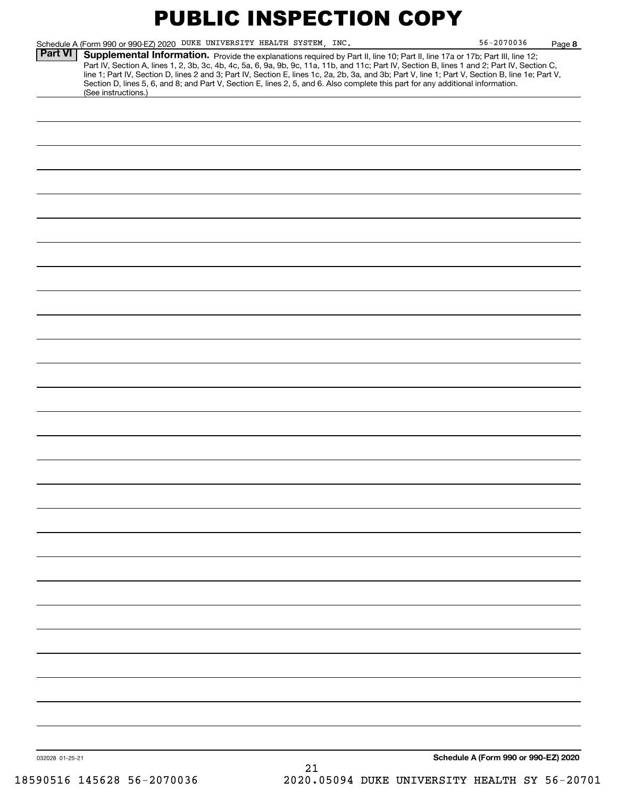|                 | Schedule A (Form 990 or 990-EZ) 2020 DUKE UNIVERSITY HEALTH SYSTEM, INC.                                                                                                                                                                                                                                                                                                                                                                                                                                                                                                                    |    | 56-2070036                           | Page 8 |
|-----------------|---------------------------------------------------------------------------------------------------------------------------------------------------------------------------------------------------------------------------------------------------------------------------------------------------------------------------------------------------------------------------------------------------------------------------------------------------------------------------------------------------------------------------------------------------------------------------------------------|----|--------------------------------------|--------|
| <b>Part VI</b>  | Supplemental Information. Provide the explanations required by Part II, line 10; Part II, line 17a or 17b; Part III, line 12;<br>Part IV, Section A, lines 1, 2, 3b, 3c, 4b, 4c, 5a, 6, 9a, 9b, 9c, 11a, 11b, and 11c; Part IV, Section B, lines 1 and 2; Part IV, Section C,<br>line 1; Part IV, Section D, lines 2 and 3; Part IV, Section E, lines 1c, 2a, 2b, 3a, and 3b; Part V, line 1; Part V, Section B, line 1e; Part V,<br>Section D, lines 5, 6, and 8; and Part V, Section E, lines 2, 5, and 6. Also complete this part for any additional information.<br>(See instructions.) |    |                                      |        |
|                 |                                                                                                                                                                                                                                                                                                                                                                                                                                                                                                                                                                                             |    |                                      |        |
|                 |                                                                                                                                                                                                                                                                                                                                                                                                                                                                                                                                                                                             |    |                                      |        |
|                 |                                                                                                                                                                                                                                                                                                                                                                                                                                                                                                                                                                                             |    |                                      |        |
|                 |                                                                                                                                                                                                                                                                                                                                                                                                                                                                                                                                                                                             |    |                                      |        |
|                 |                                                                                                                                                                                                                                                                                                                                                                                                                                                                                                                                                                                             |    |                                      |        |
|                 |                                                                                                                                                                                                                                                                                                                                                                                                                                                                                                                                                                                             |    |                                      |        |
|                 |                                                                                                                                                                                                                                                                                                                                                                                                                                                                                                                                                                                             |    |                                      |        |
|                 |                                                                                                                                                                                                                                                                                                                                                                                                                                                                                                                                                                                             |    |                                      |        |
|                 |                                                                                                                                                                                                                                                                                                                                                                                                                                                                                                                                                                                             |    |                                      |        |
|                 |                                                                                                                                                                                                                                                                                                                                                                                                                                                                                                                                                                                             |    |                                      |        |
|                 |                                                                                                                                                                                                                                                                                                                                                                                                                                                                                                                                                                                             |    |                                      |        |
|                 |                                                                                                                                                                                                                                                                                                                                                                                                                                                                                                                                                                                             |    |                                      |        |
|                 |                                                                                                                                                                                                                                                                                                                                                                                                                                                                                                                                                                                             |    |                                      |        |
|                 |                                                                                                                                                                                                                                                                                                                                                                                                                                                                                                                                                                                             |    |                                      |        |
|                 |                                                                                                                                                                                                                                                                                                                                                                                                                                                                                                                                                                                             |    |                                      |        |
|                 |                                                                                                                                                                                                                                                                                                                                                                                                                                                                                                                                                                                             |    |                                      |        |
|                 |                                                                                                                                                                                                                                                                                                                                                                                                                                                                                                                                                                                             |    |                                      |        |
|                 |                                                                                                                                                                                                                                                                                                                                                                                                                                                                                                                                                                                             |    |                                      |        |
|                 |                                                                                                                                                                                                                                                                                                                                                                                                                                                                                                                                                                                             |    |                                      |        |
|                 |                                                                                                                                                                                                                                                                                                                                                                                                                                                                                                                                                                                             |    |                                      |        |
|                 |                                                                                                                                                                                                                                                                                                                                                                                                                                                                                                                                                                                             |    |                                      |        |
|                 |                                                                                                                                                                                                                                                                                                                                                                                                                                                                                                                                                                                             |    |                                      |        |
|                 |                                                                                                                                                                                                                                                                                                                                                                                                                                                                                                                                                                                             |    |                                      |        |
|                 |                                                                                                                                                                                                                                                                                                                                                                                                                                                                                                                                                                                             |    |                                      |        |
|                 |                                                                                                                                                                                                                                                                                                                                                                                                                                                                                                                                                                                             |    |                                      |        |
|                 |                                                                                                                                                                                                                                                                                                                                                                                                                                                                                                                                                                                             |    |                                      |        |
|                 |                                                                                                                                                                                                                                                                                                                                                                                                                                                                                                                                                                                             |    |                                      |        |
| 032028 01-25-21 |                                                                                                                                                                                                                                                                                                                                                                                                                                                                                                                                                                                             | 21 | Schedule A (Form 990 or 990-EZ) 2020 |        |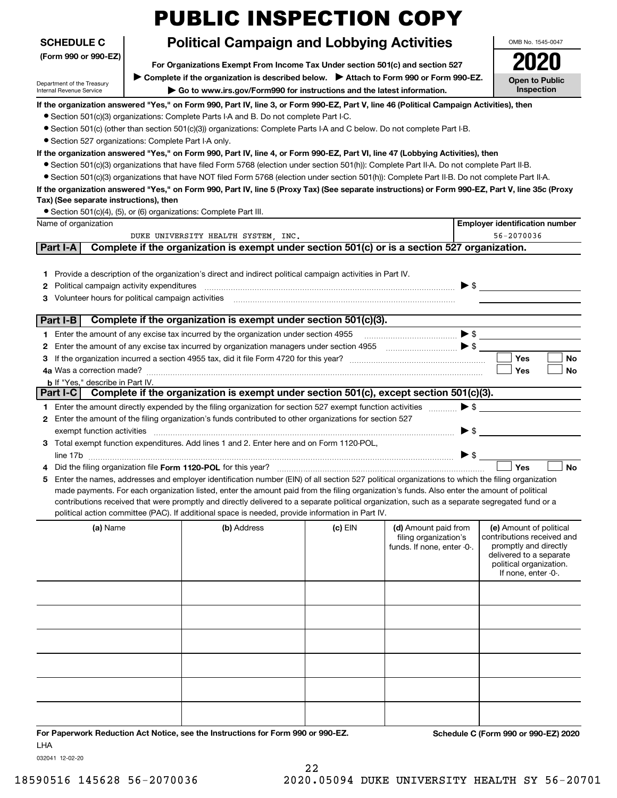|                                                                      | <b>PUBLIC INSPECTION COPY</b>                                                                                                                                                                                                                                                                                                                                                                                                                                                                                                                        |           |                                                                             |                          |                                                                                                                                                             |
|----------------------------------------------------------------------|------------------------------------------------------------------------------------------------------------------------------------------------------------------------------------------------------------------------------------------------------------------------------------------------------------------------------------------------------------------------------------------------------------------------------------------------------------------------------------------------------------------------------------------------------|-----------|-----------------------------------------------------------------------------|--------------------------|-------------------------------------------------------------------------------------------------------------------------------------------------------------|
| <b>SCHEDULE C</b>                                                    | <b>Political Campaign and Lobbying Activities</b>                                                                                                                                                                                                                                                                                                                                                                                                                                                                                                    |           |                                                                             |                          | OMB No. 1545-0047                                                                                                                                           |
| (Form 990 or 990-EZ)                                                 |                                                                                                                                                                                                                                                                                                                                                                                                                                                                                                                                                      |           |                                                                             |                          |                                                                                                                                                             |
|                                                                      | For Organizations Exempt From Income Tax Under section 501(c) and section 527                                                                                                                                                                                                                                                                                                                                                                                                                                                                        |           |                                                                             |                          |                                                                                                                                                             |
| Department of the Treasury<br>Internal Revenue Service               | <b>Open to Public</b><br>Inspection                                                                                                                                                                                                                                                                                                                                                                                                                                                                                                                  |           |                                                                             |                          |                                                                                                                                                             |
|                                                                      | If the organization answered "Yes," on Form 990, Part IV, line 3, or Form 990-EZ, Part V, line 46 (Political Campaign Activities), then                                                                                                                                                                                                                                                                                                                                                                                                              |           |                                                                             |                          |                                                                                                                                                             |
|                                                                      | • Section 501(c)(3) organizations: Complete Parts I-A and B. Do not complete Part I-C.                                                                                                                                                                                                                                                                                                                                                                                                                                                               |           |                                                                             |                          |                                                                                                                                                             |
|                                                                      | $\bullet$ Section 501(c) (other than section 501(c)(3)) organizations: Complete Parts I-A and C below. Do not complete Part I-B.                                                                                                                                                                                                                                                                                                                                                                                                                     |           |                                                                             |                          |                                                                                                                                                             |
| · Section 527 organizations: Complete Part I-A only.                 |                                                                                                                                                                                                                                                                                                                                                                                                                                                                                                                                                      |           |                                                                             |                          |                                                                                                                                                             |
|                                                                      | If the organization answered "Yes," on Form 990, Part IV, line 4, or Form 990-EZ, Part VI, line 47 (Lobbying Activities), then                                                                                                                                                                                                                                                                                                                                                                                                                       |           |                                                                             |                          |                                                                                                                                                             |
|                                                                      | • Section 501(c)(3) organizations that have filed Form 5768 (election under section 501(h)): Complete Part II-A. Do not complete Part II-B.                                                                                                                                                                                                                                                                                                                                                                                                          |           |                                                                             |                          |                                                                                                                                                             |
|                                                                      | • Section 501(c)(3) organizations that have NOT filed Form 5768 (election under section 501(h)): Complete Part II-B. Do not complete Part II-A.                                                                                                                                                                                                                                                                                                                                                                                                      |           |                                                                             |                          |                                                                                                                                                             |
| Tax) (See separate instructions), then                               | If the organization answered "Yes," on Form 990, Part IV, line 5 (Proxy Tax) (See separate instructions) or Form 990-EZ, Part V, line 35c (Proxy                                                                                                                                                                                                                                                                                                                                                                                                     |           |                                                                             |                          |                                                                                                                                                             |
| • Section 501(c)(4), (5), or (6) organizations: Complete Part III.   |                                                                                                                                                                                                                                                                                                                                                                                                                                                                                                                                                      |           |                                                                             |                          |                                                                                                                                                             |
| Name of organization                                                 |                                                                                                                                                                                                                                                                                                                                                                                                                                                                                                                                                      |           |                                                                             |                          | <b>Employer identification number</b>                                                                                                                       |
|                                                                      | DUKE UNIVERSITY HEALTH SYSTEM, INC.                                                                                                                                                                                                                                                                                                                                                                                                                                                                                                                  |           |                                                                             |                          | 56-2070036                                                                                                                                                  |
| Part I-A                                                             | Complete if the organization is exempt under section 501(c) or is a section 527 organization.                                                                                                                                                                                                                                                                                                                                                                                                                                                        |           |                                                                             |                          |                                                                                                                                                             |
|                                                                      |                                                                                                                                                                                                                                                                                                                                                                                                                                                                                                                                                      |           |                                                                             |                          |                                                                                                                                                             |
| Political campaign activity expenditures<br>2<br>3                   | 1 Provide a description of the organization's direct and indirect political campaign activities in Part IV.                                                                                                                                                                                                                                                                                                                                                                                                                                          |           |                                                                             | $\triangleright$ \$      |                                                                                                                                                             |
| Part I-B                                                             | Complete if the organization is exempt under section 501(c)(3).                                                                                                                                                                                                                                                                                                                                                                                                                                                                                      |           |                                                                             |                          |                                                                                                                                                             |
|                                                                      |                                                                                                                                                                                                                                                                                                                                                                                                                                                                                                                                                      |           |                                                                             |                          |                                                                                                                                                             |
|                                                                      | 1 Enter the amount of any excise tax incurred by the organization under section 4955                                                                                                                                                                                                                                                                                                                                                                                                                                                                 |           |                                                                             | $\blacktriangleright$ \$ |                                                                                                                                                             |
| 2                                                                    | Enter the amount of any excise tax incurred by organization managers under section 4955                                                                                                                                                                                                                                                                                                                                                                                                                                                              |           | $\bullet$                                                                   |                          |                                                                                                                                                             |
| з                                                                    |                                                                                                                                                                                                                                                                                                                                                                                                                                                                                                                                                      |           |                                                                             |                          | <b>Yes</b><br><b>No</b><br><b>Yes</b><br>No                                                                                                                 |
| 4a Was a correction made?<br><b>b</b> If "Yes," describe in Part IV. |                                                                                                                                                                                                                                                                                                                                                                                                                                                                                                                                                      |           |                                                                             |                          |                                                                                                                                                             |
| Part I-C                                                             | Complete if the organization is exempt under section 501(c), except section 501(c)(3).                                                                                                                                                                                                                                                                                                                                                                                                                                                               |           |                                                                             |                          |                                                                                                                                                             |
|                                                                      | 1 Enter the amount directly expended by the filing organization for section 527 exempt function activities                                                                                                                                                                                                                                                                                                                                                                                                                                           |           |                                                                             | $\blacktriangleright$ \$ |                                                                                                                                                             |
|                                                                      | 2 Enter the amount of the filing organization's funds contributed to other organizations for section 527                                                                                                                                                                                                                                                                                                                                                                                                                                             |           |                                                                             |                          |                                                                                                                                                             |
| exempt function activities                                           |                                                                                                                                                                                                                                                                                                                                                                                                                                                                                                                                                      |           |                                                                             | $\blacktriangleright$ \$ |                                                                                                                                                             |
|                                                                      | 3 Total exempt function expenditures. Add lines 1 and 2. Enter here and on Form 1120-POL,                                                                                                                                                                                                                                                                                                                                                                                                                                                            |           |                                                                             |                          |                                                                                                                                                             |
| line 1/b                                                             |                                                                                                                                                                                                                                                                                                                                                                                                                                                                                                                                                      |           |                                                                             | $\blacktriangleright$ \$ |                                                                                                                                                             |
|                                                                      | Did the filing organization file Form 1120-POL for this year?                                                                                                                                                                                                                                                                                                                                                                                                                                                                                        |           |                                                                             |                          | <b>No</b><br>Yes                                                                                                                                            |
| 5                                                                    | Enter the names, addresses and employer identification number (EIN) of all section 527 political organizations to which the filing organization<br>made payments. For each organization listed, enter the amount paid from the filing organization's funds. Also enter the amount of political<br>contributions received that were promptly and directly delivered to a separate political organization, such as a separate segregated fund or a<br>political action committee (PAC). If additional space is needed, provide information in Part IV. |           |                                                                             |                          |                                                                                                                                                             |
| (a) Name                                                             | (b) Address                                                                                                                                                                                                                                                                                                                                                                                                                                                                                                                                          | $(c)$ EIN | (d) Amount paid from<br>filing organization's<br>funds. If none, enter -0-. |                          | (e) Amount of political<br>contributions received and<br>promptly and directly<br>delivered to a separate<br>political organization.<br>If none, enter -0-. |
|                                                                      |                                                                                                                                                                                                                                                                                                                                                                                                                                                                                                                                                      |           |                                                                             |                          |                                                                                                                                                             |
|                                                                      |                                                                                                                                                                                                                                                                                                                                                                                                                                                                                                                                                      |           |                                                                             |                          |                                                                                                                                                             |
|                                                                      |                                                                                                                                                                                                                                                                                                                                                                                                                                                                                                                                                      |           |                                                                             |                          |                                                                                                                                                             |
|                                                                      |                                                                                                                                                                                                                                                                                                                                                                                                                                                                                                                                                      |           |                                                                             |                          |                                                                                                                                                             |
|                                                                      |                                                                                                                                                                                                                                                                                                                                                                                                                                                                                                                                                      |           |                                                                             |                          |                                                                                                                                                             |
|                                                                      |                                                                                                                                                                                                                                                                                                                                                                                                                                                                                                                                                      |           |                                                                             |                          |                                                                                                                                                             |

**For Paperwork Reduction Act Notice, see the Instructions for Form 990 or 990-EZ. Schedule C (Form 990 or 990-EZ) 2020** LHA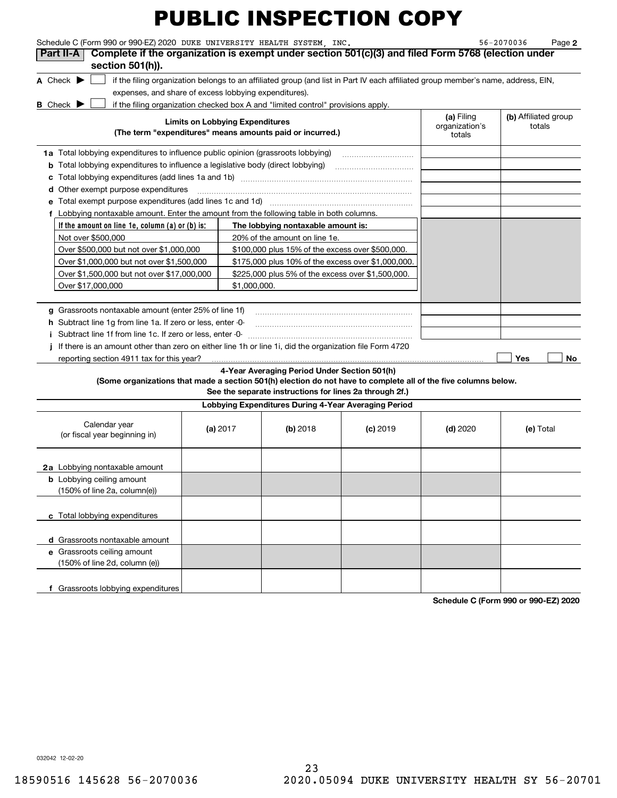| Schedule C (Form 990 or 990-EZ) 2020 DUKE UNIVERSITY HEALTH SYSTEM. INC.                                                                                           |                                        |                                                         |            |                              | 56-2070036<br>Page 2           |
|--------------------------------------------------------------------------------------------------------------------------------------------------------------------|----------------------------------------|---------------------------------------------------------|------------|------------------------------|--------------------------------|
| Complete if the organization is exempt under section 501(c)(3) and filed Form 5768 (election under<br>Part II-A                                                    |                                        |                                                         |            |                              |                                |
| section 501(h)).                                                                                                                                                   |                                        |                                                         |            |                              |                                |
| A Check $\blacktriangleright$<br>if the filing organization belongs to an affiliated group (and list in Part IV each affiliated group member's name, address, EIN, |                                        |                                                         |            |                              |                                |
| expenses, and share of excess lobbying expenditures).                                                                                                              |                                        |                                                         |            |                              |                                |
| if the filing organization checked box A and "limited control" provisions apply.<br><b>B</b> Check                                                                 |                                        |                                                         |            |                              |                                |
|                                                                                                                                                                    | <b>Limits on Lobbying Expenditures</b> |                                                         |            | (a) Filing<br>organization's | (b) Affiliated group<br>totals |
| (The term "expenditures" means amounts paid or incurred.)                                                                                                          |                                        |                                                         |            | totals                       |                                |
| 1a Total lobbying expenditures to influence public opinion (grassroots lobbying)                                                                                   |                                        |                                                         |            |                              |                                |
| <b>b</b> Total lobbying expenditures to influence a legislative body (direct lobbying)                                                                             |                                        |                                                         |            |                              |                                |
|                                                                                                                                                                    |                                        |                                                         |            |                              |                                |
| <b>d</b> Other exempt purpose expenditures                                                                                                                         |                                        |                                                         |            |                              |                                |
| e Total exempt purpose expenditures (add lines 1c and 1d)                                                                                                          |                                        |                                                         |            |                              |                                |
| f Lobbying nontaxable amount. Enter the amount from the following table in both columns.                                                                           |                                        |                                                         |            |                              |                                |
| If the amount on line 1e, column (a) or (b) is:                                                                                                                    |                                        | The lobbying nontaxable amount is:                      |            |                              |                                |
| Not over \$500,000                                                                                                                                                 |                                        | 20% of the amount on line 1e.                           |            |                              |                                |
| Over \$500,000 but not over \$1,000,000                                                                                                                            |                                        | \$100,000 plus 15% of the excess over \$500,000.        |            |                              |                                |
| Over \$1,000,000 but not over \$1,500,000                                                                                                                          |                                        | \$175,000 plus 10% of the excess over \$1,000,000.      |            |                              |                                |
| Over \$1,500,000 but not over \$17,000,000                                                                                                                         |                                        | \$225,000 plus 5% of the excess over \$1,500,000.       |            |                              |                                |
| Over \$17,000,000                                                                                                                                                  | \$1,000,000.                           |                                                         |            |                              |                                |
|                                                                                                                                                                    |                                        |                                                         |            |                              |                                |
| g Grassroots nontaxable amount (enter 25% of line 1f)                                                                                                              |                                        |                                                         |            |                              |                                |
| <b>h</b> Subtract line 1g from line 1a. If zero or less, enter -0-                                                                                                 |                                        |                                                         |            |                              |                                |
| Subtract line 1f from line 1c. If zero or less, enter -0-                                                                                                          |                                        |                                                         |            |                              |                                |
| If there is an amount other than zero on either line 1h or line 1i, did the organization file Form 4720                                                            |                                        |                                                         |            |                              |                                |
| reporting section 4911 tax for this year?                                                                                                                          |                                        |                                                         |            |                              | <b>Yes</b><br>No               |
|                                                                                                                                                                    |                                        | 4-Year Averaging Period Under Section 501(h)            |            |                              |                                |
| (Some organizations that made a section 501(h) election do not have to complete all of the five columns below.                                                     |                                        | See the separate instructions for lines 2a through 2f.) |            |                              |                                |
|                                                                                                                                                                    |                                        | Lobbying Expenditures During 4-Year Averaging Period    |            |                              |                                |
|                                                                                                                                                                    |                                        |                                                         |            |                              |                                |
| Calendar year<br>(or fiscal year beginning in)                                                                                                                     | (a) $2017$                             | (b) 2018                                                | $(c)$ 2019 | $(d)$ 2020                   | (e) Total                      |
|                                                                                                                                                                    |                                        |                                                         |            |                              |                                |
|                                                                                                                                                                    |                                        |                                                         |            |                              |                                |
| <b>2a</b> Lobbying nontaxable amount                                                                                                                               |                                        |                                                         |            |                              |                                |
| <b>b</b> Lobbying ceiling amount                                                                                                                                   |                                        |                                                         |            |                              |                                |
| (150% of line 2a, column(e))                                                                                                                                       |                                        |                                                         |            |                              |                                |
|                                                                                                                                                                    |                                        |                                                         |            |                              |                                |
| c Total lobbying expenditures                                                                                                                                      |                                        |                                                         |            |                              |                                |
|                                                                                                                                                                    |                                        |                                                         |            |                              |                                |
| d Grassroots nontaxable amount                                                                                                                                     |                                        |                                                         |            |                              |                                |
| e Grassroots ceiling amount                                                                                                                                        |                                        |                                                         |            |                              |                                |
| (150% of line 2d, column (e))                                                                                                                                      |                                        |                                                         |            |                              |                                |
|                                                                                                                                                                    |                                        |                                                         |            |                              |                                |
| f Grassroots lobbying expenditures                                                                                                                                 |                                        |                                                         |            |                              |                                |

**Schedule C (Form 990 or 990-EZ) 2020**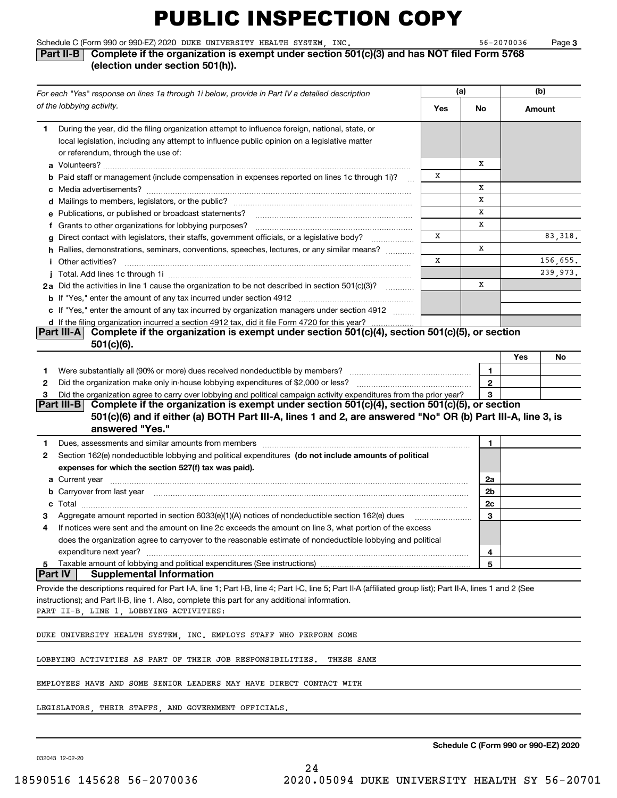| Schedule C (Form 990 or 990-EZ) 2020 DUKE UNIVERSITY HEALTH SYSTEM . |  | INC | 56-2070036 | Page |
|----------------------------------------------------------------------|--|-----|------------|------|

#### $56 - 2070036$

**3**

#### **Part II-B** Complete if the organization is exempt under section 501(c)(3) and has NOT filed Form 5768 **(election under section 501(h)).**

| For each "Yes" response on lines 1a through 1i below, provide in Part IV a detailed description |                                                                                                                                                                                                                                                                | (a) |              | (b)       |  |
|-------------------------------------------------------------------------------------------------|----------------------------------------------------------------------------------------------------------------------------------------------------------------------------------------------------------------------------------------------------------------|-----|--------------|-----------|--|
|                                                                                                 | of the lobbying activity.                                                                                                                                                                                                                                      | Yes | No           | Amount    |  |
| 1.                                                                                              | During the year, did the filing organization attempt to influence foreign, national, state, or                                                                                                                                                                 |     |              |           |  |
|                                                                                                 | local legislation, including any attempt to influence public opinion on a legislative matter                                                                                                                                                                   |     |              |           |  |
|                                                                                                 | or referendum, through the use of:                                                                                                                                                                                                                             |     |              |           |  |
|                                                                                                 |                                                                                                                                                                                                                                                                |     | х            |           |  |
|                                                                                                 | <b>b</b> Paid staff or management (include compensation in expenses reported on lines 1c through 1i)?                                                                                                                                                          | х   |              |           |  |
|                                                                                                 |                                                                                                                                                                                                                                                                |     | х            |           |  |
|                                                                                                 |                                                                                                                                                                                                                                                                |     | X            |           |  |
|                                                                                                 | e Publications, or published or broadcast statements?                                                                                                                                                                                                          |     | х            |           |  |
|                                                                                                 | f Grants to other organizations for lobbying purposes?                                                                                                                                                                                                         |     | х            |           |  |
|                                                                                                 | g Direct contact with legislators, their staffs, government officials, or a legislative body?<br>.                                                                                                                                                             | X   |              | 83,318.   |  |
|                                                                                                 | h Rallies, demonstrations, seminars, conventions, speeches, lectures, or any similar means?                                                                                                                                                                    |     | х            |           |  |
|                                                                                                 | <i>i</i> Other activities?                                                                                                                                                                                                                                     | X   |              | 156,655.  |  |
|                                                                                                 |                                                                                                                                                                                                                                                                |     |              | 239,973.  |  |
|                                                                                                 | 2a Did the activities in line 1 cause the organization to be not described in section 501(c)(3)?                                                                                                                                                               |     | X            |           |  |
|                                                                                                 | <b>b</b> If "Yes," enter the amount of any tax incurred under section 4912                                                                                                                                                                                     |     |              |           |  |
|                                                                                                 | c If "Yes," enter the amount of any tax incurred by organization managers under section 4912                                                                                                                                                                   |     |              |           |  |
|                                                                                                 | d If the filing organization incurred a section 4912 tax, did it file Form 4720 for this year?<br>Complete if the organization is exempt under section 501(c)(4), section 501(c)(5), or section<br><b>Part III-AI</b>                                          |     |              |           |  |
|                                                                                                 | $501(c)(6)$ .                                                                                                                                                                                                                                                  |     |              |           |  |
|                                                                                                 |                                                                                                                                                                                                                                                                |     |              | Yes<br>No |  |
| 1                                                                                               |                                                                                                                                                                                                                                                                |     | 1            |           |  |
| 2                                                                                               | Did the organization make only in-house lobbying expenditures of \$2,000 or less?                                                                                                                                                                              |     | $\mathbf{2}$ |           |  |
| 3                                                                                               | Did the organization agree to carry over lobbying and political campaign activity expenditures from the prior year?                                                                                                                                            |     | 3            |           |  |
|                                                                                                 | Part III-B Complete if the organization is exempt under section $501(c)(4)$ , section $501(c)(5)$ , or section                                                                                                                                                 |     |              |           |  |
|                                                                                                 | 501(c)(6) and if either (a) BOTH Part III-A, lines 1 and 2, are answered "No" OR (b) Part III-A, line 3, is                                                                                                                                                    |     |              |           |  |
|                                                                                                 | answered "Yes."                                                                                                                                                                                                                                                |     |              |           |  |
| 1.                                                                                              | Dues, assessments and similar amounts from members [111] www.communicallyness.communicallyness.communicallyness.com                                                                                                                                            |     | 1            |           |  |
| 2                                                                                               | Section 162(e) nondeductible lobbying and political expenditures (do not include amounts of political                                                                                                                                                          |     |              |           |  |
|                                                                                                 | expenses for which the section 527(f) tax was paid).                                                                                                                                                                                                           |     |              |           |  |
|                                                                                                 | <b>a</b> Current year                                                                                                                                                                                                                                          |     | 2a           |           |  |
|                                                                                                 | b Carryover from last year manufactured and contact the control of the control of the control of the control of the control of the control of the control of the control of the control of the control of the control of the c                                 |     | 2b           |           |  |
|                                                                                                 |                                                                                                                                                                                                                                                                |     | 2c           |           |  |
|                                                                                                 | Aggregate amount reported in section 6033(e)(1)(A) notices of nondeductible section 162(e) dues                                                                                                                                                                |     | 3            |           |  |
| 4                                                                                               | If notices were sent and the amount on line 2c exceeds the amount on line 3, what portion of the excess                                                                                                                                                        |     |              |           |  |
|                                                                                                 | does the organization agree to carryover to the reasonable estimate of nondeductible lobbying and political                                                                                                                                                    |     |              |           |  |
|                                                                                                 | expenditure next year?                                                                                                                                                                                                                                         |     | 4            |           |  |
| 5<br> Part IV                                                                                   | Taxable amount of lobbying and political expenditures (See instructions)<br><b>Supplemental Information</b>                                                                                                                                                    |     | 5            |           |  |
|                                                                                                 |                                                                                                                                                                                                                                                                |     |              |           |  |
|                                                                                                 | Provide the descriptions required for Part I-A, line 1; Part I-B, line 4; Part I-C, line 5; Part II-A (affiliated group list); Part II-A, lines 1 and 2 (See<br>instructions); and Part II-B, line 1. Also, complete this part for any additional information. |     |              |           |  |
|                                                                                                 | PART II-B, LINE 1, LOBBYING ACTIVITIES:                                                                                                                                                                                                                        |     |              |           |  |
|                                                                                                 |                                                                                                                                                                                                                                                                |     |              |           |  |
|                                                                                                 | DUKE UNIVERSITY HEALTH SYSTEM INC. EMPLOYS STAFF WHO PERFORM SOME                                                                                                                                                                                              |     |              |           |  |
|                                                                                                 | LOBBYING ACTIVITIES AS PART OF THEIR JOB RESPONSIBILITIES.<br>THESE SAME                                                                                                                                                                                       |     |              |           |  |
|                                                                                                 | EMPLOYEES HAVE AND SOME SENIOR LEADERS MAY HAVE DIRECT CONTACT WITH                                                                                                                                                                                            |     |              |           |  |
|                                                                                                 | LEGISLATORS, THEIR STAFFS, AND GOVERNMENT OFFICIALS.                                                                                                                                                                                                           |     |              |           |  |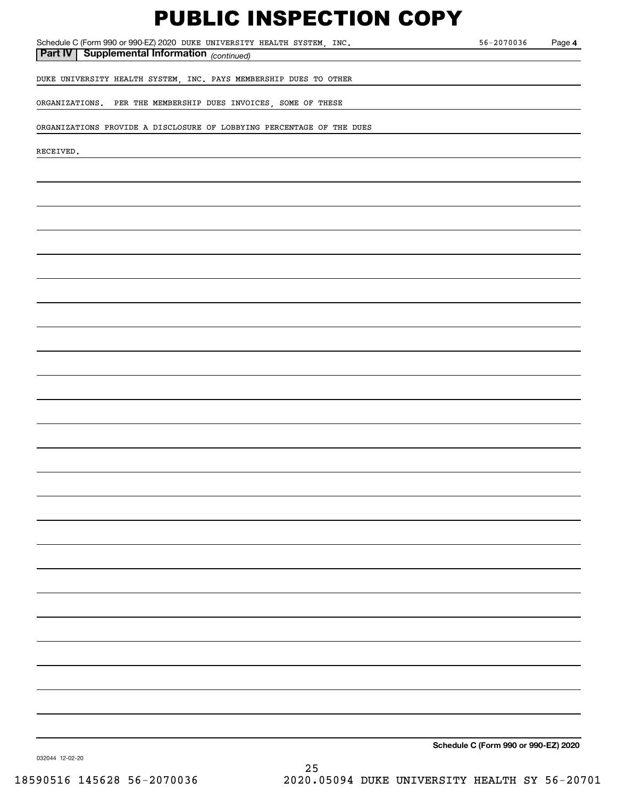Schedule C (Form 990 or 990-EZ) 2020 Page DUKE UNIVERSITY HEALTH SYSTEM, INC. 56-2070036

*(continued)* **Part IV Supplemental Information** 

**4**

DUKE UNIVERSITY HEALTH SYSTEM, INC. PAYS MEMBERSHIP DUES TO OTHER

ORGANIZATIONS. PER THE MEMBERSHIP DUES INVOICES, SOME OF THESE

ORGANIZATIONS PROVIDE A DISCLOSURE OF LOBBYING PERCENTAGE OF THE DUES

RECEIVED.

**Schedule C (Form 990 or 990-EZ) 2020**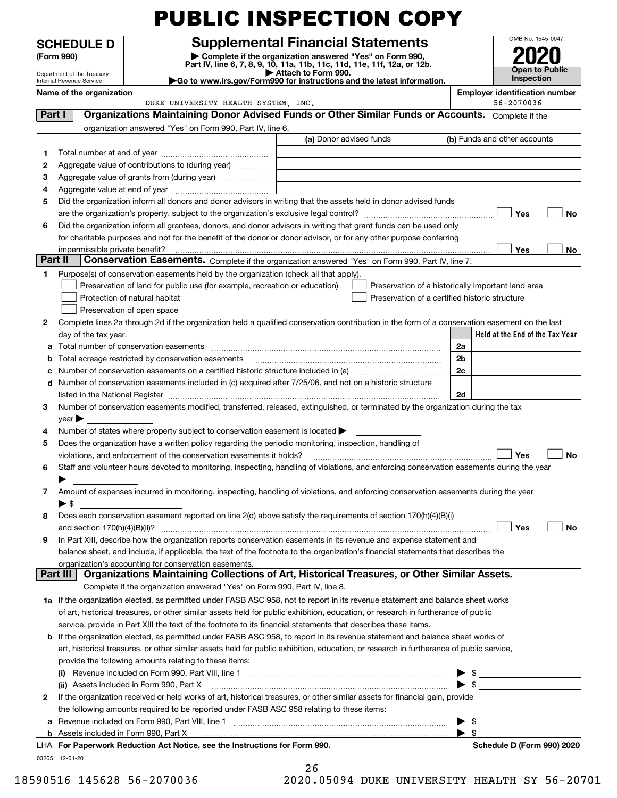|         |                                                               |                                                                                                        | <b>PUBLIC INSPECTION COPY</b>                                                                                                                                                                                                                 |    |                                                     |
|---------|---------------------------------------------------------------|--------------------------------------------------------------------------------------------------------|-----------------------------------------------------------------------------------------------------------------------------------------------------------------------------------------------------------------------------------------------|----|-----------------------------------------------------|
|         | <b>SCHEDULE D</b><br>(Form 990)<br>Department of the Treasury |                                                                                                        | <b>Supplemental Financial Statements</b><br>Complete if the organization answered "Yes" on Form 990,<br>Part IV, line 6, 7, 8, 9, 10, 11a, 11b, 11c, 11d, 11e, 11f, 12a, or 12b.<br>Attach to Form 990.                                       |    | OMB No. 1545-0047<br><b>Open to Public</b>          |
|         | Internal Revenue Service<br>Name of the organization          |                                                                                                        | Go to www.irs.gov/Form990 for instructions and the latest information.                                                                                                                                                                        |    | Inspection<br><b>Employer identification number</b> |
|         |                                                               | DUKE UNIVERSITY HEALTH SYSTEM, INC.                                                                    |                                                                                                                                                                                                                                               |    | 56-2070036                                          |
| Part I  |                                                               |                                                                                                        | Organizations Maintaining Donor Advised Funds or Other Similar Funds or Accounts. Complete if the                                                                                                                                             |    |                                                     |
|         |                                                               | organization answered "Yes" on Form 990, Part IV, line 6.                                              |                                                                                                                                                                                                                                               |    |                                                     |
|         |                                                               |                                                                                                        | (a) Donor advised funds                                                                                                                                                                                                                       |    | (b) Funds and other accounts                        |
| 1       |                                                               |                                                                                                        |                                                                                                                                                                                                                                               |    |                                                     |
| 2       |                                                               | Aggregate value of contributions to (during year)                                                      |                                                                                                                                                                                                                                               |    |                                                     |
| З       |                                                               | Aggregate value of grants from (during year)                                                           |                                                                                                                                                                                                                                               |    |                                                     |
| 4       |                                                               |                                                                                                        | Did the organization inform all donors and donor advisors in writing that the assets held in donor advised funds                                                                                                                              |    |                                                     |
| 5       |                                                               |                                                                                                        |                                                                                                                                                                                                                                               |    | Yes<br><b>No</b>                                    |
| 6       |                                                               |                                                                                                        | Did the organization inform all grantees, donors, and donor advisors in writing that grant funds can be used only                                                                                                                             |    |                                                     |
|         |                                                               |                                                                                                        | for charitable purposes and not for the benefit of the donor or donor advisor, or for any other purpose conferring                                                                                                                            |    |                                                     |
|         | impermissible private benefit?                                |                                                                                                        |                                                                                                                                                                                                                                               |    | Yes<br>No                                           |
| Part II |                                                               |                                                                                                        | Conservation Easements. Complete if the organization answered "Yes" on Form 990, Part IV, line 7.                                                                                                                                             |    |                                                     |
| 1.      |                                                               | Purpose(s) of conservation easements held by the organization (check all that apply).                  |                                                                                                                                                                                                                                               |    |                                                     |
|         |                                                               | Preservation of land for public use (for example, recreation or education)                             | Preservation of a historically important land area                                                                                                                                                                                            |    |                                                     |
|         |                                                               | Protection of natural habitat                                                                          | Preservation of a certified historic structure                                                                                                                                                                                                |    |                                                     |
|         |                                                               | Preservation of open space                                                                             |                                                                                                                                                                                                                                               |    |                                                     |
| 2       |                                                               |                                                                                                        | Complete lines 2a through 2d if the organization held a qualified conservation contribution in the form of a conservation easement on the last                                                                                                |    |                                                     |
|         | day of the tax year.                                          | Total number of conservation easements                                                                 |                                                                                                                                                                                                                                               | 2a | Held at the End of the Tax Year                     |
| а<br>b  |                                                               | Total acreage restricted by conservation easements                                                     |                                                                                                                                                                                                                                               | 2b |                                                     |
| с       |                                                               | Number of conservation easements on a certified historic structure included in (a)                     |                                                                                                                                                                                                                                               | 2c |                                                     |
| d       |                                                               |                                                                                                        | Number of conservation easements included in (c) acquired after 7/25/06, and not on a historic structure                                                                                                                                      |    |                                                     |
|         |                                                               |                                                                                                        | listed in the National Register [111] Marshall Register [11] Marshall Register [11] Marshall Register [11] Marshall Register [11] Marshall Register [11] Marshall Register [11] Marshall Register [11] Marshall Register [11]                 | 2d |                                                     |
| 3       |                                                               |                                                                                                        | Number of conservation easements modified, transferred, released, extinguished, or terminated by the organization during the tax                                                                                                              |    |                                                     |
|         | year $\blacktriangleright$                                    |                                                                                                        |                                                                                                                                                                                                                                               |    |                                                     |
| 4       |                                                               | Number of states where property subject to conservation easement is located >                          |                                                                                                                                                                                                                                               |    |                                                     |
| 5       |                                                               | Does the organization have a written policy regarding the periodic monitoring, inspection, handling of |                                                                                                                                                                                                                                               |    |                                                     |
|         |                                                               | violations, and enforcement of the conservation easements it holds?                                    |                                                                                                                                                                                                                                               |    | Yes<br>No                                           |
| 6       |                                                               |                                                                                                        | Staff and volunteer hours devoted to monitoring, inspecting, handling of violations, and enforcing conservation easements during the year                                                                                                     |    |                                                     |
| 7       |                                                               |                                                                                                        | Amount of expenses incurred in monitoring, inspecting, handling of violations, and enforcing conservation easements during the year                                                                                                           |    |                                                     |
|         | $\blacktriangleright$ \$                                      |                                                                                                        |                                                                                                                                                                                                                                               |    |                                                     |
| 8       |                                                               |                                                                                                        | Does each conservation easement reported on line 2(d) above satisfy the requirements of section 170(h)(4)(B)(i)                                                                                                                               |    |                                                     |
|         |                                                               |                                                                                                        |                                                                                                                                                                                                                                               |    | Yes<br><b>No</b>                                    |
| 9       |                                                               |                                                                                                        | In Part XIII, describe how the organization reports conservation easements in its revenue and expense statement and                                                                                                                           |    |                                                     |
|         |                                                               |                                                                                                        | balance sheet, and include, if applicable, the text of the footnote to the organization's financial statements that describes the                                                                                                             |    |                                                     |
|         |                                                               | organization's accounting for conservation easements.                                                  |                                                                                                                                                                                                                                               |    |                                                     |
|         | Part III                                                      |                                                                                                        | Organizations Maintaining Collections of Art, Historical Treasures, or Other Similar Assets.                                                                                                                                                  |    |                                                     |
|         |                                                               | Complete if the organization answered "Yes" on Form 990, Part IV, line 8.                              |                                                                                                                                                                                                                                               |    |                                                     |
|         |                                                               |                                                                                                        | 1a If the organization elected, as permitted under FASB ASC 958, not to report in its revenue statement and balance sheet works                                                                                                               |    |                                                     |
|         |                                                               |                                                                                                        | of art, historical treasures, or other similar assets held for public exhibition, education, or research in furtherance of public                                                                                                             |    |                                                     |
| b       |                                                               |                                                                                                        | service, provide in Part XIII the text of the footnote to its financial statements that describes these items.<br>If the organization elected, as permitted under FASB ASC 958, to report in its revenue statement and balance sheet works of |    |                                                     |
|         |                                                               |                                                                                                        | art, historical treasures, or other similar assets held for public exhibition, education, or research in furtherance of public service,                                                                                                       |    |                                                     |
|         |                                                               | provide the following amounts relating to these items:                                                 |                                                                                                                                                                                                                                               |    |                                                     |
|         | (i)                                                           |                                                                                                        |                                                                                                                                                                                                                                               |    | $\frac{1}{2}$                                       |
|         |                                                               |                                                                                                        | (ii) Assets included in Form 990, Part X [11] mathematic material mathematic methods in Form 1990, Part X                                                                                                                                     |    | $\triangleright$ \$                                 |
| 2       |                                                               |                                                                                                        | If the organization received or held works of art, historical treasures, or other similar assets for financial gain, provide                                                                                                                  |    |                                                     |
|         |                                                               | the following amounts required to be reported under FASB ASC 958 relating to these items:              |                                                                                                                                                                                                                                               |    |                                                     |
| а       |                                                               |                                                                                                        |                                                                                                                                                                                                                                               |    | $\frac{1}{2}$                                       |
|         |                                                               |                                                                                                        |                                                                                                                                                                                                                                               | \$ |                                                     |
|         |                                                               | LHA For Paperwork Reduction Act Notice, see the Instructions for Form 990.                             |                                                                                                                                                                                                                                               |    | Schedule D (Form 990) 2020                          |

032051 12-01-20

| 26 |          |     |
|----|----------|-----|
|    | ,, ,r,,, | --- |

18590516 145628 56-2070036 2020.05094 DUKE UNIVERSITY HEALTH SY 56-20701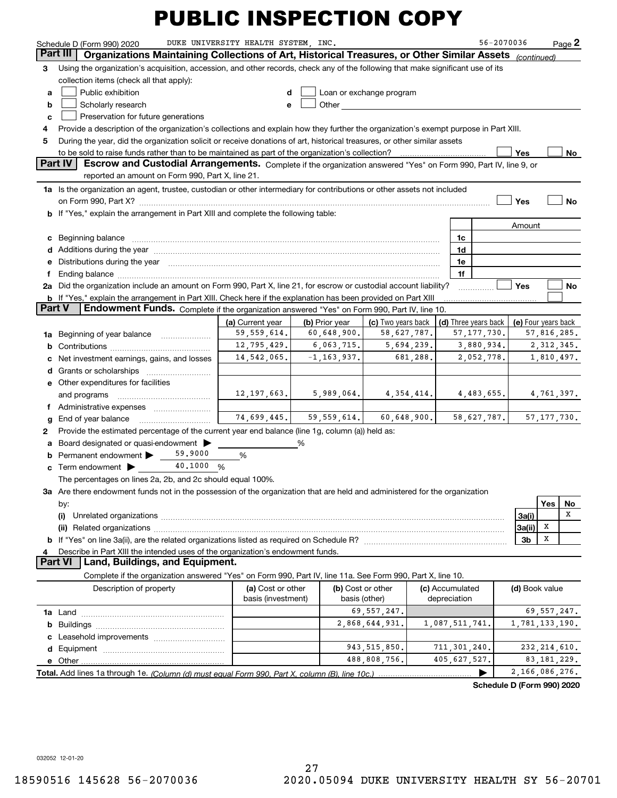|        | Schedule D (Form 990) 2020                                                                                                                                                                                                     | DUKE UNIVERSITY HEALTH SYSTEM, INC.     |                 |                                    |          |                                 | 56-2070036           |                     |                | Page $2$  |
|--------|--------------------------------------------------------------------------------------------------------------------------------------------------------------------------------------------------------------------------------|-----------------------------------------|-----------------|------------------------------------|----------|---------------------------------|----------------------|---------------------|----------------|-----------|
|        | Organizations Maintaining Collections of Art, Historical Treasures, or Other Similar Assets<br>Part III                                                                                                                        |                                         |                 |                                    |          |                                 |                      | (continued)         |                |           |
| 3      | Using the organization's acquisition, accession, and other records, check any of the following that make significant use of its                                                                                                |                                         |                 |                                    |          |                                 |                      |                     |                |           |
|        | collection items (check all that apply):                                                                                                                                                                                       |                                         |                 |                                    |          |                                 |                      |                     |                |           |
| a      | Public exhibition                                                                                                                                                                                                              | d                                       |                 | Loan or exchange program           |          |                                 |                      |                     |                |           |
| b      | Scholarly research                                                                                                                                                                                                             | е                                       | Other           |                                    |          |                                 |                      |                     |                |           |
| c      | Preservation for future generations                                                                                                                                                                                            |                                         |                 |                                    |          |                                 |                      |                     |                |           |
| 4      | Provide a description of the organization's collections and explain how they further the organization's exempt purpose in Part XIII.                                                                                           |                                         |                 |                                    |          |                                 |                      |                     |                |           |
| 5      | During the year, did the organization solicit or receive donations of art, historical treasures, or other similar assets                                                                                                       |                                         |                 |                                    |          |                                 |                      |                     |                |           |
|        | to be sold to raise funds rather than to be maintained as part of the organization's collection?                                                                                                                               |                                         |                 |                                    |          |                                 |                      | Yes                 |                | No        |
|        | Part IV<br>Escrow and Custodial Arrangements. Complete if the organization answered "Yes" on Form 990, Part IV, line 9, or                                                                                                     |                                         |                 |                                    |          |                                 |                      |                     |                |           |
|        | reported an amount on Form 990, Part X, line 21.                                                                                                                                                                               |                                         |                 |                                    |          |                                 |                      |                     |                |           |
|        | 1a Is the organization an agent, trustee, custodian or other intermediary for contributions or other assets not included                                                                                                       |                                         |                 |                                    |          |                                 |                      |                     |                |           |
|        | on Form 990, Part X? [11] matter contracts and contracts and contracts are contracted as a form 990, Part X?                                                                                                                   |                                         |                 |                                    |          |                                 |                      | Yes                 |                | No        |
|        | <b>b</b> If "Yes," explain the arrangement in Part XIII and complete the following table:                                                                                                                                      |                                         |                 |                                    |          |                                 |                      |                     |                |           |
|        |                                                                                                                                                                                                                                |                                         |                 |                                    |          |                                 |                      | Amount              |                |           |
| c      | Beginning balance                                                                                                                                                                                                              |                                         |                 |                                    |          | 1c                              |                      |                     |                |           |
|        |                                                                                                                                                                                                                                |                                         |                 |                                    |          | 1d                              |                      |                     |                |           |
|        | e Distributions during the year manufactured and continuum and contact the year manufactured and contact the year manufactured and contact the year manufactured and contact the year manufactured and contact the year manufa |                                         |                 |                                    |          | 1e                              |                      |                     |                |           |
| f      | Ending balance manufactured and contract and contract of the manufactured and contract and contract and contract and contract and contract and contract and contract and contract and contract and contract and contract and c |                                         |                 |                                    |          | 1f                              |                      |                     |                |           |
|        | 2a Did the organization include an amount on Form 990, Part X, line 21, for escrow or custodial account liability?                                                                                                             |                                         |                 |                                    |          |                                 |                      | Yes                 |                | <b>No</b> |
|        | b If "Yes," explain the arrangement in Part XIII. Check here if the explanation has been provided on Part XIII                                                                                                                 |                                         |                 |                                    |          |                                 |                      |                     |                |           |
| Part V | Endowment Funds. Complete if the organization answered "Yes" on Form 990, Part IV, line 10.                                                                                                                                    |                                         |                 |                                    |          |                                 |                      |                     |                |           |
|        |                                                                                                                                                                                                                                | (a) Current year                        | (b) Prior year  | (c) Two years back                 |          |                                 | (d) Three years back | (e) Four years back |                |           |
| 1a     | Beginning of year balance                                                                                                                                                                                                      | 59, 559, 614.                           | 60,648,900.     | 58,627,787.                        |          |                                 | 57, 177, 730.        |                     | 57,816,285.    |           |
| b      |                                                                                                                                                                                                                                | 12,795,429.                             | 6,063,715.      | 5,694,239.                         |          |                                 | 3,880,934.           |                     | 2, 312, 345.   |           |
|        | Net investment earnings, gains, and losses                                                                                                                                                                                     | 14,542,065.                             | $-1, 163, 937.$ |                                    | 681,288. |                                 | 2,052,778.           |                     | 1,810,497.     |           |
| d      |                                                                                                                                                                                                                                |                                         |                 |                                    |          |                                 |                      |                     |                |           |
|        | <b>e</b> Other expenditures for facilities                                                                                                                                                                                     |                                         |                 |                                    |          |                                 |                      |                     |                |           |
|        | and programs                                                                                                                                                                                                                   | 12,197,663.                             | 5,989,064.      | 4,354,414.                         |          |                                 | 4,483,655.           |                     | 4,761,397.     |           |
| f      |                                                                                                                                                                                                                                |                                         |                 |                                    |          |                                 |                      |                     |                |           |
| g      | End of year balance                                                                                                                                                                                                            | 74,699,445.                             | 59, 559, 614.   | 60,648,900.                        |          |                                 | 58,627,787.          |                     | 57, 177, 730.  |           |
| 2      | Provide the estimated percentage of the current year end balance (line 1g, column (a)) held as:                                                                                                                                |                                         |                 |                                    |          |                                 |                      |                     |                |           |
|        | Board designated or quasi-endowment                                                                                                                                                                                            |                                         | %               |                                    |          |                                 |                      |                     |                |           |
| b      | 59,9000<br>Permanent endowment >                                                                                                                                                                                               | $\%$                                    |                 |                                    |          |                                 |                      |                     |                |           |
| c      | 40,1000<br>Term endowment $\blacktriangleright$<br>%                                                                                                                                                                           |                                         |                 |                                    |          |                                 |                      |                     |                |           |
|        | The percentages on lines 2a, 2b, and 2c should equal 100%.                                                                                                                                                                     |                                         |                 |                                    |          |                                 |                      |                     |                |           |
|        | 3a Are there endowment funds not in the possession of the organization that are held and administered for the organization                                                                                                     |                                         |                 |                                    |          |                                 |                      |                     |                |           |
|        | by:                                                                                                                                                                                                                            |                                         |                 |                                    |          |                                 |                      |                     | Yes            | No        |
|        | (i)                                                                                                                                                                                                                            |                                         |                 |                                    |          |                                 |                      | 3a(i)               |                | x         |
|        |                                                                                                                                                                                                                                |                                         |                 |                                    |          |                                 |                      | 3a(ii)              | Х              |           |
|        |                                                                                                                                                                                                                                |                                         |                 |                                    |          |                                 |                      | 3b                  | Х              |           |
|        | Describe in Part XIII the intended uses of the organization's endowment funds.                                                                                                                                                 |                                         |                 |                                    |          |                                 |                      |                     |                |           |
|        | Land, Buildings, and Equipment.<br>Part VI                                                                                                                                                                                     |                                         |                 |                                    |          |                                 |                      |                     |                |           |
|        | Complete if the organization answered "Yes" on Form 990, Part IV, line 11a. See Form 990, Part X, line 10.                                                                                                                     |                                         |                 |                                    |          |                                 |                      |                     |                |           |
|        | Description of property                                                                                                                                                                                                        | (a) Cost or other<br>basis (investment) |                 | (b) Cost or other<br>basis (other) |          | (c) Accumulated<br>depreciation |                      | (d) Book value      |                |           |
|        |                                                                                                                                                                                                                                |                                         |                 | 69, 557, 247.                      |          |                                 |                      |                     | 69, 557, 247.  |           |
| b      |                                                                                                                                                                                                                                |                                         |                 | 2,868,644,931.                     |          | 1,087,511,741.                  |                      | 1,781,133,190.      |                |           |
|        |                                                                                                                                                                                                                                |                                         |                 |                                    |          |                                 |                      |                     |                |           |
|        |                                                                                                                                                                                                                                |                                         |                 | 943, 515, 850.                     |          | 711, 301, 240.                  |                      |                     | 232, 214, 610. |           |
|        | e Other                                                                                                                                                                                                                        |                                         |                 | 488,808,756.                       |          | 405, 627, 527.                  |                      |                     | 83, 181, 229.  |           |
|        |                                                                                                                                                                                                                                |                                         |                 |                                    |          |                                 |                      | 2,166,086,276.      |                |           |
|        |                                                                                                                                                                                                                                |                                         |                 |                                    |          |                                 |                      |                     |                |           |

**Schedule D (Form 990) 2020**

032052 12-01-20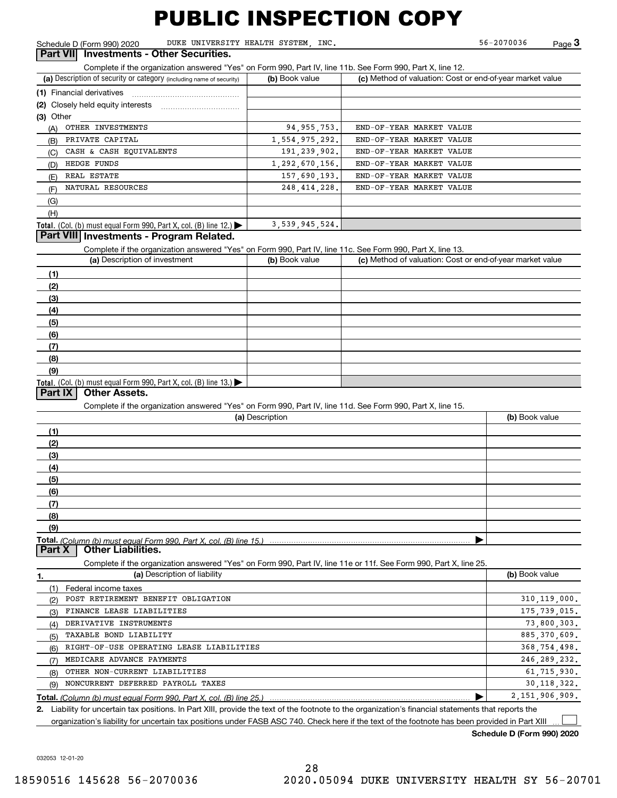Schedule D (Form 990) 2020 DUKE UNIVERSITY HEALTH SYSTEM, INC. 56-2070036 Page

56-2070036

Complete Interprete if the organization answered "Yes" on Form 990, Part UI<sub>I</sub> **Investments - Other Securities.**<br>**Part VII Investments - Other Securities.**<br>Complete if the organization answered "Yes" on Form 990, Part IV

| (a) Description of security or category (including name of security)                          | (b) Book value    | (c) Method of valuation: Cost or end-of-year market value |
|-----------------------------------------------------------------------------------------------|-------------------|-----------------------------------------------------------|
| (1) Financial derivatives                                                                     |                   |                                                           |
|                                                                                               |                   |                                                           |
| $(3)$ Other                                                                                   |                   |                                                           |
| OTHER INVESTMENTS<br>(A)                                                                      | 94, 955, 753.     | END-OF-YEAR MARKET VALUE                                  |
| PRIVATE CAPITAL<br>(B)                                                                        | 1, 554, 975, 292. | END-OF-YEAR MARKET VALUE                                  |
| CASH & CASH EOUIVALENTS<br>(C)                                                                | 191, 239, 902.    | END-OF-YEAR MARKET VALUE                                  |
| HEDGE FUNDS<br>(D)                                                                            | 1, 292, 670, 156. | END-OF-YEAR MARKET VALUE                                  |
| REAL ESTATE<br>(E)                                                                            | 157,690,193.      | END-OF-YEAR MARKET VALUE                                  |
| NATURAL RESOURCES<br>(F)                                                                      | 248, 414, 228.    | END-OF-YEAR MARKET VALUE                                  |
| (G)                                                                                           |                   |                                                           |
| (H)                                                                                           |                   |                                                           |
| <b>Total.</b> (Col. (b) must equal Form 990, Part X, col. (B) line 12.) $\blacktriangleright$ | 3,539,945,524.    |                                                           |

#### **Part VIII Investments - Program Related.**

Complete if the organization answered "Yes" on Form 990, Part IV, line 11c. See Form 990, Part X, line 13.

| (a) Description of investment                                       | (b) Book value | (c) Method of valuation: Cost or end-of-year market value |
|---------------------------------------------------------------------|----------------|-----------------------------------------------------------|
| (1)                                                                 |                |                                                           |
| (2)                                                                 |                |                                                           |
| $\frac{1}{2}$                                                       |                |                                                           |
| (4)                                                                 |                |                                                           |
| $\frac{1}{2}$                                                       |                |                                                           |
| (6)                                                                 |                |                                                           |
| $\sqrt{(7)}$                                                        |                |                                                           |
| (8)                                                                 |                |                                                           |
| (9)                                                                 |                |                                                           |
| Total. (Col. (b) must equal Form 990, Part X, col. (B) line $13.$ ) |                |                                                           |

#### **Part IX Other Assets.**

Complete if the organization answered "Yes" on Form 990, Part IV, line 11d. See Form 990, Part X, line 15.

| (a) Description | (b) Book value |
|-----------------|----------------|
| (1)             |                |
| (2)             |                |
| (3)             |                |
| (4)             |                |
| (5)             |                |
| (6)             |                |
| (7)             |                |
| (8)             |                |
| (9)             |                |
|                 |                |

**Part X Other Liabilities.**

Complete if the organization answered "Yes" on Form 990, Part IV, line 11e or 11f. See Form 990, Part X, line 25.

| 1.  | (a) Description of liability                                                                                                                         | (b) Book value |
|-----|------------------------------------------------------------------------------------------------------------------------------------------------------|----------------|
|     | Federal income taxes                                                                                                                                 |                |
| (2) | POST RETIREMENT BENEFIT OBLIGATION                                                                                                                   | 310, 119, 000. |
| (3) | FINANCE LEASE LIABILITIES                                                                                                                            | 175, 739, 015. |
| (4) | DERIVATIVE INSTRUMENTS                                                                                                                               | 73,800,303.    |
| (5) | TAXABLE BOND LIABILITY                                                                                                                               | 885, 370, 609. |
| (6) | RIGHT-OF-USE OPERATING LEASE LIABILITIES                                                                                                             | 368, 754, 498. |
| (7) | MEDICARE ADVANCE PAYMENTS                                                                                                                            | 246, 289, 232. |
| (8) | OTHER NON-CURRENT LIABILITIES                                                                                                                        | 61,715,930.    |
| (9) | NONCURRENT DEFERRED PAYROLL TAXES                                                                                                                    | 30, 118, 322.  |
|     |                                                                                                                                                      | 2,151,906,909. |
|     | 2. Liability for uncertain tax positions. In Part XIII, provide the text of the footnote to the organization's financial statements that reports the |                |

organization's liability for uncertain tax positions under FASB ASC 740. Check here if the text of the footnote has been provided in Part XIII

**Schedule D (Form 990) 2020**

 $\mathcal{L}^{\text{max}}$ 

032053 12-01-20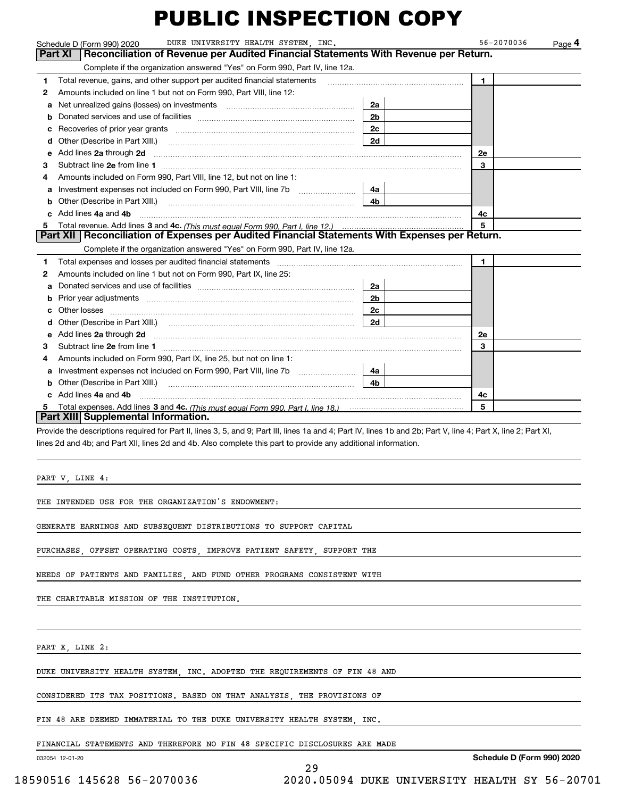|    | DUKE UNIVERSITY HEALTH SYSTEM, INC.<br>Schedule D (Form 990) 2020                                                                                                                                                                    |                | 56-2070036<br>Page 4 |
|----|--------------------------------------------------------------------------------------------------------------------------------------------------------------------------------------------------------------------------------------|----------------|----------------------|
|    | Reconciliation of Revenue per Audited Financial Statements With Revenue per Return.<br>Part XI                                                                                                                                       |                |                      |
|    | Complete if the organization answered "Yes" on Form 990, Part IV, line 12a.                                                                                                                                                          |                |                      |
| 1  | Total revenue, gains, and other support per audited financial statements                                                                                                                                                             |                | 1.                   |
| 2  | Amounts included on line 1 but not on Form 990, Part VIII, line 12:                                                                                                                                                                  |                |                      |
| a  | Net unrealized gains (losses) on investments [11] matter contracts and the unrealized gains (losses) on investments                                                                                                                  | 2a             |                      |
| b  |                                                                                                                                                                                                                                      | 2 <sub>b</sub> |                      |
| c  |                                                                                                                                                                                                                                      | 2c             |                      |
| d  | Other (Describe in Part XIII.)                                                                                                                                                                                                       | 2d             |                      |
| е  | Add lines 2a through 2d <b>continuum contract and all contract and all contract and all contract and all contract and all contract and all contract and all contract and all contract and all contract and all contract and all </b> |                | 2e                   |
| з  |                                                                                                                                                                                                                                      |                | 3                    |
| 4  | Amounts included on Form 990, Part VIII, line 12, but not on line 1:                                                                                                                                                                 |                |                      |
|    |                                                                                                                                                                                                                                      | 4a             |                      |
|    | <b>b</b> Other (Describe in Part XIII.)                                                                                                                                                                                              | 4b             |                      |
|    | c Add lines 4a and 4b                                                                                                                                                                                                                |                | 4c                   |
|    |                                                                                                                                                                                                                                      |                | 5                    |
|    | Part XII   Reconciliation of Expenses per Audited Financial Statements With Expenses per Return.                                                                                                                                     |                |                      |
|    | Complete if the organization answered "Yes" on Form 990, Part IV, line 12a.                                                                                                                                                          |                |                      |
| 1  | Total expenses and losses per audited financial statements [11, 11] manuscription control expenses and losses per audited financial statements [11] manuscription of the statements [11] manuscription of the statements [11]        |                | 1.                   |
| 2  | Amounts included on line 1 but not on Form 990, Part IX, line 25:                                                                                                                                                                    |                |                      |
|    |                                                                                                                                                                                                                                      | 2a             |                      |
| b  |                                                                                                                                                                                                                                      | 2 <sub>b</sub> |                      |
| c. |                                                                                                                                                                                                                                      | 2c             |                      |
| d  |                                                                                                                                                                                                                                      | 2d             |                      |
| е  | Add lines 2a through 2d <b>must be a constructed as the constant of the construction of the construction</b> and the construction of the construction of the construction of the construction of the construction of the constructi  |                | <b>2e</b>            |
| з  |                                                                                                                                                                                                                                      |                | 3                    |
| 4  | Amounts included on Form 990, Part IX, line 25, but not on line 1:                                                                                                                                                                   |                |                      |
| a  |                                                                                                                                                                                                                                      | 4a             |                      |
|    | Other (Describe in Part XIII.) <b>Construction Construction</b> Chern Construction Chern Chern Chern Chern Chern Chern                                                                                                               | 4 <sub>b</sub> |                      |
|    | Add lines 4a and 4b                                                                                                                                                                                                                  |                | 4c                   |
| 5  |                                                                                                                                                                                                                                      |                | 5                    |
|    | Part XIII Supplemental Information.                                                                                                                                                                                                  |                |                      |
|    | Provide the descriptions required for Part II, lines 3, 5, and 9; Part III, lines 1a and 4; Part IV, lines 1b and 2b; Part V, line 4; Part X, line 2; Part XI,                                                                       |                |                      |

lines 2d and 4b; and Part XII, lines 2d and 4b. Also complete this part to provide any additional information.

29

PART V, LINE 4:

THE INTENDED USE FOR THE ORGANIZATION'S ENDOWMENT:

GENERATE EARNINGS AND SUBSEQUENT DISTRIBUTIONS TO SUPPORT CAPITAL

PURCHASES, OFFSET OPERATING COSTS, IMPROVE PATIENT SAFETY, SUPPORT THE

NEEDS OF PATIENTS AND FAMILIES, AND FUND OTHER PROGRAMS CONSISTENT WITH

THE CHARITABLE MISSION OF THE INSTITUTION.

PART X, LINE 2:

DUKE UNIVERSITY HEALTH SYSTEM, INC. ADOPTED THE REQUIREMENTS OF FIN 48 AND

CONSIDERED ITS TAX POSITIONS. BASED ON THAT ANALYSIS, THE PROVISIONS OF

FIN 48 ARE DEEMED IMMATERIAL TO THE DUKE UNIVERSITY HEALTH SYSTEM, INC.

FINANCIAL STATEMENTS AND THEREFORE NO FIN 48 SPECIFIC DISCLOSURES ARE MADE

032054 12-01-20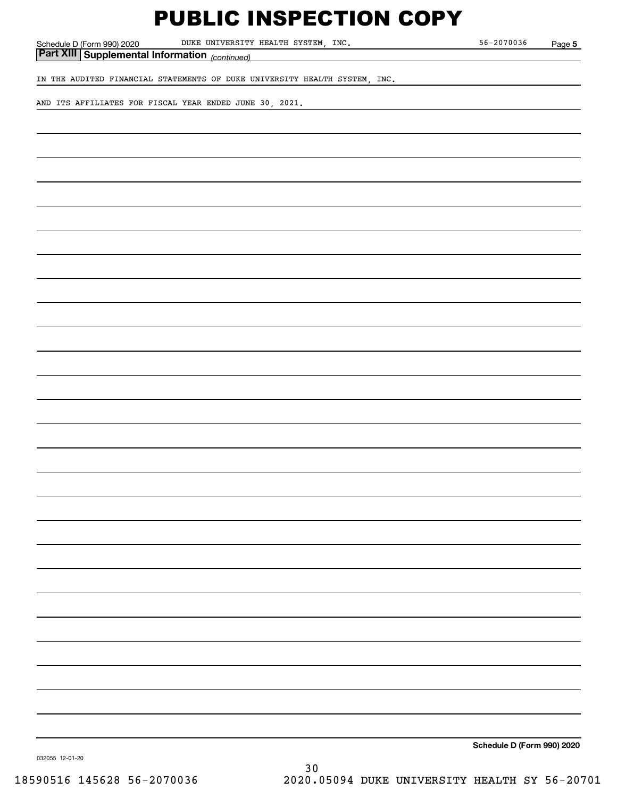Schedule D (Form 990) 2020 DUKE UNIVERSITY HEALTH SYSTEM, INC. 56-2070036 Page

**5**

*(continued)* **Part XIII Supplemental Information** 

IN THE AUDITED FINANCIAL STATEMENTS OF DUKE UNIVERSITY HEALTH SYSTEM, INC.

AND ITS AFFILIATES FOR FISCAL YEAR ENDED JUNE 30, 2021.

**Schedule D (Form 990) 2020**

032055 12-01-20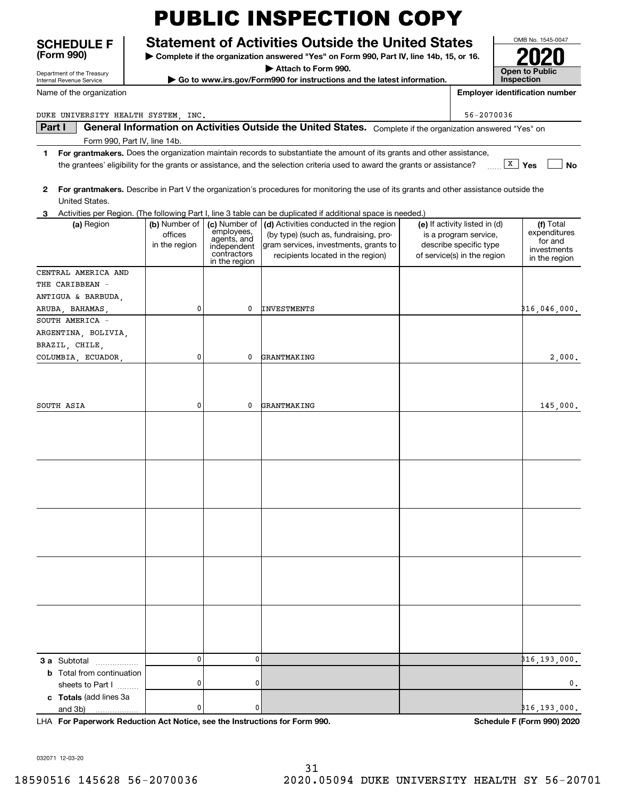#### **SCHEDULE F Statement of Activities Outside the United States**

**| Complete if the organization answered "Yes" on Form 990, Part IV, line 14b, 15, or 16.**

**| Attach to Form 990.**

**| Go to www.irs.gov/Form990 for instructions and the latest information.**

| es:                                   | <u>UNID INU. 1949-0047</u>          |  |  |  |  |
|---------------------------------------|-------------------------------------|--|--|--|--|
| or 16.                                | 120                                 |  |  |  |  |
|                                       | <b>Open to Public</b><br>Inspection |  |  |  |  |
| <b>Employer identification number</b> |                                     |  |  |  |  |

 $\mathbf{I}$ 

OMB No. 1545-0047

Department of the Treasury Internal Revenue Service

**(Form 990)**

Name of the organization

DUKE UNIVERSITY HEALTH SYSTEM, INC. SALLY AND THE SET OF SALLY AND THE SET OF SALLY AND THE SET OF SALLY AND THE SET OF SALLY AND THE SET OF SALLY AND THE SET OF SALLY AND THE SET OF SALLY AND THE SET OF SALLY AND THE SET

**Part I | General Information on Activities Outside the United States.** Complete if the organization answered "Yes" on<br>Form 990, Part IV, line 14b Form 990, Part IV, line 14b.

- **1For grantmakers.**  Does the organization maintain records to substantiate the amount of its grants and other assistance, **X** Yes **1 No** the grantees' eligibility for the grants or assistance, and the selection criteria used to award the grants or assistance?
- **2For grantmakers.**  Describe in Part V the organization's procedures for monitoring the use of its grants and other assistance outside the United States.
- **3**Activities per Region. (The following Part I, line 3 table can be duplicated if additional space is needed.)

|                                                                            |               |                              | Activities per riegion: (The Tollowing Fart I, line o table earl be depleated if additional space is riceded:) |                               |                            |
|----------------------------------------------------------------------------|---------------|------------------------------|----------------------------------------------------------------------------------------------------------------|-------------------------------|----------------------------|
| (a) Region                                                                 | (b) Number of |                              | (c) Number of $ $ (d) Activities conducted in the region                                                       | (e) If activity listed in (d) | (f) Total                  |
|                                                                            | offices       | employees,                   | (by type) (such as, fundraising, pro-                                                                          | is a program service,         | expenditures<br>for and    |
|                                                                            | in the region | agents, and<br>independent   | gram services, investments, grants to                                                                          | describe specific type        | investments                |
|                                                                            |               | contractors<br>in the region | recipients located in the region)                                                                              | of service(s) in the region   | in the region              |
| CENTRAL AMERICA AND                                                        |               |                              |                                                                                                                |                               |                            |
| THE CARIBBEAN -                                                            |               |                              |                                                                                                                |                               |                            |
| ANTIGUA & BARBUDA,                                                         |               |                              |                                                                                                                |                               |                            |
| ARUBA, BAHAMAS,                                                            | 0             | 0                            | <b>INVESTMENTS</b>                                                                                             |                               | ,000,046 (000              |
| SOUTH AMERICA -                                                            |               |                              |                                                                                                                |                               |                            |
| ARGENTINA, BOLIVIA,                                                        |               |                              |                                                                                                                |                               |                            |
| BRAZIL, CHILE,                                                             |               |                              |                                                                                                                |                               |                            |
| COLUMBIA, ECUADOR,                                                         | 0             | 0                            | GRANTMAKING                                                                                                    |                               | 2,000.                     |
|                                                                            |               |                              |                                                                                                                |                               |                            |
|                                                                            |               |                              |                                                                                                                |                               |                            |
| SOUTH ASIA                                                                 | 0             | 0                            | GRANTMAKING                                                                                                    |                               | 145,000.                   |
|                                                                            |               |                              |                                                                                                                |                               |                            |
|                                                                            |               |                              |                                                                                                                |                               |                            |
|                                                                            |               |                              |                                                                                                                |                               |                            |
|                                                                            |               |                              |                                                                                                                |                               |                            |
|                                                                            |               |                              |                                                                                                                |                               |                            |
|                                                                            |               |                              |                                                                                                                |                               |                            |
|                                                                            |               |                              |                                                                                                                |                               |                            |
|                                                                            |               |                              |                                                                                                                |                               |                            |
|                                                                            |               |                              |                                                                                                                |                               |                            |
|                                                                            |               |                              |                                                                                                                |                               |                            |
|                                                                            |               |                              |                                                                                                                |                               |                            |
|                                                                            |               |                              |                                                                                                                |                               |                            |
|                                                                            |               |                              |                                                                                                                |                               |                            |
|                                                                            |               |                              |                                                                                                                |                               |                            |
|                                                                            |               |                              |                                                                                                                |                               |                            |
|                                                                            |               |                              |                                                                                                                |                               |                            |
|                                                                            |               |                              |                                                                                                                |                               |                            |
|                                                                            |               |                              |                                                                                                                |                               |                            |
| <b>3 a</b> Subtotal                                                        | $\pmb{0}$     | 0                            |                                                                                                                |                               | ₿16,193,000 <b>.</b>       |
| <b>b</b> Total from continuation                                           |               |                              |                                                                                                                |                               |                            |
| sheets to Part I                                                           | $\pmb{0}$     | 0                            |                                                                                                                |                               | $\mathbf 0$ .              |
| c Totals (add lines 3a                                                     |               |                              |                                                                                                                |                               |                            |
| and 3b)<br>.                                                               | 0             | 0                            |                                                                                                                |                               | 16, 193, 000.              |
| LHA For Paperwork Reduction Act Notice, see the Instructions for Form 990. |               |                              |                                                                                                                |                               | Schedule F (Form 990) 2020 |

032071 12-03-20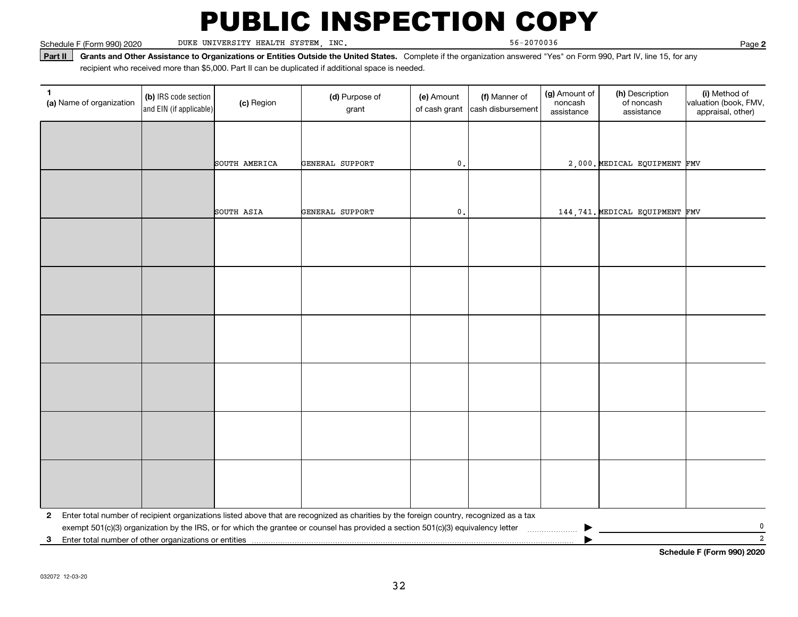Schedule F (Form 990) 2020 DUKE UNIVERSITY HEALTH SYSTEM, INC. 56-2070036 Page

**2**

**Part II** Grants and Other Assistance to Organizations or Entities Outside the United States. Complete if the organization answered "Yes" on Form 990, Part IV, line 15, for any<br>recisiont who received more than \$5,000. Part recipient who received more than \$5,000. Part II can be duplicated if additional space is needed.

| (a) Name of organization                                                            | (b) IRS code section<br>and EIN (if applicable) | (c) Region    | (d) Purpose of<br>grant                                                                                                                 | (e) Amount<br>of cash grant | (f) Manner of<br>cash disbursement | (g) Amount of<br>noncash<br>assistance | (h) Description<br>of noncash<br>assistance | (i) Method of<br>valuation (book, FMV,<br>appraisal, other) |  |  |
|-------------------------------------------------------------------------------------|-------------------------------------------------|---------------|-----------------------------------------------------------------------------------------------------------------------------------------|-----------------------------|------------------------------------|----------------------------------------|---------------------------------------------|-------------------------------------------------------------|--|--|
|                                                                                     |                                                 |               |                                                                                                                                         |                             |                                    |                                        |                                             |                                                             |  |  |
|                                                                                     |                                                 | SOUTH AMERICA | GENERAL SUPPORT                                                                                                                         | $\mathbf 0$ .               |                                    |                                        | 2,000. MEDICAL EQUIPMENT FMV                |                                                             |  |  |
|                                                                                     |                                                 |               |                                                                                                                                         |                             |                                    |                                        |                                             |                                                             |  |  |
|                                                                                     |                                                 | SOUTH ASIA    | GENERAL SUPPORT                                                                                                                         | $\mathbf{0}$ .              |                                    |                                        | 144, 741. MEDICAL EQUIPMENT FMV             |                                                             |  |  |
|                                                                                     |                                                 |               |                                                                                                                                         |                             |                                    |                                        |                                             |                                                             |  |  |
|                                                                                     |                                                 |               |                                                                                                                                         |                             |                                    |                                        |                                             |                                                             |  |  |
|                                                                                     |                                                 |               |                                                                                                                                         |                             |                                    |                                        |                                             |                                                             |  |  |
|                                                                                     |                                                 |               |                                                                                                                                         |                             |                                    |                                        |                                             |                                                             |  |  |
|                                                                                     |                                                 |               |                                                                                                                                         |                             |                                    |                                        |                                             |                                                             |  |  |
|                                                                                     |                                                 |               |                                                                                                                                         |                             |                                    |                                        |                                             |                                                             |  |  |
|                                                                                     |                                                 |               |                                                                                                                                         |                             |                                    |                                        |                                             |                                                             |  |  |
|                                                                                     |                                                 |               |                                                                                                                                         |                             |                                    |                                        |                                             |                                                             |  |  |
|                                                                                     |                                                 |               |                                                                                                                                         |                             |                                    |                                        |                                             |                                                             |  |  |
|                                                                                     |                                                 |               |                                                                                                                                         |                             |                                    |                                        |                                             |                                                             |  |  |
|                                                                                     |                                                 |               |                                                                                                                                         |                             |                                    |                                        |                                             |                                                             |  |  |
|                                                                                     |                                                 |               |                                                                                                                                         |                             |                                    |                                        |                                             |                                                             |  |  |
| $\mathbf{2}$                                                                        |                                                 |               | Enter total number of recipient organizations listed above that are recognized as charities by the foreign country, recognized as a tax |                             |                                    |                                        |                                             |                                                             |  |  |
| 3                                                                                   |                                                 |               | exempt 501(c)(3) organization by the IRS, or for which the grantee or counsel has provided a section 501(c)(3) equivalency letter       |                             |                                    |                                        |                                             | $\mathbf 0$<br>$\overline{2}$                               |  |  |
| Enter total number of other organizations or entities<br>Cabadule E (Faum 000) 0000 |                                                 |               |                                                                                                                                         |                             |                                    |                                        |                                             |                                                             |  |  |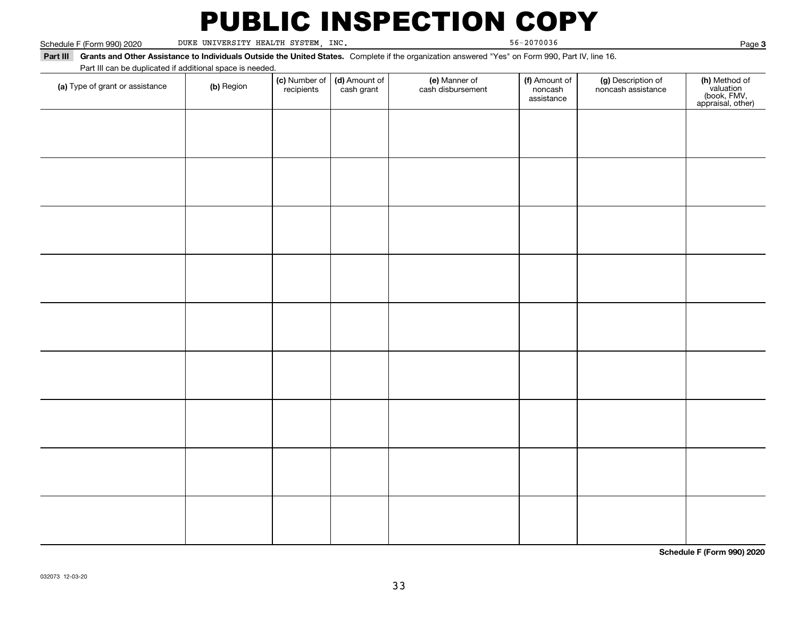Schedule F (Form 990) 2020 DUKE UNIVERSITY HEALTH SYSTEM, INC. 56-2070036 Page

Page 3

**Part III Grants and Other Assistance to Individuals Outside the United States.**  Complete if the organization answered "Yes" on Form 990, Part IV, line 16. Part III can be duplicated if additional space is needed.

| Part in can be duplicated if additional space is needed.<br>(a) Type of grant or assistance | (b) Region | (c) Number of<br>recipients | (d) Amount of<br>cash grant | (e) Manner of<br>cash disbursement | (f) Amount of<br>noncash<br>assistance | (g) Description of<br>noncash assistance | (h) Method of<br>valuation<br>(book, FMV,<br>appraisal, other) |
|---------------------------------------------------------------------------------------------|------------|-----------------------------|-----------------------------|------------------------------------|----------------------------------------|------------------------------------------|----------------------------------------------------------------|
|                                                                                             |            |                             |                             |                                    |                                        |                                          |                                                                |
|                                                                                             |            |                             |                             |                                    |                                        |                                          |                                                                |
|                                                                                             |            |                             |                             |                                    |                                        |                                          |                                                                |
|                                                                                             |            |                             |                             |                                    |                                        |                                          |                                                                |
|                                                                                             |            |                             |                             |                                    |                                        |                                          |                                                                |
|                                                                                             |            |                             |                             |                                    |                                        |                                          |                                                                |
|                                                                                             |            |                             |                             |                                    |                                        |                                          |                                                                |
|                                                                                             |            |                             |                             |                                    |                                        |                                          |                                                                |
|                                                                                             |            |                             |                             |                                    |                                        |                                          |                                                                |
|                                                                                             |            |                             |                             |                                    |                                        |                                          |                                                                |
|                                                                                             |            |                             |                             |                                    |                                        |                                          |                                                                |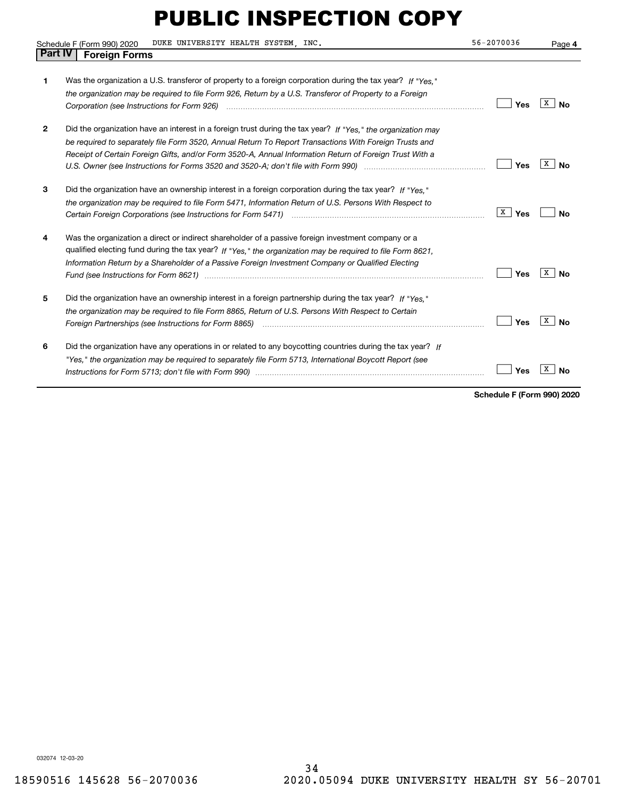|                | DUKE UNIVERSITY HEALTH SYSTEM, INC.<br>Schedule F (Form 990) 2020                                                                                                                                                                                                                                                                                                                                                                       | 56-2070036 | Page 4  |
|----------------|-----------------------------------------------------------------------------------------------------------------------------------------------------------------------------------------------------------------------------------------------------------------------------------------------------------------------------------------------------------------------------------------------------------------------------------------|------------|---------|
| <b>Part IV</b> | <b>Foreign Forms</b>                                                                                                                                                                                                                                                                                                                                                                                                                    |            |         |
|                | Was the organization a U.S. transferor of property to a foreign corporation during the tax year? If "Yes."<br>the organization may be required to file Form 926, Return by a U.S. Transferor of Property to a Foreign                                                                                                                                                                                                                   | Yes        | х<br>Nο |
| 2              | Did the organization have an interest in a foreign trust during the tax year? If "Yes." the organization may<br>be required to separately file Form 3520, Annual Return To Report Transactions With Foreign Trusts and<br>Receipt of Certain Foreign Gifts, and/or Form 3520-A, Annual Information Return of Foreign Trust With a                                                                                                       | Yes        | х<br>Nο |
| 3              | Did the organization have an ownership interest in a foreign corporation during the tax year? If "Yes."<br>the organization may be required to file Form 5471, Information Return of U.S. Persons With Respect to                                                                                                                                                                                                                       | X <br>Yes  | N٥      |
| 4              | Was the organization a direct or indirect shareholder of a passive foreign investment company or a<br>qualified electing fund during the tax year? If "Yes," the organization may be required to file Form 8621,<br>Information Return by a Shareholder of a Passive Foreign Investment Company or Qualified Electing<br>Fund (see Instructions for Form 8621) manufactured control to the control of the control of the control of the | Yes        | х<br>Nο |
| 5              | Did the organization have an ownership interest in a foreign partnership during the tax year? If "Yes."<br>the organization may be required to file Form 8865, Return of U.S. Persons With Respect to Certain                                                                                                                                                                                                                           | Yes        | x<br>N٥ |
| 6              | Did the organization have any operations in or related to any boycotting countries during the tax year? If<br>"Yes," the organization may be required to separately file Form 5713, International Boycott Report (see                                                                                                                                                                                                                   | Yes        |         |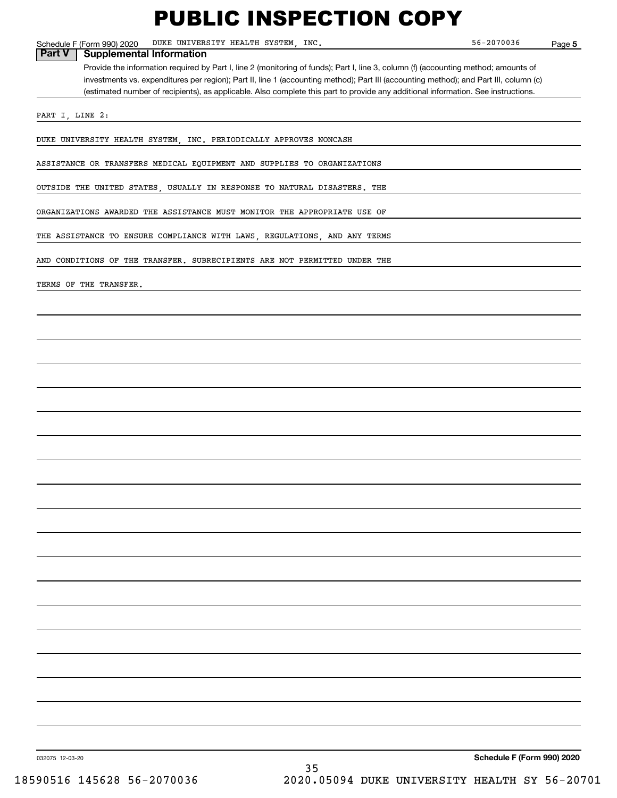Schedule F (Form 990) 2020 Page DUKE UNIVERSITY HEALTH SYSTEM, INC. 56-2070036

**5**

**Part V Supplemental Information**

Provide the information required by Part I, line 2 (monitoring of funds); Part I, line 3, column (f) (accounting method; amounts of investments vs. expenditures per region); Part II, line 1 (accounting method); Part III (accounting method); and Part III, column (c) (estimated number of recipients), as applicable. Also complete this part to provide any additional information. See instructions.

PART I, LINE 2:

DUKE UNIVERSITY HEALTH SYSTEM, INC. PERIODICALLY APPROVES NONCASH

ASSISTANCE OR TRANSFERS MEDICAL EQUIPMENT AND SUPPLIES TO ORGANIZATIONS

OUTSIDE THE UNITED STATES, USUALLY IN RESPONSE TO NATURAL DISASTERS. THE

ORGANIZATIONS AWARDED THE ASSISTANCE MUST MONITOR THE APPROPRIATE USE OF

THE ASSISTANCE TO ENSURE COMPLIANCE WITH LAWS, REGULATIONS, AND ANY TERMS

AND CONDITIONS OF THE TRANSFER. SUBRECIPIENTS ARE NOT PERMITTED UNDER THE

TERMS OF THE TRANSFER.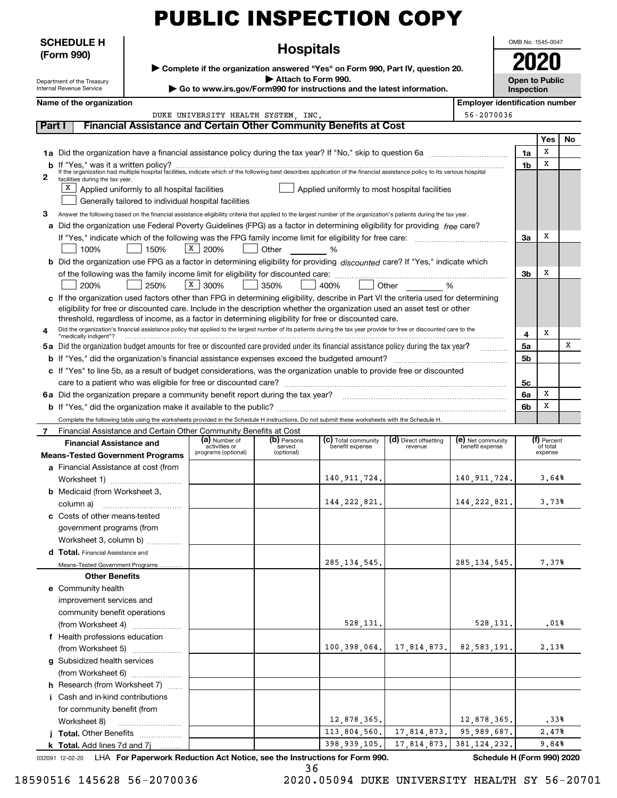| <b>PUBLIC INSPECTION COPY</b> |  |
|-------------------------------|--|
|-------------------------------|--|

**Hospitals**

OMB No. 1545-0047 **2020**

| ► Complete if the organization answered "Yes" on Form 990, Part IV, question 20, |
|----------------------------------------------------------------------------------|
| Attach to Form 990.                                                              |
| ► Go to www.irs.gov/Form990 for instructions and the latest information.         |

**Open to Public Inspection**

|  |  |  |  |  | Name of the organization |
|--|--|--|--|--|--------------------------|
|--|--|--|--|--|--------------------------|

Department of the Treasury Internal Revenue Service

**SCHEDULE H (Form 990)**

**Employer identification number** 

#### **Part I Financial Assistance and Certain Other Community Benefits at Cost**

DUKE UNIVERSITY HEALTH SYSTEM, INC.

|              |                                                                                                                                                                                               |    | Yes | No. |
|--------------|-----------------------------------------------------------------------------------------------------------------------------------------------------------------------------------------------|----|-----|-----|
|              | 1a Did the organization have a financial assistance policy during the tax year? If "No," skip to question 6a                                                                                  | 1a | X   |     |
|              |                                                                                                                                                                                               | 1b | х   |     |
| $\mathbf{2}$ | facilities during the tax year.                                                                                                                                                               |    |     |     |
|              | $X$ Applied uniformly to all hospital facilities<br>Applied uniformly to most hospital facilities                                                                                             |    |     |     |
|              | Generally tailored to individual hospital facilities                                                                                                                                          |    |     |     |
| 3            | Answer the following based on the financial assistance eligibility criteria that applied to the largest number of the organization's patients during the tax year.                            |    |     |     |
|              | a Did the organization use Federal Poverty Guidelines (FPG) as a factor in determining eligibility for providing free care?                                                                   |    |     |     |
|              |                                                                                                                                                                                               | За | х   |     |
|              | X 200%<br>Other %<br>100%<br>150%                                                                                                                                                             |    |     |     |
|              | b Did the organization use FPG as a factor in determining eligibility for providing discounted care? If "Yes," indicate which                                                                 |    |     |     |
|              |                                                                                                                                                                                               | 3b | x   |     |
|              | $X$ 300%<br>200%<br>250%<br>350%<br>Other %<br>400%                                                                                                                                           |    |     |     |
|              | c If the organization used factors other than FPG in determining eligibility, describe in Part VI the criteria used for determining                                                           |    |     |     |
|              | eligibility for free or discounted care. Include in the description whether the organization used an asset test or other                                                                      |    |     |     |
|              | threshold, regardless of income, as a factor in determining eligibility for free or discounted care.                                                                                          |    |     |     |
|              | Did the organization's financial assistance policy that applied to the largest number of its patients during the tax year provide for free or discounted care to the<br>"medically indigent"? | 4  | x   |     |
|              | 5a Did the organization budget amounts for free or discounted care provided under its financial assistance policy during the tax year?                                                        | 5a |     | X   |
|              |                                                                                                                                                                                               | 5b |     |     |
|              | c If "Yes" to line 5b, as a result of budget considerations, was the organization unable to provide free or discounted                                                                        |    |     |     |
|              |                                                                                                                                                                                               | 5c |     |     |
|              |                                                                                                                                                                                               | 6a | х   |     |
|              |                                                                                                                                                                                               | 6b | х   |     |
|              | Complete the following table using the worksheets provided in the Schedule H instructions. Do not submit these worksheets with the Schedule H.                                                |    |     |     |

Financial Assistance and Certain Other Community Benefits at Cost

| Financial Assistance and Certain Other Community Benefits at Cost |                                |                       |                                        |                                  |                                      |                         |  |  |
|-------------------------------------------------------------------|--------------------------------|-----------------------|----------------------------------------|----------------------------------|--------------------------------------|-------------------------|--|--|
| <b>Financial Assistance and</b>                                   | (a) Number of<br>activities or | (b) Persons<br>served | (c) Total community<br>benefit expense | (d) Direct offsetting<br>revenue | (e) Net community<br>benefit expense | (f) Percent<br>of total |  |  |
| <b>Means-Tested Government Programs</b>                           | programs (optional)            | (optional)            |                                        |                                  |                                      | expense                 |  |  |
| a Financial Assistance at cost (from                              |                                |                       |                                        |                                  |                                      |                         |  |  |
| Worksheet 1)                                                      |                                |                       | 140, 911, 724.                         |                                  | 140, 911, 724.                       | 3.64%                   |  |  |
| <b>b</b> Medicaid (from Worksheet 3,                              |                                |                       |                                        |                                  |                                      |                         |  |  |
|                                                                   |                                |                       | 144, 222, 821.                         |                                  | 144, 222, 821.                       | 3.73%                   |  |  |
| c Costs of other means-tested                                     |                                |                       |                                        |                                  |                                      |                         |  |  |
| government programs (from                                         |                                |                       |                                        |                                  |                                      |                         |  |  |
| Worksheet 3, column b)                                            |                                |                       |                                        |                                  |                                      |                         |  |  |
| d Total. Financial Assistance and                                 |                                |                       |                                        |                                  |                                      |                         |  |  |
| Means-Tested Government Programs                                  |                                |                       | 285, 134, 545.                         |                                  | 285, 134, 545.                       | 7.37%                   |  |  |
| <b>Other Benefits</b>                                             |                                |                       |                                        |                                  |                                      |                         |  |  |
| e Community health                                                |                                |                       |                                        |                                  |                                      |                         |  |  |
| improvement services and                                          |                                |                       |                                        |                                  |                                      |                         |  |  |
| community benefit operations                                      |                                |                       |                                        |                                  |                                      |                         |  |  |
| (from Worksheet 4)                                                |                                |                       | 528, 131.                              |                                  | 528, 131.                            | .01%                    |  |  |
| f Health professions education                                    |                                |                       |                                        |                                  |                                      |                         |  |  |
| (from Worksheet 5)                                                |                                |                       | 100, 398, 064.                         | 17,814,873.                      | 82,583,191.                          | 2.13%                   |  |  |
| g Subsidized health services                                      |                                |                       |                                        |                                  |                                      |                         |  |  |
|                                                                   |                                |                       |                                        |                                  |                                      |                         |  |  |
| h Research (from Worksheet 7)                                     |                                |                       |                                        |                                  |                                      |                         |  |  |
| <i>i</i> Cash and in-kind contributions                           |                                |                       |                                        |                                  |                                      |                         |  |  |
| for community benefit (from                                       |                                |                       |                                        |                                  |                                      |                         |  |  |
| Worksheet 8)                                                      |                                |                       | 12,878,365.                            |                                  | 12,878,365.                          | .33%                    |  |  |
| <b>Total.</b> Other Benefits                                      |                                |                       | 113,804,560.                           | 17,814,873.                      | 95,989,687.                          | 2,47%                   |  |  |
| <b>k</b> Total. Add lines 7d and $7j$                             |                                |                       | 398, 939, 105.                         | 17,814,873.                      | 381, 124, 232.                       | 9.84%                   |  |  |

032091 12-02-20 LHA For Paperwork Reduction Act Notice, see the Instructions for Form 990. **Schedule H (Form 990) 2020** 

36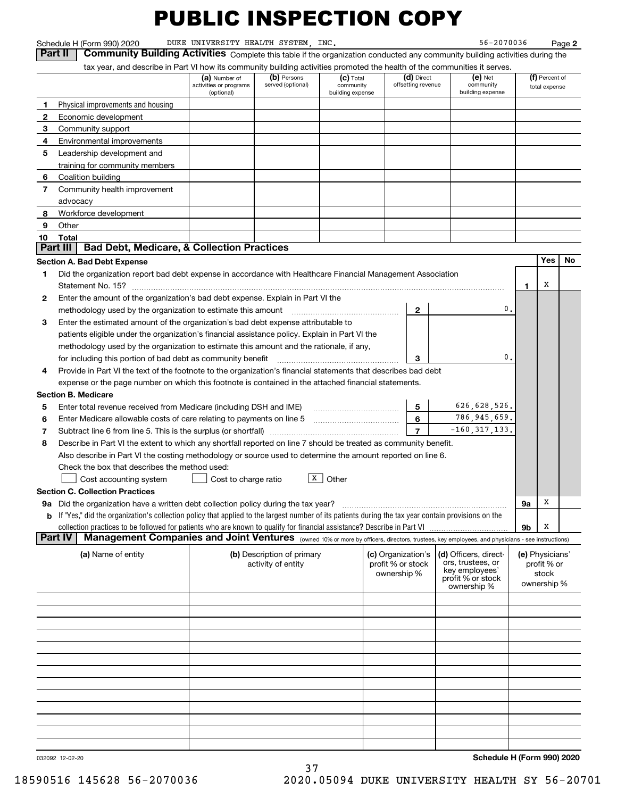Schedule H (Form 990) 2020 DUKE UNIVERSITY HEALTH SYSTEM, INC. 56-2070036 Page

**2**

**Part II Community Building Activities** Complete this table if the organization conducted any community building activities during the tax year, and describe in Part VI how its community building activities promoted the

|                | tax year, and describe in Part VI how its community building activities promoted the health of the communities it serves.                                                                                                                                                 |                                                       |                                  |                                              |                                  |                                  |                                            |                |                                 |    |
|----------------|---------------------------------------------------------------------------------------------------------------------------------------------------------------------------------------------------------------------------------------------------------------------------|-------------------------------------------------------|----------------------------------|----------------------------------------------|----------------------------------|----------------------------------|--------------------------------------------|----------------|---------------------------------|----|
|                |                                                                                                                                                                                                                                                                           | (a) Number of<br>activities or programs<br>(optional) | (b) Persons<br>served (optional) | $(c)$ Total<br>community<br>building expense |                                  | (d) Direct<br>offsetting revenue | $(e)$ Net<br>community<br>building expense |                | (f) Percent of<br>total expense |    |
| 1              | Physical improvements and housing                                                                                                                                                                                                                                         |                                                       |                                  |                                              |                                  |                                  |                                            |                |                                 |    |
| 2              | Economic development                                                                                                                                                                                                                                                      |                                                       |                                  |                                              |                                  |                                  |                                            |                |                                 |    |
| 3              | Community support                                                                                                                                                                                                                                                         |                                                       |                                  |                                              |                                  |                                  |                                            |                |                                 |    |
| 4              | Environmental improvements                                                                                                                                                                                                                                                |                                                       |                                  |                                              |                                  |                                  |                                            |                |                                 |    |
| 5              | Leadership development and                                                                                                                                                                                                                                                |                                                       |                                  |                                              |                                  |                                  |                                            |                |                                 |    |
|                | training for community members                                                                                                                                                                                                                                            |                                                       |                                  |                                              |                                  |                                  |                                            |                |                                 |    |
| 6              | Coalition building                                                                                                                                                                                                                                                        |                                                       |                                  |                                              |                                  |                                  |                                            |                |                                 |    |
| 7              | Community health improvement                                                                                                                                                                                                                                              |                                                       |                                  |                                              |                                  |                                  |                                            |                |                                 |    |
|                | advocacy                                                                                                                                                                                                                                                                  |                                                       |                                  |                                              |                                  |                                  |                                            |                |                                 |    |
| 8              | Workforce development                                                                                                                                                                                                                                                     |                                                       |                                  |                                              |                                  |                                  |                                            |                |                                 |    |
| 9              | Other                                                                                                                                                                                                                                                                     |                                                       |                                  |                                              |                                  |                                  |                                            |                |                                 |    |
| 10             | Total                                                                                                                                                                                                                                                                     |                                                       |                                  |                                              |                                  |                                  |                                            |                |                                 |    |
|                | <b>Bad Debt, Medicare, &amp; Collection Practices</b><br>  Part III                                                                                                                                                                                                       |                                                       |                                  |                                              |                                  |                                  |                                            |                |                                 |    |
|                | <b>Section A. Bad Debt Expense</b>                                                                                                                                                                                                                                        |                                                       |                                  |                                              |                                  |                                  |                                            |                | Yes                             | No |
| 1.             | Did the organization report bad debt expense in accordance with Healthcare Financial Management Association                                                                                                                                                               |                                                       |                                  |                                              |                                  |                                  |                                            |                |                                 |    |
|                |                                                                                                                                                                                                                                                                           |                                                       |                                  |                                              |                                  |                                  |                                            | 1              | х                               |    |
| 2              | Enter the amount of the organization's bad debt expense. Explain in Part VI the                                                                                                                                                                                           |                                                       |                                  |                                              |                                  |                                  |                                            |                |                                 |    |
|                | methodology used by the organization to estimate this amount                                                                                                                                                                                                              |                                                       |                                  |                                              |                                  | $\mathbf{2}$                     |                                            | 0.             |                                 |    |
| 3              | Enter the estimated amount of the organization's bad debt expense attributable to                                                                                                                                                                                         |                                                       |                                  |                                              |                                  |                                  |                                            |                |                                 |    |
|                | patients eligible under the organization's financial assistance policy. Explain in Part VI the                                                                                                                                                                            |                                                       |                                  |                                              |                                  |                                  |                                            |                |                                 |    |
|                | methodology used by the organization to estimate this amount and the rationale, if any,                                                                                                                                                                                   |                                                       |                                  |                                              |                                  |                                  |                                            |                |                                 |    |
|                | for including this portion of bad debt as community benefit                                                                                                                                                                                                               |                                                       |                                  |                                              |                                  | 3                                |                                            | 0.             |                                 |    |
| 4              | Provide in Part VI the text of the footnote to the organization's financial statements that describes bad debt                                                                                                                                                            |                                                       |                                  |                                              |                                  |                                  |                                            |                |                                 |    |
|                | expense or the page number on which this footnote is contained in the attached financial statements.                                                                                                                                                                      |                                                       |                                  |                                              |                                  |                                  |                                            |                |                                 |    |
|                | <b>Section B. Medicare</b>                                                                                                                                                                                                                                                |                                                       |                                  |                                              |                                  |                                  |                                            |                |                                 |    |
| 5              | Enter total revenue received from Medicare (including DSH and IME)                                                                                                                                                                                                        |                                                       |                                  |                                              |                                  | 5                                | 626,628,526.                               |                |                                 |    |
| 6              |                                                                                                                                                                                                                                                                           |                                                       |                                  |                                              |                                  | $6\phantom{a}$                   | 786, 945, 659.                             |                |                                 |    |
| 7              |                                                                                                                                                                                                                                                                           |                                                       |                                  |                                              |                                  | $\overline{7}$                   | $-160, 317, 133.$                          |                |                                 |    |
| 8              | Describe in Part VI the extent to which any shortfall reported on line 7 should be treated as community benefit.                                                                                                                                                          |                                                       |                                  |                                              |                                  |                                  |                                            |                |                                 |    |
|                | Also describe in Part VI the costing methodology or source used to determine the amount reported on line 6.                                                                                                                                                               |                                                       |                                  |                                              |                                  |                                  |                                            |                |                                 |    |
|                | Check the box that describes the method used:                                                                                                                                                                                                                             |                                                       |                                  |                                              |                                  |                                  |                                            |                |                                 |    |
|                | Cost accounting system                                                                                                                                                                                                                                                    | Cost to charge ratio                                  |                                  | $X$ Other                                    |                                  |                                  |                                            |                |                                 |    |
|                | <b>Section C. Collection Practices</b>                                                                                                                                                                                                                                    |                                                       |                                  |                                              |                                  |                                  |                                            |                |                                 |    |
|                |                                                                                                                                                                                                                                                                           |                                                       |                                  |                                              |                                  |                                  |                                            | 9а             | Х                               |    |
|                | b If "Yes," did the organization's collection policy that applied to the largest number of its patients during the tax year contain provisions on the                                                                                                                     |                                                       |                                  |                                              |                                  |                                  |                                            |                | Х                               |    |
| <b>Part IV</b> | collection practices to be followed for patients who are known to qualify for financial assistance? Describe in Part VI<br>Management Companies and Joint Ventures (owned 10% or more by officers, directors, trustees, key employees, and physicians - see instructions) |                                                       |                                  |                                              |                                  |                                  |                                            | 9 <sub>b</sub> |                                 |    |
|                |                                                                                                                                                                                                                                                                           |                                                       |                                  |                                              |                                  |                                  |                                            |                |                                 |    |
|                | (a) Name of entity                                                                                                                                                                                                                                                        |                                                       | (b) Description of primary       |                                              | (c) Organization's               |                                  | (d) Officers, direct-<br>ors, trustees, or |                | (e) Physicians'                 |    |
|                |                                                                                                                                                                                                                                                                           |                                                       | activity of entity               |                                              | profit % or stock<br>ownership % |                                  | key employees'                             |                | profit % or<br>stock            |    |
|                |                                                                                                                                                                                                                                                                           |                                                       |                                  |                                              |                                  |                                  | profit % or stock<br>ownership %           |                | ownership %                     |    |
|                |                                                                                                                                                                                                                                                                           |                                                       |                                  |                                              |                                  |                                  |                                            |                |                                 |    |
|                |                                                                                                                                                                                                                                                                           |                                                       |                                  |                                              |                                  |                                  |                                            |                |                                 |    |
|                |                                                                                                                                                                                                                                                                           |                                                       |                                  |                                              |                                  |                                  |                                            |                |                                 |    |
|                |                                                                                                                                                                                                                                                                           |                                                       |                                  |                                              |                                  |                                  |                                            |                |                                 |    |
|                |                                                                                                                                                                                                                                                                           |                                                       |                                  |                                              |                                  |                                  |                                            |                |                                 |    |
|                |                                                                                                                                                                                                                                                                           |                                                       |                                  |                                              |                                  |                                  |                                            |                |                                 |    |
|                |                                                                                                                                                                                                                                                                           |                                                       |                                  |                                              |                                  |                                  |                                            |                |                                 |    |
|                |                                                                                                                                                                                                                                                                           |                                                       |                                  |                                              |                                  |                                  |                                            |                |                                 |    |
|                |                                                                                                                                                                                                                                                                           |                                                       |                                  |                                              |                                  |                                  |                                            |                |                                 |    |
|                |                                                                                                                                                                                                                                                                           |                                                       |                                  |                                              |                                  |                                  |                                            |                |                                 |    |
|                |                                                                                                                                                                                                                                                                           |                                                       |                                  |                                              |                                  |                                  |                                            |                |                                 |    |
|                |                                                                                                                                                                                                                                                                           |                                                       |                                  |                                              |                                  |                                  |                                            |                |                                 |    |
|                |                                                                                                                                                                                                                                                                           |                                                       |                                  |                                              |                                  |                                  |                                            |                |                                 |    |

37

032092 12-02-20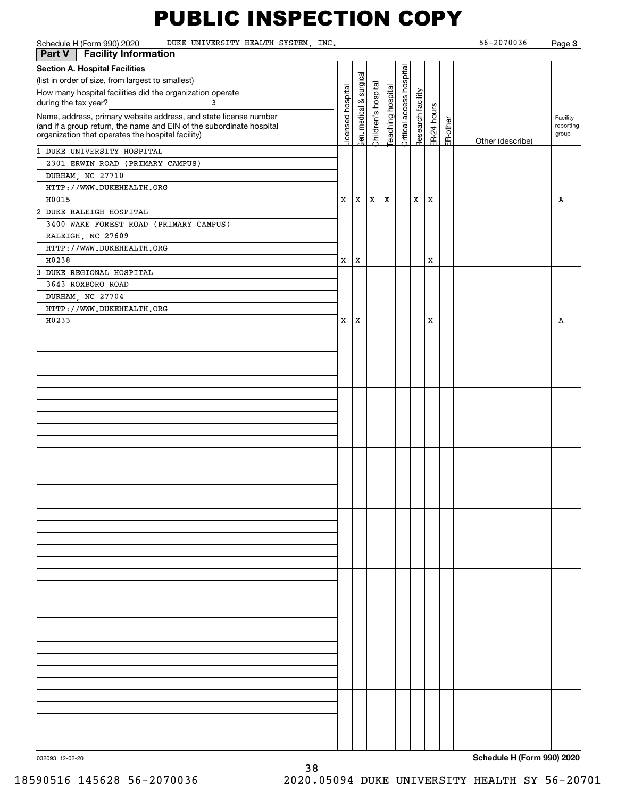| Schedule H (Form 990) 2020<br>DUKE UNIVERSITY HEALTH SYSTEM, INC.<br><b>Facility Information</b><br>Part V                                                                                                                                                                                                                                                                                                                                                                                                                                   |                       |                                |                          |                         |                          |                                   |                  |          | 56-2070036       | Page 3                              |
|----------------------------------------------------------------------------------------------------------------------------------------------------------------------------------------------------------------------------------------------------------------------------------------------------------------------------------------------------------------------------------------------------------------------------------------------------------------------------------------------------------------------------------------------|-----------------------|--------------------------------|--------------------------|-------------------------|--------------------------|-----------------------------------|------------------|----------|------------------|-------------------------------------|
| <b>Section A. Hospital Facilities</b><br>(list in order of size, from largest to smallest)<br>How many hospital facilities did the organization operate<br>during the tax year?<br>3<br>Name, address, primary website address, and state license number<br>(and if a group return, the name and EIN of the subordinate hospital<br>organization that operates the hospital facility)<br>1 DUKE UNIVERSITY HOSPITAL<br>2301 ERWIN ROAD (PRIMARY CAMPUS)<br>DURHAM, NC 27710<br>HTTP://WWW.DUKEHEALTH.ORG<br>H0015<br>2 DUKE RALEIGH HOSPITAL | icensed hospital<br>x | Gen. medical & surgical<br>  x | Children's hospital<br>X | eaching hospital<br>  X | Critical access hospital | Research facility<br>$\mathbf{x}$ | ER-24 hours<br>X | ER-other | Other (describe) | Facility<br>reporting<br>group<br>Α |
| 3400 WAKE FOREST ROAD (PRIMARY CAMPUS)<br>RALEIGH, NC 27609<br>HTTP://WWW.DUKEHEALTH.ORG<br>H0238<br>3 DUKE REGIONAL HOSPITAL<br>3643 ROXBORO ROAD<br>DURHAM, NC 27704<br>HTTP://WWW.DUKEHEALTH.ORG                                                                                                                                                                                                                                                                                                                                          | x                     | Х                              |                          |                         |                          |                                   | Х                |          |                  |                                     |
| H0233                                                                                                                                                                                                                                                                                                                                                                                                                                                                                                                                        | x                     | X                              |                          |                         |                          |                                   | Х                |          |                  | Α                                   |
|                                                                                                                                                                                                                                                                                                                                                                                                                                                                                                                                              |                       |                                |                          |                         |                          |                                   |                  |          |                  |                                     |
|                                                                                                                                                                                                                                                                                                                                                                                                                                                                                                                                              |                       |                                |                          |                         |                          |                                   |                  |          |                  |                                     |
|                                                                                                                                                                                                                                                                                                                                                                                                                                                                                                                                              |                       |                                |                          |                         |                          |                                   |                  |          |                  |                                     |
|                                                                                                                                                                                                                                                                                                                                                                                                                                                                                                                                              |                       |                                |                          |                         |                          |                                   |                  |          |                  |                                     |
|                                                                                                                                                                                                                                                                                                                                                                                                                                                                                                                                              |                       |                                |                          |                         |                          |                                   |                  |          |                  |                                     |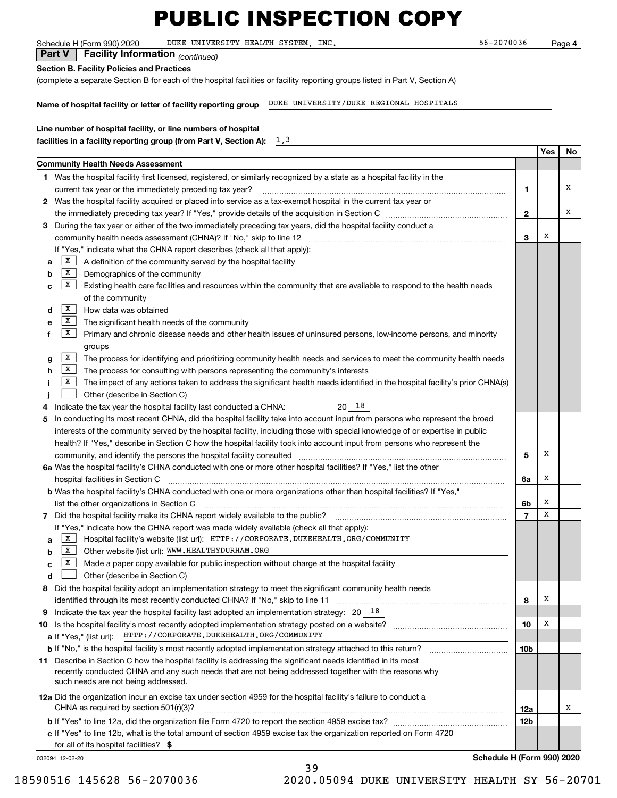Schedule H (Form 990) 2020 DUKE UNIVERSITY HEALTH SYSTEM, INC. 56-2070036 Page

**4**

| <b>Part V</b>   Facility Information $_{(continued)}$ |  |
|-------------------------------------------------------|--|
| Section B. Facility Policies and Practices            |  |

(complete a separate Section B for each of the hospital facilities or facility reporting groups listed in Part V, Section A)

**Name of hospital facility or letter of facility reporting group** DUKE UNIVERSITY/DUKE REGIONAL HOSPITALS

| Line number of hospital facility, or line numbers of hospital      |      |
|--------------------------------------------------------------------|------|
| facilities in a facility reporting group (from Part V, Section A): | 1, 3 |

|    |                                                                                                                                                                                                                        |                | Yes | No |
|----|------------------------------------------------------------------------------------------------------------------------------------------------------------------------------------------------------------------------|----------------|-----|----|
|    | <b>Community Health Needs Assessment</b>                                                                                                                                                                               |                |     |    |
|    | 1 Was the hospital facility first licensed, registered, or similarly recognized by a state as a hospital facility in the                                                                                               |                |     |    |
|    | current tax year or the immediately preceding tax year?                                                                                                                                                                | 1              |     | х  |
|    | 2 Was the hospital facility acquired or placed into service as a tax-exempt hospital in the current tax year or                                                                                                        |                |     |    |
|    |                                                                                                                                                                                                                        | $\mathbf{2}$   |     | х  |
|    | 3 During the tax year or either of the two immediately preceding tax years, did the hospital facility conduct a                                                                                                        |                |     |    |
|    |                                                                                                                                                                                                                        | 3              | X   |    |
|    | If "Yes," indicate what the CHNA report describes (check all that apply):                                                                                                                                              |                |     |    |
| а  | X <br>A definition of the community served by the hospital facility                                                                                                                                                    |                |     |    |
| b  | X <br>Demographics of the community                                                                                                                                                                                    |                |     |    |
| c  | X <br>Existing health care facilities and resources within the community that are available to respond to the health needs                                                                                             |                |     |    |
|    | of the community                                                                                                                                                                                                       |                |     |    |
| d  | $\mid$ X<br>How data was obtained                                                                                                                                                                                      |                |     |    |
| е  | X<br>The significant health needs of the community                                                                                                                                                                     |                |     |    |
| f  | X<br>Primary and chronic disease needs and other health issues of uninsured persons, low-income persons, and minority                                                                                                  |                |     |    |
|    | groups                                                                                                                                                                                                                 |                |     |    |
| g  | $\mathbf{X}$<br>The process for identifying and prioritizing community health needs and services to meet the community health needs                                                                                    |                |     |    |
| h  | X <br>The process for consulting with persons representing the community's interests                                                                                                                                   |                |     |    |
| Ť. | X<br>The impact of any actions taken to address the significant health needs identified in the hospital facility's prior CHNA(s)                                                                                       |                |     |    |
|    | Other (describe in Section C)                                                                                                                                                                                          |                |     |    |
|    | $20^{18}$<br>Indicate the tax year the hospital facility last conducted a CHNA:                                                                                                                                        |                |     |    |
| 5  | In conducting its most recent CHNA, did the hospital facility take into account input from persons who represent the broad                                                                                             |                |     |    |
|    | interests of the community served by the hospital facility, including those with special knowledge of or expertise in public                                                                                           |                |     |    |
|    | health? If "Yes," describe in Section C how the hospital facility took into account input from persons who represent the                                                                                               |                |     |    |
|    | community, and identify the persons the hospital facility consulted                                                                                                                                                    | 5              | х   |    |
|    | 6a Was the hospital facility's CHNA conducted with one or more other hospital facilities? If "Yes," list the other                                                                                                     |                |     |    |
|    | hospital facilities in Section C                                                                                                                                                                                       | 6a             | х   |    |
|    | b Was the hospital facility's CHNA conducted with one or more organizations other than hospital facilities? If "Yes,"                                                                                                  |                |     |    |
|    | list the other organizations in Section C                                                                                                                                                                              | 6b             | X   |    |
|    | 7 Did the hospital facility make its CHNA report widely available to the public? [11] manument content in the manument of the public?                                                                                  | $\overline{7}$ | х   |    |
|    | If "Yes," indicate how the CHNA report was made widely available (check all that apply):                                                                                                                               |                |     |    |
| a  | Hospital facility's website (list url): HTTP://CORPORATE.DUKEHEALTH.ORG/COMMUNITY<br> X                                                                                                                                |                |     |    |
| b  | Other website (list url): WWW.HEALTHYDURHAM.ORG<br> X                                                                                                                                                                  |                |     |    |
| c  | $\mathbf{X}$<br>Made a paper copy available for public inspection without charge at the hospital facility                                                                                                              |                |     |    |
|    | Other (describe in Section C)                                                                                                                                                                                          |                |     |    |
| 8  | Did the hospital facility adopt an implementation strategy to meet the significant community health needs                                                                                                              |                |     |    |
|    | identified through its most recently conducted CHNA? If "No," skip to line 11                                                                                                                                          | 8              | х   |    |
| 9  | Indicate the tax year the hospital facility last adopted an implementation strategy: $20\quad18$                                                                                                                       |                |     |    |
|    |                                                                                                                                                                                                                        | 10             | х   |    |
|    | HTTP://CORPORATE.DUKEHEALTH.ORG/COMMUNITY<br><b>a</b> If "Yes," (list url):                                                                                                                                            |                |     |    |
|    | <b>b</b> If "No," is the hospital facility's most recently adopted implementation strategy attached to this return?                                                                                                    | 10b            |     |    |
|    | 11 Describe in Section C how the hospital facility is addressing the significant needs identified in its most<br>recently conducted CHNA and any such needs that are not being addressed together with the reasons why |                |     |    |
|    | such needs are not being addressed.                                                                                                                                                                                    |                |     |    |
|    |                                                                                                                                                                                                                        |                |     |    |
|    | 12a Did the organization incur an excise tax under section 4959 for the hospital facility's failure to conduct a<br>CHNA as required by section $501(r)(3)$ ?                                                          |                |     | х  |
|    |                                                                                                                                                                                                                        | 12a            |     |    |
|    |                                                                                                                                                                                                                        | 12b            |     |    |
|    | c If "Yes" to line 12b, what is the total amount of section 4959 excise tax the organization reported on Form 4720                                                                                                     |                |     |    |
|    | for all of its hospital facilities? \$                                                                                                                                                                                 |                |     |    |

39

032094 12-02-20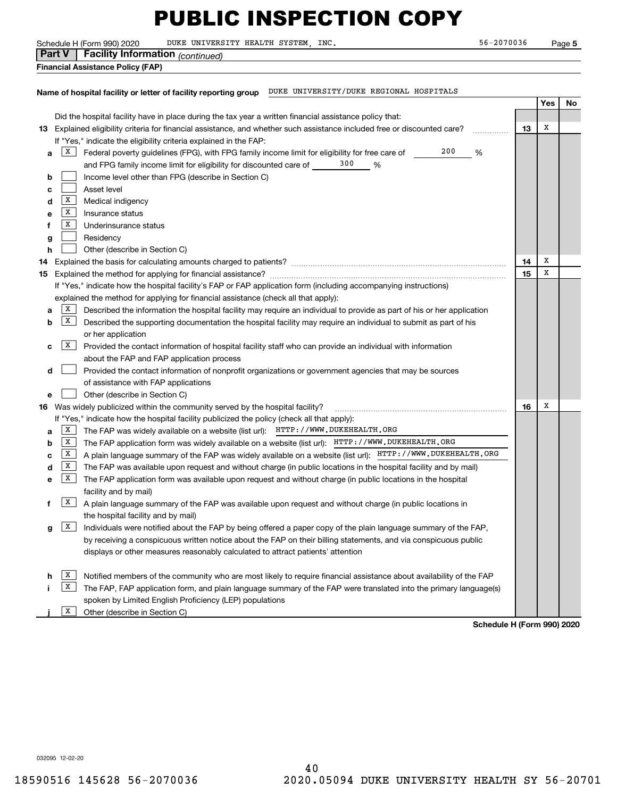**5**

|                                                                                                            |              | DUKE UNIVERSITY HEALTH SYSTEM, INC.<br>Schedule H (Form 990) 2020                                                         | 56-2070036 |     | Page 5 |  |  |
|------------------------------------------------------------------------------------------------------------|--------------|---------------------------------------------------------------------------------------------------------------------------|------------|-----|--------|--|--|
|                                                                                                            | Part V       | Facility Information (continued)                                                                                          |            |     |        |  |  |
|                                                                                                            |              | Financial Assistance Policy (FAP)                                                                                         |            |     |        |  |  |
|                                                                                                            |              |                                                                                                                           |            |     |        |  |  |
| DUKE UNIVERSITY/DUKE REGIONAL HOSPITALS<br>Name of hospital facility or letter of facility reporting group |              |                                                                                                                           |            |     |        |  |  |
|                                                                                                            |              |                                                                                                                           |            | Yes | No     |  |  |
|                                                                                                            |              |                                                                                                                           |            |     |        |  |  |
|                                                                                                            |              | Did the hospital facility have in place during the tax year a written financial assistance policy that:                   |            |     |        |  |  |
|                                                                                                            |              | 13 Explained eligibility criteria for financial assistance, and whether such assistance included free or discounted care? | 13         | X   |        |  |  |
|                                                                                                            |              | If "Yes," indicate the eligibility criteria explained in the FAP:                                                         |            |     |        |  |  |
| а                                                                                                          | X            | 200<br>Federal poverty guidelines (FPG), with FPG family income limit for eligibility for free care of                    | %          |     |        |  |  |
|                                                                                                            |              | 300<br>and FPG family income limit for eligibility for discounted care of<br>%                                            |            |     |        |  |  |
| b                                                                                                          |              | Income level other than FPG (describe in Section C)                                                                       |            |     |        |  |  |
| с                                                                                                          |              | Asset level                                                                                                               |            |     |        |  |  |
| d                                                                                                          | x            | Medical indigency                                                                                                         |            |     |        |  |  |
| е                                                                                                          | X            | Insurance status                                                                                                          |            |     |        |  |  |
| f                                                                                                          | X            | Underinsurance status                                                                                                     |            |     |        |  |  |
|                                                                                                            |              | Residency                                                                                                                 |            |     |        |  |  |
| g                                                                                                          |              |                                                                                                                           |            |     |        |  |  |
| h                                                                                                          |              | Other (describe in Section C)                                                                                             |            | х   |        |  |  |
| 14                                                                                                         |              |                                                                                                                           | 14         | x   |        |  |  |
| 15                                                                                                         |              |                                                                                                                           | 15         |     |        |  |  |
|                                                                                                            |              | If "Yes," indicate how the hospital facility's FAP or FAP application form (including accompanying instructions)          |            |     |        |  |  |
|                                                                                                            |              | explained the method for applying for financial assistance (check all that apply):                                        |            |     |        |  |  |
| а                                                                                                          | X            | Described the information the hospital facility may require an individual to provide as part of his or her application    |            |     |        |  |  |
| b                                                                                                          | $\mathbf{X}$ | Described the supporting documentation the hospital facility may require an individual to submit as part of his           |            |     |        |  |  |
|                                                                                                            |              | or her application                                                                                                        |            |     |        |  |  |
| с                                                                                                          | X            | Provided the contact information of hospital facility staff who can provide an individual with information                |            |     |        |  |  |
|                                                                                                            |              | about the FAP and FAP application process                                                                                 |            |     |        |  |  |
| d                                                                                                          |              | Provided the contact information of nonprofit organizations or government agencies that may be sources                    |            |     |        |  |  |
|                                                                                                            |              | of assistance with FAP applications                                                                                       |            |     |        |  |  |
| е                                                                                                          |              | Other (describe in Section C)                                                                                             |            |     |        |  |  |
|                                                                                                            |              | 16 Was widely publicized within the community served by the hospital facility?                                            | 16         | x   |        |  |  |
|                                                                                                            |              | If "Yes," indicate how the hospital facility publicized the policy (check all that apply):                                |            |     |        |  |  |
|                                                                                                            | X            | The FAP was widely available on a website (list url): HTTP: //WWW.DUKEHEALTH.ORG                                          |            |     |        |  |  |
| а                                                                                                          |              |                                                                                                                           |            |     |        |  |  |
| b                                                                                                          | x            | The FAP application form was widely available on a website (list url): HTTP: //WWW.DUKEHEALTH.ORG                         |            |     |        |  |  |
| с                                                                                                          | X            | A plain language summary of the FAP was widely available on a website (list url): HTTP: //WWW.DUKEHEALTH.ORG              |            |     |        |  |  |
| d                                                                                                          | X            | The FAP was available upon request and without charge (in public locations in the hospital facility and by mail)          |            |     |        |  |  |
| е                                                                                                          | X            | The FAP application form was available upon request and without charge (in public locations in the hospital               |            |     |        |  |  |
|                                                                                                            |              | facility and by mail)                                                                                                     |            |     |        |  |  |
| f                                                                                                          | X            | A plain language summary of the FAP was available upon request and without charge (in public locations in                 |            |     |        |  |  |
|                                                                                                            |              | the hospital facility and by mail)                                                                                        |            |     |        |  |  |
| g                                                                                                          | X            | Individuals were notified about the FAP by being offered a paper copy of the plain language summary of the FAP,           |            |     |        |  |  |
|                                                                                                            |              | by receiving a conspicuous written notice about the FAP on their billing statements, and via conspicuous public           |            |     |        |  |  |
|                                                                                                            |              | displays or other measures reasonably calculated to attract patients' attention                                           |            |     |        |  |  |
|                                                                                                            |              |                                                                                                                           |            |     |        |  |  |
|                                                                                                            | x            | Notified members of the community who are most likely to require financial assistance about availability of the FAP       |            |     |        |  |  |
|                                                                                                            | x            | The FAP, FAP application form, and plain language summary of the FAP were translated into the primary language(s)         |            |     |        |  |  |
|                                                                                                            |              | spoken by Limited English Proficiency (LEP) populations                                                                   |            |     |        |  |  |
|                                                                                                            | X            |                                                                                                                           |            |     |        |  |  |
|                                                                                                            |              | Other (describe in Section C)                                                                                             |            |     |        |  |  |

**Schedule H (Form 990) 2020**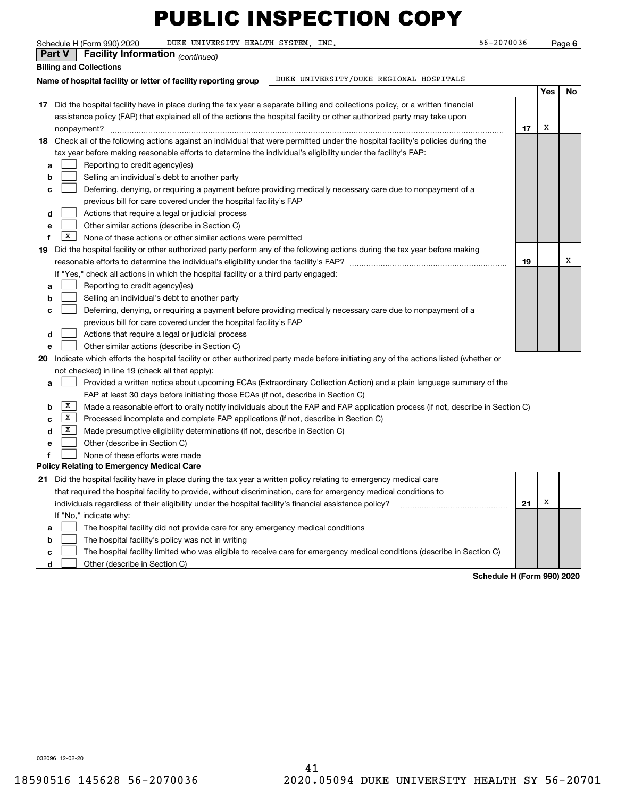Schedule H (Form 990) 2020 DUKE UNIVERSITY HEALTH SYSTEM, INC. 56-2070036 Page

**6**

|    | <b>Part V</b> | <b>Facility Information</b> (continued)                                                                                             |    |     |    |
|----|---------------|-------------------------------------------------------------------------------------------------------------------------------------|----|-----|----|
|    |               | <b>Billing and Collections</b>                                                                                                      |    |     |    |
|    |               | DUKE UNIVERSITY/DUKE REGIONAL HOSPITALS<br>Name of hospital facility or letter of facility reporting group                          |    |     |    |
|    |               |                                                                                                                                     |    | Yes | No |
|    |               | 17 Did the hospital facility have in place during the tax year a separate billing and collections policy, or a written financial    |    |     |    |
|    |               | assistance policy (FAP) that explained all of the actions the hospital facility or other authorized party may take upon             |    |     |    |
|    |               | nonpayment?                                                                                                                         | 17 | х   |    |
|    |               | 18 Check all of the following actions against an individual that were permitted under the hospital facility's policies during the   |    |     |    |
|    |               | tax year before making reasonable efforts to determine the individual's eligibility under the facility's FAP:                       |    |     |    |
| a  |               | Reporting to credit agency(ies)                                                                                                     |    |     |    |
| b  |               | Selling an individual's debt to another party                                                                                       |    |     |    |
| c  |               | Deferring, denying, or requiring a payment before providing medically necessary care due to nonpayment of a                         |    |     |    |
|    |               | previous bill for care covered under the hospital facility's FAP                                                                    |    |     |    |
| d  |               | Actions that require a legal or judicial process                                                                                    |    |     |    |
| е  |               | Other similar actions (describe in Section C)                                                                                       |    |     |    |
| f  | x             | None of these actions or other similar actions were permitted                                                                       |    |     |    |
| 19 |               | Did the hospital facility or other authorized party perform any of the following actions during the tax year before making          |    |     |    |
|    |               |                                                                                                                                     | 19 |     | х  |
|    |               | If "Yes," check all actions in which the hospital facility or a third party engaged:                                                |    |     |    |
| а  |               | Reporting to credit agency(ies)                                                                                                     |    |     |    |
| b  |               | Selling an individual's debt to another party                                                                                       |    |     |    |
| с  |               | Deferring, denying, or requiring a payment before providing medically necessary care due to nonpayment of a                         |    |     |    |
|    |               | previous bill for care covered under the hospital facility's FAP                                                                    |    |     |    |
| d  |               | Actions that require a legal or judicial process                                                                                    |    |     |    |
| e  |               | Other similar actions (describe in Section C)                                                                                       |    |     |    |
| 20 |               | Indicate which efforts the hospital facility or other authorized party made before initiating any of the actions listed (whether or |    |     |    |
|    |               | not checked) in line 19 (check all that apply):                                                                                     |    |     |    |
| a  |               | Provided a written notice about upcoming ECAs (Extraordinary Collection Action) and a plain language summary of the                 |    |     |    |
|    |               | FAP at least 30 days before initiating those ECAs (if not, describe in Section C)                                                   |    |     |    |
| b  | X             | Made a reasonable effort to orally notify individuals about the FAP and FAP application process (if not, describe in Section C)     |    |     |    |
| c  | X<br>X        | Processed incomplete and complete FAP applications (if not, describe in Section C)                                                  |    |     |    |
| d  |               | Made presumptive eligibility determinations (if not, describe in Section C)                                                         |    |     |    |
| e  |               | Other (describe in Section C)                                                                                                       |    |     |    |
|    |               | None of these efforts were made<br>Policy Relating to Emergency Medical Care                                                        |    |     |    |
|    |               | 21 Did the hospital facility have in place during the tax year a written policy relating to emergency medical care                  |    |     |    |
|    |               | that required the hospital facility to provide, without discrimination, care for emergency medical conditions to                    |    |     |    |
|    |               | individuals regardless of their eligibility under the hospital facility's financial assistance policy?                              | 21 | X   |    |
|    |               | If "No," indicate why:                                                                                                              |    |     |    |
| а  |               | The hospital facility did not provide care for any emergency medical conditions                                                     |    |     |    |
| b  |               | The hospital facility's policy was not in writing                                                                                   |    |     |    |
| с  |               | The hospital facility limited who was eligible to receive care for emergency medical conditions (describe in Section C)             |    |     |    |

**d**  $\Box$  Other (describe in Section C)

**Schedule H (Form 990) 2020**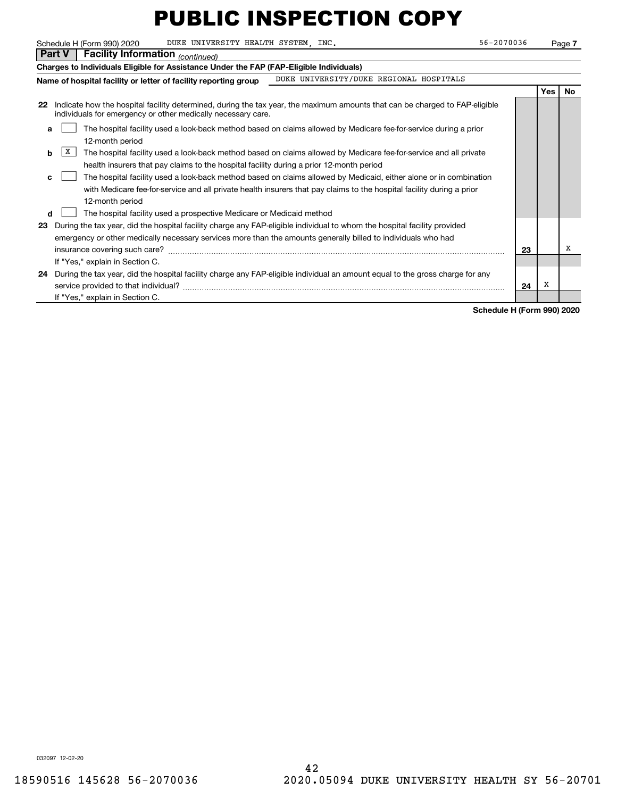|    | 56-2070036<br>DUKE UNIVERSITY HEALTH SYSTEM, INC.<br>Schedule H (Form 990) 2020                                                                                                                                                                               |    |            | Page 7 |  |  |  |  |  |
|----|---------------------------------------------------------------------------------------------------------------------------------------------------------------------------------------------------------------------------------------------------------------|----|------------|--------|--|--|--|--|--|
|    | <b>Part V</b><br><b>Facility Information</b> (continued)                                                                                                                                                                                                      |    |            |        |  |  |  |  |  |
|    | Charges to Individuals Eligible for Assistance Under the FAP (FAP-Eligible Individuals)                                                                                                                                                                       |    |            |        |  |  |  |  |  |
|    | DUKE UNIVERSITY/DUKE REGIONAL HOSPITALS<br>Name of hospital facility or letter of facility reporting group                                                                                                                                                    |    |            |        |  |  |  |  |  |
|    |                                                                                                                                                                                                                                                               |    | <b>Yes</b> | No.    |  |  |  |  |  |
| 22 | Indicate how the hospital facility determined, during the tax year, the maximum amounts that can be charged to FAP-eligible<br>individuals for emergency or other medically necessary care.                                                                   |    |            |        |  |  |  |  |  |
| a  | The hospital facility used a look-back method based on claims allowed by Medicare fee-for-service during a prior<br>12-month period                                                                                                                           |    |            |        |  |  |  |  |  |
|    | X<br>The hospital facility used a look-back method based on claims allowed by Medicare fee-for-service and all private<br>b<br>health insurers that pay claims to the hospital facility during a prior 12-month period                                        |    |            |        |  |  |  |  |  |
| C. | The hospital facility used a look-back method based on claims allowed by Medicaid, either alone or in combination<br>with Medicare fee for service and all private health insurers that pay claims to the hospital facility during a prior<br>12-month period |    |            |        |  |  |  |  |  |
| d  | The hospital facility used a prospective Medicare or Medicaid method                                                                                                                                                                                          |    |            |        |  |  |  |  |  |
| 23 | During the tax year, did the hospital facility charge any FAP-eligible individual to whom the hospital facility provided<br>emergency or other medically necessary services more than the amounts generally billed to individuals who had                     |    |            | х      |  |  |  |  |  |
|    | If "Yes," explain in Section C.                                                                                                                                                                                                                               | 23 |            |        |  |  |  |  |  |
| 24 | During the tax year, did the hospital facility charge any FAP-eligible individual an amount equal to the gross charge for any<br>service provided to that individual?                                                                                         | 24 | х          |        |  |  |  |  |  |
|    | If "Yes," explain in Section C.                                                                                                                                                                                                                               |    |            |        |  |  |  |  |  |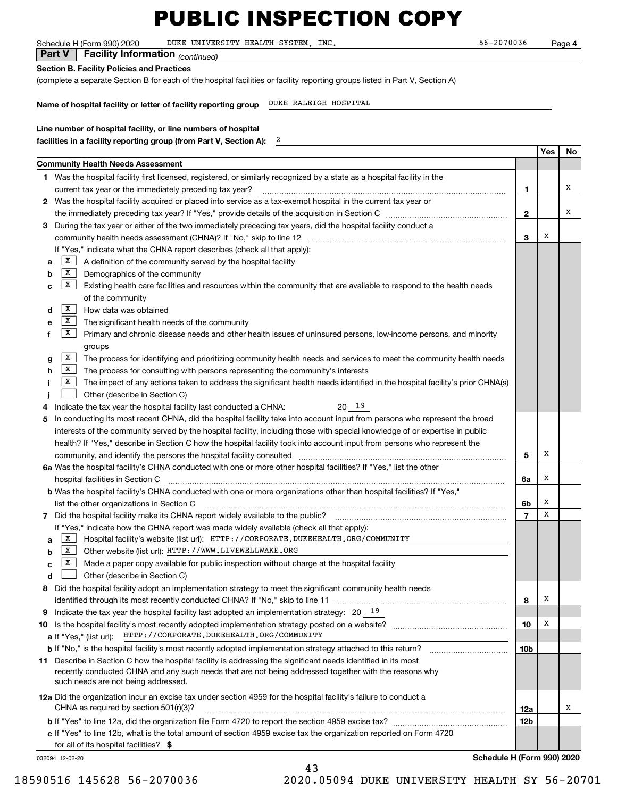Schedule H (Form 990) 2020 DUKE UNIVERSITY HEALTH SYSTEM, INC. 56-2070036 Page

**4**

| <b>Part V</b>   Facility Information $_{(continued)}$ |  |
|-------------------------------------------------------|--|
| Section B. Facility Policies and Practices            |  |

(complete a separate Section B for each of the hospital facilities or facility reporting groups listed in Part V, Section A)

2

**Name of hospital facility or letter of facility reporting group** DUKE RALEIGH HOSPITAL

| Line number of hospital facility, or line numbers of hospital      |
|--------------------------------------------------------------------|
| facilities in a facility reporting group (from Part V, Section A): |

|   |                                                                                                                                                                                                                                |                 | Yes | No |
|---|--------------------------------------------------------------------------------------------------------------------------------------------------------------------------------------------------------------------------------|-----------------|-----|----|
|   | Community Health Needs Assessment                                                                                                                                                                                              |                 |     |    |
|   | 1 Was the hospital facility first licensed, registered, or similarly recognized by a state as a hospital facility in the                                                                                                       |                 |     |    |
|   | current tax year or the immediately preceding tax year?                                                                                                                                                                        | 1               |     | х  |
|   | 2 Was the hospital facility acquired or placed into service as a tax-exempt hospital in the current tax year or                                                                                                                |                 |     |    |
|   |                                                                                                                                                                                                                                | 2               |     | х  |
| 3 | During the tax year or either of the two immediately preceding tax years, did the hospital facility conduct a                                                                                                                  |                 |     |    |
|   |                                                                                                                                                                                                                                | 3               | х   |    |
|   | If "Yes," indicate what the CHNA report describes (check all that apply):                                                                                                                                                      |                 |     |    |
| a | X<br>A definition of the community served by the hospital facility                                                                                                                                                             |                 |     |    |
| b | $\mathbf{X}$<br>Demographics of the community                                                                                                                                                                                  |                 |     |    |
| c | $\mathbf{X}$<br>Existing health care facilities and resources within the community that are available to respond to the health needs                                                                                           |                 |     |    |
|   | of the community                                                                                                                                                                                                               |                 |     |    |
| d | $\mathbf{x}$<br>How data was obtained                                                                                                                                                                                          |                 |     |    |
| е | $\mathbf{X}$<br>The significant health needs of the community                                                                                                                                                                  |                 |     |    |
| f | X<br>Primary and chronic disease needs and other health issues of uninsured persons, low-income persons, and minority                                                                                                          |                 |     |    |
|   | groups                                                                                                                                                                                                                         |                 |     |    |
| g | $\mathbf{X}$<br>The process for identifying and prioritizing community health needs and services to meet the community health needs                                                                                            |                 |     |    |
| h | X<br>The process for consulting with persons representing the community's interests                                                                                                                                            |                 |     |    |
|   | X<br>The impact of any actions taken to address the significant health needs identified in the hospital facility's prior CHNA(s)                                                                                               |                 |     |    |
|   | Other (describe in Section C)                                                                                                                                                                                                  |                 |     |    |
| 4 | 20 19<br>Indicate the tax year the hospital facility last conducted a CHNA:                                                                                                                                                    |                 |     |    |
| 5 | In conducting its most recent CHNA, did the hospital facility take into account input from persons who represent the broad                                                                                                     |                 |     |    |
|   | interests of the community served by the hospital facility, including those with special knowledge of or expertise in public                                                                                                   |                 |     |    |
|   | health? If "Yes," describe in Section C how the hospital facility took into account input from persons who represent the                                                                                                       |                 |     |    |
|   | community, and identify the persons the hospital facility consulted [11] consulted [11] community, and identify the persons the hospital facility consulted [11] community and identify the persons the hospital facility cons | 5               | х   |    |
|   | 6a Was the hospital facility's CHNA conducted with one or more other hospital facilities? If "Yes," list the other                                                                                                             |                 |     |    |
|   | hospital facilities in Section C                                                                                                                                                                                               | 6a              | х   |    |
|   | b Was the hospital facility's CHNA conducted with one or more organizations other than hospital facilities? If "Yes,"                                                                                                          |                 |     |    |
|   | list the other organizations in Section C                                                                                                                                                                                      | 6b              | Х   |    |
|   |                                                                                                                                                                                                                                | $\overline{7}$  | X   |    |
|   | If "Yes," indicate how the CHNA report was made widely available (check all that apply):                                                                                                                                       |                 |     |    |
| a | $\mathbf{X}$<br>Hospital facility's website (list url): HTTP: //CORPORATE. DUKEHEALTH. ORG/COMMUNITY                                                                                                                           |                 |     |    |
| b | X  <br>Other website (list url): HTTP: / / WWW. LIVEWELLWAKE. ORG                                                                                                                                                              |                 |     |    |
| c | X  <br>Made a paper copy available for public inspection without charge at the hospital facility                                                                                                                               |                 |     |    |
| d | Other (describe in Section C)                                                                                                                                                                                                  |                 |     |    |
| 8 | Did the hospital facility adopt an implementation strategy to meet the significant community health needs                                                                                                                      |                 |     |    |
|   | identified through its most recently conducted CHNA? If "No," skip to line 11                                                                                                                                                  | 8               | х   |    |
|   | 9 Indicate the tax year the hospital facility last adopted an implementation strategy: $20-19$                                                                                                                                 |                 |     |    |
|   | 10 Is the hospital facility's most recently adopted implementation strategy posted on a website?                                                                                                                               | 10              | Х   |    |
|   | HTTP://CORPORATE.DUKEHEALTH.ORG/COMMUNITY<br><b>a</b> If "Yes," (list url):                                                                                                                                                    |                 |     |    |
|   | <b>b</b> If "No," is the hospital facility's most recently adopted implementation strategy attached to this return?                                                                                                            | 10 <sub>b</sub> |     |    |
|   | 11 Describe in Section C how the hospital facility is addressing the significant needs identified in its most                                                                                                                  |                 |     |    |
|   | recently conducted CHNA and any such needs that are not being addressed together with the reasons why<br>such needs are not being addressed.                                                                                   |                 |     |    |
|   |                                                                                                                                                                                                                                |                 |     |    |
|   | 12a Did the organization incur an excise tax under section 4959 for the hospital facility's failure to conduct a                                                                                                               |                 |     |    |
|   | CHNA as required by section $501(r)(3)$ ?                                                                                                                                                                                      | 12a             |     | х  |
|   |                                                                                                                                                                                                                                | 12b             |     |    |
|   | c If "Yes" to line 12b, what is the total amount of section 4959 excise tax the organization reported on Form 4720                                                                                                             |                 |     |    |
|   | for all of its hospital facilities? \$                                                                                                                                                                                         |                 |     |    |

43

032094 12-02-20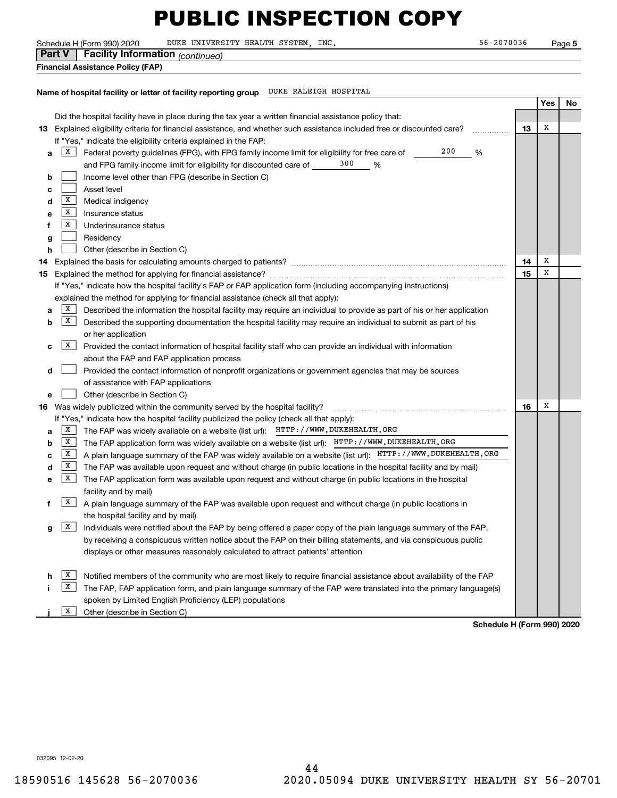Schedule H (Form 990) 2020 DUKE UNIVERSITY HEALTH SYSTEM, INC. 56-2070036 Page

|                                          | <b>Part V</b>   Facility Information (continued) |  |
|------------------------------------------|--------------------------------------------------|--|
| <b>Financial Assistance Policy (FAP)</b> |                                                  |  |

**Name of hospital facility or letter of facility reporting group** DUKE RALEIGH HOSPITAL

|    |                                                                   |                                                                                                                           |    | Yes | No |  |
|----|-------------------------------------------------------------------|---------------------------------------------------------------------------------------------------------------------------|----|-----|----|--|
|    |                                                                   | Did the hospital facility have in place during the tax year a written financial assistance policy that:                   |    |     |    |  |
|    |                                                                   | 13 Explained eligibility criteria for financial assistance, and whether such assistance included free or discounted care? | 13 | X   |    |  |
|    | If "Yes," indicate the eligibility criteria explained in the FAP: |                                                                                                                           |    |     |    |  |
| а  | X                                                                 | 200<br>Federal poverty guidelines (FPG), with FPG family income limit for eligibility for free care of<br>%               |    |     |    |  |
|    |                                                                   | 300<br>and FPG family income limit for eligibility for discounted care of<br>%                                            |    |     |    |  |
| b  |                                                                   | Income level other than FPG (describe in Section C)                                                                       |    |     |    |  |
| c  |                                                                   | Asset level                                                                                                               |    |     |    |  |
| d  | X                                                                 | Medical indigency                                                                                                         |    |     |    |  |
| е  | X                                                                 | Insurance status                                                                                                          |    |     |    |  |
| f  | х                                                                 | Underinsurance status                                                                                                     |    |     |    |  |
| g  |                                                                   | Residency                                                                                                                 |    |     |    |  |
| h  |                                                                   | Other (describe in Section C)                                                                                             |    |     |    |  |
| 14 |                                                                   |                                                                                                                           | 14 | X   |    |  |
| 15 |                                                                   |                                                                                                                           | 15 | X   |    |  |
|    |                                                                   | If "Yes," indicate how the hospital facility's FAP or FAP application form (including accompanying instructions)          |    |     |    |  |
|    |                                                                   | explained the method for applying for financial assistance (check all that apply):                                        |    |     |    |  |
| а  | X                                                                 | Described the information the hospital facility may require an individual to provide as part of his or her application    |    |     |    |  |
| b  | X                                                                 | Described the supporting documentation the hospital facility may require an individual to submit as part of his           |    |     |    |  |
|    |                                                                   | or her application                                                                                                        |    |     |    |  |
| с  | X                                                                 | Provided the contact information of hospital facility staff who can provide an individual with information                |    |     |    |  |
|    |                                                                   | about the FAP and FAP application process                                                                                 |    |     |    |  |
| d  |                                                                   | Provided the contact information of nonprofit organizations or government agencies that may be sources                    |    |     |    |  |
|    |                                                                   | of assistance with FAP applications                                                                                       |    |     |    |  |
| е  |                                                                   | Other (describe in Section C)                                                                                             |    |     |    |  |
|    |                                                                   | 16 Was widely publicized within the community served by the hospital facility?                                            | 16 | X   |    |  |
|    |                                                                   | If "Yes," indicate how the hospital facility publicized the policy (check all that apply):                                |    |     |    |  |
| а  | X                                                                 | The FAP was widely available on a website (list url): HTTP: //WWW.DUKEHEALTH.ORG                                          |    |     |    |  |
| b  | X                                                                 | The FAP application form was widely available on a website (list url): HTTP: //WWW.DUKEHEALTH.ORG                         |    |     |    |  |
| с  | X                                                                 | A plain language summary of the FAP was widely available on a website (list url): HTTP: //WWW.DUKEHEALTH.ORG              |    |     |    |  |
| d  | X                                                                 | The FAP was available upon request and without charge (in public locations in the hospital facility and by mail)          |    |     |    |  |
| е  | x                                                                 | The FAP application form was available upon request and without charge (in public locations in the hospital               |    |     |    |  |
|    |                                                                   | facility and by mail)                                                                                                     |    |     |    |  |
| f  | x                                                                 | A plain language summary of the FAP was available upon request and without charge (in public locations in                 |    |     |    |  |
|    |                                                                   | the hospital facility and by mail)                                                                                        |    |     |    |  |
| g  | X                                                                 | Individuals were notified about the FAP by being offered a paper copy of the plain language summary of the FAP,           |    |     |    |  |
|    |                                                                   | by receiving a conspicuous written notice about the FAP on their billing statements, and via conspicuous public           |    |     |    |  |
|    |                                                                   | displays or other measures reasonably calculated to attract patients' attention                                           |    |     |    |  |
|    |                                                                   |                                                                                                                           |    |     |    |  |
| h  | x                                                                 | Notified members of the community who are most likely to require financial assistance about availability of the FAP       |    |     |    |  |
|    | x                                                                 | The FAP, FAP application form, and plain language summary of the FAP were translated into the primary language(s)         |    |     |    |  |
|    |                                                                   | spoken by Limited English Proficiency (LEP) populations                                                                   |    |     |    |  |
|    | x                                                                 | Other (describe in Section C)                                                                                             |    |     |    |  |
|    | Schedule H (Form 990) 2020                                        |                                                                                                                           |    |     |    |  |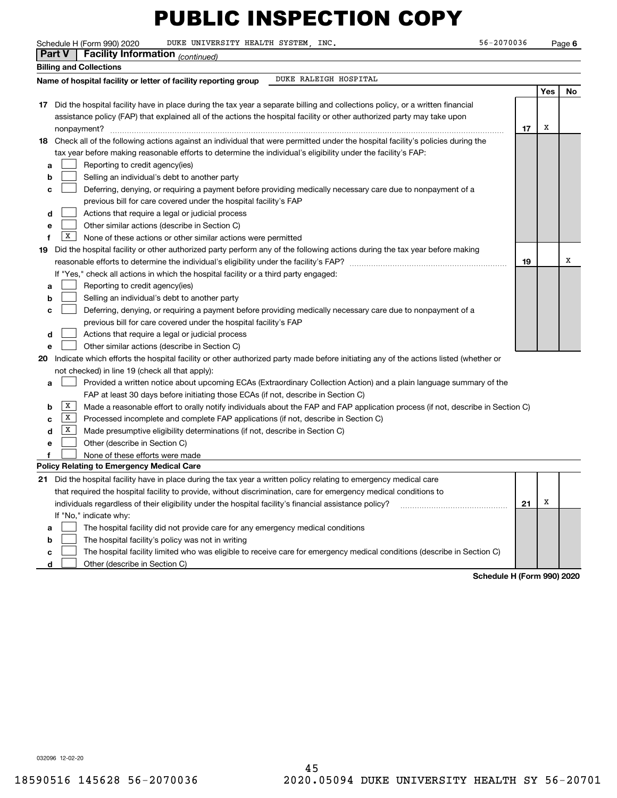|   | Schedule H (Form 990) 2020<br>DUKE UNIVERSITY HEALTH SYSTEM, INC.                                                                      | 56-2070036 |     | Page 6 |
|---|----------------------------------------------------------------------------------------------------------------------------------------|------------|-----|--------|
|   | Part V<br><b>Facility Information</b> (continued)                                                                                      |            |     |        |
|   | <b>Billing and Collections</b>                                                                                                         |            |     |        |
|   | DUKE RALEIGH HOSPITAL<br>Name of hospital facility or letter of facility reporting group                                               |            |     |        |
|   |                                                                                                                                        |            | Yes | No     |
|   | 17 Did the hospital facility have in place during the tax year a separate billing and collections policy, or a written financial       |            |     |        |
|   | assistance policy (FAP) that explained all of the actions the hospital facility or other authorized party may take upon                |            |     |        |
|   |                                                                                                                                        | 17         | х   |        |
|   | 18 Check all of the following actions against an individual that were permitted under the hospital facility's policies during the      |            |     |        |
|   | tax year before making reasonable efforts to determine the individual's eligibility under the facility's FAP:                          |            |     |        |
| a | Reporting to credit agency(ies)                                                                                                        |            |     |        |
| b | Selling an individual's debt to another party                                                                                          |            |     |        |
| с | Deferring, denying, or requiring a payment before providing medically necessary care due to nonpayment of a                            |            |     |        |
|   | previous bill for care covered under the hospital facility's FAP                                                                       |            |     |        |
| d | Actions that require a legal or judicial process                                                                                       |            |     |        |
| e | Other similar actions (describe in Section C)                                                                                          |            |     |        |
| f | $\mid$ X<br>None of these actions or other similar actions were permitted                                                              |            |     |        |
|   | 19 Did the hospital facility or other authorized party perform any of the following actions during the tax year before making          |            |     |        |
|   |                                                                                                                                        |            |     | x      |
|   | If "Yes," check all actions in which the hospital facility or a third party engaged:                                                   |            |     |        |
| a | Reporting to credit agency(ies)                                                                                                        |            |     |        |
| b | Selling an individual's debt to another party                                                                                          |            |     |        |
| c | Deferring, denying, or requiring a payment before providing medically necessary care due to nonpayment of a                            |            |     |        |
|   | previous bill for care covered under the hospital facility's FAP                                                                       |            |     |        |
| d | Actions that require a legal or judicial process                                                                                       |            |     |        |
| e | Other similar actions (describe in Section C)                                                                                          |            |     |        |
|   | 20 Indicate which efforts the hospital facility or other authorized party made before initiating any of the actions listed (whether or |            |     |        |
|   | not checked) in line 19 (check all that apply):                                                                                        |            |     |        |
| a | Provided a written notice about upcoming ECAs (Extraordinary Collection Action) and a plain language summary of the                    |            |     |        |
|   | FAP at least 30 days before initiating those ECAs (if not, describe in Section C)                                                      |            |     |        |
| b | X<br>Made a reasonable effort to orally notify individuals about the FAP and FAP application process (if not, describe in Section C)   |            |     |        |
| c | $\mathbf{X}$<br>Processed incomplete and complete FAP applications (if not, describe in Section C)                                     |            |     |        |
| d | X<br>Made presumptive eligibility determinations (if not, describe in Section C)                                                       |            |     |        |
| e | Other (describe in Section C)                                                                                                          |            |     |        |
|   | None of these efforts were made                                                                                                        |            |     |        |
|   | Policy Relating to Emergency Medical Care                                                                                              |            |     |        |
|   | 21 Did the hospital facility have in place during the tax year a written policy relating to emergency medical care                     |            |     |        |
|   | that required the hospital facility to provide, without discrimination, care for emergency medical conditions to                       |            |     |        |
|   | individuals regardless of their eligibility under the hospital facility's financial assistance policy?                                 | 21         | Х   |        |
|   | If "No," indicate why:                                                                                                                 |            |     |        |
| a | The hospital facility did not provide care for any emergency medical conditions                                                        |            |     |        |
| b | The hospital facility's policy was not in writing                                                                                      |            |     |        |
| c | The hospital facility limited who was eligible to receive care for emergency medical conditions (describe in Section C)                |            |     |        |

**d**Other (describe in Section C)  $\mathcal{L}^{\text{max}}$ 

**Schedule H (Form 990) 2020**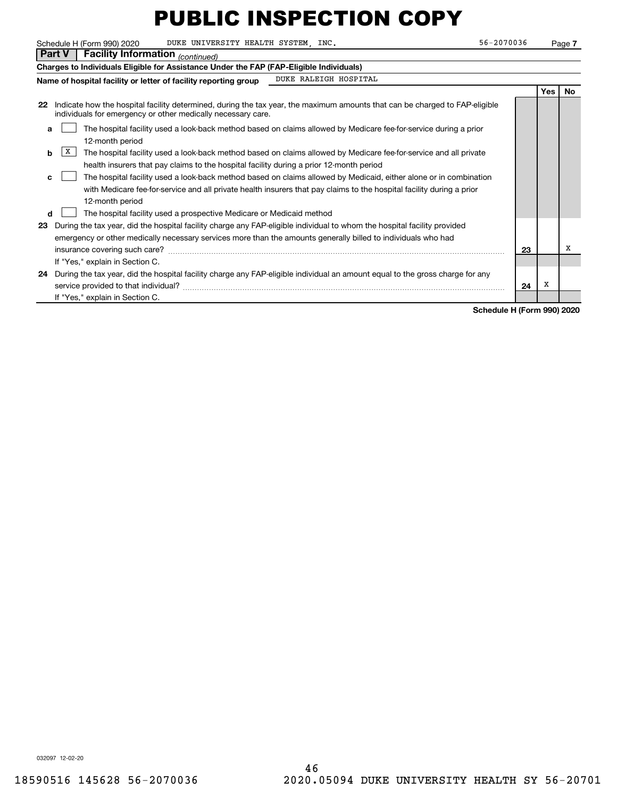|    | 56-2070036<br>Schedule H (Form 990) 2020<br>DUKE UNIVERSITY HEALTH SYSTEM, INC.                                                                                                                                   |    |     | Page 7    |  |  |
|----|-------------------------------------------------------------------------------------------------------------------------------------------------------------------------------------------------------------------|----|-----|-----------|--|--|
|    | <b>Facility Information</b> (continued)<br>l Part V                                                                                                                                                               |    |     |           |  |  |
|    | Charges to Individuals Eligible for Assistance Under the FAP (FAP-Eligible Individuals)                                                                                                                           |    |     |           |  |  |
|    | DUKE RALEIGH HOSPITAL<br>Name of hospital facility or letter of facility reporting group                                                                                                                          |    |     |           |  |  |
|    |                                                                                                                                                                                                                   |    | Yes | <b>No</b> |  |  |
| 22 | Indicate how the hospital facility determined, during the tax year, the maximum amounts that can be charged to FAP-eligible<br>individuals for emergency or other medically necessary care.                       |    |     |           |  |  |
| a  | The hospital facility used a look-back method based on claims allowed by Medicare fee-for-service during a prior<br>12-month period                                                                               |    |     |           |  |  |
| b  | X<br>The hospital facility used a look-back method based on claims allowed by Medicare fee-for-service and all private<br>health insurers that pay claims to the hospital facility during a prior 12-month period |    |     |           |  |  |
| c  | The hospital facility used a look-back method based on claims allowed by Medicaid, either alone or in combination                                                                                                 |    |     |           |  |  |
|    | with Medicare fee for service and all private health insurers that pay claims to the hospital facility during a prior<br>12-month period                                                                          |    |     |           |  |  |
| d  | The hospital facility used a prospective Medicare or Medicaid method                                                                                                                                              |    |     |           |  |  |
| 23 | During the tax year, did the hospital facility charge any FAP-eligible individual to whom the hospital facility provided                                                                                          |    |     |           |  |  |
|    | emergency or other medically necessary services more than the amounts generally billed to individuals who had                                                                                                     |    |     |           |  |  |
|    |                                                                                                                                                                                                                   | 23 |     | х         |  |  |
|    | If "Yes," explain in Section C.                                                                                                                                                                                   |    |     |           |  |  |
|    | 24 During the tax year, did the hospital facility charge any FAP-eligible individual an amount equal to the gross charge for any<br>service provided to that individual?                                          | 24 | х   |           |  |  |
|    | If "Yes," explain in Section C.                                                                                                                                                                                   |    |     |           |  |  |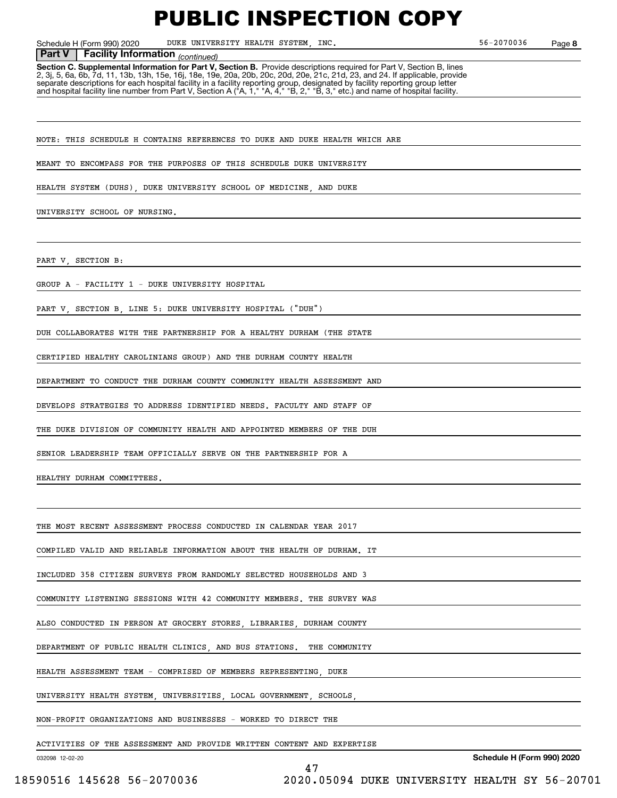**8**

Schedule H (Form 990) 2020 DUKE UNIVERSITY HEALTH SYSTEM, INC. 56-2070036 Page

 *(continued)* **Part V Facility Information**

**Section C. Supplemental Information for Part V, Section B.** Provide descriptions required for Part V, Section B, lines 2, 3j, 5, 6a, 6b, 7d, 11, 13b, 13h, 15e, 16j, 18e, 19e, 20a, 20b, 20c, 20d, 20e, 21c, 21d, 23, and 24. If applicable, provide separate descriptions for each hospital facility in a facility reporting group, designated by facility reporting group letter<br>and hospital facility line number from Part V, Section A ("A, 1," "A, 4," "B, 2," "B, 3," etc.)

NOTE: THIS SCHEDULE H CONTAINS REFERENCES TO DUKE AND DUKE HEALTH WHICH ARE

MEANT TO ENCOMPASS FOR THE PURPOSES OF THIS SCHEDULE DUKE UNIVERSITY

HEALTH SYSTEM (DUHS) DUKE UNIVERSITY SCHOOL OF MEDICINE AND DUKE

UNIVERSITY SCHOOL OF NURSING.

PART V, SECTION B:

GROUP A - FACILITY 1 - DUKE UNIVERSITY HOSPITAL

PART V, SECTION B, LINE 5: DUKE UNIVERSITY HOSPITAL ("DUH")

DUH COLLABORATES WITH THE PARTNERSHIP FOR A HEALTHY DURHAM (THE STATE

CERTIFIED HEALTHY CAROLINIANS GROUP) AND THE DURHAM COUNTY HEALTH

DEPARTMENT TO CONDUCT THE DURHAM COUNTY COMMUNITY HEALTH ASSESSMENT AND

DEVELOPS STRATEGIES TO ADDRESS IDENTIFIED NEEDS. FACULTY AND STAFF OF

THE DUKE DIVISION OF COMMUNITY HEALTH AND APPOINTED MEMBERS OF THE DUH

SENIOR LEADERSHIP TEAM OFFICIALLY SERVE ON THE PARTNERSHIP FOR A

HEALTHY DURHAM COMMITTEES.

THE MOST RECENT ASSESSMENT PROCESS CONDUCTED IN CALENDAR YEAR 2017

COMPILED VALID AND RELIABLE INFORMATION ABOUT THE HEALTH OF DURHAM. IT

INCLUDED 358 CITIZEN SURVEYS FROM RANDOMLY SELECTED HOUSEHOLDS AND 3

COMMUNITY LISTENING SESSIONS WITH 42 COMMUNITY MEMBERS. THE SURVEY WAS

ALSO CONDUCTED IN PERSON AT GROCERY STORES, LIBRARIES, DURHAM COUNTY

DEPARTMENT OF PUBLIC HEALTH CLINICS, AND BUS STATIONS. THE COMMUNITY

HEALTH ASSESSMENT TEAM - COMPRISED OF MEMBERS REPRESENTING, DUKE

UNIVERSITY HEALTH SYSTEM, UNIVERSITIES, LOCAL GOVERNMENT, SCHOOLS

NON-PROFIT ORGANIZATIONS AND BUSINESSES - WORKED TO DIRECT THE

ACTIVITIES OF THE ASSESSMENT AND PROVIDE WRITTEN CONTENT AND EXPERTISE

47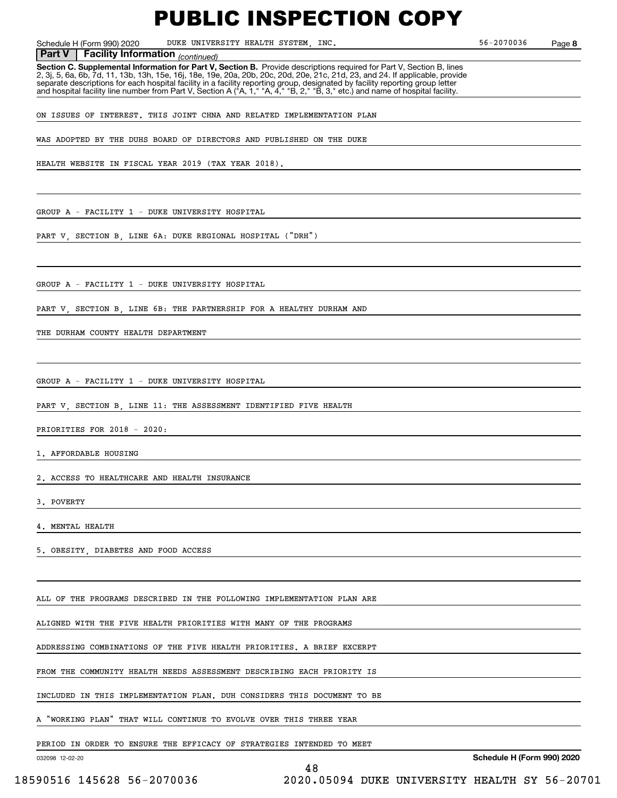Schedule H (Form 990) 2020 DUKE UNIVERSITY HEALTH SYSTEM, INC. 56-2070036 Page

**8**

 *(continued)* **Part V Facility Information**

**Section C. Supplemental Information for Part V, Section B.** Provide descriptions required for Part V, Section B, lines 2, 3j, 5, 6a, 6b, 7d, 11, 13b, 13h, 15e, 16j, 18e, 19e, 20a, 20b, 20c, 20d, 20e, 21c, 21d, 23, and 24. If applicable, provide separate descriptions for each hospital facility in a facility reporting group, designated by facility reporting group letter<br>and hospital facility line number from Part V, Section A ("A, 1," "A, 4," "B, 2," "B, 3," etc.)

ON ISSUES OF INTEREST. THIS JOINT CHNA AND RELATED IMPLEMENTATION PLAN

WAS ADOPTED BY THE DUHS BOARD OF DIRECTORS AND PUBLISHED ON THE DUKE

HEALTH WEBSITE IN FISCAL YEAR 2019 (TAX YEAR 2018).

GROUP A - FACILITY 1 - DUKE UNIVERSITY HOSPITAL

PART V, SECTION B, LINE 6A: DUKE REGIONAL HOSPITAL ("DRH")

GROUP A - FACILITY 1 - DUKE UNIVERSITY HOSPITAL

PART V, SECTION B, LINE 6B: THE PARTNERSHIP FOR A HEALTHY DURHAM AND

THE DURHAM COUNTY HEALTH DEPARTMENT

GROUP A - FACILITY 1 - DUKE UNIVERSITY HOSPITAL

PART V, SECTION B, LINE 11: THE ASSESSMENT IDENTIFIED FIVE HEALTH

PRIORITIES FOR 2018 - 2020:

1. AFFORDABLE HOUSING

2. ACCESS TO HEALTHCARE AND HEALTH INSURANCE

3. POVERTY

MENTAL HEALTH

5. OBESITY, DIABETES AND FOOD ACCESS

ALL OF THE PROGRAMS DESCRIBED IN THE FOLLOWING IMPLEMENTATION PLAN ARE

ALIGNED WITH THE FIVE HEALTH PRIORITIES WITH MANY OF THE PROGRAMS

ADDRESSING COMBINATIONS OF THE FIVE HEALTH PRIORITIES. A BRIEF EXCERPT

FROM THE COMMUNITY HEALTH NEEDS ASSESSMENT DESCRIBING EACH PRIORITY IS

INCLUDED IN THIS IMPLEMENTATION PLAN. DUH CONSIDERS THIS DOCUMENT TO BE

A "WORKING PLAN" THAT WILL CONTINUE TO EVOLVE OVER THIS THREE YEAR

PERIOD IN ORDER TO ENSURE THE EFFICACY OF STRATEGIES INTENDED TO MEET

48

032098 12-02-20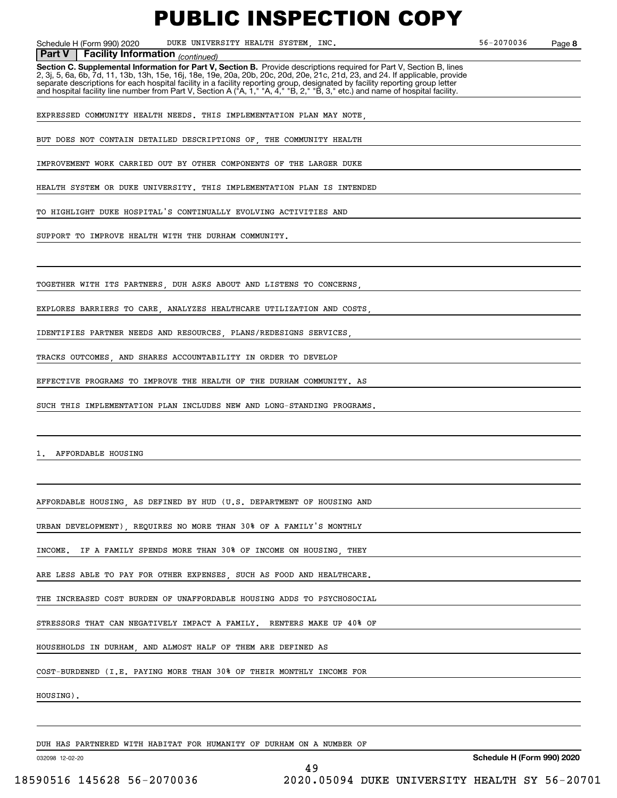Schedule H (Form 990) 2020 DUKE UNIVERSITY HEALTH SYSTEM, INC. 56-2070036 Page

**8**

### **Facility Information** (continued)

**Part V** | Facility Information <sub>(continued)<br>Section C. Supplemental Information for Part V, Section B. Provide descriptions required for Part V, Section B, lines</sub> 2, 3j, 5, 6a, 6b, 7d, 11, 13b, 13h, 15e, 16j, 18e, 19e, 20a, 20b, 20c, 20d, 20e, 21c, 21d, 23, and 24. If applicable, provide separate descriptions for each hospital facility in a facility reporting group, designated by facility reporting group letter<br>and hospital facility line number from Part V, Section A ("A, 1," "A, 4," "B, 2," "B, 3," etc.)

EXPRESSED COMMUNITY HEALTH NEEDS. THIS IMPLEMENTATION PLAN MAY NOTE,

BUT DOES NOT CONTAIN DETAILED DESCRIPTIONS OF, THE COMMUNITY HEALTH

IMPROVEMENT WORK CARRIED OUT BY OTHER COMPONENTS OF THE LARGER DUKE

HEALTH SYSTEM OR DUKE UNIVERSITY. THIS IMPLEMENTATION PLAN IS INTENDED

TO HIGHLIGHT DUKE HOSPITAL'S CONTINUALLY EVOLVING ACTIVITIES AND

SUPPORT TO IMPROVE HEALTH WITH THE DURHAM COMMUNITY.

TOGETHER WITH ITS PARTNERS, DUH ASKS ABOUT AND LISTENS TO CONCERNS,

EXPLORES BARRIERS TO CARE, ANALYZES HEALTHCARE UTILIZATION AND COSTS,

IDENTIFIES PARTNER NEEDS AND RESOURCES, PLANS/REDESIGNS SERVICES,

TRACKS OUTCOMES, AND SHARES ACCOUNTABILITY IN ORDER TO DEVELOP

EFFECTIVE PROGRAMS TO IMPROVE THE HEALTH OF THE DURHAM COMMUNITY. AS

SUCH THIS IMPLEMENTATION PLAN INCLUDES NEW AND LONG-STANDING PROGRAMS.

1. AFFORDABLE HOUSING

AFFORDABLE HOUSING, AS DEFINED BY HUD (U.S. DEPARTMENT OF HOUSING AND

URBAN DEVELOPMENT), REQUIRES NO MORE THAN 30% OF A FAMILY'S MONTHLY

INCOME. IF A FAMILY SPENDS MORE THAN 30% OF INCOME ON HOUSING, THEY

ARE LESS ABLE TO PAY FOR OTHER EXPENSES, SUCH AS FOOD AND HEALTHCARE.

THE INCREASED COST BURDEN OF UNAFFORDABLE HOUSING ADDS TO PSYCHOSOCIAL

STRESSORS THAT CAN NEGATIVELY IMPACT A FAMILY. RENTERS MAKE UP 40% OF

HOUSEHOLDS IN DURHAM, AND ALMOST HALF OF THEM ARE DEFINED AS

COST-BURDENED (I.E. PAYING MORE THAN 30% OF THEIR MONTHLY INCOME FOR

HOUSING).

DUH HAS PARTNERED WITH HABITAT FOR HUMANITY OF DURHAM ON A NUMBER OF

032098 12-02-20

**Schedule H (Form 990) 2020**

49 18590516 145628 56-2070036 2020.05094 DUKE UNIVERSITY HEALTH SY 56-20701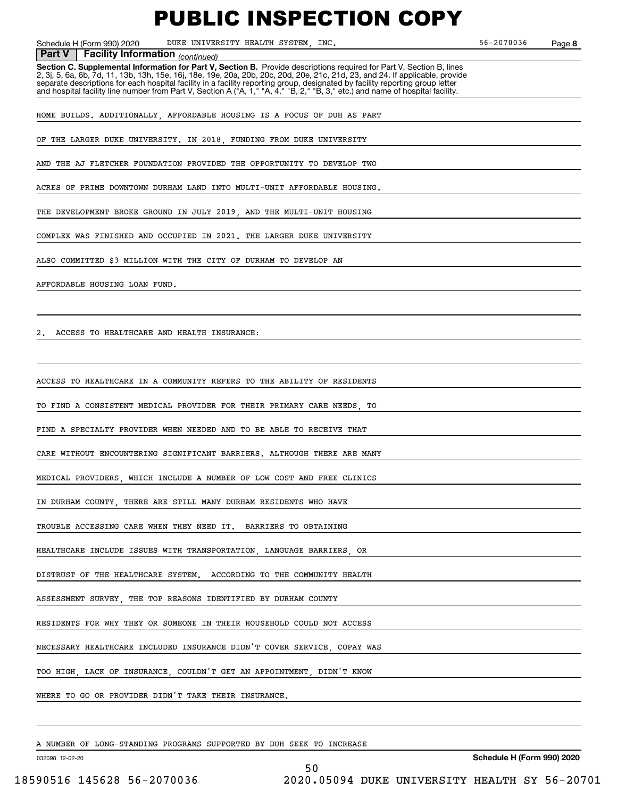Schedule H (Form 990) 2020 DUKE UNIVERSITY HEALTH SYSTEM, INC. 56-2070036 Page

**8**

**Facility Information** (continued)

**Part V** | Facility Information <sub>(continued)<br>Section C. Supplemental Information for Part V, Section B. Provide descriptions required for Part V, Section B, lines</sub> 2, 3j, 5, 6a, 6b, 7d, 11, 13b, 13h, 15e, 16j, 18e, 19e, 20a, 20b, 20c, 20d, 20e, 21c, 21d, 23, and 24. If applicable, provide separate descriptions for each hospital facility in a facility reporting group, designated by facility reporting group letter<br>and hospital facility line number from Part V, Section A ("A, 1," "A, 4," "B, 2," "B, 3," etc.)

HOME BUILDS. ADDITIONALLY, AFFORDABLE HOUSING IS A FOCUS OF DUH AS PART

OF THE LARGER DUKE UNIVERSITY. IN 2018, FUNDING FROM DUKE UNIVERSITY

AND THE AJ FLETCHER FOUNDATION PROVIDED THE OPPORTUNITY TO DEVELOP TWO

ACRES OF PRIME DOWNTOWN DURHAM LAND INTO MULTI-UNIT AFFORDABLE HOUSING.

THE DEVELOPMENT BROKE GROUND IN JULY 2019, AND THE MULTI-UNIT HOUSING

COMPLEX WAS FINISHED AND OCCUPIED IN 2021. THE LARGER DUKE UNIVERSITY

ALSO COMMITTED \$3 MILLION WITH THE CITY OF DURHAM TO DEVELOP AN

AFFORDABLE HOUSING LOAN FUND.

2. ACCESS TO HEALTHCARE AND HEALTH INSURANCE:

ACCESS TO HEALTHCARE IN A COMMUNITY REFERS TO THE ABILITY OF RESIDENTS

TO FIND A CONSISTENT MEDICAL PROVIDER FOR THEIR PRIMARY CARE NEEDS, TO

FIND A SPECIALTY PROVIDER WHEN NEEDED AND TO BE ABLE TO RECEIVE THAT

CARE WITHOUT ENCOUNTERING SIGNIFICANT BARRIERS. ALTHOUGH THERE ARE MANY

MEDICAL PROVIDERS, WHICH INCLUDE A NUMBER OF LOW COST AND FREE CLINICS

IN DURHAM COUNTY, THERE ARE STILL MANY DURHAM RESIDENTS WHO HAVE

TROUBLE ACCESSING CARE WHEN THEY NEED IT. BARRIERS TO OBTAINING

HEALTHCARE INCLUDE ISSUES WITH TRANSPORTATION, LANGUAGE BARRIERS, OR

DISTRUST OF THE HEALTHCARE SYSTEM. ACCORDING TO THE COMMUNITY HEALTH

ASSESSMENT SURVEY, THE TOP REASONS IDENTIFIED BY DURHAM COUNTY

RESIDENTS FOR WHY THEY OR SOMEONE IN THEIR HOUSEHOLD COULD NOT ACCESS

NECESSARY HEALTHCARE INCLUDED INSURANCE DIDN'T COVER SERVICE, COPAY WAS

TOO HIGH, LACK OF INSURANCE, COULDN'T GET AN APPOINTMENT, DIDN'T KNOW

WHERE TO GO OR PROVIDER DIDN'T TAKE THEIR INSURANCE.

A NUMBER OF LONG-STANDING PROGRAMS SUPPORTED BY DUH SEEK TO INCREASE

032098 12-02-20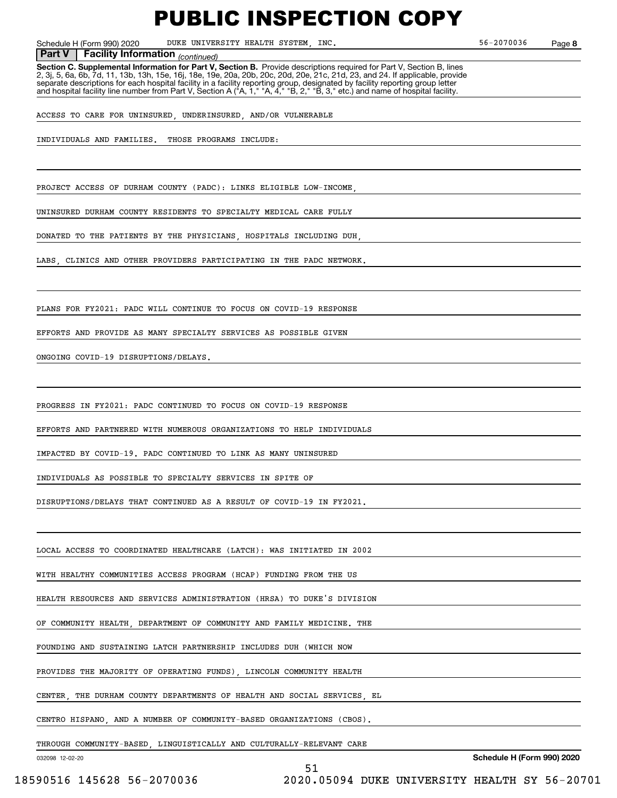Schedule H (Form 990) 2020 DUKE UNIVERSITY HEALTH SYSTEM, INC. 56-2070036 Page

**8**

### *(continued)* **Part V Facility Information**

**Section C. Supplemental Information for Part V, Section B.** Provide descriptions required for Part V, Section B, lines 2, 3j, 5, 6a, 6b, 7d, 11, 13b, 13h, 15e, 16j, 18e, 19e, 20a, 20b, 20c, 20d, 20e, 21c, 21d, 23, and 24. If applicable, provide separate descriptions for each hospital facility in a facility reporting group, designated by facility reporting group letter<br>and hospital facility line number from Part V, Section A ("A, 1," "A, 4," "B, 2," "B, 3," etc.)

ACCESS TO CARE FOR UNINSURED, UNDERINSURED, AND/OR VULNERABLE

INDIVIDUALS AND FAMILIES. THOSE PROGRAMS INCLUDE:

PROJECT ACCESS OF DURHAM COUNTY (PADC): LINKS ELIGIBLE LOW-INCOME

UNINSURED DURHAM COUNTY RESIDENTS TO SPECIALTY MEDICAL CARE FULLY

DONATED TO THE PATIENTS BY THE PHYSICIANS, HOSPITALS INCLUDING DUH,

LABS, CLINICS AND OTHER PROVIDERS PARTICIPATING IN THE PADC NETWORK.

PLANS FOR FY2021: PADC WILL CONTINUE TO FOCUS ON COVID-19 RESPONSE

EFFORTS AND PROVIDE AS MANY SPECIALTY SERVICES AS POSSIBLE GIVEN

ONGOING COVID-19 DISRUPTIONS/DELAYS.

PROGRESS IN FY2021: PADC CONTINUED TO FOCUS ON COVID-19 RESPONSE

EFFORTS AND PARTNERED WITH NUMEROUS ORGANIZATIONS TO HELP INDIVIDUALS

IMPACTED BY COVID-19. PADC CONTINUED TO LINK AS MANY UNINSURED

INDIVIDUALS AS POSSIBLE TO SPECIALTY SERVICES IN SPITE OF

DISRUPTIONS/DELAYS THAT CONTINUED AS A RESULT OF COVID-19 IN FY2021.

LOCAL ACCESS TO COORDINATED HEALTHCARE (LATCH): WAS INITIATED IN 2002

WITH HEALTHY COMMUNITIES ACCESS PROGRAM (HCAP) FUNDING FROM THE US

HEALTH RESOURCES AND SERVICES ADMINISTRATION (HRSA) TO DUKE'S DIVISION

OF COMMUNITY HEALTH, DEPARTMENT OF COMMUNITY AND FAMILY MEDICINE. THE

FOUNDING AND SUSTAINING LATCH PARTNERSHIP INCLUDES DUH (WHICH NOW

PROVIDES THE MAJORITY OF OPERATING FUNDS), LINCOLN COMMUNITY HEALTH

CENTER, THE DURHAM COUNTY DEPARTMENTS OF HEALTH AND SOCIAL SERVICES, EL

CENTRO HISPANO, AND A NUMBER OF COMMUNITY-BASED ORGANIZATIONS (CBOS).

THROUGH COMMUNITY-BASED, LINGUISTICALLY AND CULTURALLY-RELEVANT CARE

51

032098 12-02-20

**Schedule H (Form 990) 2020**

18590516 145628 56-2070036 2020.05094 DUKE UNIVERSITY HEALTH SY 56-20701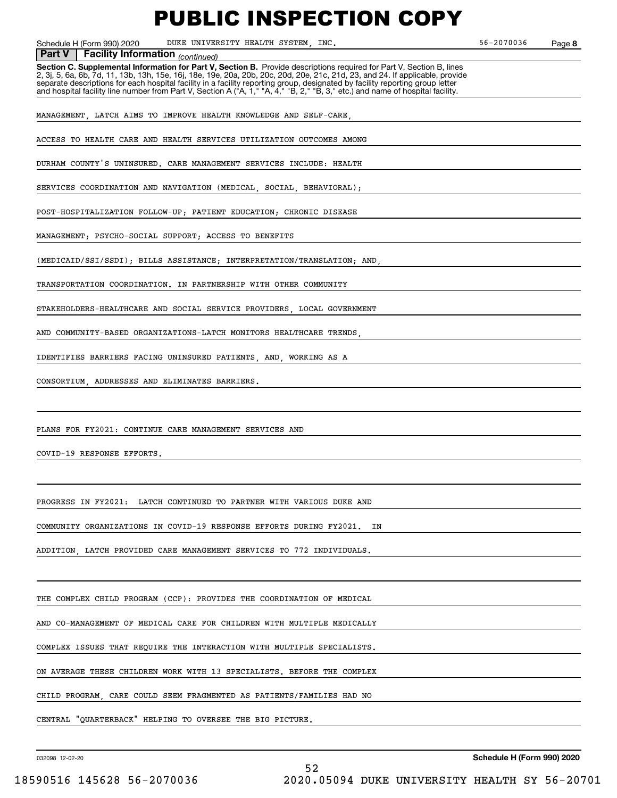Schedule H (Form 990) 2020 DUKE UNIVERSITY HEALTH SYSTEM, INC. 56-2070036 Page

**8**

**Facility Information** (continued) **Part V Facility Information**

**Section C. Supplemental Information for Part V, Section B.** Provide descriptions required for Part V, Section B, lines<br>2, 3j, 5, 6a, 6b, 7d, 11, 13b, 13h, 15e, 16j, 18e, 19e, 20a, 20b, 20c, 20d, 20e, 21c, 21d, 23, and 24. separate descriptions for each hospital facility in a facility reporting group, designated by facility reporting group letter<br>and hospital facility line number from Part V, Section A ("A, 1," "A, 4," "B, 2," "B, 3," etc.)

MANAGEMENT, LATCH AIMS TO IMPROVE HEALTH KNOWLEDGE AND SELF-CARE,

ACCESS TO HEALTH CARE AND HEALTH SERVICES UTILIZATION OUTCOMES AMONG

DURHAM COUNTY'S UNINSURED. CARE MANAGEMENT SERVICES INCLUDE: HEALTH

SERVICES COORDINATION AND NAVIGATION (MEDICAL, SOCIAL, BEHAVIORAL);

POST-HOSPITALIZATION FOLLOW-UP; PATIENT EDUCATION; CHRONIC DISEASE

MANAGEMENT; PSYCHO-SOCIAL SUPPORT; ACCESS TO BENEFITS

(MEDICAID/SSI/SSDI); BILLS ASSISTANCE; INTERPRETATION/TRANSLATION; AND,

TRANSPORTATION COORDINATION. IN PARTNERSHIP WITH OTHER COMMUNITY

STAKEHOLDERS-HEALTHCARE AND SOCIAL SERVICE PROVIDERS, LOCAL GOVERNMENT

AND COMMUNITY-BASED ORGANIZATIONS-LATCH MONITORS HEALTHCARE TRENDS,

IDENTIFIES BARRIERS FACING UNINSURED PATIENTS, AND, WORKING AS A

CONSORTIUM, ADDRESSES AND ELIMINATES BARRIERS.

PLANS FOR FY2021: CONTINUE CARE MANAGEMENT SERVICES AND

COVID-19 RESPONSE EFFORTS.

PROGRESS IN FY2021: LATCH CONTINUED TO PARTNER WITH VARIOUS DUKE AND

COMMUNITY ORGANIZATIONS IN COVID-19 RESPONSE EFFORTS DURING FY2021. IN

ADDITION, LATCH PROVIDED CARE MANAGEMENT SERVICES TO 772 INDIVIDUALS.

THE COMPLEX CHILD PROGRAM (CCP): PROVIDES THE COORDINATION OF MEDICAL

AND CO-MANAGEMENT OF MEDICAL CARE FOR CHILDREN WITH MULTIPLE MEDICALLY

COMPLEX ISSUES THAT REQUIRE THE INTERACTION WITH MULTIPLE SPECIALISTS.

ON AVERAGE THESE CHILDREN WORK WITH 13 SPECIALISTS. BEFORE THE COMPLEX

CHILD PROGRAM, CARE COULD SEEM FRAGMENTED AS PATIENTS/FAMILIES HAD NO

52

CENTRAL "QUARTERBACK" HELPING TO OVERSEE THE BIG PICTURE.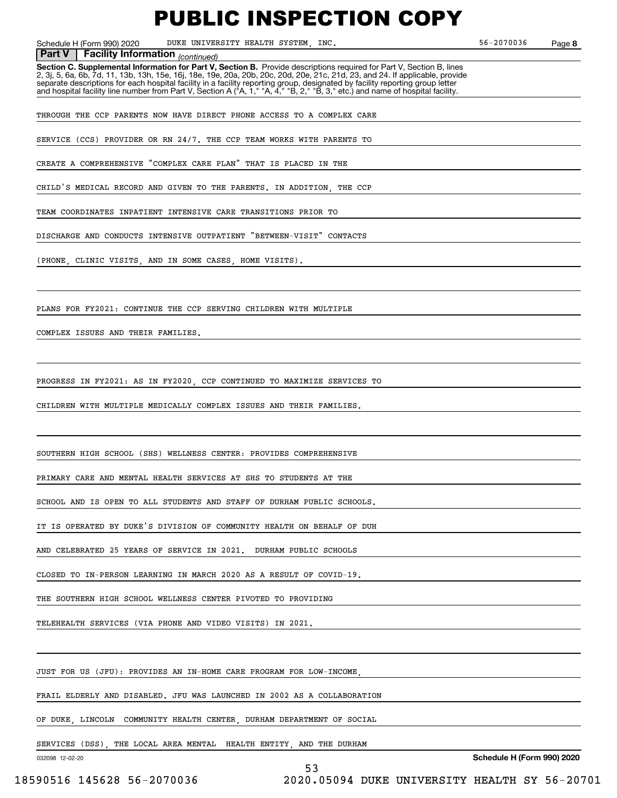Schedule H (Form 990) 2020 DUKE UNIVERSITY HEALTH SYSTEM, INC. 56-2070036 Page

**8**

**Facility Information** (continued)

**Part V** | Facility Information <sub>(continued)<br>Section C. Supplemental Information for Part V, Section B. Provide descriptions required for Part V, Section B, lines</sub> 2, 3j, 5, 6a, 6b, 7d, 11, 13b, 13h, 15e, 16j, 18e, 19e, 20a, 20b, 20c, 20d, 20e, 21c, 21d, 23, and 24. If applicable, provide separate descriptions for each hospital facility in a facility reporting group, designated by facility reporting group letter<br>and hospital facility line number from Part V, Section A ("A, 1," "A, 4," "B, 2," "B, 3," etc.)

THROUGH THE CCP PARENTS NOW HAVE DIRECT PHONE ACCESS TO A COMPLEX CARE

SERVICE (CCS) PROVIDER OR RN 24/7. THE CCP TEAM WORKS WITH PARENTS TO

CREATE A COMPREHENSIVE "COMPLEX CARE PLAN" THAT IS PLACED IN THE

CHILD'S MEDICAL RECORD AND GIVEN TO THE PARENTS. IN ADDITION, THE CCP

TEAM COORDINATES INPATIENT INTENSIVE CARE TRANSITIONS PRIOR TO

DISCHARGE AND CONDUCTS INTENSIVE OUTPATIENT "BETWEEN-VISIT" CONTACTS

(PHONE, CLINIC VISITS, AND IN SOME CASES, HOME VISITS).

PLANS FOR FY2021: CONTINUE THE CCP SERVING CHILDREN WITH MULTIPLE

COMPLEX ISSUES AND THEIR FAMILIES.

PROGRESS IN FY2021: AS IN FY2020, CCP CONTINUED TO MAXIMIZE SERVICES TO

CHILDREN WITH MULTIPLE MEDICALLY COMPLEX ISSUES AND THEIR FAMILIES.

SOUTHERN HIGH SCHOOL (SHS) WELLNESS CENTER: PROVIDES COMPREHENSIVE

PRIMARY CARE AND MENTAL HEALTH SERVICES AT SHS TO STUDENTS AT THE

SCHOOL AND IS OPEN TO ALL STUDENTS AND STAFF OF DURHAM PUBLIC SCHOOLS.

IT IS OPERATED BY DUKE'S DIVISION OF COMMUNITY HEALTH ON BEHALF OF DUH

AND CELEBRATED 25 YEARS OF SERVICE IN 2021. DURHAM PUBLIC SCHOOLS

CLOSED TO IN-PERSON LEARNING IN MARCH 2020 AS A RESULT OF COVID-19.

THE SOUTHERN HIGH SCHOOL WELLNESS CENTER PIVOTED TO PROVIDING

TELEHEALTH SERVICES (VIA PHONE AND VIDEO VISITS) IN 2021.

JUST FOR US (JFU): PROVIDES AN IN-HOME CARE PROGRAM FOR LOW-INCOME,

FRAIL ELDERLY AND DISABLED. JFU WAS LAUNCHED IN 2002 AS A COLLABORATION

OF DUKE, LINCOLN, COMMUNITY HEALTH CENTER, DURHAM DEPARTMENT OF SOCIAL

SERVICES (DSS), THE LOCAL AREA MENTAL HEALTH ENTITY, AND THE DURHAM

53

032098 12-02-20

**Schedule H (Form 990) 2020**

18590516 145628 56-2070036 2020.05094 DUKE UNIVERSITY HEALTH SY 56-20701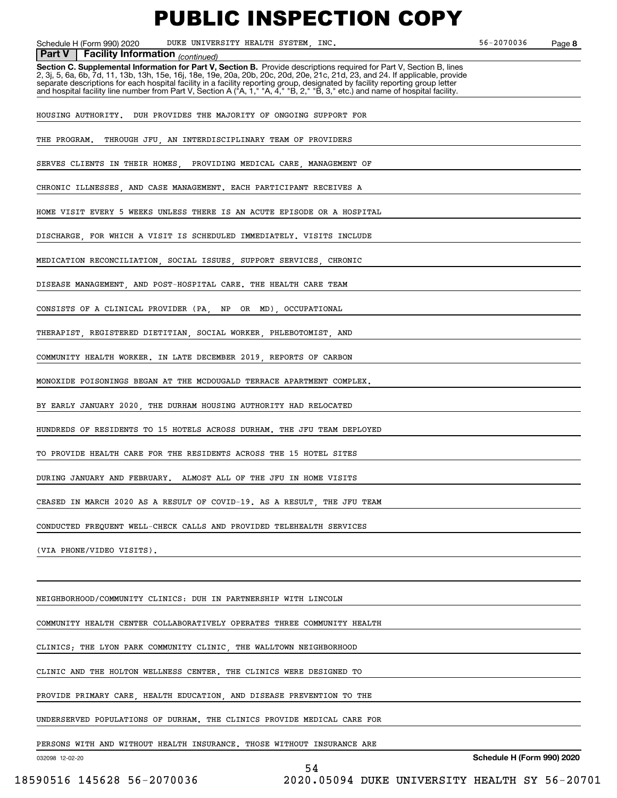Schedule H (Form 990) 2020 DUKE UNIVERSITY HEALTH SYSTEM, INC. 56-2070036 Page

**8**

#### **Facility Information** (continued)

**Part V** | Facility Information <sub>(continued)<br>Section C. Supplemental Information for Part V, Section B. Provide descriptions required for Part V, Section B, lines</sub> 2, 3j, 5, 6a, 6b, 7d, 11, 13b, 13h, 15e, 16j, 18e, 19e, 20a, 20b, 20c, 20d, 20e, 21c, 21d, 23, and 24. If applicable, provide separate descriptions for each hospital facility in a facility reporting group, designated by facility reporting group letter<br>and hospital facility line number from Part V, Section A ("A, 1," "A, 4," "B, 2," "B, 3," etc.)

HOUSING AUTHORITY. DUH PROVIDES THE MAJORITY OF ONGOING SUPPORT FOR

THE PROGRAM. THROUGH JFU, AN INTERDISCIPLINARY TEAM OF PROVIDERS

SERVES CLIENTS IN THEIR HOMES PROVIDING MEDICAL CARE, MANAGEMENT OF

CHRONIC ILLNESSES AND CASE MANAGEMENT. EACH PARTICIPANT RECEIVES A

HOME VISIT EVERY 5 WEEKS UNLESS THERE IS AN ACUTE EPISODE OR A HOSPITAL

DISCHARGE, FOR WHICH A VISIT IS SCHEDULED IMMEDIATELY. VISITS INCLUDE

MEDICATION RECONCILIATION, SOCIAL ISSUES, SUPPORT SERVICES, CHRONIC

DISEASE MANAGEMENT, AND POST-HOSPITAL CARE. THE HEALTH CARE TEAM

CONSISTS OF A CLINICAL PROVIDER (PA, NP OR MD), OCCUPATIONAL

THERAPIST, REGISTERED DIETITIAN, SOCIAL WORKER, PHLEBOTOMIST, AND

COMMUNITY HEALTH WORKER. IN LATE DECEMBER 2019, REPORTS OF CARBON

MONOXIDE POISONINGS BEGAN AT THE MCDOUGALD TERRACE APARTMENT COMPLEX.

BY EARLY JANUARY 2020, THE DURHAM HOUSING AUTHORITY HAD RELOCATED

HUNDREDS OF RESIDENTS TO 15 HOTELS ACROSS DURHAM. THE JFU TEAM DEPLOYED

TO PROVIDE HEALTH CARE FOR THE RESIDENTS ACROSS THE 15 HOTEL SITES

DURING JANUARY AND FEBRUARY. ALMOST ALL OF THE JFU IN HOME VISITS

CEASED IN MARCH 2020 AS A RESULT OF COVID-19. AS A RESULT, THE JFU TEAM

CONDUCTED FREQUENT WELL-CHECK CALLS AND PROVIDED TELEHEALTH SERVICES

(VIA PHONE/VIDEO VISITS).

NEIGHBORHOOD/COMMUNITY CLINICS: DUH IN PARTNERSHIP WITH LINCOLN

COMMUNITY HEALTH CENTER COLLABORATIVELY OPERATES THREE COMMUNITY HEALTH

CLINICS; THE LYON PARK COMMUNITY CLINIC, THE WALLTOWN NEIGHBORHOOD

CLINIC AND THE HOLTON WELLNESS CENTER. THE CLINICS WERE DESIGNED TO

PROVIDE PRIMARY CARE, HEALTH EDUCATION, AND DISEASE PREVENTION TO THE

UNDERSERVED POPULATIONS OF DURHAM. THE CLINICS PROVIDE MEDICAL CARE FOR

PERSONS WITH AND WITHOUT HEALTH INSURANCE. THOSE WITHOUT INSURANCE ARE

54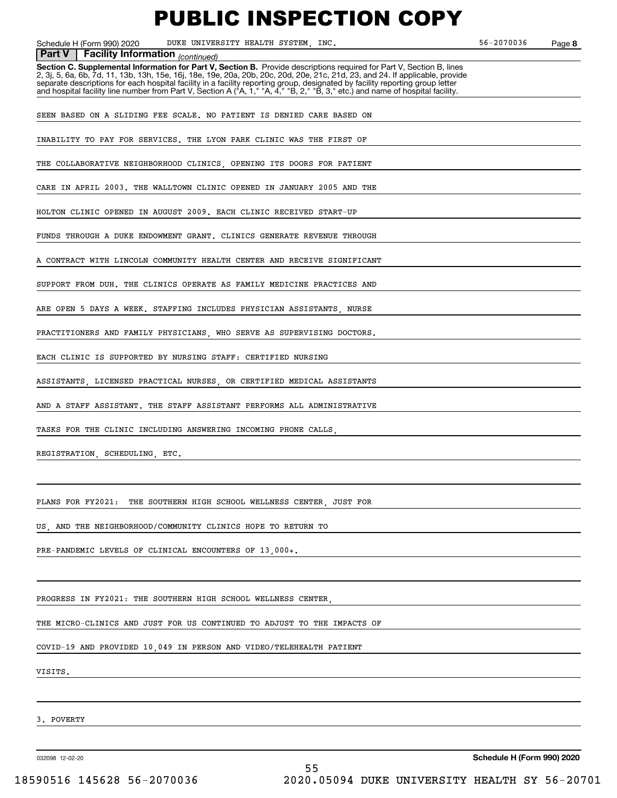Schedule H (Form 990) 2020 DUKE UNIVERSITY HEALTH SYSTEM, INC. 56-2070036 Page

**8**

#### **Facility Information** (continued) **Part V Facility Information**

**Section C. Supplemental Information for Part V, Section B.** Provide descriptions required for Part V, Section B, lines<br>2, 3j, 5, 6a, 6b, 7d, 11, 13b, 13h, 15e, 16j, 18e, 19e, 20a, 20b, 20c, 20d, 20e, 21c, 21d, 23, and 24. separate descriptions for each hospital facility in a facility reporting group, designated by facility reporting group letter<br>and hospital facility line number from Part V, Section A ("A, 1," "A, 4," "B, 2," "B, 3," etc.)

SEEN BASED ON A SLIDING FEE SCALE. NO PATIENT IS DENIED CARE BASED ON

INABILITY TO PAY FOR SERVICES. THE LYON PARK CLINIC WAS THE FIRST OF

THE COLLABORATIVE NEIGHBORHOOD CLINICS, OPENING ITS DOORS FOR PATIENT

CARE IN APRIL 2003. THE WALLTOWN CLINIC OPENED IN JANUARY 2005 AND THE

HOLTON CLINIC OPENED IN AUGUST 2009. EACH CLINIC RECEIVED START-UP

FUNDS THROUGH A DUKE ENDOWMENT GRANT. CLINICS GENERATE REVENUE THROUGH

A CONTRACT WITH LINCOLN COMMUNITY HEALTH CENTER AND RECEIVE SIGNIFICANT

SUPPORT FROM DUH. THE CLINICS OPERATE AS FAMILY MEDICINE PRACTICES AND

ARE OPEN 5 DAYS A WEEK. STAFFING INCLUDES PHYSICIAN ASSISTANTS, NURSE

PRACTITIONERS AND FAMILY PHYSICIANS, WHO SERVE AS SUPERVISING DOCTORS.

EACH CLINIC IS SUPPORTED BY NURSING STAFF: CERTIFIED NURSING

ASSISTANTS, LICENSED PRACTICAL NURSES, OR CERTIFIED MEDICAL ASSISTANTS

AND A STAFF ASSISTANT. THE STAFF ASSISTANT PERFORMS ALL ADMINISTRATIVE

TASKS FOR THE CLINIC INCLUDING ANSWERING INCOMING PHONE CALLS,

REGISTRATION, SCHEDULING, ETC.

PLANS FOR FY2021: THE SOUTHERN HIGH SCHOOL WELLNESS CENTER, JUST FOR

US, AND THE NEIGHBORHOOD/COMMUNITY CLINICS HOPE TO RETURN TO

PRE-PANDEMIC LEVELS OF CLINICAL ENCOUNTERS OF 13,000+.

PROGRESS IN FY2021: THE SOUTHERN HIGH SCHOOL WELLNESS CENTER

THE MICRO-CLINICS AND JUST FOR US CONTINUED TO ADJUST TO THE IMPACTS OF

COVID-19 AND PROVIDED 10,049 IN PERSON AND VIDEO/TELEHEALTH PATIENT

VISITS.

3. POVERTY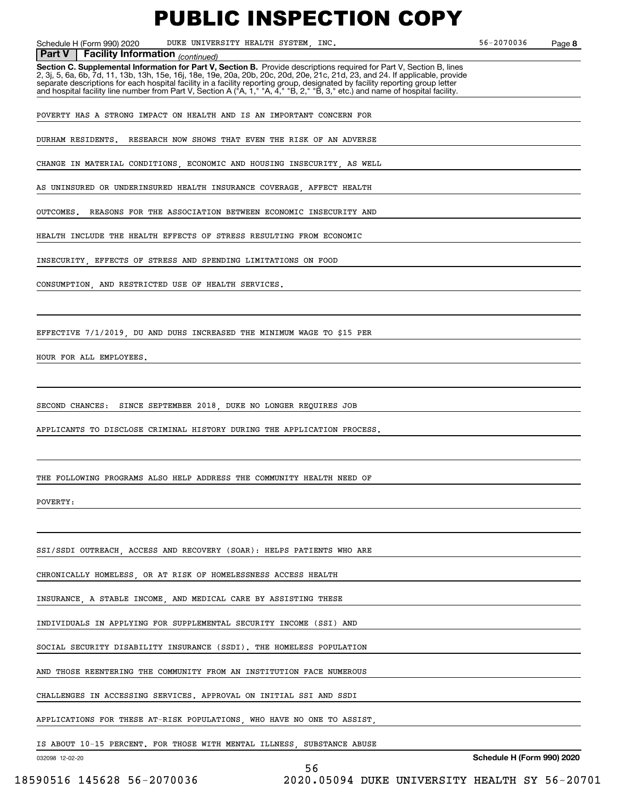Schedule H (Form 990) 2020 DUKE UNIVERSITY HEALTH SYSTEM, INC. 56-2070036 Page

**8**

 *(continued)* **Part V Facility Information**

**Section C. Supplemental Information for Part V, Section B.** Provide descriptions required for Part V, Section B, lines 2, 3j, 5, 6a, 6b, 7d, 11, 13b, 13h, 15e, 16j, 18e, 19e, 20a, 20b, 20c, 20d, 20e, 21c, 21d, 23, and 24. If applicable, provide separate descriptions for each hospital facility in a facility reporting group, designated by facility reporting group letter<br>and hospital facility line number from Part V, Section A ("A, 1," "A, 4," "B, 2," "B, 3," etc.)

POVERTY HAS A STRONG IMPACT ON HEALTH AND IS AN IMPORTANT CONCERN FOR

DURHAM RESIDENTS. RESEARCH NOW SHOWS THAT EVEN THE RISK OF AN ADVERSE

CHANGE IN MATERIAL CONDITIONS ECONOMIC AND HOUSING INSECURITY AS WELL

AS UNINSURED OR UNDERINSURED HEALTH INSURANCE COVERAGE AFFECT HEALTH

OUTCOMES. REASONS FOR THE ASSOCIATION BETWEEN ECONOMIC INSECURITY AND

HEALTH INCLUDE THE HEALTH EFFECTS OF STRESS RESULTING FROM ECONOMIC

INSECURITY, EFFECTS OF STRESS AND SPENDING LIMITATIONS ON FOOD

CONSUMPTION, AND RESTRICTED USE OF HEALTH SERVICES.

EFFECTIVE 7/1/2019, DU AND DUHS INCREASED THE MINIMUM WAGE TO \$15 PER

HOUR FOR ALL EMPLOYEES.

SECOND CHANCES: SINCE SEPTEMBER 2018, DUKE NO LONGER REQUIRES JOB

APPLICANTS TO DISCLOSE CRIMINAL HISTORY DURING THE APPLICATION PROCESS.

THE FOLLOWING PROGRAMS ALSO HELP ADDRESS THE COMMUNITY HEALTH NEED OF

#### POVERTY:

SSI/SSDI OUTREACH, ACCESS AND RECOVERY (SOAR): HELPS PATIENTS WHO ARE

CHRONICALLY HOMELESS, OR AT RISK OF HOMELESSNESS ACCESS HEALTH

INSURANCE, A STABLE INCOME, AND MEDICAL CARE BY ASSISTING THESE

INDIVIDUALS IN APPLYING FOR SUPPLEMENTAL SECURITY INCOME (SSI) AND

SOCIAL SECURITY DISABILITY INSURANCE (SSDI). THE HOMELESS POPULATION

AND THOSE REENTERING THE COMMUNITY FROM AN INSTITUTION FACE NUMEROUS

CHALLENGES IN ACCESSING SERVICES. APPROVAL ON INITIAL SSI AND SSDI

APPLICATIONS FOR THESE AT-RISK POPULATIONS, WHO HAVE NO ONE TO ASSIST,

IS ABOUT 10-15 PERCENT. FOR THOSE WITH MENTAL ILLNESS, SUBSTANCE ABUSE

56

032098 12-02-20

18590516 145628 56-2070036 2020.05094 DUKE UNIVERSITY HEALTH SY 56-20701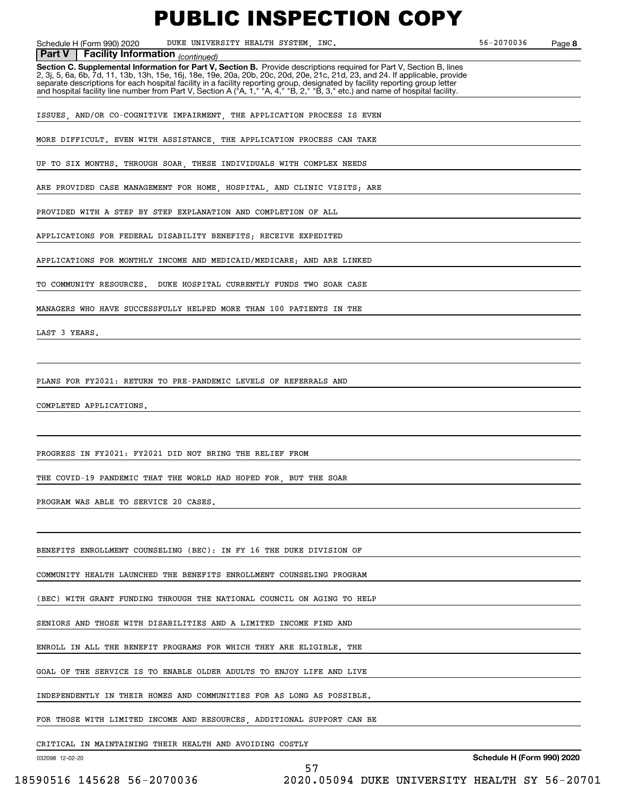Schedule H (Form 990) 2020 DUKE UNIVERSITY HEALTH SYSTEM, INC. 56-2070036 Page

**8**

### **Facility Information** (continued)

**Part V** | Facility Information <sub>(continued)<br>Section C. Supplemental Information for Part V, Section B. Provide descriptions required for Part V, Section B, lines</sub> 2, 3j, 5, 6a, 6b, 7d, 11, 13b, 13h, 15e, 16j, 18e, 19e, 20a, 20b, 20c, 20d, 20e, 21c, 21d, 23, and 24. If applicable, provide separate descriptions for each hospital facility in a facility reporting group, designated by facility reporting group letter<br>and hospital facility line number from Part V, Section A ("A, 1," "A, 4," "B, 2," "B, 3," etc.)

ISSUES, AND/OR CO-COGNITIVE IMPAIRMENT, THE APPLICATION PROCESS IS EVEN

MORE DIFFICULT. EVEN WITH ASSISTANCE THE APPLICATION PROCESS CAN TAKE

UP TO SIX MONTHS. THROUGH SOAR, THESE INDIVIDUALS WITH COMPLEX NEEDS

ARE PROVIDED CASE MANAGEMENT FOR HOME, HOSPITAL, AND CLINIC VISITS; ARE

PROVIDED WITH A STEP BY STEP EXPLANATION AND COMPLETION OF ALL

APPLICATIONS FOR FEDERAL DISABILITY BENEFITS; RECEIVE EXPEDITED

APPLICATIONS FOR MONTHLY INCOME AND MEDICAID/MEDICARE; AND ARE LINKED

TO COMMUNITY RESOURCES. DUKE HOSPITAL CURRENTLY FUNDS TWO SOAR CASE

MANAGERS WHO HAVE SUCCESSFULLY HELPED MORE THAN 100 PATIENTS IN THE

LAST 3 YEARS.

PLANS FOR FY2021: RETURN TO PRE-PANDEMIC LEVELS OF REFERRALS AND

COMPLETED APPLICATIONS.

PROGRESS IN FY2021: FY2021 DID NOT BRING THE RELIEF FROM

THE COVID-19 PANDEMIC THAT THE WORLD HAD HOPED FOR, BUT THE SOAR

PROGRAM WAS ABLE TO SERVICE 20 CASES.

BENEFITS ENROLLMENT COUNSELING (BEC): IN FY 16 THE DUKE DIVISION OF

COMMUNITY HEALTH LAUNCHED THE BENEFITS ENROLLMENT COUNSELING PROGRAM

(BEC) WITH GRANT FUNDING THROUGH THE NATIONAL COUNCIL ON AGING TO HELP

SENIORS AND THOSE WITH DISABILITIES AND A LIMITED INCOME FIND AND

ENROLL IN ALL THE BENEFIT PROGRAMS FOR WHICH THEY ARE ELIGIBLE. THE

GOAL OF THE SERVICE IS TO ENABLE OLDER ADULTS TO ENJOY LIFE AND LIVE

INDEPENDENTLY IN THEIR HOMES AND COMMUNITIES FOR AS LONG AS POSSIBLE.

FOR THOSE WITH LIMITED INCOME AND RESOURCES, ADDITIONAL SUPPORT CAN BE

57

CRITICAL IN MAINTAINING THEIR HEALTH AND AVOIDING COSTLY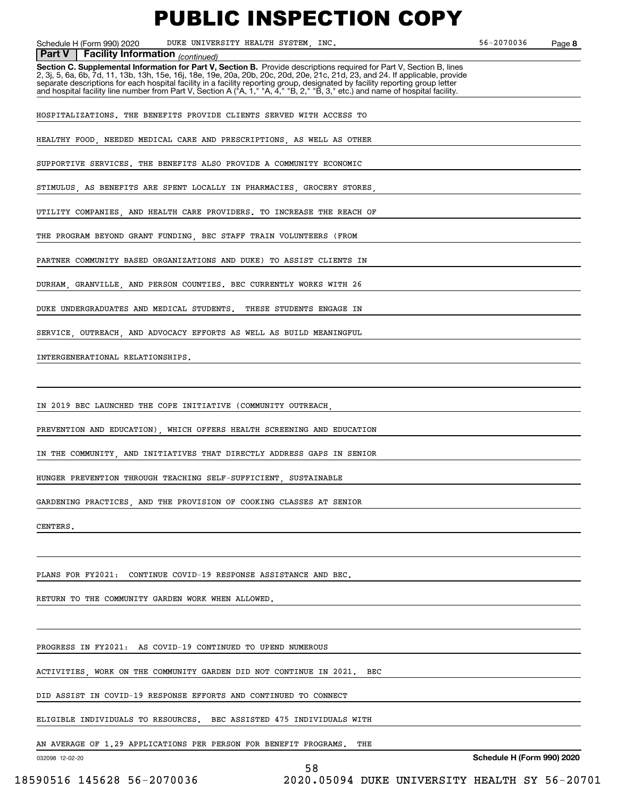Schedule H (Form 990) 2020 DUKE UNIVERSITY HEALTH SYSTEM, INC. 56-2070036 Page

**8**

#### **Facility Information** (continued)

**Part V** | Facility Information <sub>(continued)<br>Section C. Supplemental Information for Part V, Section B. Provide descriptions required for Part V, Section B, lines</sub> 2, 3j, 5, 6a, 6b, 7d, 11, 13b, 13h, 15e, 16j, 18e, 19e, 20a, 20b, 20c, 20d, 20e, 21c, 21d, 23, and 24. If applicable, provide separate descriptions for each hospital facility in a facility reporting group, designated by facility reporting group letter<br>and hospital facility line number from Part V, Section A ("A, 1," "A, 4," "B, 2," "B, 3," etc.)

HOSPITALIZATIONS. THE BENEFITS PROVIDE CLIENTS SERVED WITH ACCESS TO

HEALTHY FOOD, NEEDED MEDICAL CARE AND PRESCRIPTIONS, AS WELL AS OTHER

SUPPORTIVE SERVICES. THE BENEFITS ALSO PROVIDE A COMMUNITY ECONOMIC

STIMULUS AS BENEFITS ARE SPENT LOCALLY IN PHARMACIES GROCERY STORES

UTILITY COMPANIES, AND HEALTH CARE PROVIDERS. TO INCREASE THE REACH OF

THE PROGRAM BEYOND GRANT FUNDING, BEC STAFF TRAIN VOLUNTEERS (FROM

PARTNER COMMUNITY BASED ORGANIZATIONS AND DUKE) TO ASSIST CLIENTS IN

DURHAM, GRANVILLE, AND PERSON COUNTIES. BEC CURRENTLY WORKS WITH 26

DUKE UNDERGRADUATES AND MEDICAL STUDENTS. THESE STUDENTS ENGAGE IN

SERVICE, OUTREACH, AND ADVOCACY EFFORTS AS WELL AS BUILD MEANINGFUL

INTERGENERATIONAL RELATIONSHIPS.

IN 2019 BEC LAUNCHED THE COPE INITIATIVE (COMMUNITY OUTREACH,

PREVENTION AND EDUCATION) WHICH OFFERS HEALTH SCREENING AND EDUCATION

IN THE COMMUNITY, AND INITIATIVES THAT DIRECTLY ADDRESS GAPS IN SENIOR

HUNGER PREVENTION THROUGH TEACHING SELF-SUFFICIENT, SUSTAINABLE

GARDENING PRACTICES, AND THE PROVISION OF COOKING CLASSES AT SENIOR

CENTERS.

PLANS FOR FY2021: CONTINUE COVID-19 RESPONSE ASSISTANCE AND BEC.

RETURN TO THE COMMUNITY GARDEN WORK WHEN ALLOWED.

PROGRESS IN FY2021: AS COVID-19 CONTINUED TO UPEND NUMEROUS

ACTIVITIES, WORK ON THE COMMUNITY GARDEN DID NOT CONTINUE IN 2021. BEC

DID ASSIST IN COVID-19 RESPONSE EFFORTS AND CONTINUED TO CONNECT

ELIGIBLE INDIVIDUALS TO RESOURCES. BEC ASSISTED 475 INDIVIDUALS WITH

AN AVERAGE OF 1.29 APPLICATIONS PER PERSON FOR BENEFIT PROGRAMS. THE

58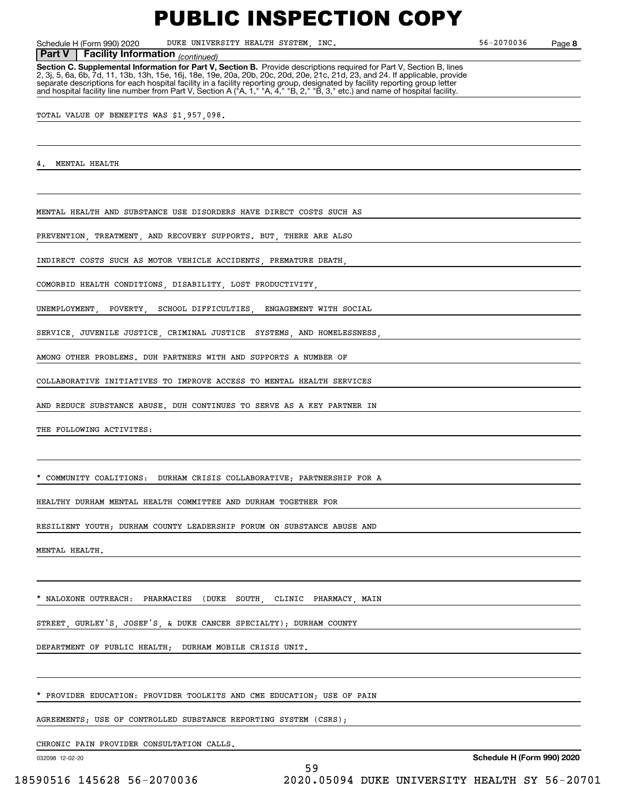Schedule H (Form 990) 2020 DUKE UNIVERSITY HEALTH SYSTEM, INC. 56-2070036 Page

**8**

**Facility Information** (continued) **Part V Facility Information**

**Section C. Supplemental Information for Part V, Section B.** Provide descriptions required for Part V, Section B, lines<br>2, 3j, 5, 6a, 6b, 7d, 11, 13b, 13h, 15e, 16j, 18e, 19e, 20a, 20b, 20c, 20d, 20e, 21c, 21d, 23, and 24. separate descriptions for each hospital facility in a facility reporting group, designated by facility reporting group letter<br>and hospital facility line number from Part V, Section A ("A, 1," "A, 4," "B, 2," "B, 3," etc.)

TOTAL VALUE OF BENEFITS WAS \$1,957,098.

MENTAL HEALTH

MENTAL HEALTH AND SUBSTANCE USE DISORDERS HAVE DIRECT COSTS SUCH AS

PREVENTION, TREATMENT, AND RECOVERY SUPPORTS. BUT, THERE ARE ALSO

INDIRECT COSTS SUCH AS MOTOR VEHICLE ACCIDENTS, PREMATURE DEATH,

COMORBID HEALTH CONDITIONS, DISABILITY, LOST PRODUCTIVITY,

UNEMPLOYMENT, POVERTY, SCHOOL DIFFICULTIES, ENGAGEMENT WITH SOCIAL

SERVICE, JUVENILE JUSTICE, CRIMINAL JUSTICE SYSTEMS, AND HOMELESSNESS,

AMONG OTHER PROBLEMS. DUH PARTNERS WITH AND SUPPORTS A NUMBER OF

COLLABORATIVE INITIATIVES TO IMPROVE ACCESS TO MENTAL HEALTH SERVICES

AND REDUCE SUBSTANCE ABUSE. DUH CONTINUES TO SERVE AS A KEY PARTNER IN

THE FOLLOWING ACTIVITES:

COMMUNITY COALITIONS: DURHAM CRISIS COLLABORATIVE; PARTNERSHIP FOR A

HEALTHY DURHAM MENTAL HEALTH COMMITTEE AND DURHAM TOGETHER FOR

RESILIENT YOUTH; DURHAM COUNTY LEADERSHIP FORUM ON SUBSTANCE ABUSE AND

MENTAL HEALTH.

NALOXONE OUTREACH: PHARMACIES (DUKE SOUTH, CLINIC PHARMACY, MAIN

STREET, GURLEY'S, JOSEF'S, & DUKE CANCER SPECIALTY); DURHAM COUNTY

DEPARTMENT OF PUBLIC HEALTH; DURHAM MOBILE CRISIS UNIT.

PROVIDER EDUCATION: PROVIDER TOOLKITS AND CME EDUCATION: USE OF PAIN

AGREEMENTS; USE OF CONTROLLED SUBSTANCE REPORTING SYSTEM (CSRS);

CHRONIC PAIN PROVIDER CONSULTATION CALLS.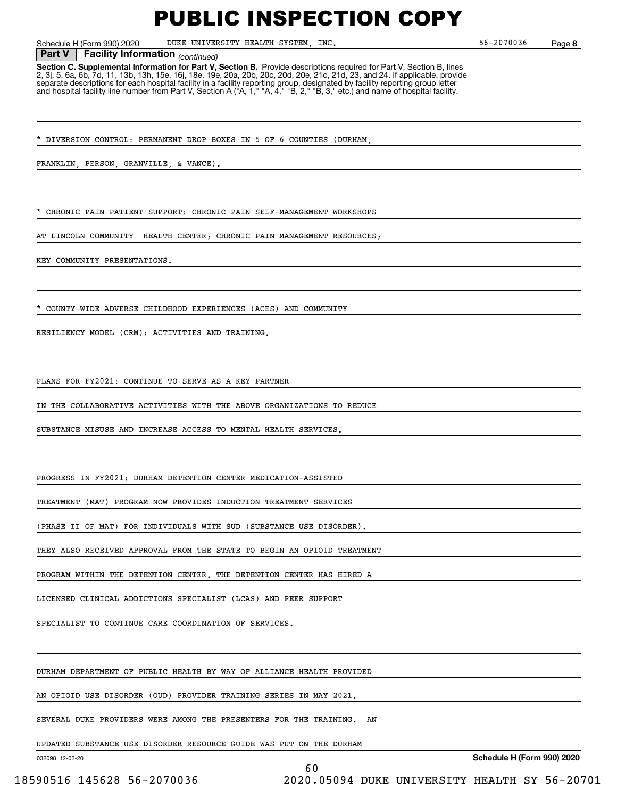Schedule H (Form 990) 2020 DUKE UNIVERSITY HEALTH SYSTEM, INC. 56-2070036 Page

**8**

#### **Facility Information** (continued) **Part V Facility Information**

**Section C. Supplemental Information for Part V, Section B.** Provide descriptions required for Part V, Section B, lines<br>2, 3j, 5, 6a, 6b, 7d, 11, 13b, 13h, 15e, 16j, 18e, 19e, 20a, 20b, 20c, 20d, 20e, 21c, 21d, 23, and 24. separate descriptions for each hospital facility in a facility reporting group, designated by facility reporting group letter<br>and hospital facility line number from Part V, Section A ("A, 1," "A, 4," "B, 2," "B, 3," etc.)

DIVERSION CONTROL: PERMANENT DROP BOXES IN 5 OF 6 COUNTIES (DURHAM

FRANKLIN, PERSON, GRANVILLE, & VANCE).

CHRONIC PAIN PATIENT SUPPORT: CHRONIC PAIN SELF-MANAGEMENT WORKSHOPS

AT LINCOLN COMMUNITY HEALTH CENTER; CHRONIC PAIN MANAGEMENT RESOURCES;

KEY COMMUNITY PRESENTATIONS.

\* COUNTY-WIDE ADVERSE CHILDHOOD EXPERIENCES (ACES) AND COMMUNITY

RESILIENCY MODEL (CRM): ACTIVITIES AND TRAINING.

PLANS FOR FY2021: CONTINUE TO SERVE AS A KEY PARTNER

IN THE COLLABORATIVE ACTIVITIES WITH THE ABOVE ORGANIZATIONS TO REDUCE

SUBSTANCE MISUSE AND INCREASE ACCESS TO MENTAL HEALTH SERVICES.

PROGRESS IN FY2021: DURHAM DETENTION CENTER MEDICATION-ASSISTED

TREATMENT (MAT) PROGRAM NOW PROVIDES INDUCTION TREATMENT SERVICES

(PHASE II OF MAT) FOR INDIVIDUALS WITH SUD (SUBSTANCE USE DISORDER).

THEY ALSO RECEIVED APPROVAL FROM THE STATE TO BEGIN AN OPIOID TREATMENT

PROGRAM WITHIN THE DETENTION CENTER. THE DETENTION CENTER HAS HIRED A

LICENSED CLINICAL ADDICTIONS SPECIALIST (LCAS) AND PEER SUPPORT

SPECIALIST TO CONTINUE CARE COORDINATION OF SERVICES.

DURHAM DEPARTMENT OF PUBLIC HEALTH BY WAY OF ALLIANCE HEALTH PROVIDED

AN OPIOID USE DISORDER (OUD) PROVIDER TRAINING SERIES IN MAY 2021.

SEVERAL DUKE PROVIDERS WERE AMONG THE PRESENTERS FOR THE TRAINING. AN

60

UPDATED SUBSTANCE USE DISORDER RESOURCE GUIDE WAS PUT ON THE DURHAM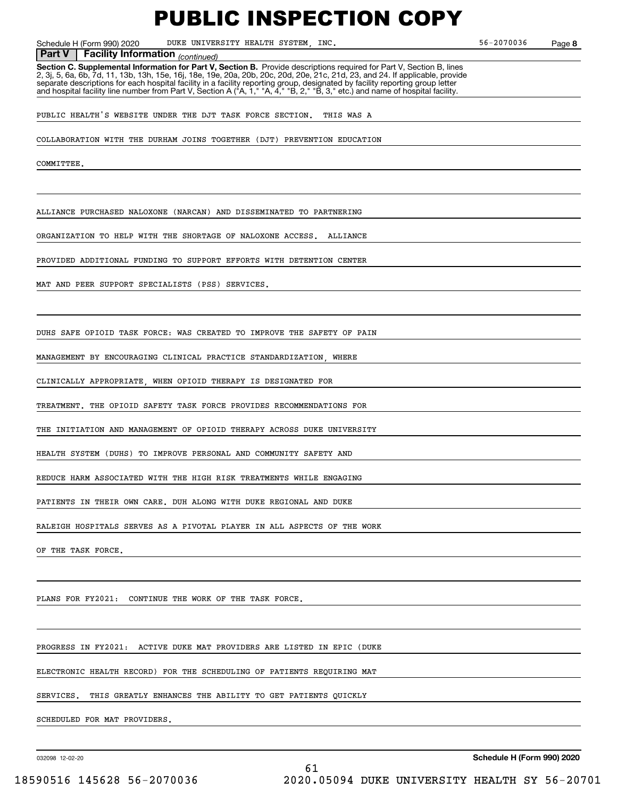Schedule H (Form 990) 2020 DUKE UNIVERSITY HEALTH SYSTEM, INC. 56-2070036 Page

**8**

**Facility Information** (continued) **Part V Facility Information**

**Section C. Supplemental Information for Part V, Section B.** Provide descriptions required for Part V, Section B, lines<br>2, 3j, 5, 6a, 6b, 7d, 11, 13b, 13h, 15e, 16j, 18e, 19e, 20a, 20b, 20c, 20d, 20e, 21c, 21d, 23, and 24. separate descriptions for each hospital facility in a facility reporting group, designated by facility reporting group letter<br>and hospital facility line number from Part V, Section A ("A, 1," "A, 4," "B, 2," "B, 3," etc.)

PUBLIC HEALTH'S WEBSITE UNDER THE DJT TASK FORCE SECTION. THIS WAS A

COLLABORATION WITH THE DURHAM JOINS TOGETHER (DJT) PREVENTION EDUCATION

**COMMITTEE** 

ALLIANCE PURCHASED NALOXONE (NARCAN) AND DISSEMINATED TO PARTNERING

ORGANIZATION TO HELP WITH THE SHORTAGE OF NALOXONE ACCESS. ALLIANCE

PROVIDED ADDITIONAL FUNDING TO SUPPORT EFFORTS WITH DETENTION CENTER

MAT AND PEER SUPPORT SPECIALISTS (PSS) SERVICES.

DUHS SAFE OPIOID TASK FORCE: WAS CREATED TO IMPROVE THE SAFETY OF PAIN

MANAGEMENT BY ENCOURAGING CLINICAL PRACTICE STANDARDIZATION, WHERE

CLINICALLY APPROPRIATE, WHEN OPIOID THERAPY IS DESIGNATED FOR

TREATMENT. THE OPIOID SAFETY TASK FORCE PROVIDES RECOMMENDATIONS FOR

THE INITIATION AND MANAGEMENT OF OPIOID THERAPY ACROSS DUKE UNIVERSITY

HEALTH SYSTEM (DUHS) TO IMPROVE PERSONAL AND COMMUNITY SAFETY AND

REDUCE HARM ASSOCIATED WITH THE HIGH RISK TREATMENTS WHILE ENGAGING

PATIENTS IN THEIR OWN CARE. DUH ALONG WITH DUKE REGIONAL AND DUKE

RALEIGH HOSPITALS SERVES AS A PIVOTAL PLAYER IN ALL ASPECTS OF THE WORK

OF THE TASK FORCE.

PLANS FOR FY2021: CONTINUE THE WORK OF THE TASK FORCE.

PROGRESS IN FY2021: ACTIVE DUKE MAT PROVIDERS ARE LISTED IN EPIC (DUKE

ELECTRONIC HEALTH RECORD) FOR THE SCHEDULING OF PATIENTS REQUIRING MAT

SERVICES. THIS GREATLY ENHANCES THE ABILITY TO GET PATIENTS QUICKLY

61

SCHEDULED FOR MAT PROVIDERS.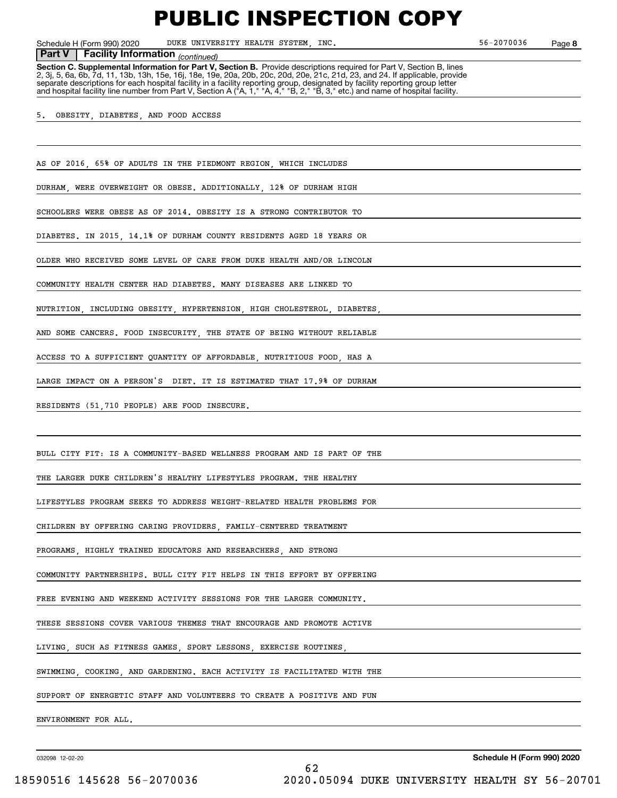Schedule H (Form 990) 2020 DUKE UNIVERSITY HEALTH SYSTEM, INC. 56-2070036 Page

**8**

#### **Facility Information** (continued) **Part V Facility Information**

**Section C. Supplemental Information for Part V, Section B.** Provide descriptions required for Part V, Section B, lines<br>2, 3j, 5, 6a, 6b, 7d, 11, 13b, 13h, 15e, 16j, 18e, 19e, 20a, 20b, 20c, 20d, 20e, 21c, 21d, 23, and 24. separate descriptions for each hospital facility in a facility reporting group, designated by facility reporting group letter<br>and hospital facility line number from Part V, Section A ("A, 1," "A, 4," "B, 2," "B, 3," etc.)

5. OBESITY, DIABETES, AND FOOD ACCESS

AS OF 2016, 65% OF ADULTS IN THE PIEDMONT REGION, WHICH INCLUDES

DURHAM, WERE OVERWEIGHT OR OBESE. ADDITIONALLY, 12% OF DURHAM HIGH

SCHOOLERS WERE OBESE AS OF 2014. OBESITY IS A STRONG CONTRIBUTOR TO

DIABETES. IN 2015, 14.1% OF DURHAM COUNTY RESIDENTS AGED 18 YEARS OR

OLDER WHO RECEIVED SOME LEVEL OF CARE FROM DUKE HEALTH AND/OR LINCOLN

COMMUNITY HEALTH CENTER HAD DIABETES. MANY DISEASES ARE LINKED TO

NUTRITION, INCLUDING OBESITY, HYPERTENSION, HIGH CHOLESTEROL, DIABETES,

AND SOME CANCERS. FOOD INSECURITY, THE STATE OF BEING WITHOUT RELIABLE

ACCESS TO A SUFFICIENT QUANTITY OF AFFORDABLE, NUTRITIOUS FOOD, HAS A

LARGE IMPACT ON A PERSON'S DIET. IT IS ESTIMATED THAT 17.9% OF DURHAM

RESIDENTS (51,710 PEOPLE) ARE FOOD INSECURE.

BULL CITY FIT: IS A COMMUNITY-BASED WELLNESS PROGRAM AND IS PART OF THE

THE LARGER DUKE CHILDREN'S HEALTHY LIFESTYLES PROGRAM. THE HEALTHY

LIFESTYLES PROGRAM SEEKS TO ADDRESS WEIGHT-RELATED HEALTH PROBLEMS FOR

CHILDREN BY OFFERING CARING PROVIDERS, FAMILY-CENTERED TREATMENT

PROGRAMS, HIGHLY TRAINED EDUCATORS AND RESEARCHERS, AND STRONG

COMMUNITY PARTNERSHIPS. BULL CITY FIT HELPS IN THIS EFFORT BY OFFERING

FREE EVENING AND WEEKEND ACTIVITY SESSIONS FOR THE LARGER COMMUNITY.

THESE SESSIONS COVER VARIOUS THEMES THAT ENCOURAGE AND PROMOTE ACTIVE

LIVING, SUCH AS FITNESS GAMES, SPORT LESSONS, EXERCISE ROUTINES,

SWIMMING, COOKING, AND GARDENING. EACH ACTIVITY IS FACILITATED WITH THE

SUPPORT OF ENERGETIC STAFF AND VOLUNTEERS TO CREATE A POSITIVE AND FUN

ENVIRONMENT FOR ALL.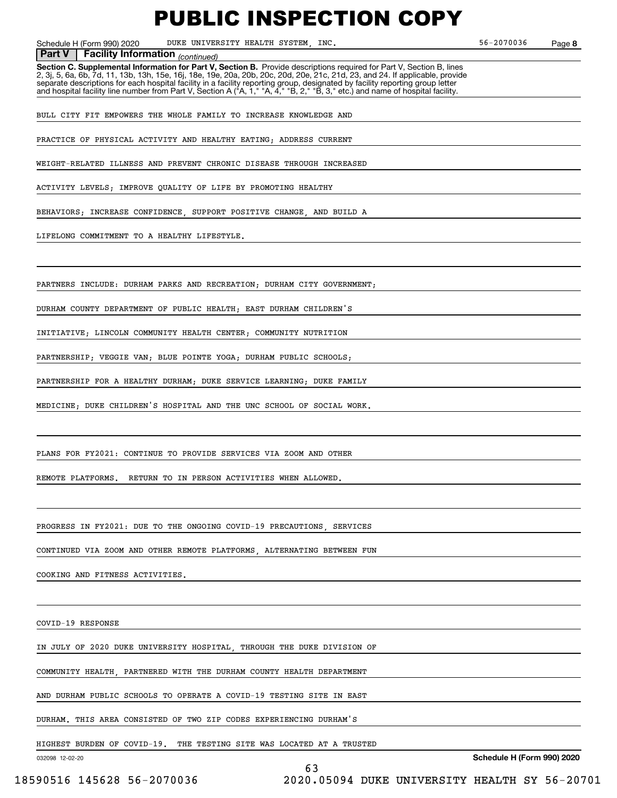Schedule H (Form 990) 2020 DUKE UNIVERSITY HEALTH SYSTEM, INC. 56-2070036 Page

**8**

 *(continued)* **Part V Facility Information**

**Section C. Supplemental Information for Part V, Section B.** Provide descriptions required for Part V, Section B, lines 2, 3j, 5, 6a, 6b, 7d, 11, 13b, 13h, 15e, 16j, 18e, 19e, 20a, 20b, 20c, 20d, 20e, 21c, 21d, 23, and 24. If applicable, provide separate descriptions for each hospital facility in a facility reporting group, designated by facility reporting group letter<br>and hospital facility line number from Part V, Section A ("A, 1," "A, 4," "B, 2," "B, 3," etc.)

BULL CITY FIT EMPOWERS THE WHOLE FAMILY TO INCREASE KNOWLEDGE AND

PRACTICE OF PHYSICAL ACTIVITY AND HEALTHY EATING; ADDRESS CURRENT

WEIGHT-RELATED ILLNESS AND PREVENT CHRONIC DISEASE THROUGH INCREASED

ACTIVITY LEVELS; IMPROVE QUALITY OF LIFE BY PROMOTING HEALTHY

BEHAVIORS; INCREASE CONFIDENCE, SUPPORT POSITIVE CHANGE, AND BUILD A

LIFELONG COMMITMENT TO A HEALTHY LIFESTYLE.

PARTNERS INCLUDE: DURHAM PARKS AND RECREATION; DURHAM CITY GOVERNMENT;

DURHAM COUNTY DEPARTMENT OF PUBLIC HEALTH; EAST DURHAM CHILDREN'S

INITIATIVE; LINCOLN COMMUNITY HEALTH CENTER; COMMUNITY NUTRITION

PARTNERSHIP; VEGGIE VAN; BLUE POINTE YOGA; DURHAM PUBLIC SCHOOLS;

PARTNERSHIP FOR A HEALTHY DURHAM; DUKE SERVICE LEARNING; DUKE FAMILY

MEDICINE; DUKE CHILDREN'S HOSPITAL AND THE UNC SCHOOL OF SOCIAL WORK.

PLANS FOR FY2021: CONTINUE TO PROVIDE SERVICES VIA ZOOM AND OTHER

REMOTE PLATFORMS. RETURN TO IN PERSON ACTIVITIES WHEN ALLOWED.

PROGRESS IN FY2021: DUE TO THE ONGOING COVID-19 PRECAUTIONS, SERVICES

CONTINUED VIA ZOOM AND OTHER REMOTE PLATFORMS, ALTERNATING BETWEEN FUN

COOKING AND FITNESS ACTIVITIES.

COVID-19 RESPONSE

IN JULY OF 2020 DUKE UNIVERSITY HOSPITAL, THROUGH THE DUKE DIVISION OF

COMMUNITY HEALTH, PARTNERED WITH THE DURHAM COUNTY HEALTH DEPARTMENT

AND DURHAM PUBLIC SCHOOLS TO OPERATE A COVID-19 TESTING SITE IN EAST

DURHAM. THIS AREA CONSISTED OF TWO ZIP CODES EXPERIENCING DURHAM'S

HIGHEST BURDEN OF COVID-19. THE TESTING SITE WAS LOCATED AT A TRUSTED

63

032098 12-02-20

**Schedule H (Form 990) 2020**

18590516 145628 56-2070036 2020.05094 DUKE UNIVERSITY HEALTH SY 56-20701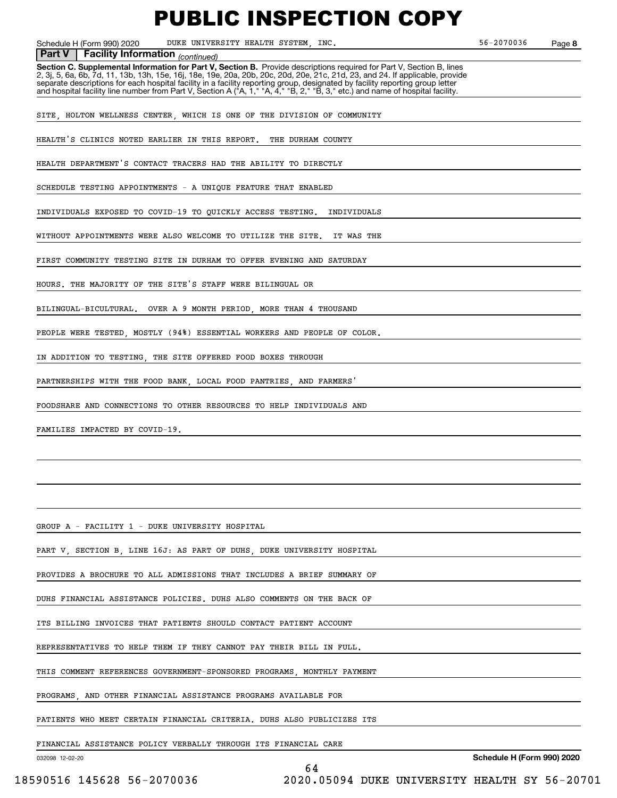Schedule H (Form 990) 2020 DUKE UNIVERSITY HEALTH SYSTEM, INC. 56-2070036 Page

**8**

#### **Facility Information** (continued)

**Part V** | Facility Information <sub>(continued)<br>Section C. Supplemental Information for Part V, Section B. Provide descriptions required for Part V, Section B, lines</sub> 2, 3j, 5, 6a, 6b, 7d, 11, 13b, 13h, 15e, 16j, 18e, 19e, 20a, 20b, 20c, 20d, 20e, 21c, 21d, 23, and 24. If applicable, provide separate descriptions for each hospital facility in a facility reporting group, designated by facility reporting group letter<br>and hospital facility line number from Part V, Section A ("A, 1," "A, 4," "B, 2," "B, 3," etc.)

SITE, HOLTON WELLNESS CENTER, WHICH IS ONE OF THE DIVISION OF COMMUNITY

HEALTH'S CLINICS NOTED EARLIER IN THIS REPORT. THE DURHAM COUNTY

HEALTH DEPARTMENT'S CONTACT TRACERS HAD THE ABILITY TO DIRECTLY

SCHEDULE TESTING APPOINTMENTS - A UNIQUE FEATURE THAT ENABLED

INDIVIDUALS EXPOSED TO COVID-19 TO QUICKLY ACCESS TESTING. INDIVIDUALS

WITHOUT APPOINTMENTS WERE ALSO WELCOME TO UTILIZE THE SITE. IT WAS THE

FIRST COMMUNITY TESTING SITE IN DURHAM TO OFFER EVENING AND SATURDAY

HOURS. THE MAJORITY OF THE SITE'S STAFF WERE BILINGUAL OR

BILINGUAL-BICULTURAL. OVER A 9 MONTH PERIOD, MORE THAN 4 THOUSAND

PEOPLE WERE TESTED, MOSTLY (94%) ESSENTIAL WORKERS AND PEOPLE OF COLOR.

IN ADDITION TO TESTING, THE SITE OFFERED FOOD BOXES THROUGH

PARTNERSHIPS WITH THE FOOD BANK, LOCAL FOOD PANTRIES, AND FARMERS'

FOODSHARE AND CONNECTIONS TO OTHER RESOURCES TO HELP INDIVIDUALS AND

FAMILIES IMPACTED BY COVID-19.

GROUP A - FACILITY 1 - DUKE UNIVERSITY HOSPITAL

PART V, SECTION B, LINE 16J: AS PART OF DUHS, DUKE UNIVERSITY HOSPITAL

PROVIDES A BROCHURE TO ALL ADMISSIONS THAT INCLUDES A BRIEF SUMMARY OF

DUHS FINANCIAL ASSISTANCE POLICIES. DUHS ALSO COMMENTS ON THE BACK OF

ITS BILLING INVOICES THAT PATIENTS SHOULD CONTACT PATIENT ACCOUNT

REPRESENTATIVES TO HELP THEM IF THEY CANNOT PAY THEIR BILL IN FULL.

THIS COMMENT REFERENCES GOVERNMENT-SPONSORED PROGRAMS, MONTHLY PAYMENT

PROGRAMS, AND OTHER FINANCIAL ASSISTANCE PROGRAMS AVAILABLE FOR

PATIENTS WHO MEET CERTAIN FINANCIAL CRITERIA. DUHS ALSO PUBLICIZES ITS

FINANCIAL ASSISTANCE POLICY VERBALLY THROUGH ITS FINANCIAL CARE

032098 12-02-20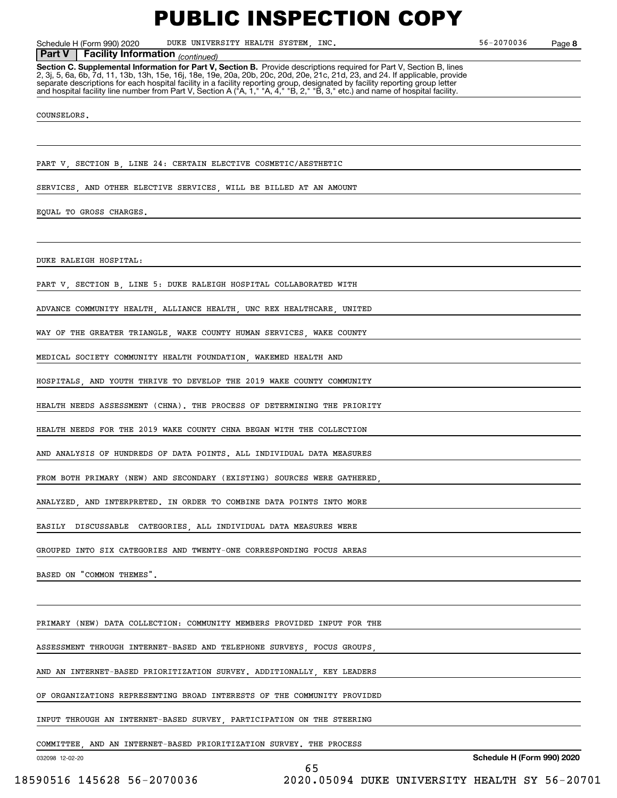Schedule H (Form 990) 2020 DUKE UNIVERSITY HEALTH SYSTEM, INC. 56-2070036 Page

**8**

### *(continued)* **Part V Facility Information**

**Section C. Supplemental Information for Part V, Section B.** Provide descriptions required for Part V, Section B, lines 2, 3j, 5, 6a, 6b, 7d, 11, 13b, 13h, 15e, 16j, 18e, 19e, 20a, 20b, 20c, 20d, 20e, 21c, 21d, 23, and 24. If applicable, provide separate descriptions for each hospital facility in a facility reporting group, designated by facility reporting group letter<br>and hospital facility line number from Part V, Section A ("A, 1," "A, 4," "B, 2," "B, 3," etc.)

#### COUNSELORS.

PART V SECTION B LINE 24: CERTAIN ELECTIVE COSMETIC/AESTHETIC

SERVICES, AND OTHER ELECTIVE SERVICES, WILL BE BILLED AT AN AMOUNT

EQUAL TO GROSS CHARGES.

DUKE RALEIGH HOSPITAL:

PART V, SECTION B, LINE 5: DUKE RALEIGH HOSPITAL COLLABORATED WITH

ADVANCE COMMUNITY HEALTH, ALLIANCE HEALTH, UNC REX HEALTHCARE, UNITED

WAY OF THE GREATER TRIANGLE, WAKE COUNTY HUMAN SERVICES, WAKE COUNTY

MEDICAL SOCIETY COMMUNITY HEALTH FOUNDATION, WAKEMED HEALTH AND

HOSPITALS, AND YOUTH THRIVE TO DEVELOP THE 2019 WAKE COUNTY COMMUNITY

HEALTH NEEDS ASSESSMENT (CHNA). THE PROCESS OF DETERMINING THE PRIORITY

HEALTH NEEDS FOR THE 2019 WAKE COUNTY CHNA BEGAN WITH THE COLLECTION

AND ANALYSIS OF HUNDREDS OF DATA POINTS. ALL INDIVIDUAL DATA MEASURES

FROM BOTH PRIMARY (NEW) AND SECONDARY (EXISTING) SOURCES WERE GATHERED

ANALYZED, AND INTERPRETED. IN ORDER TO COMBINE DATA POINTS INTO MORE

EASILY DISCUSSABLE CATEGORIES, ALL INDIVIDUAL DATA MEASURES WERE

GROUPED INTO SIX CATEGORIES AND TWENTY-ONE CORRESPONDING FOCUS AREAS

BASED ON "COMMON THEMES".

PRIMARY (NEW) DATA COLLECTION: COMMUNITY MEMBERS PROVIDED INPUT FOR THE

ASSESSMENT THROUGH INTERNET-BASED AND TELEPHONE SURVEYS, FOCUS GROUPS,

AND AN INTERNET-BASED PRIORITIZATION SURVEY. ADDITIONALLY, KEY LEADERS

OF ORGANIZATIONS REPRESENTING BROAD INTERESTS OF THE COMMUNITY PROVIDED

INPUT THROUGH AN INTERNET-BASED SURVEY, PARTICIPATION ON THE STEERING

COMMITTEE, AND AN INTERNET-BASED PRIORITIZATION SURVEY. THE PROCESS

65

032098 12-02-20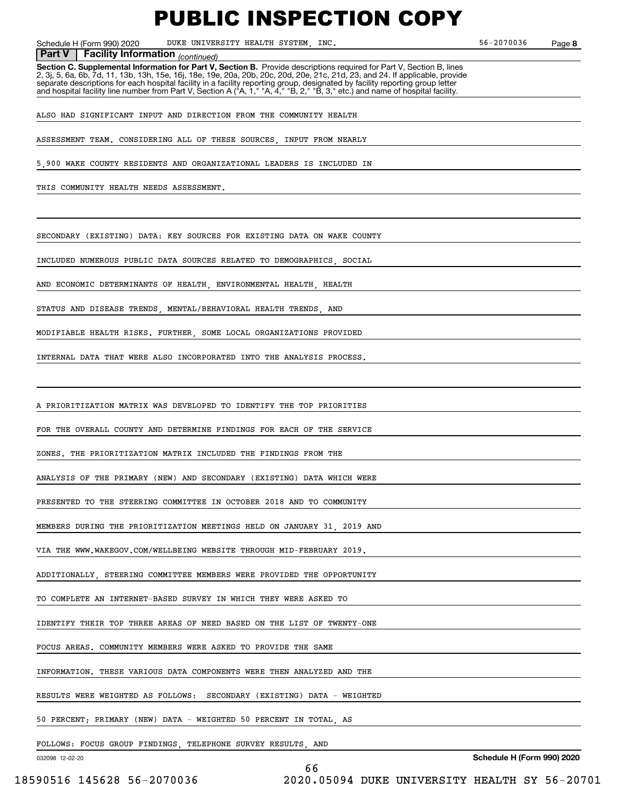Schedule H (Form 990) 2020 DUKE UNIVERSITY HEALTH SYSTEM, INC. 56-2070036 Page

**8**

**Facility Information** (continued)

**Part V** | Facility Information <sub>(continued)<br>Section C. Supplemental Information for Part V, Section B. Provide descriptions required for Part V, Section B, lines</sub> 2, 3j, 5, 6a, 6b, 7d, 11, 13b, 13h, 15e, 16j, 18e, 19e, 20a, 20b, 20c, 20d, 20e, 21c, 21d, 23, and 24. If applicable, provide separate descriptions for each hospital facility in a facility reporting group, designated by facility reporting group letter<br>and hospital facility line number from Part V, Section A ("A, 1," "A, 4," "B, 2," "B, 3," etc.)

ALSO HAD SIGNIFICANT INPUT AND DIRECTION FROM THE COMMUNITY HEALTH

ASSESSMENT TEAM. CONSIDERING ALL OF THESE SOURCES INPUT FROM NEARLY

5,900 WAKE COUNTY RESIDENTS AND ORGANIZATIONAL LEADERS IS INCLUDED IN

THIS COMMUNITY HEALTH NEEDS ASSESSMENT.

SECONDARY (EXISTING) DATA: KEY SOURCES FOR EXISTING DATA ON WAKE COUNTY

INCLUDED NUMEROUS PUBLIC DATA SOURCES RELATED TO DEMOGRAPHICS, SOCIAL

AND ECONOMIC DETERMINANTS OF HEALTH, ENVIRONMENTAL HEALTH, HEALTH

STATUS AND DISEASE TRENDS, MENTAL/BEHAVIORAL HEALTH TRENDS, AND

MODIFIABLE HEALTH RISKS. FURTHER, SOME LOCAL ORGANIZATIONS PROVIDED

INTERNAL DATA THAT WERE ALSO INCORPORATED INTO THE ANALYSIS PROCESS.

A PRIORITIZATION MATRIX WAS DEVELOPED TO IDENTIFY THE TOP PRIORITIES

FOR THE OVERALL COUNTY AND DETERMINE FINDINGS FOR EACH OF THE SERVICE

ZONES. THE PRIORITIZATION MATRIX INCLUDED THE FINDINGS FROM THE

ANALYSIS OF THE PRIMARY (NEW) AND SECONDARY (EXISTING) DATA WHICH WERE

PRESENTED TO THE STEERING COMMITTEE IN OCTOBER 2018 AND TO COMMUNITY

MEMBERS DURING THE PRIORITIZATION MEETINGS HELD ON JANUARY 31, 2019 AND

VIA THE WWW.WAKEGOV.COM/WELLBEING WEBSITE THROUGH MID-FEBRUARY 2019.

ADDITIONALLY, STEERING COMMITTEE MEMBERS WERE PROVIDED THE OPPORTUNITY

TO COMPLETE AN INTERNET-BASED SURVEY IN WHICH THEY WERE ASKED TO

IDENTIFY THEIR TOP THREE AREAS OF NEED BASED ON THE LIST OF TWENTY-ONE

FOCUS AREAS. COMMUNITY MEMBERS WERE ASKED TO PROVIDE THE SAME

INFORMATION. THESE VARIOUS DATA COMPONENTS WERE THEN ANALYZED AND THE

RESULTS WERE WEIGHTED AS FOLLOWS: SECONDARY (EXISTING) DATA - WEIGHTED

66

50 PERCENT; PRIMARY (NEW) DATA - WEIGHTED 50 PERCENT IN TOTAL, AS

FOLLOWS: FOCUS GROUP FINDINGS, TELEPHONE SURVEY RESULTS, AND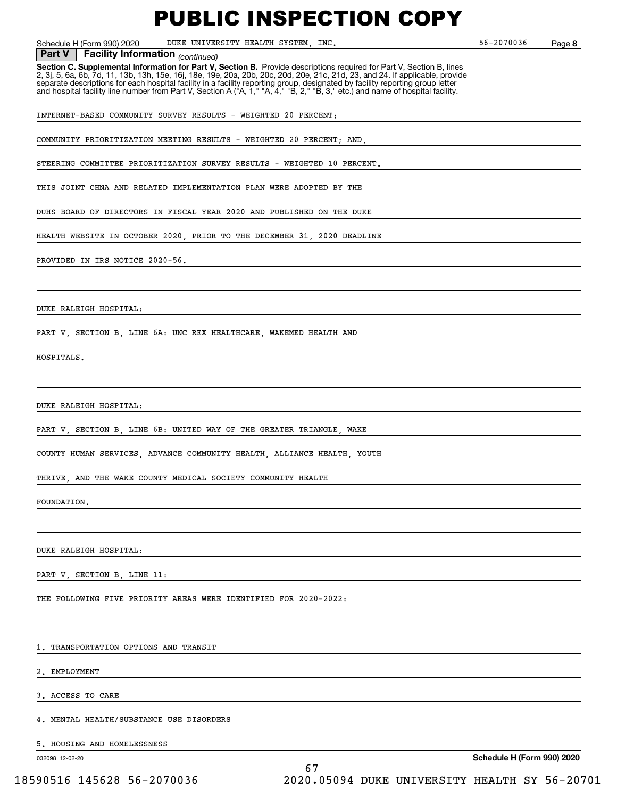Schedule H (Form 990) 2020 DUKE UNIVERSITY HEALTH SYSTEM, INC. 56-2070036 Page

**8**

#### **Facility Information** (continued) **Part V Facility Information**

**Section C. Supplemental Information for Part V, Section B.** Provide descriptions required for Part V, Section B, lines<br>2, 3j, 5, 6a, 6b, 7d, 11, 13b, 13h, 15e, 16j, 18e, 19e, 20a, 20b, 20c, 20d, 20e, 21c, 21d, 23, and 24. separate descriptions for each hospital facility in a facility reporting group, designated by facility reporting group letter<br>and hospital facility line number from Part V, Section A ("A, 1," "A, 4," "B, 2," "B, 3," etc.)

INTERNET-BASED COMMUNITY SURVEY RESULTS - WEIGHTED 20 PERCENT;

COMMUNITY PRIORITIZATION MEETING RESULTS - WEIGHTED 20 PERCENT; AND,

STEERING COMMITTEE PRIORITIZATION SURVEY RESULTS - WEIGHTED 10 PERCENT.

THIS JOINT CHNA AND RELATED IMPLEMENTATION PLAN WERE ADOPTED BY THE

DUHS BOARD OF DIRECTORS IN FISCAL YEAR 2020 AND PUBLISHED ON THE DUKE

HEALTH WEBSITE IN OCTOBER 2020, PRIOR TO THE DECEMBER 31, 2020 DEADLINE

#### PROVIDED IN IRS NOTICE 2020-56.

DUKE RALEIGH HOSPITAL:

PART V, SECTION B, LINE 6A: UNC REX HEALTHCARE, WAKEMED HEALTH AND

HOSPITALS.

DUKE RALEIGH HOSPITAL:

PART V, SECTION B, LINE 6B: UNITED WAY OF THE GREATER TRIANGLE, WAKE

COUNTY HUMAN SERVICES, ADVANCE COMMUNITY HEALTH, ALLIANCE HEALTH, YOUTH

THRIVE, AND THE WAKE COUNTY MEDICAL SOCIETY COMMUNITY HEALTH

FOUNDATION.

DUKE RALEIGH HOSPITAL:

PART V, SECTION B, LINE 11:

THE FOLLOWING FIVE PRIORITY AREAS WERE IDENTIFIED FOR 2020-2022:

1. TRANSPORTATION OPTIONS AND TRANSIT

2. EMPLOYMENT

3. ACCESS TO CARE

4. MENTAL HEALTH/SUBSTANCE USE DISORDERS

5. HOUSING AND HOMELESSNESS

032098 12-02-20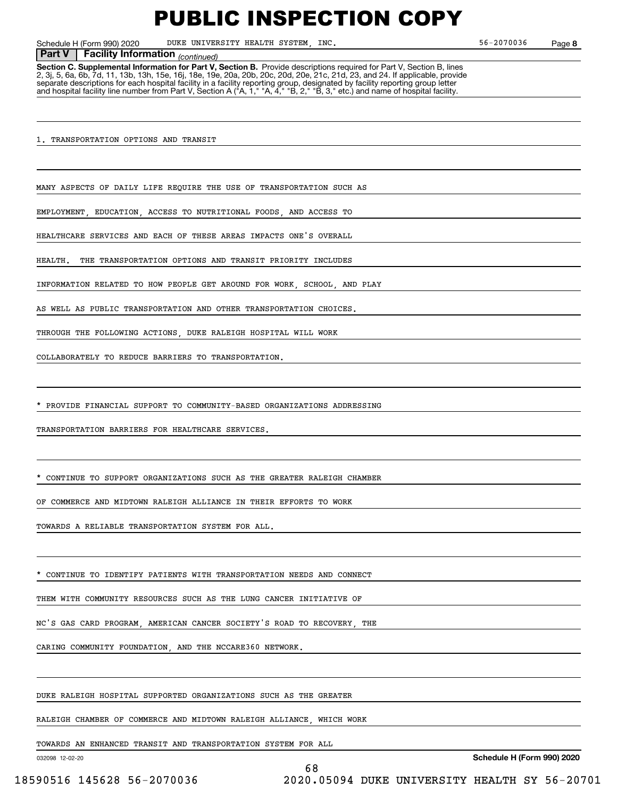Schedule H (Form 990) 2020 DUKE UNIVERSITY HEALTH SYSTEM, INC. 56-2070036 Page

**8**

#### **Facility Information** (continued) **Part V Facility Information**

**Section C. Supplemental Information for Part V, Section B.** Provide descriptions required for Part V, Section B, lines<br>2, 3j, 5, 6a, 6b, 7d, 11, 13b, 13h, 15e, 16j, 18e, 19e, 20a, 20b, 20c, 20d, 20e, 21c, 21d, 23, and 24. separate descriptions for each hospital facility in a facility reporting group, designated by facility reporting group letter<br>and hospital facility line number from Part V, Section A ("A, 1," "A, 4," "B, 2," "B, 3," etc.)

1. TRANSPORTATION OPTIONS AND TRANSIT

MANY ASPECTS OF DAILY LIFE REQUIRE THE USE OF TRANSPORTATION SUCH AS

EMPLOYMENT, EDUCATION, ACCESS TO NUTRITIONAL FOODS, AND ACCESS TO

HEALTHCARE SERVICES AND EACH OF THESE AREAS IMPACTS ONE'S OVERALL

HEALTH. THE TRANSPORTATION OPTIONS AND TRANSIT PRIORITY INCLUDES

INFORMATION RELATED TO HOW PEOPLE GET AROUND FOR WORK, SCHOOL, AND PLAY

AS WELL AS PUBLIC TRANSPORTATION AND OTHER TRANSPORTATION CHOICES.

THROUGH THE FOLLOWING ACTIONS, DUKE RALEIGH HOSPITAL WILL WORK

COLLABORATELY TO REDUCE BARRIERS TO TRANSPORTATION.

\* PROVIDE FINANCIAL SUPPORT TO COMMUNITY-BASED ORGANIZATIONS ADDRESSING

TRANSPORTATION BARRIERS FOR HEALTHCARE SERVICES.

CONTINUE TO SUPPORT ORGANIZATIONS SUCH AS THE GREATER RALEIGH CHAMBER

OF COMMERCE AND MIDTOWN RALEIGH ALLIANCE IN THEIR EFFORTS TO WORK

TOWARDS A RELIABLE TRANSPORTATION SYSTEM FOR ALL.

CONTINUE TO IDENTIFY PATIENTS WITH TRANSPORTATION NEEDS AND CONNECT

THEM WITH COMMUNITY RESOURCES SUCH AS THE LUNG CANCER INITIATIVE OF

NC'S GAS CARD PROGRAM, AMERICAN CANCER SOCIETY'S ROAD TO RECOVERY, THE

CARING COMMUNITY FOUNDATION, AND THE NCCARE360 NETWORK.

DUKE RALEIGH HOSPITAL SUPPORTED ORGANIZATIONS SUCH AS THE GREATER

RALEIGH CHAMBER OF COMMERCE AND MIDTOWN RALEIGH ALLIANCE, WHICH WORK

TOWARDS AN ENHANCED TRANSIT AND TRANSPORTATION SYSTEM FOR ALL

032098 12-02-20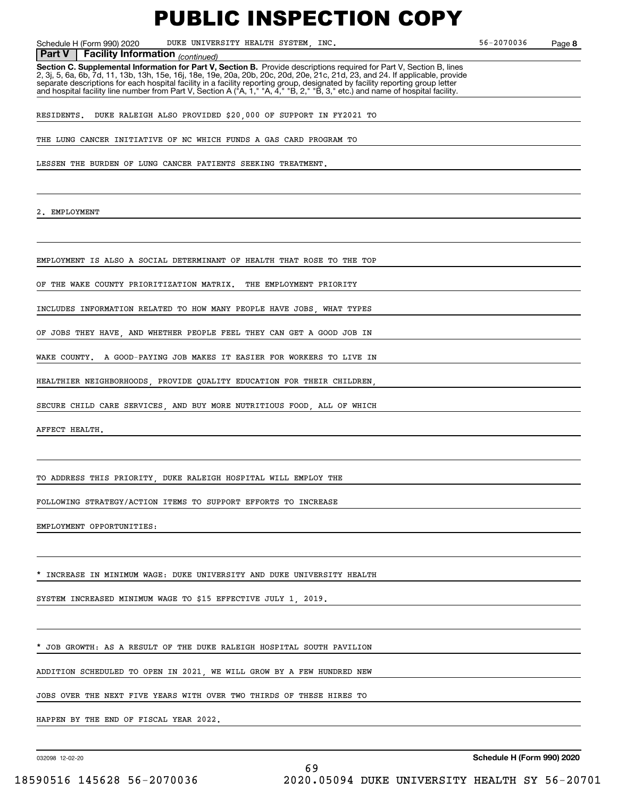Schedule H (Form 990) 2020 DUKE UNIVERSITY HEALTH SYSTEM, INC. 56-2070036 Page

**8**

**Facility Information** (continued) **Part V Facility Information**

**Section C. Supplemental Information for Part V, Section B.** Provide descriptions required for Part V, Section B, lines<br>2, 3j, 5, 6a, 6b, 7d, 11, 13b, 13h, 15e, 16j, 18e, 19e, 20a, 20b, 20c, 20d, 20e, 21c, 21d, 23, and 24. separate descriptions for each hospital facility in a facility reporting group, designated by facility reporting group letter<br>and hospital facility line number from Part V, Section A ("A, 1," "A, 4," "B, 2," "B, 3," etc.)

RESIDENTS. DUKE RALEIGH ALSO PROVIDED \$20,000 OF SUPPORT IN FY2021 TO

THE LUNG CANCER INITIATIVE OF NC WHICH FUNDS A GAS CARD PROGRAM TO

LESSEN THE BURDEN OF LUNG CANCER PATIENTS SEEKING TREATMENT.

EMPLOYMENT

EMPLOYMENT IS ALSO A SOCIAL DETERMINANT OF HEALTH THAT ROSE TO THE TOP

OF THE WAKE COUNTY PRIORITIZATION MATRIX. THE EMPLOYMENT PRIORITY

INCLUDES INFORMATION RELATED TO HOW MANY PEOPLE HAVE JOBS, WHAT TYPES

OF JOBS THEY HAVE, AND WHETHER PEOPLE FEEL THEY CAN GET A GOOD JOB IN

WAKE COUNTY. A GOOD-PAYING JOB MAKES IT EASIER FOR WORKERS TO LIVE IN

HEALTHIER NEIGHBORHOODS, PROVIDE QUALITY EDUCATION FOR THEIR CHILDREN,

SECURE CHILD CARE SERVICES, AND BUY MORE NUTRITIOUS FOOD, ALL OF WHICH

AFFECT HEALTH.

TO ADDRESS THIS PRIORITY, DUKE RALEIGH HOSPITAL WILL EMPLOY THE

FOLLOWING STRATEGY/ACTION ITEMS TO SUPPORT EFFORTS TO INCREASE

EMPLOYMENT OPPORTUNITIES:

INCREASE IN MINIMUM WAGE: DUKE UNIVERSITY AND DUKE UNIVERSITY HEALTH

SYSTEM INCREASED MINIMUM WAGE TO \$15 EFFECTIVE JULY 1, 2019.

JOB GROWTH: AS A RESULT OF THE DUKE RALEIGH HOSPITAL SOUTH PAVILION

ADDITION SCHEDULED TO OPEN IN 2021, WE WILL GROW BY A FEW HUNDRED NEW

JOBS OVER THE NEXT FIVE YEARS WITH OVER TWO THIRDS OF THESE HIRES TO

HAPPEN BY THE END OF FISCAL YEAR 2022.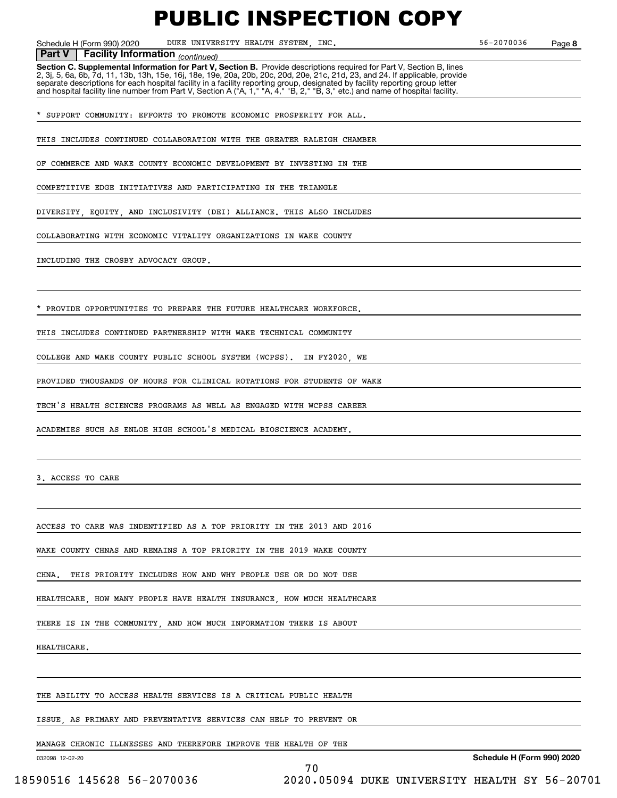Schedule H (Form 990) 2020 DUKE UNIVERSITY HEALTH SYSTEM, INC. 56-2070036 Page

**8**

#### **Facility Information** (continued)

**Part V** | Facility Information <sub>(continued)<br>Section C. Supplemental Information for Part V, Section B. Provide descriptions required for Part V, Section B, lines</sub> 2, 3j, 5, 6a, 6b, 7d, 11, 13b, 13h, 15e, 16j, 18e, 19e, 20a, 20b, 20c, 20d, 20e, 21c, 21d, 23, and 24. If applicable, provide separate descriptions for each hospital facility in a facility reporting group, designated by facility reporting group letter<br>and hospital facility line number from Part V, Section A ("A, 1," "A, 4," "B, 2," "B, 3," etc.)

\* SUPPORT COMMUNITY: EFFORTS TO PROMOTE ECONOMIC PROSPERITY FOR ALL.

THIS INCLUDES CONTINUED COLLABORATION WITH THE GREATER RALEIGH CHAMBER

OF COMMERCE AND WAKE COUNTY ECONOMIC DEVELOPMENT BY INVESTING IN THE

COMPETITIVE EDGE INITIATIVES AND PARTICIPATING IN THE TRIANGLE

DIVERSITY, EQUITY, AND INCLUSIVITY (DEI) ALLIANCE. THIS ALSO INCLUDES

COLLABORATING WITH ECONOMIC VITALITY ORGANIZATIONS IN WAKE COUNTY

INCLUDING THE CROSBY ADVOCACY GROUP.

PROVIDE OPPORTUNITIES TO PREPARE THE FUTURE HEALTHCARE WORKFORCE.

THIS INCLUDES CONTINUED PARTNERSHIP WITH WAKE TECHNICAL COMMUNITY

COLLEGE AND WAKE COUNTY PUBLIC SCHOOL SYSTEM (WCPSS). IN FY2020, WE

PROVIDED THOUSANDS OF HOURS FOR CLINICAL ROTATIONS FOR STUDENTS OF WAKE

TECH'S HEALTH SCIENCES PROGRAMS AS WELL AS ENGAGED WITH WCPSS CAREER

ACADEMIES SUCH AS ENLOE HIGH SCHOOL'S MEDICAL BIOSCIENCE ACADEMY.

3. ACCESS TO CARE

ACCESS TO CARE WAS INDENTIFIED AS A TOP PRIORITY IN THE 2013 AND 2016

WAKE COUNTY CHNAS AND REMAINS A TOP PRIORITY IN THE 2019 WAKE COUNTY

CHNA. THIS PRIORITY INCLUDES HOW AND WHY PEOPLE USE OR DO NOT USE

HEALTHCARE, HOW MANY PEOPLE HAVE HEALTH INSURANCE, HOW MUCH HEALTHCARE

THERE IS IN THE COMMUNITY, AND HOW MUCH INFORMATION THERE IS ABOUT

HEALTHCARE.

THE ABILITY TO ACCESS HEALTH SERVICES IS A CRITICAL PUBLIC HEALTH

ISSUE, AS PRIMARY AND PREVENTATIVE SERVICES CAN HELP TO PREVENT OR

70

MANAGE CHRONIC ILLNESSES AND THEREFORE IMPROVE THE HEALTH OF THE

032098 12-02-20

**Schedule H (Form 990) 2020**

18590516 145628 56-2070036 2020.05094 DUKE UNIVERSITY HEALTH SY 56-20701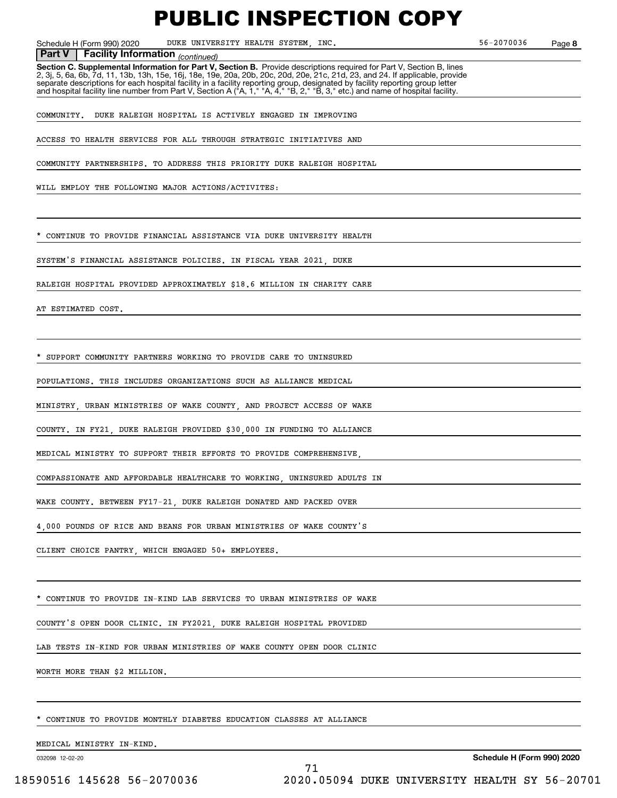Schedule H (Form 990) 2020 DUKE UNIVERSITY HEALTH SYSTEM, INC. 56-2070036 Page

**8**

**Facility Information** (continued) **Part V Facility Information**

**Section C. Supplemental Information for Part V, Section B.** Provide descriptions required for Part V, Section B, lines<br>2, 3j, 5, 6a, 6b, 7d, 11, 13b, 13h, 15e, 16j, 18e, 19e, 20a, 20b, 20c, 20d, 20e, 21c, 21d, 23, and 24. separate descriptions for each hospital facility in a facility reporting group, designated by facility reporting group letter<br>and hospital facility line number from Part V, Section A ("A, 1," "A, 4," "B, 2," "B, 3," etc.)

COMMUNITY. DUKE RALEIGH HOSPITAL IS ACTIVELY ENGAGED IN IMPROVING

ACCESS TO HEALTH SERVICES FOR ALL THROUGH STRATEGIC INITIATIVES AND

COMMUNITY PARTNERSHIPS. TO ADDRESS THIS PRIORITY DUKE RALEIGH HOSPITAL

WILL EMPLOY THE FOLLOWING MAJOR ACTIONS/ACTIVITES:

CONTINUE TO PROVIDE FINANCIAL ASSISTANCE VIA DUKE UNIVERSITY HEALTH

SYSTEM'S FINANCIAL ASSISTANCE POLICIES. IN FISCAL YEAR 2021, DUKE

RALEIGH HOSPITAL PROVIDED APPROXIMATELY \$18.6 MILLION IN CHARITY CARE

AT ESTIMATED COST.

SUPPORT COMMUNITY PARTNERS WORKING TO PROVIDE CARE TO UNINSURED

POPULATIONS. THIS INCLUDES ORGANIZATIONS SUCH AS ALLIANCE MEDICAL

MINISTRY, URBAN MINISTRIES OF WAKE COUNTY, AND PROJECT ACCESS OF WAKE

COUNTY. IN FY21, DUKE RALEIGH PROVIDED \$30,000 IN FUNDING TO ALLIANCE

MEDICAL MINISTRY TO SUPPORT THEIR EFFORTS TO PROVIDE COMPREHENSIVE,

COMPASSIONATE AND AFFORDABLE HEALTHCARE TO WORKING, UNINSURED ADULTS IN

WAKE COUNTY. BETWEEN FY17-21, DUKE RALEIGH DONATED AND PACKED OVER

4,000 POUNDS OF RICE AND BEANS FOR URBAN MINISTRIES OF WAKE COUNTY'S

CLIENT CHOICE PANTRY, WHICH ENGAGED 50+ EMPLOYEES.

CONTINUE TO PROVIDE IN-KIND LAB SERVICES TO URBAN MINISTRIES OF WAKE

COUNTY'S OPEN DOOR CLINIC. IN FY2021, DUKE RALEIGH HOSPITAL PROVIDED

LAB TESTS IN-KIND FOR URBAN MINISTRIES OF WAKE COUNTY OPEN DOOR CLINIC

WORTH MORE THAN \$2 MILLION.

CONTINUE TO PROVIDE MONTHLY DIABETES EDUCATION CLASSES AT ALLIANCE

MEDICAL MINISTRY IN-KIND.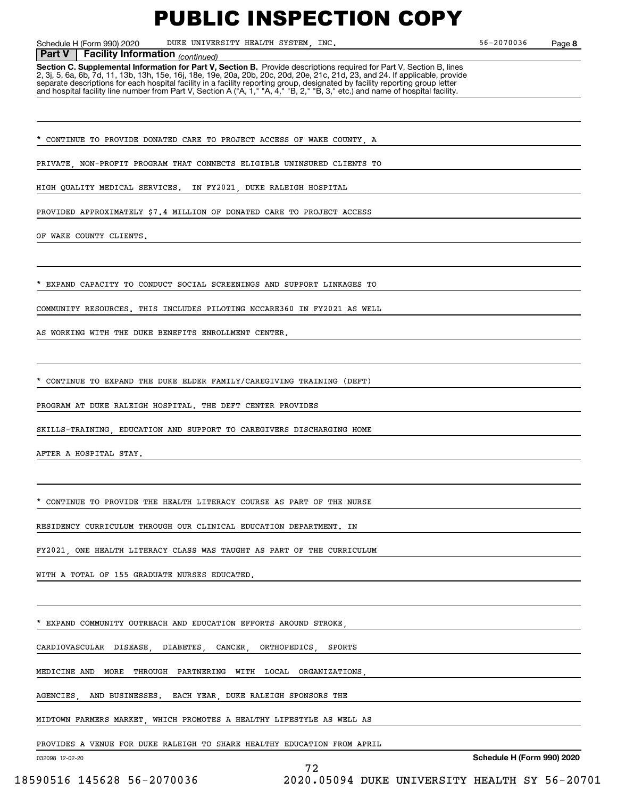Schedule H (Form 990) 2020 DUKE UNIVERSITY HEALTH SYSTEM, INC. 56-2070036 Page

**8**

#### **Facility Information** (continued) **Part V Facility Information**

**Section C. Supplemental Information for Part V, Section B.** Provide descriptions required for Part V, Section B, lines<br>2, 3j, 5, 6a, 6b, 7d, 11, 13b, 13h, 15e, 16j, 18e, 19e, 20a, 20b, 20c, 20d, 20e, 21c, 21d, 23, and 24. separate descriptions for each hospital facility in a facility reporting group, designated by facility reporting group letter<br>and hospital facility line number from Part V, Section A ("A, 1," "A, 4," "B, 2," "B, 3," etc.)

CONTINUE TO PROVIDE DONATED CARE TO PROJECT ACCESS OF WAKE COUNTY A

PRIVATE, NON-PROFIT PROGRAM THAT CONNECTS ELIGIBLE UNINSURED CLIENTS TO

HIGH QUALITY MEDICAL SERVICES. IN FY2021, DUKE RALEIGH HOSPITAL

PROVIDED APPROXIMATELY \$7.4 MILLION OF DONATED CARE TO PROJECT ACCESS

OF WAKE COUNTY CLIENTS.

EXPAND CAPACITY TO CONDUCT SOCIAL SCREENINGS AND SUPPORT LINKAGES TO

COMMUNITY RESOURCES. THIS INCLUDES PILOTING NCCARE360 IN FY2021 AS WELL

AS WORKING WITH THE DUKE BENEFITS ENROLLMENT CENTER.

CONTINUE TO EXPAND THE DUKE ELDER FAMILY/CAREGIVING TRAINING (DEFT)

PROGRAM AT DUKE RALEIGH HOSPITAL. THE DEFT CENTER PROVIDES

SKILLS-TRAINING, EDUCATION AND SUPPORT TO CAREGIVERS DISCHARGING HOME

AFTER A HOSPITAL STAY.

CONTINUE TO PROVIDE THE HEALTH LITERACY COURSE AS PART OF THE NURSE

RESIDENCY CURRICULUM THROUGH OUR CLINICAL EDUCATION DEPARTMENT. IN

FY2021, ONE HEALTH LITERACY CLASS WAS TAUGHT AS PART OF THE CURRICULUM

WITH A TOTAL OF 155 GRADUATE NURSES EDUCATED.

EXPAND COMMUNITY OUTREACH AND EDUCATION EFFORTS AROUND STROKE

CARDIOVASCULAR DISEASE, DIABETES, CANCER, ORTHOPEDICS, SPORTS

MEDICINE AND MORE THROUGH PARTNERING WITH LOCAL ORGANIZATIONS,

AGENCIES AND BUSINESSES. EACH YEAR DUKE RALEIGH SPONSORS THE

MIDTOWN FARMERS MARKET, WHICH PROMOTES A HEALTHY LIFESTYLE AS WELL AS

PROVIDES A VENUE FOR DUKE RALEIGH TO SHARE HEALTHY EDUCATION FROM APRIL

72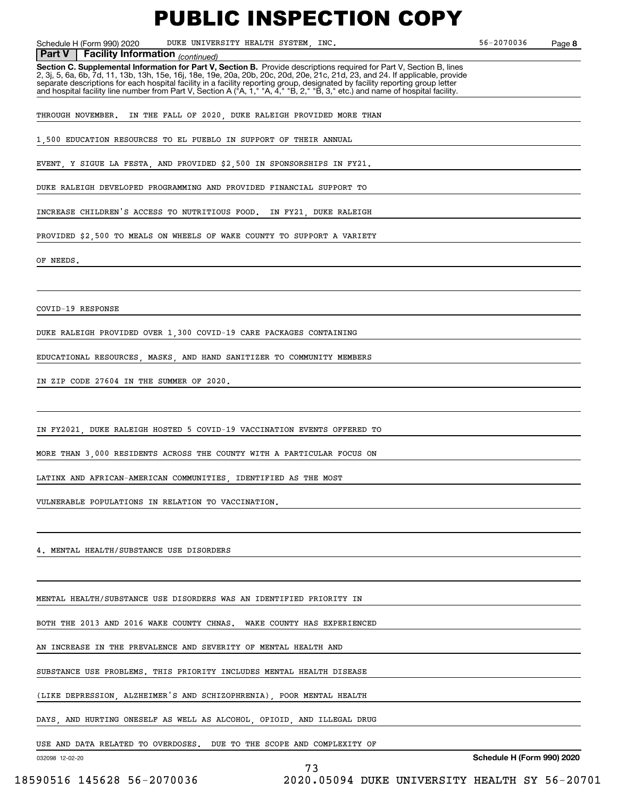Schedule H (Form 990) 2020 DUKE UNIVERSITY HEALTH SYSTEM, INC. 56-2070036 Page

**8**

 *(continued)* **Part V Facility Information**

**Section C. Supplemental Information for Part V, Section B.** Provide descriptions required for Part V, Section B, lines 2, 3j, 5, 6a, 6b, 7d, 11, 13b, 13h, 15e, 16j, 18e, 19e, 20a, 20b, 20c, 20d, 20e, 21c, 21d, 23, and 24. If applicable, provide separate descriptions for each hospital facility in a facility reporting group, designated by facility reporting group letter<br>and hospital facility line number from Part V, Section A ("A, 1," "A, 4," "B, 2," "B, 3," etc.)

THROUGH NOVEMBER. IN THE FALL OF 2020, DUKE RALEIGH PROVIDED MORE THAN

1,500 EDUCATION RESOURCES TO EL PUEBLO IN SUPPORT OF THEIR ANNUAL

EVENT, Y SIGUE LA FESTA, AND PROVIDED \$2,500 IN SPONSORSHIPS IN FY21.

DUKE RALEIGH DEVELOPED PROGRAMMING AND PROVIDED FINANCIAL SUPPORT TO

INCREASE CHILDREN'S ACCESS TO NUTRITIOUS FOOD. IN FY21, DUKE RALEIGH

PROVIDED \$2,500 TO MEALS ON WHEELS OF WAKE COUNTY TO SUPPORT A VARIETY

OF NEEDS.

COVID-19 RESPONSE

DUKE RALEIGH PROVIDED OVER 1,300 COVID-19 CARE PACKAGES CONTAINING

EDUCATIONAL RESOURCES, MASKS, AND HAND SANITIZER TO COMMUNITY MEMBERS

IN ZIP CODE 27604 IN THE SUMMER OF 2020.

IN FY2021, DUKE RALEIGH HOSTED 5 COVID-19 VACCINATION EVENTS OFFERED TO

MORE THAN 3,000 RESIDENTS ACROSS THE COUNTY WITH A PARTICULAR FOCUS ON

LATINX AND AFRICAN-AMERICAN COMMUNITIES, IDENTIFIED AS THE MOST

VULNERABLE POPULATIONS IN RELATION TO VACCINATION.

4. MENTAL HEALTH/SUBSTANCE USE DISORDERS

MENTAL HEALTH/SUBSTANCE USE DISORDERS WAS AN IDENTIFIED PRIORITY IN

BOTH THE 2013 AND 2016 WAKE COUNTY CHNAS. WAKE COUNTY HAS EXPERIENCED

AN INCREASE IN THE PREVALENCE AND SEVERITY OF MENTAL HEALTH AND

SUBSTANCE USE PROBLEMS. THIS PRIORITY INCLUDES MENTAL HEALTH DISEASE

(LIKE DEPRESSION, ALZHEIMER'S AND SCHIZOPHRENIA), POOR MENTAL HEALTH

DAYS, AND HURTING ONESELF AS WELL AS ALCOHOL, OPIOID, AND ILLEGAL DRUG

USE AND DATA RELATED TO OVERDOSES. DUE TO THE SCOPE AND COMPLEXITY OF

73

032098 12-02-20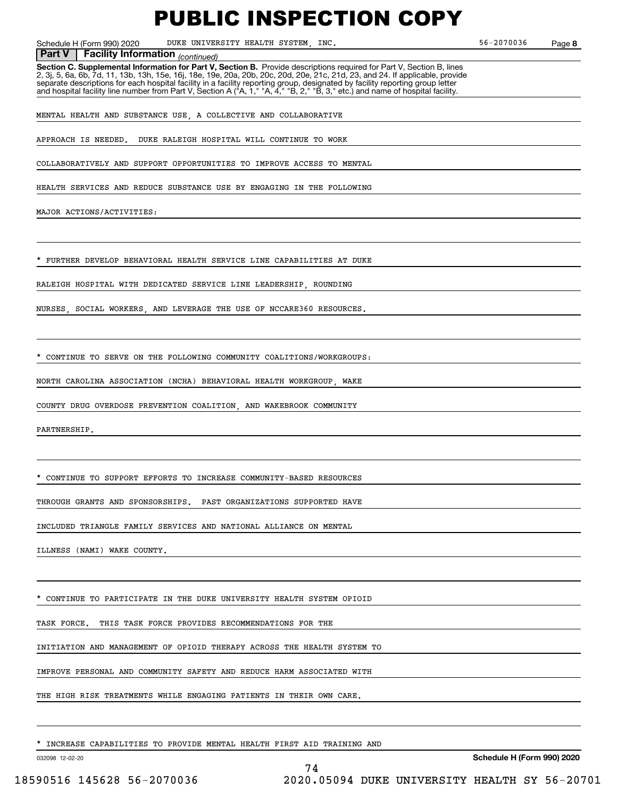Schedule H (Form 990) 2020 DUKE UNIVERSITY HEALTH SYSTEM, INC. 56-2070036 Page

**8**

#### *(continued)* **Part V Facility Information**

**Section C. Supplemental Information for Part V, Section B.** Provide descriptions required for Part V, Section B, lines 2, 3j, 5, 6a, 6b, 7d, 11, 13b, 13h, 15e, 16j, 18e, 19e, 20a, 20b, 20c, 20d, 20e, 21c, 21d, 23, and 24. If applicable, provide separate descriptions for each hospital facility in a facility reporting group, designated by facility reporting group letter<br>and hospital facility line number from Part V, Section A ("A, 1," "A, 4," "B, 2," "B, 3," etc.)

MENTAL HEALTH AND SUBSTANCE USE, A COLLECTIVE AND COLLABORATIVE

APPROACH IS NEEDED. DUKE RALEIGH HOSPITAL WILL CONTINUE TO WORK

COLLABORATIVELY AND SUPPORT OPPORTUNITIES TO IMPROVE ACCESS TO MENTAL

HEALTH SERVICES AND REDUCE SUBSTANCE USE BY ENGAGING IN THE FOLLOWING

MAJOR ACTIONS/ACTIVITIES:

FURTHER DEVELOP BEHAVIORAL HEALTH SERVICE LINE CAPABILITIES AT DUKE

RALEIGH HOSPITAL WITH DEDICATED SERVICE LINE LEADERSHIP, ROUNDING

NURSES, SOCIAL WORKERS, AND LEVERAGE THE USE OF NCCARE360 RESOURCES.

CONTINUE TO SERVE ON THE FOLLOWING COMMUNITY COALITIONS/WORKGROUPS:

NORTH CAROLINA ASSOCIATION (NCHA) BEHAVIORAL HEALTH WORKGROUP, WAKE

COUNTY DRUG OVERDOSE PREVENTION COALITION, AND WAKEBROOK COMMUNITY

PARTNERSHIP.

\* CONTINUE TO SUPPORT EFFORTS TO INCREASE COMMUNITY-BASED RESOURCES

THROUGH GRANTS AND SPONSORSHIPS. PAST ORGANIZATIONS SUPPORTED HAVE

INCLUDED TRIANGLE FAMILY SERVICES AND NATIONAL ALLIANCE ON MENTAL

ILLNESS (NAMI) WAKE COUNTY.

CONTINUE TO PARTICIPATE IN THE DUKE UNIVERSITY HEALTH SYSTEM OPIOID

TASK FORCE. THIS TASK FORCE PROVIDES RECOMMENDATIONS FOR THE

INITIATION AND MANAGEMENT OF OPIOID THERAPY ACROSS THE HEALTH SYSTEM TO

IMPROVE PERSONAL AND COMMUNITY SAFETY AND REDUCE HARM ASSOCIATED WITH

THE HIGH RISK TREATMENTS WHILE ENGAGING PATIENTS IN THEIR OWN CARE.

INCREASE CAPABILITIES TO PROVIDE MENTAL HEALTH FIRST AID TRAINING AND

74

032098 12-02-20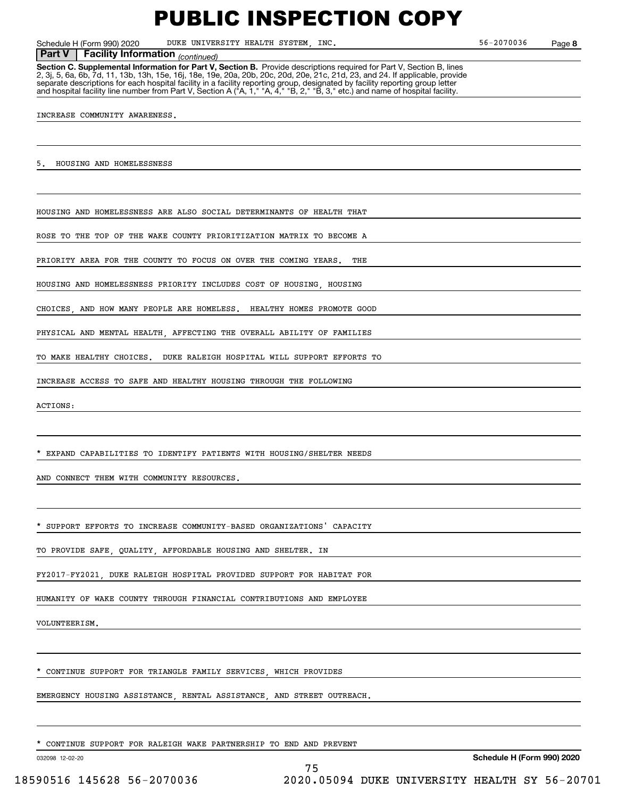Schedule H (Form 990) 2020 DUKE UNIVERSITY HEALTH SYSTEM, INC. 56-2070036 Page

**8**

#### **Facility Information** (continued) **Part V Facility Information**

**Section C. Supplemental Information for Part V, Section B.** Provide descriptions required for Part V, Section B, lines<br>2, 3j, 5, 6a, 6b, 7d, 11, 13b, 13h, 15e, 16j, 18e, 19e, 20a, 20b, 20c, 20d, 20e, 21c, 21d, 23, and 24. separate descriptions for each hospital facility in a facility reporting group, designated by facility reporting group letter<br>and hospital facility line number from Part V, Section A ("A, 1," "A, 4," "B, 2," "B, 3," etc.)

INCREASE COMMUNITY AWARENESS.

5. HOUSING AND HOMELESSNESS

HOUSING AND HOMELESSNESS ARE ALSO SOCIAL DETERMINANTS OF HEALTH THAT

ROSE TO THE TOP OF THE WAKE COUNTY PRIORITIZATION MATRIX TO BECOME A

PRIORITY AREA FOR THE COUNTY TO FOCUS ON OVER THE COMING YEARS. THE

HOUSING AND HOMELESSNESS PRIORITY INCLUDES COST OF HOUSING, HOUSING

CHOICES, AND HOW MANY PEOPLE ARE HOMELESS. HEALTHY HOMES PROMOTE GOOD

PHYSICAL AND MENTAL HEALTH, AFFECTING THE OVERALL ABILITY OF FAMILIES

TO MAKE HEALTHY CHOICES. DUKE RALEIGH HOSPITAL WILL SUPPORT EFFORTS TO

INCREASE ACCESS TO SAFE AND HEALTHY HOUSING THROUGH THE FOLLOWING

ACTIONS:

EXPAND CAPABILITIES TO IDENTIFY PATIENTS WITH HOUSING/SHELTER NEEDS

AND CONNECT THEM WITH COMMUNITY RESOURCES

SUPPORT EFFORTS TO INCREASE COMMUNITY-BASED ORGANIZATIONS' CAPACITY

TO PROVIDE SAFE, QUALITY, AFFORDABLE HOUSING AND SHELTER. IN

FY2017-FY2021, DUKE RALEIGH HOSPITAL PROVIDED SUPPORT FOR HABITAT FOR

HUMANITY OF WAKE COUNTY THROUGH FINANCIAL CONTRIBUTIONS AND EMPLOYEE

VOLUNTEERISM.

CONTINUE SUPPORT FOR TRIANGLE FAMILY SERVICES, WHICH PROVIDES

EMERGENCY HOUSING ASSISTANCE, RENTAL ASSISTANCE, AND STREET OUTREACH.

CONTINUE SUPPORT FOR RALEIGH WAKE PARTNERSHIP TO END AND PREVENT

032098 12-02-20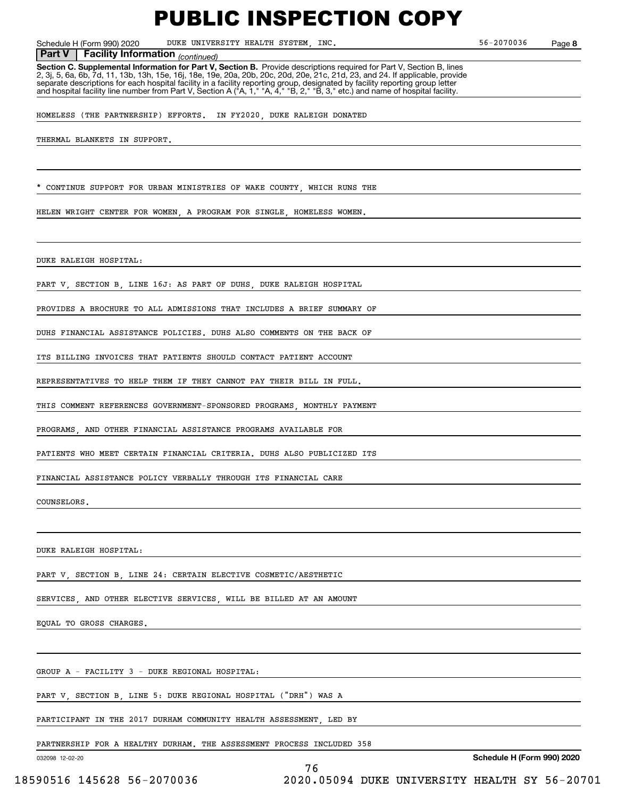Schedule H (Form 990) 2020 DUKE UNIVERSITY HEALTH SYSTEM, INC. 56-2070036 Page

**8**

 *(continued)* **Part V Facility Information**

**Section C. Supplemental Information for Part V, Section B.** Provide descriptions required for Part V, Section B, lines 2, 3j, 5, 6a, 6b, 7d, 11, 13b, 13h, 15e, 16j, 18e, 19e, 20a, 20b, 20c, 20d, 20e, 21c, 21d, 23, and 24. If applicable, provide separate descriptions for each hospital facility in a facility reporting group, designated by facility reporting group letter<br>and hospital facility line number from Part V, Section A ("A, 1," "A, 4," "B, 2," "B, 3," etc.)

HOMELESS (THE PARTNERSHIP) EFFORTS. IN FY2020, DUKE RALEIGH DONATED

THERMAL BLANKETS IN SUPPORT.

CONTINUE SUPPORT FOR URBAN MINISTRIES OF WAKE COUNTY, WHICH RUNS THE

HELEN WRIGHT CENTER FOR WOMEN, A PROGRAM FOR SINGLE, HOMELESS WOMEN.

DUKE RALEIGH HOSPITAL:

PART V, SECTION B, LINE 16J: AS PART OF DUHS, DUKE RALEIGH HOSPITAL

PROVIDES A BROCHURE TO ALL ADMISSIONS THAT INCLUDES A BRIEF SUMMARY OF

DUHS FINANCIAL ASSISTANCE POLICIES. DUHS ALSO COMMENTS ON THE BACK OF

ITS BILLING INVOICES THAT PATIENTS SHOULD CONTACT PATIENT ACCOUNT

REPRESENTATIVES TO HELP THEM IF THEY CANNOT PAY THEIR BILL IN FULL.

THIS COMMENT REFERENCES GOVERNMENT-SPONSORED PROGRAMS, MONTHLY PAYMENT

PROGRAMS, AND OTHER FINANCIAL ASSISTANCE PROGRAMS AVAILABLE FOR

PATIENTS WHO MEET CERTAIN FINANCIAL CRITERIA. DUHS ALSO PUBLICIZED ITS

FINANCIAL ASSISTANCE POLICY VERBALLY THROUGH ITS FINANCIAL CARE

COUNSELORS.

DUKE RALEIGH HOSPITAL:

PART V, SECTION B, LINE 24: CERTAIN ELECTIVE COSMETIC/AESTHETIC

SERVICES, AND OTHER ELECTIVE SERVICES, WILL BE BILLED AT AN AMOUNT

EQUAL TO GROSS CHARGES.

GROUP A - FACILITY 3 - DUKE REGIONAL HOSPITAL:

PART V, SECTION B, LINE 5: DUKE REGIONAL HOSPITAL ("DRH") WAS A

PARTICIPANT IN THE 2017 DURHAM COMMUNITY HEALTH ASSESSMENT, LED BY

PARTNERSHIP FOR A HEALTHY DURHAM. THE ASSESSMENT PROCESS INCLUDED 358

76

032098 12-02-20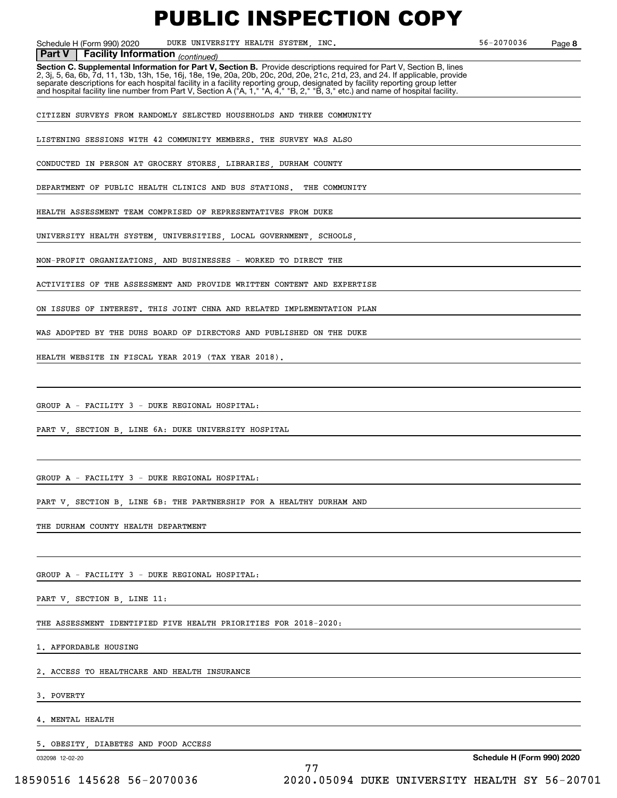Schedule H (Form 990) 2020 DUKE UNIVERSITY HEALTH SYSTEM, INC. 56-2070036 Page

**8**

#### **Facility Information** (continued)

**Part V** | Facility Information <sub>(continued)<br>Section C. Supplemental Information for Part V, Section B. Provide descriptions required for Part V, Section B, lines</sub> 2, 3j, 5, 6a, 6b, 7d, 11, 13b, 13h, 15e, 16j, 18e, 19e, 20a, 20b, 20c, 20d, 20e, 21c, 21d, 23, and 24. If applicable, provide separate descriptions for each hospital facility in a facility reporting group, designated by facility reporting group letter<br>and hospital facility line number from Part V, Section A ("A, 1," "A, 4," "B, 2," "B, 3," etc.)

CITIZEN SURVEYS FROM RANDOMLY SELECTED HOUSEHOLDS AND THREE COMMUNITY

LISTENING SESSIONS WITH 42 COMMUNITY MEMBERS. THE SURVEY WAS ALSO

CONDUCTED IN PERSON AT GROCERY STORES, LIBRARIES, DURHAM COUNTY

DEPARTMENT OF PUBLIC HEALTH CLINICS AND BUS STATIONS. THE COMMUNITY

HEALTH ASSESSMENT TEAM COMPRISED OF REPRESENTATIVES FROM DUKE

UNIVERSITY HEALTH SYSTEM, UNIVERSITIES, LOCAL GOVERNMENT, SCHOOLS,

NON-PROFIT ORGANIZATIONS, AND BUSINESSES - WORKED TO DIRECT THE

ACTIVITIES OF THE ASSESSMENT AND PROVIDE WRITTEN CONTENT AND EXPERTISE

ON ISSUES OF INTEREST. THIS JOINT CHNA AND RELATED IMPLEMENTATION PLAN

WAS ADOPTED BY THE DUHS BOARD OF DIRECTORS AND PUBLISHED ON THE DUKE

HEALTH WEBSITE IN FISCAL YEAR 2019 (TAX YEAR 2018).

GROUP A - FACILITY 3 - DUKE REGIONAL HOSPITAL:

PART V, SECTION B, LINE 6A: DUKE UNIVERSITY HOSPITAL

GROUP A - FACILITY 3 - DUKE REGIONAL HOSPITAL:

PART V, SECTION B, LINE 6B: THE PARTNERSHIP FOR A HEALTHY DURHAM AND

THE DURHAM COUNTY HEALTH DEPARTMENT

GROUP A - FACILITY 3 - DUKE REGIONAL HOSPITAL:

PART V, SECTION B, LINE 11:

THE ASSESSMENT IDENTIFIED FIVE HEALTH PRIORITIES FOR 2018-2020:

1. AFFORDABLE HOUSING

2. ACCESS TO HEALTHCARE AND HEALTH INSURANCE

3. POVERTY

4. MENTAL HEALTH

5. OBESITY, DIABETES AND FOOD ACCESS

032098 12-02-20

77 18590516 145628 56-2070036 2020.05094 DUKE UNIVERSITY HEALTH SY 56-20701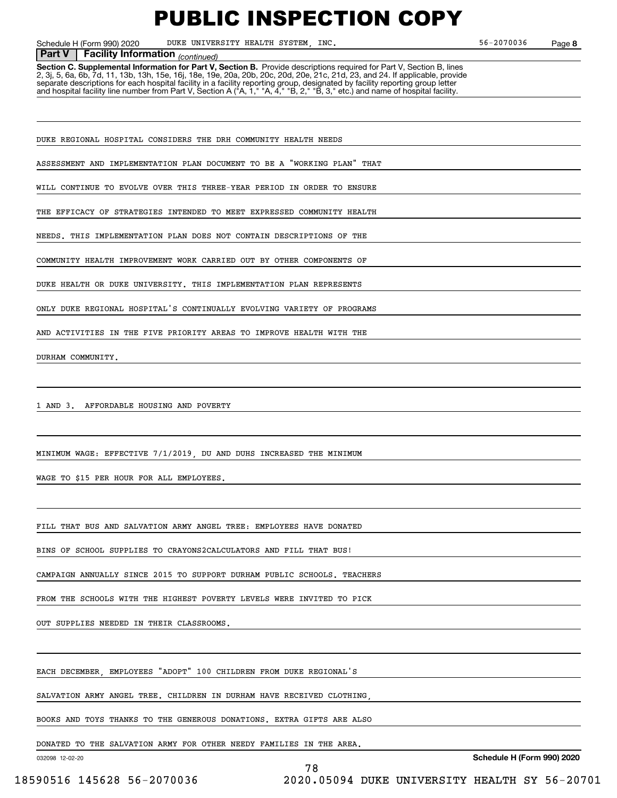Schedule H (Form 990) 2020 DUKE UNIVERSITY HEALTH SYSTEM, INC. 56-2070036 Page

**8**

#### *(continued)* **Part V Facility Information**

**Section C. Supplemental Information for Part V, Section B.** Provide descriptions required for Part V, Section B, lines 2, 3j, 5, 6a, 6b, 7d, 11, 13b, 13h, 15e, 16j, 18e, 19e, 20a, 20b, 20c, 20d, 20e, 21c, 21d, 23, and 24. If applicable, provide separate descriptions for each hospital facility in a facility reporting group, designated by facility reporting group letter<br>and hospital facility line number from Part V, Section A ("A, 1," "A, 4," "B, 2," "B, 3," etc.)

DUKE REGIONAL HOSPITAL CONSIDERS THE DRH COMMUNITY HEALTH NEEDS

ASSESSMENT AND IMPLEMENTATION PLAN DOCUMENT TO BE A "WORKING PLAN" THAT

WILL CONTINUE TO EVOLVE OVER THIS THREE-YEAR PERIOD IN ORDER TO ENSURE

THE EFFICACY OF STRATEGIES INTENDED TO MEET EXPRESSED COMMUNITY HEALTH

NEEDS. THIS IMPLEMENTATION PLAN DOES NOT CONTAIN DESCRIPTIONS OF THE

COMMUNITY HEALTH IMPROVEMENT WORK CARRIED OUT BY OTHER COMPONENTS OF

DUKE HEALTH OR DUKE UNIVERSITY. THIS IMPLEMENTATION PLAN REPRESENTS

ONLY DUKE REGIONAL HOSPITAL'S CONTINUALLY EVOLVING VARIETY OF PROGRAMS

AND ACTIVITIES IN THE FIVE PRIORITY AREAS TO IMPROVE HEALTH WITH THE

DURHAM COMMUNITY.

1 AND 3. AFFORDABLE HOUSING AND POVERTY

MINIMUM WAGE: EFFECTIVE 7/1/2019, DU AND DUHS INCREASED THE MINIMUM

WAGE TO \$15 PER HOUR FOR ALL EMPLOYEES

FILL THAT BUS AND SALVATION ARMY ANGEL TREE: EMPLOYEES HAVE DONATED

BINS OF SCHOOL SUPPLIES TO CRAYONS2CALCULATORS AND FILL THAT BUS!

CAMPAIGN ANNUALLY SINCE 2015 TO SUPPORT DURHAM PUBLIC SCHOOLS. TEACHERS

FROM THE SCHOOLS WITH THE HIGHEST POVERTY LEVELS WERE INVITED TO PICK

OUT SUPPLIES NEEDED IN THEIR CLASSROOMS.

EACH DECEMBER, EMPLOYEES "ADOPT" 100 CHILDREN FROM DUKE REGIONAL'S

SALVATION ARMY ANGEL TREE. CHILDREN IN DURHAM HAVE RECEIVED CLOTHING,

BOOKS AND TOYS THANKS TO THE GENEROUS DONATIONS. EXTRA GIFTS ARE ALSO

78

DONATED TO THE SALVATION ARMY FOR OTHER NEEDY FAMILIES IN THE AREA.

032098 12-02-20

**Schedule H (Form 990) 2020**

18590516 145628 56-2070036 2020.05094 DUKE UNIVERSITY HEALTH SY 56-20701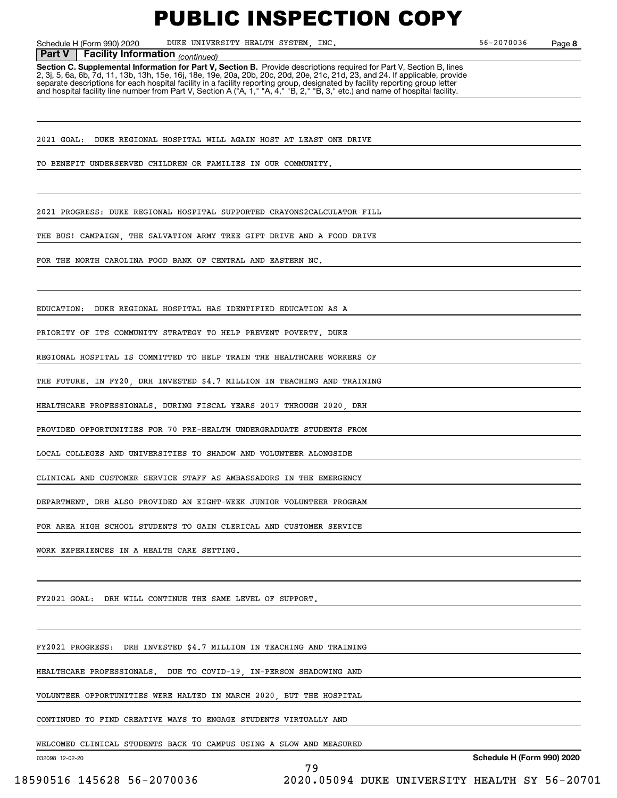Schedule H (Form 990) 2020 DUKE UNIVERSITY HEALTH SYSTEM, INC. 56-2070036 Page

**8**

#### *(continued)* **Part V Facility Information**

**Section C. Supplemental Information for Part V, Section B.** Provide descriptions required for Part V, Section B, lines 2, 3j, 5, 6a, 6b, 7d, 11, 13b, 13h, 15e, 16j, 18e, 19e, 20a, 20b, 20c, 20d, 20e, 21c, 21d, 23, and 24. If applicable, provide separate descriptions for each hospital facility in a facility reporting group, designated by facility reporting group letter<br>and hospital facility line number from Part V, Section A ("A, 1," "A, 4," "B, 2," "B, 3," etc.)

2021 GOAL: DUKE REGIONAL HOSPITAL WILL AGAIN HOST AT LEAST ONE DRIVE

TO BENEFIT UNDERSERVED CHILDREN OR FAMILIES IN OUR COMMUNITY.

2021 PROGRESS: DUKE REGIONAL HOSPITAL SUPPORTED CRAYONS2CALCULATOR FILL

THE BUS! CAMPAIGN, THE SALVATION ARMY TREE GIFT DRIVE AND A FOOD DRIVE

FOR THE NORTH CAROLINA FOOD BANK OF CENTRAL AND EASTERN NC.

EDUCATION: DUKE REGIONAL HOSPITAL HAS IDENTIFIED EDUCATION AS A

PRIORITY OF ITS COMMUNITY STRATEGY TO HELP PREVENT POVERTY. DUKE

REGIONAL HOSPITAL IS COMMITTED TO HELP TRAIN THE HEALTHCARE WORKERS OF

THE FUTURE. IN FY20, DRH INVESTED \$4.7 MILLION IN TEACHING AND TRAINING

HEALTHCARE PROFESSIONALS. DURING FISCAL YEARS 2017 THROUGH 2020 DRH

PROVIDED OPPORTUNITIES FOR 70 PRE-HEALTH UNDERGRADUATE STUDENTS FROM

LOCAL COLLEGES AND UNIVERSITIES TO SHADOW AND VOLUNTEER ALONGSIDE

CLINICAL AND CUSTOMER SERVICE STAFF AS AMBASSADORS IN THE EMERGENCY

DEPARTMENT. DRH ALSO PROVIDED AN EIGHT-WEEK JUNIOR VOLUNTEER PROGRAM

FOR AREA HIGH SCHOOL STUDENTS TO GAIN CLERICAL AND CUSTOMER SERVICE

WORK EXPERIENCES IN A HEALTH CARE SETTING.

FY2021 GOAL: DRH WILL CONTINUE THE SAME LEVEL OF SUPPORT.

FY2021 PROGRESS: DRH INVESTED \$4.7 MILLION IN TEACHING AND TRAINING

HEALTHCARE PROFESSIONALS. DUE TO COVID-19, IN-PERSON SHADOWING AND

VOLUNTEER OPPORTUNITIES WERE HALTED IN MARCH 2020, BUT THE HOSPITAL

CONTINUED TO FIND CREATIVE WAYS TO ENGAGE STUDENTS VIRTUALLY AND

WELCOMED CLINICAL STUDENTS BACK TO CAMPUS USING A SLOW AND MEASURED

79

032098 12-02-20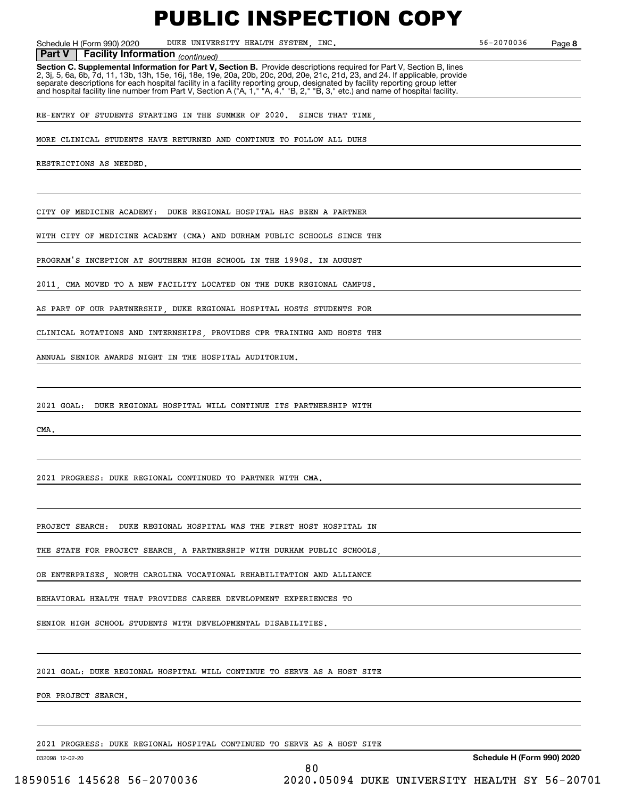Schedule H (Form 990) 2020 DUKE UNIVERSITY HEALTH SYSTEM, INC. 56-2070036 Page

**8**

**Facility Information** (continued)

**Part V** | Facility Information <sub>(continued)<br>Section C. Supplemental Information for Part V, Section B. Provide descriptions required for Part V, Section B, lines</sub> 2, 3j, 5, 6a, 6b, 7d, 11, 13b, 13h, 15e, 16j, 18e, 19e, 20a, 20b, 20c, 20d, 20e, 21c, 21d, 23, and 24. If applicable, provide separate descriptions for each hospital facility in a facility reporting group, designated by facility reporting group letter<br>and hospital facility line number from Part V, Section A ("A, 1," "A, 4," "B, 2," "B, 3," etc.)

RE-ENTRY OF STUDENTS STARTING IN THE SUMMER OF 2020. SINCE THAT TIME

MORE CLINICAL STUDENTS HAVE RETURNED AND CONTINUE TO FOLLOW ALL DUHS

RESTRICTIONS AS NEEDED.

CITY OF MEDICINE ACADEMY: DUKE REGIONAL HOSPITAL HAS BEEN A PARTNER

WITH CITY OF MEDICINE ACADEMY (CMA) AND DURHAM PUBLIC SCHOOLS SINCE THE

PROGRAM'S INCEPTION AT SOUTHERN HIGH SCHOOL IN THE 1990S. IN AUGUST

2011, CMA MOVED TO A NEW FACILITY LOCATED ON THE DUKE REGIONAL CAMPUS.

AS PART OF OUR PARTNERSHIP, DUKE REGIONAL HOSPITAL HOSTS STUDENTS FOR

CLINICAL ROTATIONS AND INTERNSHIPS, PROVIDES CPR TRAINING AND HOSTS THE

ANNUAL SENIOR AWARDS NIGHT IN THE HOSPITAL AUDITORIUM.

2021 GOAL: DUKE REGIONAL HOSPITAL WILL CONTINUE ITS PARTNERSHIP WITH

**CMA** 

2021 PROGRESS: DUKE REGIONAL CONTINUED TO PARTNER WITH CMA.

PROJECT SEARCH: DUKE REGIONAL HOSPITAL WAS THE FIRST HOST HOSPITAL IN

THE STATE FOR PROJECT SEARCH, A PARTNERSHIP WITH DURHAM PUBLIC SCHOOLS,

OE ENTERPRISES, NORTH CAROLINA VOCATIONAL REHABILITATION AND ALLIANCE

BEHAVIORAL HEALTH THAT PROVIDES CAREER DEVELOPMENT EXPERIENCES TO

SENIOR HIGH SCHOOL STUDENTS WITH DEVELOPMENTAL DISABILITIES.

2021 GOAL: DUKE REGIONAL HOSPITAL WILL CONTINUE TO SERVE AS A HOST SITE

FOR PROJECT SEARCH.

2021 PROGRESS: DUKE REGIONAL HOSPITAL CONTINUED TO SERVE AS A HOST SITE

032098 12-02-20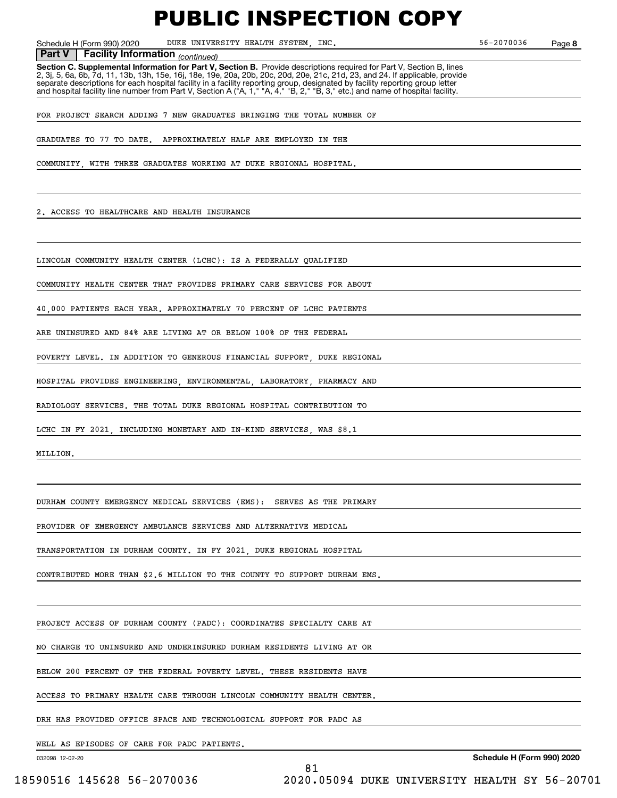Schedule H (Form 990) 2020 DUKE UNIVERSITY HEALTH SYSTEM, INC. 56-2070036 Page

**8**

**Facility Information** (continued)

**Part V** | Facility Information <sub>(continued)<br>Section C. Supplemental Information for Part V, Section B. Provide descriptions required for Part V, Section B, lines</sub> 2, 3j, 5, 6a, 6b, 7d, 11, 13b, 13h, 15e, 16j, 18e, 19e, 20a, 20b, 20c, 20d, 20e, 21c, 21d, 23, and 24. If applicable, provide separate descriptions for each hospital facility in a facility reporting group, designated by facility reporting group letter<br>and hospital facility line number from Part V, Section A ("A, 1," "A, 4," "B, 2," "B, 3," etc.)

FOR PROJECT SEARCH ADDING 7 NEW GRADUATES BRINGING THE TOTAL NUMBER OF

GRADUATES TO 77 TO DATE. APPROXIMATELY HALF ARE EMPLOYED IN THE

COMMUNITY, WITH THREE GRADUATES WORKING AT DUKE REGIONAL HOSPITAL.

2. ACCESS TO HEALTHCARE AND HEALTH INSURANCE

LINCOLN COMMUNITY HEALTH CENTER (LCHC): IS A FEDERALLY QUALIFIED

COMMUNITY HEALTH CENTER THAT PROVIDES PRIMARY CARE SERVICES FOR ABOUT

40,000 PATIENTS EACH YEAR. APPROXIMATELY 70 PERCENT OF LCHC PATIENTS

ARE UNINSURED AND 84% ARE LIVING AT OR BELOW 100% OF THE FEDERAL

POVERTY LEVEL. IN ADDITION TO GENEROUS FINANCIAL SUPPORT, DUKE REGIONAL

HOSPITAL PROVIDES ENGINEERING, ENVIRONMENTAL, LABORATORY, PHARMACY AND

RADIOLOGY SERVICES. THE TOTAL DUKE REGIONAL HOSPITAL CONTRIBUTION TO

LCHC IN FY 2021, INCLUDING MONETARY AND IN-KIND SERVICES, WAS \$8.1

MILLION.

DURHAM COUNTY EMERGENCY MEDICAL SERVICES (EMS): SERVES AS THE PRIMARY

PROVIDER OF EMERGENCY AMBULANCE SERVICES AND ALTERNATIVE MEDICAL

TRANSPORTATION IN DURHAM COUNTY. IN FY 2021, DUKE REGIONAL HOSPITAL

CONTRIBUTED MORE THAN \$2.6 MILLION TO THE COUNTY TO SUPPORT DURHAM EMS.

PROJECT ACCESS OF DURHAM COUNTY (PADC): COORDINATES SPECIALTY CARE AT

NO CHARGE TO UNINSURED AND UNDERINSURED DURHAM RESIDENTS LIVING AT OR

BELOW 200 PERCENT OF THE FEDERAL POVERTY LEVEL. THESE RESIDENTS HAVE

ACCESS TO PRIMARY HEALTH CARE THROUGH LINCOLN COMMUNITY HEALTH CENTER.

81

DRH HAS PROVIDED OFFICE SPACE AND TECHNOLOGICAL SUPPORT FOR PADC AS

WELL AS EPISODES OF CARE FOR PADC PATIENTS.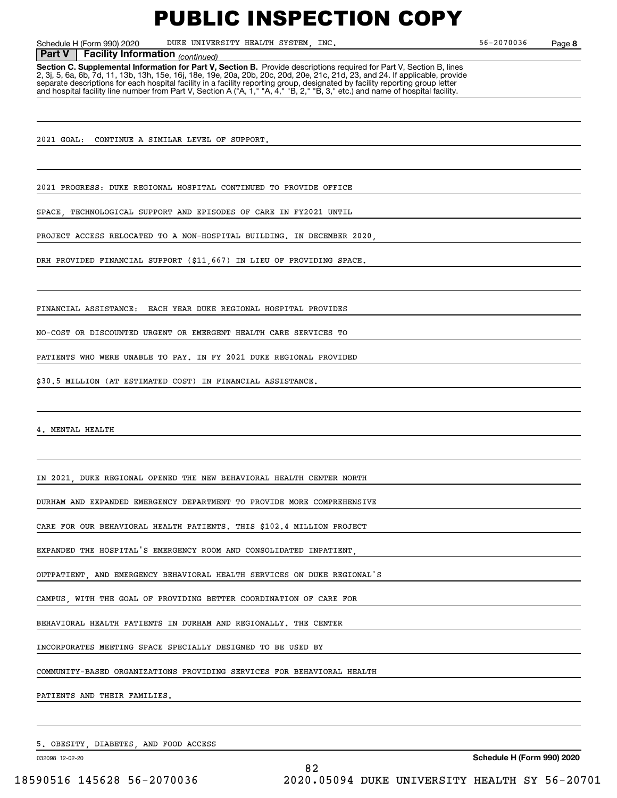Schedule H (Form 990) 2020 DUKE UNIVERSITY HEALTH SYSTEM, INC. 56-2070036 Page

**8**

#### **Facility Information** (continued) **Part V Facility Information**

**Section C. Supplemental Information for Part V, Section B.** Provide descriptions required for Part V, Section B, lines<br>2, 3j, 5, 6a, 6b, 7d, 11, 13b, 13h, 15e, 16j, 18e, 19e, 20a, 20b, 20c, 20d, 20e, 21c, 21d, 23, and 24. separate descriptions for each hospital facility in a facility reporting group, designated by facility reporting group letter<br>and hospital facility line number from Part V, Section A ("A, 1," "A, 4," "B, 2," "B, 3," etc.)

2021 GOAL: CONTINUE A SIMILAR LEVEL OF SUPPORT.

2021 PROGRESS: DUKE REGIONAL HOSPITAL CONTINUED TO PROVIDE OFFICE

SPACE, TECHNOLOGICAL SUPPORT AND EPISODES OF CARE IN FY2021 UNTIL

PROJECT ACCESS RELOCATED TO A NON-HOSPITAL BUILDING. IN DECEMBER 2020,

DRH PROVIDED FINANCIAL SUPPORT (\$11,667) IN LIEU OF PROVIDING SPACE.

FINANCIAL ASSISTANCE: EACH YEAR DUKE REGIONAL HOSPITAL PROVIDES

NO-COST OR DISCOUNTED URGENT OR EMERGENT HEALTH CARE SERVICES TO

PATIENTS WHO WERE UNABLE TO PAY. IN FY 2021 DUKE REGIONAL PROVIDED

\$30.5 MILLION (AT ESTIMATED COST) IN FINANCIAL ASSISTANCE.

MENTAL HEALTH

IN 2021, DUKE REGIONAL OPENED THE NEW BEHAVIORAL HEALTH CENTER NORTH

DURHAM AND EXPANDED EMERGENCY DEPARTMENT TO PROVIDE MORE COMPREHENSIVE

CARE FOR OUR BEHAVIORAL HEALTH PATIENTS. THIS \$102.4 MILLION PROJECT

EXPANDED THE HOSPITAL'S EMERGENCY ROOM AND CONSOLIDATED INPATIENT

OUTPATIENT, AND EMERGENCY BEHAVIORAL HEALTH SERVICES ON DUKE REGIONAL'S

CAMPUS, WITH THE GOAL OF PROVIDING BETTER COORDINATION OF CARE FOR

BEHAVIORAL HEALTH PATIENTS IN DURHAM AND REGIONALLY. THE CENTER

INCORPORATES MEETING SPACE SPECIALLY DESIGNED TO BE USED BY

COMMUNITY-BASED ORGANIZATIONS PROVIDING SERVICES FOR BEHAVIORAL HEALTH

PATIENTS AND THEIR FAMILIES.

5. OBESITY, DIABETES, AND FOOD ACCESS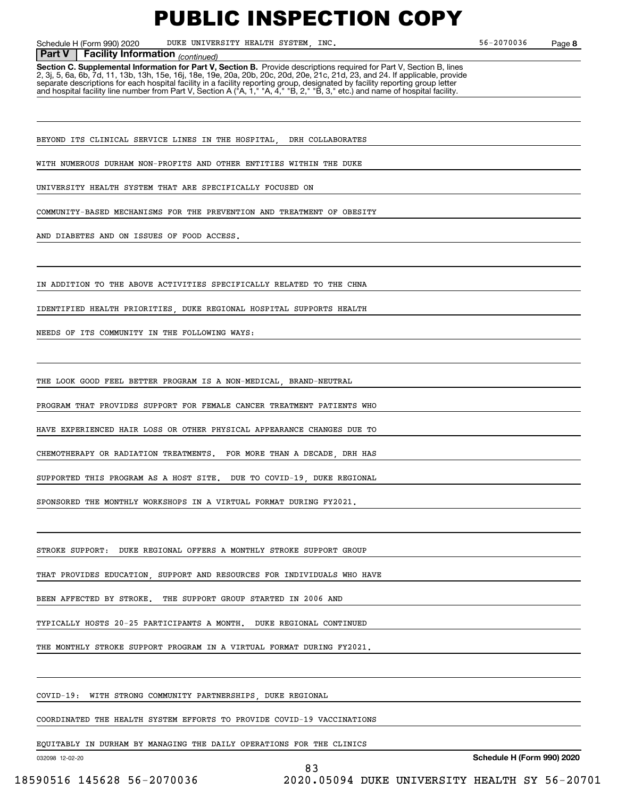Schedule H (Form 990) 2020 DUKE UNIVERSITY HEALTH SYSTEM, INC. 56-2070036 Page

**8**

#### *(continued)* **Part V Facility Information**

**Section C. Supplemental Information for Part V, Section B.** Provide descriptions required for Part V, Section B, lines 2, 3j, 5, 6a, 6b, 7d, 11, 13b, 13h, 15e, 16j, 18e, 19e, 20a, 20b, 20c, 20d, 20e, 21c, 21d, 23, and 24. If applicable, provide separate descriptions for each hospital facility in a facility reporting group, designated by facility reporting group letter<br>and hospital facility line number from Part V, Section A ("A, 1," "A, 4," "B, 2," "B, 3," etc.)

BEYOND ITS CLINICAL SERVICE LINES IN THE HOSPITAL DRH COLLABORATES

WITH NUMEROUS DURHAM NON-PROFITS AND OTHER ENTITIES WITHIN THE DUKE

UNIVERSITY HEALTH SYSTEM THAT ARE SPECIFICALLY FOCUSED ON

COMMUNITY-BASED MECHANISMS FOR THE PREVENTION AND TREATMENT OF OBESITY

AND DIABETES AND ON ISSUES OF FOOD ACCESS.

IN ADDITION TO THE ABOVE ACTIVITIES SPECIFICALLY RELATED TO THE CHNA

IDENTIFIED HEALTH PRIORITIES, DUKE REGIONAL HOSPITAL SUPPORTS HEALTH

NEEDS OF ITS COMMUNITY IN THE FOLLOWING WAYS:

THE LOOK GOOD FEEL BETTER PROGRAM IS A NON-MEDICAL. BRAND-NEUTRAL

PROGRAM THAT PROVIDES SUPPORT FOR FEMALE CANCER TREATMENT PATIENTS WHO

HAVE EXPERIENCED HAIR LOSS OR OTHER PHYSICAL APPEARANCE CHANGES DUE TO

CHEMOTHERAPY OR RADIATION TREATMENTS. FOR MORE THAN A DECADE, DRH HAS

SUPPORTED THIS PROGRAM AS A HOST SITE. DUE TO COVID-19, DUKE REGIONAL

SPONSORED THE MONTHLY WORKSHOPS IN A VIRTUAL FORMAT DURING FY2021.

STROKE SUPPORT: DUKE REGIONAL OFFERS A MONTHLY STROKE SUPPORT GROUP

THAT PROVIDES EDUCATION, SUPPORT AND RESOURCES FOR INDIVIDUALS WHO HAVE

BEEN AFFECTED BY STROKE. THE SUPPORT GROUP STARTED IN 2006 AND

TYPICALLY HOSTS 20-25 PARTICIPANTS A MONTH. DUKE REGIONAL CONTINUED

THE MONTHLY STROKE SUPPORT PROGRAM IN A VIRTUAL FORMAT DURING FY2021.

COVID-19: WITH STRONG COMMUNITY PARTNERSHIPS DUKE REGIONAL

COORDINATED THE HEALTH SYSTEM EFFORTS TO PROVIDE COVID-19 VACCINATIONS

83

EQUITABLY IN DURHAM BY MANAGING THE DAILY OPERATIONS FOR THE CLINICS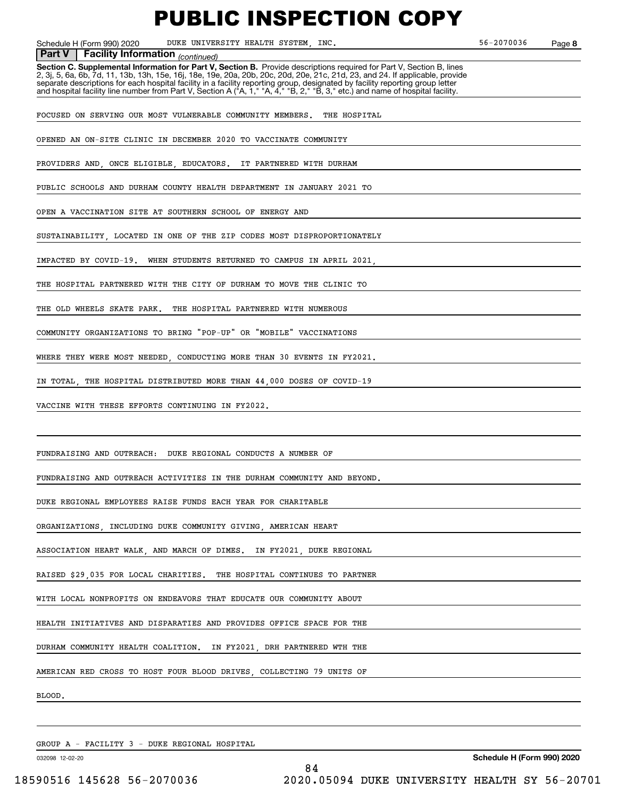Schedule H (Form 990) 2020 DUKE UNIVERSITY HEALTH SYSTEM, INC. 56-2070036 Page

**8**

**Facility Information** (continued)

**Part V** | Facility Information <sub>(continued)<br>Section C. Supplemental Information for Part V, Section B. Provide descriptions required for Part V, Section B, lines</sub> 2, 3j, 5, 6a, 6b, 7d, 11, 13b, 13h, 15e, 16j, 18e, 19e, 20a, 20b, 20c, 20d, 20e, 21c, 21d, 23, and 24. If applicable, provide separate descriptions for each hospital facility in a facility reporting group, designated by facility reporting group letter<br>and hospital facility line number from Part V, Section A ("A, 1," "A, 4," "B, 2," "B, 3," etc.)

FOCUSED ON SERVING OUR MOST VULNERABLE COMMUNITY MEMBERS. THE HOSPITAL

OPENED AN ON-SITE CLINIC IN DECEMBER 2020 TO VACCINATE COMMUNITY

PROVIDERS AND ONCE ELIGIBLE EDUCATORS. IT PARTNERED WITH DURHAM

PUBLIC SCHOOLS AND DURHAM COUNTY HEALTH DEPARTMENT IN JANUARY 2021 TO

OPEN A VACCINATION SITE AT SOUTHERN SCHOOL OF ENERGY AND

SUSTAINABILITY, LOCATED IN ONE OF THE ZIP CODES MOST DISPROPORTIONATELY

IMPACTED BY COVID-19. WHEN STUDENTS RETURNED TO CAMPUS IN APRIL 2021,

THE HOSPITAL PARTNERED WITH THE CITY OF DURHAM TO MOVE THE CLINIC TO

THE OLD WHEELS SKATE PARK. THE HOSPITAL PARTNERED WITH NUMEROUS

COMMUNITY ORGANIZATIONS TO BRING "POP-UP" OR "MOBILE" VACCINATIONS

WHERE THEY WERE MOST NEEDED, CONDUCTING MORE THAN 30 EVENTS IN FY2021.

IN TOTAL, THE HOSPITAL DISTRIBUTED MORE THAN 44,000 DOSES OF COVID-19

VACCINE WITH THESE EFFORTS CONTINUING IN FY2022.

FUNDRAISING AND OUTREACH: DUKE REGIONAL CONDUCTS A NUMBER OF

FUNDRAISING AND OUTREACH ACTIVITIES IN THE DURHAM COMMUNITY AND BEYOND.

DUKE REGIONAL EMPLOYEES RAISE FUNDS EACH YEAR FOR CHARITABLE

ORGANIZATIONS, INCLUDING DUKE COMMUNITY GIVING, AMERICAN HEART

ASSOCIATION HEART WALK, AND MARCH OF DIMES. IN FY2021, DUKE REGIONAL

RAISED \$29,035 FOR LOCAL CHARITIES. THE HOSPITAL CONTINUES TO PARTNER

WITH LOCAL NONPROFITS ON ENDEAVORS THAT EDUCATE OUR COMMUNITY ABOUT

HEALTH INITIATIVES AND DISPARATIES AND PROVIDES OFFICE SPACE FOR THE

DURHAM COMMUNITY HEALTH COALITION. IN FY2021, DRH PARTNERED WTH THE

AMERICAN RED CROSS TO HOST FOUR BLOOD DRIVES, COLLECTING 79 UNITS OF

BLOOD.

GROUP A - FACILITY 3 - DUKE REGIONAL HOSPITAL

032098 12-02-20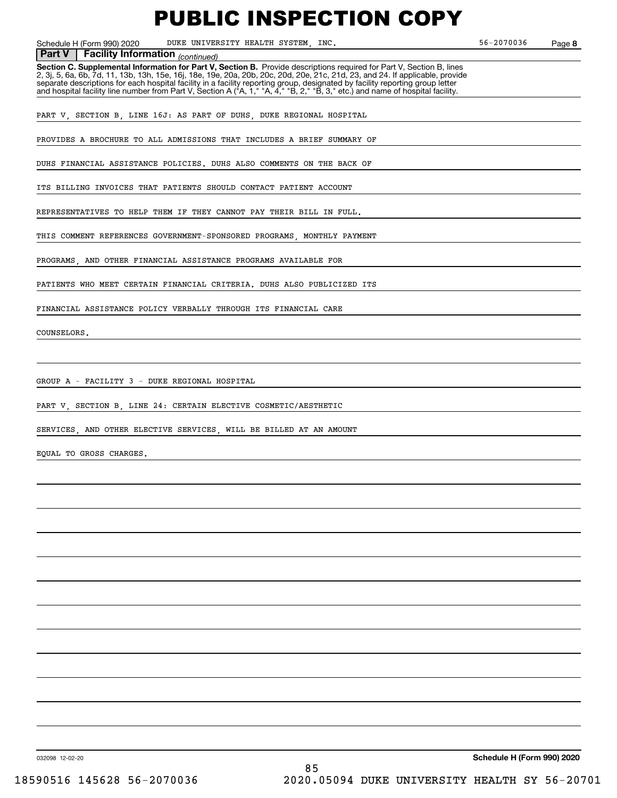Schedule H (Form 990) 2020 DUKE UNIVERSITY HEALTH SYSTEM, INC. 56-2070036 Page

**8**

#### **Facility Information** (continued) **Part V Facility Information**

**Section C. Supplemental Information for Part V, Section B.** Provide descriptions required for Part V, Section B, lines<br>2, 3j, 5, 6a, 6b, 7d, 11, 13b, 13h, 15e, 16j, 18e, 19e, 20a, 20b, 20c, 20d, 20e, 21c, 21d, 23, and 24. separate descriptions for each hospital facility in a facility reporting group, designated by facility reporting group letter<br>and hospital facility line number from Part V, Section A ("A, 1," "A, 4," "B, 2," "B, 3," etc.)

PART V, SECTION B, LINE 16J: AS PART OF DUHS, DUKE REGIONAL HOSPITAL

PROVIDES A BROCHURE TO ALL ADMISSIONS THAT INCLUDES A BRIEF SUMMARY OF

DUHS FINANCIAL ASSISTANCE POLICIES. DUHS ALSO COMMENTS ON THE BACK OF

ITS BILLING INVOICES THAT PATIENTS SHOULD CONTACT PATIENT ACCOUNT

REPRESENTATIVES TO HELP THEM IF THEY CANNOT PAY THEIR BILL IN FULL.

THIS COMMENT REFERENCES GOVERNMENT-SPONSORED PROGRAMS, MONTHLY PAYMENT

PROGRAMS, AND OTHER FINANCIAL ASSISTANCE PROGRAMS AVAILABLE FOR

PATIENTS WHO MEET CERTAIN FINANCIAL CRITERIA. DUHS ALSO PUBLICIZED ITS

FINANCIAL ASSISTANCE POLICY VERBALLY THROUGH ITS FINANCIAL CARE

COUNSELORS.

GROUP A - FACILITY 3 - DUKE REGIONAL HOSPITAL

PART V, SECTION B, LINE 24: CERTAIN ELECTIVE COSMETIC/AESTHETIC

SERVICES, AND OTHER ELECTIVE SERVICES, WILL BE BILLED AT AN AMOUNT

EQUAL TO GROSS CHARGES.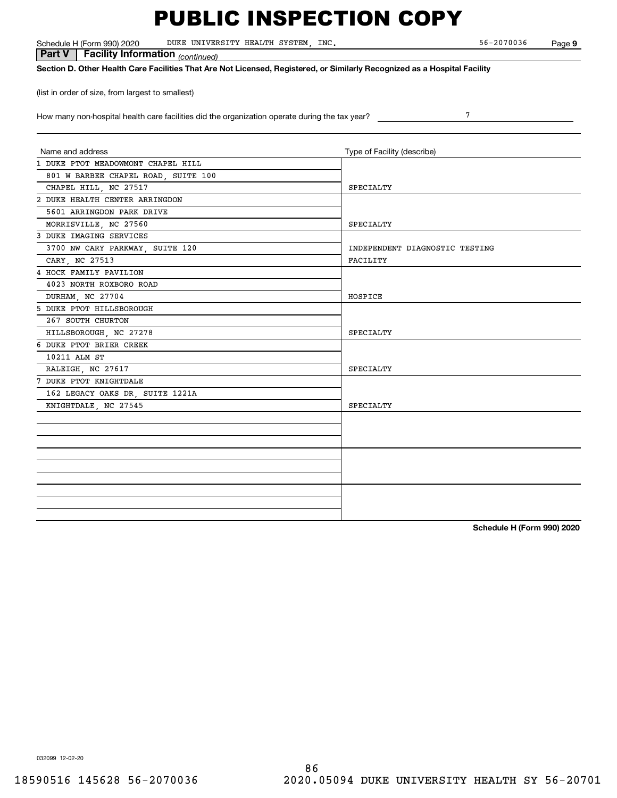Schedule H (Form 990) 2020 DUKE UNIVERSITY HEALTH SYSTEM, INC. 56-2070036 Page

 *(continued)* **Part V Facility Information**

**Section D. Other Health Care Facilities That Are Not Licensed, Registered, or Similarly Recognized as a Hospital Facility**

(list in order of size, from largest to smallest)

How many non-hospital health care facilities did the organization operate during the tax year?

| Name and address                    | Type of Facility (describe)    |
|-------------------------------------|--------------------------------|
| 1 DUKE PTOT MEADOWMONT CHAPEL HILL  |                                |
| 801 W BARBEE CHAPEL ROAD, SUITE 100 |                                |
| CHAPEL HILL, NC 27517               | SPECIALTY                      |
| 2 DUKE HEALTH CENTER ARRINGDON      |                                |
| 5601 ARRINGDON PARK DRIVE           |                                |
| MORRISVILLE, NC 27560               | SPECIALTY                      |
| 3 DUKE IMAGING SERVICES             |                                |
| 3700 NW CARY PARKWAY, SUITE 120     | INDEPENDENT DIAGNOSTIC TESTING |
| CARY, NC 27513                      | FACILITY                       |
| 4 HOCK FAMILY PAVILION              |                                |
| 4023 NORTH ROXBORO ROAD             |                                |
| DURHAM, NC 27704                    | HOSPICE                        |
| 5 DUKE PTOT HILLSBOROUGH            |                                |
| 267 SOUTH CHURTON                   |                                |
| HILLSBOROUGH, NC 27278              | SPECIALTY                      |
| 6 DUKE PTOT BRIER CREEK             |                                |
| 10211 ALM ST                        |                                |
| RALEIGH, NC 27617                   | SPECIALTY                      |
| 7 DUKE PTOT KNIGHTDALE              |                                |
| 162 LEGACY OAKS DR, SUITE 1221A     |                                |
| KNIGHTDALE, NC 27545                | SPECIALTY                      |
|                                     |                                |
|                                     |                                |
|                                     |                                |
|                                     |                                |
|                                     |                                |
|                                     |                                |
|                                     |                                |
|                                     |                                |
|                                     |                                |

**Schedule H (Form 990) 2020**

7

**9**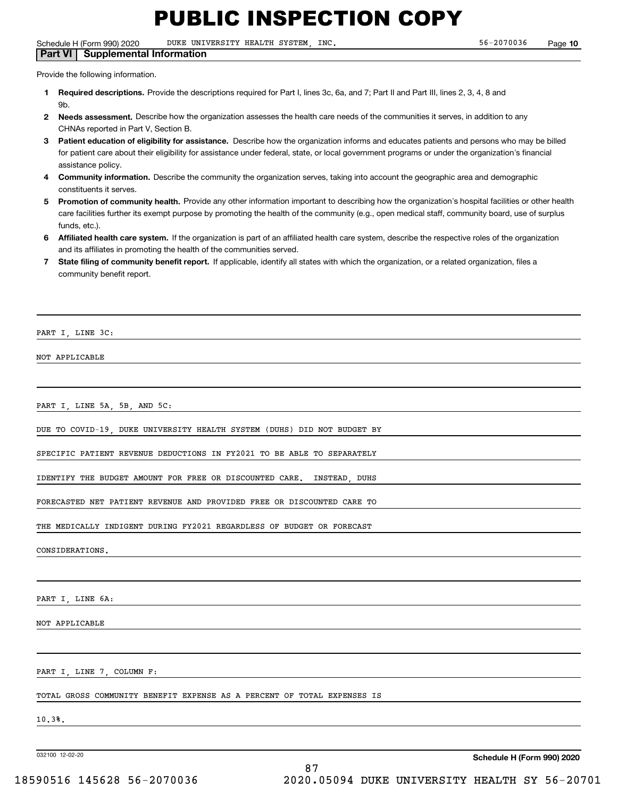Schedule H (Form 990) 2020 DUKE UNIVERSITY HEALTH SYSTEM, INC. 56-2070036 Page

**Part VI Supplemental Information**

Provide the following information.

- **1Required descriptions.** Provide the descriptions required for Part I, lines 3c, 6a, and 7; Part II and Part III, lines 2, 3, 4, 8 and **Qh**
- **2Needs assessment.** Describe how the organization assesses the health care needs of the communities it serves, in addition to any CHNAs reported in Part V, Section B.
- **3** Patient education of eligibility for assistance. Describe how the organization informs and educates patients and persons who may be billed for patient care about their eligibility for assistance under federal, state, or local government programs or under the organization's financial assistance policy.
- **4 Community information.** Describe the community the organization serves, taking into account the geographic area and demographic constituents it serves.
- 5 Promotion of community health. Provide any other information important to describing how the organization's hospital facilities or other health care facilities further its exempt purpose by promoting the health of the community (e.g., open medical staff, community board, use of surplus funds, etc.).

87

- **6Affiliated health care system.** If the organization is part of an affiliated health care system, describe the respective roles of the organization and its affiliates in promoting the health of the communities served.
- **7** State filing of community benefit report. If applicable, identify all states with which the organization, or a related organization, files a community benefit report.

PART I, LINE 3C:

NOT APPLICABLE

PART I, LINE 5A, 5B, AND 5C:

DUE TO COVID-19, DUKE UNIVERSITY HEALTH SYSTEM (DUHS) DID NOT BUDGET BY

SPECIFIC PATIENT REVENUE DEDUCTIONS IN FY2021 TO BE ABLE TO SEPARATELY

IDENTIFY THE BUDGET AMOUNT FOR FREE OR DISCOUNTED CARE. INSTEAD, DUHS

FORECASTED NET PATIENT REVENUE AND PROVIDED FREE OR DISCOUNTED CARE TO

THE MEDICALLY INDIGENT DURING FY2021 REGARDLESS OF BUDGET OR FORECAST

CONSIDERATIONS.

PART I, LINE 6A:

NOT APPLICABLE

PART I, LINE 7, COLUMN F:

TOTAL GROSS COMMUNITY BENEFIT EXPENSE AS A PERCENT OF TOTAL EXPENSES IS

10.3%.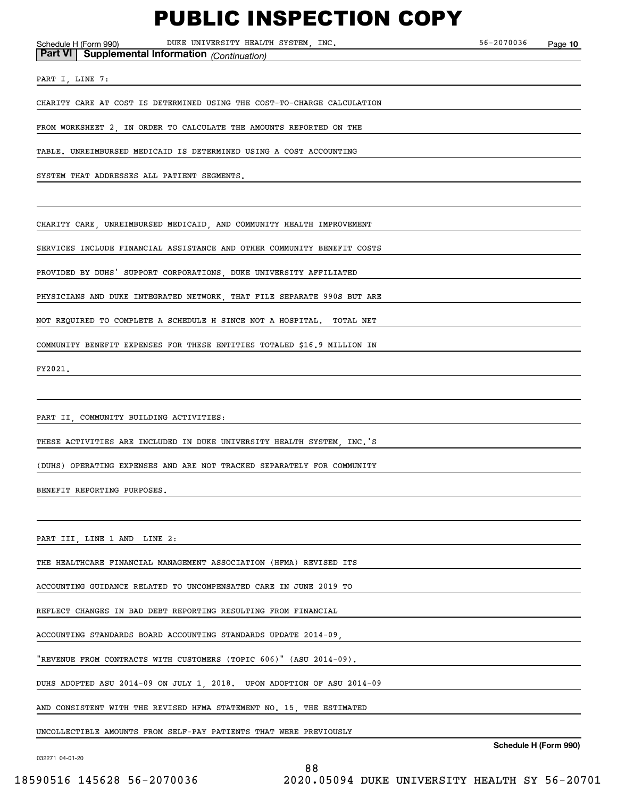Schedule H (Form 990) Page DUKE UNIVERSITY HEALTH SYSTEM, INC. 56-2070036

**10**

**Part VI Supplemental Information** *(Continuation)*

PART I, LINE 7:

CHARITY CARE AT COST IS DETERMINED USING THE COST-TO-CHARGE CALCULATION

FROM WORKSHEET 2, IN ORDER TO CALCULATE THE AMOUNTS REPORTED ON THE

TABLE. UNREIMBURSED MEDICAID IS DETERMINED USING A COST ACCOUNTING

SYSTEM THAT ADDRESSES ALL PATIENT SEGMENTS.

CHARITY CARE, UNREIMBURSED MEDICAID, AND COMMUNITY HEALTH IMPROVEMENT

SERVICES INCLUDE FINANCIAL ASSISTANCE AND OTHER COMMUNITY BENEFIT COSTS

PROVIDED BY DUHS' SUPPORT CORPORATIONS, DUKE UNIVERSITY AFFILIATED

PHYSICIANS AND DUKE INTEGRATED NETWORK, THAT FILE SEPARATE 990S BUT ARE

NOT REQUIRED TO COMPLETE A SCHEDULE H SINCE NOT A HOSPITAL. TOTAL NET

COMMUNITY BENEFIT EXPENSES FOR THESE ENTITIES TOTALED \$16.9 MILLION IN

FY2021.

PART II, COMMUNITY BUILDING ACTIVITIES:

THESE ACTIVITIES ARE INCLUDED IN DUKE UNIVERSITY HEALTH SYSTEM, INC.'S

(DUHS) OPERATING EXPENSES AND ARE NOT TRACKED SEPARATELY FOR COMMUNITY

BENEFIT REPORTING PURPOSES.

PART III, LINE 1 AND LINE 2:

THE HEALTHCARE FINANCIAL MANAGEMENT ASSOCIATION (HFMA) REVISED ITS

ACCOUNTING GUIDANCE RELATED TO UNCOMPENSATED CARE IN JUNE 2019 TO

REFLECT CHANGES IN BAD DEBT REPORTING RESULTING FROM FINANCIAL

ACCOUNTING STANDARDS BOARD ACCOUNTING STANDARDS UPDATE 2014-09,

"REVENUE FROM CONTRACTS WITH CUSTOMERS (TOPIC 606)" (ASU 2014-09).

DUHS ADOPTED ASU 2014-09 ON JULY 1, 2018. UPON ADOPTION OF ASU 2014-09

AND CONSISTENT WITH THE REVISED HFMA STATEMENT NO. 15, THE ESTIMATED

UNCOLLECTIBLE AMOUNTS FROM SELF-PAY PATIENTS THAT WERE PREVIOUSLY

032271 04-01-20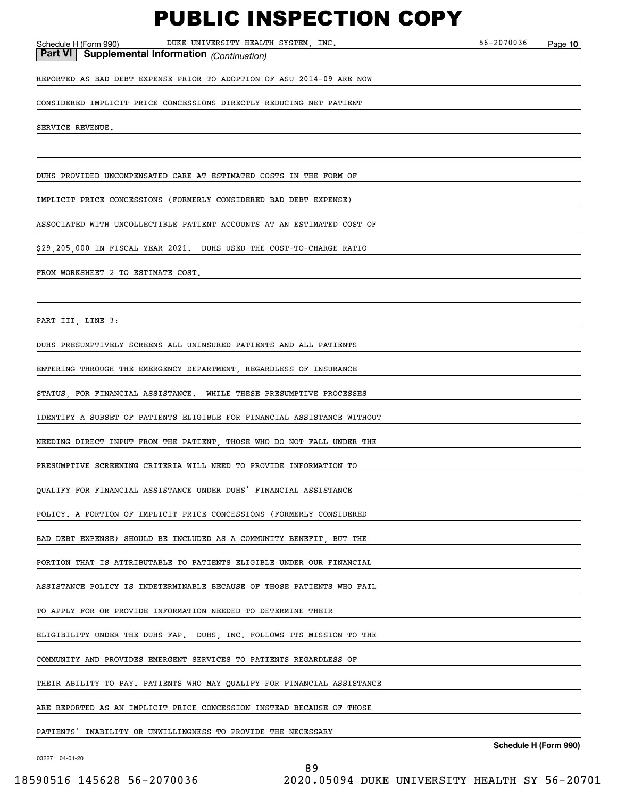Schedule H (Form 990) Page DUKE UNIVERSITY HEALTH SYSTEM, INC. 56-2070036 **Part VI Supplemental Information** *(Continuation)*

**10**

REPORTED AS BAD DEBT EXPENSE PRIOR TO ADOPTION OF ASU 2014-09 ARE NOW

CONSIDERED IMPLICIT PRICE CONCESSIONS DIRECTLY REDUCING NET PATIENT

SERVICE REVENUE.

DUHS PROVIDED UNCOMPENSATED CARE AT ESTIMATED COSTS IN THE FORM OF

IMPLICIT PRICE CONCESSIONS (FORMERLY CONSIDERED BAD DEBT EXPENSE)

ASSOCIATED WITH UNCOLLECTIBLE PATIENT ACCOUNTS AT AN ESTIMATED COST OF

\$29,205,000 IN FISCAL YEAR 2021. DUHS USED THE COST-TO-CHARGE RATIO

FROM WORKSHEET 2 TO ESTIMATE COST.

PART III, LINE 3:

DUHS PRESUMPTIVELY SCREENS ALL UNINSURED PATIENTS AND ALL PATIENTS

ENTERING THROUGH THE EMERGENCY DEPARTMENT, REGARDLESS OF INSURANCE

STATUS, FOR FINANCIAL ASSISTANCE. WHILE THESE PRESUMPTIVE PROCESSES

IDENTIFY A SUBSET OF PATIENTS ELIGIBLE FOR FINANCIAL ASSISTANCE WITHOUT

NEEDING DIRECT INPUT FROM THE PATIENT, THOSE WHO DO NOT FALL UNDER THE

PRESUMPTIVE SCREENING CRITERIA WILL NEED TO PROVIDE INFORMATION TO

QUALIFY FOR FINANCIAL ASSISTANCE UNDER DUHS' FINANCIAL ASSISTANCE

POLICY. A PORTION OF IMPLICIT PRICE CONCESSIONS (FORMERLY CONSIDERED

BAD DEBT EXPENSE) SHOULD BE INCLUDED AS A COMMUNITY BENEFIT, BUT THE

PORTION THAT IS ATTRIBUTABLE TO PATIENTS ELIGIBLE UNDER OUR FINANCIAL

ASSISTANCE POLICY IS INDETERMINABLE BECAUSE OF THOSE PATIENTS WHO FAIL

TO APPLY FOR OR PROVIDE INFORMATION NEEDED TO DETERMINE THEIR

ELIGIBILITY UNDER THE DUHS FAP. DUHS, INC. FOLLOWS ITS MISSION TO THE

COMMUNITY AND PROVIDES EMERGENT SERVICES TO PATIENTS REGARDLESS OF

THEIR ABILITY TO PAY. PATIENTS WHO MAY QUALIFY FOR FINANCIAL ASSISTANCE

ARE REPORTED AS AN IMPLICIT PRICE CONCESSION INSTEAD BECAUSE OF THOSE

PATIENTS' INABILITY OR UNWILLINGNESS TO PROVIDE THE NECESSARY

032271 04-01-20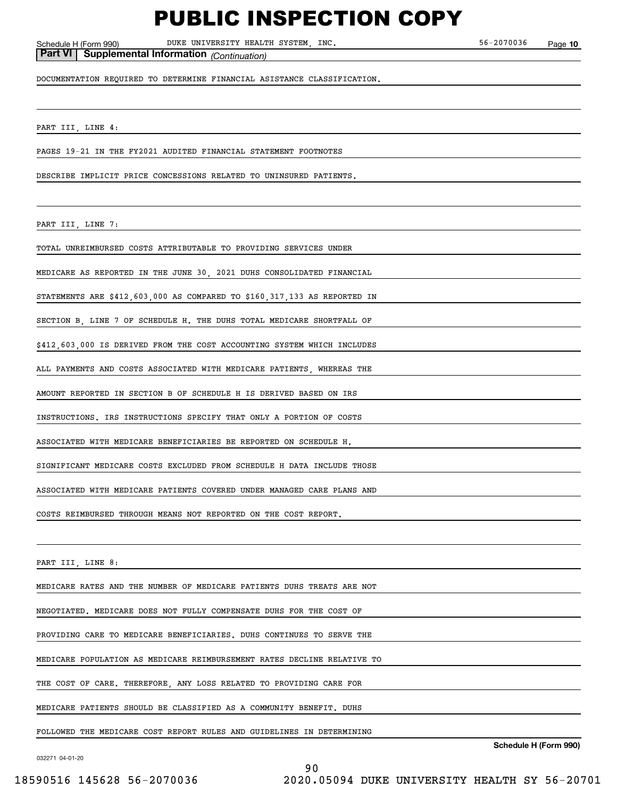Schedule H (Form 990) Page DUKE UNIVERSITY HEALTH SYSTEM, INC. 56-2070036

**10**

**Part VI Supplemental Information** *(Continuation)*

DOCUMENTATION REQUIRED TO DETERMINE FINANCIAL ASISTANCE CLASSIFICATION.

PART III, LINE 4:

PAGES 19-21 IN THE FY2021 AUDITED FINANCIAL STATEMENT FOOTNOTES

DESCRIBE IMPLICIT PRICE CONCESSIONS RELATED TO UNINSURED PATIENTS.

PART III, LINE 7:

TOTAL UNREIMBURSED COSTS ATTRIBUTABLE TO PROVIDING SERVICES UNDER

MEDICARE AS REPORTED IN THE JUNE 30, 2021 DUHS CONSOLIDATED FINANCIAL

STATEMENTS ARE \$412,603,000 AS COMPARED TO \$160,317,133 AS REPORTED IN

SECTION B, LINE 7 OF SCHEDULE H. THE DUHS TOTAL MEDICARE SHORTFALL OF

\$412,603,000 IS DERIVED FROM THE COST ACCOUNTING SYSTEM WHICH INCLUDES

ALL PAYMENTS AND COSTS ASSOCIATED WITH MEDICARE PATIENTS, WHEREAS THE

AMOUNT REPORTED IN SECTION B OF SCHEDULE H IS DERIVED BASED ON IRS

INSTRUCTIONS. IRS INSTRUCTIONS SPECIFY THAT ONLY A PORTION OF COSTS

ASSOCIATED WITH MEDICARE BENEFICIARIES BE REPORTED ON SCHEDULE H.

SIGNIFICANT MEDICARE COSTS EXCLUDED FROM SCHEDULE H DATA INCLUDE THOSE

ASSOCIATED WITH MEDICARE PATIENTS COVERED UNDER MANAGED CARE PLANS AND

COSTS REIMBURSED THROUGH MEANS NOT REPORTED ON THE COST REPORT.

PART III, LINE 8:

MEDICARE RATES AND THE NUMBER OF MEDICARE PATIENTS DUHS TREATS ARE NOT

NEGOTIATED. MEDICARE DOES NOT FULLY COMPENSATE DUHS FOR THE COST OF

PROVIDING CARE TO MEDICARE BENEFICIARIES. DUHS CONTINUES TO SERVE THE

MEDICARE POPULATION AS MEDICARE REIMBURSEMENT RATES DECLINE RELATIVE TO

THE COST OF CARE. THEREFORE, ANY LOSS RELATED TO PROVIDING CARE FOR

MEDICARE PATIENTS SHOULD BE CLASSIFIED AS A COMMUNITY BENEFIT. DUHS

FOLLOWED THE MEDICARE COST REPORT RULES AND GUIDELINES IN DETERMINING

032271 04-01-20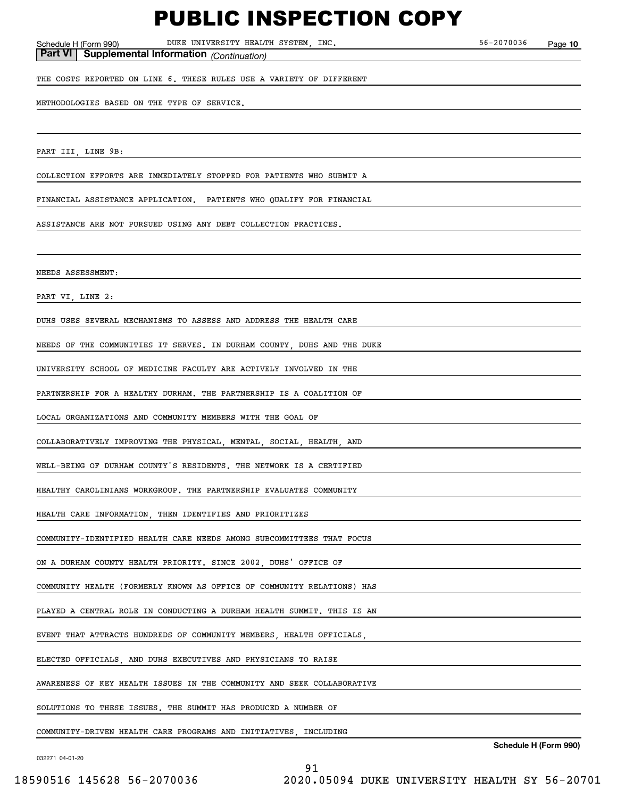Schedule H (Form 990) Page DUKE UNIVERSITY HEALTH SYSTEM, INC. 56-2070036 **Part VI Supplemental Information** *(Continuation)*

THE COSTS REPORTED ON LINE 6. THESE RULES USE A VARIETY OF DIFFERENT

**10**

METHODOLOGIES BASED ON THE TYPE OF SERVICE.

PART III, LINE 9B:

COLLECTION EFFORTS ARE IMMEDIATELY STOPPED FOR PATIENTS WHO SUBMIT A

FINANCIAL ASSISTANCE APPLICATION. PATIENTS WHO QUALIFY FOR FINANCIAL

ASSISTANCE ARE NOT PURSUED USING ANY DEBT COLLECTION PRACTICES.

NEEDS ASSESSMENT:

PART VI, LINE 2:

DUHS USES SEVERAL MECHANISMS TO ASSESS AND ADDRESS THE HEALTH CARE

NEEDS OF THE COMMUNITIES IT SERVES. IN DURHAM COUNTY, DUHS AND THE DUKE

UNIVERSITY SCHOOL OF MEDICINE FACULTY ARE ACTIVELY INVOLVED IN THE

PARTNERSHIP FOR A HEALTHY DURHAM. THE PARTNERSHIP IS A COALITION OF

LOCAL ORGANIZATIONS AND COMMUNITY MEMBERS WITH THE GOAL OF

COLLABORATIVELY IMPROVING THE PHYSICAL, MENTAL, SOCIAL, HEALTH, AND

WELL-BEING OF DURHAM COUNTY'S RESIDENTS. THE NETWORK IS A CERTIFIED

HEALTHY CAROLINIANS WORKGROUP. THE PARTNERSHIP EVALUATES COMMUNITY

HEALTH CARE INFORMATION, THEN IDENTIFIES AND PRIORITIZES

COMMUNITY-IDENTIFIED HEALTH CARE NEEDS AMONG SUBCOMMITTEES THAT FOCUS

ON A DURHAM COUNTY HEALTH PRIORITY. SINCE 2002, DUHS' OFFICE OF

COMMUNITY HEALTH (FORMERLY KNOWN AS OFFICE OF COMMUNITY RELATIONS) HAS

PLAYED A CENTRAL ROLE IN CONDUCTING A DURHAM HEALTH SUMMIT. THIS IS AN

EVENT THAT ATTRACTS HUNDREDS OF COMMUNITY MEMBERS, HEALTH OFFICIALS,

ELECTED OFFICIALS, AND DUHS EXECUTIVES AND PHYSICIANS TO RAISE

AWARENESS OF KEY HEALTH ISSUES IN THE COMMUNITY AND SEEK COLLABORATIVE

SOLUTIONS TO THESE ISSUES. THE SUMMIT HAS PRODUCED A NUMBER OF

COMMUNITY-DRIVEN HEALTH CARE PROGRAMS AND INITIATIVES, INCLUDING

032271 04-01-20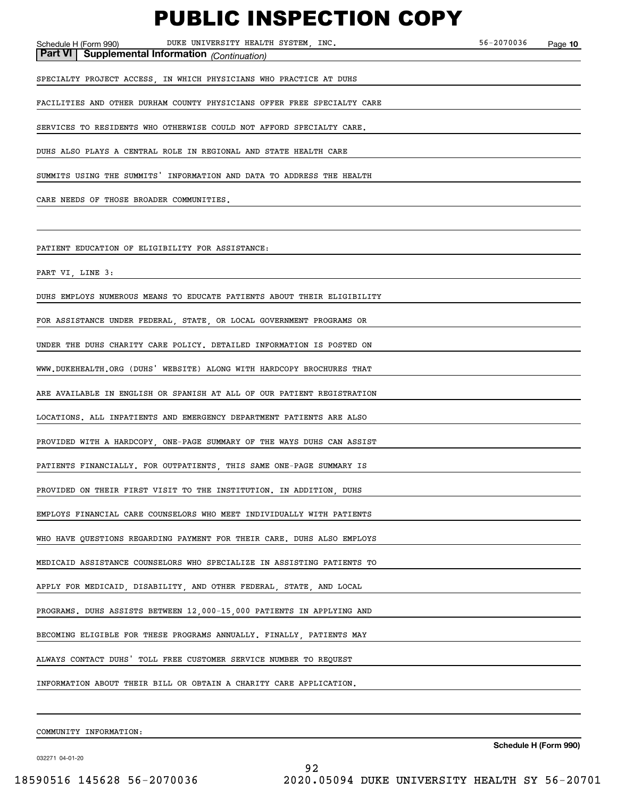**10** Schedule H (Form 990) Page DUKE UNIVERSITY HEALTH SYSTEM, INC. 56-2070036 **Part VI Supplemental Information** *(Continuation)* SPECIALTY PROJECT ACCESS, IN WHICH PHYSICIANS WHO PRACTICE AT DUHS FACILITIES AND OTHER DURHAM COUNTY PHYSICIANS OFFER FREE SPECIALTY CARE SERVICES TO RESIDENTS WHO OTHERWISE COULD NOT AFFORD SPECIALTY CARE. DUHS ALSO PLAYS A CENTRAL ROLE IN REGIONAL AND STATE HEALTH CARE SUMMITS USING THE SUMMITS' INFORMATION AND DATA TO ADDRESS THE HEALTH CARE NEEDS OF THOSE BROADER COMMUNITIES. PATIENT EDUCATION OF ELIGIBILITY FOR ASSISTANCE: PART VI, LINE 3: DUHS EMPLOYS NUMEROUS MEANS TO EDUCATE PATIENTS ABOUT THEIR ELIGIBILITY FOR ASSISTANCE UNDER FEDERAL, STATE, OR LOCAL GOVERNMENT PROGRAMS OR UNDER THE DUHS CHARITY CARE POLICY. DETAILED INFORMATION IS POSTED ON WWW.DUKEHEALTH.ORG (DUHS' WEBSITE) ALONG WITH HARDCOPY BROCHURES THAT ARE AVAILABLE IN ENGLISH OR SPANISH AT ALL OF OUR PATIENT REGISTRATION LOCATIONS. ALL INPATIENTS AND EMERGENCY DEPARTMENT PATIENTS ARE ALSO PROVIDED WITH A HARDCOPY, ONE-PAGE SUMMARY OF THE WAYS DUHS CAN ASSIST PATIENTS FINANCIALLY. FOR OUTPATIENTS, THIS SAME ONE-PAGE SUMMARY IS PROVIDED ON THEIR FIRST VISIT TO THE INSTITUTION. IN ADDITION DUHS EMPLOYS FINANCIAL CARE COUNSELORS WHO MEET INDIVIDUALLY WITH PATIENTS WHO HAVE QUESTIONS REGARDING PAYMENT FOR THEIR CARE. DUHS ALSO EMPLOYS MEDICAID ASSISTANCE COUNSELORS WHO SPECIALIZE IN ASSISTING PATIENTS TO APPLY FOR MEDICAID, DISABILITY, AND OTHER FEDERAL, STATE, AND LOCAL PROGRAMS. DUHS ASSISTS BETWEEN 12,000-15,000 PATIENTS IN APPLYING AND BECOMING ELIGIBLE FOR THESE PROGRAMS ANNUALLY. FINALLY, PATIENTS MAY ALWAYS CONTACT DUHS' TOLL FREE CUSTOMER SERVICE NUMBER TO REQUEST INFORMATION ABOUT THEIR BILL OR OBTAIN A CHARITY CARE APPLICATION.

COMMUNITY INFORMATION:

032271 04-01-20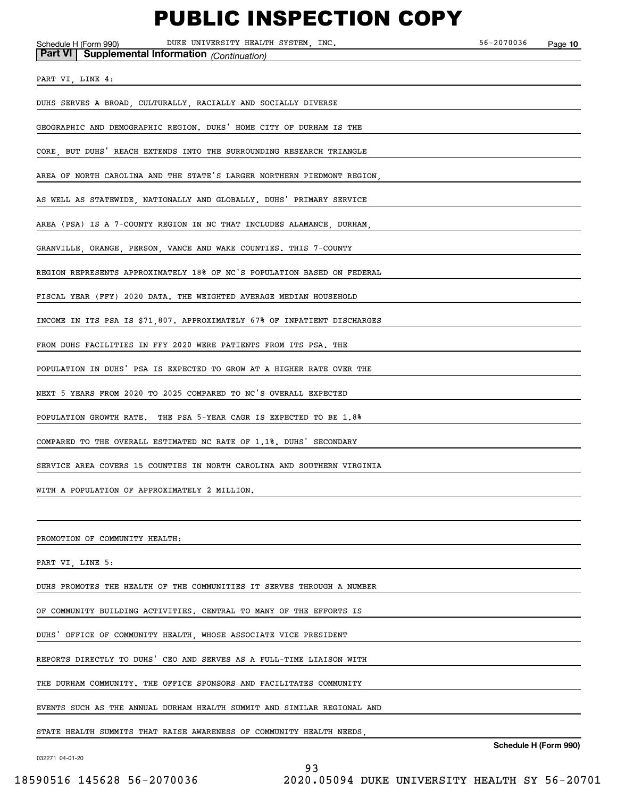**10** Schedule H (Form 990) Page DUKE UNIVERSITY HEALTH SYSTEM, INC. 56-2070036 **Part VI Supplemental Information** *(Continuation)* PART VI, LINE 4: DUHS SERVES A BROAD, CULTURALLY, RACIALLY AND SOCIALLY DIVERSE GEOGRAPHIC AND DEMOGRAPHIC REGION. DUHS' HOME CITY OF DURHAM IS THE CORE, BUT DUHS' REACH EXTENDS INTO THE SURROUNDING RESEARCH TRIANGLE AREA OF NORTH CAROLINA AND THE STATE'S LARGER NORTHERN PIEDMONT REGION, AS WELL AS STATEWIDE, NATIONALLY AND GLOBALLY. DUHS' PRIMARY SERVICE AREA (PSA) IS A 7-COUNTY REGION IN NC THAT INCLUDES ALAMANCE, DURHAM, GRANVILLE, ORANGE, PERSON, VANCE AND WAKE COUNTIES. THIS 7-COUNTY REGION REPRESENTS APPROXIMATELY 18% OF NC'S POPULATION BASED ON FEDERAL FISCAL YEAR (FFY) 2020 DATA. THE WEIGHTED AVERAGE MEDIAN HOUSEHOLD INCOME IN ITS PSA IS \$71,807. APPROXIMATELY 67% OF INPATIENT DISCHARGES FROM DUHS FACILITIES IN FFY 2020 WERE PATIENTS FROM ITS PSA. THE POPULATION IN DUHS' PSA IS EXPECTED TO GROW AT A HIGHER RATE OVER THE NEXT 5 YEARS FROM 2020 TO 2025 COMPARED TO NC'S OVERALL EXPECTED POPULATION GROWTH RATE. THE PSA 5-YEAR CAGR IS EXPECTED TO BE 1.8% COMPARED TO THE OVERALL ESTIMATED NC RATE OF 1.1%. DUHS' SECONDARY SERVICE AREA COVERS 15 COUNTIES IN NORTH CAROLINA AND SOUTHERN VIRGINIA WITH A POPULATION OF APPROXIMATELY 2 MILLION. PROMOTION OF COMMUNITY HEALTH: PART VI, LINE 5: DUHS PROMOTES THE HEALTH OF THE COMMUNITIES IT SERVES THROUGH A NUMBER OF COMMUNITY BUILDING ACTIVITIES. CENTRAL TO MANY OF THE EFFORTS IS DUHS' OFFICE OF COMMUNITY HEALTH, WHOSE ASSOCIATE VICE PRESIDENT REPORTS DIRECTLY TO DUHS' CEO AND SERVES AS A FULL-TIME LIAISON WITH THE DURHAM COMMUNITY. THE OFFICE SPONSORS AND FACILITATES COMMUNITY EVENTS SUCH AS THE ANNUAL DURHAM HEALTH SUMMIT AND SIMILAR REGIONAL AND

STATE HEALTH SUMMITS THAT RAISE AWARENESS OF COMMUNITY HEALTH NEEDS,

032271 04-01-20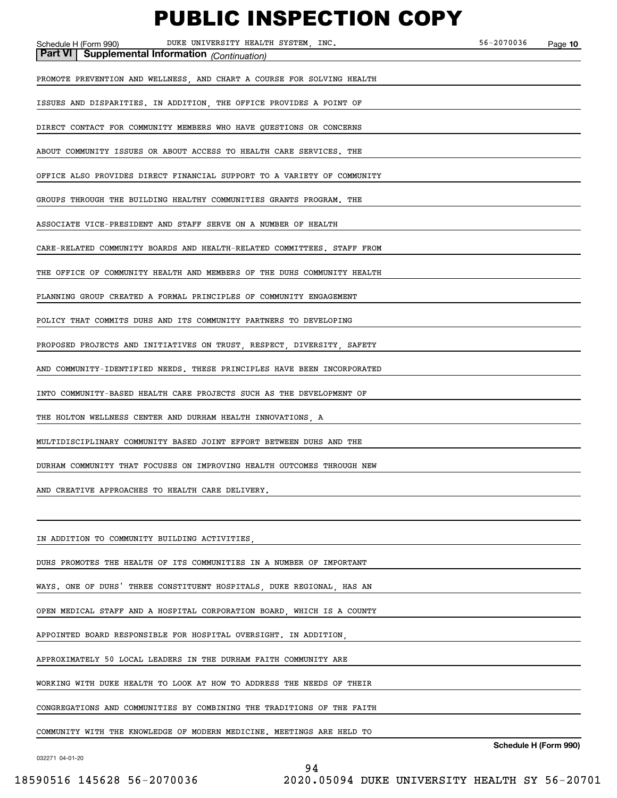| DUKE UNIVERSITY HEALTH SYSTEM, INC.<br>Schedule H (Form 990)<br>Part VI   Supplemental Information (Continuation) | 56-2070036 | Page 10                     |
|-------------------------------------------------------------------------------------------------------------------|------------|-----------------------------|
|                                                                                                                   |            |                             |
| PROMOTE PREVENTION AND WELLNESS, AND CHART A COURSE FOR SOLVING HEALTH                                            |            |                             |
| ISSUES AND DISPARITIES. IN ADDITION, THE OFFICE PROVIDES A POINT OF                                               |            |                             |
| DIRECT CONTACT FOR COMMUNITY MEMBERS WHO HAVE QUESTIONS OR CONCERNS                                               |            |                             |
| ABOUT COMMUNITY ISSUES OR ABOUT ACCESS TO HEALTH CARE SERVICES. THE                                               |            |                             |
| OFFICE ALSO PROVIDES DIRECT FINANCIAL SUPPORT TO A VARIETY OF COMMUNITY                                           |            |                             |
| GROUPS THROUGH THE BUILDING HEALTHY COMMUNITIES GRANTS PROGRAM. THE                                               |            |                             |
| ASSOCIATE VICE-PRESIDENT AND STAFF SERVE ON A NUMBER OF HEALTH                                                    |            |                             |
| CARE-RELATED COMMUNITY BOARDS AND HEALTH-RELATED COMMITTEES. STAFF FROM                                           |            |                             |
| THE OFFICE OF COMMUNITY HEALTH AND MEMBERS OF THE DUHS COMMUNITY HEALTH                                           |            |                             |
| PLANNING GROUP CREATED A FORMAL PRINCIPLES OF COMMUNITY ENGAGEMENT                                                |            |                             |
| POLICY THAT COMMITS DUHS AND ITS COMMUNITY PARTNERS TO DEVELOPING                                                 |            |                             |
| PROPOSED PROJECTS AND INITIATIVES ON TRUST, RESPECT, DIVERSITY, SAFETY                                            |            |                             |
| AND COMMUNITY-IDENTIFIED NEEDS. THESE PRINCIPLES HAVE BEEN INCORPORATED                                           |            |                             |
| INTO COMMUNITY-BASED HEALTH CARE PROJECTS SUCH AS THE DEVELOPMENT OF                                              |            |                             |
| THE HOLTON WELLNESS CENTER AND DURHAM HEALTH INNOVATIONS, A                                                       |            |                             |
| MULTIDISCIPLINARY COMMUNITY BASED JOINT EFFORT BETWEEN DUHS AND THE                                               |            |                             |
| DURHAM COMMUNITY THAT FOCUSES ON IMPROVING HEALTH OUTCOMES THROUGH NEW                                            |            |                             |
| AND CREATIVE APPROACHES TO HEALTH CARE DELIVERY.                                                                  |            |                             |
|                                                                                                                   |            |                             |
| IN ADDITION TO COMMUNITY BUILDING ACTIVITIES,                                                                     |            |                             |
| DUHS PROMOTES THE HEALTH OF ITS COMMUNITIES IN A NUMBER OF IMPORTANT                                              |            |                             |
| WAYS. ONE OF DUHS' THREE CONSTITUENT HOSPITALS, DUKE REGIONAL, HAS AN                                             |            |                             |
| OPEN MEDICAL STAFF AND A HOSPITAL CORPORATION BOARD, WHICH IS A COUNTY                                            |            |                             |
| APPOINTED BOARD RESPONSIBLE FOR HOSPITAL OVERSIGHT. IN ADDITION,                                                  |            |                             |
| APPROXIMATELY 50 LOCAL LEADERS IN THE DURHAM FAITH COMMUNITY ARE                                                  |            |                             |
| WORKING WITH DUKE HEALTH TO LOOK AT HOW TO ADDRESS THE NEEDS OF THEIR                                             |            |                             |
| CONGREGATIONS AND COMMUNITIES BY COMBINING THE TRADITIONS OF THE FAITH                                            |            |                             |
| COMMUNITY WITH THE KNOWLEDGE OF MODERN MEDICINE. MEETINGS ARE HELD TO                                             |            | $\sim$ della 11/E como 000) |

032271 04-01-20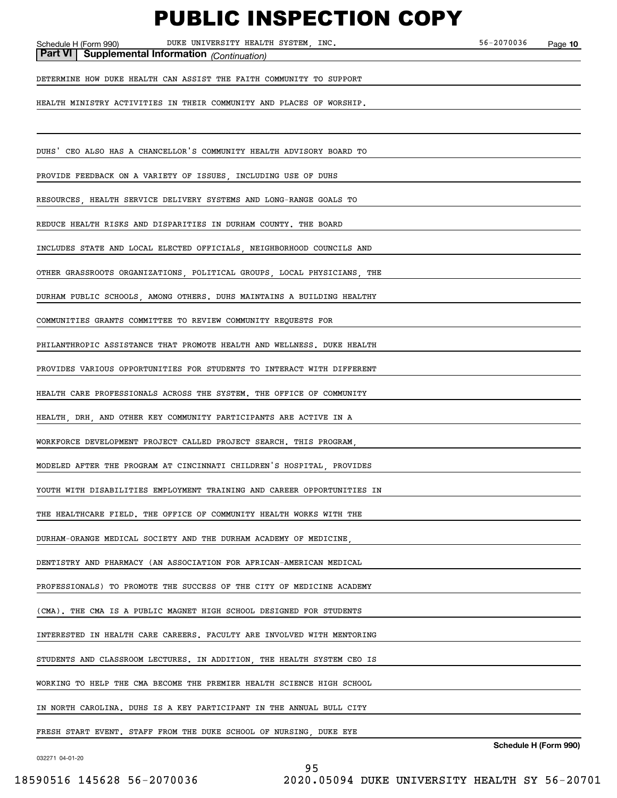Schedule H (Form 990) Page DUKE UNIVERSITY HEALTH SYSTEM, INC. 56-2070036

**10**

**Part VI Supplemental Information** *(Continuation)*

DETERMINE HOW DUKE HEALTH CAN ASSIST THE FAITH COMMUNITY TO SUPPORT

HEALTH MINISTRY ACTIVITIES IN THEIR COMMUNITY AND PLACES OF WORSHIP.

DUHS' CEO ALSO HAS A CHANCELLOR'S COMMUNITY HEALTH ADVISORY BOARD TO

PROVIDE FEEDBACK ON A VARIETY OF ISSUES, INCLUDING USE OF DUHS

RESOURCES, HEALTH SERVICE DELIVERY SYSTEMS AND LONG-RANGE GOALS TO

REDUCE HEALTH RISKS AND DISPARITIES IN DURHAM COUNTY. THE BOARD

INCLUDES STATE AND LOCAL ELECTED OFFICIALS, NEIGHBORHOOD COUNCILS AND

OTHER GRASSROOTS ORGANIZATIONS, POLITICAL GROUPS, LOCAL PHYSICIANS, THE

DURHAM PUBLIC SCHOOLS, AMONG OTHERS. DUHS MAINTAINS A BUILDING HEALTHY

COMMUNITIES GRANTS COMMITTEE TO REVIEW COMMUNITY REQUESTS FOR

PHILANTHROPIC ASSISTANCE THAT PROMOTE HEALTH AND WELLNESS. DUKE HEALTH

PROVIDES VARIOUS OPPORTUNITIES FOR STUDENTS TO INTERACT WITH DIFFERENT

HEALTH CARE PROFESSIONALS ACROSS THE SYSTEM. THE OFFICE OF COMMUNITY

HEALTH, DRH, AND OTHER KEY COMMUNITY PARTICIPANTS ARE ACTIVE IN A

WORKFORCE DEVELOPMENT PROJECT CALLED PROJECT SEARCH. THIS PROGRAM,

MODELED AFTER THE PROGRAM AT CINCINNATI CHILDREN'S HOSPITAL, PROVIDES

YOUTH WITH DISABILITIES EMPLOYMENT TRAINING AND CAREER OPPORTUNITIES IN

THE HEALTHCARE FIELD. THE OFFICE OF COMMUNITY HEALTH WORKS WITH THE

DURHAM-ORANGE MEDICAL SOCIETY AND THE DURHAM ACADEMY OF MEDICINE,

DENTISTRY AND PHARMACY (AN ASSOCIATION FOR AFRICAN-AMERICAN MEDICAL

PROFESSIONALS) TO PROMOTE THE SUCCESS OF THE CITY OF MEDICINE ACADEMY

(CMA). THE CMA IS A PUBLIC MAGNET HIGH SCHOOL DESIGNED FOR STUDENTS

INTERESTED IN HEALTH CARE CAREERS. FACULTY ARE INVOLVED WITH MENTORING

STUDENTS AND CLASSROOM LECTURES. IN ADDITION, THE HEALTH SYSTEM CEO IS

WORKING TO HELP THE CMA BECOME THE PREMIER HEALTH SCIENCE HIGH SCHOOL

IN NORTH CAROLINA. DUHS IS A KEY PARTICIPANT IN THE ANNUAL BULL CITY

FRESH START EVENT. STAFF FROM THE DUKE SCHOOL OF NURSING, DUKE EYE

**Schedule H (Form 990)**

032271 04-01-20

18590516 145628 56-2070036 2020.05094 DUKE UNIVERSITY HEALTH SY 56-20701

95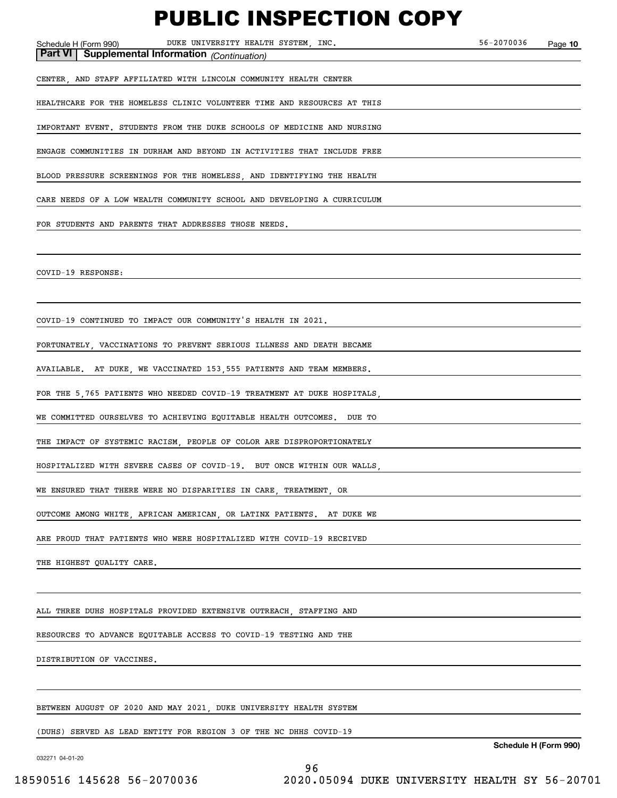Schedule H (Form 990) Page DUKE UNIVERSITY HEALTH SYSTEM, INC. 56-2070036

**10**

**Part VI Supplemental Information** *(Continuation)*

CENTER, AND STAFF AFFILIATED WITH LINCOLN COMMUNITY HEALTH CENTER

HEALTHCARE FOR THE HOMELESS CLINIC VOLUNTEER TIME AND RESOURCES AT THIS

IMPORTANT EVENT. STUDENTS FROM THE DUKE SCHOOLS OF MEDICINE AND NURSING

ENGAGE COMMUNITIES IN DURHAM AND BEYOND IN ACTIVITIES THAT INCLUDE FREE

BLOOD PRESSURE SCREENINGS FOR THE HOMELESS, AND IDENTIFYING THE HEALTH

CARE NEEDS OF A LOW WEALTH COMMUNITY SCHOOL AND DEVELOPING A CURRICULUM

FOR STUDENTS AND PARENTS THAT ADDRESSES THOSE NEEDS.

COVID-19 RESPONSE:

COVID-19 CONTINUED TO IMPACT OUR COMMUNITY'S HEALTH IN 2021.

FORTUNATELY, VACCINATIONS TO PREVENT SERIOUS ILLNESS AND DEATH BECAME

AVAILABLE. AT DUKE, WE VACCINATED 153,555 PATIENTS AND TEAM MEMBERS.

FOR THE 5,765 PATIENTS WHO NEEDED COVID-19 TREATMENT AT DUKE HOSPITALS,

WE COMMITTED OURSELVES TO ACHIEVING EQUITABLE HEALTH OUTCOMES. DUE TO

THE IMPACT OF SYSTEMIC RACISM, PEOPLE OF COLOR ARE DISPROPORTIONATELY

HOSPITALIZED WITH SEVERE CASES OF COVID-19. BUT ONCE WITHIN OUR WALLS,

WE ENSURED THAT THERE WERE NO DISPARITIES IN CARE, TREATMENT, OR

OUTCOME AMONG WHITE, AFRICAN AMERICAN, OR LATINX PATIENTS. AT DUKE WE

ARE PROUD THAT PATIENTS WHO WERE HOSPITALIZED WITH COVID-19 RECEIVED

THE HIGHEST QUALITY CARE.

ALL THREE DUHS HOSPITALS PROVIDED EXTENSIVE OUTREACH, STAFFING AND

RESOURCES TO ADVANCE EQUITABLE ACCESS TO COVID-19 TESTING AND THE

DISTRIBUTION OF VACCINES.

BETWEEN AUGUST OF 2020 AND MAY 2021, DUKE UNIVERSITY HEALTH SYSTEM

(DUHS) SERVED AS LEAD ENTITY FOR REGION 3 OF THE NC DHHS COVID-19

032271 04-01-20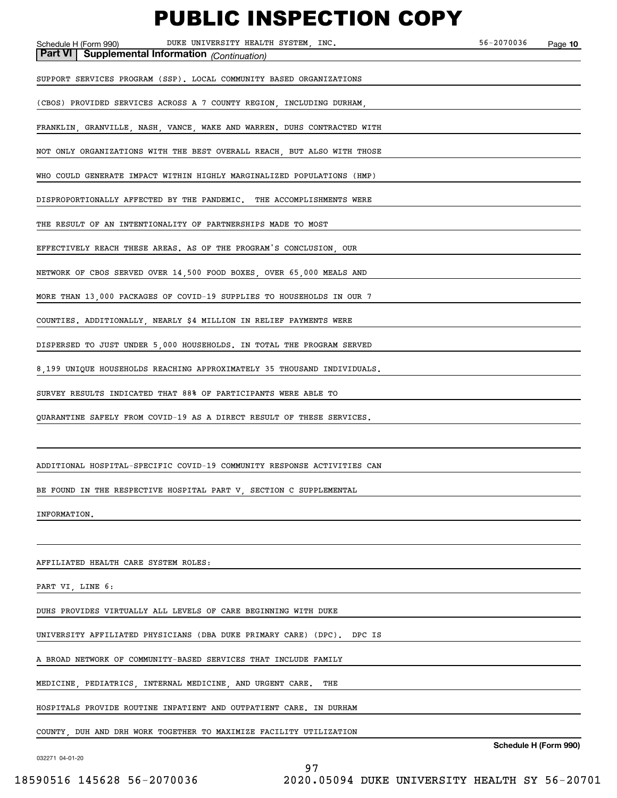| шчэн<br>-V I IVIT<br>.                                                                                                   |            |         |
|--------------------------------------------------------------------------------------------------------------------------|------------|---------|
| DUKE UNIVERSITY HEALTH SYSTEM, INC.<br>Schedule H (Form 990)<br><b>Part VI   Supplemental Information</b> (Continuation) | 56-2070036 | Page 10 |
|                                                                                                                          |            |         |
| SUPPORT SERVICES PROGRAM (SSP). LOCAL COMMUNITY BASED ORGANIZATIONS                                                      |            |         |
| (CBOS) PROVIDED SERVICES ACROSS A 7 COUNTY REGION, INCLUDING DURHAM,                                                     |            |         |
| FRANKLIN, GRANVILLE, NASH, VANCE, WAKE AND WARREN. DUHS CONTRACTED WITH                                                  |            |         |
| NOT ONLY ORGANIZATIONS WITH THE BEST OVERALL REACH, BUT ALSO WITH THOSE                                                  |            |         |
| WHO COULD GENERATE IMPACT WITHIN HIGHLY MARGINALIZED POPULATIONS (HMP)                                                   |            |         |
| DISPROPORTIONALLY AFFECTED BY THE PANDEMIC. THE ACCOMPLISHMENTS WERE                                                     |            |         |
| THE RESULT OF AN INTENTIONALITY OF PARTNERSHIPS MADE TO MOST                                                             |            |         |
| EFFECTIVELY REACH THESE AREAS. AS OF THE PROGRAM'S CONCLUSION, OUR                                                       |            |         |
| NETWORK OF CBOS SERVED OVER 14,500 FOOD BOXES, OVER 65,000 MEALS AND                                                     |            |         |
| MORE THAN 13,000 PACKAGES OF COVID-19 SUPPLIES TO HOUSEHOLDS IN OUR 7                                                    |            |         |
| COUNTIES. ADDITIONALLY, NEARLY \$4 MILLION IN RELIEF PAYMENTS WERE                                                       |            |         |
| DISPERSED TO JUST UNDER 5,000 HOUSEHOLDS. IN TOTAL THE PROGRAM SERVED                                                    |            |         |
| 8,199 UNIQUE HOUSEHOLDS REACHING APPROXIMATELY 35 THOUSAND INDIVIDUALS.                                                  |            |         |
| SURVEY RESULTS INDICATED THAT 88% OF PARTICIPANTS WERE ABLE TO                                                           |            |         |
| QUARANTINE SAFELY FROM COVID-19 AS A DIRECT RESULT OF THESE SERVICES.                                                    |            |         |
|                                                                                                                          |            |         |
| ADDITIONAL HOSPITAL-SPECIFIC COVID-19 COMMUNITY RESPONSE ACTIVITIES CAN                                                  |            |         |
| BE FOUND IN THE RESPECTIVE HOSPITAL PART V, SECTION C SUPPLEMENTAL                                                       |            |         |
| INFORMATION.                                                                                                             |            |         |
|                                                                                                                          |            |         |
| AFFILIATED HEALTH CARE SYSTEM ROLES:                                                                                     |            |         |
| PART VI, LINE 6:                                                                                                         |            |         |
| DUHS PROVIDES VIRTUALLY ALL LEVELS OF CARE BEGINNING WITH DUKE                                                           |            |         |
| UNIVERSITY AFFILIATED PHYSICIANS (DBA DUKE PRIMARY CARE) (DPC).<br>DPC IS                                                |            |         |
| A BROAD NETWORK OF COMMUNITY-BASED SERVICES THAT INCLUDE FAMILY                                                          |            |         |
| MEDICINE, PEDIATRICS, INTERNAL MEDICINE, AND URGENT CARE.<br>THE                                                         |            |         |
| HOSPITALS PROVIDE ROUTINE INPATIENT AND OUTPATIENT CARE. IN DURHAM                                                       |            |         |

COUNTY, DUH AND DRH WORK TOGETHER TO MAXIMIZE FACILITY UTILIZATION

032271 04-01-20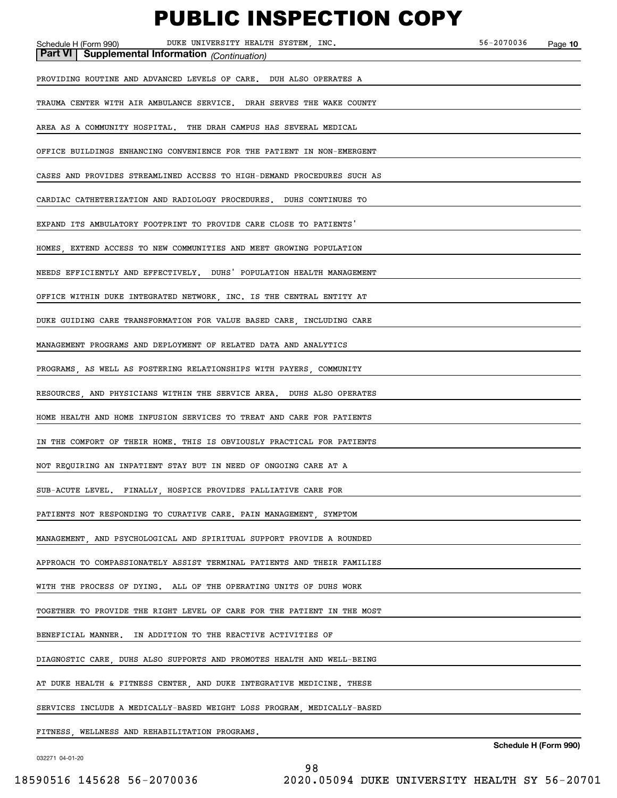| DUKE UNIVERSITY HEALTH SYSTEM, INC.<br>Schedule H (Form 990)<br>Part VI Supplemental Information (Continuation) | 56-2070036 | Page 10 |
|-----------------------------------------------------------------------------------------------------------------|------------|---------|
| PROVIDING ROUTINE AND ADVANCED LEVELS OF CARE. DUH ALSO OPERATES A                                              |            |         |
| TRAUMA CENTER WITH AIR AMBULANCE SERVICE. DRAH SERVES THE WAKE COUNTY                                           |            |         |
| AREA AS A COMMUNITY HOSPITAL. THE DRAH CAMPUS HAS SEVERAL MEDICAL                                               |            |         |
| OFFICE BUILDINGS ENHANCING CONVENIENCE FOR THE PATIENT IN NON-EMERGENT                                          |            |         |
| CASES AND PROVIDES STREAMLINED ACCESS TO HIGH-DEMAND PROCEDURES SUCH AS                                         |            |         |
| CARDIAC CATHETERIZATION AND RADIOLOGY PROCEDURES. DUHS CONTINUES TO                                             |            |         |
| EXPAND ITS AMBULATORY FOOTPRINT TO PROVIDE CARE CLOSE TO PATIENTS'                                              |            |         |
| HOMES, EXTEND ACCESS TO NEW COMMUNITIES AND MEET GROWING POPULATION                                             |            |         |
| NEEDS EFFICIENTLY AND EFFECTIVELY. DUHS' POPULATION HEALTH MANAGEMENT                                           |            |         |
| OFFICE WITHIN DUKE INTEGRATED NETWORK, INC. IS THE CENTRAL ENTITY AT                                            |            |         |
| DUKE GUIDING CARE TRANSFORMATION FOR VALUE BASED CARE, INCLUDING CARE                                           |            |         |
| MANAGEMENT PROGRAMS AND DEPLOYMENT OF RELATED DATA AND ANALYTICS                                                |            |         |
| PROGRAMS, AS WELL AS FOSTERING RELATIONSHIPS WITH PAYERS, COMMUNITY                                             |            |         |
| RESOURCES, AND PHYSICIANS WITHIN THE SERVICE AREA. DUHS ALSO OPERATES                                           |            |         |
| HOME HEALTH AND HOME INFUSION SERVICES TO TREAT AND CARE FOR PATIENTS                                           |            |         |
| IN THE COMFORT OF THEIR HOME. THIS IS OBVIOUSLY PRACTICAL FOR PATIENTS                                          |            |         |
| NOT REQUIRING AN INPATIENT STAY BUT IN NEED OF ONGOING CARE AT A                                                |            |         |
| SUB-ACUTE LEVEL. FINALLY, HOSPICE PROVIDES PALLIATIVE CARE FOR                                                  |            |         |
| PATIENTS NOT RESPONDING TO CURATIVE CARE. PAIN MANAGEMENT, SYMPTOM                                              |            |         |
| MANAGEMENT, AND PSYCHOLOGICAL AND SPIRITUAL SUPPORT PROVIDE A ROUNDED                                           |            |         |
| APPROACH TO COMPASSIONATELY ASSIST TERMINAL PATIENTS AND THEIR FAMILIES                                         |            |         |
| WITH THE PROCESS OF DYING. ALL OF THE OPERATING UNITS OF DUHS WORK                                              |            |         |
| TOGETHER TO PROVIDE THE RIGHT LEVEL OF CARE FOR THE PATIENT IN THE MOST                                         |            |         |
| IN ADDITION TO THE REACTIVE ACTIVITIES OF<br>BENEFICIAL MANNER.                                                 |            |         |
| DIAGNOSTIC CARE, DUHS ALSO SUPPORTS AND PROMOTES HEALTH AND WELL-BEING                                          |            |         |
| AT DUKE HEALTH & FITNESS CENTER, AND DUKE INTEGRATIVE MEDICINE. THESE                                           |            |         |
| SERVICES INCLUDE A MEDICALLY-BASED WEIGHT LOSS PROGRAM, MEDICALLY-BASED                                         |            |         |
| FITNESS, WELLNESS AND REHABILITATION PROGRAMS.                                                                  |            |         |

032271 04-01-20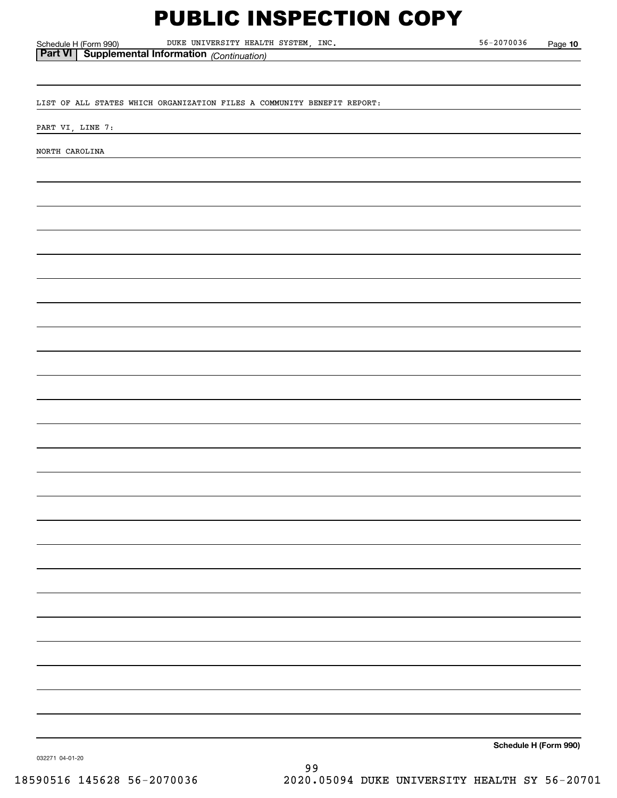Schedule H (Form 990) Page DUKE UNIVERSITY HEALTH SYSTEM, INC. 56-2070036

**10**

| Part VI  Supplemental Information <sub>(Continuation)</sub> |
|-------------------------------------------------------------|
|-------------------------------------------------------------|

LIST OF ALL STATES WHICH ORGANIZATION FILES A COMMUNITY BENEFIT REPORT:

PART VI, LINE 7:

NORTH CAROLINA

**Schedule H (Form 990)**

032271 04-01-20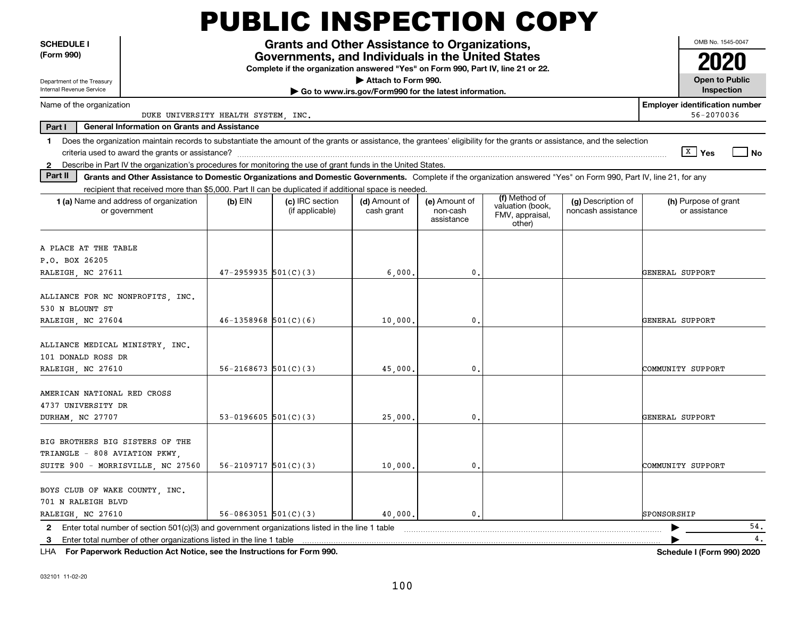|                                                                            |                                                                                                                                                                          |                            | <b>PUBLIC INSPECTION COPY</b>                                                                                                         |                                                       |                                         |                                                                |                                          |                                       |      |
|----------------------------------------------------------------------------|--------------------------------------------------------------------------------------------------------------------------------------------------------------------------|----------------------------|---------------------------------------------------------------------------------------------------------------------------------------|-------------------------------------------------------|-----------------------------------------|----------------------------------------------------------------|------------------------------------------|---------------------------------------|------|
| <b>SCHEDULE I</b>                                                          |                                                                                                                                                                          |                            | Grants and Other Assistance to Organizations,                                                                                         |                                                       |                                         |                                                                |                                          | OMB No. 1545-0047                     |      |
| (Form 990)                                                                 |                                                                                                                                                                          |                            | Governments, and Individuals in the United States<br>Complete if the organization answered "Yes" on Form 990, Part IV, line 21 or 22. |                                                       |                                         |                                                                |                                          |                                       |      |
| Department of the Treasury                                                 |                                                                                                                                                                          |                            |                                                                                                                                       | Attach to Form 990.                                   |                                         |                                                                |                                          | <b>Open to Public</b>                 |      |
| Internal Revenue Service                                                   |                                                                                                                                                                          |                            |                                                                                                                                       | Go to www.irs.gov/Form990 for the latest information. |                                         |                                                                |                                          | Inspection                            |      |
| <b>Employer identification number</b><br>Name of the organization          |                                                                                                                                                                          |                            |                                                                                                                                       |                                                       |                                         |                                                                |                                          |                                       |      |
|                                                                            | DUKE UNIVERSITY HEALTH SYSTEM, INC.                                                                                                                                      |                            |                                                                                                                                       |                                                       |                                         |                                                                |                                          | 56-2070036                            |      |
| Part I                                                                     | <b>General Information on Grants and Assistance</b>                                                                                                                      |                            |                                                                                                                                       |                                                       |                                         |                                                                |                                          |                                       |      |
| $\mathbf 1$                                                                | Does the organization maintain records to substantiate the amount of the grants or assistance, the grantees' eligibility for the grants or assistance, and the selection |                            |                                                                                                                                       |                                                       |                                         |                                                                |                                          |                                       |      |
|                                                                            | 2 Describe in Part IV the organization's procedures for monitoring the use of grant funds in the United States.                                                          |                            |                                                                                                                                       |                                                       |                                         |                                                                |                                          | $\sqrt{x}$ Yes                        | l No |
| Part II                                                                    | Grants and Other Assistance to Domestic Organizations and Domestic Governments. Complete if the organization answered "Yes" on Form 990, Part IV, line 21, for any       |                            |                                                                                                                                       |                                                       |                                         |                                                                |                                          |                                       |      |
|                                                                            | recipient that received more than \$5,000. Part II can be duplicated if additional space is needed.                                                                      |                            |                                                                                                                                       |                                                       |                                         |                                                                |                                          |                                       |      |
|                                                                            | 1 (a) Name and address of organization<br>or government                                                                                                                  | $(b)$ EIN                  | (c) IRC section<br>(if applicable)                                                                                                    | (d) Amount of<br>cash grant                           | (e) Amount of<br>non-cash<br>assistance | (f) Method of<br>valuation (book,<br>FMV, appraisal,<br>other) | (g) Description of<br>noncash assistance | (h) Purpose of grant<br>or assistance |      |
| A PLACE AT THE TABLE<br>P.O. BOX 26205<br>RALEIGH, NC 27611                |                                                                                                                                                                          | $47 - 2959935$ 501(C)(3)   |                                                                                                                                       | 6,000,                                                | 0.                                      |                                                                |                                          | GENERAL SUPPORT                       |      |
| ALLIANCE FOR NC NONPROFITS, INC.<br>530 N BLOUNT ST<br>RALEIGH, NC 27604   |                                                                                                                                                                          | $46 - 1358968$ 501(C)(6)   |                                                                                                                                       | 10,000.                                               | 0.                                      |                                                                |                                          | GENERAL SUPPORT                       |      |
| ALLIANCE MEDICAL MINISTRY, INC.<br>101 DONALD ROSS DR<br>RALEIGH, NC 27610 |                                                                                                                                                                          | $56 - 2168673$ $501(C)(3)$ |                                                                                                                                       | 45,000.                                               | 0.                                      |                                                                |                                          | COMMUNITY SUPPORT                     |      |
| AMERICAN NATIONAL RED CROSS<br>4737 UNIVERSITY DR<br>DURHAM, NC 27707      |                                                                                                                                                                          | 53-0196605 $501(C)(3)$     |                                                                                                                                       | 25,000.                                               | 0.                                      |                                                                |                                          | GENERAL SUPPORT                       |      |
| BIG BROTHERS BIG SISTERS OF THE<br>TRIANGLE - 808 AVIATION PKWY,           | SUITE 900 - MORRISVILLE, NC 27560                                                                                                                                        | $56 - 2109717$ $501(C)(3)$ |                                                                                                                                       | 10,000.                                               | 0.                                      |                                                                |                                          | COMMUNITY SUPPORT                     |      |
| BOYS CLUB OF WAKE COUNTY, INC.<br>701 N RALEIGH BLVD<br>RALEIGH, NC 27610  |                                                                                                                                                                          | $56-0863051$ $501(C)(3)$   |                                                                                                                                       | 40,000.                                               | $^{\rm 0}$ .                            |                                                                |                                          | SPONSORSHIP                           |      |
| 2                                                                          | Enter total number of section 501(c)(3) and government organizations listed in the line 1 table                                                                          |                            |                                                                                                                                       |                                                       |                                         |                                                                |                                          |                                       | 54.  |
| 3                                                                          | Enter total number of other organizations listed in the line 1 table                                                                                                     |                            |                                                                                                                                       |                                                       |                                         |                                                                |                                          |                                       | 4.   |
|                                                                            | LHA For Paperwork Reduction Act Notice, see the Instructions for Form 990.                                                                                               |                            |                                                                                                                                       |                                                       |                                         |                                                                |                                          | <b>Schedule I (Form 990) 2020</b>     |      |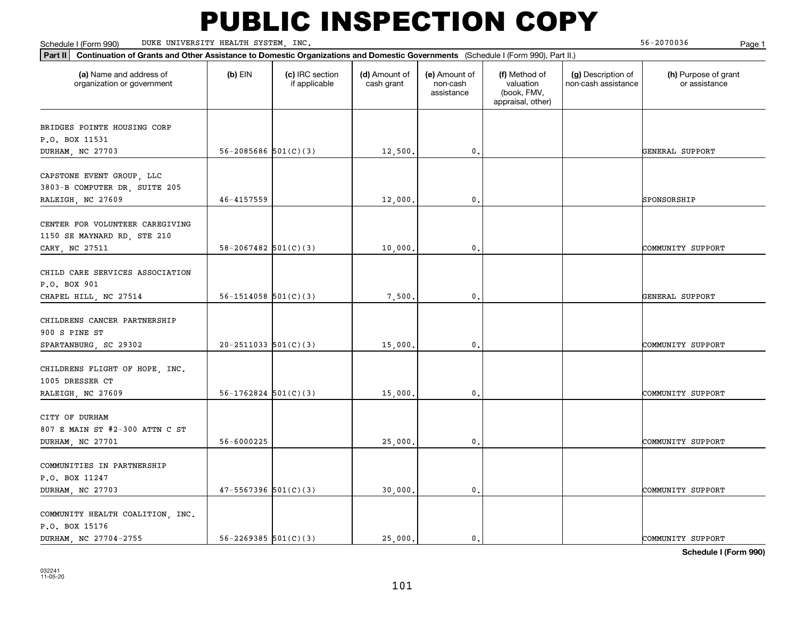Schedule I (Form 990) DUKE UNIVERSITY HEALTH SYSTEM,INC. 56-2070036 Page 1

| Part II Continuation of Grants and Other Assistance to Domestic Organizations and Domestic Governments (Schedule I (Form 990), Part II.) |                            |                                  |                             |                                         |                                                                |                                           |                                       |
|------------------------------------------------------------------------------------------------------------------------------------------|----------------------------|----------------------------------|-----------------------------|-----------------------------------------|----------------------------------------------------------------|-------------------------------------------|---------------------------------------|
| (a) Name and address of<br>organization or government                                                                                    | $(b)$ EIN                  | (c) IRC section<br>if applicable | (d) Amount of<br>cash grant | (e) Amount of<br>non-cash<br>assistance | (f) Method of<br>valuation<br>(book, FMV,<br>appraisal, other) | (g) Description of<br>non-cash assistance | (h) Purpose of grant<br>or assistance |
| BRIDGES POINTE HOUSING CORP                                                                                                              |                            |                                  |                             |                                         |                                                                |                                           |                                       |
| P.O. BOX 11531                                                                                                                           |                            |                                  |                             |                                         |                                                                |                                           |                                       |
| DURHAM, NC 27703                                                                                                                         | $56 - 2085686$ $501(C)(3)$ |                                  | 12,500.                     | $\mathbf{0}$ .                          |                                                                |                                           | GENERAL SUPPORT                       |
|                                                                                                                                          |                            |                                  |                             |                                         |                                                                |                                           |                                       |
| CAPSTONE EVENT GROUP, LLC                                                                                                                |                            |                                  |                             |                                         |                                                                |                                           |                                       |
| 3803-B COMPUTER DR, SUITE 205                                                                                                            |                            |                                  |                             |                                         |                                                                |                                           |                                       |
| RALEIGH, NC 27609                                                                                                                        | 46-4157559                 |                                  | 12,000                      | $\mathbf{0}$                            |                                                                |                                           | SPONSORSHIP                           |
| CENTER FOR VOLUNTEER CAREGIVING                                                                                                          |                            |                                  |                             |                                         |                                                                |                                           |                                       |
| 1150 SE MAYNARD RD, STE 210                                                                                                              |                            |                                  |                             |                                         |                                                                |                                           |                                       |
| CARY, NC 27511                                                                                                                           | $58 - 2067482$ 501(C)(3)   |                                  | 10,000.                     | $\mathbf{0}$ .                          |                                                                |                                           | COMMUNITY SUPPORT                     |
|                                                                                                                                          |                            |                                  |                             |                                         |                                                                |                                           |                                       |
| CHILD CARE SERVICES ASSOCIATION                                                                                                          |                            |                                  |                             |                                         |                                                                |                                           |                                       |
| P.O. BOX 901                                                                                                                             |                            |                                  |                             |                                         |                                                                |                                           |                                       |
| CHAPEL HILL, NC 27514                                                                                                                    | $56 - 1514058$ $501(C)(3)$ |                                  | 7,500                       | $\mathbf{0}$ .                          |                                                                |                                           | GENERAL SUPPORT                       |
|                                                                                                                                          |                            |                                  |                             |                                         |                                                                |                                           |                                       |
| CHILDRENS CANCER PARTNERSHIP<br>900 S PINE ST                                                                                            |                            |                                  |                             |                                         |                                                                |                                           |                                       |
| SPARTANBURG, SC 29302                                                                                                                    | $20-2511033$ 501(C)(3)     |                                  | 15,000                      | 0.                                      |                                                                |                                           | COMMUNITY SUPPORT                     |
|                                                                                                                                          |                            |                                  |                             |                                         |                                                                |                                           |                                       |
| CHILDRENS FLIGHT OF HOPE, INC.                                                                                                           |                            |                                  |                             |                                         |                                                                |                                           |                                       |
| 1005 DRESSER CT                                                                                                                          |                            |                                  |                             |                                         |                                                                |                                           |                                       |
| RALEIGH, NC 27609                                                                                                                        | $56-1762824$ $501(C)(3)$   |                                  | 15,000                      | $\mathbf{0}$ .                          |                                                                |                                           | COMMUNITY SUPPORT                     |
|                                                                                                                                          |                            |                                  |                             |                                         |                                                                |                                           |                                       |
| CITY OF DURHAM<br>807 E MAIN ST #2-300 ATTN C ST                                                                                         |                            |                                  |                             |                                         |                                                                |                                           |                                       |
| DURHAM, NC 27701                                                                                                                         | 56-6000225                 |                                  | 25,000                      | 0.                                      |                                                                |                                           | COMMUNITY SUPPORT                     |
|                                                                                                                                          |                            |                                  |                             |                                         |                                                                |                                           |                                       |
| COMMUNITIES IN PARTNERSHIP                                                                                                               |                            |                                  |                             |                                         |                                                                |                                           |                                       |
| P.O. BOX 11247                                                                                                                           |                            |                                  |                             |                                         |                                                                |                                           |                                       |
| DURHAM, NC 27703                                                                                                                         | $47 - 5567396$ $501(C)(3)$ |                                  | 30,000                      | 0.                                      |                                                                |                                           | COMMUNITY SUPPORT                     |
|                                                                                                                                          |                            |                                  |                             |                                         |                                                                |                                           |                                       |
| COMMUNITY HEALTH COALITION, INC.                                                                                                         |                            |                                  |                             |                                         |                                                                |                                           |                                       |
| P.O. BOX 15176<br>DURHAM, NC 27704-2755                                                                                                  | $56 - 2269385$ $501(C)(3)$ |                                  | 25,000.                     | $\mathbf{0}$ .                          |                                                                |                                           | COMMUNITY SUPPORT                     |
|                                                                                                                                          |                            |                                  |                             |                                         |                                                                |                                           |                                       |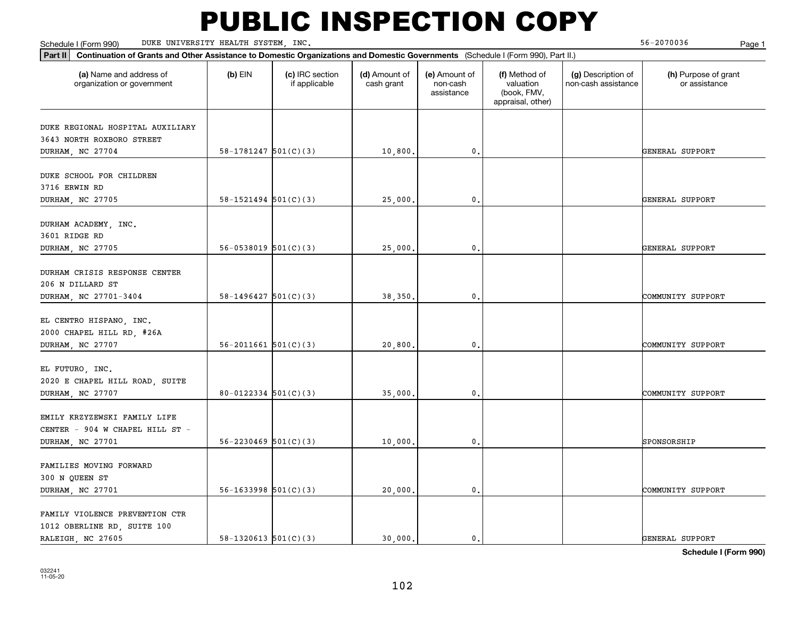Schedule I (Form 990) DUKE UNIVERSITY HEALTH SYSTEM,INC. 56-2070036 Page 1

| Part II Continuation of Grants and Other Assistance to Domestic Organizations and Domestic Governments (Schedule I (Form 990), Part II.) |                            |                                  |                             |                                         |                                                                |                                           |                                       |  |
|------------------------------------------------------------------------------------------------------------------------------------------|----------------------------|----------------------------------|-----------------------------|-----------------------------------------|----------------------------------------------------------------|-------------------------------------------|---------------------------------------|--|
| (a) Name and address of<br>organization or government                                                                                    | $(b)$ EIN                  | (c) IRC section<br>if applicable | (d) Amount of<br>cash grant | (e) Amount of<br>non-cash<br>assistance | (f) Method of<br>valuation<br>(book, FMV,<br>appraisal, other) | (g) Description of<br>non-cash assistance | (h) Purpose of grant<br>or assistance |  |
|                                                                                                                                          |                            |                                  |                             |                                         |                                                                |                                           |                                       |  |
| DUKE REGIONAL HOSPITAL AUXILIARY<br>3643 NORTH ROXBORO STREET                                                                            |                            |                                  |                             |                                         |                                                                |                                           |                                       |  |
| DURHAM, NC 27704                                                                                                                         | $58-1781247$ $501(C)(3)$   |                                  | 10,800.                     | 0.                                      |                                                                |                                           | GENERAL SUPPORT                       |  |
|                                                                                                                                          |                            |                                  |                             |                                         |                                                                |                                           |                                       |  |
| DUKE SCHOOL FOR CHILDREN                                                                                                                 |                            |                                  |                             |                                         |                                                                |                                           |                                       |  |
| 3716 ERWIN RD                                                                                                                            |                            |                                  |                             |                                         |                                                                |                                           |                                       |  |
| DURHAM, NC 27705                                                                                                                         | $58 - 1521494$ $501(C)(3)$ |                                  | 25,000.                     | $\mathbf{0}$ .                          |                                                                |                                           | GENERAL SUPPORT                       |  |
|                                                                                                                                          |                            |                                  |                             |                                         |                                                                |                                           |                                       |  |
| DURHAM ACADEMY, INC.                                                                                                                     |                            |                                  |                             |                                         |                                                                |                                           |                                       |  |
| 3601 RIDGE RD<br>DURHAM, NC 27705                                                                                                        | $56-0538019$ $501(C)(3)$   |                                  | 25,000.                     | 0.                                      |                                                                |                                           | GENERAL SUPPORT                       |  |
|                                                                                                                                          |                            |                                  |                             |                                         |                                                                |                                           |                                       |  |
| DURHAM CRISIS RESPONSE CENTER                                                                                                            |                            |                                  |                             |                                         |                                                                |                                           |                                       |  |
| 206 N DILLARD ST                                                                                                                         |                            |                                  |                             |                                         |                                                                |                                           |                                       |  |
| DURHAM, NC 27701-3404                                                                                                                    | $58 - 1496427$ $501(C)(3)$ |                                  | 38,350.                     | $\mathbf{0}$ .                          |                                                                |                                           | COMMUNITY SUPPORT                     |  |
|                                                                                                                                          |                            |                                  |                             |                                         |                                                                |                                           |                                       |  |
| EL CENTRO HISPANO, INC.                                                                                                                  |                            |                                  |                             |                                         |                                                                |                                           |                                       |  |
| 2000 CHAPEL HILL RD, #26A                                                                                                                |                            |                                  |                             |                                         |                                                                |                                           |                                       |  |
| DURHAM, NC 27707                                                                                                                         | $56 - 2011661$ $501(C)(3)$ |                                  | 20,800.                     | 0.                                      |                                                                |                                           | COMMUNITY SUPPORT                     |  |
|                                                                                                                                          |                            |                                  |                             |                                         |                                                                |                                           |                                       |  |
| EL FUTURO, INC.<br>2020 E CHAPEL HILL ROAD, SUITE                                                                                        |                            |                                  |                             |                                         |                                                                |                                           |                                       |  |
| DURHAM, NC 27707                                                                                                                         | $80 - 0122334$ $501(C)(3)$ |                                  | 35,000.                     | $\mathbf 0$ .                           |                                                                |                                           | COMMUNITY SUPPORT                     |  |
|                                                                                                                                          |                            |                                  |                             |                                         |                                                                |                                           |                                       |  |
| EMILY KRZYZEWSKI FAMILY LIFE                                                                                                             |                            |                                  |                             |                                         |                                                                |                                           |                                       |  |
| CENTER - 904 W CHAPEL HILL ST -                                                                                                          |                            |                                  |                             |                                         |                                                                |                                           |                                       |  |
| DURHAM, NC 27701                                                                                                                         | $56 - 2230469$ $501(C)(3)$ |                                  | 10,000.                     | $\mathbf{0}$ .                          |                                                                |                                           | SPONSORSHIP                           |  |
|                                                                                                                                          |                            |                                  |                             |                                         |                                                                |                                           |                                       |  |
| FAMILIES MOVING FORWARD                                                                                                                  |                            |                                  |                             |                                         |                                                                |                                           |                                       |  |
| 300 N QUEEN ST                                                                                                                           |                            |                                  |                             |                                         |                                                                |                                           |                                       |  |
| DURHAM, NC 27701                                                                                                                         | $56 - 1633998$ $501(C)(3)$ |                                  | 20,000.                     | $\mathbf{0}$ .                          |                                                                |                                           | COMMUNITY SUPPORT                     |  |
| FAMILY VIOLENCE PREVENTION CTR                                                                                                           |                            |                                  |                             |                                         |                                                                |                                           |                                       |  |
| 1012 OBERLINE RD, SUITE 100                                                                                                              |                            |                                  |                             |                                         |                                                                |                                           |                                       |  |
| RALEIGH, NC 27605                                                                                                                        | 58-1320613 $501(C)(3)$     |                                  | 30,000.                     | $\mathbf{0}$ .                          |                                                                |                                           | GENERAL SUPPORT                       |  |
|                                                                                                                                          |                            |                                  |                             |                                         |                                                                |                                           | - - - - - <i>-</i> -                  |  |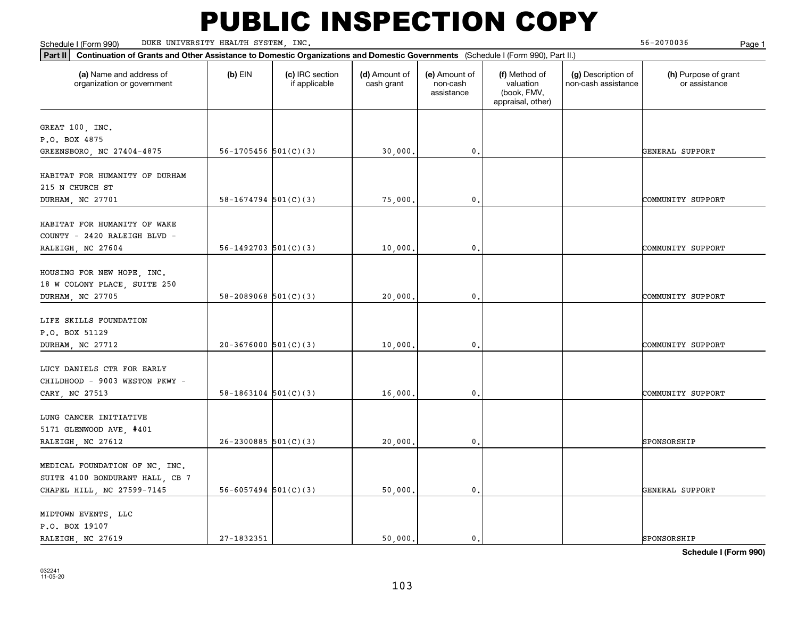Schedule I (Form 990) DUKE UNIVERSITY HEALTH SYSTEM,INC. 56-2070036 Page 1

| (a) Name and address of<br>organization or government                          | $(b)$ EIN                  | (c) IRC section<br>if applicable | (d) Amount of<br>cash grant | (e) Amount of<br>non-cash<br>assistance | (f) Method of<br>valuation<br>(book, FMV,<br>appraisal, other) | (g) Description of<br>non-cash assistance | (h) Purpose of grant<br>or assistance |
|--------------------------------------------------------------------------------|----------------------------|----------------------------------|-----------------------------|-----------------------------------------|----------------------------------------------------------------|-------------------------------------------|---------------------------------------|
| GREAT 100, INC.                                                                |                            |                                  |                             |                                         |                                                                |                                           |                                       |
| P.O. BOX 4875                                                                  |                            |                                  |                             |                                         |                                                                |                                           |                                       |
| GREENSBORO, NC 27404-4875                                                      | $56-1705456$ $501(C)(3)$   |                                  | 30,000.                     | 0.                                      |                                                                |                                           | GENERAL SUPPORT                       |
| HABITAT FOR HUMANITY OF DURHAM<br>215 N CHURCH ST                              |                            |                                  |                             |                                         |                                                                |                                           |                                       |
| DURHAM, NC 27701                                                               | $58-1674794$ $501(C)(3)$   |                                  | 75,000.                     | $\mathbf{0}$ .                          |                                                                |                                           | COMMUNITY SUPPORT                     |
| HABITAT FOR HUMANITY OF WAKE<br>COUNTY - 2420 RALEIGH BLVD -                   |                            |                                  |                             |                                         |                                                                |                                           |                                       |
| RALEIGH, NC 27604                                                              | $56 - 1492703$ $501(C)(3)$ |                                  | 10,000.                     | $\mathbf{0}$ .                          |                                                                |                                           | COMMUNITY SUPPORT                     |
| HOUSING FOR NEW HOPE, INC.<br>18 W COLONY PLACE, SUITE 250<br>DURHAM, NC 27705 | $58 - 2089068$ $501(C)(3)$ |                                  | 20,000,                     | 0.                                      |                                                                |                                           | COMMUNITY SUPPORT                     |
| LIFE SKILLS FOUNDATION<br>P.O. BOX 51129                                       |                            |                                  |                             |                                         |                                                                |                                           |                                       |
| DURHAM, NC 27712                                                               | $20-3676000$ 501(C)(3)     |                                  | 10,000.                     | 0.                                      |                                                                |                                           | COMMUNITY SUPPORT                     |
| LUCY DANIELS CTR FOR EARLY<br>CHILDHOOD - 9003 WESTON PKWY -<br>CARY, NC 27513 | $58-1863104$ $501(C)(3)$   |                                  | 16,000,                     | 0.                                      |                                                                |                                           | COMMUNITY SUPPORT                     |
| LUNG CANCER INITIATIVE<br>5171 GLENWOOD AVE, #401                              |                            |                                  |                             |                                         |                                                                |                                           |                                       |
| RALEIGH, NC 27612                                                              | $26 - 2300885$ 501(C)(3)   |                                  | 20,000.                     | $\mathfrak o$ .                         |                                                                |                                           | SPONSORSHIP                           |
| MEDICAL FOUNDATION OF NC, INC.<br>SUITE 4100 BONDURANT HALL, CB 7              |                            |                                  |                             |                                         |                                                                |                                           |                                       |
| CHAPEL HILL, NC 27599-7145                                                     | $56 - 6057494$ $501(C)(3)$ |                                  | 50,000.                     | 0.                                      |                                                                |                                           | GENERAL SUPPORT                       |
| MIDTOWN EVENTS, LLC<br>P.O. BOX 19107<br>RALEIGH, NC 27619                     | 27-1832351                 |                                  | 50,000.                     | 0.                                      |                                                                |                                           | SPONSORSHIP                           |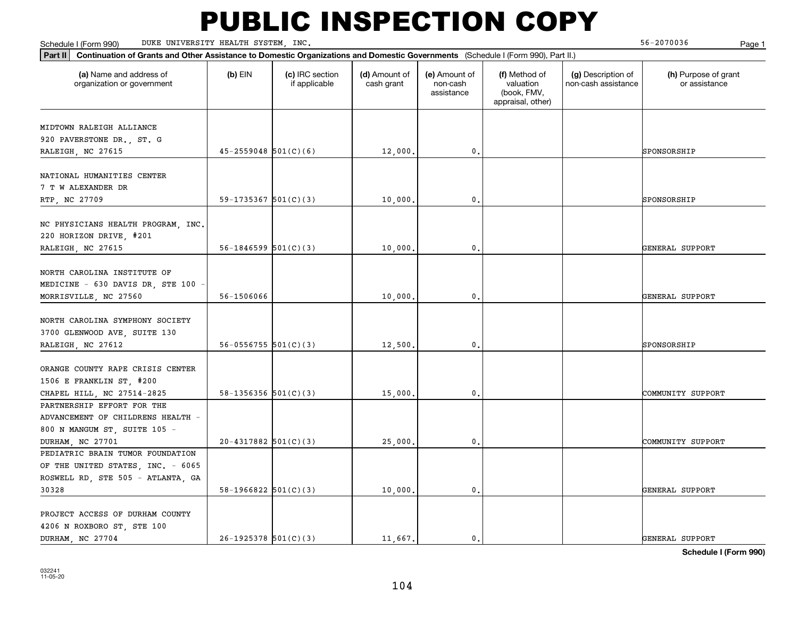Schedule I (Form 990) DUKE UNIVERSITY HEALTH SYSTEM,INC. 56-2070036 Page 1

| Part II   Continuation of Grants and Other Assistance to Domestic Organizations and Domestic Governments (Schedule I (Form 990), Part II.) |                            |                                  |                             |                                         |                                                                |                                           |                                       |
|--------------------------------------------------------------------------------------------------------------------------------------------|----------------------------|----------------------------------|-----------------------------|-----------------------------------------|----------------------------------------------------------------|-------------------------------------------|---------------------------------------|
| (a) Name and address of<br>organization or government                                                                                      | $(b)$ EIN                  | (c) IRC section<br>if applicable | (d) Amount of<br>cash grant | (e) Amount of<br>non-cash<br>assistance | (f) Method of<br>valuation<br>(book, FMV,<br>appraisal, other) | (g) Description of<br>non-cash assistance | (h) Purpose of grant<br>or assistance |
|                                                                                                                                            |                            |                                  |                             |                                         |                                                                |                                           |                                       |
| MIDTOWN RALEIGH ALLIANCE                                                                                                                   |                            |                                  |                             |                                         |                                                                |                                           |                                       |
| 920 PAVERSTONE DR., ST. G<br>RALEIGH, NC 27615                                                                                             | $45 - 2559048$ 501(C)(6)   |                                  | 12,000.                     | $\mathbf{0}$ .                          |                                                                |                                           | SPONSORSHIP                           |
|                                                                                                                                            |                            |                                  |                             |                                         |                                                                |                                           |                                       |
| NATIONAL HUMANITIES CENTER<br>7 T W ALEXANDER DR                                                                                           |                            |                                  |                             |                                         |                                                                |                                           |                                       |
| RTP, NC 27709                                                                                                                              | 59-1735367 $501(C)(3)$     |                                  | 10,000                      | $\mathbf{0}$                            |                                                                |                                           | SPONSORSHIP                           |
| NC PHYSICIANS HEALTH PROGRAM, INC.<br>220 HORIZON DRIVE, #201<br>RALEIGH, NC 27615                                                         | $56 - 1846599$ $501(C)(3)$ |                                  | 10,000,                     | $\mathbf{0}$ .                          |                                                                |                                           | GENERAL SUPPORT                       |
|                                                                                                                                            |                            |                                  |                             |                                         |                                                                |                                           |                                       |
| NORTH CAROLINA INSTITUTE OF<br>MEDICINE - 630 DAVIS DR, STE 100 $\cdot$                                                                    |                            |                                  |                             |                                         |                                                                |                                           |                                       |
| MORRISVILLE, NC 27560                                                                                                                      | 56-1506066                 |                                  | 10,000                      | 0.                                      |                                                                |                                           | GENERAL SUPPORT                       |
| NORTH CAROLINA SYMPHONY SOCIETY<br>3700 GLENWOOD AVE, SUITE 130                                                                            |                            |                                  |                             |                                         |                                                                |                                           |                                       |
| RALEIGH, NC 27612                                                                                                                          | $56 - 0556755$ 501(C)(3)   |                                  | 12,500.                     | $\mathbf{0}$ .                          |                                                                |                                           | SPONSORSHIP                           |
| ORANGE COUNTY RAPE CRISIS CENTER<br>1506 E FRANKLIN ST, #200<br>CHAPEL HILL, NC 27514-2825<br>PARTNERSHIP EFFORT FOR THE                   | 58-1356356 $501(C)(3)$     |                                  | 15,000                      | 0.                                      |                                                                |                                           | COMMUNITY SUPPORT                     |
| ADVANCEMENT OF CHILDRENS HEALTH -<br>800 N MANGUM ST, SUITE 105 -                                                                          |                            |                                  |                             |                                         |                                                                |                                           |                                       |
| DURHAM, NC 27701                                                                                                                           | $20 - 4317882$ 501(C)(3)   |                                  | 25,000.                     | $\mathbf{0}$ .                          |                                                                |                                           | COMMUNITY SUPPORT                     |
| PEDIATRIC BRAIN TUMOR FOUNDATION<br>OF THE UNITED STATES, INC. - 6065                                                                      |                            |                                  |                             |                                         |                                                                |                                           |                                       |
| ROSWELL RD, STE 505 - ATLANTA, GA                                                                                                          |                            |                                  |                             |                                         |                                                                |                                           |                                       |
| 30328                                                                                                                                      | $58-1966822$ $501(C)(3)$   |                                  | 10,000                      | 0.                                      |                                                                |                                           | GENERAL SUPPORT                       |
| PROJECT ACCESS OF DURHAM COUNTY<br>4206 N ROXBORO ST, STE 100                                                                              |                            |                                  |                             |                                         |                                                                |                                           |                                       |
| DURHAM, NC 27704                                                                                                                           | $26-1925378$ $501(C)(3)$   |                                  | 11,667.                     | $\mathbf{0}$ .                          |                                                                |                                           | GENERAL SUPPORT                       |
|                                                                                                                                            |                            |                                  |                             |                                         |                                                                |                                           |                                       |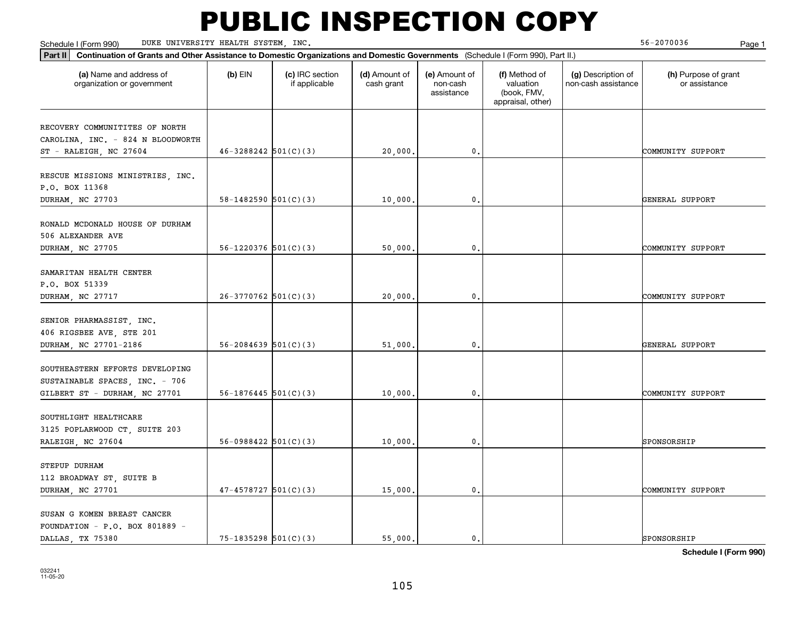Schedule I (Form 990) DUKE UNIVERSITY HEALTH SYSTEM,INC. 56-2070036 Page 1

| Part II Continuation of Grants and Other Assistance to Domestic Organizations and Domestic Governments (Schedule I (Form 990), Part II.) |                            |                                  |                             |                                         |                                                                |                                           |                                       |
|------------------------------------------------------------------------------------------------------------------------------------------|----------------------------|----------------------------------|-----------------------------|-----------------------------------------|----------------------------------------------------------------|-------------------------------------------|---------------------------------------|
| (a) Name and address of<br>organization or government                                                                                    | $(b)$ EIN                  | (c) IRC section<br>if applicable | (d) Amount of<br>cash grant | (e) Amount of<br>non-cash<br>assistance | (f) Method of<br>valuation<br>(book, FMV,<br>appraisal, other) | (g) Description of<br>non-cash assistance | (h) Purpose of grant<br>or assistance |
|                                                                                                                                          |                            |                                  |                             |                                         |                                                                |                                           |                                       |
| RECOVERY COMMUNITITES OF NORTH<br>CAROLINA, INC. - 824 N BLOODWORTH                                                                      |                            |                                  |                             |                                         |                                                                |                                           |                                       |
| ST - RALEIGH, NC 27604                                                                                                                   | $46 - 3288242$ 501(C)(3)   |                                  | 20,000.                     | 0.                                      |                                                                |                                           | COMMUNITY SUPPORT                     |
|                                                                                                                                          |                            |                                  |                             |                                         |                                                                |                                           |                                       |
| RESCUE MISSIONS MINISTRIES, INC.                                                                                                         |                            |                                  |                             |                                         |                                                                |                                           |                                       |
| P.O. BOX 11368<br>DURHAM, NC 27703                                                                                                       | 58-1482590 $501(C)(3)$     |                                  | 10,000.                     | $\mathbf 0$ .                           |                                                                |                                           | GENERAL SUPPORT                       |
|                                                                                                                                          |                            |                                  |                             |                                         |                                                                |                                           |                                       |
| RONALD MCDONALD HOUSE OF DURHAM                                                                                                          |                            |                                  |                             |                                         |                                                                |                                           |                                       |
| 506 ALEXANDER AVE                                                                                                                        |                            |                                  |                             |                                         |                                                                |                                           |                                       |
| DURHAM, NC 27705                                                                                                                         | 56-1220376 $501(C)(3)$     |                                  | 50,000.                     | $\mathfrak o$ .                         |                                                                |                                           | COMMUNITY SUPPORT                     |
| SAMARITAN HEALTH CENTER                                                                                                                  |                            |                                  |                             |                                         |                                                                |                                           |                                       |
| P.O. BOX 51339                                                                                                                           |                            |                                  |                             |                                         |                                                                |                                           |                                       |
| DURHAM, NC 27717                                                                                                                         | $26-3770762$ 501(C)(3)     |                                  | 20,000.                     | 0.                                      |                                                                |                                           | COMMUNITY SUPPORT                     |
|                                                                                                                                          |                            |                                  |                             |                                         |                                                                |                                           |                                       |
| SENIOR PHARMASSIST, INC.                                                                                                                 |                            |                                  |                             |                                         |                                                                |                                           |                                       |
| 406 RIGSBEE AVE, STE 201                                                                                                                 |                            |                                  |                             |                                         |                                                                |                                           |                                       |
| DURHAM, NC 27701-2186                                                                                                                    | $56 - 2084639$ $501(C)(3)$ |                                  | 51,000,                     | 0.                                      |                                                                |                                           | GENERAL SUPPORT                       |
| SOUTHEASTERN EFFORTS DEVELOPING                                                                                                          |                            |                                  |                             |                                         |                                                                |                                           |                                       |
| SUSTAINABLE SPACES, INC. - 706                                                                                                           |                            |                                  |                             |                                         |                                                                |                                           |                                       |
| GILBERT ST - DURHAM, NC 27701                                                                                                            | $56 - 1876445$ 501(C)(3)   |                                  | 10,000.                     | $\mathbf{0}$ .                          |                                                                |                                           | COMMUNITY SUPPORT                     |
|                                                                                                                                          |                            |                                  |                             |                                         |                                                                |                                           |                                       |
| SOUTHLIGHT HEALTHCARE                                                                                                                    |                            |                                  |                             |                                         |                                                                |                                           |                                       |
| 3125 POPLARWOOD CT, SUITE 203                                                                                                            |                            |                                  |                             |                                         |                                                                |                                           |                                       |
| RALEIGH, NC 27604                                                                                                                        | $56-0988422$ $501(C)(3)$   |                                  | 10,000.                     | 0.                                      |                                                                |                                           | SPONSORSHIP                           |
| STEPUP DURHAM                                                                                                                            |                            |                                  |                             |                                         |                                                                |                                           |                                       |
| 112 BROADWAY ST, SUITE B                                                                                                                 |                            |                                  |                             |                                         |                                                                |                                           |                                       |
| DURHAM, NC 27701                                                                                                                         | $47 - 4578727$ 501(C)(3)   |                                  | 15,000.                     | $\mathbf{0}$ .                          |                                                                |                                           | COMMUNITY SUPPORT                     |
|                                                                                                                                          |                            |                                  |                             |                                         |                                                                |                                           |                                       |
| SUSAN G KOMEN BREAST CANCER                                                                                                              |                            |                                  |                             |                                         |                                                                |                                           |                                       |
| FOUNDATION - $P.O.$ BOX 801889 -                                                                                                         |                            |                                  |                             |                                         |                                                                |                                           |                                       |
| DALLAS, TX 75380                                                                                                                         | $75-1835298$ $501(C)(3)$   |                                  | 55,000.                     | $\mathbf{0}$ .                          |                                                                |                                           | SPONSORSHIP                           |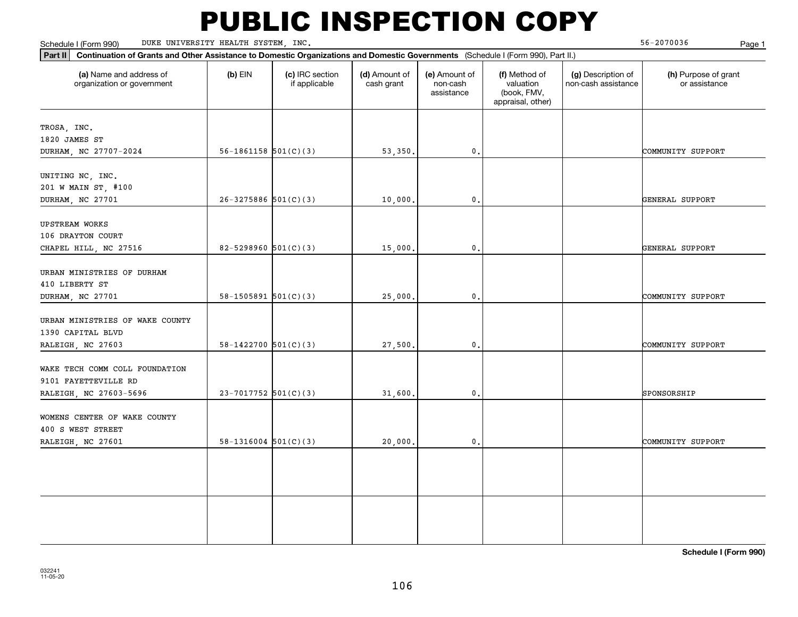Schedule I (Form 990) Page 1 DUKE UNIVERSITY HEALTH SYSTEM, INC.

56-2070036

| Part II   Continuation of Grants and Other Assistance to Domestic Organizations and Domestic Governments (Schedule I (Form 990), Part II.) |                            |                                  |                             |                                         |                                                                |                                           |                                       |
|--------------------------------------------------------------------------------------------------------------------------------------------|----------------------------|----------------------------------|-----------------------------|-----------------------------------------|----------------------------------------------------------------|-------------------------------------------|---------------------------------------|
| (a) Name and address of<br>organization or government                                                                                      | $(b)$ EIN                  | (c) IRC section<br>if applicable | (d) Amount of<br>cash grant | (e) Amount of<br>non-cash<br>assistance | (f) Method of<br>valuation<br>(book, FMV,<br>appraisal, other) | (g) Description of<br>non-cash assistance | (h) Purpose of grant<br>or assistance |
| TROSA, INC.                                                                                                                                |                            |                                  |                             |                                         |                                                                |                                           |                                       |
| 1820 JAMES ST                                                                                                                              |                            |                                  |                             |                                         |                                                                |                                           |                                       |
| DURHAM, NC 27707-2024                                                                                                                      | $56-1861158$ $501(C)(3)$   |                                  | 53,350.                     | $\mathbf{0}$ .                          |                                                                |                                           | COMMUNITY SUPPORT                     |
| UNITING NC, INC.                                                                                                                           |                            |                                  |                             |                                         |                                                                |                                           |                                       |
| 201 W MAIN ST, #100                                                                                                                        |                            |                                  |                             |                                         |                                                                |                                           |                                       |
| DURHAM, NC 27701                                                                                                                           | $26 - 3275886$ 501(C)(3)   |                                  | 10,000.                     | $\mathbf{0}$ .                          |                                                                |                                           | GENERAL SUPPORT                       |
| <b>UPSTREAM WORKS</b>                                                                                                                      |                            |                                  |                             |                                         |                                                                |                                           |                                       |
| 106 DRAYTON COURT                                                                                                                          |                            |                                  |                             |                                         |                                                                |                                           |                                       |
| CHAPEL HILL, NC 27516                                                                                                                      | $82 - 5298960$ $501(C)(3)$ |                                  | 15,000                      | $\mathbf 0$ .                           |                                                                |                                           | GENERAL SUPPORT                       |
| URBAN MINISTRIES OF DURHAM                                                                                                                 |                            |                                  |                             |                                         |                                                                |                                           |                                       |
| 410 LIBERTY ST                                                                                                                             |                            |                                  |                             |                                         |                                                                |                                           |                                       |
| DURHAM, NC 27701                                                                                                                           | $58-1505891$ $501(C)(3)$   |                                  | 25,000.                     | $\mathbf 0$ .                           |                                                                |                                           | COMMUNITY SUPPORT                     |
|                                                                                                                                            |                            |                                  |                             |                                         |                                                                |                                           |                                       |
| URBAN MINISTRIES OF WAKE COUNTY                                                                                                            |                            |                                  |                             |                                         |                                                                |                                           |                                       |
| 1390 CAPITAL BLVD                                                                                                                          |                            |                                  |                             |                                         |                                                                |                                           |                                       |
| RALEIGH, NC 27603                                                                                                                          | $58 - 1422700$ $501(C)(3)$ |                                  | 27,500.                     | $\mathbf{0}$ .                          |                                                                |                                           | COMMUNITY SUPPORT                     |
| WAKE TECH COMM COLL FOUNDATION                                                                                                             |                            |                                  |                             |                                         |                                                                |                                           |                                       |
| 9101 FAYETTEVILLE RD                                                                                                                       |                            |                                  |                             |                                         |                                                                |                                           |                                       |
| RALEIGH, NC 27603-5696                                                                                                                     | $23 - 7017752$ 501(C)(3)   |                                  | 31,600.                     | $\mathbf{0}$ .                          |                                                                |                                           | SPONSORSHIP                           |
|                                                                                                                                            |                            |                                  |                             |                                         |                                                                |                                           |                                       |
| WOMENS CENTER OF WAKE COUNTY                                                                                                               |                            |                                  |                             |                                         |                                                                |                                           |                                       |
| 400 S WEST STREET                                                                                                                          |                            |                                  |                             |                                         |                                                                |                                           |                                       |
| RALEIGH, NC 27601                                                                                                                          | $58-1316004$ $501(C)(3)$   |                                  | 20,000.                     | $\mathbf{0}$ .                          |                                                                |                                           | COMMUNITY SUPPORT                     |
|                                                                                                                                            |                            |                                  |                             |                                         |                                                                |                                           |                                       |
|                                                                                                                                            |                            |                                  |                             |                                         |                                                                |                                           |                                       |
|                                                                                                                                            |                            |                                  |                             |                                         |                                                                |                                           |                                       |
|                                                                                                                                            |                            |                                  |                             |                                         |                                                                |                                           |                                       |
|                                                                                                                                            |                            |                                  |                             |                                         |                                                                |                                           |                                       |
|                                                                                                                                            |                            |                                  |                             |                                         |                                                                |                                           |                                       |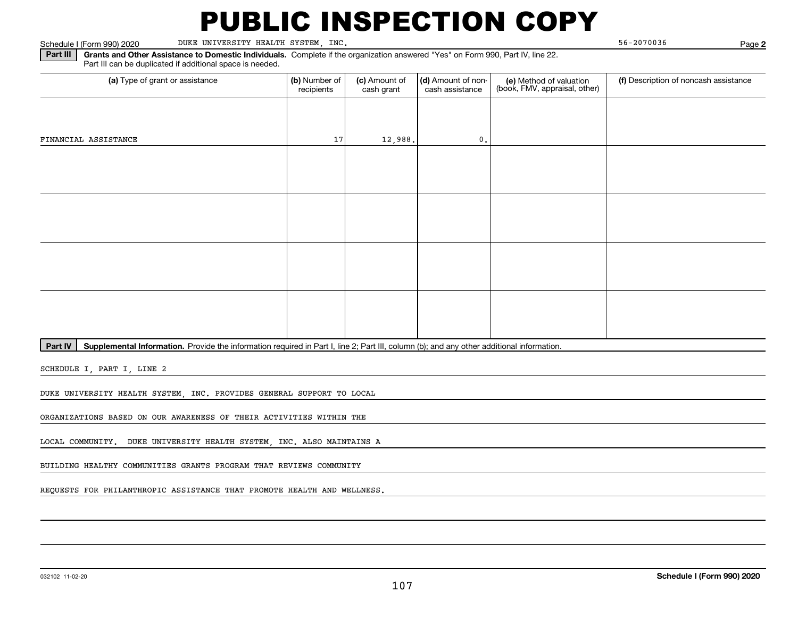Schedule I (Form 990) 2020 DUKE UNIVERSITY HEALTH SYSTEM, INC. 56-2070036 Page

**2**

**Part III** | Grants and Other Assistance to Domestic Individuals. Complete if the organization answered "Yes" on Form 990, Part IV, line 22. Part III can be duplicated if additional space is needed.

| (a) Type of grant or assistance | (b) Number of<br>recipients | (c) Amount of<br>cash grant | (d) Amount of non-<br>cash assistance | (e) Method of valuation<br>(book, FMV, appraisal, other) | (f) Description of noncash assistance |  |  |
|---------------------------------|-----------------------------|-----------------------------|---------------------------------------|----------------------------------------------------------|---------------------------------------|--|--|
|                                 |                             |                             |                                       |                                                          |                                       |  |  |
| FINANCIAL ASSISTANCE            | 17                          | 12,988.                     | $\mathbf 0$ .                         |                                                          |                                       |  |  |
|                                 |                             |                             |                                       |                                                          |                                       |  |  |
|                                 |                             |                             |                                       |                                                          |                                       |  |  |
|                                 |                             |                             |                                       |                                                          |                                       |  |  |
|                                 |                             |                             |                                       |                                                          |                                       |  |  |
|                                 |                             |                             |                                       |                                                          |                                       |  |  |
|                                 |                             |                             |                                       |                                                          |                                       |  |  |
|                                 |                             |                             |                                       |                                                          |                                       |  |  |
|                                 |                             |                             |                                       |                                                          |                                       |  |  |

**Part IV** | Supplemental Information. Provide the information required in Part I, line 2; Part III, column (b); and any other additional information.<br>

SCHEDULE I, PART I, LINE 2

DUKE UNIVERSITY HEALTH SYSTEM, INC. PROVIDES GENERAL SUPPORT TO LOCAL

ORGANIZATIONS BASED ON OUR AWARENESS OF THEIR ACTIVITIES WITHIN THE

LOCAL COMMUNITY. DUKE UNIVERSITY HEALTH SYSTEM, INC. ALSO MAINTAINS A

BUILDING HEALTHY COMMUNITIES GRANTS PROGRAM THAT REVIEWS COMMUNITY

REQUESTS FOR PHILANTHROPIC ASSISTANCE THAT PROMOTE HEALTH AND WELLNESS.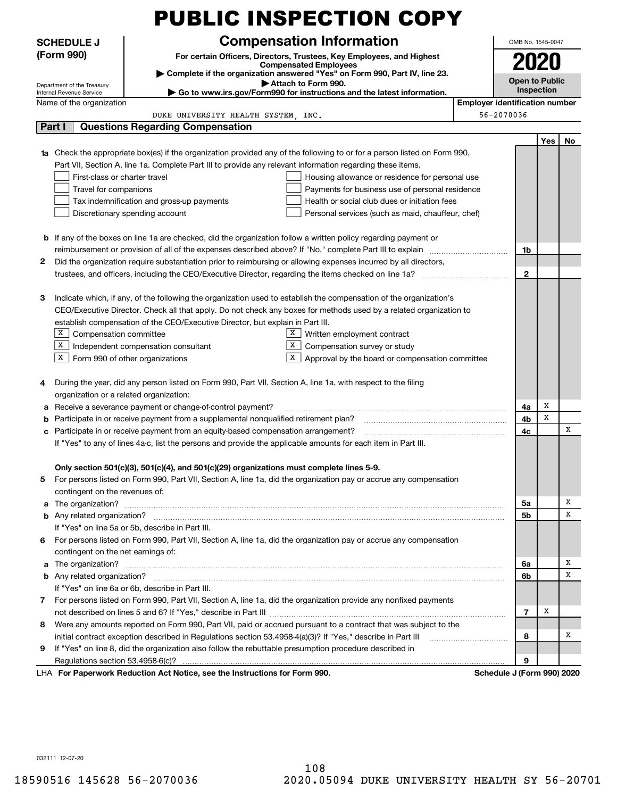|                                                                                                                                 |                                                                                                                    |                                                                                          | PUBLIC INSPECTION COPY                                                                                                                                                                                                                                                                                                                                      |                                       |                       |            |     |  |
|---------------------------------------------------------------------------------------------------------------------------------|--------------------------------------------------------------------------------------------------------------------|------------------------------------------------------------------------------------------|-------------------------------------------------------------------------------------------------------------------------------------------------------------------------------------------------------------------------------------------------------------------------------------------------------------------------------------------------------------|---------------------------------------|-----------------------|------------|-----|--|
| <b>Compensation Information</b><br><b>SCHEDULE J</b>                                                                            |                                                                                                                    |                                                                                          |                                                                                                                                                                                                                                                                                                                                                             |                                       | OMB No. 1545-0047     |            |     |  |
|                                                                                                                                 | (Form 990)<br>For certain Officers, Directors, Trustees, Key Employees, and Highest                                |                                                                                          |                                                                                                                                                                                                                                                                                                                                                             |                                       |                       |            |     |  |
|                                                                                                                                 | <b>Compensated Employees</b>                                                                                       |                                                                                          |                                                                                                                                                                                                                                                                                                                                                             |                                       |                       |            |     |  |
| Complete if the organization answered "Yes" on Form 990, Part IV, line 23.<br>Attach to Form 990.<br>Department of the Treasury |                                                                                                                    |                                                                                          |                                                                                                                                                                                                                                                                                                                                                             |                                       | <b>Open to Public</b> |            |     |  |
| Go to www.irs.gov/Form990 for instructions and the latest information.<br>Internal Revenue Service                              |                                                                                                                    |                                                                                          |                                                                                                                                                                                                                                                                                                                                                             |                                       |                       | Inspection |     |  |
|                                                                                                                                 | Name of the organization                                                                                           |                                                                                          |                                                                                                                                                                                                                                                                                                                                                             | <b>Employer identification number</b> |                       |            |     |  |
|                                                                                                                                 |                                                                                                                    | DUKE UNIVERSITY HEALTH SYSTEM, INC.                                                      |                                                                                                                                                                                                                                                                                                                                                             | 56-2070036                            |                       |            |     |  |
|                                                                                                                                 | Part I                                                                                                             | <b>Questions Regarding Compensation</b>                                                  |                                                                                                                                                                                                                                                                                                                                                             |                                       |                       |            |     |  |
|                                                                                                                                 |                                                                                                                    |                                                                                          | <b>1a</b> Check the appropriate box(es) if the organization provided any of the following to or for a person listed on Form 990,                                                                                                                                                                                                                            |                                       |                       | Yes        | No. |  |
|                                                                                                                                 |                                                                                                                    |                                                                                          | Part VII, Section A, line 1a. Complete Part III to provide any relevant information regarding these items.                                                                                                                                                                                                                                                  |                                       |                       |            |     |  |
|                                                                                                                                 | First-class or charter travel                                                                                      |                                                                                          | Housing allowance or residence for personal use                                                                                                                                                                                                                                                                                                             |                                       |                       |            |     |  |
|                                                                                                                                 | Travel for companions                                                                                              | Payments for business use of personal residence                                          |                                                                                                                                                                                                                                                                                                                                                             |                                       |                       |            |     |  |
|                                                                                                                                 | Tax indemnification and gross-up payments<br>Health or social club dues or initiation fees                         |                                                                                          |                                                                                                                                                                                                                                                                                                                                                             |                                       |                       |            |     |  |
|                                                                                                                                 | Discretionary spending account<br>Personal services (such as maid, chauffeur, chef)                                |                                                                                          |                                                                                                                                                                                                                                                                                                                                                             |                                       |                       |            |     |  |
|                                                                                                                                 |                                                                                                                    |                                                                                          |                                                                                                                                                                                                                                                                                                                                                             |                                       |                       |            |     |  |
|                                                                                                                                 |                                                                                                                    |                                                                                          | <b>b</b> If any of the boxes on line 1a are checked, did the organization follow a written policy regarding payment or                                                                                                                                                                                                                                      |                                       |                       |            |     |  |
|                                                                                                                                 |                                                                                                                    |                                                                                          | reimbursement or provision of all of the expenses described above? If "No," complete Part III to explain                                                                                                                                                                                                                                                    |                                       | 1b                    |            |     |  |
| 2                                                                                                                               |                                                                                                                    |                                                                                          | Did the organization require substantiation prior to reimbursing or allowing expenses incurred by all directors,                                                                                                                                                                                                                                            |                                       |                       |            |     |  |
|                                                                                                                                 |                                                                                                                    |                                                                                          | trustees, and officers, including the CEO/Executive Director, regarding the items checked on line 1a?                                                                                                                                                                                                                                                       |                                       | $\mathbf{2}$          |            |     |  |
|                                                                                                                                 |                                                                                                                    |                                                                                          |                                                                                                                                                                                                                                                                                                                                                             |                                       |                       |            |     |  |
| 3                                                                                                                               |                                                                                                                    |                                                                                          | Indicate which, if any, of the following the organization used to establish the compensation of the organization's                                                                                                                                                                                                                                          |                                       |                       |            |     |  |
|                                                                                                                                 | CEO/Executive Director. Check all that apply. Do not check any boxes for methods used by a related organization to |                                                                                          |                                                                                                                                                                                                                                                                                                                                                             |                                       |                       |            |     |  |
|                                                                                                                                 |                                                                                                                    | establish compensation of the CEO/Executive Director, but explain in Part III.           |                                                                                                                                                                                                                                                                                                                                                             |                                       |                       |            |     |  |
|                                                                                                                                 | X Compensation committee                                                                                           |                                                                                          | Written employment contract<br>X                                                                                                                                                                                                                                                                                                                            |                                       |                       |            |     |  |
|                                                                                                                                 | $X$ Independent compensation consultant                                                                            |                                                                                          | x<br>Compensation survey or study<br>x                                                                                                                                                                                                                                                                                                                      |                                       |                       |            |     |  |
|                                                                                                                                 | $X$ Form 990 of other organizations                                                                                |                                                                                          | Approval by the board or compensation committee                                                                                                                                                                                                                                                                                                             |                                       |                       |            |     |  |
| 4                                                                                                                               |                                                                                                                    |                                                                                          | During the year, did any person listed on Form 990, Part VII, Section A, line 1a, with respect to the filing                                                                                                                                                                                                                                                |                                       |                       |            |     |  |
|                                                                                                                                 | organization or a related organization:                                                                            |                                                                                          |                                                                                                                                                                                                                                                                                                                                                             |                                       |                       |            |     |  |
| а                                                                                                                               | Receive a severance payment or change-of-control payment?                                                          |                                                                                          |                                                                                                                                                                                                                                                                                                                                                             |                                       |                       | х          |     |  |
| b                                                                                                                               | Participate in or receive payment from a supplemental nonqualified retirement plan?                                |                                                                                          |                                                                                                                                                                                                                                                                                                                                                             |                                       |                       | X          |     |  |
|                                                                                                                                 | c Participate in or receive payment from an equity-based compensation arrangement?                                 |                                                                                          |                                                                                                                                                                                                                                                                                                                                                             |                                       |                       |            | x   |  |
|                                                                                                                                 | If "Yes" to any of lines 4a-c, list the persons and provide the applicable amounts for each item in Part III.      |                                                                                          |                                                                                                                                                                                                                                                                                                                                                             |                                       |                       |            |     |  |
|                                                                                                                                 |                                                                                                                    |                                                                                          |                                                                                                                                                                                                                                                                                                                                                             |                                       |                       |            |     |  |
|                                                                                                                                 |                                                                                                                    | Only section 501(c)(3), 501(c)(4), and 501(c)(29) organizations must complete lines 5-9. |                                                                                                                                                                                                                                                                                                                                                             |                                       |                       |            |     |  |
| 5                                                                                                                               |                                                                                                                    |                                                                                          | For persons listed on Form 990, Part VII, Section A, line 1a, did the organization pay or accrue any compensation                                                                                                                                                                                                                                           |                                       |                       |            |     |  |
| a                                                                                                                               | contingent on the revenues of:                                                                                     |                                                                                          |                                                                                                                                                                                                                                                                                                                                                             |                                       | 5a                    |            | X   |  |
| b                                                                                                                               |                                                                                                                    |                                                                                          | The organization? <b>With the organization? With the organization? With the organization? With the organization?</b><br>Any related organization? <b>With the Construction of the Construction</b> of the Construction of the Construction of the Construction of the Construction of the Construction of the Construction of the Construction of the Const |                                       | 5b                    |            | X   |  |
|                                                                                                                                 | If "Yes" on line 5a or 5b, describe in Part III.                                                                   |                                                                                          |                                                                                                                                                                                                                                                                                                                                                             |                                       |                       |            |     |  |
| 6                                                                                                                               |                                                                                                                    |                                                                                          | For persons listed on Form 990, Part VII, Section A, line 1a, did the organization pay or accrue any compensation                                                                                                                                                                                                                                           |                                       |                       |            |     |  |
|                                                                                                                                 | contingent on the net earnings of:                                                                                 |                                                                                          |                                                                                                                                                                                                                                                                                                                                                             |                                       |                       |            |     |  |
| a                                                                                                                               |                                                                                                                    |                                                                                          |                                                                                                                                                                                                                                                                                                                                                             |                                       | 6a                    |            | x   |  |
| b                                                                                                                               |                                                                                                                    |                                                                                          |                                                                                                                                                                                                                                                                                                                                                             |                                       |                       |            | x   |  |
|                                                                                                                                 | If "Yes" on line 6a or 6b, describe in Part III.                                                                   |                                                                                          |                                                                                                                                                                                                                                                                                                                                                             |                                       |                       |            |     |  |
| 7                                                                                                                               |                                                                                                                    |                                                                                          | For persons listed on Form 990, Part VII, Section A, line 1a, did the organization provide any nonfixed payments                                                                                                                                                                                                                                            |                                       |                       |            |     |  |
|                                                                                                                                 |                                                                                                                    |                                                                                          |                                                                                                                                                                                                                                                                                                                                                             |                                       |                       | Х          |     |  |
| 8                                                                                                                               |                                                                                                                    |                                                                                          | Were any amounts reported on Form 990, Part VII, paid or accrued pursuant to a contract that was subject to the                                                                                                                                                                                                                                             |                                       |                       |            |     |  |
|                                                                                                                                 | initial contract exception described in Regulations section 53.4958-4(a)(3)? If "Yes," describe in Part III        |                                                                                          |                                                                                                                                                                                                                                                                                                                                                             |                                       | 8                     |            | x   |  |
| 9                                                                                                                               |                                                                                                                    |                                                                                          | If "Yes" on line 8, did the organization also follow the rebuttable presumption procedure described in                                                                                                                                                                                                                                                      |                                       |                       |            |     |  |
|                                                                                                                                 | Regulations section 53.4958-6(c)?                                                                                  |                                                                                          |                                                                                                                                                                                                                                                                                                                                                             |                                       | 9                     |            |     |  |
|                                                                                                                                 |                                                                                                                    | LHA For Paperwork Reduction Act Notice, see the Instructions for Form 990.               |                                                                                                                                                                                                                                                                                                                                                             | Schedule J (Form 990) 2020            |                       |            |     |  |

032111 12-07-20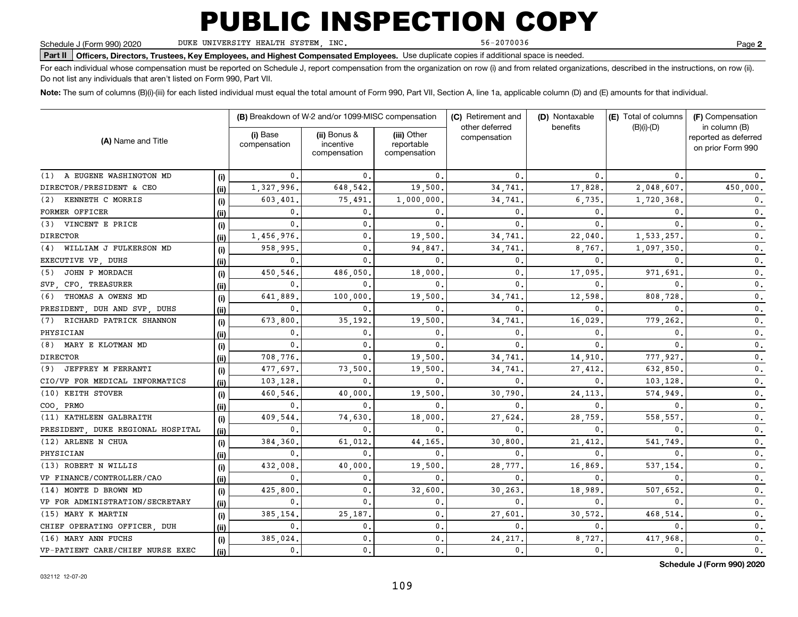DUKE UNIVERSITY HEALTH SYSTEM, INC.

56-2070036

**2**

**Part II Officers, Directors, Trustees, Key Employees, and Highest Compensated Employees.**  Schedule J (Form 990) 2020 Page Use duplicate copies if additional space is needed.

For each individual whose compensation must be reported on Schedule J, report compensation from the organization on row (i) and from related organizations, described in the instructions, on row (ii). Do not list any individuals that aren't listed on Form 990, Part VII.

**Note:**  The sum of columns (B)(i)-(iii) for each listed individual must equal the total amount of Form 990, Part VII, Section A, line 1a, applicable column (D) and (E) amounts for that individual.

|                                   |       |                          | (B) Breakdown of W-2 and/or 1099-MISC compensation |                                           | (C) Retirement and             | (D) Nontaxable | (E) Total of columns<br>benefits<br>$(B)(i)$ - $(D)$ |                                                            |  |
|-----------------------------------|-------|--------------------------|----------------------------------------------------|-------------------------------------------|--------------------------------|----------------|------------------------------------------------------|------------------------------------------------------------|--|
| (A) Name and Title                |       | (i) Base<br>compensation | (ii) Bonus &<br>incentive<br>compensation          | (iii) Other<br>reportable<br>compensation | other deferred<br>compensation |                |                                                      | in column (B)<br>reported as deferred<br>on prior Form 990 |  |
| (1) A EUGENE WASHINGTON MD        | (i)   | 0.                       | 0                                                  | 0.                                        | 0.                             | 0              | $\Omega$                                             |                                                            |  |
| DIRECTOR/PRESIDENT & CEO          | (ii)  | 1,327,996.               | 648,542.                                           | 19,500                                    | 34,741                         | 17,828         | 2,048,607.                                           | 450,000.                                                   |  |
| KENNETH C MORRIS<br>(2)           | (i)   | 603,401                  | 75,491                                             | 1,000,000                                 | 34,741                         | 6,735          | 1,720,368.                                           | 0.                                                         |  |
| FORMER OFFICER                    | (ii)  | 0.                       | $\mathbf{0}$                                       | 0.                                        | 0.                             | 0              | $\mathbf{0}$ .                                       | $\mathbf 0$ .                                              |  |
| (3) VINCENT E PRICE               | (i)   | 0.                       | $\mathbf{0}$                                       | 0.                                        | 0.                             | 0              | 0                                                    | $\mathbf 0$ .                                              |  |
| <b>DIRECTOR</b>                   | (ii)  | 1,456,976.               | 0.                                                 | 19,500                                    | 34,741                         | 22,040         | 1,533,257.                                           | $\mathbf{0}$ .                                             |  |
| WILLIAM J FULKERSON MD<br>(4)     | (i)   | 958,995                  | $\mathbf{0}$                                       | 94,847.                                   | 34,741                         | 8,767          | 1,097,350                                            | 0.                                                         |  |
| EXECUTIVE VP, DUHS                | (ii)  | $\mathbf{0}$             | 0                                                  | 0.                                        | 0.                             | 0              | 0                                                    | 0.                                                         |  |
| JOHN P MORDACH<br>(5)             | (i)   | 450,546                  | 486,050                                            | 18,000                                    | $\mathbf{0}$                   | 17,095         | 971,691                                              | $\mathfrak o$ .                                            |  |
| SVP, CFO, TREASURER               | (ii)  | $\mathbf{0}$             | 0                                                  | 0.                                        | $\mathbf{0}$                   | 0              | 0                                                    | 0.                                                         |  |
| THOMAS A OWENS MD<br>(6)          | (i)   | 641.889                  | 100,000                                            | 19,500                                    | 34,741                         | 12,598         | 808,728                                              | $\mathbf{0}$ .                                             |  |
| PRESIDENT, DUH AND SVP, DUHS      | (ii)  | $\mathbf{0}$             | 0                                                  | 0.                                        | $\mathbf{0}$                   | $\mathbf{0}$ . | 0                                                    | $\mathbf 0$ .                                              |  |
| RICHARD PATRICK SHANNON<br>(7)    | (i)   | 673,800                  | 35,192.                                            | 19,500                                    | 34,741                         | 16,029         | 779,262                                              | 0.                                                         |  |
| PHYSICIAN                         | (ii)  | $\mathbf{0}$             | $\mathbf 0$                                        | 0.                                        | $\mathbf{0}$                   | 0.             | 0                                                    | 0.                                                         |  |
| MARY E KLOTMAN MD<br>(8)          | (i)   | $\mathbf{0}$             | $\mathbf{0}$                                       | 0.                                        | $\mathbf{0}$                   | $\mathbf{0}$ . | 0                                                    | 0.                                                         |  |
| <b>DIRECTOR</b>                   | (ii)  | 708,776.                 | 0                                                  | 19,500                                    | 34,741                         | 14,910         | 777,927.                                             | $\mathbf{0}$ .                                             |  |
| (9) JEFFREY M FERRANTI            | (i)   | 477,697.                 | 73,500                                             | 19,500                                    | 34,741                         | 27, 412.       | 632,850.                                             | $\mathbf{0}$ .                                             |  |
| CIO/VP FOR MEDICAL INFORMATICS    | (ii)  | 103,128                  | 0                                                  | $\mathbf{0}$                              | $\mathbf{0}$                   | $\mathbf{0}$ . | 103,128.                                             | $\mathbf{0}$ .                                             |  |
| (10) KEITH STOVER                 | (i)   | 460,546                  | 40,000                                             | 19,500                                    | 30,790                         | 24,113         | 574,949                                              | 0.                                                         |  |
| COO, PRMO                         | (ii)  | $\mathbf{0}$             | 0                                                  | 0.                                        | $\mathbf{0}$                   | 0              | 0                                                    | 0.                                                         |  |
| (11) KATHLEEN GALBRAITH           | (i)   | 409,544                  | 74,630                                             | 18,000                                    | 27,624                         | 28,759         | 558,557                                              | 0.                                                         |  |
| PRESIDENT, DUKE REGIONAL HOSPITAL | (ii)  | $\mathbf{0}$             | $\Omega$                                           | 0.                                        | 0                              | 0              | 0                                                    | 0.                                                         |  |
| (12) ARLENE N CHUA                | (i)   | 384,360                  | 61,012                                             | 44,165                                    | 30,800                         | 21,412         | 541,749                                              | 0.                                                         |  |
| PHYSICIAN                         | (ii)  | $\mathbf{0}$             | 0                                                  | 0.                                        | $\mathbf{0}$                   | 0              | 0                                                    | 0.                                                         |  |
| (13) ROBERT N WILLIS              | (i)   | 432,008                  | 40,000                                             | 19,500                                    | 28,777                         | 16,869         | 537,154                                              | 0.                                                         |  |
| VP FINANCE/CONTROLLER/CAO         | (ii)  | 0.                       | 0.                                                 | 0.                                        | 0.                             | $\mathbf 0$ .  | 0                                                    | 0.                                                         |  |
| (14) MONTE D BROWN MD             | (i)   | 425,800                  | $\mathbf{0}$                                       | 32,600                                    | 30,263                         | 18,989         | 507,652                                              | 0.                                                         |  |
| VP FOR ADMINISTRATION/SECRETARY   | (ii)  | $\mathbf 0$ .            | $\mathbf 0$                                        | 0.                                        | 0.                             | $\mathbf{0}$ . | 0                                                    | 0.                                                         |  |
| (15) MARY K MARTIN                | (i)   | 385,154                  | 25,187                                             | 0.                                        | 27,601                         | 30,572         | 468,514                                              | 0.                                                         |  |
| CHIEF OPERATING OFFICER, DUH      | (ii)  | 0.                       | $\mathbf{0}$                                       | 0.                                        | 0.                             | $\mathbf{0}$   | $\mathbf{0}$ .                                       | $\mathbf{0}$ .                                             |  |
| (16) MARY ANN FUCHS               | (i)   | 385,024                  | $\mathbf{0}$                                       | 0.                                        | 24,217                         | 8,727          | 417,968                                              | 0.                                                         |  |
| VP-PATIENT CARE/CHIEF NURSE EXEC  | (iii) | $\mathbf{0}$ .           | 0.                                                 | 0.                                        | 0.                             | 0.             | 0.                                                   | 0.                                                         |  |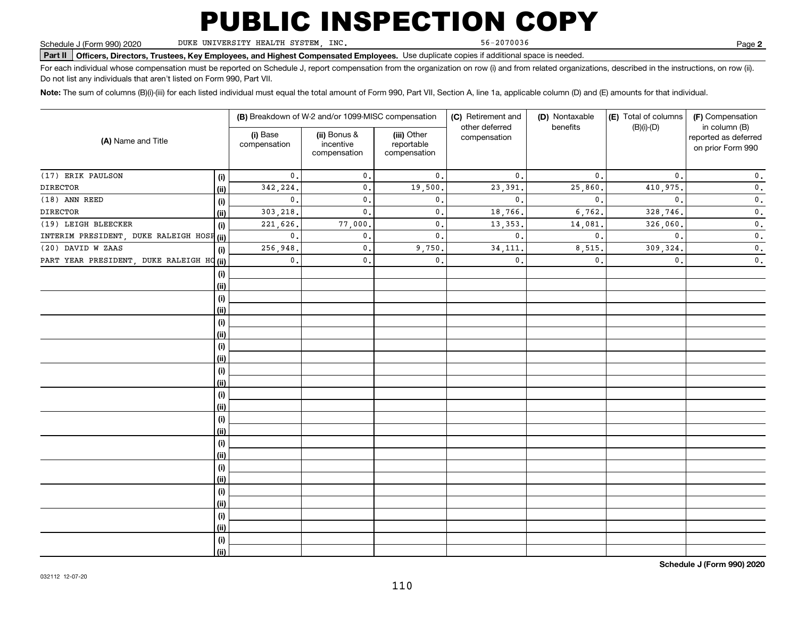DUKE UNIVERSITY HEALTH SYSTEM, INC.

56-2070036

**2**

**Part II Officers, Directors, Trustees, Key Employees, and Highest Compensated Employees.**  Schedule J (Form 990) 2020 Page Use duplicate copies if additional space is needed.

For each individual whose compensation must be reported on Schedule J, report compensation from the organization on row (i) and from related organizations, described in the instructions, on row (ii). Do not list any individuals that aren't listed on Form 990, Part VII.

**Note:**  The sum of columns (B)(i)-(iii) for each listed individual must equal the total amount of Form 990, Part VII, Section A, line 1a, applicable column (D) and (E) amounts for that individual.

|                                           |      |                          | (B) Breakdown of W-2 and/or 1099-MISC compensation |                                           | (C) Retirement and<br>other deferred | (D) Nontaxable<br>benefits | (E) Total of columns | (F) Compensation<br>in column (B)         |  |
|-------------------------------------------|------|--------------------------|----------------------------------------------------|-------------------------------------------|--------------------------------------|----------------------------|----------------------|-------------------------------------------|--|
| (A) Name and Title                        |      | (i) Base<br>compensation | (ii) Bonus &<br>incentive<br>compensation          | (iii) Other<br>reportable<br>compensation | compensation                         |                            | $(B)(i)-(D)$         | reported as deferred<br>on prior Form 990 |  |
| (17) ERIK PAULSON                         | (i)  | 0.                       | $\mathbf{0}$ .                                     | 0.                                        | $\mathbf{0}$ .                       | $\mathbf{0}$ .             | $\mathbf{0}$ .       | $\mathbf 0$ .                             |  |
| <b>DIRECTOR</b>                           | (ii) | 342,224.                 | $\mathbf 0$ .                                      | 19,500.                                   | 23, 391.                             | 25,860                     | 410,975.             | $\mathbf 0$ .                             |  |
| (18) ANN REED                             | (i)  | $\mathbf{0}$ .           | $\mathbf 0$ .                                      | 0.                                        | $\mathbf{0}$ .                       | $\mathbf{0}$ .             | $\mathbf{0}$ .       | $\mathbf 0$ .                             |  |
| <b>DIRECTOR</b>                           | (ii) | 303,218.                 | $\mathbf 0$ .                                      | 0.                                        | 18,766.                              | 6,762.                     | 328,746.             | $\mathbf 0$ .                             |  |
| (19) LEIGH BLEECKER                       | (i)  | 221,626.                 | 77,000.                                            | $\mathsf{0}\,.$                           | 13, 353,                             | 14,081                     | 326,060.             | $\mathbf 0$ .                             |  |
| INTERIM PRESIDENT, DUKE RALEIGH HOSP (ii) |      | $\mathbf{0}$ .           | $\mathbf{0}$ .                                     | 0.                                        | $\mathbf{0}$ .                       | $\mathbf{0}$               | $\mathbf{0}$ .       | $\mathbf 0$ .                             |  |
| (20) DAVID W ZAAS                         | (i)  | 256,948.                 | $\mathbf{0}$ .                                     | 9,750.                                    | 34, 111.                             | 8,515.                     | 309, 324.            | $\mathbf 0$ .                             |  |
| PART YEAR PRESIDENT, DUKE RALEIGH HO (ii) |      | $\mathsf{0}\,.$          | $\mathbf{0}$ .                                     | 0.                                        | $\mathbf{0}$ .                       | $\mathbf{0}$ .             | $\mathbf{0}$ .       | $\mathbf 0$ .                             |  |
|                                           | (i)  |                          |                                                    |                                           |                                      |                            |                      |                                           |  |
|                                           | (ii) |                          |                                                    |                                           |                                      |                            |                      |                                           |  |
|                                           | (i)  |                          |                                                    |                                           |                                      |                            |                      |                                           |  |
|                                           | (ii) |                          |                                                    |                                           |                                      |                            |                      |                                           |  |
|                                           | (i)  |                          |                                                    |                                           |                                      |                            |                      |                                           |  |
|                                           | (ii) |                          |                                                    |                                           |                                      |                            |                      |                                           |  |
|                                           | (i)  |                          |                                                    |                                           |                                      |                            |                      |                                           |  |
|                                           | (ii) |                          |                                                    |                                           |                                      |                            |                      |                                           |  |
|                                           | (i)  |                          |                                                    |                                           |                                      |                            |                      |                                           |  |
|                                           | (ii) |                          |                                                    |                                           |                                      |                            |                      |                                           |  |
|                                           | (i)  |                          |                                                    |                                           |                                      |                            |                      |                                           |  |
|                                           | (ii) |                          |                                                    |                                           |                                      |                            |                      |                                           |  |
|                                           | (i)  |                          |                                                    |                                           |                                      |                            |                      |                                           |  |
|                                           | (ii) |                          |                                                    |                                           |                                      |                            |                      |                                           |  |
|                                           | (i)  |                          |                                                    |                                           |                                      |                            |                      |                                           |  |
|                                           | (ii) |                          |                                                    |                                           |                                      |                            |                      |                                           |  |
|                                           | (i)  |                          |                                                    |                                           |                                      |                            |                      |                                           |  |
|                                           | (ii) |                          |                                                    |                                           |                                      |                            |                      |                                           |  |
|                                           | (i)  |                          |                                                    |                                           |                                      |                            |                      |                                           |  |
|                                           | (ii) |                          |                                                    |                                           |                                      |                            |                      |                                           |  |
|                                           | (i)  |                          |                                                    |                                           |                                      |                            |                      |                                           |  |
|                                           | (ii) |                          |                                                    |                                           |                                      |                            |                      |                                           |  |
|                                           | (i)  |                          |                                                    |                                           |                                      |                            |                      |                                           |  |
|                                           | (ii) |                          |                                                    |                                           |                                      |                            |                      |                                           |  |

**Schedule J (Form 990) 2020**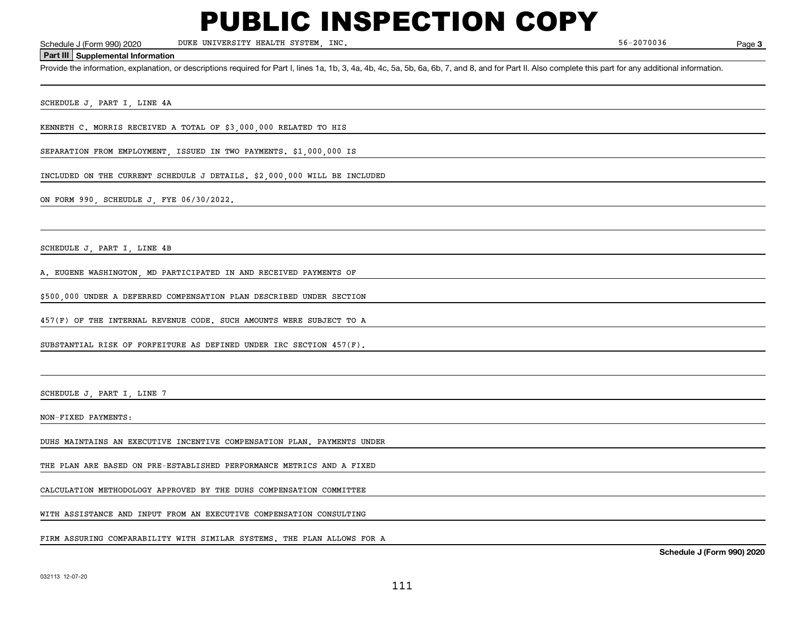DUKE UNIVERSITY HEALTH SYSTEM, INC.

Page 3

#### **Part III Supplemental Information**

Schedule J (Form 990) 2020 DUKE UNIVERSITY HEALTH SYSTEM, INC.<br>Part III Supplemental Information<br>Provide the information, explanation, or descriptions required for Part I, lines 1a, 1b, 3, 4a, 4b, 4c, 5a, 5b, 6a, 6b, 7, an

SCHEDULE J, PART I, LINE 4A

KENNETH C. MORRIS RECEIVED A TOTAL OF \$3,000,000 RELATED TO HIS

SEPARATION FROM EMPLOYMENT, ISSUED IN TWO PAYMENTS. \$1,000,000 IS

INCLUDED ON THE CURRENT SCHEDULE J DETAILS. \$2,000,000 WILL BE INCLUDED

ON FORM 990, SCHEUDLE J, FYE 06/30/2022.

SCHEDULE J, PART I, LINE 4B

A. EUGENE WASHINGTON, MD PARTICIPATED IN AND RECEIVED PAYMENTS OF

\$500,000 UNDER A DEFERRED COMPENSATION PLAN DESCRIBED UNDER SECTION

457(F) OF THE INTERNAL REVENUE CODE. SUCH AMOUNTS WERE SUBJECT TO A

SUBSTANTIAL RISK OF FORFEITURE AS DEFINED UNDER IRC SECTION 457(F).

SCHEDULE J, PART I, LINE 7

NON-FIXED PAYMENTS:

DUHS MAINTAINS AN EXECUTIVE INCENTIVE COMPENSATION PLAN. PAYMENTS UNDER

THE PLAN ARE BASED ON PRE-ESTABLISHED PERFORMANCE METRICS AND A FIXED

CALCULATION METHODOLOGY APPROVED BY THE DUHS COMPENSATION COMMITTEE

WITH ASSISTANCE AND INPUT FROM AN EXECUTIVE COMPENSATION CONSULTING

FIRM ASSURING COMPARABILITY WITH SIMILAR SYSTEMS. THE PLAN ALLOWS FOR A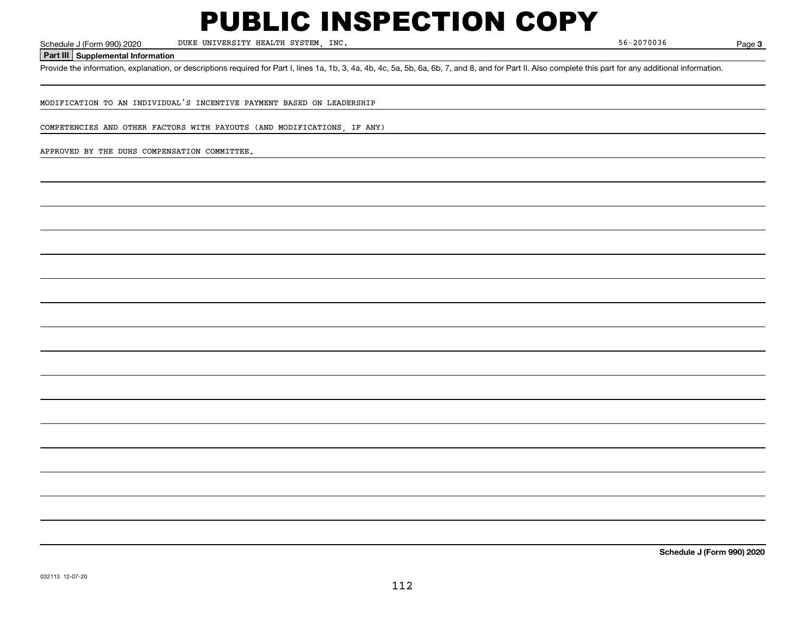DUKE UNIVERSITY HEALTH SYSTEM, INC.

**3**

**Part III Supplemental Information**

Schedule J (Form 990) 2020 DUKE UNIVERSITY HEALTH SYSTEM, INC.<br>Part III Supplemental Information<br>Provide the information, explanation, or descriptions required for Part I, lines 1a, 1b, 3, 4a, 4b, 4c, 5a, 5b, 6a, 6b, 7, an

MODIFICATION TO AN INDIVIDUAL'S INCENTIVE PAYMENT BASED ON LEADERSHIP

COMPETENCIES AND OTHER FACTORS WITH PAYOUTS (AND MODIFICATIONS, IF ANY)

APPROVED BY THE DUHS COMPENSATION COMMITTEE.

**Schedule J (Form 990) 2020**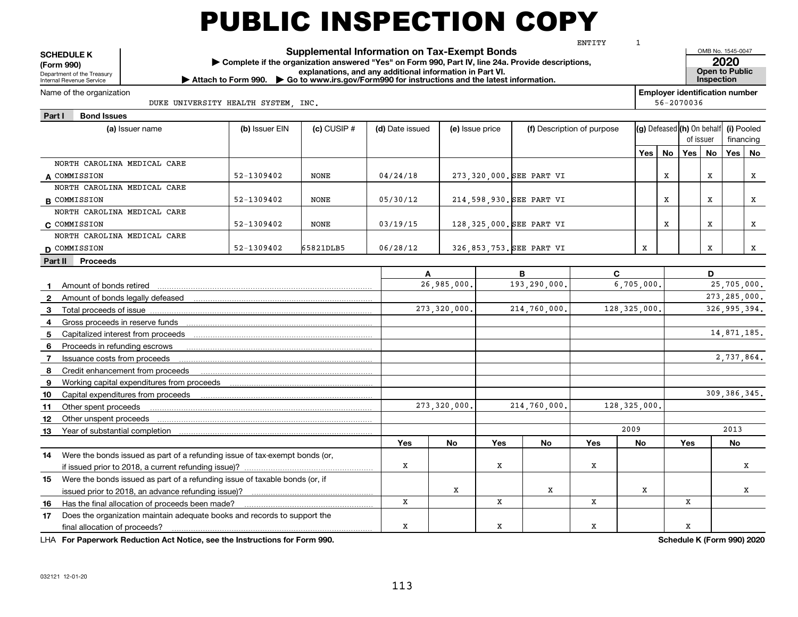OMB No. 1545-0047 Department of the Treasury Internal Revenue Service **SCHEDULE K (Form 990) | Complete if the organization answered "Yes" on Form 990, Part IV, line 24a. Provide descriptions, explanations, and any additional information in Part VI.**<br> **explanations, and any additional information in Part VI.**<br> **explanation in Spection in Part VI.** Inspection ▶ **Attach to Form 990. ▶ Go to www.irs.gov/Form990 for instructions and the latest information. <b>Inspection** and the latest information. **Employer identification number Part I Bond Issues** Name of the organization **Supplemental Information on Tax-Exempt Bonds Open to Public** 56-20700361DUKE UNIVERSITY HEALTH SYSTEM, INC. ENTITY

| (a) Issuer name                                                                             | (b) Issuer EIN | $(c)$ CUSIP $#$ | (d) Date issued | (e) Issue price |     | (f) Description of purpose |                | $ {\bf (g)}$ Defeased $ {\bf (h)}$ On behalf $ {\bf (i)}$ Pooled |      |     | of issuer<br>financing |                |    |
|---------------------------------------------------------------------------------------------|----------------|-----------------|-----------------|-----------------|-----|----------------------------|----------------|------------------------------------------------------------------|------|-----|------------------------|----------------|----|
|                                                                                             |                |                 |                 |                 |     |                            |                | Yes                                                              | No l | Yes | No                     | Yes            | No |
| NORTH CAROLINA MEDICAL CARE                                                                 |                |                 |                 |                 |     |                            |                |                                                                  |      |     |                        |                |    |
| A COMMISSION                                                                                | 52-1309402     | <b>NONE</b>     | 04/24/18        |                 |     | 273, 320, 000. SEE PART VI |                |                                                                  | х    |     | х                      |                | X  |
| NORTH CAROLINA MEDICAL CARE                                                                 |                |                 |                 |                 |     |                            |                |                                                                  |      |     |                        |                |    |
| <b>B</b> COMMISSION                                                                         | 52-1309402     | <b>NONE</b>     | 05/30/12        |                 |     | 214,598,930. SEE PART VI   |                |                                                                  | X    |     | X                      |                | x  |
| NORTH CAROLINA MEDICAL CARE                                                                 |                |                 |                 |                 |     |                            |                |                                                                  |      |     |                        |                |    |
| C COMMISSION                                                                                | 52-1309402     | NONE            | 03/19/15        |                 |     | 128, 325, 000. SEE PART VI |                |                                                                  | х    |     | х                      |                | х  |
| NORTH CAROLINA MEDICAL CARE                                                                 |                |                 |                 |                 |     |                            |                |                                                                  |      |     |                        |                |    |
| D COMMISSION                                                                                | 52-1309402     | 65821DLB5       | 06/28/12        |                 |     | 326,853,753. SEE PART VI   |                | X                                                                |      |     | x                      |                | X  |
| Part II Proceeds                                                                            |                |                 |                 |                 |     |                            |                |                                                                  |      |     |                        |                |    |
|                                                                                             |                |                 | A               |                 |     | в                          | C              |                                                                  |      |     | D                      |                |    |
| Amount of bonds retired<br>$\mathbf{1}$                                                     |                |                 |                 | 26,985,000.     |     | 193,290,000.               |                | 6,705,000.                                                       |      |     |                        | 25,705,000.    |    |
| $\mathbf{2}$                                                                                |                |                 |                 |                 |     |                            |                |                                                                  |      |     |                        | 273, 285, 000. |    |
| -3                                                                                          |                |                 |                 | 273, 320, 000.  |     | 214,760,000.               | 128, 325, 000. |                                                                  |      |     |                        | 326, 995, 394. |    |
| 4                                                                                           |                |                 |                 |                 |     |                            |                |                                                                  |      |     |                        |                |    |
| 5                                                                                           |                |                 |                 |                 |     |                            |                |                                                                  |      |     |                        | 14,871,185.    |    |
| Proceeds in refunding escrows<br>6                                                          |                |                 |                 |                 |     |                            |                |                                                                  |      |     |                        |                |    |
| Issuance costs from proceeds<br>7                                                           |                |                 |                 |                 |     |                            |                |                                                                  |      |     |                        | 2,737,864.     |    |
| Credit enhancement from proceeds<br>8                                                       |                |                 |                 |                 |     |                            |                |                                                                  |      |     |                        |                |    |
| 9                                                                                           |                |                 |                 |                 |     |                            |                |                                                                  |      |     |                        |                |    |
| 10                                                                                          |                |                 |                 |                 |     |                            |                |                                                                  |      |     |                        | 309, 386, 345. |    |
| Other spent proceeds<br>11                                                                  |                |                 |                 | 273,320,000.    |     | 214,760,000.               | 128, 325, 000. |                                                                  |      |     |                        |                |    |
| Other unspent proceeds<br>12                                                                |                |                 |                 |                 |     |                            |                |                                                                  |      |     |                        |                |    |
| Year of substantial completion<br>13                                                        |                |                 |                 |                 |     |                            | 2009           |                                                                  |      |     |                        | 2013           |    |
|                                                                                             |                |                 | Yes             | No              | Yes | No                         | <b>Yes</b>     | No                                                               |      | Yes |                        | No             |    |
| 14 Were the bonds issued as part of a refunding issue of tax-exempt bonds (or,              |                |                 |                 |                 |     |                            |                |                                                                  |      |     |                        |                |    |
|                                                                                             |                |                 | X               |                 | X   |                            | X              |                                                                  |      |     |                        |                | x  |
| Were the bonds issued as part of a refunding issue of taxable bonds (or, if<br>15           |                |                 |                 |                 |     |                            |                |                                                                  |      |     |                        |                |    |
|                                                                                             |                |                 | $\mathbf X$     | X               |     | X                          |                | x                                                                |      |     |                        |                | x  |
| Has the final allocation of proceeds been made?<br>16                                       |                |                 |                 |                 | X   |                            | x              |                                                                  |      | x   |                        |                |    |
| Does the organization maintain adequate books and records to support the<br>17 <sup>2</sup> |                |                 | x               |                 | х   |                            | x              |                                                                  |      | x   |                        |                |    |
| final allocation of proceeds?                                                               |                |                 |                 |                 |     |                            |                |                                                                  |      |     |                        |                |    |

**For Paperwork Reduction Act Notice, see the Instructions for Form 990. Schedule K (Form 990) 2020** LHA

**2020**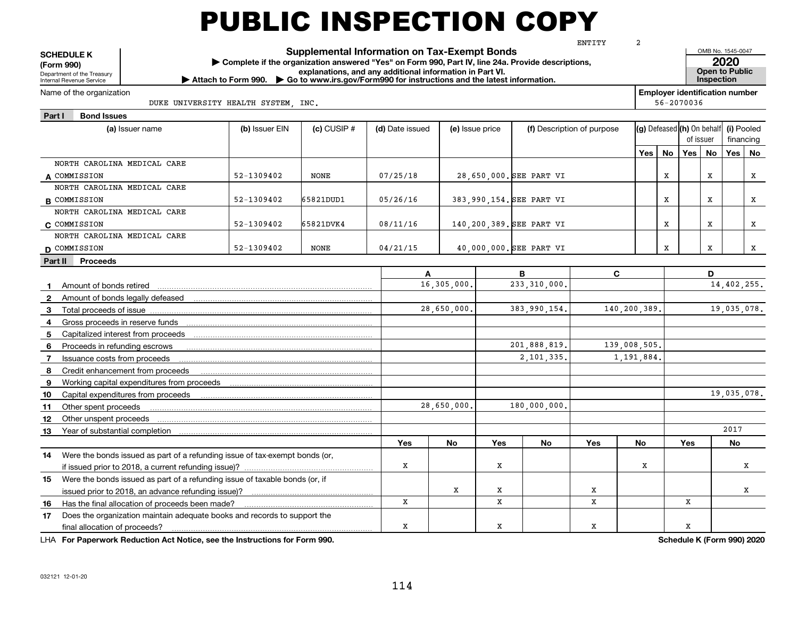OMB No. 1545-0047 Department of the Treasury Internal Revenue Service **SCHEDULE K (Form 990) | Complete if the organization answered "Yes" on Form 990, Part IV, line 24a. Provide descriptions, explanations, and any additional information in Part VI.**<br> **explanations, and any additional information in Part VI.**<br> **explanation in Spection in Part VI.** Inspection ▶ **Attach to Form 990. ▶ Go to www.irs.gov/Form990 for instructions and the latest information. <b>Inspection** and the latest information. **Employer identification number Part I Bond Issues** Name of the organization **Supplemental Information on Tax-Exempt Bonds Open to Public** 56-20700362DUKE UNIVERSITY HEALTH SYSTEM, INC. ENTITY

| (a) Issuer name                                                                   | (b) Issuer EIN | $(c)$ CUSIP $#$ | (d) Date issued | (e) Issue price |     |                          | (f) Description of purpose |            |          | (g) Defeased (h) On behalf<br>of issuer |    | (i) Pooled<br>financing |    |
|-----------------------------------------------------------------------------------|----------------|-----------------|-----------------|-----------------|-----|--------------------------|----------------------------|------------|----------|-----------------------------------------|----|-------------------------|----|
|                                                                                   |                |                 |                 |                 |     |                          |                            |            | Yes   No | Yes                                     | No | Yes                     | No |
| NORTH CAROLINA MEDICAL CARE                                                       |                |                 |                 |                 |     |                          |                            |            |          |                                         |    |                         |    |
| A COMMISSION                                                                      | 52-1309402     | NONE            | 07/25/18        |                 |     | 28,650,000. SEE PART VI  |                            |            | X        |                                         | X  |                         | X  |
| NORTH CAROLINA MEDICAL CARE                                                       |                |                 |                 |                 |     |                          |                            |            |          |                                         |    |                         |    |
| <b>B</b> COMMISSION                                                               | 52-1309402     | 65821DUD1       | 05/26/16        |                 |     | 383,990,154. SEE PART VI |                            |            | х        |                                         | x  |                         | х  |
| NORTH CAROLINA MEDICAL CARE                                                       |                |                 |                 |                 |     |                          |                            |            |          |                                         |    |                         |    |
| C COMMISSION                                                                      | 52-1309402     | 65821DVK4       | 08/11/16        |                 |     | 140,200,389. SEE PART VI |                            |            | X        |                                         | X  |                         | X  |
| NORTH CAROLINA MEDICAL CARE                                                       |                |                 |                 |                 |     |                          |                            |            |          |                                         |    |                         |    |
| D COMMISSION                                                                      | 52-1309402     | NONE            | 04/21/15        |                 |     | 40,000,000. SEE PART VI  |                            |            | х        |                                         | X  |                         | X  |
| Part II Proceeds                                                                  |                |                 |                 |                 |     |                          |                            |            |          |                                         |    |                         |    |
|                                                                                   |                |                 | A               |                 |     | в                        | C                          |            |          |                                         | D  |                         |    |
|                                                                                   |                |                 |                 | 16,305,000.     |     | 233, 310, 000,           |                            |            |          |                                         |    | 14,402,255.             |    |
| $\mathbf{2}$                                                                      |                |                 |                 |                 |     |                          |                            |            |          |                                         |    |                         |    |
| 3                                                                                 |                |                 |                 | 28,650,000.     |     | 383,990,154.             | 140,200,389.               |            |          |                                         |    | 19,035,078.             |    |
| 4                                                                                 |                |                 |                 |                 |     |                          |                            |            |          |                                         |    |                         |    |
| 5                                                                                 |                |                 |                 |                 |     |                          |                            |            |          |                                         |    |                         |    |
| Proceeds in refunding escrows<br>6                                                |                |                 |                 |                 |     | 201,888,819.             | 139,008,505.               |            |          |                                         |    |                         |    |
| Issuance costs from proceeds<br>7                                                 |                |                 |                 |                 |     | 2,101,335.               |                            | 1,191,884. |          |                                         |    |                         |    |
| Credit enhancement from proceeds<br>-8                                            |                |                 |                 |                 |     |                          |                            |            |          |                                         |    |                         |    |
| 9                                                                                 |                |                 |                 |                 |     |                          |                            |            |          |                                         |    |                         |    |
| 10                                                                                |                |                 |                 |                 |     |                          |                            |            |          |                                         |    | 19,035,078.             |    |
| 11                                                                                |                |                 |                 | 28,650,000.     |     | 180,000,000.             |                            |            |          |                                         |    |                         |    |
| Other unspent proceeds<br>12                                                      |                |                 |                 |                 |     |                          |                            |            |          |                                         |    |                         |    |
| Year of substantial completion<br>13                                              |                |                 |                 |                 |     |                          |                            |            |          |                                         |    | 2017                    |    |
|                                                                                   |                |                 | <b>Yes</b>      | No              | Yes | No                       | <b>Yes</b>                 | No         |          | Yes                                     |    | No                      |    |
| Were the bonds issued as part of a refunding issue of tax-exempt bonds (or,<br>14 |                |                 |                 |                 |     |                          |                            |            |          |                                         |    |                         |    |
|                                                                                   |                |                 | x               |                 | Х   |                          |                            | X          |          |                                         |    |                         | x  |
| Were the bonds issued as part of a refunding issue of taxable bonds (or, if<br>15 |                |                 |                 |                 |     |                          |                            |            |          |                                         |    |                         |    |
|                                                                                   |                |                 |                 | х               | х   |                          | x                          |            |          |                                         |    |                         | x  |
| Has the final allocation of proceeds been made?<br>16                             |                |                 | X               |                 | X   |                          | x                          |            |          | x                                       |    |                         |    |
| Does the organization maintain adequate books and records to support the<br>17    |                |                 |                 |                 |     |                          |                            |            |          |                                         |    |                         |    |
|                                                                                   |                |                 | x               |                 | X   |                          | x                          |            |          | х                                       |    |                         |    |

**For Paperwork Reduction Act Notice, see the Instructions for Form 990. Schedule K (Form 990) 2020** LHA

**2020**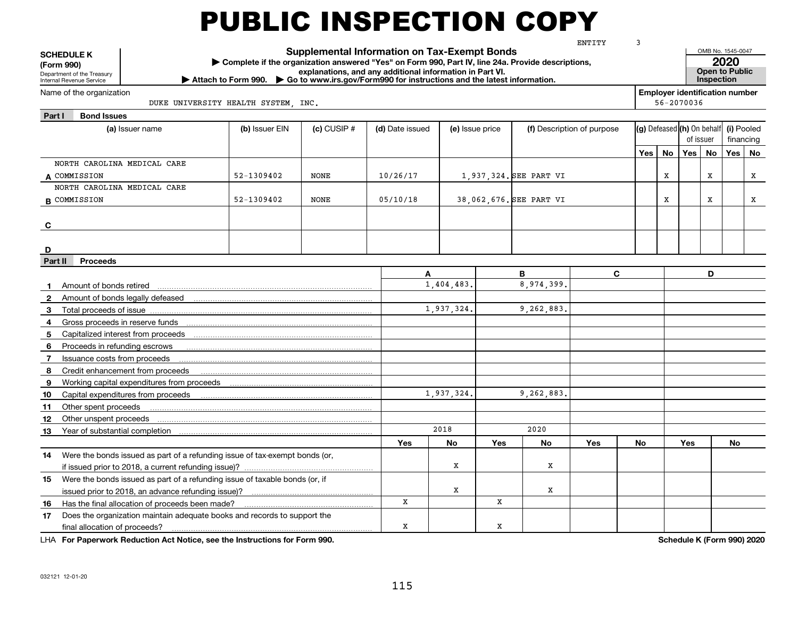|                   | <b>SCHEDULE K</b><br>(Form 990)                        |                                                                                                                             | Complete if the organization answered "Yes" on Form 990, Part IV, line 24a. Provide descriptions, |                 | <b>Supplemental Information on Tax-Exempt Bonds</b>      |                 |     |                         | ENTITY                     | 3   |            |     | OMB No. 1545-0047                                  | 2020 |           |
|-------------------|--------------------------------------------------------|-----------------------------------------------------------------------------------------------------------------------------|---------------------------------------------------------------------------------------------------|-----------------|----------------------------------------------------------|-----------------|-----|-------------------------|----------------------------|-----|------------|-----|----------------------------------------------------|------|-----------|
|                   | Department of the Treasury<br>Internal Revenue Service |                                                                                                                             | Attach to Form 990. Co to www.irs.gov/Form990 for instructions and the latest information.        |                 | explanations, and any additional information in Part VI. |                 |     |                         |                            |     |            |     | Open to Public<br>Inspection                       |      |           |
|                   | Name of the organization                               |                                                                                                                             | DUKE UNIVERSITY HEALTH SYSTEM, INC.                                                               |                 |                                                          |                 |     |                         |                            |     | 56-2070036 |     | <b>Employer identification number</b>              |      |           |
| Part I            | <b>Bond Issues</b>                                     |                                                                                                                             |                                                                                                   |                 |                                                          |                 |     |                         |                            |     |            |     |                                                    |      |           |
|                   |                                                        | (a) Issuer name                                                                                                             | (b) Issuer EIN                                                                                    | $(c)$ CUSIP $#$ | (d) Date issued                                          | (e) Issue price |     |                         | (f) Description of purpose |     |            |     | (g) Defeased (h) On behalf (i) Pooled<br>of issuer |      | financing |
|                   |                                                        |                                                                                                                             |                                                                                                   |                 |                                                          |                 |     |                         |                            | Yes | <b>No</b>  | Yes | <b>No</b>                                          | Yes  | No        |
|                   | NORTH CAROLINA MEDICAL CARE                            |                                                                                                                             |                                                                                                   |                 |                                                          |                 |     |                         |                            |     |            |     |                                                    |      |           |
|                   | A COMMISSION                                           |                                                                                                                             | 52-1309402                                                                                        | <b>NONE</b>     | 10/26/17                                                 |                 |     | 1,937,324. SEE PART VI  |                            |     | X          |     | x                                                  |      | x         |
|                   | NORTH CAROLINA MEDICAL CARE                            |                                                                                                                             |                                                                                                   |                 |                                                          |                 |     |                         |                            |     |            |     |                                                    |      |           |
|                   | <b>B</b> COMMISSION                                    |                                                                                                                             | 52-1309402                                                                                        | <b>NONE</b>     | 05/10/18                                                 |                 |     | 38,062,676. SEE PART VI |                            |     | X          |     | $\mathbf{x}$                                       |      | X         |
|                   |                                                        |                                                                                                                             |                                                                                                   |                 |                                                          |                 |     |                         |                            |     |            |     |                                                    |      |           |
| C                 |                                                        |                                                                                                                             |                                                                                                   |                 |                                                          |                 |     |                         |                            |     |            |     |                                                    |      |           |
|                   |                                                        |                                                                                                                             |                                                                                                   |                 |                                                          |                 |     |                         |                            |     |            |     |                                                    |      |           |
| D                 |                                                        |                                                                                                                             |                                                                                                   |                 |                                                          |                 |     |                         |                            |     |            |     |                                                    |      |           |
| Part II           | <b>Proceeds</b>                                        |                                                                                                                             |                                                                                                   |                 |                                                          |                 |     |                         |                            |     |            |     |                                                    |      |           |
|                   |                                                        |                                                                                                                             |                                                                                                   |                 | A                                                        | 1,404,483.      |     | B<br>8,974,399.         | C                          |     |            |     | D                                                  |      |           |
| $\mathbf 1$       | Amount of bonds retired                                |                                                                                                                             |                                                                                                   |                 |                                                          |                 |     |                         |                            |     |            |     |                                                    |      |           |
| $\mathbf{2}$<br>3 |                                                        | Amount of bonds legally defeased manufactured contain the control of bonds legally defeased                                 |                                                                                                   |                 |                                                          | 1,937,324.      |     | 9,262,883.              |                            |     |            |     |                                                    |      |           |
| 4                 | Gross proceeds in reserve funds                        |                                                                                                                             |                                                                                                   |                 |                                                          |                 |     |                         |                            |     |            |     |                                                    |      |           |
| 5                 | Capitalized interest from proceeds                     |                                                                                                                             |                                                                                                   |                 |                                                          |                 |     |                         |                            |     |            |     |                                                    |      |           |
| 6                 | Proceeds in refunding escrows                          |                                                                                                                             |                                                                                                   |                 |                                                          |                 |     |                         |                            |     |            |     |                                                    |      |           |
| $\overline{7}$    | Issuance costs from proceeds                           |                                                                                                                             |                                                                                                   |                 |                                                          |                 |     |                         |                            |     |            |     |                                                    |      |           |
| 8                 |                                                        | Credit enhancement from proceeds                                                                                            |                                                                                                   |                 |                                                          |                 |     |                         |                            |     |            |     |                                                    |      |           |
| 9                 |                                                        | Working capital expenditures from proceeds                                                                                  |                                                                                                   |                 |                                                          |                 |     |                         |                            |     |            |     |                                                    |      |           |
| 10                |                                                        | Capital expenditures from proceeds                                                                                          |                                                                                                   |                 |                                                          | 1,937,324.      |     | 9,262,883.              |                            |     |            |     |                                                    |      |           |
| 11                | Other spent proceeds                                   |                                                                                                                             |                                                                                                   |                 |                                                          |                 |     |                         |                            |     |            |     |                                                    |      |           |
| 12                | Other unspent proceeds                                 |                                                                                                                             |                                                                                                   |                 |                                                          |                 |     |                         |                            |     |            |     |                                                    |      |           |
| 13                | Year of substantial completion                         |                                                                                                                             |                                                                                                   |                 |                                                          | 2018            |     | 2020                    |                            |     |            |     |                                                    |      |           |
|                   |                                                        |                                                                                                                             |                                                                                                   |                 | Yes                                                      | <b>No</b>       | Yes | No                      | Yes                        | No  |            | Yes |                                                    | No   |           |
| 14                |                                                        | Were the bonds issued as part of a refunding issue of tax-exempt bonds (or,                                                 |                                                                                                   |                 |                                                          |                 |     |                         |                            |     |            |     |                                                    |      |           |
|                   |                                                        |                                                                                                                             |                                                                                                   |                 |                                                          | X               |     | X                       |                            |     |            |     |                                                    |      |           |
| 15                |                                                        | Were the bonds issued as part of a refunding issue of taxable bonds (or, if                                                 |                                                                                                   |                 |                                                          | X               |     | X                       |                            |     |            |     |                                                    |      |           |
|                   |                                                        | issued prior to 2018, an advance refunding issue)?                                                                          |                                                                                                   |                 | X                                                        |                 | x   |                         |                            |     |            |     |                                                    |      |           |
| 16<br>17          |                                                        | Has the final allocation of proceeds been made?<br>Does the organization maintain adequate books and records to support the |                                                                                                   |                 |                                                          |                 |     |                         |                            |     |            |     |                                                    |      |           |
|                   | final allocation of proceeds?                          |                                                                                                                             |                                                                                                   |                 | x                                                        |                 | X   |                         |                            |     |            |     |                                                    |      |           |

**For Paperwork Reduction Act Notice, see the Instructions for Form 990. Schedule K (Form 990) 2020** LHA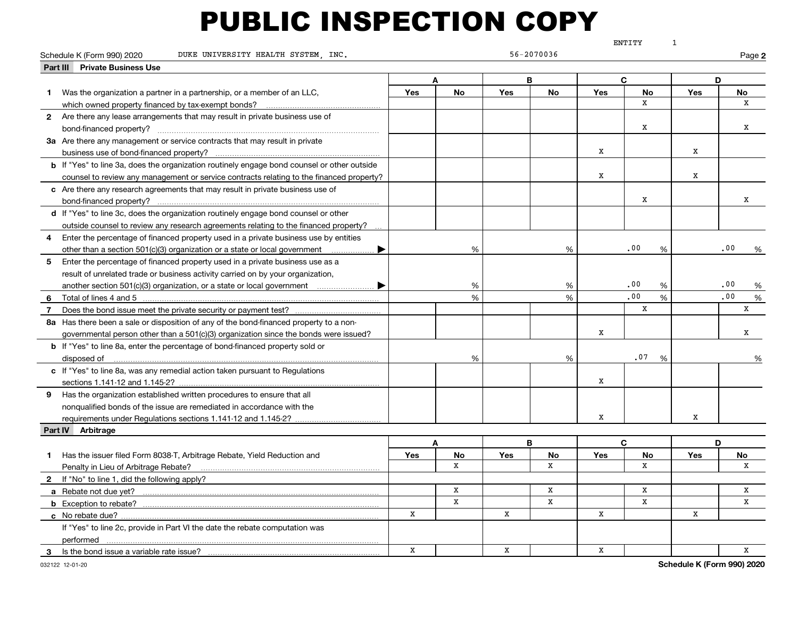|                |                                                                                                    |             |               |            |             |              | ENTITY       | $\mathbf{1}$    |          |
|----------------|----------------------------------------------------------------------------------------------------|-------------|---------------|------------|-------------|--------------|--------------|-----------------|----------|
|                | DUKE UNIVERSITY HEALTH SYSTEM, INC.<br>Schedule K (Form 990) 2020                                  |             |               |            | 56-2070036  |              |              |                 | Page 2   |
|                | <b>Private Business Use</b><br>Part III                                                            |             |               |            |             |              |              |                 |          |
|                |                                                                                                    |             | A             |            | B           |              | C            |                 | D        |
| $\mathbf 1$    | Was the organization a partner in a partnership, or a member of an LLC,                            | Yes         | <b>No</b>     | <b>Yes</b> | No          | Yes          | <b>No</b>    | Yes             | No       |
|                | which owned property financed by tax-exempt bonds?                                                 |             |               |            |             |              | x            |                 | X        |
|                | 2 Are there any lease arrangements that may result in private business use of                      |             |               |            |             |              |              |                 |          |
|                |                                                                                                    |             |               |            |             |              | х            |                 | x        |
|                | 3a Are there any management or service contracts that may result in private                        |             |               |            |             |              |              |                 |          |
|                |                                                                                                    |             |               |            |             | X            |              | X               |          |
|                | <b>b</b> If "Yes" to line 3a, does the organization routinely engage bond counsel or other outside |             |               |            |             |              |              |                 |          |
|                | counsel to review any management or service contracts relating to the financed property?           |             |               |            |             | x            |              | x               |          |
|                | c Are there any research agreements that may result in private business use of                     |             |               |            |             |              |              |                 |          |
|                |                                                                                                    |             |               |            |             |              | x            |                 | X        |
|                | d If "Yes" to line 3c, does the organization routinely engage bond counsel or other                |             |               |            |             |              |              |                 |          |
|                | outside counsel to review any research agreements relating to the financed property?               |             |               |            |             |              |              |                 |          |
|                | Enter the percentage of financed property used in a private business use by entities               |             |               |            |             |              |              |                 |          |
|                | other than a section 501(c)(3) organization or a state or local government $\ldots$ $\blacksquare$ |             | %             |            | %           |              | .00<br>%     |                 | .00<br>% |
| 5              | Enter the percentage of financed property used in a private business use as a                      |             |               |            |             |              |              |                 |          |
|                | result of unrelated trade or business activity carried on by your organization,                    |             |               |            |             |              |              |                 |          |
|                | another section 501(c)(3) organization, or a state or local government                             |             | %             |            | %           |              | .00<br>%     |                 | .00      |
|                |                                                                                                    |             | $\frac{9}{6}$ |            | %           |              | .00<br>%     |                 | .00<br>% |
| $\overline{7}$ |                                                                                                    |             |               |            |             |              | x            |                 | x        |
|                | 8a Has there been a sale or disposition of any of the bond-financed property to a non-             |             |               |            |             |              |              |                 |          |
|                | governmental person other than a 501(c)(3) organization since the bonds were issued?               |             |               |            |             | X            |              |                 | x        |
|                | <b>b</b> If "Yes" to line 8a, enter the percentage of bond-financed property sold or               |             |               |            |             |              |              |                 |          |
|                |                                                                                                    |             | %             |            | %           |              | .07<br>%     |                 | %        |
|                | c If "Yes" to line 8a, was any remedial action taken pursuant to Regulations                       |             |               |            |             |              |              |                 |          |
|                |                                                                                                    |             |               |            |             | X            |              |                 |          |
|                | 9 Has the organization established written procedures to ensure that all                           |             |               |            |             |              |              |                 |          |
|                | nonqualified bonds of the issue are remediated in accordance with the                              |             |               |            |             |              |              |                 |          |
|                | requirements under Regulations sections 1.141-12 and 1.145-2?                                      |             |               |            |             | x            |              | x               |          |
|                | Part IV Arbitrage                                                                                  |             |               |            |             |              |              |                 |          |
|                |                                                                                                    |             | A             |            | B           |              | $\mathbf{C}$ |                 | D        |
|                | 1 Has the issuer filed Form 8038-T, Arbitrage Rebate, Yield Reduction and                          | Yes         | No            | Yes        | No          | Yes          | No           | Yes             | No       |
|                | Penalty in Lieu of Arbitrage Rebate?                                                               |             | X             |            | X           |              | x            |                 | X        |
|                | 2 If "No" to line 1, did the following apply?                                                      |             |               |            |             |              |              |                 |          |
|                |                                                                                                    |             | X             |            | X           |              | X            |                 | X        |
|                |                                                                                                    |             | X             |            | $\mathbf X$ |              | $\mathbf{x}$ |                 | X        |
|                | c No rebate due?                                                                                   | x           |               | x          |             | x            |              | x               |          |
|                | If "Yes" to line 2c, provide in Part VI the date the rebate computation was                        |             |               |            |             |              |              |                 |          |
|                | performed                                                                                          |             |               |            |             |              |              |                 |          |
|                | 3 Is the bond issue a variable rate issue?                                                         | $\mathbf x$ |               | X          |             | $\mathbf{x}$ |              |                 | X        |
|                |                                                                                                    |             |               |            |             |              |              | Cahadria V (Fam |          |

**Schedule K (Form 990) 2020**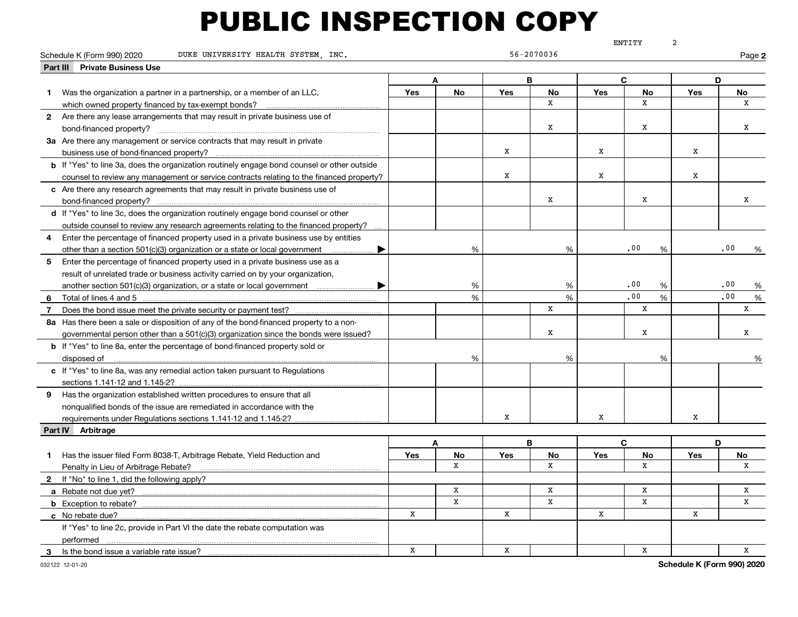|                | Schedule K (Form 990) 2020<br>DUKE UNIVERSITY HEALTH SYSTEM, INC.                                                                   |             |               |             | 56-2070036   |     | ENTITY       |                  | Page 2   |
|----------------|-------------------------------------------------------------------------------------------------------------------------------------|-------------|---------------|-------------|--------------|-----|--------------|------------------|----------|
|                | <b>Part III Private Business Use</b>                                                                                                |             |               |             |              |     |              |                  |          |
|                |                                                                                                                                     |             |               |             | B            |     | C            |                  | D        |
| $\mathbf 1$    |                                                                                                                                     | Yes         | No            | Yes         | No           | Yes | No           | Yes              | No       |
|                | Was the organization a partner in a partnership, or a member of an LLC,                                                             |             |               |             | $\mathbf{x}$ |     | $\mathbf{x}$ |                  | X        |
|                | which owned property financed by tax-exempt bonds?<br>2 Are there any lease arrangements that may result in private business use of |             |               |             |              |     |              |                  |          |
|                |                                                                                                                                     |             |               |             | Х            |     | X            |                  | х        |
|                |                                                                                                                                     |             |               |             |              |     |              |                  |          |
|                | 3a Are there any management or service contracts that may result in private                                                         |             |               | $\mathbf x$ |              | X   |              | $\mathbf X$      |          |
|                |                                                                                                                                     |             |               |             |              |     |              |                  |          |
|                | <b>b</b> If "Yes" to line 3a, does the organization routinely engage bond counsel or other outside                                  |             |               | X           |              | X   |              | x                |          |
|                | counsel to review any management or service contracts relating to the financed property?                                            |             |               |             |              |     |              |                  |          |
|                | c Are there any research agreements that may result in private business use of                                                      |             |               |             | X            |     | x            |                  | x        |
|                | bond-financed property?                                                                                                             |             |               |             |              |     |              |                  |          |
|                | d If "Yes" to line 3c, does the organization routinely engage bond counsel or other                                                 |             |               |             |              |     |              |                  |          |
|                | outside counsel to review any research agreements relating to the financed property?                                                |             |               |             |              |     |              |                  |          |
| 4              | Enter the percentage of financed property used in a private business use by entities                                                |             |               |             |              |     |              |                  |          |
|                | other than a section 501(c)(3) organization or a state or local government                                                          |             | $\%$          |             | %            |     | .00<br>%     |                  | .00<br>% |
| 5              | Enter the percentage of financed property used in a private business use as a                                                       |             |               |             |              |     |              |                  |          |
|                | result of unrelated trade or business activity carried on by your organization,                                                     |             |               |             |              |     |              |                  |          |
|                | another section 501(c)(3) organization, or a state or local government $\ldots$ $\ldots$                                            |             | %             |             | %            |     | .00<br>%     |                  | .00<br>% |
| 6              |                                                                                                                                     |             | $\frac{9}{6}$ |             | %            |     | .00<br>%     |                  | .00<br>% |
| $\overline{7}$ | Does the bond issue meet the private security or payment test?                                                                      |             |               |             | $\mathbf X$  |     | X            |                  | x        |
|                | 8a Has there been a sale or disposition of any of the bond-financed property to a non-                                              |             |               |             |              |     |              |                  |          |
|                | governmental person other than a 501(c)(3) organization since the bonds were issued?                                                |             |               |             | $\mathbf x$  |     | X            |                  | x        |
|                | b If "Yes" to line 8a, enter the percentage of bond-financed property sold or                                                       |             |               |             |              |     |              |                  |          |
|                | disposed of                                                                                                                         |             | %             |             | %            |     | %            |                  | %        |
|                | c If "Yes" to line 8a, was any remedial action taken pursuant to Regulations                                                        |             |               |             |              |     |              |                  |          |
|                |                                                                                                                                     |             |               |             |              |     |              |                  |          |
| 9              | Has the organization established written procedures to ensure that all                                                              |             |               |             |              |     |              |                  |          |
|                | nonqualified bonds of the issue are remediated in accordance with the                                                               |             |               |             |              |     |              |                  |          |
|                | requirements under Regulations sections 1.141-12 and 1.145-2?                                                                       |             |               | X           |              | x   |              | x                |          |
|                | Part IV Arbitrage                                                                                                                   |             |               |             |              |     |              |                  |          |
|                |                                                                                                                                     |             | A             |             | B            |     | C            |                  | D        |
| $\blacksquare$ | Has the issuer filed Form 8038-T, Arbitrage Rebate, Yield Reduction and                                                             | Yes         | No            | <b>Yes</b>  | No           | Yes | No           | <b>Yes</b>       | No       |
|                | Penalty in Lieu of Arbitrage Rebate?                                                                                                |             | X             |             | $\mathbf x$  |     | $\mathbf{x}$ |                  | X        |
| $\mathbf{2}$   | If "No" to line 1, did the following apply?                                                                                         |             |               |             |              |     |              |                  |          |
|                | a Rebate not due yet?                                                                                                               |             | x             |             | x            |     | x            |                  | x        |
|                | <b>b</b> Exception to rebate?                                                                                                       |             | $\mathbf x$   |             | $\mathbf X$  |     | X            |                  | X        |
|                | c No rebate due?                                                                                                                    | $\mathbf X$ |               | $\mathbf x$ |              | X   |              | $\mathbf x$      |          |
|                | If "Yes" to line 2c, provide in Part VI the date the rebate computation was                                                         |             |               |             |              |     |              |                  |          |
|                | performed                                                                                                                           |             |               |             |              |     |              |                  |          |
|                |                                                                                                                                     | $\mathbf x$ |               | X           |              |     | $\mathbf x$  |                  | X        |
|                |                                                                                                                                     |             |               |             |              |     |              | Cohodule V (Form |          |

**Schedule K (Form 990) 2020**

ENTITY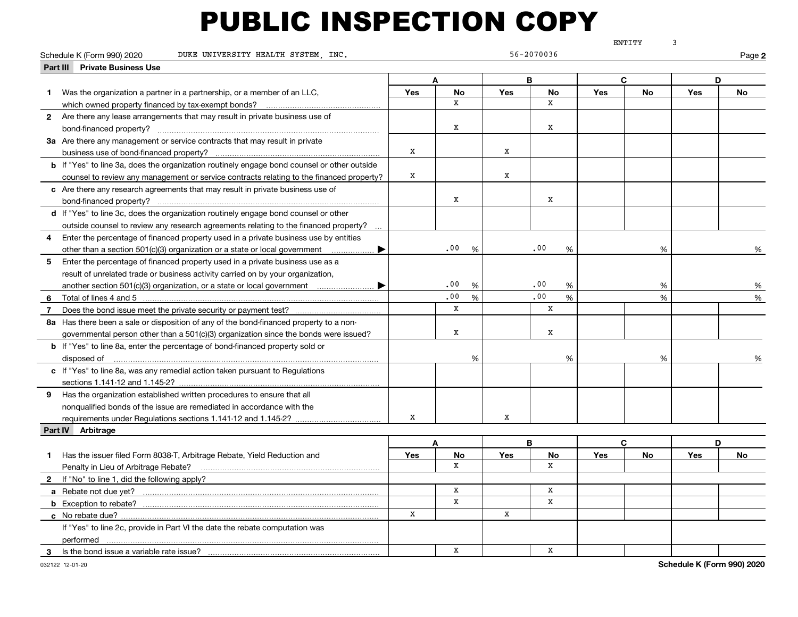|                |                                                                                                    |     |                      |            |              |            | ENTITY    | 3                  |        |
|----------------|----------------------------------------------------------------------------------------------------|-----|----------------------|------------|--------------|------------|-----------|--------------------|--------|
|                | DUKE UNIVERSITY HEALTH SYSTEM, INC.<br>Schedule K (Form 990) 2020                                  |     |                      |            | 56-2070036   |            |           |                    | Page 2 |
|                | <b>Private Business Use</b><br>Part III                                                            |     |                      |            |              |            |           |                    |        |
|                |                                                                                                    |     | A                    |            | B            |            | C         | D                  |        |
| $\mathbf 1$    | Was the organization a partner in a partnership, or a member of an LLC,                            | Yes | <b>No</b>            | <b>Yes</b> | No           | <b>Yes</b> | No        | <b>Yes</b>         | No     |
|                | which owned property financed by tax-exempt bonds?                                                 |     | X                    |            | x            |            |           |                    |        |
|                | 2 Are there any lease arrangements that may result in private business use of                      |     |                      |            |              |            |           |                    |        |
|                |                                                                                                    |     | x                    |            | x            |            |           |                    |        |
|                | 3a Are there any management or service contracts that may result in private                        |     |                      |            |              |            |           |                    |        |
|                |                                                                                                    | X   |                      | x          |              |            |           |                    |        |
|                | <b>b</b> If "Yes" to line 3a, does the organization routinely engage bond counsel or other outside |     |                      |            |              |            |           |                    |        |
|                | counsel to review any management or service contracts relating to the financed property?           | X   |                      | x          |              |            |           |                    |        |
|                | c Are there any research agreements that may result in private business use of                     |     |                      |            |              |            |           |                    |        |
|                | bond-financed property?                                                                            |     | x                    |            | x            |            |           |                    |        |
|                | d If "Yes" to line 3c, does the organization routinely engage bond counsel or other                |     |                      |            |              |            |           |                    |        |
|                | outside counsel to review any research agreements relating to the financed property?               |     |                      |            |              |            |           |                    |        |
| 4              | Enter the percentage of financed property used in a private business use by entities               |     |                      |            |              |            |           |                    |        |
|                | other than a section 501(c)(3) organization or a state or local government                         |     | .00<br>$\frac{0}{6}$ |            | .00<br>%     |            | %         |                    | %      |
| 5              | Enter the percentage of financed property used in a private business use as a                      |     |                      |            |              |            |           |                    |        |
|                | result of unrelated trade or business activity carried on by your organization,                    |     |                      |            |              |            |           |                    |        |
|                |                                                                                                    |     | .00<br>%             |            | .00<br>%     |            | %         |                    | %      |
|                | 6 Total of lines 4 and 5.                                                                          |     | .00<br>$\%$          |            | .00<br>%     |            | %         |                    | %      |
| $\overline{7}$ | Does the bond issue meet the private security or payment test?                                     |     | X                    |            | x            |            |           |                    |        |
|                | 8a Has there been a sale or disposition of any of the bond-financed property to a non-             |     |                      |            |              |            |           |                    |        |
|                | governmental person other than a 501(c)(3) organization since the bonds were issued?               |     | X                    |            | X            |            |           |                    |        |
|                | <b>b</b> If "Yes" to line 8a, enter the percentage of bond-financed property sold or               |     |                      |            |              |            |           |                    |        |
|                | disposed of                                                                                        |     | %                    |            | %            |            | %         |                    | %      |
|                | c If "Yes" to line 8a, was any remedial action taken pursuant to Regulations                       |     |                      |            |              |            |           |                    |        |
|                |                                                                                                    |     |                      |            |              |            |           |                    |        |
|                | 9 Has the organization established written procedures to ensure that all                           |     |                      |            |              |            |           |                    |        |
|                | nonqualified bonds of the issue are remediated in accordance with the                              |     |                      |            |              |            |           |                    |        |
|                | requirements under Regulations sections 1.141-12 and 1.145-2?                                      | x   |                      | x          |              |            |           |                    |        |
|                | Part IV Arbitrage                                                                                  |     |                      |            |              |            |           |                    |        |
|                |                                                                                                    |     | A                    |            | B            |            | C.        | D                  |        |
|                | 1 Has the issuer filed Form 8038-T, Arbitrage Rebate, Yield Reduction and                          | Yes | No                   | Yes        | No           | <b>Yes</b> | <b>No</b> | Yes                | No     |
|                | Penalty in Lieu of Arbitrage Rebate?                                                               |     | X                    |            | x            |            |           |                    |        |
|                | 2 If "No" to line 1, did the following apply?                                                      |     |                      |            |              |            |           |                    |        |
|                |                                                                                                    |     | x                    |            | X            |            |           |                    |        |
|                |                                                                                                    |     | $\mathbf x$          |            | $\mathbf{x}$ |            |           |                    |        |
|                | c No rebate due?                                                                                   | X   |                      | x          |              |            |           |                    |        |
|                | If "Yes" to line 2c, provide in Part VI the date the rebate computation was                        |     |                      |            |              |            |           |                    |        |
|                | performed                                                                                          |     |                      |            |              |            |           |                    |        |
|                | 3 Is the bond issue a variable rate issue?                                                         |     | $\mathbf x$          |            | $\mathbf x$  |            |           |                    |        |
|                |                                                                                                    |     |                      |            |              |            |           | Cohodrile V (Found |        |

**Schedule K (Form 990) 2020**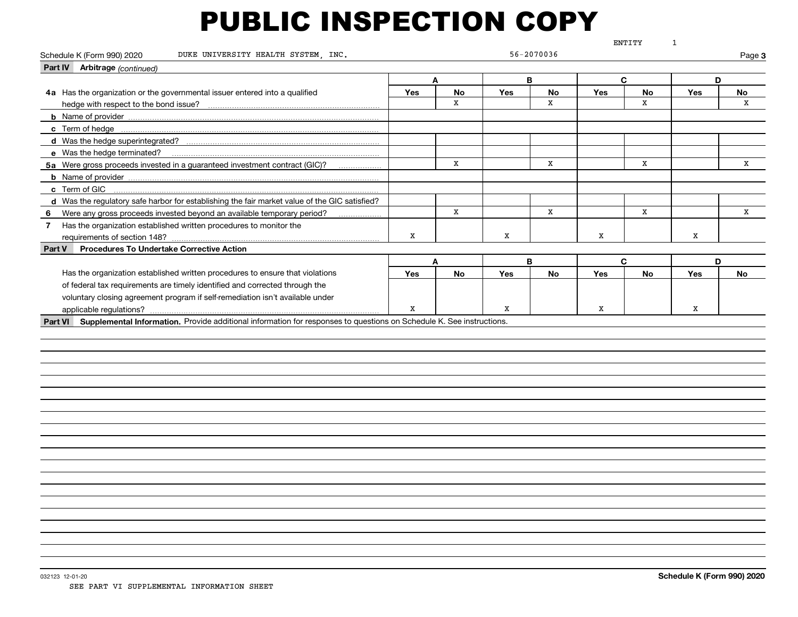|                                                                                                                              |             |              |            |             |            | ENTITY      | $\mathbf{1}$ |        |
|------------------------------------------------------------------------------------------------------------------------------|-------------|--------------|------------|-------------|------------|-------------|--------------|--------|
| DUKE UNIVERSITY HEALTH SYSTEM, INC.<br>Schedule K (Form 990) 2020                                                            |             |              |            | 56-2070036  |            |             |              | Page 3 |
| Part IV Arbitrage (continued)                                                                                                |             |              |            |             |            |             |              |        |
|                                                                                                                              |             | A            | B          |             |            | C           | D            |        |
| 4a Has the organization or the governmental issuer entered into a qualified                                                  | <b>Yes</b>  | <b>No</b>    | <b>Yes</b> | <b>No</b>   | <b>Yes</b> | <b>No</b>   | <b>Yes</b>   | No     |
| hedge with respect to the bond issue?                                                                                        |             | $\mathbf{x}$ |            | $\mathbf x$ |            | $\mathbf x$ |              | X      |
|                                                                                                                              |             |              |            |             |            |             |              |        |
|                                                                                                                              |             |              |            |             |            |             |              |        |
|                                                                                                                              |             |              |            |             |            |             |              |        |
| e Was the hedge terminated?                                                                                                  |             |              |            |             |            |             |              |        |
| 5a Were gross proceeds invested in a guaranteed investment contract (GIC)?                                                   |             | x            |            | X           |            | x           |              | X      |
|                                                                                                                              |             |              |            |             |            |             |              |        |
| c Term of GIC                                                                                                                |             |              |            |             |            |             |              |        |
| d Was the regulatory safe harbor for establishing the fair market value of the GIC satisfied?                                |             |              |            |             |            |             |              |        |
| 6 Were any gross proceeds invested beyond an available temporary period?                                                     |             | x            |            | X           |            | X           |              | X      |
| 7 Has the organization established written procedures to monitor the                                                         |             |              |            |             |            |             |              |        |
| requirements of section 148?                                                                                                 | x           |              | x          |             | x          |             | x            |        |
| <b>Procedures To Undertake Corrective Action</b><br>Part V                                                                   |             |              |            |             |            |             |              |        |
|                                                                                                                              |             | A            | B          |             |            | C           | D            |        |
| Has the organization established written procedures to ensure that violations                                                | Yes         | <b>No</b>    | <b>Yes</b> | <b>No</b>   | Yes        | <b>No</b>   | <b>Yes</b>   | No     |
| of federal tax requirements are timely identified and corrected through the                                                  |             |              |            |             |            |             |              |        |
| voluntary closing agreement program if self-remediation isn't available under                                                |             |              |            |             |            |             |              |        |
| applicable regulations?                                                                                                      | $\mathbf x$ |              | X          |             | X          |             | X            |        |
| Part VI Supplemental Information. Provide additional information for responses to questions on Schedule K. See instructions. |             |              |            |             |            |             |              |        |
|                                                                                                                              |             |              |            |             |            |             |              |        |
|                                                                                                                              |             |              |            |             |            |             |              |        |
|                                                                                                                              |             |              |            |             |            |             |              |        |
|                                                                                                                              |             |              |            |             |            |             |              |        |
|                                                                                                                              |             |              |            |             |            |             |              |        |
|                                                                                                                              |             |              |            |             |            |             |              |        |
|                                                                                                                              |             |              |            |             |            |             |              |        |
|                                                                                                                              |             |              |            |             |            |             |              |        |
|                                                                                                                              |             |              |            |             |            |             |              |        |
|                                                                                                                              |             |              |            |             |            |             |              |        |
|                                                                                                                              |             |              |            |             |            |             |              |        |
|                                                                                                                              |             |              |            |             |            |             |              |        |
|                                                                                                                              |             |              |            |             |            |             |              |        |
|                                                                                                                              |             |              |            |             |            |             |              |        |
|                                                                                                                              |             |              |            |             |            |             |              |        |
|                                                                                                                              |             |              |            |             |            |             |              |        |
|                                                                                                                              |             |              |            |             |            |             |              |        |
|                                                                                                                              |             |              |            |             |            |             |              |        |
|                                                                                                                              |             |              |            |             |            |             |              |        |
|                                                                                                                              |             |              |            |             |            |             |              |        |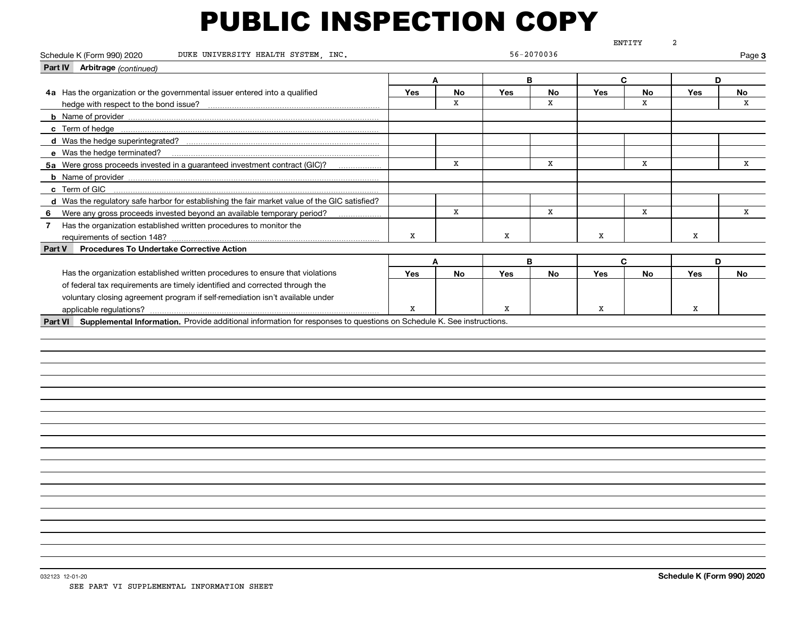|                                                                                                                              |     |             |            |             |     | ENTITY      | 2          |        |
|------------------------------------------------------------------------------------------------------------------------------|-----|-------------|------------|-------------|-----|-------------|------------|--------|
| Schedule K (Form 990) 2020<br>DUKE UNIVERSITY HEALTH SYSTEM, INC.                                                            |     |             |            | 56-2070036  |     |             |            | Page 3 |
| Part IV Arbitrage (continued)                                                                                                |     |             |            |             |     |             |            |        |
|                                                                                                                              |     | A           |            | B           |     | C           | D          |        |
| 4a Has the organization or the governmental issuer entered into a qualified                                                  | Yes | <b>No</b>   | <b>Yes</b> | No          | Yes | <b>No</b>   | <b>Yes</b> | No     |
| hedge with respect to the bond issue?                                                                                        |     | $\mathbf x$ |            | $\mathbf x$ |     | $\mathbf x$ |            | X      |
|                                                                                                                              |     |             |            |             |     |             |            |        |
|                                                                                                                              |     |             |            |             |     |             |            |        |
| d Was the hedge superintegrated?                                                                                             |     |             |            |             |     |             |            |        |
| e Was the hedge terminated?                                                                                                  |     |             |            |             |     |             |            |        |
| 5a Were gross proceeds invested in a guaranteed investment contract (GIC)?                                                   |     | x           |            | x           |     | x           |            | x      |
|                                                                                                                              |     |             |            |             |     |             |            |        |
| c Term of GIC                                                                                                                |     |             |            |             |     |             |            |        |
| d Was the regulatory safe harbor for establishing the fair market value of the GIC satisfied?                                |     |             |            |             |     |             |            |        |
| Were any gross proceeds invested beyond an available temporary period?<br>6                                                  |     | X           |            | X           |     | x           |            | X      |
| 7 Has the organization established written procedures to monitor the                                                         |     |             |            |             |     |             |            |        |
| requirements of section 148?                                                                                                 | x   |             | x          |             | x   |             | x          |        |
| <b>Procedures To Undertake Corrective Action</b><br>Part V                                                                   |     |             |            |             |     |             |            |        |
|                                                                                                                              |     | A           |            | B           |     | C           | D          |        |
| Has the organization established written procedures to ensure that violations                                                | Yes | <b>No</b>   | <b>Yes</b> | <b>No</b>   | Yes | <b>No</b>   | <b>Yes</b> | No     |
| of federal tax requirements are timely identified and corrected through the                                                  |     |             |            |             |     |             |            |        |
| voluntary closing agreement program if self-remediation isn't available under                                                |     |             |            |             |     |             |            |        |
| applicable regulations?                                                                                                      | X   |             | x          |             | x   |             | X          |        |
| Part VI Supplemental Information. Provide additional information for responses to questions on Schedule K. See instructions. |     |             |            |             |     |             |            |        |
|                                                                                                                              |     |             |            |             |     |             |            |        |
|                                                                                                                              |     |             |            |             |     |             |            |        |
|                                                                                                                              |     |             |            |             |     |             |            |        |
|                                                                                                                              |     |             |            |             |     |             |            |        |
|                                                                                                                              |     |             |            |             |     |             |            |        |
|                                                                                                                              |     |             |            |             |     |             |            |        |
|                                                                                                                              |     |             |            |             |     |             |            |        |
|                                                                                                                              |     |             |            |             |     |             |            |        |
|                                                                                                                              |     |             |            |             |     |             |            |        |
|                                                                                                                              |     |             |            |             |     |             |            |        |
|                                                                                                                              |     |             |            |             |     |             |            |        |
|                                                                                                                              |     |             |            |             |     |             |            |        |
|                                                                                                                              |     |             |            |             |     |             |            |        |
|                                                                                                                              |     |             |            |             |     |             |            |        |
|                                                                                                                              |     |             |            |             |     |             |            |        |
|                                                                                                                              |     |             |            |             |     |             |            |        |
|                                                                                                                              |     |             |            |             |     |             |            |        |
|                                                                                                                              |     |             |            |             |     |             |            |        |
|                                                                                                                              |     |             |            |             |     |             |            |        |
|                                                                                                                              |     |             |            |             |     |             |            |        |
|                                                                                                                              |     |             |            |             |     |             |            |        |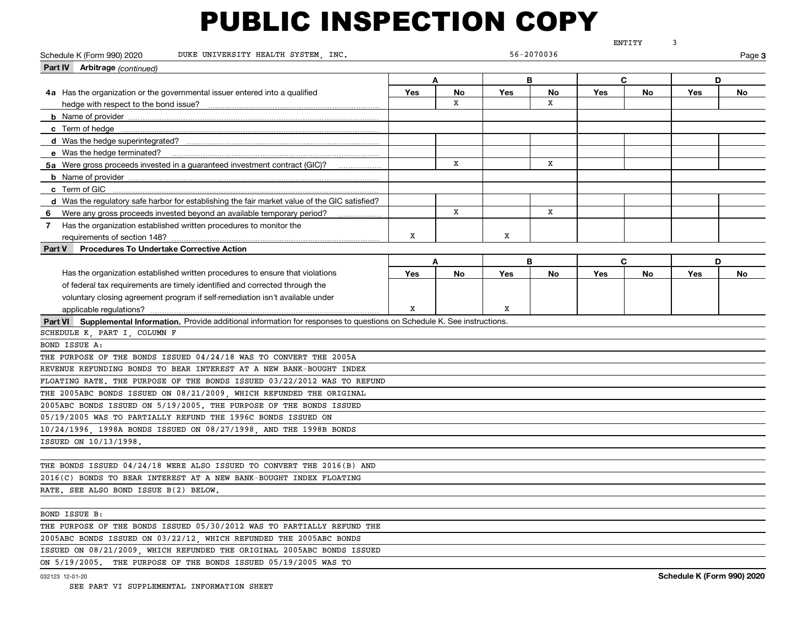|                                                                                                                              |     |    |            |            |     | ENTITY    | 3   |        |
|------------------------------------------------------------------------------------------------------------------------------|-----|----|------------|------------|-----|-----------|-----|--------|
| Schedule K (Form 990) 2020<br>DUKE UNIVERSITY HEALTH SYSTEM INC.                                                             |     |    |            | 56-2070036 |     |           |     | Page 3 |
| Part IV Arbitrage (continued)                                                                                                |     |    |            |            |     |           |     |        |
|                                                                                                                              |     | Α  |            | В          |     | C         | D   |        |
| 4a Has the organization or the governmental issuer entered into a qualified                                                  | Yes | No | Yes        | No         | Yes | No        | Yes | No     |
| hedge with respect to the bond issue?                                                                                        |     | x  |            | X          |     |           |     |        |
|                                                                                                                              |     |    |            |            |     |           |     |        |
|                                                                                                                              |     |    |            |            |     |           |     |        |
| d Was the hedge superintegrated?                                                                                             |     |    |            |            |     |           |     |        |
| e Was the hedge terminated?                                                                                                  |     |    |            |            |     |           |     |        |
| 5a Were gross proceeds invested in a guaranteed investment contract (GIC)?                                                   |     | x  |            | X          |     |           |     |        |
|                                                                                                                              |     |    |            |            |     |           |     |        |
| c Term of GIC                                                                                                                |     |    |            |            |     |           |     |        |
| d Was the regulatory safe harbor for establishing the fair market value of the GIC satisfied?                                |     |    |            |            |     |           |     |        |
| 6 Were any gross proceeds invested beyond an available temporary period?                                                     |     | x  |            | X          |     |           |     |        |
| Has the organization established written procedures to monitor the<br>7 <sup>7</sup>                                         |     |    |            |            |     |           |     |        |
|                                                                                                                              | X   |    | х          |            |     |           |     |        |
| <b>Procedures To Undertake Corrective Action</b><br><b>Part V</b>                                                            |     |    |            |            |     |           |     |        |
|                                                                                                                              |     | A  |            | В          |     | C         | D   |        |
| Has the organization established written procedures to ensure that violations                                                | Yes | No | <b>Yes</b> | No         | Yes | <b>No</b> | Yes | No     |
| of federal tax requirements are timely identified and corrected through the                                                  |     |    |            |            |     |           |     |        |
| voluntary closing agreement program if self-remediation isn't available under                                                |     |    |            |            |     |           |     |        |
| applicable regulations?                                                                                                      | X   |    | X          |            |     |           |     |        |
| Part VI Supplemental Information. Provide additional information for responses to questions on Schedule K. See instructions. |     |    |            |            |     |           |     |        |
| SCHEDULE K, PART I, COLUMN F                                                                                                 |     |    |            |            |     |           |     |        |
| BOND ISSUE A:                                                                                                                |     |    |            |            |     |           |     |        |
| THE PURPOSE OF THE BONDS ISSUED 04/24/18 WAS TO CONVERT THE 2005A                                                            |     |    |            |            |     |           |     |        |
| REVENUE REFUNDING BONDS TO BEAR INTEREST AT A NEW BANK-BOUGHT INDEX                                                          |     |    |            |            |     |           |     |        |
| FLOATING RATE. THE PURPOSE OF THE BONDS ISSUED 03/22/2012 WAS TO REFUND                                                      |     |    |            |            |     |           |     |        |
| THE 2005ABC BONDS ISSUED ON 08/21/2009, WHICH REFUNDED THE ORIGINAL                                                          |     |    |            |            |     |           |     |        |
| 2005ABC BONDS ISSUED ON 5/19/2005. THE PURPOSE OF THE BONDS ISSUED                                                           |     |    |            |            |     |           |     |        |
| 05/19/2005 WAS TO PARTIALLY REFUND THE 1996C BONDS ISSUED ON                                                                 |     |    |            |            |     |           |     |        |
| 10/24/1996, 1998A BONDS ISSUED ON 08/27/1998, AND THE 1998B BONDS                                                            |     |    |            |            |     |           |     |        |
| ISSUED ON 10/13/1998.                                                                                                        |     |    |            |            |     |           |     |        |
|                                                                                                                              |     |    |            |            |     |           |     |        |
| THE BONDS ISSUED 04/24/18 WERE ALSO ISSUED TO CONVERT THE 2016(B) AND                                                        |     |    |            |            |     |           |     |        |
| 2016(C) BONDS TO BEAR INTEREST AT A NEW BANK-BOUGHT INDEX FLOATING                                                           |     |    |            |            |     |           |     |        |
| RATE. SEE ALSO BOND ISSUE B(2) BELOW,                                                                                        |     |    |            |            |     |           |     |        |
|                                                                                                                              |     |    |            |            |     |           |     |        |
| BOND ISSUE B:                                                                                                                |     |    |            |            |     |           |     |        |
| THE PURPOSE OF THE BONDS ISSUED 05/30/2012 WAS TO PARTIALLY REFUND THE                                                       |     |    |            |            |     |           |     |        |
| 2005ABC BONDS ISSUED ON 03/22/12, WHICH REFUNDED THE 2005ABC BONDS                                                           |     |    |            |            |     |           |     |        |
| ISSUED ON 08/21/2009, WHICH REFUNDED THE ORIGINAL 2005ABC BONDS ISSUED                                                       |     |    |            |            |     |           |     |        |
| ON 5/19/2005. THE PURPOSE OF THE BONDS ISSUED 05/19/2005 WAS TO                                                              |     |    |            |            |     |           |     |        |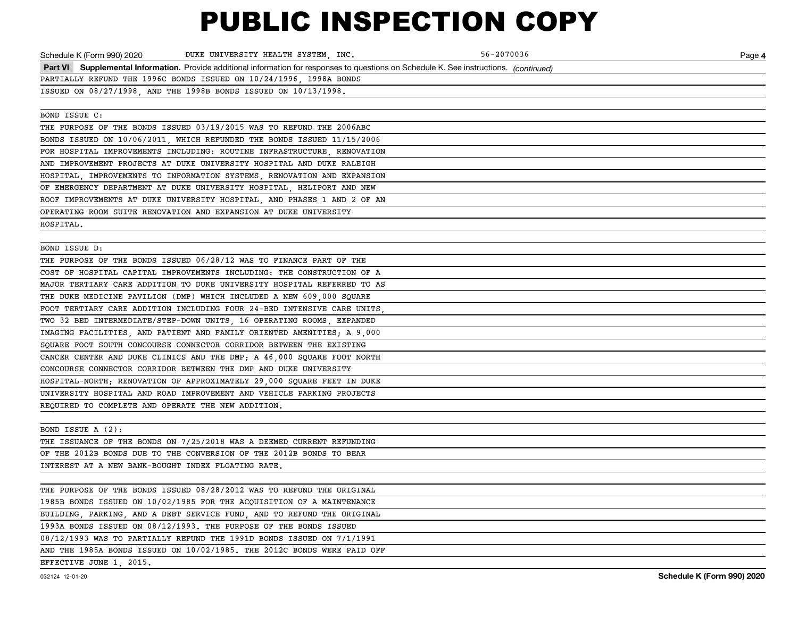|                                                    | Schedule K (Form 990) 2020 DUKE UNIVERSITY HEALTH SYSTEM, INC.                                                                           | 56-2070036 | Page 4 |
|----------------------------------------------------|------------------------------------------------------------------------------------------------------------------------------------------|------------|--------|
|                                                    | Part VI Supplemental Information. Provide additional information for responses to questions on Schedule K. See instructions. (continued) |            |        |
|                                                    | PARTIALLY REFUND THE 1996C BONDS ISSUED ON 10/24/1996, 1998A BONDS                                                                       |            |        |
|                                                    | ISSUED ON 08/27/1998, AND THE 1998B BONDS ISSUED ON 10/13/1998.                                                                          |            |        |
|                                                    |                                                                                                                                          |            |        |
| BOND ISSUE C:                                      |                                                                                                                                          |            |        |
|                                                    | THE PURPOSE OF THE BONDS ISSUED 03/19/2015 WAS TO REFUND THE 2006ABC                                                                     |            |        |
|                                                    | BONDS ISSUED ON 10/06/2011, WHICH REFUNDED THE BONDS ISSUED 11/15/2006                                                                   |            |        |
|                                                    | FOR HOSPITAL IMPROVEMENTS INCLUDING: ROUTINE INFRASTRUCTURE RENOVATION                                                                   |            |        |
|                                                    | AND IMPROVEMENT PROJECTS AT DUKE UNIVERSITY HOSPITAL AND DUKE RALEIGH                                                                    |            |        |
|                                                    | HOSPITAL, IMPROVEMENTS TO INFORMATION SYSTEMS, RENOVATION AND EXPANSION                                                                  |            |        |
|                                                    | OF EMERGENCY DEPARTMENT AT DUKE UNIVERSITY HOSPITAL, HELIPORT AND NEW                                                                    |            |        |
|                                                    | ROOF IMPROVEMENTS AT DUKE UNIVERSITY HOSPITAL, AND PHASES 1 AND 2 OF AN                                                                  |            |        |
|                                                    | OPERATING ROOM SUITE RENOVATION AND EXPANSION AT DUKE UNIVERSITY                                                                         |            |        |
| HOSPITAL.                                          |                                                                                                                                          |            |        |
|                                                    |                                                                                                                                          |            |        |
| BOND ISSUE D:                                      |                                                                                                                                          |            |        |
|                                                    | THE PURPOSE OF THE BONDS ISSUED 06/28/12 WAS TO FINANCE PART OF THE                                                                      |            |        |
|                                                    | COST OF HOSPITAL CAPITAL IMPROVEMENTS INCLUDING: THE CONSTRUCTION OF A                                                                   |            |        |
|                                                    | MAJOR TERTIARY CARE ADDITION TO DUKE UNIVERSITY HOSPITAL REFERRED TO AS                                                                  |            |        |
|                                                    | THE DUKE MEDICINE PAVILION (DMP) WHICH INCLUDED A NEW 609,000 SQUARE                                                                     |            |        |
|                                                    | FOOT TERTIARY CARE ADDITION INCLUDING FOUR 24-BED INTENSIVE CARE UNITS                                                                   |            |        |
|                                                    | TWO 32 BED INTERMEDIATE/STEP-DOWN UNITS, 16 OPERATING ROOMS, EXPANDED                                                                    |            |        |
|                                                    | IMAGING FACILITIES, AND PATIENT AND FAMILY ORIENTED AMENITIES; A 9,000                                                                   |            |        |
|                                                    | SQUARE FOOT SOUTH CONCOURSE CONNECTOR CORRIDOR BETWEEN THE EXISTING                                                                      |            |        |
|                                                    | CANCER CENTER AND DUKE CLINICS AND THE DMP; A 46,000 SQUARE FOOT NORTH                                                                   |            |        |
|                                                    | CONCOURSE CONNECTOR CORRIDOR BETWEEN THE DMP AND DUKE UNIVERSITY                                                                         |            |        |
|                                                    | HOSPITAL-NORTH; RENOVATION OF APPROXIMATELY 29,000 SQUARE FEET IN DUKE                                                                   |            |        |
|                                                    | UNIVERSITY HOSPITAL AND ROAD IMPROVEMENT AND VEHICLE PARKING PROJECTS                                                                    |            |        |
| REQUIRED TO COMPLETE AND OPERATE THE NEW ADDITION. |                                                                                                                                          |            |        |
|                                                    |                                                                                                                                          |            |        |
| BOND ISSUE A (2):                                  |                                                                                                                                          |            |        |
|                                                    | THE ISSUANCE OF THE BONDS ON 7/25/2018 WAS A DEEMED CURRENT REFUNDING                                                                    |            |        |
|                                                    | OF THE 2012B BONDS DUE TO THE CONVERSION OF THE 2012B BONDS TO BEAR                                                                      |            |        |
| INTEREST AT A NEW BANK-BOUGHT INDEX FLOATING RATE. |                                                                                                                                          |            |        |
|                                                    |                                                                                                                                          |            |        |
|                                                    | THE PURPOSE OF THE BONDS ISSUED 08/28/2012 WAS TO REFUND THE ORIGINAL                                                                    |            |        |
|                                                    | 1985B BONDS ISSUED ON 10/02/1985 FOR THE ACOUISITION OF A MAINTENANCE                                                                    |            |        |
|                                                    | BUILDING, PARKING, AND A DEBT SERVICE FUND, AND TO REFUND THE ORIGINAL                                                                   |            |        |
|                                                    | 1993A BONDS ISSUED ON 08/12/1993. THE PURPOSE OF THE BONDS ISSUED                                                                        |            |        |
|                                                    | 08/12/1993 WAS TO PARTIALLY REFUND THE 1991D BONDS ISSUED ON 7/1/1991                                                                    |            |        |
|                                                    | AND THE 1985A BONDS ISSUED ON 10/02/1985. THE 2012C BONDS WERE PAID OFF                                                                  |            |        |
| EFFECTIVE JUNE 1 2015.                             |                                                                                                                                          |            |        |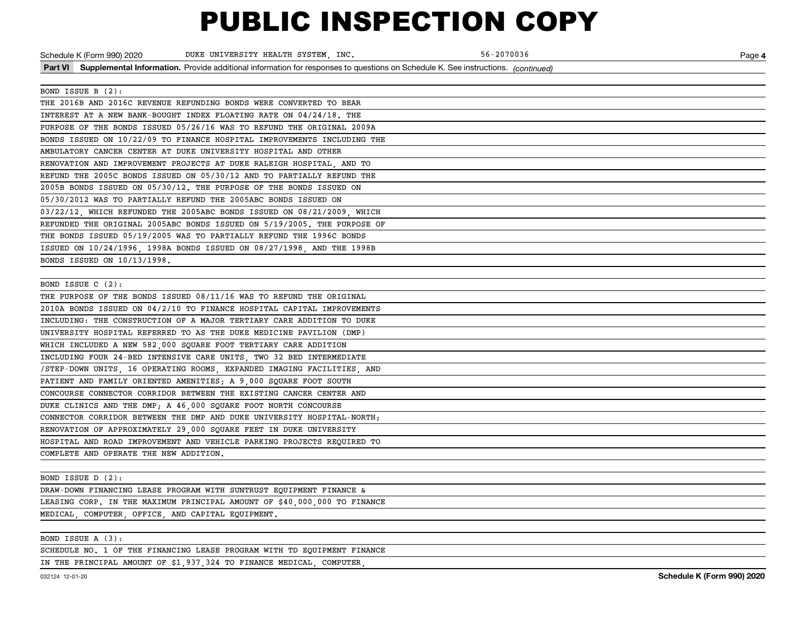| Schedule K (Form 990) 2020             | DUKE UNIVERSITY HEALTH SYSTEM, INC.                                                                                                      | 56-2070036 | Page 4 |
|----------------------------------------|------------------------------------------------------------------------------------------------------------------------------------------|------------|--------|
|                                        | Part VI Supplemental Information. Provide additional information for responses to questions on Schedule K. See instructions. (continued) |            |        |
|                                        |                                                                                                                                          |            |        |
| BOND ISSUE B (2):                      |                                                                                                                                          |            |        |
|                                        | THE 2016B AND 2016C REVENUE REFUNDING BONDS WERE CONVERTED TO BEAR                                                                       |            |        |
|                                        | INTEREST AT A NEW BANK-BOUGHT INDEX FLOATING RATE ON 04/24/18. THE                                                                       |            |        |
|                                        | PURPOSE OF THE BONDS ISSUED 05/26/16 WAS TO REFUND THE ORIGINAL 2009A                                                                    |            |        |
|                                        | BONDS ISSUED ON 10/22/09 TO FINANCE HOSPITAL IMPROVEMENTS INCLUDING THE                                                                  |            |        |
|                                        | AMBULATORY CANCER CENTER AT DUKE UNIVERSITY HOSPITAL AND OTHER                                                                           |            |        |
|                                        | RENOVATION AND IMPROVEMENT PROJECTS AT DUKE RALEIGH HOSPITAL, AND TO                                                                     |            |        |
|                                        | REFUND THE 2005C BONDS ISSUED ON 05/30/12 AND TO PARTIALLY REFUND THE                                                                    |            |        |
|                                        | 2005B BONDS ISSUED ON 05/30/12. THE PURPOSE OF THE BONDS ISSUED ON                                                                       |            |        |
|                                        | 05/30/2012 WAS TO PARTIALLY REFUND THE 2005ABC BONDS ISSUED ON                                                                           |            |        |
|                                        | 03/22/12, WHICH REFUNDED THE 2005ABC BONDS ISSUED ON 08/21/2009, WHICH                                                                   |            |        |
|                                        | REFUNDED THE ORIGINAL 2005ABC BONDS ISSUED ON 5/19/2005. THE PURPOSE OF                                                                  |            |        |
|                                        | THE BONDS ISSUED 05/19/2005 WAS TO PARTIALLY REFUND THE 1996C BONDS                                                                      |            |        |
|                                        | ISSUED ON 10/24/1996, 1998A BONDS ISSUED ON 08/27/1998, AND THE 1998B                                                                    |            |        |
| BONDS ISSUED ON 10/13/1998.            |                                                                                                                                          |            |        |
|                                        |                                                                                                                                          |            |        |
| BOND ISSUE C (2):                      |                                                                                                                                          |            |        |
|                                        | THE PURPOSE OF THE BONDS ISSUED 08/11/16 WAS TO REFUND THE ORIGINAL                                                                      |            |        |
|                                        | 2010A BONDS ISSUED ON 04/2/10 TO FINANCE HOSPITAL CAPITAL IMPROVEMENTS                                                                   |            |        |
|                                        | INCLUDING: THE CONSTRUCTION OF A MAJOR TERTIARY CARE ADDITION TO DUKE                                                                    |            |        |
|                                        | UNIVERSITY HOSPITAL REFERRED TO AS THE DUKE MEDICINE PAVILION (DMP)                                                                      |            |        |
|                                        | WHICH INCLUDED A NEW 582,000 SQUARE FOOT TERTIARY CARE ADDITION                                                                          |            |        |
|                                        | INCLUDING FOUR 24-BED INTENSIVE CARE UNITS, TWO 32 BED INTERMEDIATE                                                                      |            |        |
|                                        | /STEP-DOWN UNITS, 16 OPERATING ROOMS, EXPANDED IMAGING FACILITIES, AND                                                                   |            |        |
|                                        | PATIENT AND FAMILY ORIENTED AMENITIES; A 9,000 SQUARE FOOT SOUTH                                                                         |            |        |
|                                        | CONCOURSE CONNECTOR CORRIDOR BETWEEN THE EXISTING CANCER CENTER AND                                                                      |            |        |
|                                        | DUKE CLINICS AND THE DMP; A 46,000 SQUARE FOOT NORTH CONCOURSE                                                                           |            |        |
|                                        | CONNECTOR CORRIDOR BETWEEN THE DMP AND DUKE UNIVERSITY HOSPITAL-NORTH;                                                                   |            |        |
|                                        | RENOVATION OF APPROXIMATELY 29,000 SQUARE FEET IN DUKE UNIVERSITY                                                                        |            |        |
|                                        | HOSPITAL AND ROAD IMPROVEMENT AND VEHICLE PARKING PROJECTS REQUIRED TO                                                                   |            |        |
| COMPLETE AND OPERATE THE NEW ADDITION. |                                                                                                                                          |            |        |
|                                        |                                                                                                                                          |            |        |
| BOND ISSUE D (2):                      |                                                                                                                                          |            |        |

DRAW-DOWN FINANCING LEASE PROGRAM WITH SUNTRUST EQUIPMENT FINANCE & LEASING CORP. IN THE MAXIMUM PRINCIPAL AMOUNT OF \$40,000,000 TO FINANCE MEDICAL, COMPUTER, OFFICE, AND CAPITAL EQUIPMENT.

BOND ISSUE A (3):

SCHEDULE NO. 1 OF THE FINANCING LEASE PROGRAM WITH TD EQUIPMENT FINANCE

IN THE PRINCIPAL AMOUNT OF \$1,937,324 TO FINANCE MEDICAL, COMPUTER,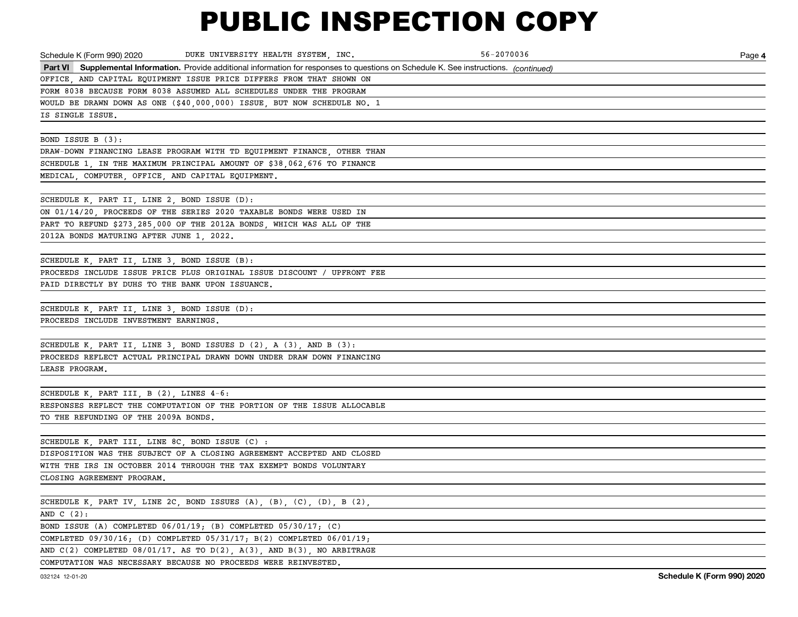| DUKE UNIVERSITY HEALTH SYSTEM, INC.<br>Schedule K (Form 990) 2020                                                                        | 56-2070036 | Page 4 |
|------------------------------------------------------------------------------------------------------------------------------------------|------------|--------|
| Part VI Supplemental Information. Provide additional information for responses to questions on Schedule K. See instructions. (continued) |            |        |
| OFFICE, AND CAPITAL EQUIPMENT ISSUE PRICE DIFFERS FROM THAT SHOWN ON                                                                     |            |        |
| FORM 8038 BECAUSE FORM 8038 ASSUMED ALL SCHEDULES UNDER THE PROGRAM                                                                      |            |        |
| WOULD BE DRAWN DOWN AS ONE (\$40,000,000) ISSUE, BUT NOW SCHEDULE NO. 1                                                                  |            |        |
| IS SINGLE ISSUE.                                                                                                                         |            |        |
|                                                                                                                                          |            |        |
| BOND ISSUE B (3):                                                                                                                        |            |        |
| DRAW-DOWN FINANCING LEASE PROGRAM WITH TD EQUIPMENT FINANCE, OTHER THAN                                                                  |            |        |
| SCHEDULE 1, IN THE MAXIMUM PRINCIPAL AMOUNT OF \$38,062,676 TO FINANCE                                                                   |            |        |
| MEDICAL, COMPUTER, OFFICE, AND CAPITAL EQUIPMENT.                                                                                        |            |        |
|                                                                                                                                          |            |        |
| SCHEDULE K, PART II, LINE 2, BOND ISSUE (D):                                                                                             |            |        |
| ON 01/14/20, PROCEEDS OF THE SERIES 2020 TAXABLE BONDS WERE USED IN                                                                      |            |        |
| PART TO REFUND \$273,285,000 OF THE 2012A BONDS, WHICH WAS ALL OF THE                                                                    |            |        |
| 2012A BONDS MATURING AFTER JUNE 1, 2022.                                                                                                 |            |        |
|                                                                                                                                          |            |        |
| SCHEDULE K, PART II, LINE 3, BOND ISSUE (B):                                                                                             |            |        |
| PROCEEDS INCLUDE ISSUE PRICE PLUS ORIGINAL ISSUE DISCOUNT / UPFRONT FEE                                                                  |            |        |
| PAID DIRECTLY BY DUHS TO THE BANK UPON ISSUANCE.                                                                                         |            |        |
|                                                                                                                                          |            |        |
| SCHEDULE K, PART II, LINE 3, BOND ISSUE (D):                                                                                             |            |        |
| PROCEEDS INCLUDE INVESTMENT EARNINGS.                                                                                                    |            |        |
|                                                                                                                                          |            |        |
| SCHEDULE K, PART II, LINE 3, BOND ISSUES D $(2)$ , A $(3)$ , AND B $(3)$ :                                                               |            |        |
| PROCEEDS REFLECT ACTUAL PRINCIPAL DRAWN DOWN UNDER DRAW DOWN FINANCING                                                                   |            |        |
| LEASE PROGRAM.                                                                                                                           |            |        |
|                                                                                                                                          |            |        |
| SCHEDULE K. PART III. B $(2)$ . LINES $4-6$ :                                                                                            |            |        |
| RESPONSES REFLECT THE COMPUTATION OF THE PORTION OF THE ISSUE ALLOCABLE                                                                  |            |        |
| TO THE REFUNDING OF THE 2009A BONDS.                                                                                                     |            |        |
|                                                                                                                                          |            |        |
| SCHEDULE K, PART III, LINE 8C, BOND ISSUE (C) :                                                                                          |            |        |
| DISPOSITION WAS THE SUBJECT OF A CLOSING AGREEMENT ACCEPTED AND CLOSED                                                                   |            |        |
| WITH THE IRS IN OCTOBER 2014 THROUGH THE TAX EXEMPT BONDS VOLUNTARY                                                                      |            |        |
| CLOSING AGREEMENT PROGRAM.                                                                                                               |            |        |
|                                                                                                                                          |            |        |
| SCHEDULE K, PART IV, LINE 2C, BOND ISSUES $(A)$ , $(B)$ , $(C)$ , $(D)$ , B $(2)$ ,                                                      |            |        |
| AND $C(2)$ :                                                                                                                             |            |        |
| BOND ISSUE (A) COMPLETED 06/01/19; (B) COMPLETED 05/30/17; (C)                                                                           |            |        |
| COMPLETED 09/30/16; (D) COMPLETED 05/31/17; B(2) COMPLETED 06/01/19;                                                                     |            |        |
| AND $C(2)$ COMPLETED 08/01/17. AS TO $D(2)$ , A(3), AND B(3), NO ARBITRAGE                                                               |            |        |

COMPUTATION WAS NECESSARY BECAUSE NO PROCEEDS WERE REINVESTED.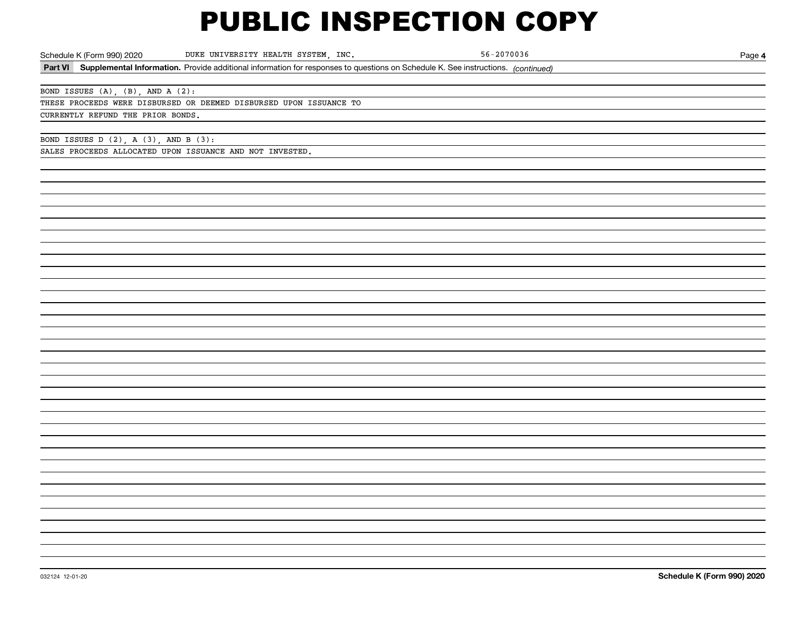| Schedule K (Form 990) 2020                 |                                   | DUKE UNIVERSITY HEALTH SYSTEM, INC.                                                                                                      | $56 - 2070036$ | Page 4                     |
|--------------------------------------------|-----------------------------------|------------------------------------------------------------------------------------------------------------------------------------------|----------------|----------------------------|
|                                            |                                   | Part VI Supplemental Information. Provide additional information for responses to questions on Schedule K. See instructions. (continued) |                |                            |
|                                            |                                   |                                                                                                                                          |                |                            |
|                                            | BOND ISSUES (A), (B), AND A (2):  |                                                                                                                                          |                |                            |
|                                            |                                   | THESE PROCEEDS WERE DISBURSED OR DEEMED DISBURSED UPON ISSUANCE TO                                                                       |                |                            |
|                                            | CURRENTLY REFUND THE PRIOR BONDS. |                                                                                                                                          |                |                            |
|                                            |                                   |                                                                                                                                          |                |                            |
| BOND ISSUES $D(2)$ , $A(3)$ , $AND B(3)$ : |                                   |                                                                                                                                          |                |                            |
|                                            |                                   | SALES PROCEEDS ALLOCATED UPON ISSUANCE AND NOT INVESTED.                                                                                 |                |                            |
|                                            |                                   |                                                                                                                                          |                |                            |
|                                            |                                   |                                                                                                                                          |                |                            |
|                                            |                                   |                                                                                                                                          |                |                            |
|                                            |                                   |                                                                                                                                          |                |                            |
|                                            |                                   |                                                                                                                                          |                |                            |
|                                            |                                   |                                                                                                                                          |                |                            |
|                                            |                                   |                                                                                                                                          |                |                            |
|                                            |                                   |                                                                                                                                          |                |                            |
|                                            |                                   |                                                                                                                                          |                |                            |
|                                            |                                   |                                                                                                                                          |                |                            |
|                                            |                                   |                                                                                                                                          |                |                            |
|                                            |                                   |                                                                                                                                          |                |                            |
|                                            |                                   |                                                                                                                                          |                |                            |
|                                            |                                   |                                                                                                                                          |                |                            |
|                                            |                                   |                                                                                                                                          |                |                            |
|                                            |                                   |                                                                                                                                          |                |                            |
|                                            |                                   |                                                                                                                                          |                |                            |
|                                            |                                   |                                                                                                                                          |                |                            |
|                                            |                                   |                                                                                                                                          |                |                            |
|                                            |                                   |                                                                                                                                          |                |                            |
|                                            |                                   |                                                                                                                                          |                |                            |
|                                            |                                   |                                                                                                                                          |                |                            |
|                                            |                                   |                                                                                                                                          |                |                            |
|                                            |                                   |                                                                                                                                          |                |                            |
|                                            |                                   |                                                                                                                                          |                |                            |
|                                            |                                   |                                                                                                                                          |                |                            |
|                                            |                                   |                                                                                                                                          |                |                            |
|                                            |                                   |                                                                                                                                          |                |                            |
|                                            |                                   |                                                                                                                                          |                |                            |
|                                            |                                   |                                                                                                                                          |                |                            |
|                                            |                                   |                                                                                                                                          |                |                            |
|                                            |                                   |                                                                                                                                          |                |                            |
|                                            |                                   |                                                                                                                                          |                |                            |
| 032124 12-01-20                            |                                   |                                                                                                                                          |                | Schedule K (Form 990) 2020 |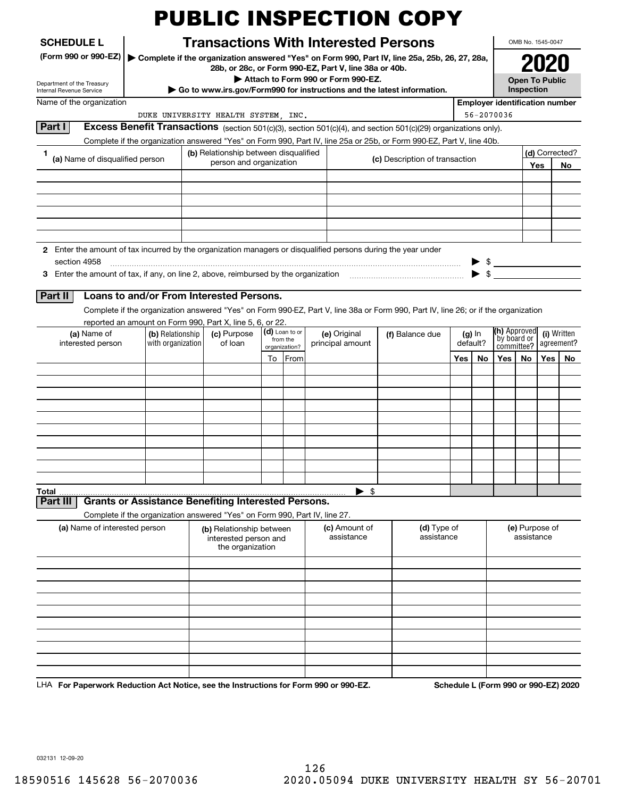| <b>SCHEDULE L</b>                                                                                             |                   |                                                                                                                                          |                                                                                             | <b>Transactions With Interested Persons</b> |                                                                                                                                                                                                                                        |           |                                       | OMB No. 1545-0047          |                       |             |  |
|---------------------------------------------------------------------------------------------------------------|-------------------|------------------------------------------------------------------------------------------------------------------------------------------|---------------------------------------------------------------------------------------------|---------------------------------------------|----------------------------------------------------------------------------------------------------------------------------------------------------------------------------------------------------------------------------------------|-----------|---------------------------------------|----------------------------|-----------------------|-------------|--|
| (Form 990 or 990-EZ)                                                                                          |                   |                                                                                                                                          |                                                                                             |                                             | Complete if the organization answered "Yes" on Form 990, Part IV, line 25a, 25b, 26, 27, 28a,                                                                                                                                          |           |                                       |                            |                       |             |  |
|                                                                                                               |                   |                                                                                                                                          | 28b, or 28c, or Form 990-EZ, Part V, line 38a or 40b.<br>Attach to Form 990 or Form 990-EZ. |                                             |                                                                                                                                                                                                                                        |           |                                       |                            | <b>Open To Public</b> |             |  |
| Department of the Treasury<br>Internal Revenue Service                                                        |                   |                                                                                                                                          | $\triangleright$ Go to www.irs.gov/Form990 for instructions and the latest information.     |                                             |                                                                                                                                                                                                                                        |           |                                       | Inspection                 |                       |             |  |
| Name of the organization                                                                                      |                   |                                                                                                                                          |                                                                                             |                                             |                                                                                                                                                                                                                                        |           | <b>Employer identification number</b> |                            |                       |             |  |
| Part I                                                                                                        |                   | DUKE UNIVERSITY HEALTH SYSTEM, INC.                                                                                                      |                                                                                             |                                             |                                                                                                                                                                                                                                        |           | 56-2070036                            |                            |                       |             |  |
|                                                                                                               |                   |                                                                                                                                          |                                                                                             |                                             | Excess Benefit Transactions (section 501(c)(3), section 501(c)(4), and section 501(c)(29) organizations only).<br>Complete if the organization answered "Yes" on Form 990, Part IV, line 25a or 25b, or Form 990-EZ, Part V, line 40b. |           |                                       |                            |                       |             |  |
| 1.                                                                                                            |                   | (b) Relationship between disqualified                                                                                                    |                                                                                             |                                             |                                                                                                                                                                                                                                        |           |                                       |                            | (d) Corrected?        |             |  |
| (a) Name of disqualified person                                                                               |                   | person and organization                                                                                                                  |                                                                                             |                                             | (c) Description of transaction                                                                                                                                                                                                         |           |                                       |                            | Yes                   | No          |  |
|                                                                                                               |                   |                                                                                                                                          |                                                                                             |                                             |                                                                                                                                                                                                                                        |           |                                       |                            |                       |             |  |
|                                                                                                               |                   |                                                                                                                                          |                                                                                             |                                             |                                                                                                                                                                                                                                        |           |                                       |                            |                       |             |  |
|                                                                                                               |                   |                                                                                                                                          |                                                                                             |                                             |                                                                                                                                                                                                                                        |           |                                       |                            |                       |             |  |
|                                                                                                               |                   |                                                                                                                                          |                                                                                             |                                             |                                                                                                                                                                                                                                        |           |                                       |                            |                       |             |  |
|                                                                                                               |                   |                                                                                                                                          |                                                                                             |                                             |                                                                                                                                                                                                                                        |           |                                       |                            |                       |             |  |
| 2 Enter the amount of tax incurred by the organization managers or disqualified persons during the year under |                   |                                                                                                                                          |                                                                                             |                                             |                                                                                                                                                                                                                                        |           |                                       |                            |                       |             |  |
| section 4958                                                                                                  |                   |                                                                                                                                          |                                                                                             |                                             |                                                                                                                                                                                                                                        |           |                                       |                            |                       |             |  |
|                                                                                                               |                   |                                                                                                                                          |                                                                                             |                                             |                                                                                                                                                                                                                                        |           | \$.                                   |                            |                       |             |  |
| <b>Part II</b>                                                                                                |                   | Loans to and/or From Interested Persons.                                                                                                 |                                                                                             |                                             |                                                                                                                                                                                                                                        |           |                                       |                            |                       |             |  |
|                                                                                                               |                   |                                                                                                                                          |                                                                                             |                                             | Complete if the organization answered "Yes" on Form 990-EZ, Part V, line 38a or Form 990, Part IV, line 26; or if the organization                                                                                                     |           |                                       |                            |                       |             |  |
|                                                                                                               |                   |                                                                                                                                          |                                                                                             |                                             |                                                                                                                                                                                                                                        |           |                                       |                            |                       |             |  |
|                                                                                                               |                   |                                                                                                                                          |                                                                                             |                                             |                                                                                                                                                                                                                                        |           |                                       |                            |                       |             |  |
| (a) Name of                                                                                                   | (b) Relationship  | reported an amount on Form 990, Part X, line 5, 6, or 22.<br>(c) Purpose                                                                 | (d) Loan to or                                                                              | (e) Original                                | (f) Balance due                                                                                                                                                                                                                        | $(g)$ In  |                                       | <b>(h)</b> Approved        |                       |             |  |
| interested person                                                                                             | with organization | of loan                                                                                                                                  | from the<br>organization?                                                                   | principal amount                            |                                                                                                                                                                                                                                        | default?  |                                       | `by board or<br>committee? | agreement?            | (i) Written |  |
|                                                                                                               |                   |                                                                                                                                          | From<br>To                                                                                  |                                             |                                                                                                                                                                                                                                        | Yes<br>No | Yes                                   | No                         | Yes                   |             |  |
|                                                                                                               |                   |                                                                                                                                          |                                                                                             |                                             |                                                                                                                                                                                                                                        |           |                                       |                            |                       | No          |  |
|                                                                                                               |                   |                                                                                                                                          |                                                                                             |                                             |                                                                                                                                                                                                                                        |           |                                       |                            |                       |             |  |
|                                                                                                               |                   |                                                                                                                                          |                                                                                             |                                             |                                                                                                                                                                                                                                        |           |                                       |                            |                       |             |  |
|                                                                                                               |                   |                                                                                                                                          |                                                                                             |                                             |                                                                                                                                                                                                                                        |           |                                       |                            |                       |             |  |
|                                                                                                               |                   |                                                                                                                                          |                                                                                             |                                             |                                                                                                                                                                                                                                        |           |                                       |                            |                       |             |  |
|                                                                                                               |                   |                                                                                                                                          |                                                                                             |                                             |                                                                                                                                                                                                                                        |           |                                       |                            |                       |             |  |
|                                                                                                               |                   |                                                                                                                                          |                                                                                             |                                             |                                                                                                                                                                                                                                        |           |                                       |                            |                       |             |  |
|                                                                                                               |                   |                                                                                                                                          |                                                                                             |                                             |                                                                                                                                                                                                                                        |           |                                       |                            |                       |             |  |
|                                                                                                               |                   |                                                                                                                                          |                                                                                             |                                             |                                                                                                                                                                                                                                        |           |                                       |                            |                       |             |  |
| Total<br><b>Part III</b>                                                                                      |                   |                                                                                                                                          |                                                                                             | $\blacktriangleright$ \$                    |                                                                                                                                                                                                                                        |           |                                       |                            |                       |             |  |
|                                                                                                               |                   | <b>Grants or Assistance Benefiting Interested Persons.</b><br>Complete if the organization answered "Yes" on Form 990, Part IV, line 27. |                                                                                             |                                             |                                                                                                                                                                                                                                        |           |                                       |                            |                       |             |  |
| (a) Name of interested person                                                                                 |                   | (b) Relationship between                                                                                                                 |                                                                                             | (c) Amount of                               | (d) Type of                                                                                                                                                                                                                            |           |                                       | (e) Purpose of             |                       |             |  |
|                                                                                                               |                   | interested person and                                                                                                                    |                                                                                             | assistance                                  | assistance                                                                                                                                                                                                                             |           |                                       | assistance                 |                       |             |  |
|                                                                                                               |                   | the organization                                                                                                                         |                                                                                             |                                             |                                                                                                                                                                                                                                        |           |                                       |                            |                       |             |  |
|                                                                                                               |                   |                                                                                                                                          |                                                                                             |                                             |                                                                                                                                                                                                                                        |           |                                       |                            |                       |             |  |
|                                                                                                               |                   |                                                                                                                                          |                                                                                             |                                             |                                                                                                                                                                                                                                        |           |                                       |                            |                       |             |  |
|                                                                                                               |                   |                                                                                                                                          |                                                                                             |                                             |                                                                                                                                                                                                                                        |           |                                       |                            |                       |             |  |
|                                                                                                               |                   |                                                                                                                                          |                                                                                             |                                             |                                                                                                                                                                                                                                        |           |                                       |                            |                       |             |  |
|                                                                                                               |                   |                                                                                                                                          |                                                                                             |                                             |                                                                                                                                                                                                                                        |           |                                       |                            |                       |             |  |
|                                                                                                               |                   |                                                                                                                                          |                                                                                             |                                             |                                                                                                                                                                                                                                        |           |                                       |                            |                       |             |  |
|                                                                                                               |                   |                                                                                                                                          |                                                                                             |                                             |                                                                                                                                                                                                                                        |           |                                       |                            |                       |             |  |

032131 12-09-20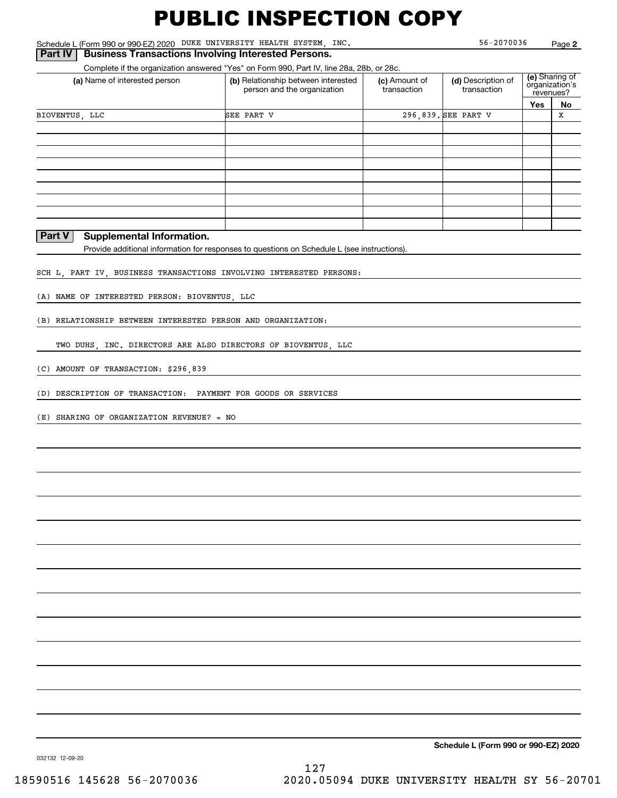Schedule L (Form 990 or 990-EZ) 2020 Page DUKE UNIVERSITY HEALTH SYSTEM, INC.

Complete if the organization answered "Yes" on Form 990, Part IV, line 28a, 28b, or 28c.

| (a) Name of interested person | (b) Relationship between interested<br>person and the organization | (c) Amount of<br>transaction | (d) Description of<br>transaction | (e) Sharing of<br>organization's<br>revenues? |    |
|-------------------------------|--------------------------------------------------------------------|------------------------------|-----------------------------------|-----------------------------------------------|----|
|                               |                                                                    |                              |                                   | Yes                                           | No |
| BIOVENTUS, LLC                | SEE PART V                                                         |                              | 296,839. SEE PART V               |                                               | х  |
|                               |                                                                    |                              |                                   |                                               |    |
|                               |                                                                    |                              |                                   |                                               |    |
|                               |                                                                    |                              |                                   |                                               |    |
|                               |                                                                    |                              |                                   |                                               |    |
|                               |                                                                    |                              |                                   |                                               |    |
|                               |                                                                    |                              |                                   |                                               |    |
|                               |                                                                    |                              |                                   |                                               |    |
|                               |                                                                    |                              |                                   |                                               |    |
|                               |                                                                    |                              |                                   |                                               |    |

#### **Part V Supplemental Information.**

Provide additional information for responses to questions on Schedule L (see instructions).

SCH L, PART IV, BUSINESS TRANSACTIONS INVOLVING INTERESTED PERSONS:

(A) NAME OF INTERESTED PERSON: BIOVENTUS, LLC

(B) RELATIONSHIP BETWEEN INTERESTED PERSON AND ORGANIZATION:

TWO DUHS, INC. DIRECTORS ARE ALSO DIRECTORS OF BIOVENTUS, LLC

(C) AMOUNT OF TRANSACTION: \$296,839

(D) DESCRIPTION OF TRANSACTION: PAYMENT FOR GOODS OR SERVICES

(E) SHARING OF ORGANIZATION REVENUE? = NO

**Schedule L (Form 990 or 990-EZ) 2020**

032132 12-09-20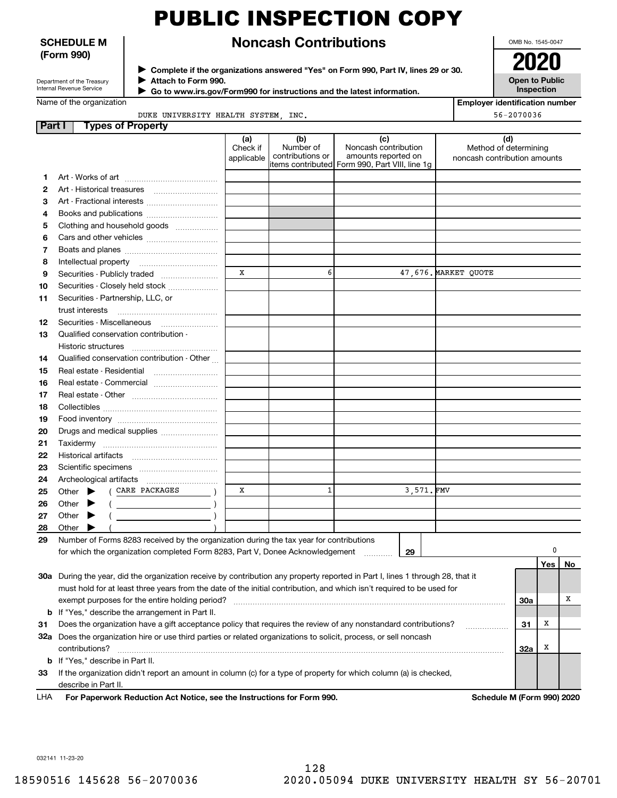#### **SCHEDULE M (Form 990)**

Department of the Treasury Internal Revenue Service

### **Noncash Contributions**

**Complete if the organizations answered "Yes" on Form 990, Part IV, lines 29 or 30.** <sup>J</sup>**2020 Attach to Form 990.** J

 **Go to www.irs.gov/Form990 for instructions and the latest information.** J

| ----                  |  |
|-----------------------|--|
| <b>Open to Public</b> |  |
| <b>Inspection</b>     |  |

OMB No. 1545-0047

**Employer identification number**

56-2070036

Name of the organization

DUKE UNIVERSITY HEALTH SYSTEM, INC.

| Part I | <b>Types of Property</b>                                                                                                                                                  |                               |                                      |                                                    |           |                                                              |            |          |    |
|--------|---------------------------------------------------------------------------------------------------------------------------------------------------------------------------|-------------------------------|--------------------------------------|----------------------------------------------------|-----------|--------------------------------------------------------------|------------|----------|----|
|        |                                                                                                                                                                           | (a)<br>Check if<br>applicable | (b)<br>Number of<br>contributions or | (c)<br>Noncash contribution<br>amounts reported on |           | (d)<br>Method of determining<br>noncash contribution amounts |            |          |    |
|        |                                                                                                                                                                           |                               |                                      | items contributed Form 990, Part VIII, line 1g     |           |                                                              |            |          |    |
| 1      |                                                                                                                                                                           |                               |                                      |                                                    |           |                                                              |            |          |    |
| 2      | Art - Historical treasures                                                                                                                                                |                               |                                      |                                                    |           |                                                              |            |          |    |
| з      | Art - Fractional interests                                                                                                                                                |                               |                                      |                                                    |           |                                                              |            |          |    |
| 4      | Books and publications                                                                                                                                                    |                               |                                      |                                                    |           |                                                              |            |          |    |
| 5      | Clothing and household goods                                                                                                                                              |                               |                                      |                                                    |           |                                                              |            |          |    |
| 6      |                                                                                                                                                                           |                               |                                      |                                                    |           |                                                              |            |          |    |
| 7      |                                                                                                                                                                           |                               |                                      |                                                    |           |                                                              |            |          |    |
| 8      | Intellectual property                                                                                                                                                     |                               |                                      |                                                    |           |                                                              |            |          |    |
| 9      | Securities - Publicly traded                                                                                                                                              | X                             | 6                                    |                                                    |           | 47,676. MARKET QUOTE                                         |            |          |    |
| 10     | Securities - Closely held stock                                                                                                                                           |                               |                                      |                                                    |           |                                                              |            |          |    |
| 11     | Securities - Partnership, LLC, or                                                                                                                                         |                               |                                      |                                                    |           |                                                              |            |          |    |
|        | trust interests                                                                                                                                                           |                               |                                      |                                                    |           |                                                              |            |          |    |
| 12     | Securities - Miscellaneous                                                                                                                                                |                               |                                      |                                                    |           |                                                              |            |          |    |
| 13     | Qualified conservation contribution -                                                                                                                                     |                               |                                      |                                                    |           |                                                              |            |          |    |
|        | Historic structures                                                                                                                                                       |                               |                                      |                                                    |           |                                                              |            |          |    |
| 14     | Qualified conservation contribution - Other                                                                                                                               |                               |                                      |                                                    |           |                                                              |            |          |    |
| 15     | Real estate - Residential                                                                                                                                                 |                               |                                      |                                                    |           |                                                              |            |          |    |
| 16     | Real estate - Commercial                                                                                                                                                  |                               |                                      |                                                    |           |                                                              |            |          |    |
| 17     |                                                                                                                                                                           |                               |                                      |                                                    |           |                                                              |            |          |    |
| 18     |                                                                                                                                                                           |                               |                                      |                                                    |           |                                                              |            |          |    |
| 19     |                                                                                                                                                                           |                               |                                      |                                                    |           |                                                              |            |          |    |
| 20     | Drugs and medical supplies                                                                                                                                                |                               |                                      |                                                    |           |                                                              |            |          |    |
| 21     |                                                                                                                                                                           |                               |                                      |                                                    |           |                                                              |            |          |    |
| 22     |                                                                                                                                                                           |                               |                                      |                                                    |           |                                                              |            |          |    |
| 23     |                                                                                                                                                                           |                               |                                      |                                                    |           |                                                              |            |          |    |
| 24     |                                                                                                                                                                           |                               |                                      |                                                    |           |                                                              |            |          |    |
| 25     | ( CARE PACKAGES<br>Other<br>▶                                                                                                                                             | х                             | 1                                    |                                                    | 3,571.FMV |                                                              |            |          |    |
| 26     | Other                                                                                                                                                                     |                               |                                      |                                                    |           |                                                              |            |          |    |
| 27     | Other                                                                                                                                                                     |                               |                                      |                                                    |           |                                                              |            |          |    |
| 28     | Other                                                                                                                                                                     |                               |                                      |                                                    |           |                                                              |            |          |    |
| 29     | Number of Forms 8283 received by the organization during the tax year for contributions                                                                                   |                               |                                      |                                                    |           |                                                              |            |          |    |
|        | for which the organization completed Form 8283, Part V, Donee Acknowledgement                                                                                             |                               |                                      |                                                    | 29        |                                                              |            | $\Omega$ |    |
|        |                                                                                                                                                                           |                               |                                      |                                                    |           |                                                              |            | Yes      | No |
|        | 30a During the year, did the organization receive by contribution any property reported in Part I, lines 1 through 28, that it                                            |                               |                                      |                                                    |           |                                                              |            |          |    |
|        | must hold for at least three years from the date of the initial contribution, and which isn't required to be used for                                                     |                               |                                      |                                                    |           |                                                              |            |          |    |
|        | exempt purposes for the entire holding period?                                                                                                                            |                               |                                      |                                                    |           |                                                              | <b>30a</b> |          | Х  |
|        |                                                                                                                                                                           |                               |                                      |                                                    |           |                                                              |            |          |    |
|        | <b>b</b> If "Yes," describe the arrangement in Part II.<br>Does the organization have a gift acceptance policy that requires the review of any nonstandard contributions? |                               |                                      |                                                    |           |                                                              |            | X        |    |
| 31     |                                                                                                                                                                           |                               |                                      |                                                    |           |                                                              | 31         |          |    |
|        | 32a Does the organization hire or use third parties or related organizations to solicit, process, or sell noncash<br>contributions?                                       |                               |                                      |                                                    |           |                                                              | 32a        | x        |    |
|        | <b>b</b> If "Yes," describe in Part II.                                                                                                                                   |                               |                                      |                                                    |           |                                                              |            |          |    |
| 33     | If the organization didn't report an amount in column (c) for a type of property for which column (a) is checked,                                                         |                               |                                      |                                                    |           |                                                              |            |          |    |
|        | describe in Part II.                                                                                                                                                      |                               |                                      |                                                    |           |                                                              |            |          |    |
| LHA    | For Paperwork Reduction Act Notice, see the Instructions for Form 990.                                                                                                    |                               |                                      |                                                    |           | Schedule M (Form 990) 2020                                   |            |          |    |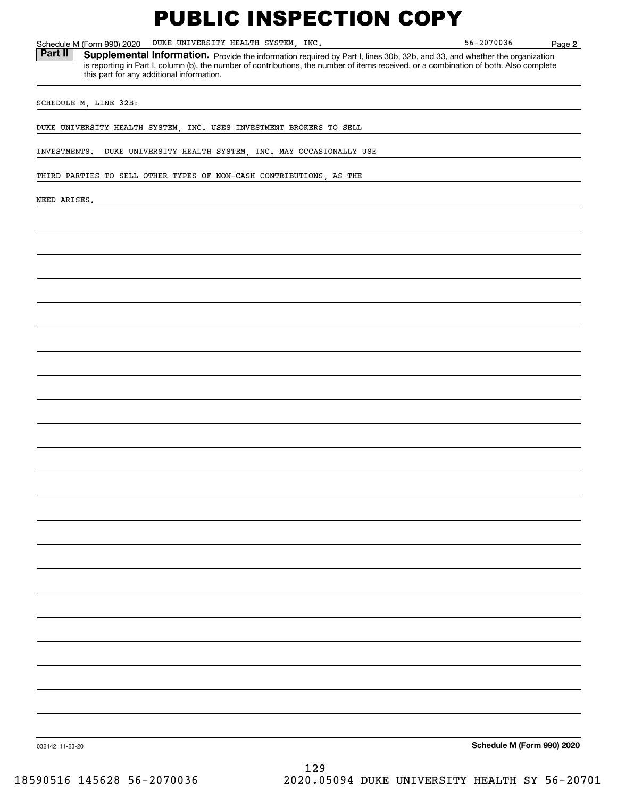**2** Schedule M (Form 990) 2020 Page DUKE UNIVERSITY HEALTH SYSTEM, INC. 56-2070036 Part II | Supplemental Information. Provide the information required by Part I, lines 30b, 32b, and 33, and whether the organization is reporting in Part I, column (b), the number of contributions, the number of items received, or a combination of both. Also complete this part for any additional information. SCHEDULE M, LINE 32B: DUKE UNIVERSITY HEALTH SYSTEM, INC. USES INVESTMENT BROKERS TO SELL INVESTMENTS. DUKE UNIVERSITY HEALTH SYSTEM, INC. MAY OCCASIONALLY USE THIRD PARTIES TO SELL OTHER TYPES OF NON-CASH CONTRIBUTIONS, AS THE NEED ARISES.

**Schedule M (Form 990) 2020**

032142 11-23-20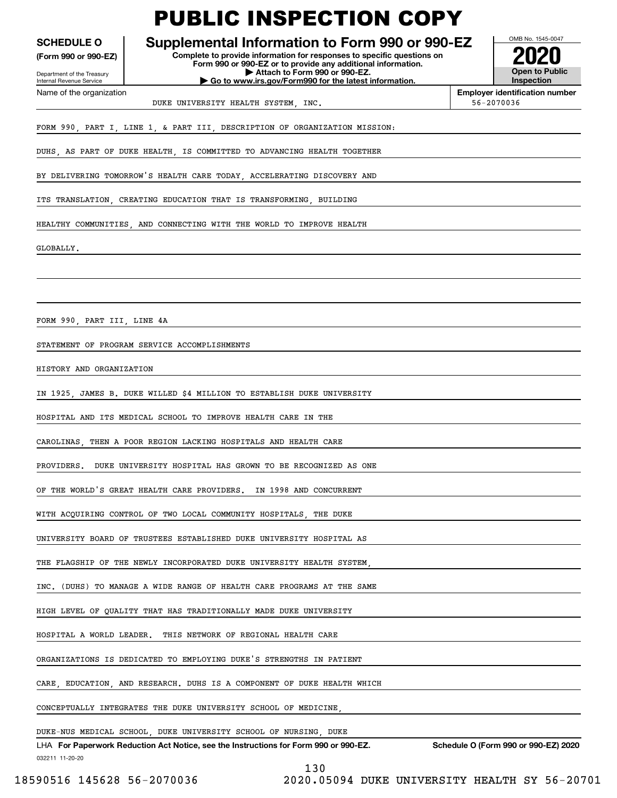**(Form 990 or 990-EZ)**

Department of the Treasury Internal Revenue Service Name of the organization

### PUBLIC INSPECTION COPY

### **SCHEDULE O Supplemental Information to Form 990 or 990-EZ**

**Complete to provide information for responses to specific questions on Form 990 or 990-EZ or to provide any additional information. | Attach to Form 990 or 990-EZ. | Go to www.irs.gov/Form990 for the latest information.**

**Open to Public Inspection2020**

OMB No. 1545-0047

**Employer identification number**

DUKE UNIVERSITY HEALTH SYSTEM, INC. THE SECTION OF S6-2070036

FORM 990, PART I, LINE 1, & PART III, DESCRIPTION OF ORGANIZATION MISSION:

DUHS AS PART OF DUKE HEALTH IS COMMITTED TO ADVANCING HEALTH TOGETHER

BY DELIVERING TOMORROW'S HEALTH CARE TODAY, ACCELERATING DISCOVERY AND

ITS TRANSLATION, CREATING EDUCATION THAT IS TRANSFORMING, BUILDING

HEALTHY COMMUNITIES AND CONNECTING WITH THE WORLD TO IMPROVE HEALTH

GLOBALLY.

FORM 990, PART III, LINE 4A

STATEMENT OF PROGRAM SERVICE ACCOMPLISHMENTS

HISTORY AND ORGANIZATION

IN 1925, JAMES B. DUKE WILLED \$4 MILLION TO ESTABLISH DUKE UNIVERSITY

HOSPITAL AND ITS MEDICAL SCHOOL TO IMPROVE HEALTH CARE IN THE

CAROLINAS, THEN A POOR REGION LACKING HOSPITALS AND HEALTH CARE

PROVIDERS. DUKE UNIVERSITY HOSPITAL HAS GROWN TO BE RECOGNIZED AS ONE

OF THE WORLD'S GREAT HEALTH CARE PROVIDERS. IN 1998 AND CONCURRENT

WITH ACQUIRING CONTROL OF TWO LOCAL COMMUNITY HOSPITALS, THE DUKE

UNIVERSITY BOARD OF TRUSTEES ESTABLISHED DUKE UNIVERSITY HOSPITAL AS

THE FLAGSHIP OF THE NEWLY INCORPORATED DUKE UNIVERSITY HEALTH SYSTEM

INC. (DUHS) TO MANAGE A WIDE RANGE OF HEALTH CARE PROGRAMS AT THE SAME

HIGH LEVEL OF QUALITY THAT HAS TRADITIONALLY MADE DUKE UNIVERSITY

HOSPITAL A WORLD LEADER. THIS NETWORK OF REGIONAL HEALTH CARE

ORGANIZATIONS IS DEDICATED TO EMPLOYING DUKE'S STRENGTHS IN PATIENT

CARE, EDUCATION, AND RESEARCH. DUHS IS A COMPONENT OF DUKE HEALTH WHICH

CONCEPTUALLY INTEGRATES THE DUKE UNIVERSITY SCHOOL OF MEDICINE,

DUKE-NUS MEDICAL SCHOOL, DUKE UNIVERSITY SCHOOL OF NURSING, DUKE

032211 11-20-20 LHA For Paperwork Reduction Act Notice, see the Instructions for Form 990 or 990-EZ. Schedule O (Form 990 or 990-EZ) 2020 130

18590516 145628 56-2070036 2020.05094 DUKE UNIVERSITY HEALTH SY 56-20701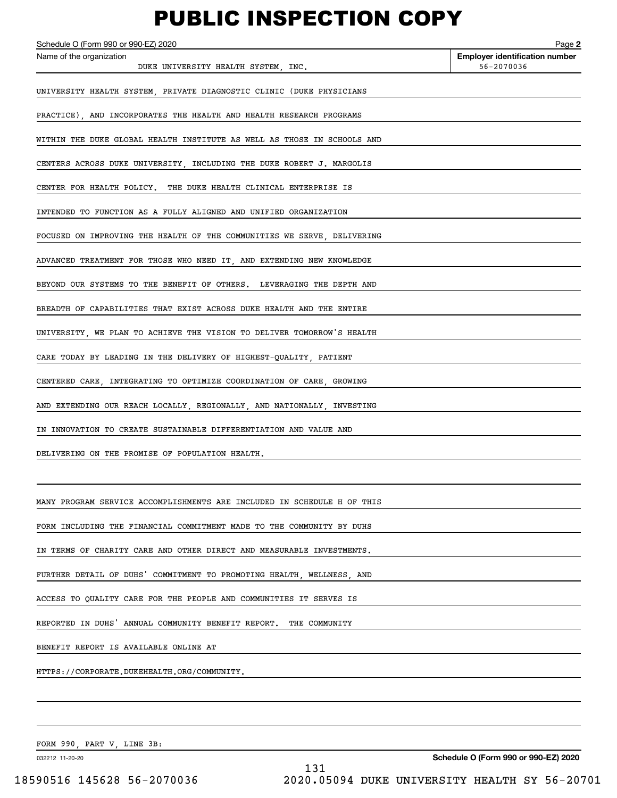Echedule O (Form 990 or 990-EZ) 2020<br>Name of the organization **number** Name of the organization **number** UNIVERSITY HEALTH SYSTEM, PRIVATE DIAGNOSTIC CLINIC (DUKE PHYSICIANS PRACTICE), AND INCORPORATES THE HEALTH AND HEALTH RESEARCH PROGRAMS WITHIN THE DUKE GLOBAL HEALTH INSTITUTE AS WELL AS THOSE IN SCHOOLS AND CENTERS ACROSS DUKE UNIVERSITY, INCLUDING THE DUKE ROBERT J. MARGOLIS CENTER FOR HEALTH POLICY. THE DUKE HEALTH CLINICAL ENTERPRISE IS INTENDED TO FUNCTION AS A FULLY ALIGNED AND UNIFIED ORGANIZATION FOCUSED ON IMPROVING THE HEALTH OF THE COMMUNITIES WE SERVE, DELIVERING ADVANCED TREATMENT FOR THOSE WHO NEED IT, AND EXTENDING NEW KNOWLEDGE BEYOND OUR SYSTEMS TO THE BENEFIT OF OTHERS. LEVERAGING THE DEPTH AND BREADTH OF CAPABILITIES THAT EXIST ACROSS DUKE HEALTH AND THE ENTIRE UNIVERSITY, WE PLAN TO ACHIEVE THE VISION TO DELIVER TOMORROW'S HEALTH CARE TODAY BY LEADING IN THE DELIVERY OF HIGHEST-QUALITY, PATIENT DUKE UNIVERSITY HEALTH SYSTEM, INC.  $56-2070036$ 

CENTERED CARE, INTEGRATING TO OPTIMIZE COORDINATION OF CARE, GROWING

AND EXTENDING OUR REACH LOCALLY, REGIONALLY, AND NATIONALLY, INVESTING

IN INNOVATION TO CREATE SUSTAINABLE DIFFERENTIATION AND VALUE AND

DELIVERING ON THE PROMISE OF POPULATION HEALTH.

MANY PROGRAM SERVICE ACCOMPLISHMENTS ARE INCLUDED IN SCHEDULE H OF THIS

FORM INCLUDING THE FINANCIAL COMMITMENT MADE TO THE COMMUNITY BY DUHS

IN TERMS OF CHARITY CARE AND OTHER DIRECT AND MEASURABLE INVESTMENTS.

FURTHER DETAIL OF DUHS' COMMITMENT TO PROMOTING HEALTH, WELLNESS, AND

ACCESS TO QUALITY CARE FOR THE PEOPLE AND COMMUNITIES IT SERVES IS

REPORTED IN DUHS' ANNUAL COMMUNITY BENEFIT REPORT. THE COMMUNITY

BENEFIT REPORT IS AVAILABLE ONLINE AT

HTTPS://CORPORATE.DUKEHEALTH.ORG/COMMUNITY.

FORM 990, PART V, LINE 3B:

032212 11-20-20

**2**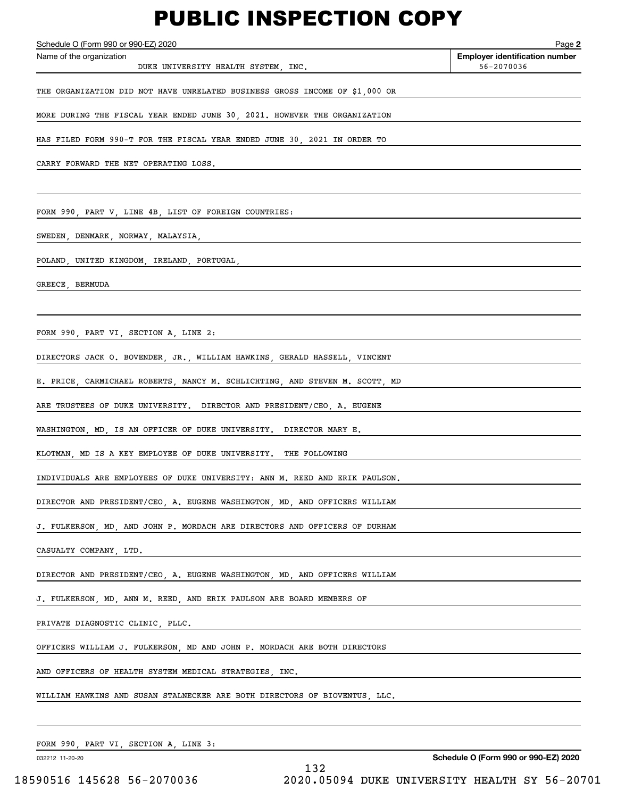DUKE UNIVERSITY HEALTH SYSTEM, INC.  $56-2070036$ 

**2**Echedule O (Form 990 or 990-EZ) 2020<br>Name of the organization **number** Name of the organization **number** 

THE ORGANIZATION DID NOT HAVE UNRELATED BUSINESS GROSS INCOME OF \$1,000 OR

MORE DURING THE FISCAL YEAR ENDED JUNE 30, 2021. HOWEVER THE ORGANIZATION

HAS FILED FORM 990-T FOR THE FISCAL YEAR ENDED JUNE 30, 2021 IN ORDER TO

CARRY FORWARD THE NET OPERATING LOSS.

FORM 990, PART V, LINE 4B, LIST OF FOREIGN COUNTRIES:

SWEDEN, DENMARK, NORWAY, MALAYSIA,

POLAND, UNITED KINGDOM, IRELAND, PORTUGAL,

GREECE, BERMUDA

FORM 990, PART VI, SECTION A, LINE 2:

DIRECTORS JACK O. BOVENDER, JR., WILLIAM HAWKINS, GERALD HASSELL, VINCENT

E. PRICE, CARMICHAEL ROBERTS, NANCY M. SCHLICHTING, AND STEVEN M. SCOTT, MD

ARE TRUSTEES OF DUKE UNIVERSITY. DIRECTOR AND PRESIDENT/CEO, A. EUGENE

WASHINGTON, MD, IS AN OFFICER OF DUKE UNIVERSITY. DIRECTOR MARY E.

KLOTMAN, MD IS A KEY EMPLOYEE OF DUKE UNIVERSITY. THE FOLLOWING

INDIVIDUALS ARE EMPLOYEES OF DUKE UNIVERSITY: ANN M. REED AND ERIK PAULSON.

DIRECTOR AND PRESIDENT/CEO, A. EUGENE WASHINGTON, MD, AND OFFICERS WILLIAM

J. FULKERSON, MD, AND JOHN P. MORDACH ARE DIRECTORS AND OFFICERS OF DURHAM

CASUALTY COMPANY, LTD.

DIRECTOR AND PRESIDENT/CEO, A. EUGENE WASHINGTON, MD, AND OFFICERS WILLIAM

J. FULKERSON, MD, ANN M. REED, AND ERIK PAULSON ARE BOARD MEMBERS OF

PRIVATE DIAGNOSTIC CLINIC, PLLC.

OFFICERS WILLIAM J. FULKERSON, MD AND JOHN P. MORDACH ARE BOTH DIRECTORS

AND OFFICERS OF HEALTH SYSTEM MEDICAL STRATEGIES, INC.

WILLIAM HAWKINS AND SUSAN STALNECKER ARE BOTH DIRECTORS OF BIOVENTUS, LLC.

FORM 990, PART VI, SECTION A, LINE 3:

032212 11-20-20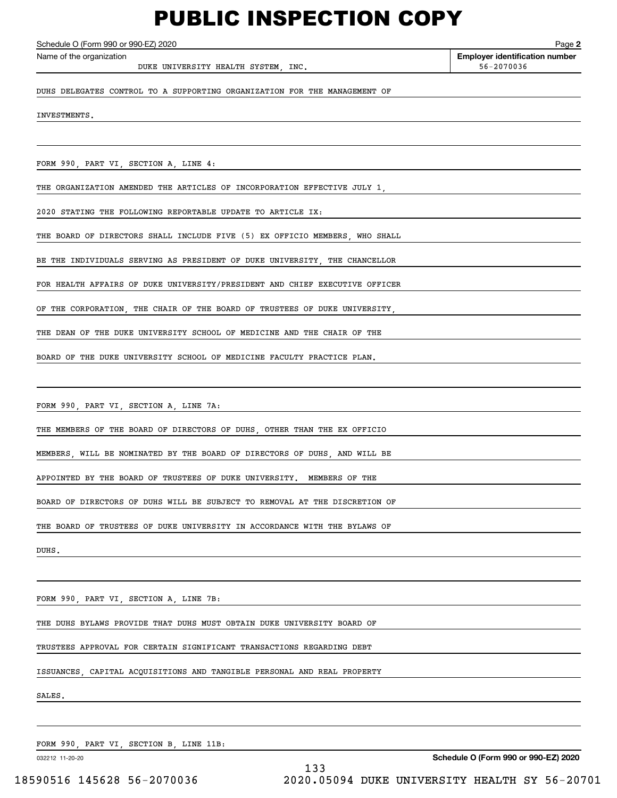DUKE UNIVERSITY HEALTH SYSTEM, INC.  $56-2070036$ 

**2**Echedule O (Form 990 or 990-EZ) 2020<br>Name of the organization **number** Name of the organization **number** 

DUHS DELEGATES CONTROL TO A SUPPORTING ORGANIZATION FOR THE MANAGEMENT OF

INVESTMENTS.

FORM 990, PART VI, SECTION A, LINE 4:

THE ORGANIZATION AMENDED THE ARTICLES OF INCORPORATION EFFECTIVE JULY 1,

2020 STATING THE FOLLOWING REPORTABLE UPDATE TO ARTICLE IX:

THE BOARD OF DIRECTORS SHALL INCLUDE FIVE (5) EX OFFICIO MEMBERS, WHO SHALL

BE THE INDIVIDUALS SERVING AS PRESIDENT OF DUKE UNIVERSITY, THE CHANCELLOR

FOR HEALTH AFFAIRS OF DUKE UNIVERSITY/PRESIDENT AND CHIEF EXECUTIVE OFFICER

OF THE CORPORATION, THE CHAIR OF THE BOARD OF TRUSTEES OF DUKE UNIVERSITY,

THE DEAN OF THE DUKE UNIVERSITY SCHOOL OF MEDICINE AND THE CHAIR OF THE

BOARD OF THE DUKE UNIVERSITY SCHOOL OF MEDICINE FACULTY PRACTICE PLAN.

FORM 990, PART VI, SECTION A, LINE 7A:

THE MEMBERS OF THE BOARD OF DIRECTORS OF DUHS, OTHER THAN THE EX OFFICIO

MEMBERS, WILL BE NOMINATED BY THE BOARD OF DIRECTORS OF DUHS, AND WILL BE

APPOINTED BY THE BOARD OF TRUSTEES OF DUKE UNIVERSITY. MEMBERS OF THE

BOARD OF DIRECTORS OF DUHS WILL BE SUBJECT TO REMOVAL AT THE DISCRETION OF

THE BOARD OF TRUSTEES OF DUKE UNIVERSITY IN ACCORDANCE WITH THE BYLAWS OF

DUHS.

FORM 990, PART VI, SECTION A, LINE 7B:

THE DUHS BYLAWS PROVIDE THAT DUHS MUST OBTAIN DUKE UNIVERSITY BOARD OF

TRUSTEES APPROVAL FOR CERTAIN SIGNIFICANT TRANSACTIONS REGARDING DEBT

ISSUANCES, CAPITAL ACQUISITIONS AND TANGIBLE PERSONAL AND REAL PROPERTY

SALES.

FORM 990, PART VI, SECTION B, LINE 11B:

032212 11-20-20

**Schedule O (Form 990 or 990-EZ) 2020**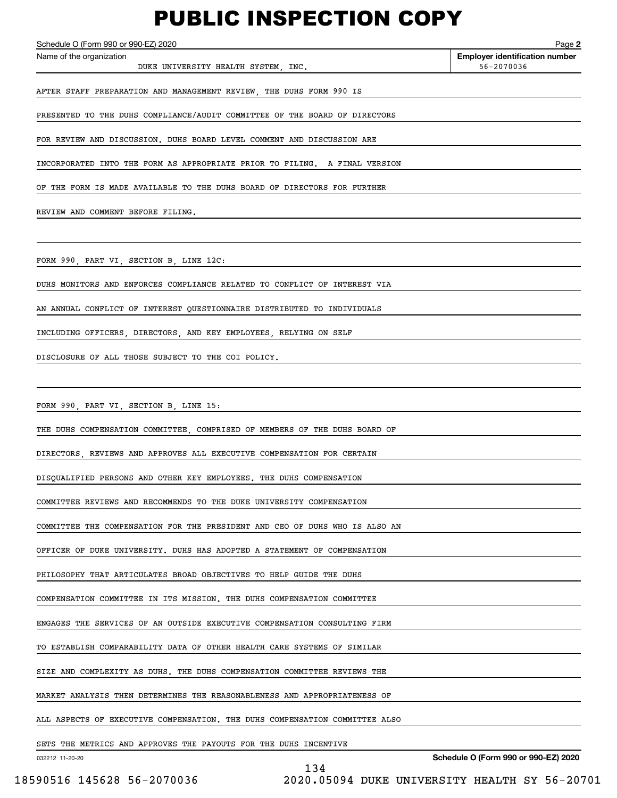DUKE UNIVERSITY HEALTH SYSTEM, INC.  $56-2070036$ 

**2**Echedule O (Form 990 or 990-EZ) 2020<br>Name of the organization **number** Name of the organization **number** 

AFTER STAFF PREPARATION AND MANAGEMENT REVIEW, THE DUHS FORM 990 IS

PRESENTED TO THE DUHS COMPLIANCE/AUDIT COMMITTEE OF THE BOARD OF DIRECTORS

FOR REVIEW AND DISCUSSION. DUHS BOARD LEVEL COMMENT AND DISCUSSION ARE

INCORPORATED INTO THE FORM AS APPROPRIATE PRIOR TO FILING. A FINAL VERSION

OF THE FORM IS MADE AVAILABLE TO THE DUHS BOARD OF DIRECTORS FOR FURTHER

REVIEW AND COMMENT BEFORE FILING.

FORM 990, PART VI, SECTION B, LINE 12C:

DUHS MONITORS AND ENFORCES COMPLIANCE RELATED TO CONFLICT OF INTEREST VIA

AN ANNUAL CONFLICT OF INTEREST QUESTIONNAIRE DISTRIBUTED TO INDIVIDUALS

INCLUDING OFFICERS, DIRECTORS, AND KEY EMPLOYEES, RELYING ON SELF

DISCLOSURE OF ALL THOSE SUBJECT TO THE COI POLICY.

FORM 990, PART VI, SECTION B, LINE 15:

THE DUHS COMPENSATION COMMITTEE, COMPRISED OF MEMBERS OF THE DUHS BOARD OF

DIRECTORS, REVIEWS AND APPROVES ALL EXECUTIVE COMPENSATION FOR CERTAIN

DISQUALIFIED PERSONS AND OTHER KEY EMPLOYEES. THE DUHS COMPENSATION

COMMITTEE REVIEWS AND RECOMMENDS TO THE DUKE UNIVERSITY COMPENSATION

COMMITTEE THE COMPENSATION FOR THE PRESIDENT AND CEO OF DUHS WHO IS ALSO AN

OFFICER OF DUKE UNIVERSITY. DUHS HAS ADOPTED A STATEMENT OF COMPENSATION

PHILOSOPHY THAT ARTICULATES BROAD OBJECTIVES TO HELP GUIDE THE DUHS

COMPENSATION COMMITTEE IN ITS MISSION. THE DUHS COMPENSATION COMMITTEE

ENGAGES THE SERVICES OF AN OUTSIDE EXECUTIVE COMPENSATION CONSULTING FIRM

TO ESTABLISH COMPARABILITY DATA OF OTHER HEALTH CARE SYSTEMS OF SIMILAR

SIZE AND COMPLEXITY AS DUHS. THE DUHS COMPENSATION COMMITTEE REVIEWS THE

MARKET ANALYSIS THEN DETERMINES THE REASONABLENESS AND APPROPRIATENESS OF

ALL ASPECTS OF EXECUTIVE COMPENSATION. THE DUHS COMPENSATION COMMITTEE ALSO

134

SETS THE METRICS AND APPROVES THE PAYOUTS FOR THE DUHS INCENTIVE

032212 11-20-20

**Schedule O (Form 990 or 990-EZ) 2020**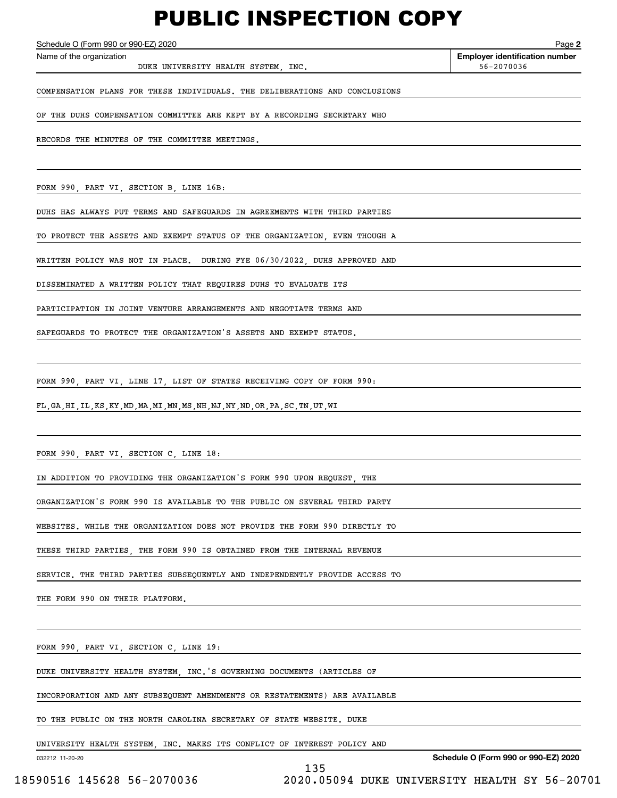DUKE UNIVERSITY HEALTH SYSTEM, INC.  $56-2070036$ 

**2**Echedule O (Form 990 or 990-EZ) 2020<br>Name of the organization **number** Name of the organization **number** 

COMPENSATION PLANS FOR THESE INDIVIDUALS. THE DELIBERATIONS AND CONCLUSIONS

OF THE DUHS COMPENSATION COMMITTEE ARE KEPT BY A RECORDING SECRETARY WHO

RECORDS THE MINUTES OF THE COMMITTEE MEETINGS.

FORM 990, PART VI, SECTION B, LINE 16B:

DUHS HAS ALWAYS PUT TERMS AND SAFEGUARDS IN AGREEMENTS WITH THIRD PARTIES

TO PROTECT THE ASSETS AND EXEMPT STATUS OF THE ORGANIZATION, EVEN THOUGH A

WRITTEN POLICY WAS NOT IN PLACE. DURING FYE 06/30/2022, DUHS APPROVED AND

DISSEMINATED A WRITTEN POLICY THAT REQUIRES DUHS TO EVALUATE ITS

PARTICIPATION IN JOINT VENTURE ARRANGEMENTS AND NEGOTIATE TERMS AND

SAFEGUARDS TO PROTECT THE ORGANIZATION'S ASSETS AND EXEMPT STATUS.

FORM 990, PART VI, LINE 17, LIST OF STATES RECEIVING COPY OF FORM 990:

FL,GA,HI,IL,KS,KY,MD,MA,MI,MN,MS,NH,NJ,NY,ND,OR,PA,SC,TN,UT,WI

FORM 990, PART VI, SECTION C, LINE 18:

IN ADDITION TO PROVIDING THE ORGANIZATION'S FORM 990 UPON REQUEST, THE

ORGANIZATION'S FORM 990 IS AVAILABLE TO THE PUBLIC ON SEVERAL THIRD PARTY

WEBSITES. WHILE THE ORGANIZATION DOES NOT PROVIDE THE FORM 990 DIRECTLY TO

THESE THIRD PARTIES, THE FORM 990 IS OBTAINED FROM THE INTERNAL REVENUE

SERVICE. THE THIRD PARTIES SUBSEQUENTLY AND INDEPENDENTLY PROVIDE ACCESS TO

THE FORM 990 ON THEIR PLATFORM.

FORM 990, PART VI, SECTION C, LINE 19:

DUKE UNIVERSITY HEALTH SYSTEM, INC.'S GOVERNING DOCUMENTS (ARTICLES OF

INCORPORATION AND ANY SUBSEQUENT AMENDMENTS OR RESTATEMENTS) ARE AVAILABLE

TO THE PUBLIC ON THE NORTH CAROLINA SECRETARY OF STATE WEBSITE. DUKE

UNIVERSITY HEALTH SYSTEM, INC. MAKES ITS CONFLICT OF INTEREST POLICY AND

032212 11-20-20

**Schedule O (Form 990 or 990-EZ) 2020**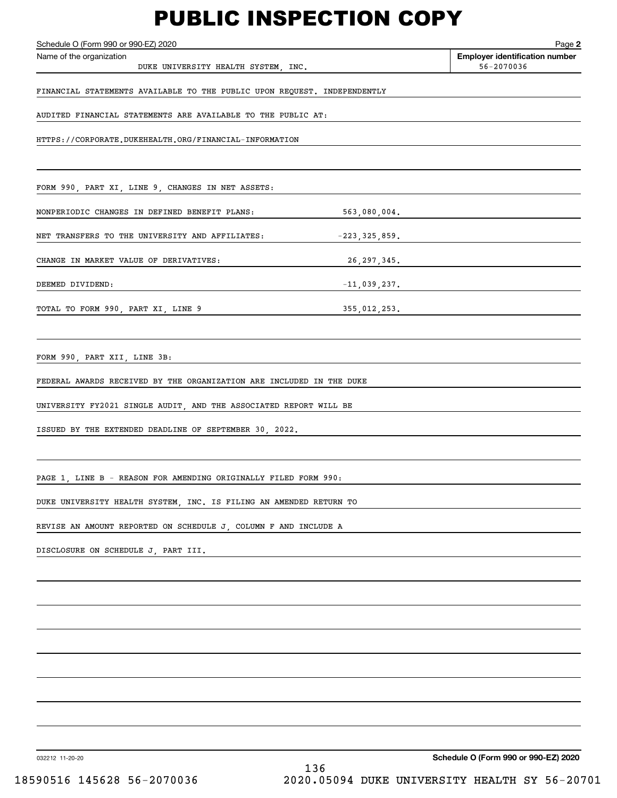DUKE UNIVERSITY HEALTH SYSTEM, INC.  $56-2070036$ 

**2**Echedule O (Form 990 or 990-EZ) 2020<br>Name of the organization **number** Name of the organization **number** 

FINANCIAL STATEMENTS AVAILABLE TO THE PUBLIC UPON REQUEST. INDEPENDENTLY

AUDITED FINANCIAL STATEMENTS ARE AVAILABLE TO THE PUBLIC AT:

HTTPS://CORPORATE.DUKEHEALTH.ORG/FINANCIAL-INFORMATION

FORM 990, PART XI, LINE 9, CHANGES IN NET ASSETS:

NONPERIODIC CHANGES IN DEFINED BENEFIT PLANS: 563,080,004.

NET TRANSFERS TO THE UNIVERSITY AND AFFILIATES:  $-223,325,859$ .

CHANGE IN MARKET VALUE OF DERIVATIVES: 26,297,345.

DEEMED DIVIDEND:  $-11,039,237$ .

TOTAL TO FORM 990, PART XI, LINE 9 355,012,253.

FORM 990, PART XII, LINE 3B:

FEDERAL AWARDS RECEIVED BY THE ORGANIZATION ARE INCLUDED IN THE DUKE

UNIVERSITY FY2021 SINGLE AUDIT, AND THE ASSOCIATED REPORT WILL BE

ISSUED BY THE EXTENDED DEADLINE OF SEPTEMBER 30, 2022.

PAGE 1, LINE B - REASON FOR AMENDING ORIGINALLY FILED FORM 990:

DUKE UNIVERSITY HEALTH SYSTEM, INC. IS FILING AN AMENDED RETURN TO

REVISE AN AMOUNT REPORTED ON SCHEDULE J, COLUMN F AND INCLUDE A

DISCLOSURE ON SCHEDULE J, PART III.

032212 11-20-20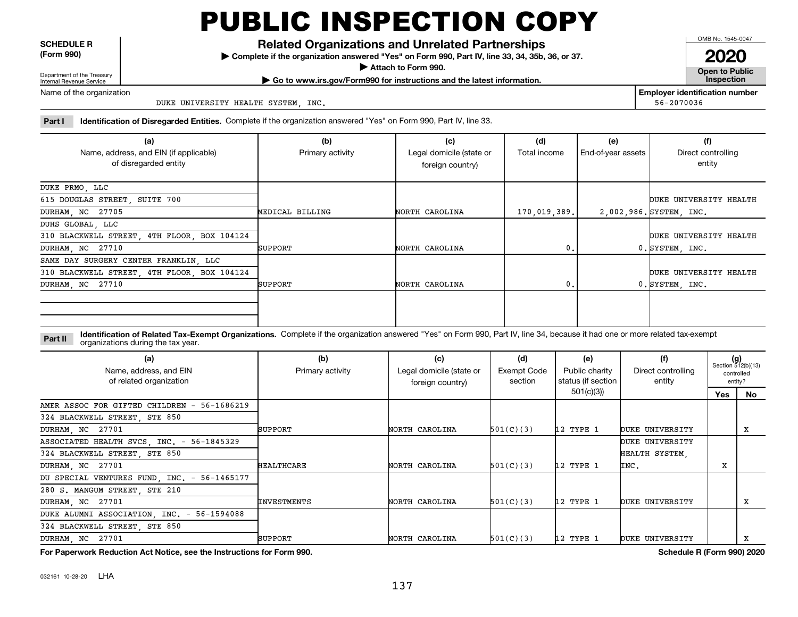**SCHEDULE R (Form 990)**

**Related Organizations and Unrelated Partnerships**

**Complete if the organization answered "Yes" on Form 990, Part IV, line 33, 34, 35b, 36, or 37.** |

**Attach to Form 990.**  |

OMB No. 1545-0047

**Open to Public 2020**

Department of the Treasury Internal Revenue Service

**| Go to www.irs.gov/Form990 for instructions and the latest information. Inspection**

Name of the organization

DUKE UNIVERSITY HEALTH SYSTEM, INC.

**Employer identification number** 56-2070036

**Part I Identification of Disregarded Entities.**  Complete if the organization answered "Yes" on Form 990, Part IV, line 33.

| (a)                                         | (b)              | (c)                      | (d)          | (e)                | (f)                     |
|---------------------------------------------|------------------|--------------------------|--------------|--------------------|-------------------------|
| Name, address, and EIN (if applicable)      | Primary activity | Legal domicile (state or | Total income | End-of-year assets | Direct controlling      |
| of disregarded entity                       |                  | foreign country)         |              |                    | entity                  |
|                                             |                  |                          |              |                    |                         |
| DUKE PRMO, LLC                              |                  |                          |              |                    |                         |
| 615 DOUGLAS STREET, SUITE 700               |                  |                          |              |                    | DUKE UNIVERSITY HEALTH  |
| DURHAM, NC 27705                            | MEDICAL BILLING  | NORTH CAROLINA           | 170,019,389. |                    | 2,002,986. SYSTEM, INC. |
| DUHS GLOBAL, LLC                            |                  |                          |              |                    |                         |
| 310 BLACKWELL STREET, 4TH FLOOR, BOX 104124 |                  |                          |              |                    | DUKE UNIVERSITY HEALTH  |
| DURHAM, NC 27710                            | SUPPORT          | NORTH CAROLINA           | 0.           |                    | 0. SYSTEM, INC.         |
| SAME DAY SURGERY CENTER FRANKLIN, LLC       |                  |                          |              |                    |                         |
| 310 BLACKWELL STREET, 4TH FLOOR, BOX 104124 |                  |                          |              |                    | DUKE UNIVERSITY HEALTH  |
| DURHAM, NC 27710                            | SUPPORT          | NORTH CAROLINA           | 0.           |                    | 0. SYSTEM, INC.         |
|                                             |                  |                          |              |                    |                         |
|                                             |                  |                          |              |                    |                         |
|                                             |                  |                          |              |                    |                         |

**Identification of Related Tax-Exempt Organizations.** Complete if the organization answered "Yes" on Form 990, Part IV, line 34, because it had one or more related tax-exempt **Part II** organizations during the tax year.

| (a)<br>Name, address, and EIN<br>of related organization | (b)<br>Primary activity | (c)<br>Legal domicile (state or<br>foreign country) | (d)<br>Exempt Code<br>section | (e)<br>Public charity<br>status (if section | (f)<br>Direct controlling<br>entity | $(g)$<br>Section 512(b)(13)<br>controlled<br>entity? |           |
|----------------------------------------------------------|-------------------------|-----------------------------------------------------|-------------------------------|---------------------------------------------|-------------------------------------|------------------------------------------------------|-----------|
|                                                          |                         |                                                     |                               | 501(c)(3))                                  |                                     | Yes                                                  | No        |
| AMER ASSOC FOR GIFTED CHILDREN - 56-1686219              |                         |                                                     |                               |                                             |                                     |                                                      |           |
| 324 BLACKWELL STREET, STE 850                            |                         |                                                     |                               |                                             |                                     |                                                      |           |
| DURHAM, NC 27701                                         | SUPPORT                 | NORTH CAROLINA                                      | 501(C)(3)                     | 12 TYPE 1                                   | DUKE UNIVERSITY                     |                                                      | х         |
| ASSOCIATED HEALTH SVCS, INC. - 56-1845329                |                         |                                                     |                               |                                             | DUKE UNIVERSITY                     |                                                      |           |
| 324 BLACKWELL STREET, STE 850                            |                         |                                                     |                               |                                             | HEALTH SYSTEM.                      |                                                      |           |
| DURHAM, NC 27701                                         | HEALTHCARE              | NORTH CAROLINA                                      | 501(C)(3)                     | 12 TYPE 1                                   | INC.                                | х                                                    |           |
| DU SPECIAL VENTURES FUND, INC. - 56-1465177              |                         |                                                     |                               |                                             |                                     |                                                      |           |
| 280 S. MANGUM STREET, STE 210                            |                         |                                                     |                               |                                             |                                     |                                                      |           |
| DURHAM, NC 27701                                         | INVESTMENTS             | NORTH CAROLINA                                      | 501(C)(3)                     | 12 TYPE 1                                   | DUKE UNIVERSITY                     |                                                      | x         |
| DUKE ALUMNI ASSOCIATION, INC. - 56-1594088               |                         |                                                     |                               |                                             |                                     |                                                      |           |
| 324 BLACKWELL STREET, STE 850                            |                         |                                                     |                               |                                             |                                     |                                                      |           |
| DURHAM, NC 27701                                         | SUPPORT                 | NORTH CAROLINA                                      | 501(C)(3)                     | 12 TYPE 1                                   | DUKE UNIVERSITY                     |                                                      | х         |
|                                                          |                         |                                                     |                               |                                             | . <i>.</i>                          |                                                      | 0.0010000 |

**For Paperwork Reduction Act Notice, see the Instructions for Form 990. Schedule R (Form 990) 2020**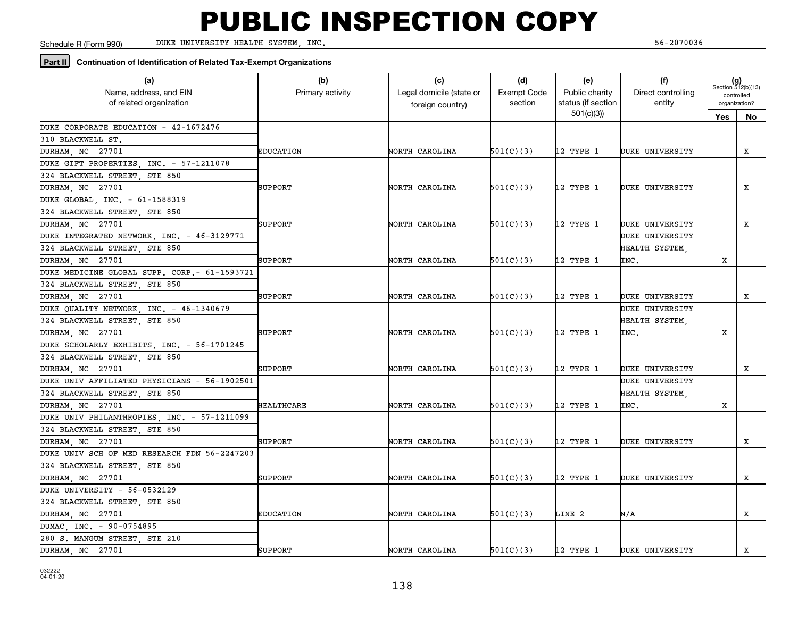Schedule R (Form 990)

DUKE UNIVERSITY HEALTH SYSTEM, INC. 56-2070036

#### **Part II Continuation of Identification of Related Tax-Exempt Organizations**

| (a)<br>Name, address, and EIN<br>of related organization | (b)<br>Primary activity | (c)<br>Legal domicile (state or<br>foreign country) | (d)<br><b>Exempt Code</b><br>section | (e)<br>Public charity<br>status (if section | (f)<br>Direct controlling<br>entity | $(g)$<br>Section 512(b)(13)<br>controlled<br>organization? |    |
|----------------------------------------------------------|-------------------------|-----------------------------------------------------|--------------------------------------|---------------------------------------------|-------------------------------------|------------------------------------------------------------|----|
|                                                          |                         |                                                     |                                      | 501(c)(3)                                   |                                     | Yes                                                        | No |
| DUKE CORPORATE EDUCATION - 42-1672476                    |                         |                                                     |                                      |                                             |                                     |                                                            |    |
| 310 BLACKWELL ST.                                        |                         |                                                     |                                      |                                             |                                     |                                                            |    |
| DURHAM, NC 27701                                         | EDUCATION               | NORTH CAROLINA                                      | 501(C)(3)                            | 12 TYPE 1                                   | DUKE UNIVERSITY                     |                                                            | X  |
| DUKE GIFT PROPERTIES, INC. - 57-1211078                  |                         |                                                     |                                      |                                             |                                     |                                                            |    |
| 324 BLACKWELL STREET, STE 850                            |                         |                                                     |                                      |                                             |                                     |                                                            |    |
| DURHAM, NC 27701                                         | SUPPORT                 | NORTH CAROLINA                                      | 501(C)(3)                            | 12 TYPE 1                                   | DUKE UNIVERSITY                     |                                                            | x  |
| DUKE GLOBAL, INC. - 61-1588319                           |                         |                                                     |                                      |                                             |                                     |                                                            |    |
| 324 BLACKWELL STREET, STE 850                            |                         |                                                     |                                      |                                             |                                     |                                                            |    |
| DURHAM, NC 27701                                         | SUPPORT                 | NORTH CAROLINA                                      | 501(C)(3)                            | 12 TYPE 1                                   | DUKE UNIVERSITY                     |                                                            | x  |
| DUKE INTEGRATED NETWORK, INC. - 46-3129771               |                         |                                                     |                                      |                                             | DUKE UNIVERSITY                     |                                                            |    |
| 324 BLACKWELL STREET, STE 850                            |                         |                                                     |                                      |                                             | HEALTH SYSTEM,                      |                                                            |    |
| DURHAM, NC 27701                                         | SUPPORT                 | NORTH CAROLINA                                      | 501(C)(3)                            | 12 TYPE 1                                   | INC.                                | x                                                          |    |
| DUKE MEDICINE GLOBAL SUPP. CORP. - 61-1593721            |                         |                                                     |                                      |                                             |                                     |                                                            |    |
| 324 BLACKWELL STREET, STE 850                            |                         |                                                     |                                      |                                             |                                     |                                                            |    |
| DURHAM, NC 27701                                         | SUPPORT                 | NORTH CAROLINA                                      | 501(C)(3)                            | 12 TYPE 1                                   | DUKE UNIVERSITY                     |                                                            | x  |
| DUKE QUALITY NETWORK, INC. - 46-1340679                  |                         |                                                     |                                      |                                             | DUKE UNIVERSITY                     |                                                            |    |
| 324 BLACKWELL STREET, STE 850                            |                         |                                                     |                                      |                                             | HEALTH SYSTEM.                      |                                                            |    |
| DURHAM, NC 27701                                         | SUPPORT                 | NORTH CAROLINA                                      | 501(C)(3)                            | 12 TYPE 1                                   | INC.                                | х                                                          |    |
| DUKE SCHOLARLY EXHIBITS, INC. - 56-1701245               |                         |                                                     |                                      |                                             |                                     |                                                            |    |
| 324 BLACKWELL STREET, STE 850                            |                         |                                                     |                                      |                                             |                                     |                                                            |    |
| DURHAM, NC 27701                                         | SUPPORT                 | NORTH CAROLINA                                      | 501(C)(3)                            | 12 TYPE 1                                   | DUKE UNIVERSITY                     |                                                            | x  |
| DUKE UNIV AFFILIATED PHYSICIANS - 56-1902501             |                         |                                                     |                                      |                                             | DUKE UNIVERSITY                     |                                                            |    |
| 324 BLACKWELL STREET, STE 850                            |                         |                                                     |                                      |                                             | HEALTH SYSTEM,                      |                                                            |    |
| DURHAM, NC 27701                                         | <b>HEALTHCARE</b>       | NORTH CAROLINA                                      | 501(C)(3)                            | 12 TYPE 1                                   | INC.                                | х                                                          |    |
| DUKE UNIV PHILANTHROPIES, INC. - 57-1211099              |                         |                                                     |                                      |                                             |                                     |                                                            |    |
| 324 BLACKWELL STREET, STE 850                            |                         |                                                     |                                      |                                             |                                     |                                                            |    |
| DURHAM, NC 27701                                         | SUPPORT                 | NORTH CAROLINA                                      | 501(C)(3)                            | 12 TYPE 1                                   | DUKE UNIVERSITY                     |                                                            | x  |
| DUKE UNIV SCH OF MED RESEARCH FDN 56-2247203             |                         |                                                     |                                      |                                             |                                     |                                                            |    |
| 324 BLACKWELL STREET, STE 850                            |                         |                                                     |                                      |                                             |                                     |                                                            |    |
| DURHAM, NC 27701                                         | SUPPORT                 | NORTH CAROLINA                                      | 501(C)(3)                            | 12 TYPE 1                                   | DUKE UNIVERSITY                     |                                                            | x  |
| DUKE UNIVERSITY - 56-0532129                             |                         |                                                     |                                      |                                             |                                     |                                                            |    |
| 324 BLACKWELL STREET, STE 850                            |                         |                                                     |                                      |                                             |                                     |                                                            |    |
| DURHAM, NC 27701                                         | <b>EDUCATION</b>        | NORTH CAROLINA                                      | 501(C)(3)                            | LINE 2                                      | N/A                                 |                                                            | x  |
| DUMAC INC. - 90-0754895                                  |                         |                                                     |                                      |                                             |                                     |                                                            |    |
| 280 S. MANGUM STREET, STE 210                            |                         |                                                     |                                      |                                             |                                     |                                                            |    |
| DURHAM, NC 27701                                         | SUPPORT                 | NORTH CAROLINA                                      | 501(C)(3)                            | 12 TYPE 1                                   | DUKE UNIVERSITY                     |                                                            | x  |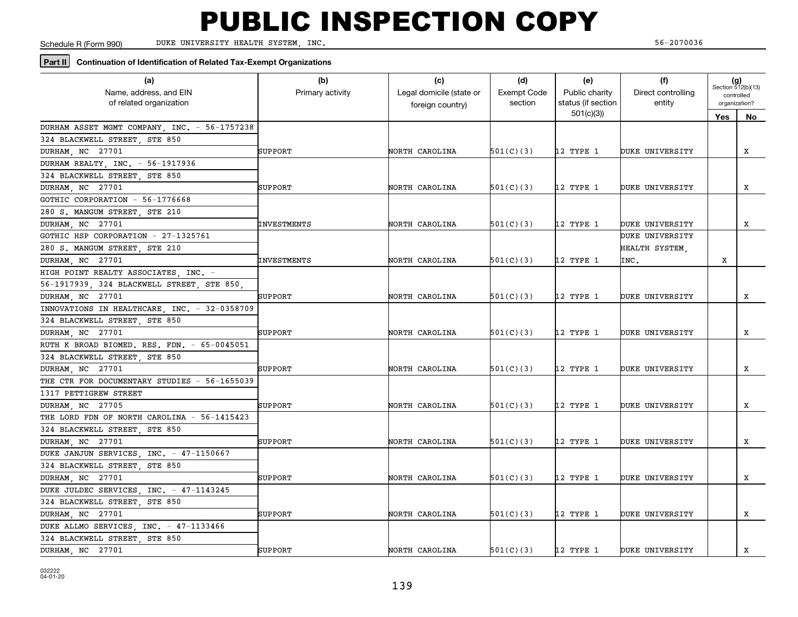Schedule R (Form 990)

DUKE UNIVERSITY HEALTH SYSTEM, INC. 56-2070036

#### **Part II Continuation of Identification of Related Tax-Exempt Organizations**

| (a)<br>Name, address, and EIN<br>of related organization | (b)<br>Primary activity | (c)<br>Legal domicile (state or<br>foreign country) | (d)<br><b>Exempt Code</b><br>section | (e)<br>Public charity<br>status (if section | (f)<br>Direct controlling<br>entity | $(g)$<br>Section 512(b)(13)<br>controlled<br>organization? |    |
|----------------------------------------------------------|-------------------------|-----------------------------------------------------|--------------------------------------|---------------------------------------------|-------------------------------------|------------------------------------------------------------|----|
|                                                          |                         |                                                     |                                      | 501(c)(3)                                   |                                     | <b>Yes</b>                                                 | No |
| DURHAM ASSET MGMT COMPANY, INC. - 56-1757238             |                         |                                                     |                                      |                                             |                                     |                                                            |    |
| 324 BLACKWELL STREET, STE 850                            |                         |                                                     |                                      |                                             |                                     |                                                            |    |
| DURHAM, NC 27701                                         | SUPPORT                 | NORTH CAROLINA                                      | 501(C)(3)                            | 12 TYPE 1                                   | DUKE UNIVERSITY                     |                                                            | X  |
| DURHAM REALTY, INC. - 56-1917936                         |                         |                                                     |                                      |                                             |                                     |                                                            |    |
| 324 BLACKWELL STREET, STE 850                            |                         |                                                     |                                      |                                             |                                     |                                                            |    |
| DURHAM, NC 27701                                         | SUPPORT                 | NORTH CAROLINA                                      | 501(C)(3)                            | 12 TYPE 1                                   | DUKE UNIVERSITY                     |                                                            | X  |
| GOTHIC CORPORATION - 56-1776668                          |                         |                                                     |                                      |                                             |                                     |                                                            |    |
| 280 S. MANGUM STREET, STE 210                            |                         |                                                     |                                      |                                             |                                     |                                                            |    |
| DURHAM NC 27701                                          | INVESTMENTS             | NORTH CAROLINA                                      | 501(C)(3)                            | 12 TYPE 1                                   | DUKE UNIVERSITY                     |                                                            | x  |
| GOTHIC HSP CORPORATION - 27-1325761                      |                         |                                                     |                                      |                                             | DUKE UNIVERSITY                     |                                                            |    |
| 280 S. MANGUM STREET, STE 210                            |                         |                                                     |                                      |                                             | HEALTH SYSTEM,                      |                                                            |    |
| DURHAM, NC 27701                                         | INVESTMENTS             | NORTH CAROLINA                                      | 501(C)(3)                            | 12 TYPE 1                                   | INC.                                | X                                                          |    |
| HIGH POINT REALTY ASSOCIATES INC. -                      |                         |                                                     |                                      |                                             |                                     |                                                            |    |
| 56-1917939, 324 BLACKWELL STREET, STE 850,               |                         |                                                     |                                      |                                             |                                     |                                                            |    |
| DURHAM, NC 27701                                         | SUPPORT                 | NORTH CAROLINA                                      | 501(C)(3)                            | 12 TYPE 1                                   | DUKE UNIVERSITY                     |                                                            | x  |
| INNOVATIONS IN HEALTHCARE, INC. - 32-0358709             |                         |                                                     |                                      |                                             |                                     |                                                            |    |
| 324 BLACKWELL STREET, STE 850                            |                         |                                                     |                                      |                                             |                                     |                                                            |    |
| DURHAM, NC 27701                                         | SUPPORT                 | NORTH CAROLINA                                      | 501(C)(3)                            | 12 TYPE 1                                   | DUKE UNIVERSITY                     |                                                            | X  |
| RUTH K BROAD BIOMED. RES. FDN. - 65-0045051              |                         |                                                     |                                      |                                             |                                     |                                                            |    |
| 324 BLACKWELL STREET, STE 850                            |                         |                                                     |                                      |                                             |                                     |                                                            |    |
| DURHAM, NC 27701                                         | SUPPORT                 | NORTH CAROLINA                                      | 501(C)(3)                            | 12 TYPE 1                                   | DUKE UNIVERSITY                     |                                                            | x  |
| THE CTR FOR DOCUMENTARY STUDIES - 56-1655039             |                         |                                                     |                                      |                                             |                                     |                                                            |    |
| 1317 PETTIGREW STREET                                    |                         |                                                     |                                      |                                             |                                     |                                                            |    |
| DURHAM, NC 27705                                         | SUPPORT                 | NORTH CAROLINA                                      | 501(C)(3)                            | 12 TYPE 1                                   | DUKE UNIVERSITY                     |                                                            | x  |
| THE LORD FDN OF NORTH CAROLINA - 56-1415423              |                         |                                                     |                                      |                                             |                                     |                                                            |    |
| 324 BLACKWELL STREET STE 850                             |                         |                                                     |                                      |                                             |                                     |                                                            |    |
| DURHAM, NC 27701                                         | SUPPORT                 | NORTH CAROLINA                                      | 501(C)(3)                            | 12 TYPE 1                                   | DUKE UNIVERSITY                     |                                                            | x  |
| DUKE JANJUN SERVICES, INC. - 47-1150667                  |                         |                                                     |                                      |                                             |                                     |                                                            |    |
| 324 BLACKWELL STREET, STE 850                            |                         |                                                     |                                      |                                             |                                     |                                                            |    |
| DURHAM, NC 27701                                         | <b>SUPPORT</b>          | NORTH CAROLINA                                      | 501(C)(3)                            | 12 TYPE 1                                   | DUKE UNIVERSITY                     |                                                            | x  |
| DUKE JULDEC SERVICES, INC. - 47-1143245                  |                         |                                                     |                                      |                                             |                                     |                                                            |    |
| 324 BLACKWELL STREET, STE 850                            |                         |                                                     |                                      |                                             |                                     |                                                            |    |
| DURHAM, NC 27701                                         | SUPPORT                 | NORTH CAROLINA                                      | 501(C)(3)                            | 12 TYPE 1                                   | DUKE UNIVERSITY                     |                                                            | x  |
| DUKE ALLMO SERVICES INC. - 47-1133466                    |                         |                                                     |                                      |                                             |                                     |                                                            |    |
| 324 BLACKWELL STREET, STE 850                            |                         |                                                     |                                      |                                             |                                     |                                                            |    |
| DURHAM, NC 27701                                         | SUPPORT                 | NORTH CAROLINA                                      | 501(C)(3)                            | 12 TYPE 1                                   | DUKE UNIVERSITY                     |                                                            | x  |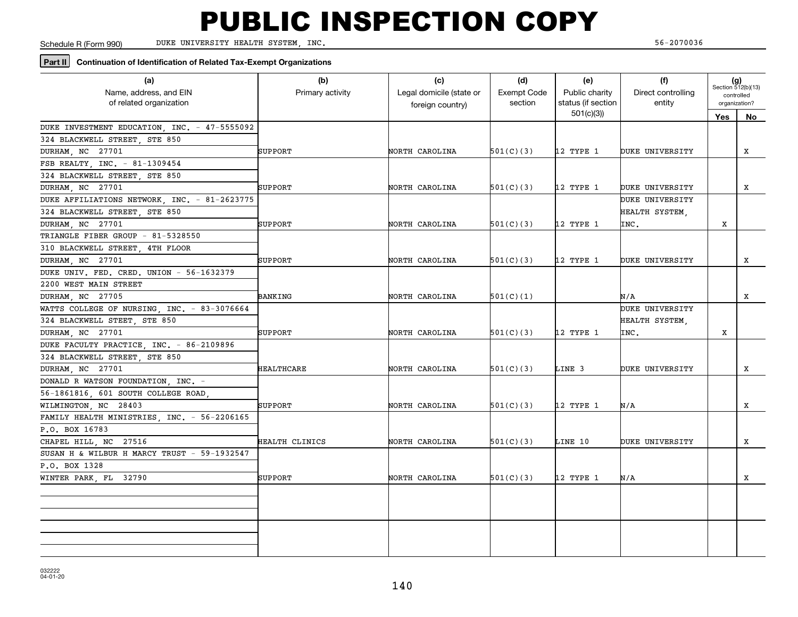Schedule R (Form 990)

DUKE UNIVERSITY HEALTH SYSTEM, INC. 56-2070036

#### **Part II Continuation of Identification of Related Tax-Exempt Organizations**

| (a)<br>Name, address, and EIN<br>of related organization | (b)<br>Primary activity | (c)<br>Legal domicile (state or<br>foreign country) | (d)<br><b>Exempt Code</b><br>section | (e)<br>Public charity<br>status (if section | (f)<br>Direct controlling<br>entity |     | $(g)$<br>Section 512(b)(13)<br>controlled<br>organization? |
|----------------------------------------------------------|-------------------------|-----------------------------------------------------|--------------------------------------|---------------------------------------------|-------------------------------------|-----|------------------------------------------------------------|
|                                                          |                         |                                                     |                                      | 501(c)(3)                                   |                                     | Yes | No                                                         |
| DUKE INVESTMENT EDUCATION, INC. - 47-5555092             |                         |                                                     |                                      |                                             |                                     |     |                                                            |
| 324 BLACKWELL STREET, STE 850                            |                         |                                                     |                                      |                                             |                                     |     |                                                            |
| DURHAM, NC 27701                                         | <b>SUPPORT</b>          | NORTH CAROLINA                                      | 501(C)(3)                            | 12 TYPE 1                                   | DUKE UNIVERSITY                     |     | x                                                          |
| FSB REALTY  INC. - 81-1309454                            |                         |                                                     |                                      |                                             |                                     |     |                                                            |
| 324 BLACKWELL STREET, STE 850                            |                         |                                                     |                                      |                                             |                                     |     |                                                            |
| DURHAM, NC 27701                                         | SUPPORT                 | NORTH CAROLINA                                      | 501(C)(3)                            | 12 TYPE 1                                   | DUKE UNIVERSITY                     |     | X                                                          |
| DUKE AFFILIATIONS NETWORK, INC. - 81-2623775             |                         |                                                     |                                      |                                             | DUKE UNIVERSITY                     |     |                                                            |
| 324 BLACKWELL STREET, STE 850                            |                         |                                                     |                                      |                                             | HEALTH SYSTEM.                      |     |                                                            |
| DURHAM, NC 27701                                         | SUPPORT                 | NORTH CAROLINA                                      | 501(C)(3)                            | 12 TYPE 1                                   | INC.                                | х   |                                                            |
| TRIANGLE FIBER GROUP - 81-5328550                        |                         |                                                     |                                      |                                             |                                     |     |                                                            |
| 310 BLACKWELL STREET, 4TH FLOOR                          |                         |                                                     |                                      |                                             |                                     |     |                                                            |
| DURHAM, NC 27701                                         | SUPPORT                 | NORTH CAROLINA                                      | 501(C)(3)                            | 12 TYPE 1                                   | DUKE UNIVERSITY                     |     | x                                                          |
| DUKE UNIV. FED. CRED. UNION - 56-1632379                 |                         |                                                     |                                      |                                             |                                     |     |                                                            |
| 2200 WEST MAIN STREET                                    |                         |                                                     |                                      |                                             |                                     |     |                                                            |
| DURHAM, NC 27705                                         | <b>BANKING</b>          | NORTH CAROLINA                                      | 501(C)(1)                            |                                             | N/A                                 |     | X                                                          |
| WATTS COLLEGE OF NURSING, INC. - 83-3076664              |                         |                                                     |                                      |                                             | DUKE UNIVERSITY                     |     |                                                            |
| 324 BLACKWELL STEET, STE 850                             |                         |                                                     |                                      |                                             | HEALTH SYSTEM,                      |     |                                                            |
| DURHAM, NC 27701                                         | SUPPORT                 | NORTH CAROLINA                                      | 501(C)(3)                            | 12 TYPE 1                                   | INC.                                | х   |                                                            |
| DUKE FACULTY PRACTICE, INC. - 86-2109896                 |                         |                                                     |                                      |                                             |                                     |     |                                                            |
| 324 BLACKWELL STREET, STE 850                            |                         |                                                     |                                      |                                             |                                     |     |                                                            |
| DURHAM, NC 27701                                         | <b>HEALTHCARE</b>       | NORTH CAROLINA                                      | 501(C)(3)                            | LINE 3                                      | DUKE UNIVERSITY                     |     | x                                                          |
| DONALD R WATSON FOUNDATION, INC. -                       |                         |                                                     |                                      |                                             |                                     |     |                                                            |
| 56-1861816, 601 SOUTH COLLEGE ROAD,                      |                         |                                                     |                                      |                                             |                                     |     |                                                            |
| WILMINGTON NC 28403                                      | SUPPORT                 | NORTH CAROLINA                                      | 501(C)(3)                            | 12 TYPE 1                                   | N/A                                 |     | x                                                          |
| FAMILY HEALTH MINISTRIES, INC. - 56-2206165              |                         |                                                     |                                      |                                             |                                     |     |                                                            |
| P.O. BOX 16783                                           |                         |                                                     |                                      |                                             |                                     |     |                                                            |
| CHAPEL HILL, NC 27516                                    | HEALTH CLINICS          | NORTH CAROLINA                                      | 501(C)(3)                            | LINE 10                                     | DUKE UNIVERSITY                     |     | x                                                          |
| SUSAN H & WILBUR H MARCY TRUST - 59-1932547              |                         |                                                     |                                      |                                             |                                     |     |                                                            |
| P.O. BOX 1328                                            |                         |                                                     |                                      |                                             |                                     |     |                                                            |
| WINTER PARK, FL 32790                                    | SUPPORT                 | NORTH CAROLINA                                      | 501(C)(3)                            | 12 TYPE 1                                   | N/A                                 |     | X                                                          |
|                                                          |                         |                                                     |                                      |                                             |                                     |     |                                                            |
|                                                          |                         |                                                     |                                      |                                             |                                     |     |                                                            |
|                                                          |                         |                                                     |                                      |                                             |                                     |     |                                                            |
|                                                          |                         |                                                     |                                      |                                             |                                     |     |                                                            |
|                                                          |                         |                                                     |                                      |                                             |                                     |     |                                                            |
|                                                          |                         |                                                     |                                      |                                             |                                     |     |                                                            |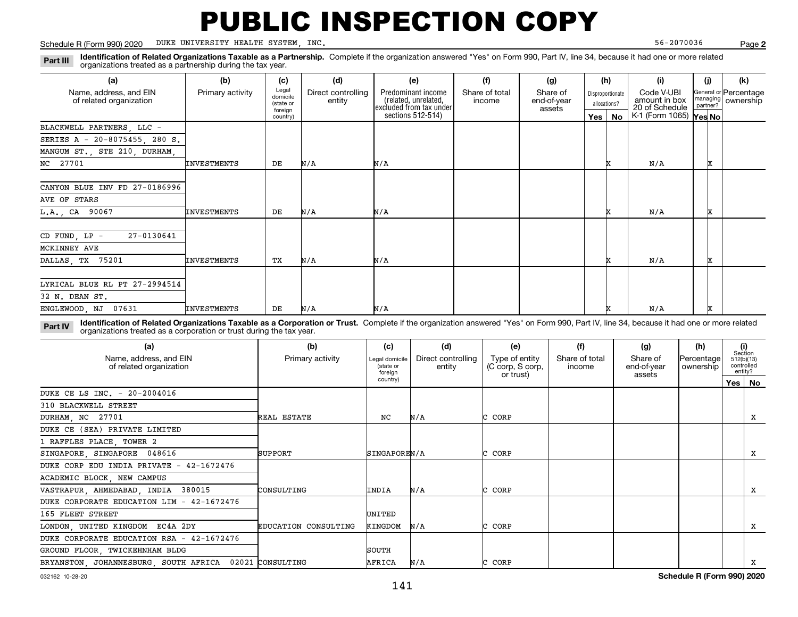#### Schedule R (Form 990) 2020 Page DUKE UNIVERSITY HEALTH SYSTEM, INC. 56-2070036

**2**

**Identification of Related Organizations Taxable as a Partnership.** Complete if the organization answered "Yes" on Form 990, Part IV, line 34, because it had one or more related **Part III** organizations treated as a partnership during the tax year.

| (a)                                               | (b)                | (c)                                       | (d)                          | (e)                                                                   | (f)                      | (g)                               |                                  | (h) | (i)                                           | (i) | (k)                                         |
|---------------------------------------------------|--------------------|-------------------------------------------|------------------------------|-----------------------------------------------------------------------|--------------------------|-----------------------------------|----------------------------------|-----|-----------------------------------------------|-----|---------------------------------------------|
| Name, address, and EIN<br>of related organization | Primary activity   | Legal<br>domicile<br>(state or<br>foreign | Direct controlling<br>entity | Predominant income<br>(related, unrelated,<br>excluded from tax under | Share of total<br>income | Share of<br>end-of-year<br>assets | Disproportionate<br>allocations? |     | Code V-UBI<br>amount in box<br>20 of Schedule |     | General or Percentage<br>managing ownership |
|                                                   |                    | country)                                  |                              | sections 512-514)                                                     |                          |                                   | Yes                              | No  | K-1 (Form 1065) Yes No                        |     |                                             |
| BLACKWELL PARTNERS, LLC -                         |                    |                                           |                              |                                                                       |                          |                                   |                                  |     |                                               |     |                                             |
| SERIES A - 20-8075455, 280 S.                     |                    |                                           |                              |                                                                       |                          |                                   |                                  |     |                                               |     |                                             |
| MANGUM ST., STE 210, DURHAM,                      |                    |                                           |                              |                                                                       |                          |                                   |                                  |     |                                               |     |                                             |
| NC 27701                                          | <b>INVESTMENTS</b> | DE                                        | N/A                          | N/A                                                                   |                          |                                   |                                  |     | N/A                                           | x   |                                             |
|                                                   |                    |                                           |                              |                                                                       |                          |                                   |                                  |     |                                               |     |                                             |
| CANYON BLUE INV FD 27-0186996                     |                    |                                           |                              |                                                                       |                          |                                   |                                  |     |                                               |     |                                             |
| AVE OF STARS                                      |                    |                                           |                              |                                                                       |                          |                                   |                                  |     |                                               |     |                                             |
| L.A., CA 90067                                    | <b>INVESTMENTS</b> | DE                                        | N/A                          | N/A                                                                   |                          |                                   |                                  |     | N/A                                           |     |                                             |
| 27-0130641<br>$CD$ FUND, $LP -$                   |                    |                                           |                              |                                                                       |                          |                                   |                                  |     |                                               |     |                                             |
| MCKINNEY AVE                                      |                    |                                           |                              |                                                                       |                          |                                   |                                  |     |                                               |     |                                             |
| DALLAS, TX 75201                                  | <b>INVESTMENTS</b> | TХ                                        | N/A                          | N/A                                                                   |                          |                                   |                                  |     | N/A                                           |     |                                             |
|                                                   |                    |                                           |                              |                                                                       |                          |                                   |                                  |     |                                               |     |                                             |
| LYRICAL BLUE RL PT 27-2994514                     |                    |                                           |                              |                                                                       |                          |                                   |                                  |     |                                               |     |                                             |
| 32 N. DEAN ST.                                    |                    |                                           |                              |                                                                       |                          |                                   |                                  |     |                                               |     |                                             |
| 07631<br>ENGLEWOOD, NJ                            | <b>INVESTMENTS</b> | DE                                        | N/A                          | N/A                                                                   |                          |                                   |                                  |     | N/A                                           |     |                                             |

**Identification of Related Organizations Taxable as a Corporation or Trust.** Complete if the organization answered "Yes" on Form 990, Part IV, line 34, because it had one or more related **Part IV** organizations treated as a corporation or trust during the tax year.

| (a)<br>Name, address, and EIN<br>of related organization | (b)<br>Primary activity | (c)<br>Legal domicile<br>(state or<br>foreign | (d)<br>Direct controlling<br>entity | (e)<br>Type of entity<br>(C corp, S corp,<br>or trust) | (f)<br>Share of total<br>income | (g)<br>Share of<br>end-of-year<br>assets | (h)<br>Percentage<br>ownership | (i)<br>Section<br>512(b)(13)<br>controlled<br>entity? |
|----------------------------------------------------------|-------------------------|-----------------------------------------------|-------------------------------------|--------------------------------------------------------|---------------------------------|------------------------------------------|--------------------------------|-------------------------------------------------------|
|                                                          |                         | country)                                      |                                     |                                                        |                                 |                                          |                                | Yes   No                                              |
| DUKE CE LS INC. - 20-2004016                             |                         |                                               |                                     |                                                        |                                 |                                          |                                |                                                       |
| 310 BLACKWELL STREET                                     |                         |                                               |                                     |                                                        |                                 |                                          |                                |                                                       |
| DURHAM, NC 27701                                         | REAL ESTATE             | NC                                            | N/A                                 | C CORP                                                 |                                 |                                          |                                | x                                                     |
| DUKE CE (SEA) PRIVATE LIMITED                            |                         |                                               |                                     |                                                        |                                 |                                          |                                |                                                       |
| 1 RAFFLES PLACE, TOWER 2                                 |                         |                                               |                                     |                                                        |                                 |                                          |                                |                                                       |
| SINGAPORE SINGAPORE 048616                               | SUPPORT                 | SINGAPOREN/A                                  |                                     | CORP                                                   |                                 |                                          |                                | x                                                     |
| DUKE CORP EDU INDIA PRIVATE - 42-1672476                 |                         |                                               |                                     |                                                        |                                 |                                          |                                |                                                       |
| ACADEMIC BLOCK, NEW CAMPUS                               |                         |                                               |                                     |                                                        |                                 |                                          |                                |                                                       |
| VASTRAPUR, AHMEDABAD, INDIA 380015                       | CONSULTING              | INDIA                                         | N/A                                 | C CORP                                                 |                                 |                                          |                                | x                                                     |
| DUKE CORPORATE EDUCATION LIM - 42-1672476                |                         |                                               |                                     |                                                        |                                 |                                          |                                |                                                       |
| 165 FLEET STREET                                         |                         | UNITED                                        |                                     |                                                        |                                 |                                          |                                |                                                       |
| LONDON, UNITED KINGDOM EC4A 2DY                          | EDUCATION CONSULTING    | KINGDOM                                       | N/A                                 | C CORP                                                 |                                 |                                          |                                | X                                                     |
| DUKE CORPORATE EDUCATION RSA - 42-1672476                |                         |                                               |                                     |                                                        |                                 |                                          |                                |                                                       |
| GROUND FLOOR, TWICKEHNHAM BLDG                           |                         | SOUTH                                         |                                     |                                                        |                                 |                                          |                                |                                                       |
| BRYANSTON, JOHANNESBURG, SOUTH AFRICA 02021 CONSULTING   |                         | AFRICA                                        | N/A                                 | CORP                                                   |                                 |                                          |                                | x                                                     |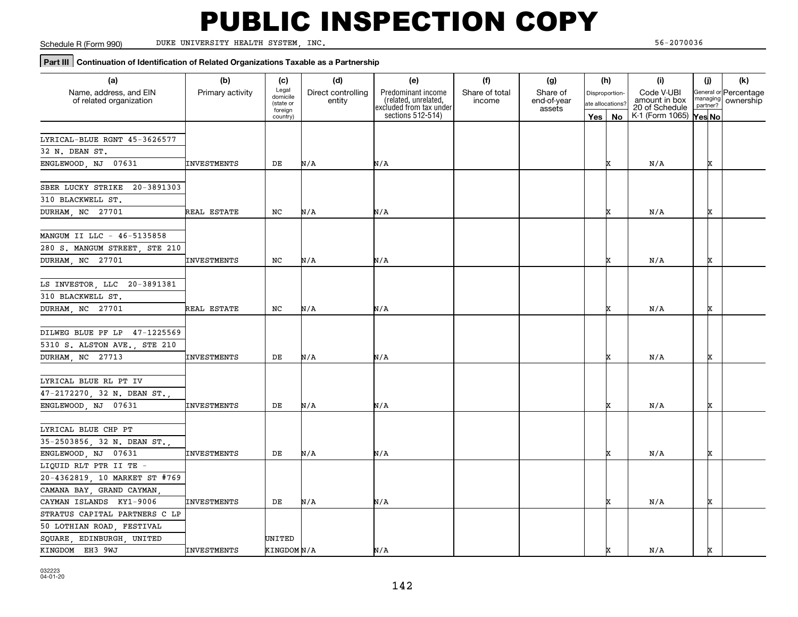Schedule R (Form 990)

DUKE UNIVERSITY HEALTH SYSTEM, INC. 56-2070036

### **Part III** Continuation of Identification of Related Organizations Taxable as a Partnership

| (a)                             | (b)                | (c)                   | (d)                | (e)                                             | (f)            | (g)                   |                  | (h) | (i)                             | (i)      |          | (k)                   |
|---------------------------------|--------------------|-----------------------|--------------------|-------------------------------------------------|----------------|-----------------------|------------------|-----|---------------------------------|----------|----------|-----------------------|
| Name, address, and EIN          | Primary activity   | Legal                 | Direct controlling | Predominant income                              | Share of total | Share of              | Disproportion-   |     | Code V-UBI                      |          |          | General or Percentage |
| of related organization         |                    | domicile<br>(state or | entity             | (related, unrelated,<br>excluded from tax under | income         | end-of-year<br>assets | ate allocations? |     | amount in box<br>20 of Schedule | partner? | nanaging | ownership             |
|                                 |                    | foreign<br>country)   |                    | sections 512-514)                               |                |                       | Yes              | No  | K-1 (Form 1065) Yes No          |          |          |                       |
|                                 |                    |                       |                    |                                                 |                |                       |                  |     |                                 |          |          |                       |
| LYRICAL-BLUE RGNT 45-3626577    |                    |                       |                    |                                                 |                |                       |                  |     |                                 |          |          |                       |
| 32 N. DEAN ST.                  |                    |                       |                    |                                                 |                |                       |                  |     |                                 |          |          |                       |
| ENGLEWOOD NJ 07631              | INVESTMENTS        | DE                    | N/A                | N/A                                             |                |                       |                  |     | N/A                             |          | x        |                       |
| SBER LUCKY STRIKE<br>20-3891303 |                    |                       |                    |                                                 |                |                       |                  |     |                                 |          |          |                       |
| 310 BLACKWELL ST.               |                    |                       |                    |                                                 |                |                       |                  |     |                                 |          |          |                       |
| DURHAM, NC 27701                | REAL ESTATE        | NC                    | N/A                | N/A                                             |                |                       |                  |     | N/A                             |          | x        |                       |
|                                 |                    |                       |                    |                                                 |                |                       |                  |     |                                 |          |          |                       |
| MANGUM II LLC - 46-5135858      |                    |                       |                    |                                                 |                |                       |                  |     |                                 |          |          |                       |
| 280 S. MANGUM STREET, STE 210   |                    |                       |                    |                                                 |                |                       |                  |     |                                 |          |          |                       |
| DURHAM, NC 27701                | <b>INVESTMENTS</b> | NC                    | N/A                | N/A                                             |                |                       |                  |     | N/A                             |          | x        |                       |
|                                 |                    |                       |                    |                                                 |                |                       |                  |     |                                 |          |          |                       |
| LS INVESTOR, LLC 20-3891381     |                    |                       |                    |                                                 |                |                       |                  |     |                                 |          |          |                       |
| 310 BLACKWELL ST.               |                    |                       |                    |                                                 |                |                       |                  |     |                                 |          |          |                       |
| DURHAM, NC 27701                | REAL ESTATE        | NC                    | N/A                | N/A                                             |                |                       |                  |     | N/A                             |          | x        |                       |
|                                 |                    |                       |                    |                                                 |                |                       |                  |     |                                 |          |          |                       |
| DILWEG BLUE PF LP 47-1225569    |                    |                       |                    |                                                 |                |                       |                  |     |                                 |          |          |                       |
| 5310 S. ALSTON AVE., STE 210    |                    |                       |                    |                                                 |                |                       |                  |     |                                 |          |          |                       |
| DURHAM, NC 27713                | INVESTMENTS        | DE                    | N/A                | N/A                                             |                |                       |                  |     | N/A                             |          | x        |                       |
|                                 |                    |                       |                    |                                                 |                |                       |                  |     |                                 |          |          |                       |
| LYRICAL BLUE RL PT IV           |                    |                       |                    |                                                 |                |                       |                  |     |                                 |          |          |                       |
| 47-2172270, 32 N. DEAN ST.,     |                    |                       |                    |                                                 |                |                       |                  |     |                                 |          |          |                       |
| ENGLEWOOD NJ 07631              | <b>INVESTMENTS</b> | DE                    | N/A                | N/A                                             |                |                       |                  | ÞХ  | N/A                             |          | x        |                       |
|                                 |                    |                       |                    |                                                 |                |                       |                  |     |                                 |          |          |                       |
| LYRICAL BLUE CHP PT             |                    |                       |                    |                                                 |                |                       |                  |     |                                 |          |          |                       |
| 35-2503856, 32 N. DEAN ST.,     |                    |                       |                    |                                                 |                |                       |                  |     |                                 |          |          |                       |
| ENGLEWOOD NJ 07631              | <b>INVESTMENTS</b> | DE                    | N/A                | N/A                                             |                |                       |                  |     | N/A                             |          | x        |                       |
| LIQUID RLT PTR II TE -          |                    |                       |                    |                                                 |                |                       |                  |     |                                 |          |          |                       |
| 20-4362819, 10 MARKET ST #769   |                    |                       |                    |                                                 |                |                       |                  |     |                                 |          |          |                       |
| CAMANA BAY, GRAND CAYMAN        |                    |                       |                    |                                                 |                |                       |                  |     |                                 |          |          |                       |
| CAYMAN ISLANDS KY1-9006         | INVESTMENTS        | DE                    | N/A                | N/A                                             |                |                       |                  | IX  | N/A                             |          | x        |                       |
| STRATUS CAPITAL PARTNERS C LP   |                    |                       |                    |                                                 |                |                       |                  |     |                                 |          |          |                       |
| 50 LOTHIAN ROAD, FESTIVAL       |                    |                       |                    |                                                 |                |                       |                  |     |                                 |          |          |                       |
| SQUARE EDINBURGH UNITED         |                    | UNITED                |                    |                                                 |                |                       |                  |     |                                 |          |          |                       |
| KINGDOM EH3 9WJ                 | INVESTMENTS        | KINGDOM N/A           |                    | N/A                                             |                |                       |                  |     | N/A                             |          | x        |                       |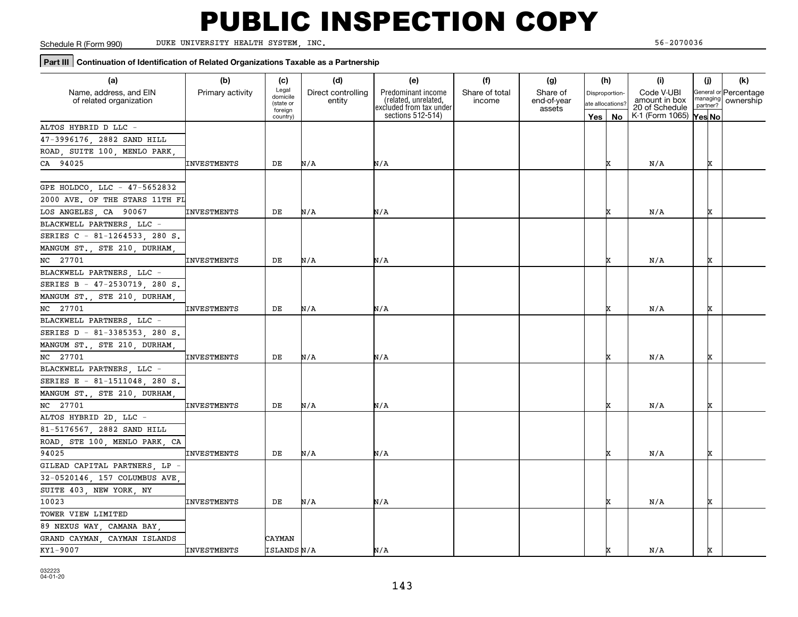Schedule R (Form 990)

DUKE UNIVERSITY HEALTH SYSTEM, INC. 56-2070036

### **Part III** Continuation of Identification of Related Organizations Taxable as a Partnership

| (a)                            | (b)                | (c)                  | (d)                | (e)                                             | (f)            | (g)                   |     | (h)              | (i)                             | (j)      | (k)                   |
|--------------------------------|--------------------|----------------------|--------------------|-------------------------------------------------|----------------|-----------------------|-----|------------------|---------------------------------|----------|-----------------------|
| Name, address, and EIN         | Primary activity   | Legal<br>domicile    | Direct controlling | Predominant income                              | Share of total | Share of              |     | Disproportion-   | Code V-UBI                      | managing | General or Percentage |
| of related organization        |                    | (state or<br>foreign | entity             | (related, unrelated,<br>excluded from tax under | income         | end-of-year<br>assets |     | ate allocations? | amount in box<br>20 of Schedule | partner? | ownership             |
|                                |                    | country)             |                    | sections 512-514)                               |                |                       | Yes | <b>No</b>        | K-1 (Form 1065)                 | Yes No   |                       |
| ALTOS HYBRID D LLC -           |                    |                      |                    |                                                 |                |                       |     |                  |                                 |          |                       |
| 47-3996176, 2882 SAND HILL     |                    |                      |                    |                                                 |                |                       |     |                  |                                 |          |                       |
| ROAD, SUITE 100, MENLO PARK    |                    |                      |                    |                                                 |                |                       |     |                  |                                 |          |                       |
| CA 94025                       | <b>INVESTMENTS</b> | DE                   | N/A                | N/A                                             |                |                       |     | x                | N/A                             | x        |                       |
|                                |                    |                      |                    |                                                 |                |                       |     |                  |                                 |          |                       |
| GPE HOLDCO, LLC - 47-5652832   |                    |                      |                    |                                                 |                |                       |     |                  |                                 |          |                       |
| 2000 AVE. OF THE STARS 11TH FL |                    |                      |                    |                                                 |                |                       |     |                  |                                 |          |                       |
| LOS ANGELES, CA 90067          | <b>INVESTMENTS</b> | DE                   | N/A                | N/A                                             |                |                       |     | x                | N/A                             | x        |                       |
| BLACKWELL PARTNERS, LLC -      |                    |                      |                    |                                                 |                |                       |     |                  |                                 |          |                       |
| SERIES C - 81-1264533, 280 S.  |                    |                      |                    |                                                 |                |                       |     |                  |                                 |          |                       |
| MANGUM ST., STE 210, DURHAM,   |                    |                      |                    |                                                 |                |                       |     |                  |                                 |          |                       |
| NC 27701                       | <b>INVESTMENTS</b> | DE                   | N/A                | N/A                                             |                |                       |     |                  | N/A                             | x        |                       |
| BLACKWELL PARTNERS, LLC -      |                    |                      |                    |                                                 |                |                       |     |                  |                                 |          |                       |
| SERIES B - 47-2530719 280 S.   |                    |                      |                    |                                                 |                |                       |     |                  |                                 |          |                       |
| MANGUM ST., STE 210, DURHAM,   |                    |                      |                    |                                                 |                |                       |     |                  |                                 |          |                       |
| NC 27701                       | <b>INVESTMENTS</b> | DE                   | N/A                | N/A                                             |                |                       |     | X                | N/A                             | x        |                       |
| BLACKWELL PARTNERS, LLC -      |                    |                      |                    |                                                 |                |                       |     |                  |                                 |          |                       |
| SERIES D - 81-3385353, 280 S.  |                    |                      |                    |                                                 |                |                       |     |                  |                                 |          |                       |
| MANGUM ST., STE 210, DURHAM    |                    |                      |                    |                                                 |                |                       |     |                  |                                 |          |                       |
| NC 27701                       | <b>INVESTMENTS</b> | DE                   | N/A                | N/A                                             |                |                       |     | ГX               | N/A                             | x        |                       |
| BLACKWELL PARTNERS, LLC -      |                    |                      |                    |                                                 |                |                       |     |                  |                                 |          |                       |
| SERIES E - 81-1511048, 280 S.  |                    |                      |                    |                                                 |                |                       |     |                  |                                 |          |                       |
| MANGUM ST., STE 210, DURHAM    |                    |                      |                    |                                                 |                |                       |     |                  |                                 |          |                       |
| NC 27701                       | <b>INVESTMENTS</b> | DE                   | N/A                | N/A                                             |                |                       |     | x                | N/A                             | x        |                       |
| ALTOS HYBRID 2D, LLC -         |                    |                      |                    |                                                 |                |                       |     |                  |                                 |          |                       |
| 81-5176567, 2882 SAND HILL     |                    |                      |                    |                                                 |                |                       |     |                  |                                 |          |                       |
| ROAD, STE 100, MENLO PARK, CA  |                    |                      |                    |                                                 |                |                       |     |                  |                                 |          |                       |
| 94025                          | <b>INVESTMENTS</b> | DE                   | N/A                | N/A                                             |                |                       |     |                  | N/A                             | x        |                       |
| GILEAD CAPITAL PARTNERS, LP -  |                    |                      |                    |                                                 |                |                       |     |                  |                                 |          |                       |
| 32-0520146, 157 COLUMBUS AVE   |                    |                      |                    |                                                 |                |                       |     |                  |                                 |          |                       |
| SUITE 403, NEW YORK, NY        |                    |                      |                    |                                                 |                |                       |     |                  |                                 |          |                       |
| 10023                          | <b>INVESTMENTS</b> | DE                   | N/A                | N/A                                             |                |                       |     | Ιx               | N/A                             | x        |                       |
| TOWER VIEW LIMITED             |                    |                      |                    |                                                 |                |                       |     |                  |                                 |          |                       |
| 89 NEXUS WAY, CAMANA BAY,      |                    |                      |                    |                                                 |                |                       |     |                  |                                 |          |                       |
| GRAND CAYMAN, CAYMAN ISLANDS   |                    | CAYMAN               |                    |                                                 |                |                       |     |                  |                                 |          |                       |
| KY1-9007                       | <b>INVESTMENTS</b> | ISLANDS N/A          |                    | N/A                                             |                |                       |     | x                | N/A                             | x        |                       |
|                                |                    |                      |                    |                                                 |                |                       |     |                  |                                 |          |                       |

032223 04-01-20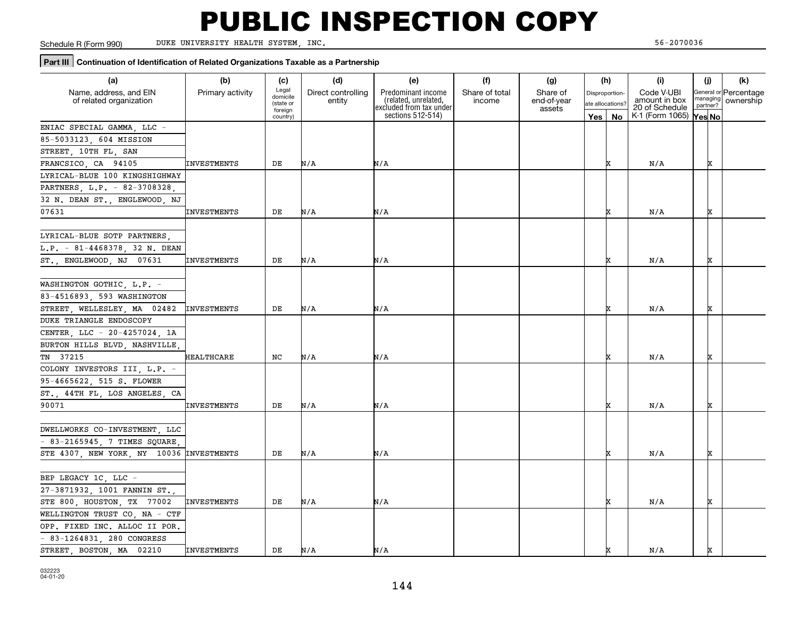Schedule R (Form 990)

DUKE UNIVERSITY HEALTH SYSTEM, INC. 56-2070036

### **Part III** Continuation of Identification of Related Organizations Taxable as a Partnership

| (b)<br>(d)<br>(e)<br>(f)<br>(a)<br>(g)<br>(c)                                                                                                                       | (h)      | (i)                             | (j)                  | (k)                   |
|---------------------------------------------------------------------------------------------------------------------------------------------------------------------|----------|---------------------------------|----------------------|-----------------------|
| Legal<br>Name, address, and EIN<br>Primary activity<br>Direct controlling<br>Predominant income<br>Share of total<br>Share of<br>Disproportion-<br>domicile         |          | Code V-UBI                      |                      | General or Percentage |
| (related, unrelated,<br>end-of-year<br>of related organization<br>entity<br>income<br>(state or<br>ate allocations?<br>excluded from tax under<br>assets<br>foreign |          | amount in box<br>20 of Schedule | managing<br>partner? | ownership             |
| sections 512-514)<br>country)                                                                                                                                       | Yes   No | K-1 (Form 1065)                 | Yes No               |                       |
| ENIAC SPECIAL GAMMA, LLC                                                                                                                                            |          |                                 |                      |                       |
| 85-5033123, 604 MISSION                                                                                                                                             |          |                                 |                      |                       |
| STREET, 10TH FL, SAN                                                                                                                                                |          |                                 |                      |                       |
| FRANCSICO, CA 94105<br>N/A<br>N/A<br>INVESTMENTS<br>DE                                                                                                              | x        | N/A                             | x                    |                       |
| LYRICAL-BLUE 100 KINGSHIGHWAY                                                                                                                                       |          |                                 |                      |                       |
| PARTNERS, L.P. - 82-3708328,                                                                                                                                        |          |                                 |                      |                       |
| 32 N. DEAN ST., ENGLEWOOD, NJ                                                                                                                                       |          |                                 |                      |                       |
| N/A<br>N/A<br>07631<br>INVESTMENTS<br>DE                                                                                                                            |          | N/A                             | x                    |                       |
|                                                                                                                                                                     |          |                                 |                      |                       |
| LYRICAL-BLUE SOTP PARTNERS,                                                                                                                                         |          |                                 |                      |                       |
| L.P. - 81-4468378, 32 N. DEAN                                                                                                                                       |          |                                 |                      |                       |
| ST., ENGLEWOOD, NJ 07631<br>INVESTMENTS<br>DE<br>N/A<br>N/A                                                                                                         |          | N/A                             | x                    |                       |
|                                                                                                                                                                     |          |                                 |                      |                       |
| WASHINGTON GOTHIC, L.P. -                                                                                                                                           |          |                                 |                      |                       |
| 83-4516893, 593 WASHINGTON                                                                                                                                          |          |                                 |                      |                       |
| STREET, WELLESLEY, MA 02482<br><b>INVESTMENTS</b><br>DE<br>N/A<br>N/A                                                                                               |          | N/A                             | x                    |                       |
| DUKE TRIANGLE ENDOSCOPY                                                                                                                                             |          |                                 |                      |                       |
| CENTER, LLC - 20-4257024, 1A                                                                                                                                        |          |                                 |                      |                       |
| BURTON HILLS BLVD, NASHVILLE,                                                                                                                                       |          |                                 |                      |                       |
| N/A<br>N/A<br>TN 37215<br>HEALTHCARE<br>NC                                                                                                                          | IX       | N/A                             | x                    |                       |
| COLONY INVESTORS III, L.P. -                                                                                                                                        |          |                                 |                      |                       |
| 95-4665622, 515 S. FLOWER                                                                                                                                           |          |                                 |                      |                       |
| ST., 44TH FL, LOS ANGELES, CA                                                                                                                                       |          |                                 |                      |                       |
| N/A<br>90071<br><b>INVESTMENTS</b><br>DE<br>N/A                                                                                                                     |          | N/A                             | x                    |                       |
|                                                                                                                                                                     |          |                                 |                      |                       |
| DWELLWORKS CO-INVESTMENT, LLC                                                                                                                                       |          |                                 |                      |                       |
| $-83-2165945$ , 7 TIMES SQUARE,                                                                                                                                     |          |                                 |                      |                       |
| STE 4307, NEW YORK, NY 10036 INVESTMENTS<br>DE<br>N/A<br>N/A                                                                                                        | IX       | N/A                             | x                    |                       |
|                                                                                                                                                                     |          |                                 |                      |                       |
| BEP LEGACY 1C, LLC -                                                                                                                                                |          |                                 |                      |                       |
| 27-3871932, 1001 FANNIN ST.,                                                                                                                                        |          |                                 |                      |                       |
| STE 800, HOUSTON, TX 77002<br><b>INVESTMENTS</b><br>DE<br>N/A<br>N/A                                                                                                | x        | N/A                             | x                    |                       |
| WELLINGTON TRUST CO, NA - CTF                                                                                                                                       |          |                                 |                      |                       |
| OPP. FIXED INC. ALLOC II POR.                                                                                                                                       |          |                                 |                      |                       |
| - 83-1264831, 280 CONGRESS                                                                                                                                          |          |                                 |                      |                       |
| STREET BOSTON MA 02210<br>N/A<br>N/A<br><b>INVESTMENTS</b><br>DE                                                                                                    |          | N/A                             | x                    |                       |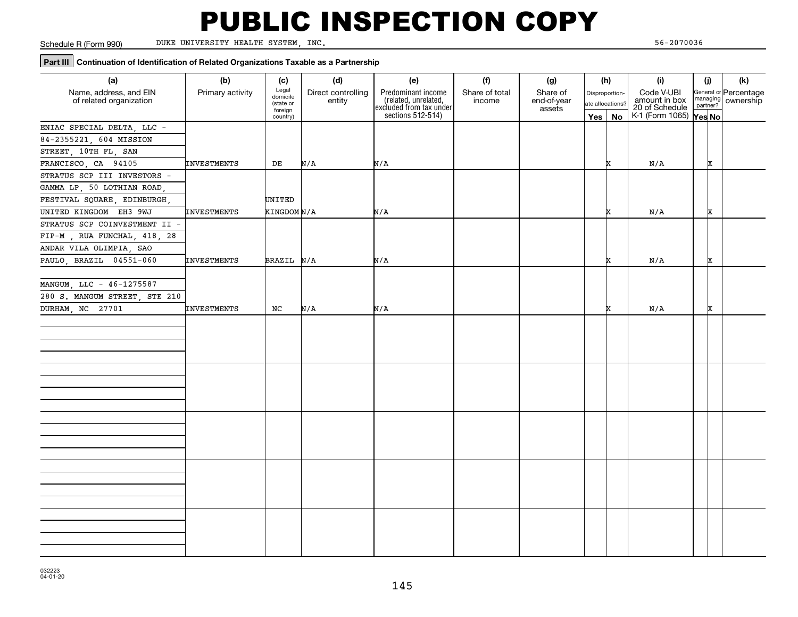Schedule R (Form 990)

DUKE UNIVERSITY HEALTH SYSTEM, INC. 56-2070036

#### **Part III Continuation of Identification of Related Organizations Taxable as a Partnership**

| (a)                                               | (b)                | (c)                                                   | (d)                          | (e)                                                                                          | (f)                      | (g)                               |     | (h)                                             | (i)                                                              | (j)                |   | (k)                                         |
|---------------------------------------------------|--------------------|-------------------------------------------------------|------------------------------|----------------------------------------------------------------------------------------------|--------------------------|-----------------------------------|-----|-------------------------------------------------|------------------------------------------------------------------|--------------------|---|---------------------------------------------|
| Name, address, and EIN<br>of related organization | Primary activity   | Legal<br>domicile<br>(state or<br>foreign<br>country) | Direct controlling<br>entity | Predominant income<br>related, unrelated,<br>excluded from tax under<br>sections $512-514$ ) | Share of total<br>income | Share of<br>end-of-year<br>assets | Yes | Disproportion-<br>ate allocations?<br><b>No</b> | Code V-UBI<br>amount in box<br>20 of Schedule<br>K-1 (Form 1065) | partner?<br>Yes No |   | General or Percentage<br>managing ownership |
| ENIAC SPECIAL DELTA, LLC -                        |                    |                                                       |                              |                                                                                              |                          |                                   |     |                                                 |                                                                  |                    |   |                                             |
| 84-2355221, 604 MISSION                           |                    |                                                       |                              |                                                                                              |                          |                                   |     |                                                 |                                                                  |                    |   |                                             |
| STREET, 10TH FL, SAN                              |                    |                                                       |                              |                                                                                              |                          |                                   |     |                                                 |                                                                  |                    |   |                                             |
| FRANCISCO, CA 94105                               | INVESTMENTS        | DE                                                    | N/A                          | N/A                                                                                          |                          |                                   |     | x                                               | N/A                                                              |                    | x |                                             |
| STRATUS SCP III INVESTORS -                       |                    |                                                       |                              |                                                                                              |                          |                                   |     |                                                 |                                                                  |                    |   |                                             |
| GAMMA LP, 50 LOTHIAN ROAD,                        |                    |                                                       |                              |                                                                                              |                          |                                   |     |                                                 |                                                                  |                    |   |                                             |
| FESTIVAL SQUARE, EDINBURGH,                       |                    | UNITED                                                |                              |                                                                                              |                          |                                   |     |                                                 |                                                                  |                    |   |                                             |
| UNITED KINGDOM EH3 9WJ                            | INVESTMENTS        | KINGDOM N/A                                           |                              | N/A                                                                                          |                          |                                   |     |                                                 | N/A                                                              |                    | x |                                             |
| STRATUS SCP COINVESTMENT II -                     |                    |                                                       |                              |                                                                                              |                          |                                   |     |                                                 |                                                                  |                    |   |                                             |
| FIP-M, RUA FUNCHAL, 418, 28                       |                    |                                                       |                              |                                                                                              |                          |                                   |     |                                                 |                                                                  |                    |   |                                             |
| ANDAR VILA OLIMPIA, SAO                           |                    |                                                       |                              |                                                                                              |                          |                                   |     |                                                 |                                                                  |                    |   |                                             |
| PAULO, BRAZIL 04551-060                           | INVESTMENTS        | BRAZIL N/A                                            |                              | N/A                                                                                          |                          |                                   |     | x                                               | N/A                                                              |                    | x |                                             |
|                                                   |                    |                                                       |                              |                                                                                              |                          |                                   |     |                                                 |                                                                  |                    |   |                                             |
| MANGUM, LLC - 46-1275587                          |                    |                                                       |                              |                                                                                              |                          |                                   |     |                                                 |                                                                  |                    |   |                                             |
| 280 S. MANGUM STREET, STE 210                     |                    |                                                       |                              |                                                                                              |                          |                                   |     |                                                 |                                                                  |                    |   |                                             |
| DURHAM, NC 27701                                  | <b>INVESTMENTS</b> | NC                                                    | N/A                          | N/A                                                                                          |                          |                                   |     |                                                 | N/A                                                              |                    | x |                                             |
|                                                   |                    |                                                       |                              |                                                                                              |                          |                                   |     |                                                 |                                                                  |                    |   |                                             |
|                                                   |                    |                                                       |                              |                                                                                              |                          |                                   |     |                                                 |                                                                  |                    |   |                                             |
|                                                   |                    |                                                       |                              |                                                                                              |                          |                                   |     |                                                 |                                                                  |                    |   |                                             |
|                                                   |                    |                                                       |                              |                                                                                              |                          |                                   |     |                                                 |                                                                  |                    |   |                                             |
|                                                   |                    |                                                       |                              |                                                                                              |                          |                                   |     |                                                 |                                                                  |                    |   |                                             |
|                                                   |                    |                                                       |                              |                                                                                              |                          |                                   |     |                                                 |                                                                  |                    |   |                                             |
|                                                   |                    |                                                       |                              |                                                                                              |                          |                                   |     |                                                 |                                                                  |                    |   |                                             |
|                                                   |                    |                                                       |                              |                                                                                              |                          |                                   |     |                                                 |                                                                  |                    |   |                                             |
|                                                   |                    |                                                       |                              |                                                                                              |                          |                                   |     |                                                 |                                                                  |                    |   |                                             |
|                                                   |                    |                                                       |                              |                                                                                              |                          |                                   |     |                                                 |                                                                  |                    |   |                                             |
|                                                   |                    |                                                       |                              |                                                                                              |                          |                                   |     |                                                 |                                                                  |                    |   |                                             |
|                                                   |                    |                                                       |                              |                                                                                              |                          |                                   |     |                                                 |                                                                  |                    |   |                                             |
|                                                   |                    |                                                       |                              |                                                                                              |                          |                                   |     |                                                 |                                                                  |                    |   |                                             |
|                                                   |                    |                                                       |                              |                                                                                              |                          |                                   |     |                                                 |                                                                  |                    |   |                                             |
|                                                   |                    |                                                       |                              |                                                                                              |                          |                                   |     |                                                 |                                                                  |                    |   |                                             |
|                                                   |                    |                                                       |                              |                                                                                              |                          |                                   |     |                                                 |                                                                  |                    |   |                                             |
|                                                   |                    |                                                       |                              |                                                                                              |                          |                                   |     |                                                 |                                                                  |                    |   |                                             |
|                                                   |                    |                                                       |                              |                                                                                              |                          |                                   |     |                                                 |                                                                  |                    |   |                                             |
|                                                   |                    |                                                       |                              |                                                                                              |                          |                                   |     |                                                 |                                                                  |                    |   |                                             |
|                                                   |                    |                                                       |                              |                                                                                              |                          |                                   |     |                                                 |                                                                  |                    |   |                                             |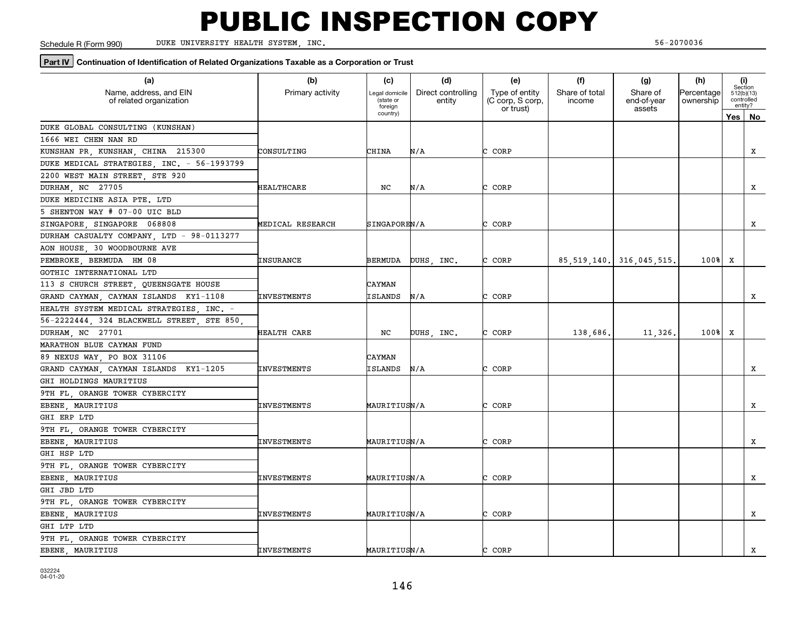Schedule R (Form 990)

DUKE UNIVERSITY HEALTH SYSTEM, INC. 56-2070036

#### **Part IV** Continuation of Identification of Related Organizations Taxable as a Corporation or Trust

| (a)<br>Name, address, and EIN<br>of related organization | (b)<br>Primary activity | (c)<br>Legal domicile<br>(state or<br>foreign | (d)<br>Direct controlling<br>entity | (e)<br>Type of entity<br>(C corp, S corp, | (f)<br>Share of total<br>income | (g)<br>Share of<br>end-of-year | (h)<br>Percentage<br>ownership | (i)           | Section<br>512(b)(13)<br>controlled<br>entity? |
|----------------------------------------------------------|-------------------------|-----------------------------------------------|-------------------------------------|-------------------------------------------|---------------------------------|--------------------------------|--------------------------------|---------------|------------------------------------------------|
|                                                          |                         | country)                                      |                                     | or trust)                                 |                                 | assets                         |                                | $Yes \mid No$ |                                                |
| DUKE GLOBAL CONSULTING (KUNSHAN)                         |                         |                                               |                                     |                                           |                                 |                                |                                |               |                                                |
| 1666 WEI CHEN NAN RD                                     |                         |                                               |                                     |                                           |                                 |                                |                                |               |                                                |
| KUNSHAN PR, KUNSHAN, CHINA 215300                        | CONSULTING              | CHINA                                         | N/A                                 | CORP                                      |                                 |                                |                                |               | X                                              |
| DUKE MEDICAL STRATEGIES, INC. - 56-1993799               |                         |                                               |                                     |                                           |                                 |                                |                                |               |                                                |
| 2200 WEST MAIN STREET, STE 920                           |                         |                                               |                                     |                                           |                                 |                                |                                |               |                                                |
| DURHAM, NC 27705                                         | HEALTHCARE              | NC                                            | N/A                                 | CORP<br>C.                                |                                 |                                |                                |               | x                                              |
| DUKE MEDICINE ASIA PTE. LTD                              |                         |                                               |                                     |                                           |                                 |                                |                                |               |                                                |
| 5 SHENTON WAY # 07-00 UIC BLD                            |                         |                                               |                                     |                                           |                                 |                                |                                |               |                                                |
| SINGAPORE SINGAPORE 068808                               | MEDICAL RESEARCH        | SINGAPOREN/A                                  |                                     | C CORP                                    |                                 |                                |                                |               | X                                              |
| DURHAM CASUALTY COMPANY, LTD - 98-0113277                |                         |                                               |                                     |                                           |                                 |                                |                                |               |                                                |
| AON HOUSE, 30 WOODBOURNE AVE                             |                         |                                               |                                     |                                           |                                 |                                |                                |               |                                                |
| PEMBROKE, BERMUDA HM 08                                  | <b>INSURANCE</b>        | BERMUDA                                       | DUHS, INC.                          | C CORP                                    |                                 | 85, 519, 140. 316, 045, 515.   | $100$ <sup>8</sup>             | X             |                                                |
| GOTHIC INTERNATIONAL LTD                                 |                         |                                               |                                     |                                           |                                 |                                |                                |               |                                                |
| 113 S CHURCH STREET, QUEENSGATE HOUSE                    |                         | CAYMAN                                        |                                     |                                           |                                 |                                |                                |               |                                                |
| GRAND CAYMAN, CAYMAN ISLANDS KY1-1108                    | <b>INVESTMENTS</b>      | ISLANDS                                       | N/A                                 | CORP                                      |                                 |                                |                                |               | x                                              |
| HEALTH SYSTEM MEDICAL STRATEGIES, INC. -                 |                         |                                               |                                     |                                           |                                 |                                |                                |               |                                                |
| 56-2222444, 324 BLACKWELL STREET, STE 850                |                         |                                               |                                     |                                           |                                 |                                |                                |               |                                                |
| DURHAM, NC 27701                                         | HEALTH CARE             | NC                                            | DUHS, INC.                          | CORP<br>C                                 | 138,686.                        | 11,326                         | 100%                           | x             |                                                |
| MARATHON BLUE CAYMAN FUND                                |                         |                                               |                                     |                                           |                                 |                                |                                |               |                                                |
| 89 NEXUS WAY, PO BOX 31106                               |                         | CAYMAN                                        |                                     |                                           |                                 |                                |                                |               |                                                |
| GRAND CAYMAN, CAYMAN ISLANDS KY1-1205                    | <b>INVESTMENTS</b>      | ISLANDS                                       | N/A                                 | CORP                                      |                                 |                                |                                |               | x                                              |
| GHI HOLDINGS MAURITIUS                                   |                         |                                               |                                     |                                           |                                 |                                |                                |               |                                                |
| 9TH FL, ORANGE TOWER CYBERCITY                           |                         |                                               |                                     |                                           |                                 |                                |                                |               |                                                |
| EBENE, MAURITIUS                                         | INVESTMENTS             | <b>MAURITIUSN/A</b>                           |                                     | CORP<br>C                                 |                                 |                                |                                |               | x                                              |
| GHI ERP LTD                                              |                         |                                               |                                     |                                           |                                 |                                |                                |               |                                                |
| 9TH FL, ORANGE TOWER CYBERCITY                           |                         |                                               |                                     |                                           |                                 |                                |                                |               |                                                |
| EBENE, MAURITIUS                                         | <b>INVESTMENTS</b>      | MAURITIUSN/A                                  |                                     | CORP                                      |                                 |                                |                                |               | X                                              |
| GHI HSP LTD                                              |                         |                                               |                                     |                                           |                                 |                                |                                |               |                                                |
| 9TH FL, ORANGE TOWER CYBERCITY                           |                         |                                               |                                     |                                           |                                 |                                |                                |               |                                                |
| EBENE, MAURITIUS                                         | <b>INVESTMENTS</b>      | MAURITIUSN/A                                  |                                     | C CORP                                    |                                 |                                |                                |               | x                                              |
| GHI JBD LTD                                              |                         |                                               |                                     |                                           |                                 |                                |                                |               |                                                |
| 9TH FL, ORANGE TOWER CYBERCITY                           |                         |                                               |                                     |                                           |                                 |                                |                                |               |                                                |
| EBENE, MAURITIUS                                         | <b>INVESTMENTS</b>      | MAURITIUSN/A                                  |                                     | CORP                                      |                                 |                                |                                |               | X                                              |
| GHI LTP LTD                                              |                         |                                               |                                     |                                           |                                 |                                |                                |               |                                                |
| 9TH FL, ORANGE TOWER CYBERCITY                           |                         |                                               |                                     |                                           |                                 |                                |                                |               |                                                |
| EBENE, MAURITIUS                                         | <b>INVESTMENTS</b>      | MAURITIUSN/A                                  |                                     | CORP                                      |                                 |                                |                                |               | X                                              |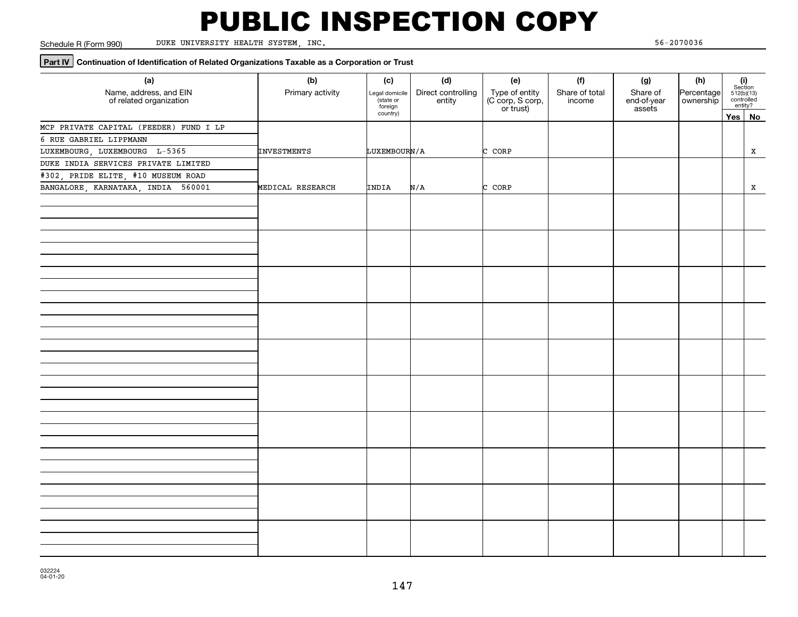Schedule R (Form 990)

DUKE UNIVERSITY HEALTH SYSTEM, INC. 56-2070036

#### **Part IV** Continuation of Identification of Related Organizations Taxable as a Corporation or Trust

| (a)<br>Name, address, and EIN<br>of related organization | (b)<br>Primary activity | (c)<br>Legal domicile<br>state or<br>foreign | (d)<br>Direct controlling<br>entity | (e)<br>Type of entity<br>(C corp, S corp,<br>or trust) | (f)<br>Share of total<br>income | (g)<br>Share of<br>end-of-year<br>assets | (h)<br>Percentage<br>ownership | $\begin{array}{c} \textbf{(i)}\\ \text{Section}\\ 512 \text{(b)} \text{(13)}\\ \text{controlled}\\ \text{entity?} \end{array}$ |
|----------------------------------------------------------|-------------------------|----------------------------------------------|-------------------------------------|--------------------------------------------------------|---------------------------------|------------------------------------------|--------------------------------|--------------------------------------------------------------------------------------------------------------------------------|
|                                                          |                         | country)                                     |                                     |                                                        |                                 |                                          |                                | Yes   No                                                                                                                       |
| MCP PRIVATE CAPITAL (FEEDER) FUND I LP                   |                         |                                              |                                     |                                                        |                                 |                                          |                                |                                                                                                                                |
| 6 RUE GABRIEL LIPPMANN                                   |                         |                                              |                                     |                                                        |                                 |                                          |                                |                                                                                                                                |
| LUXEMBOURG, LUXEMBOURG L-5365                            | <b>INVESTMENTS</b>      | LUXEMBOURN/A                                 |                                     | C CORP                                                 |                                 |                                          |                                | x                                                                                                                              |
| DUKE INDIA SERVICES PRIVATE LIMITED                      |                         |                                              |                                     |                                                        |                                 |                                          |                                |                                                                                                                                |
| #302, PRIDE ELITE, #10 MUSEUM ROAD                       |                         |                                              |                                     |                                                        |                                 |                                          |                                |                                                                                                                                |
| BANGALORE, KARNATAKA, INDIA 560001                       | MEDICAL RESEARCH        | INDIA                                        | N/A                                 | C CORP                                                 |                                 |                                          |                                | X                                                                                                                              |
|                                                          |                         |                                              |                                     |                                                        |                                 |                                          |                                |                                                                                                                                |
|                                                          |                         |                                              |                                     |                                                        |                                 |                                          |                                |                                                                                                                                |
|                                                          |                         |                                              |                                     |                                                        |                                 |                                          |                                |                                                                                                                                |
|                                                          |                         |                                              |                                     |                                                        |                                 |                                          |                                |                                                                                                                                |
|                                                          |                         |                                              |                                     |                                                        |                                 |                                          |                                |                                                                                                                                |
|                                                          |                         |                                              |                                     |                                                        |                                 |                                          |                                |                                                                                                                                |
|                                                          |                         |                                              |                                     |                                                        |                                 |                                          |                                |                                                                                                                                |
|                                                          |                         |                                              |                                     |                                                        |                                 |                                          |                                |                                                                                                                                |
|                                                          |                         |                                              |                                     |                                                        |                                 |                                          |                                |                                                                                                                                |
|                                                          |                         |                                              |                                     |                                                        |                                 |                                          |                                |                                                                                                                                |
|                                                          |                         |                                              |                                     |                                                        |                                 |                                          |                                |                                                                                                                                |
|                                                          |                         |                                              |                                     |                                                        |                                 |                                          |                                |                                                                                                                                |
|                                                          |                         |                                              |                                     |                                                        |                                 |                                          |                                |                                                                                                                                |
|                                                          |                         |                                              |                                     |                                                        |                                 |                                          |                                |                                                                                                                                |
|                                                          |                         |                                              |                                     |                                                        |                                 |                                          |                                |                                                                                                                                |
|                                                          |                         |                                              |                                     |                                                        |                                 |                                          |                                |                                                                                                                                |
|                                                          |                         |                                              |                                     |                                                        |                                 |                                          |                                |                                                                                                                                |
|                                                          |                         |                                              |                                     |                                                        |                                 |                                          |                                |                                                                                                                                |
|                                                          |                         |                                              |                                     |                                                        |                                 |                                          |                                |                                                                                                                                |
|                                                          |                         |                                              |                                     |                                                        |                                 |                                          |                                |                                                                                                                                |
|                                                          |                         |                                              |                                     |                                                        |                                 |                                          |                                |                                                                                                                                |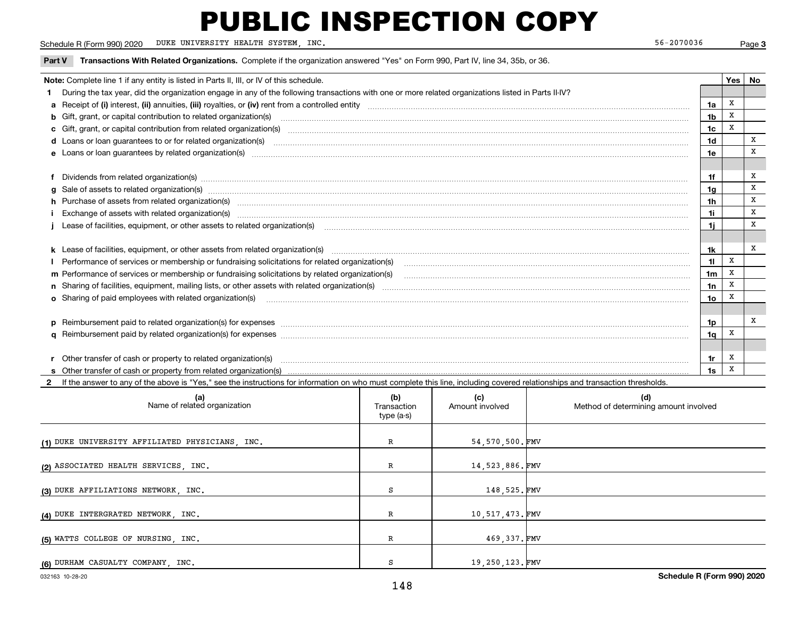Schedule R (Form 990) 2020 Page DUKE UNIVERSITY HEALTH SYSTEM, INC. 56-2070036

Page 3

| Transactions With Related Organizations. Complete if the organization answered "Yes" on Form 990, Part IV, line 34, 35b, or 36.<br>Part V                                                                                      |                |       |    |
|--------------------------------------------------------------------------------------------------------------------------------------------------------------------------------------------------------------------------------|----------------|-------|----|
| Note: Complete line 1 if any entity is listed in Parts II, III, or IV of this schedule.                                                                                                                                        |                | Yes I | No |
| During the tax year, did the organization engage in any of the following transactions with one or more related organizations listed in Parts II-IV?                                                                            |                |       |    |
|                                                                                                                                                                                                                                | 1a             | x     |    |
| b Gift, grant, or capital contribution to related organization(s) manufaction contracts and contribution to related organization(s)                                                                                            | 1 <sub>b</sub> | X     |    |
| c Gift, grant, or capital contribution from related organization(s) CONCORDIAL CONSERVITY OF Gift, grant, or capital contribution from related organization(s)                                                                 | 1c             | X     |    |
| d Loans or loan guarantees to or for related organization(s)                                                                                                                                                                   | 1d             |       | x  |
|                                                                                                                                                                                                                                | 1e             |       | x  |
|                                                                                                                                                                                                                                |                |       |    |
| f Dividends from related organization(s) manufactured and contract the contract of the contract of the contract of the contract of the contract of the contract of the contract of the contract of the contract of the contrac | 1f             |       | x  |
| g Sale of assets to related organization(s) www.assettion.com/www.assettion.com/www.assettion.com/www.assettion.com/www.assettion.com/www.assettion.com/www.assettion.com/www.assettion.com/www.assettion.com/www.assettion.co | 1 <sub>g</sub> |       | X  |
| h Purchase of assets from related organization(s) material contents and content to content the content of the content of the content of the content of the content of the content of the content of the content of the content | 1 <sub>h</sub> |       | X  |
|                                                                                                                                                                                                                                | 11             |       | x  |
|                                                                                                                                                                                                                                | 11             |       | X  |
|                                                                                                                                                                                                                                |                |       |    |
|                                                                                                                                                                                                                                | 1k             |       | X  |
|                                                                                                                                                                                                                                | 11             | X     |    |
|                                                                                                                                                                                                                                | 1 <sub>m</sub> | X     |    |
|                                                                                                                                                                                                                                | 1n             | X     |    |
| <b>o</b> Sharing of paid employees with related organization(s)                                                                                                                                                                | 1o             |       |    |
|                                                                                                                                                                                                                                |                |       |    |
| p Reimbursement paid to related organization(s) for expenses [11111] [12] manufacture manufacture manufacture manufacture manufacture manufacture manufacture manufacture manufacture manufacture manufacture manufacture manu | 1p             |       | x  |
|                                                                                                                                                                                                                                | 1q             | X     |    |
|                                                                                                                                                                                                                                |                |       |    |
|                                                                                                                                                                                                                                | 1r             | х     |    |
|                                                                                                                                                                                                                                | 1s             | X     |    |
|                                                                                                                                                                                                                                |                |       |    |

**2**If the answer to any of the above is "Yes," see the instructions for information on who must complete this line, including covered relationships and transaction thresholds.

| (a)<br>Name of related organization             | (b)<br>Transaction<br>type (a-s) | (c)<br>Amount involved | (d)<br>Method of determining amount involved |
|-------------------------------------------------|----------------------------------|------------------------|----------------------------------------------|
| (1) DUKE UNIVERSITY AFFILIATED PHYSICIANS, INC. | R                                | 54,570,500.FMV         |                                              |
| (2) ASSOCIATED HEALTH SERVICES, INC.            | R                                | 14,523,886.FMV         |                                              |
| (3) DUKE AFFILIATIONS NETWORK, INC.             | S                                | 148,525.FMV            |                                              |
| (4) DUKE INTERGRATED NETWORK, INC.              | R                                | 10,517,473.FMV         |                                              |
| (5) WATTS COLLEGE OF NURSING, INC.              | R                                | 469,337.FMV            |                                              |
| (6) DURHAM CASUALTY COMPANY, INC.               | S.                               | 19,250,123.FMV         |                                              |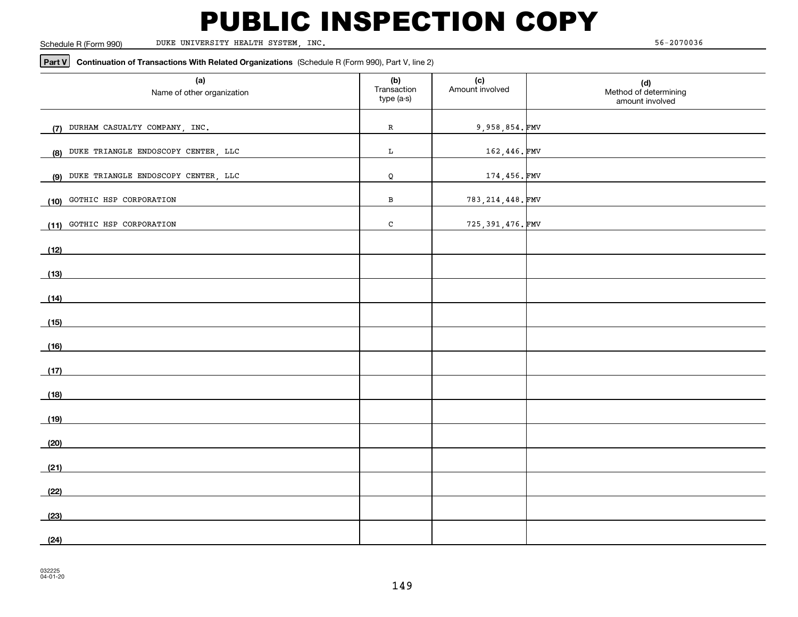Schedule R (Form 990)

DUKE UNIVERSITY HEALTH SYSTEM, INC. 56-2070036

#### **Part V Continuation of Transactions With Related Organizations**  (Schedule R (Form 990), Part V, line 2)

| (a)<br>Name of other organization                                                                                     | (b)<br>Transaction<br>type (a-s) | (c)<br>Amount involved | (d)<br>Method of determining<br>amount involved |
|-----------------------------------------------------------------------------------------------------------------------|----------------------------------|------------------------|-------------------------------------------------|
| (7) DURHAM CASUALTY COMPANY, INC.                                                                                     | ${\bf R}$                        | 9,958,854.FMV          |                                                 |
| (8) DUKE TRIANGLE ENDOSCOPY CENTER, LLC                                                                               | $\mathbf L$                      | 162,446.FMV            |                                                 |
| (9) DUKE TRIANGLE ENDOSCOPY CENTER, LLC                                                                               | Q                                | 174,456.FMV            |                                                 |
| GOTHIC HSP CORPORATION<br>(10)                                                                                        | В                                | 783, 214, 448. FMV     |                                                 |
| (11) GOTHIC HSP CORPORATION                                                                                           | $\mathtt{C}$                     | 725, 391, 476. FMV     |                                                 |
| (12)                                                                                                                  |                                  |                        |                                                 |
| (13)                                                                                                                  |                                  |                        |                                                 |
| (14)                                                                                                                  |                                  |                        |                                                 |
| <u> 1989 - Johann Harry Harry Harry Harry Harry Harry Harry Harry Harry Harry Harry Harry Harry Harry Harry Harry</u> |                                  |                        |                                                 |
| (15)                                                                                                                  |                                  |                        |                                                 |
| (16)                                                                                                                  |                                  |                        |                                                 |
| (17)                                                                                                                  |                                  |                        |                                                 |
| (18)                                                                                                                  |                                  |                        |                                                 |
| (19)                                                                                                                  |                                  |                        |                                                 |
| (20)                                                                                                                  |                                  |                        |                                                 |
| (21)                                                                                                                  |                                  |                        |                                                 |
| (22)                                                                                                                  |                                  |                        |                                                 |
| (23)                                                                                                                  |                                  |                        |                                                 |
| (24)                                                                                                                  |                                  |                        |                                                 |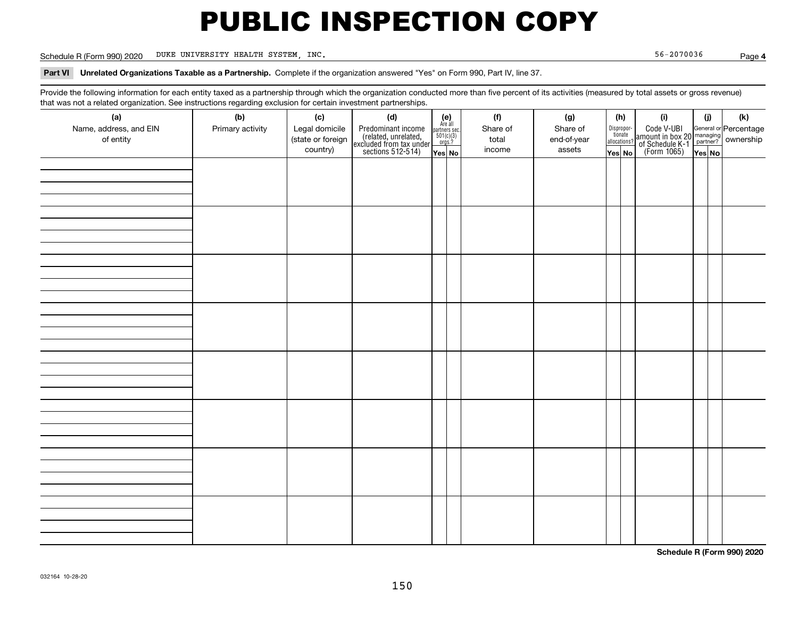Schedule R (Form 990) 2020 Page DUKE UNIVERSITY HEALTH SYSTEM, INC. 56-2070036

**4**

**Part VI Unrelated Organizations Taxable as a Partnership.**  Complete if the organization answered "Yes" on Form 990, Part IV, line 37.

Provide the following information for each entity taxed as a partnership through which the organization conducted more than five percent of its activities (measured by total assets or gross revenue) that was not a related organization. See instructions regarding exclusion for certain investment partnerships.

| (a)                    | .<br>(b)         | (c)               | <br><br>(d)                                                                                |                                                                                                                  | (f)      | (g)         | (h)                   | (i)                                                                                                    | (i)    | $(\mathsf{k})$ |  |
|------------------------|------------------|-------------------|--------------------------------------------------------------------------------------------|------------------------------------------------------------------------------------------------------------------|----------|-------------|-----------------------|--------------------------------------------------------------------------------------------------------|--------|----------------|--|
| Name, address, and EIN | Primary activity | Legal domicile    |                                                                                            | $\begin{array}{c} \textbf{(e)}\\ \text{Are all} \\ \text{partners sec.}\\ 501(c)(3)\\ \text{orgs.?} \end{array}$ | Share of | Share of    | Dispropor-<br>tionate |                                                                                                        |        |                |  |
| of entity              |                  | (state or foreign | Predominant income<br>(related, unrelated,<br>excluded from tax under<br>sections 512-514) |                                                                                                                  | total    | end-of-year | allocations?          | Code V-UBI<br>amount in box 20 managing<br>of Schedule K-1 partner? ownership<br>(Form 1065)<br>ves No |        |                |  |
|                        |                  | country)          |                                                                                            | Yes No                                                                                                           | income   | assets      | Yes No                |                                                                                                        | Yes No |                |  |
|                        |                  |                   |                                                                                            |                                                                                                                  |          |             |                       |                                                                                                        |        |                |  |
|                        |                  |                   |                                                                                            |                                                                                                                  |          |             |                       |                                                                                                        |        |                |  |
|                        |                  |                   |                                                                                            |                                                                                                                  |          |             |                       |                                                                                                        |        |                |  |
|                        |                  |                   |                                                                                            |                                                                                                                  |          |             |                       |                                                                                                        |        |                |  |
|                        |                  |                   |                                                                                            |                                                                                                                  |          |             |                       |                                                                                                        |        |                |  |
|                        |                  |                   |                                                                                            |                                                                                                                  |          |             |                       |                                                                                                        |        |                |  |
|                        |                  |                   |                                                                                            |                                                                                                                  |          |             |                       |                                                                                                        |        |                |  |
|                        |                  |                   |                                                                                            |                                                                                                                  |          |             |                       |                                                                                                        |        |                |  |
|                        |                  |                   |                                                                                            |                                                                                                                  |          |             |                       |                                                                                                        |        |                |  |
|                        |                  |                   |                                                                                            |                                                                                                                  |          |             |                       |                                                                                                        |        |                |  |
|                        |                  |                   |                                                                                            |                                                                                                                  |          |             |                       |                                                                                                        |        |                |  |
|                        |                  |                   |                                                                                            |                                                                                                                  |          |             |                       |                                                                                                        |        |                |  |
|                        |                  |                   |                                                                                            |                                                                                                                  |          |             |                       |                                                                                                        |        |                |  |
|                        |                  |                   |                                                                                            |                                                                                                                  |          |             |                       |                                                                                                        |        |                |  |
|                        |                  |                   |                                                                                            |                                                                                                                  |          |             |                       |                                                                                                        |        |                |  |
|                        |                  |                   |                                                                                            |                                                                                                                  |          |             |                       |                                                                                                        |        |                |  |
|                        |                  |                   |                                                                                            |                                                                                                                  |          |             |                       |                                                                                                        |        |                |  |
|                        |                  |                   |                                                                                            |                                                                                                                  |          |             |                       |                                                                                                        |        |                |  |
|                        |                  |                   |                                                                                            |                                                                                                                  |          |             |                       |                                                                                                        |        |                |  |
|                        |                  |                   |                                                                                            |                                                                                                                  |          |             |                       |                                                                                                        |        |                |  |
|                        |                  |                   |                                                                                            |                                                                                                                  |          |             |                       |                                                                                                        |        |                |  |
|                        |                  |                   |                                                                                            |                                                                                                                  |          |             |                       |                                                                                                        |        |                |  |
|                        |                  |                   |                                                                                            |                                                                                                                  |          |             |                       |                                                                                                        |        |                |  |
|                        |                  |                   |                                                                                            |                                                                                                                  |          |             |                       |                                                                                                        |        |                |  |
|                        |                  |                   |                                                                                            |                                                                                                                  |          |             |                       |                                                                                                        |        |                |  |
|                        |                  |                   |                                                                                            |                                                                                                                  |          |             |                       |                                                                                                        |        |                |  |
|                        |                  |                   |                                                                                            |                                                                                                                  |          |             |                       |                                                                                                        |        |                |  |
|                        |                  |                   |                                                                                            |                                                                                                                  |          |             |                       |                                                                                                        |        |                |  |
|                        |                  |                   |                                                                                            |                                                                                                                  |          |             |                       |                                                                                                        |        |                |  |
|                        |                  |                   |                                                                                            |                                                                                                                  |          |             |                       |                                                                                                        |        |                |  |

**Schedule R (Form 990) 2020**